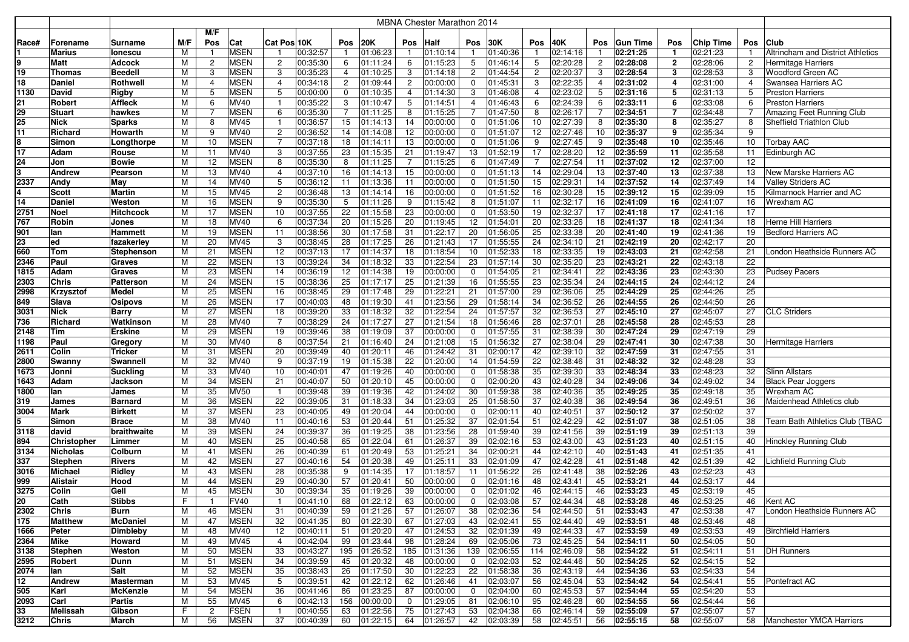|       |                    |                  |     |                |             |                         |          |                |          |                | <b>MBNA Chester Marathon 2014</b> |                |          |                |              |                |                       |                |                  |                |                                          |
|-------|--------------------|------------------|-----|----------------|-------------|-------------------------|----------|----------------|----------|----------------|-----------------------------------|----------------|----------|----------------|--------------|----------------|-----------------------|----------------|------------------|----------------|------------------------------------------|
|       |                    |                  |     | M/F            |             |                         |          |                |          |                |                                   |                |          |                |              |                |                       |                |                  |                |                                          |
| Race# | Forename           | Surname          | M/F | Pos            | Cat         | Cat Pos 10K             |          | Pos            | 20K      | Pos            | <b>Half</b>                       | Pos            | 30K      | Pos            | 40K          | Pos            | <b>Gun Time</b>       | Pos            | <b>Chip Time</b> | Pos            | Club                                     |
|       | <b>Marius</b>      | lonescu          | м   |                | <b>MSEN</b> | -1                      | 00:32:57 | $\mathbf{1}$   | 01:06:23 |                | 01:10:14                          |                | 01:40:36 | $\overline{1}$ | 02:14:16     |                | 02:21:25              | $\mathbf{1}$   | 02:21:23         |                | <b>Altrincham and District Athletics</b> |
| 9     | <b>Matt</b>        | Adcock           | М   | $\overline{2}$ | <b>MSEN</b> | $\overline{c}$          | 00:35:30 | 6              | 01:11:24 | 6              | 01:15:23                          | 5              | 01:46:14 | 5              | 02:20:28     | $\overline{2}$ | 02:28:08              | $\overline{2}$ | 02:28:06         | $\overline{2}$ | Hermitage Harriers                       |
| 19    | <b>Thomas</b>      | Beedell          | м   | З              | <b>MSEN</b> | 3                       | 00:35:23 | $\overline{4}$ | 01:10:25 | 3              | 01:14:18                          | $\overline{2}$ | 01:44:54 | $\overline{2}$ | 02:20:37     | 3              | 02:28:54              | 3              | 02:28:53         | 3              | Woodford Green AC                        |
| 18    | Daniel             | Rothwel          | м   | 4              | <b>MSEN</b> | $\overline{4}$          | 00:34:18 | $\overline{2}$ | 01:09:44 | $\overline{2}$ | 00:00:00                          | 0              | 01:45:31 | 3              | 02:22:35     | 4              | 02:31:02              | 4              | 02:31:00         | $\overline{4}$ | Swansea Harriers AC                      |
| 1130  | David              | Rigby            | м   | 5              | <b>MSEN</b> | 5                       | 00:00:00 | $\mathbf 0$    | 01:10:35 | 4              | 01:14:30                          | 3              | 01:46:08 | $\overline{4}$ | 02:23:02     | 5              | 02:31:16              | 5              | 02:31:13         | 5              | <b>Preston Harriers</b>                  |
| 21    | Robert             | <b>Affleck</b>   | М   |                | MV40        | $\overline{1}$          | 00:35:22 | 3              | 01:10:47 | 5              | 01:14:51                          | $\overline{4}$ | 01:46:43 | 6              | 02:24:39     | 6              | 02:33:11              | 6              | 02:33:08         | 6              | Preston Harriers                         |
| 29    | <b>Stuart</b>      | hawkes           | М   |                | <b>MSEN</b> | 6                       | 00:35:30 | $\overline{7}$ | 01:11:25 | 8              | 01:15:25                          |                | 01:47:50 | 8              | 02:26:17     |                | 02:34:51              | $\overline{7}$ | 02:34:48         |                | Amazing Feet Running Club                |
| 25    | <b>Nick</b>        | Sparks           | M   |                | <b>MV45</b> | $\overline{\mathbf{1}}$ | 00:36:57 | 15             | 01:14:13 | 14             | 00:00:00                          | 0              | 01:51:06 | 10             | 02:27:39     | 8              | 02:35:30              | 8              | 02:35:27         | 8              | Sheffield Triathlon Club                 |
| 11    | Richard            | Howarth          | M   |                | <b>MV40</b> | $\overline{c}$          | 00:36:52 | 14             | 01:14:08 | 12             | 00:00:00                          | $\mathbf 0$    | 01:51:07 | 12             | 02:27:46     | 10             | 02:35:37              | 9              | 02:35:34         | 9              |                                          |
| 8     | Simon              | Longthorpe       | M   | 10             | <b>MSEN</b> | $\overline{7}$          | 00:37:18 | 18             | 01:14:11 | 13             | 00:00:00                          | 0              | 01:51:06 | 9              | 02:27:45     | 9              | 02:35:48              | 10             | 02:35:46         | 10             | <b>Torbay AAC</b>                        |
| 17    | Adam               | Rouse            | М   | 11             | MV40        | 3                       | 00:37:55 | 23             | 01:15:35 | 21             | 01:19:47                          | 13             | 01:52:19 | 17             | 02:28:20     | 12             | 02:35:59              | 11             | 02:35:58         | 11             | Edinburgh AC                             |
| 24    | Jon                | Bowie            | М   | 12             | <b>MSEN</b> | 8                       | 00:35:30 | 8              | 01:11:25 |                | 01:15:25                          | 6              | 01:47:49 | 7              | 02:27:54     | 11             | 02:37:02              | 12             | 02:37:00         | 12             |                                          |
| 3     | <b>Andrew</b>      | Pearson          | М   | 13             | MV40        | $\overline{4}$          | 00:37:10 | 16             | 01:14:13 | 15             | 00:00:00                          | 0              | 01:51:13 | 14             | 02:29:04     | 13             | 02:37:40              | 13             | 02:37:38         | 13             | New Marske Harriers AC                   |
| 2337  | Andy               | May              | M   | 14             | MV40        | 5                       | 00:36:12 | 11             | 01:13:36 | 11             | 00:00:00                          | 0              | 01:51:50 | 15             | 02:29:31     | 14             | 02:37:52              | 14             | 02:37:49         | 14             | Valley Striders AC                       |
| 4     | <b>Scott</b>       | Martin           | М   | 15             | <b>MV45</b> | $\overline{c}$          | 00:36:48 | 13             | 01:14:14 | 16             | 00:00:00                          | 0              | 01:51:52 | 16             | 02:30:28     | 15             | 02:39:12              | 15             | 02:39:09         | 15             | Kilmarnock Harrier and AC                |
| 14    | <b>Daniel</b>      | Weston           | М   | 16             | <b>MSEN</b> | 9                       | 00:35:30 | 5              | 01:11:26 | 9              | 01:15:42                          | 8              | 01:51:07 | 11             | 02:32:17     | 16             | 02:41:09              | 16             | 02:41:07         | 16             | Wrexham AC                               |
| 2751  | <b>Noel</b>        | Hitchcock        | М   | 17             | <b>MSEN</b> | 10                      | 00:37:55 | 22             | 01:15:58 | 23             | 00:00:00                          | $\mathbf 0$    | 01:53:50 | 19             | 02:32:37     | 17             | 02:41:18              | 17             | 02:41:16         | 17             |                                          |
| 767   | Robin              | Jones            | м   | 18             | MV40        | 6                       | 00:37:34 | 20             | 01:15:26 | 20             | 01:19:45                          | 12             | 01:54:01 | 20             | 02:33:26     | 18             | 02:41:37              | 18             | 02:41:34         | 18             | Herne Hill Harriers                      |
| 901   | lan                | Hammett          | М   | 19             | <b>MSEN</b> | 11                      | 00:38:56 | 30             | 01:17:58 | 31             | 01:22:17                          | 20             | 01:56:05 | 25             | 02:33:38     | 20             | 02:41:40              | 19             | 02:41:36         | 19             | <b>Bedford Harriers AC</b>               |
| 23    | ed                 | fazakerley       | M   | 20             | <b>MV45</b> | 3                       | 00:38:45 | 28             | 01:17:25 | 26             | 01:21:43                          | 17             | 01:55:55 | 24             | 02:34:10     | 21             | 02:42:19              | 20             | 02:42:17         | 20             |                                          |
| 660   | <b>Tom</b>         | Stephenson       | M   | 21             | <b>MSEN</b> | 12                      | 00:37:13 | 17             | 01:14:37 | 18             | 01:18:54                          | 10             | 01:52:33 | 18             | 02:33:35     | 19             | 02:43:03              | 21             | 02:42:58         | 21             | London Heathside Runners AC              |
| 2346  | Paul               | Graves           | M   | 22             | <b>MSEN</b> | 13                      | 00:39:24 | 34             | 01:18:32 | 33             | 01:22:54                          | 23             | 01:57:14 | 30             | 02:35:20     | 23             | 02:43:21              | 22             | 02:43:18         | 22             |                                          |
| 1815  | Adam               | Graves           | М   | 23             | <b>MSEN</b> | 14                      | 00:36:19 | 12             | 01:14:38 | 19             | 00:00:00                          | 0              | 01:54:05 | 21             | 02:34:41     | 22             | 02:43:36              | 23             | 02:43:30         | 23             | <b>Pudsey Pacers</b>                     |
| 2303  | <b>Chris</b>       | Patterson        | М   | 24             | <b>MSEN</b> | 15                      | 00:38:36 | 25             | 01:17:17 | 25             | 01:21:39                          | 16             | 01:55:55 | 23             | 02:35:34     | 24             | 02:44:15              | 24             | 02:44:12         | 24             |                                          |
| 2998  | Krzysztof          | Medel            | M   | 25             | <b>MSEN</b> | 16                      | 00:38:45 | 29             | 01:17:48 | 29             | 01:22:21                          | 21             | 01:57:00 | 29             | 02:36:06     | 25             | 02:44:29              | 25             | 02:44:26         | 25             |                                          |
| 849   | Slava              | Osipovs          | М   | 26             | <b>MSEN</b> | 17                      | 00:40:03 | 48             | 01:19:30 | 41             | 01:23:56                          | 29             | 01:58:14 | 34             | 02:36:52     | 26             | 02:44:55              | 26             | 02:44:50         | 26             |                                          |
| 3031  | <b>Nick</b>        | Barry            | М   | 27             | <b>MSEN</b> | 18                      | 00:39:20 | 33             | 01:18:32 | 32             | 01:22:54                          | 24             | 01:57:57 | 32             | 02:36:53     | 27             | 02:45:10              | 27             | 02:45:07         | 27             | <b>CLC Striders</b>                      |
| 736   | Richard            | Watkinson        | М   | 28             | MV40        | $\overline{7}$          | 00:38:29 | 24             | 01:17:27 | 27             | 01:21:54                          | 18             | 01:56:46 | 28             | 02:37:01     | 28             | 02:45:58              | 28             | 02:45:53         | 28             |                                          |
| 2148  | Tim                | Erskine          | М   | 29             | <b>MSEN</b> | 19                      | 00:39:46 | 38             | 01:19:09 | 37             | 00:00:00                          | 0              | 01:57:55 | 31             | 02:38:39     | 30             | 02:47:24              | 29             | 02:47:19         | 29             |                                          |
| 1198  | Paul               | Gregory          | М   | 30             | MV40        | 8                       | 00:37:54 | 21             | 01:16:40 | 24             | 01:21:08                          | 15             | 01:56:32 | 27             | 02:38:04     | 29             | 02:47:41              | 30             | 02:47:38         | 30             | <b>Hermitage Harriers</b>                |
| 2611  | Colin              | Tricker          | M   | 31             | <b>MSEN</b> | 20                      | 00:39:49 | 40             | 01:20:11 | 46             | 01:24:42                          | 31             | 02:00:17 | 42             | 02:39:10     | 32             | 02:47:59              | 31             | 02:47:55         | 31             |                                          |
| 2800  | Swanny             | Swannell         | M   | 32             | MV40        | 9                       | 00:37:19 | 19             | 01:15:38 | 22             | 01:20:00                          | 14             | 01:54:59 | 22             | 02:38:46     | 31             | 02:48:32              | 32             | 02:48:28         | 33             |                                          |
| 1673  | Jonni              | <b>Suckling</b>  | M   | 33             | <b>MV40</b> | 10                      | 00:40:01 | 47             | 01:19:26 | 40             | 00:00:00                          | $\mathbf 0$    | 01:58:38 | 35             | 02:39:30     | 33             | 02:48:34              | 33             | 02:48:23         | 32             | <b>Slinn Allstars</b>                    |
| 1643  | Adam               | Jackson          | м   | 34             | <b>MSEN</b> | 21                      | 00:40:07 | 50             | 01:20:10 | 45             | 00:00:00                          | 0              | 02:00:20 | 43             | 02:40:28     | 34             | 02:49:06              | 34             | 02:49:02         | 34             | <b>Black Pear Joggers</b>                |
| 1800  | lan                | James            | М   | 35             | <b>MV50</b> | $\overline{1}$          | 00:39:48 | 39             | 01:19:36 | 42             | 01:24:02                          | 30             | 01:59:38 | 38             | 02:40:36     | 35             | 02:49:25              | 35             | 02:49:18         | 35             | Wrexham AC                               |
| 319   | James              | Barnard          | М   | 36             | <b>MSEN</b> | 22                      | 00:39:05 | 31             | 01:18:33 | 34             | 01:23:03                          | 25             | 01:58:50 | 37             | 02:40:38     | 36             | 02:49:54              | 36             | 02:49:51         | 36             | Maidenhead Athletics club                |
| 3004  | Mark               | <b>Birkett</b>   | М   | 37             | <b>MSEN</b> | 23                      | 00:40:05 | 49             | 01:20:04 | 44             | 00:00:00                          | 0              | 02:00:11 | 40             | 02:40:51     | 37             | 02:50:12              | 37             | 02:50:02         | 37             |                                          |
| 5     | Simon              | <b>Brace</b>     | М   | 38             | MV40        | 11                      | 00:40:16 | 53             | 01:20:44 | 51             | 01:25:32                          | 37             | 02:01:54 | 51             | 02:42:29     | 42             | 02:51:07              | 38             | 02:51:05         | 38             | Team Bath Athletics Club (TBAC           |
| 3118  | david              | braithwaite      | М   | 39             | <b>MSEN</b> | 24                      | 00:39:37 | 36             | 01:19:25 | 38             | 01:23:56                          | 28             | 01:59:40 | 39             | 02:41:56     | 39             | 02:51:19              | 39             | 02:51:13         | 39             |                                          |
| 894   | <b>Christopher</b> | Limmeı           | M   | 40             | <b>MSEN</b> | 25                      | 00:40:58 | 65             | 01:22:04 | 61             | 01:26:37                          | 39             | 02:02:16 | 53             | 02:43:00     | 43             | 02:51:23              | 40             | 02:51:15         | 40             | <b>Hinckley Running Club</b>             |
| 3134  | <b>Nicholas</b>    | Colburn          | М   | 41             | <b>MSEN</b> | 26                      | 00:40:39 | 61             | 01:20:49 | 53             | 01:25:21                          | 34             | 02:00:21 | 44             | 02:42:10     | 40             | 02:51:43              | 41             | 02:51:35         | 41             |                                          |
| 337   | <b>Stephen</b>     | Rivers           | М   | 42             | <b>MSEN</b> | 27                      | 00:40:16 | 54             | 01:20:38 | 49             | 01:25:11                          | 33             | 02:01:09 | 47             | 02:42:28     | 41             | $\overline{02:}51:48$ | 42             | 02:51:39         | 42             | Lichfield Running Club                   |
| 3016  | <b>Michael</b>     | Ridlev           | М   | 43             | <b>MSEN</b> | 28                      | 00:35:38 | 9              | 01:14:35 | 17             | 01:18:57                          | 11             | 01:56:22 | 26             | 02:41:48     | 38             | 02:52:26              | 43             | 02:52:23         | 43             |                                          |
| 999   | <b>Alistair</b>    | Hood             | М   | 44             | <b>MSEN</b> | 29                      | 00:40:30 | 57             | 01:20:41 | 50             | 00:00:00                          | $\mathbf 0$    | 02:01:16 | 48             | 02:43:41     | 45             | 02:53:21              | 44             | 02:53:17         | 44             |                                          |
| 3275  | Colin              | Gell             | M   | 45             | <b>MSEN</b> | 30                      | 00:39:34 | 35             | 01:19:26 | 39             | 00:00:00                          | $\mathbf 0$    | 02:01:02 | 46             | 02:44:15     | 46             | 02:53:23              | 45             | 02:53:19         | 45             |                                          |
| 20    | Cath               | Stibbs           | F   |                | <b>FV40</b> | $\mathbf{1}$            | 00:41:10 | 68             | 01:22:12 | 63             | 00:00:00                          | 0              | 02:03:08 | 57             | 02:44:34     | 48             | 02:53:28              | 46             | 02:53:25         | 46             | Kent AC                                  |
| 2302  | <b>Chris</b>       | Burn             | М   | 46             | <b>MSEN</b> | 31                      | 00:40:39 | 59             | 01:21:26 | 57             | 01:26:07                          | 38             | 02:02:36 | 54             | 02:44:50     | 51             | 02:53:43              | 47             | 02:53:38         | 47             | London Heathside Runners AC              |
| 175   | <b>Matthew</b>     | McDaniel         | М   | 47             | <b>MSEN</b> | 32                      | 00:41:35 | 80             | 01:22:30 | 67             | 01:27:03                          | 43             | 02:02:41 | 55             | 02:44:40     | 49             | 02:53:51              | 48             | 02:53:46         | 48             |                                          |
| 1666  | Peter              | Dimbleby         | м   | 48             | MV40        | 12                      | 00:40:11 | 51             | 01:20:20 | 47             | 01:24:53                          | 32             | 02:01:39 | 49             | 02:44:33     | 47             | 02:53:59              | 49             | 02:53:53         | 49             | <b>Birchfield Harriers</b>               |
| 2364  | Mike               | Howard           | М   | 49             | MV45        | $\overline{4}$          | 00:42:04 | 99             | 01:23:44 | 98             | 01:28:24                          | 69             | 02:05:06 | 73             | 02:45:25     | 54             | 02:54:11              | 50             | 02:54:05         | 50             |                                          |
| 3138  | <b>Stephen</b>     | Weston           | M   | 50             | <b>MSEN</b> | 33                      | 00:43:27 | 195            | 01:26:52 |                | $\overline{185}$ 01:31:36         | 139            | 02:06:55 |                | 114 02:46:09 | 58             | 02:54:22              | 51             | 02:54:11         | 51             | <b>DH Runners</b>                        |
| 2595  | Robert             | Dunn             | М   | 51             | <b>MSEN</b> | 34                      | 00:39:59 | 45             | 01:20:32 | 48             | 00:00:00                          | $\overline{0}$ | 02:02:03 | 52             | 02:44:46     | 50             | 02:54:25              | 52             | 02:54:15         | 52             |                                          |
| 2074  | lan                | Salt             | М   | 52             | <b>MSEN</b> | 35                      | 00:38:43 | 26             | 01:17:50 | 30             | $\sqrt{01:22:23}$                 | 22             | 01:58:38 | 36             | 02:43:19     | 44             | 02:54:36              | 53             | 02:54:33         | 54             |                                          |
| 12    | Andrew             | <b>Masterman</b> | М   | 53             | MV45        | 5                       | 00:39:51 | 42             | 01:22:12 | 62             | 01:26:46                          | 41             | 02:03:07 | 56             | 02:45:04     | 53             | 02:54:42              | 54             | 02:54:41         | 55             | Pontefract AC                            |
| 505   | Karl               | McKenzie         | М   | 54             | <b>MSEN</b> | 36                      | 00:41:46 | 86             | 01:23:25 | 87             | 00:00:00                          | $\mathbf{0}$   | 02:04:00 | 60             | 02:45:53     | 57             | 02:54:44              | 55             | 02:54:20         | 53             |                                          |
| 2093  | Carl               | Partis           | М   | 55             | MV45        | 6                       | 00:42:13 | 156            | 00:00:00 | 0              | 01:29:05                          | 81             | 02:06:10 | 95             | 02:46:28     | 60             | 02:54:55              | 56             | 02:54:44         | 56             |                                          |
| 33    | Melissah           | Gibson           | F   | 2              | <b>FSEN</b> | $\overline{1}$          | 00:40:55 | 63             | 01:22:56 | 75             | 01:27:43                          | 53             | 02:04:38 | 66             | 02:46:14     | 59             | 02:55:09              | 57             | 02:55:07         | 57             |                                          |
| 3212  | <b>Chris</b>       | March            | М   | 56             | <b>MSEN</b> | 37                      | 00:40:39 | 60             | 01:22:15 | 64             | 01:26:57                          | 42             | 02:03:39 | 58             | 02:45:51     | 56             | 02:55:15              | 58             | 02:55:07         |                | 58   Manchester YMCA Harriers            |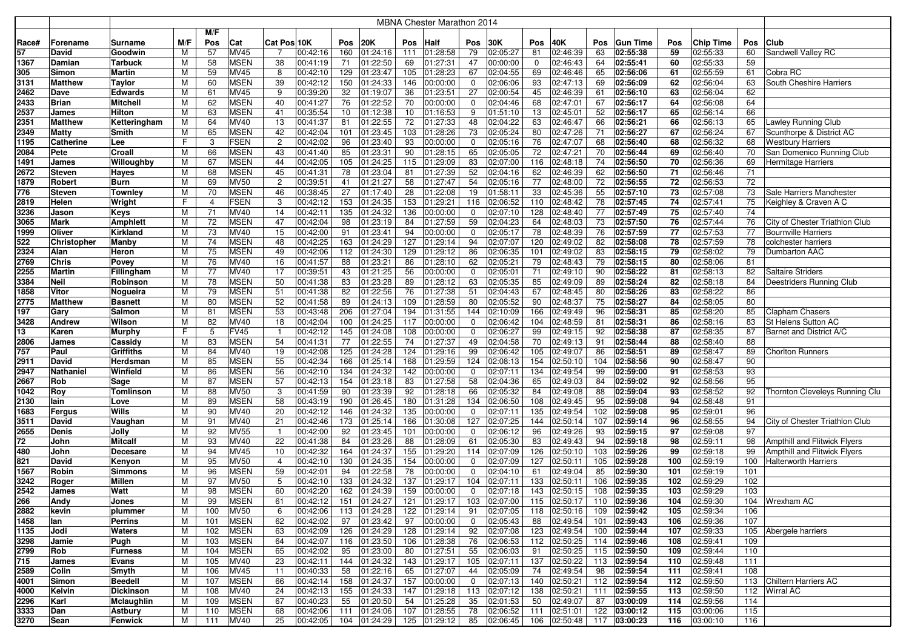|              |                      |                      |        |         |                            |                |                      |            |                      |           | MBNA Chester Marathon 2014 |                |                          |           |                           |          |                              |            |                      |          |                                     |
|--------------|----------------------|----------------------|--------|---------|----------------------------|----------------|----------------------|------------|----------------------|-----------|----------------------------|----------------|--------------------------|-----------|---------------------------|----------|------------------------------|------------|----------------------|----------|-------------------------------------|
|              |                      |                      |        | M/F     |                            |                |                      |            |                      |           |                            |                |                          |           |                           |          |                              |            |                      |          |                                     |
| Race#        | Forename             | Surname              | M/F    | Pos     | Cat                        | Cat Pos 10K    |                      | Pos        | 20K                  | Pos       | <b>Half</b>                | Pos            | 30K                      | Pos       | 40K                       | Pos      | <b>Gun Time</b>              | Pos        | <b>Chip Time</b>     | Pos      | <b>Club</b>                         |
| 57           | David                | Goodwin              | м      | 57      | <b>MV45</b>                | -7             | 00:42:16             | 160        | 01:24:16             | 111       | 01:28:58                   | 79             | 02:05:27                 | 81        | 02:46:39                  | 63       | 02:55:38                     | 59         | 02:55:33             | 60       | Sandwell Valley RC                  |
| 1367         | Damian               | Tarbuck              | М      | 58      | <b>MSEN</b>                | 38             | 00:41:19             | 71         | 01:22:50             | 69        | 01:27:31                   | 47             | 00:00:00                 | 0         | 02:46:43                  | 64       | 02:55:41                     | 60         | 02:55:33             | 59       |                                     |
| 305          | Simon                | Martin               | M      | 59      | <b>MV45</b>                | 8              | 00:42:10             | 129        | 01:23:47             | 105       | 01:28:23                   | 67             | 02:04:55                 | 69        | 02:46:46                  | 65       | 02:56:06                     | 61         | 02:55:59             | 61       | Cobra RC                            |
| 3131         | <b>Matthew</b>       | Taylor               | М      | 60      | <b>MSEN</b>                | 39             | 00:42:12             | 150        | 01:24:33             | 146       | 00:00:00                   | 0              | 02:06:06                 | 93        | 02:47:13                  | 69       | 02:56:09                     | 62         | 02:56:04             | 63       | South Cheshire Harriers             |
| 2462         | Dave                 | Edwards              | М      | 61      | <b>MV45</b>                | 9              | 00:39:20             | 32         | 01:19:07             | 36        | 01:23:51                   | 27             | 02:00:54                 | 45        | 02:46:39                  | 61       | 02:56:10                     | 63         | 02:56:04             | 62       |                                     |
| 2433         | <b>Brian</b>         | Mitchell             | М      | 62      | <b>MSEN</b>                | 40             | 00:41:27             | 76         | 01:22:52             | 70        | 00:00:00                   | 0              | 02:04:46                 | 68        | 02:47:01                  | 67       | 02:56:17                     | 64         | 02:56:08             | 64       |                                     |
| 2537         | James                | Hilton               | М      | 63      | <b>MSEN</b>                | 41             | 00:35:54             | 10         | 01:12:38             | 10        | 01:16:53                   | 9              | 01:51:10                 | 13        | 02:45:01                  | 52       | 02:56:17                     | 65         | 02:56:14             | 66       |                                     |
| 2351         | <b>Matthew</b>       | Ketteringham         | M      | 64      | MV40                       | 13             | 00:41:37             | 81         | 01:22:55             | 72        | 01:27:33                   | 48             | 02:04:22                 | 63        | 02:46:47                  | 66       | 02:56:21                     | 66         | 02:56:13             | 65       | <b>Lawley Running Club</b>          |
| 2349         | <b>Matty</b>         | Smith                | М      | 65      | <b>MSEN</b>                | 42             | 00:42:04             | 101        | 01:23:45             | 103       | 01:28:26                   | 73             | 02:05:24                 | 80        | 02:47:26                  | 71       | 02:56:27                     | 67         | 02:56:24             | 67       | Scunthorpe & District AC            |
| 1195         | <b>Catherine</b>     | Lee                  | F      |         | <b>FSEN</b>                | $\overline{c}$ | 00:42:02             | 96         | 01:23:40             | 93        | 00:00:00                   | 0              | 02:05:16                 | 76        | 02:47:07                  | 68       | 02:56:40                     | 68         | 02:56:32             | 68       | <b>Westbury Harriers</b>            |
| 2084         | Pete                 | Croall               | M      | 66      | <b>MSEN</b>                | 43             | 00:41:40             | 85         | 01:23:31             | 90        | 01:28:15                   | 65             | 02:05:05                 | 72        | 02:47:21                  | 70       | 02:56:44                     | 69         | 02:56:40             | 70       | San Domenico Running Club           |
| 1491         | James                | Willoughby           | м      | 67      | <b>MSEN</b>                | 44             | 00:42:05             | 105        | 01:24:25             | 115       | 01:29:09                   | 83             | 02:07:00                 | 116       | 02:48:18                  | 74       | 02:56:50                     | 70         | 02:56:36             | 69       | Hermitage Harriers                  |
| 2672         | <b>Steven</b>        | Hayes                | М      | 68      | <b>MSEN</b>                | 45             | 00:41:31             | 78         | 01:23:04             | 81        | 01:27:39                   | 52             | 02:04:16                 | 62        | 02:46:39                  | 62       | 02:56:50                     | 71         | 02:56:46             | 71       |                                     |
| 1879         | Robert               | <b>Burn</b>          | М      | 69      | <b>MV50</b>                | $\overline{c}$ | 00:39:51             | 41         | 01:21:27             | 58        | 01:27:47                   | 54             | 02:05:16                 | 77        | 02:48:00                  | 72       | 02:56:55                     | 72<br>73   | 02:56:53             | 72       |                                     |
| 776          | <b>Steven</b>        | Townley              | М<br>F | 70<br>4 | <b>MSEN</b><br><b>FSEN</b> | 46<br>3        | 00:38:45<br>00:42:12 | 27<br>153  | 01:17:40             | 28        | 01:22:08<br>01:29:21       | 19             | 01:58:11<br>02:06:52     | 33<br>110 | 02:45:36<br>02:48:42      | 55       | 02:57:10<br>02:57:45         | 74         | 02:57:08<br>02:57:41 | 73       | Sale Harriers Manchester            |
| 2819         | Helen                | Wright               |        | 71      | MV40                       | 14             |                      |            | 01:24:35             | 153       |                            | 116            |                          |           |                           | 78<br>77 |                              | 75         | 02:57:40             | 75<br>74 | Keighley & Craven A C               |
| 3236<br>3065 | Jason<br><b>Mark</b> | Keys                 | м<br>М | 72      | <b>MSEN</b>                | 47             | 00:42:11<br>00:42:04 | 135<br>98  | 01:24:32<br>01:23:19 | 136<br>84 | 00:00:00<br> 01:27:59      | 0<br>59        | 02:07:10<br>02:04:23     | 128<br>64 | 02:48:40<br>02:48:03      | 73       | 02:57:49<br>02:57:50         | 76         | 02:57:44             | 76       | City of Chester Triathlon Club      |
| 1999         | Oliver               | Amphlett<br>Kirkland | M      | 73      | MV40                       | 15             | 00:42:00             | 91         | 01:23:41             | 94        | 00:00:00                   | 0              | 02:05:17                 | 78        | 02:48:39                  | 76       | 02:57:59                     | 77         | 02:57:53             | 77       | <b>Bournville Harriers</b>          |
| 522          | Christopher          | Manby                | М      | 74      | <b>MSEN</b>                | 48             | 00:42:25             | 163        | 01:24:29             | 127       | 01:29:14                   | 94             | 02:07:07                 | 120       | 02:49:02                  | 82       | 02:58:08                     | 78         | 02:57:59             | 78       | colchester harriers                 |
| 2324         | Alan                 | Heron                | M      | 75      | <b>MSEN</b>                | 49             | 00:42:06             | 112        | 01:24:30             | 129       | 01:29:12                   | 86             | 02:06:35                 | 101       | 02:49:02                  | 83       | 02:58:15                     | 79         | 02:58:02             | 79       | Dumbarton AAC                       |
| 2769         | <b>Chris</b>         | Povey                | M      | 76      | <b>MV40</b>                | 16             | 00:41:57             | 88         | 01:23:21             | 86        | 01:28:10                   | 62             | 02:05:21                 | 79        | 02:48:43                  | 79       | 02:58:15                     | 80         | 02:58:06             | 81       |                                     |
| 2255         | <b>Martin</b>        | Fillingham           | м      | 77      | MV40                       | 17             | 00:39:51             | 43         | 01:21:25             | 56        | 00:00:00                   | 0              | 02:05:01                 | 71        | 02:49:10                  | 90       | 02:58:22                     | 81         | 02:58:13             | 82       | <b>Saltaire Striders</b>            |
| 3384         | <b>Neil</b>          | Robinson             | М      | 78      | <b>MSEN</b>                | 50             | 00:41:38             | 83         | 01:23:28             | 89        | 01:28:12                   | 63             | 02:05:35                 | 85        | 02:49:09                  | 89       | 02:58:24                     | 82         | 02:58:18             | 84       | Deestriders Running Club            |
| 1858         | Vitor                | Nogueira             | М      | 79      | <b>MSEN</b>                | 51             | 00:41:38             | 82         | 01:22:56             | 76        | 01:27:38                   | 51             | 02:04:43                 | 67        | 02:48:45                  | 80       | 02:58:26                     | 83         | 02:58:22             | 86       |                                     |
| 2775         | <b>Matthew</b>       | Basnett              | М      | 80      | <b>MSEN</b>                | 52             | 00:41:58             | 89         | 01:24:13             | 109       | 01:28:59                   | 80             | 02:05:52                 | 90        | 02:48:37                  | 75       | 02:58:27                     | 84         | 02:58:05             | 80       |                                     |
| 197          | Gary                 | Salmon               | м      | 81      | <b>MSEN</b>                | 53             | 00:43:48             | 206        | 01:27:04             | 194       | 01:31:55                   | 144            | 02:10:09                 | 166       | 02:49:49                  | 96       | 02:58:31                     | 85         | 02:58:20             | 85       | <b>Clapham Chasers</b>              |
| 3428         | Andrew               | Wilson               | M      | 82      | MV40                       | 18             | 00:42:04             | 100        | 01:24:25             | 117       | 00:00:00                   | 0              | 02:06:42                 | 104       | 02:48:59                  | 81       | 02:58:31                     | 86         | 02:58:16             | 83       | St Helens Sutton AC                 |
| 13           | Karen                | Murphy               | F      | 5       | <b>FV45</b>                | $\overline{1}$ | 00:42:12             | 145        | 01:24:08             | 108       | 00:00:00                   | 0              | 02:06:27                 | 99        | 02:49:15                  | 92       | 02:58:38                     | 87         | 02:58:35             | 87       | Barnet and District A/C             |
| 2806         | James                | Cassidy              | м      | 83      | <b>MSEN</b>                | 54             | 00:41:31             | 77         | 01:22:55             | 74        | 01:27:37                   | 49             | 02:04:58                 | 70        | 02:49:13                  | 91       | 02:58:44                     | 88         | 02:58:40             | 88       |                                     |
| 757          | Paul                 | Griffiths            | M      | 84      | MV40                       | 19             | 00:42:08             | 125        | 01:24:28             | 124       | 01:29:16                   | 99             | 02:06:42                 | 105       | 02:49:07                  | 86       | 02:58:51                     | 89         | 02:58:47             | 89       | <b>Chorlton Runners</b>             |
| 2911         | David                | Herdsman             | М      | 85      | <b>MSEN</b>                | 55             | 00:42:34             | 166        | 01:25:14             | 168       | 01:29:59                   | 124            | 02:08:13                 | 154       | 02:50:10                  | 104      | 02:58:56                     | 90         | 02:58:47             | 90       |                                     |
| 2947         | Nathaniel            | Winfield             | M      | 86      | <b>MSEN</b>                | 56             | 00:42:10             | 134        | 01:24:32             | 142       | 00:00:00                   | $\mathbf 0$    | 02:07:11                 | 134       | 02:49:54                  | 99       | 02:59:00                     | 91         | 02:58:53             | 93       |                                     |
| 2667         | <b>Rob</b>           | Sage                 | M      | 87      | <b>MSEN</b>                | 57             | 00:42:13             | 154        | 01:23:18             | 83        | 01:27:58                   | 58             | 02:04:36                 | 65        | 02:49:03                  | 84       | 02:59:02                     | 92         | 02:58:56             | 95       |                                     |
| 1042         | Roy                  | Tomlinson            | М      | 88      | <b>MV50</b>                | 3              | 00:41:59             | 90         | 01:23:39             | 92        | 01:28:18                   | 66             | 02:05:32                 | 84        | 02:49:08                  | 88       | 02:59:04                     | 93         | 02:58:52             | 92       | Thornton Cleveleys Running Clu      |
| 2130         | lain                 | Love                 | M      | 89      | <b>MSEN</b>                | 58             | 00:43:19             | 190        | 01:26:45             | 180       | 01:31:28                   | 134            | 02:06:50                 | 108       | 02:49:45                  | 95       | 02:59:08                     | 94         | 02:58:48             | 91       |                                     |
| 1683         | <b>Fergus</b>        | Wills                | М      | 90      | MV40                       | 20             | 00:42:12             | 146        | 01:24:32             | 135       | 00:00:00                   | $\mathbf 0$    | 02:07:11                 | 135       | 02:49:54                  | 102      | 02:59:08                     | 95         | 02:59:01             | 96       |                                     |
| 3511         | David                | Vaughan              | м      | 91      | MV40                       | 21             | 00:42:46             | 173        | 01:25:14             | 166       | 01:30:08                   | 127            | 02:07:25                 | 144       | 02:50:14                  | 107      | 02:59:14                     | 96         | 02:58:55             | 94       | City of Chester Triathlon Club      |
| 2655         | <b>Denis</b>         | Jolly                | М      | 92      | <b>MV55</b>                | $\overline{1}$ | 00:42:00             | 92         | 01:23:45             | 101       | 00:00:00                   | 0              | 02:06:12                 | 96        | 02:49:26                  | 93       | 02:59:15                     | 97         | 02:59:08             | 97       |                                     |
| 72           | John                 | Mitcalf              | м      | 93      | MV40                       | 22             | 00:41:38             | 84         | 01:23:26             | 88        | 01:28:09                   | 61             | 02:05:30                 | 83        | 02:49:43                  | 94       | 02:59:18                     | 98         | 02:59:11             | 98       | <b>Ampthill and Flitwick Flyers</b> |
| 480          | John                 | Decesare             | М      | 94      | <b>MV45</b>                | 10             | 00:42:32             | 164        | 01:24:37             | 155       | 01:29:20                   | 114            | 02:07:09                 | 126       | 02:50:10                  | 103      | 02:59:26                     | 99         | 02:59:18             | 99       | Ampthill and Flitwick Flyers        |
| 821          | David                | Kenyon               | м      | 95      | <b>MV50</b>                | 4              | 00:42:10             | 130        | 01:24:35             | 154       | 00:00:00                   | 0              | 02:07:09                 | 127       | 02:50:11                  | 105      | 02:59:28                     | 100        | 02:59:19             | 100      | <b>Halterworth Harriers</b>         |
| 1567         | Robin                | Simmons              | М      | 96      | <b>MSEN</b>                | 59             | 00:42:01             | 94         | 01:22:58             | 78        | 00:00:00                   | $\mathbf 0$    | 02:04:10                 | 61        | 02:49:04                  | 85       | 02:59:30                     | 101        | 02:59:19             | 101      |                                     |
| 3242         | Roger                | Millen               | М      | 97      | <b>MV50</b>                | 5              | 00:42:10             | 133        | 01:24:32             | 137       | 01:29:17                   | 104            | 02:07:11                 | 133       | 02:50:11                  | 106      | 02:59:35                     | 102        | 02:59:29             | 102      |                                     |
| 2542         | James                | Watt                 | М      | 98      | <b>MSEN</b>                | 60             | 00:42:20             | 162        | 01:24:39             | 159       | 00:00:00                   | $\mathbf 0$    | 02:07:18                 | 143       | 02:50:15                  | 108      | 02:59:35                     | 103        | 02:59:29             | 103      |                                     |
| 266          | Andy                 | Jones                | M      | 99      | <b>MSEN</b>                | 61             | 00:42:12             | 151        | 01:24:27             |           | 121 01:29:17               | 103            | 02:07:00                 |           | 115 02:50:17              |          | 110 02:59:36                 | 104        | 02:59:30             |          | 104   Wrexham AC                    |
| 2882         | kevin                | plummer              | М      | 100     | <b>MV50</b>                | 6              | 00:42:06             | 113        | 01:24:28             |           | 122 01:29:14               | 91             | $\sqrt{02:07:05}$        |           | 118 02:50:16              |          | 109 02:59:42                 | 105        | 02:59:34             | 106      |                                     |
| 1458         | lan                  | Perrins              | М      | 101     | <b>MSEN</b>                | 62             | 00:42:02             | 97         | 01:23:42             | 97        | 00:00:00                   | $\mathbf 0$    | 02:05:43                 | 88        | 02:49:54                  |          | 101 02:59:43                 | 106        | 02:59:36             | 107      |                                     |
| 1135         | Jodi                 | Waters               | М      | 102     | <b>MSEN</b>                | 63             | 00:42:09             | 126        | 01:24:29             |           | 128 01:29:14               | 92             | 02:07:08                 | 123       | 02:49:54                  |          | 100 02:59:44                 | 107        | 02:59:33             |          | 105 Abergele harriers               |
| 3298         | Jamie                | Pugh                 | M      | 103     | <b>MSEN</b>                | 64             | 00:42:07             | 116        | 01:23:50             |           | 106 01:28:38               | 76             | 02:06:53                 |           | 112 02:50:25              |          | 114 02:59:46                 | 108        | 02:59:41             | 109      |                                     |
| 2799         | Rob                  | <b>Furness</b>       | М      | 104     | <b>MSEN</b>                | 65             | 00:42:02             | 95         | 01:23:00             | 80        | 01:27:51                   | 55             | 02:06:03                 | 91        | 02:50:25                  |          | 115 02:59:50<br>113 02:59:54 | 109        | 02:59:44             | 110      |                                     |
| 715          | James                | Evans                | M      | 105     | MV40                       | 23             | 00:42:11             | 144        | 01:24:32             |           | 143 01:29:17               |                | 105 02:07:11             |           | 137 02:50:22              |          |                              | 110        | 02:59:48             | 111      |                                     |
| 2589         | Colin                | Smyth                | M      | 106     | <b>MV45</b>                | 11             | 00:40:33             | 58         | 01:22:16             | 65        | 01:27:07                   | 44             | 02:05:09                 | 74        | 02:49:54                  | 98       | 02:59:54                     | 111        | 02:59:41             | 108      |                                     |
| 4001         | Simon                | Beedell              | М      | 107     | <b>MSEN</b>                | 66<br>24       | 00:42:14             | 158<br>155 | 01:24:37             |           | 157 00:00:00               | $\overline{0}$ | 02:07:13                 | 140       | 02:50:21                  |          | 112 02:59:54                 | 112        | 02:59:50             |          | 113 Chiltern Harriers AC            |
| 4000         | Kelvin               | <b>Dickinson</b>     | M      | 108     | MV40                       | 67             | 00:42:13             | 55         | 01:24:33             |           | 147 01:29:18               | 35             | 113 02:07:12<br>02:01:53 |           | 138 02:50:21<br>02:49:07  |          | 111 02:59:55<br>03:00:09     | 113<br>114 | 02:59:50             | 114      | 112 Wirral AC                       |
| 2296         | Karl                 | Mclaughlin           | M      | 109     | <b>MSEN</b>                | 68             | 00:40:23             | 111        | 01:20:50             |           | 54 01:25:28                | 78             |                          | 50        | 111 02:51:01 122 03:00:12 | 87       |                              | 115        | 02:59:56             |          |                                     |
| 3333         | Dan                  | Astbury              | M      | 110     | <b>MSEN</b>                |                | 00:42:06             |            | 01:24:06             |           | 107 01:28:55               |                | 02:06:52                 |           |                           |          |                              |            | 03:00:06             | 115      |                                     |
| 3270         | Sean                 | Fenwick              | М      | 111     | MV40                       | 25             | 00:42:05             |            | 104 01:24:29         |           | 125 01:29:12               | 85             | 02:06:45                 |           | 106 02:50:48 117 03:00:23 |          |                              | 116        | 03:00:10             | 116      |                                     |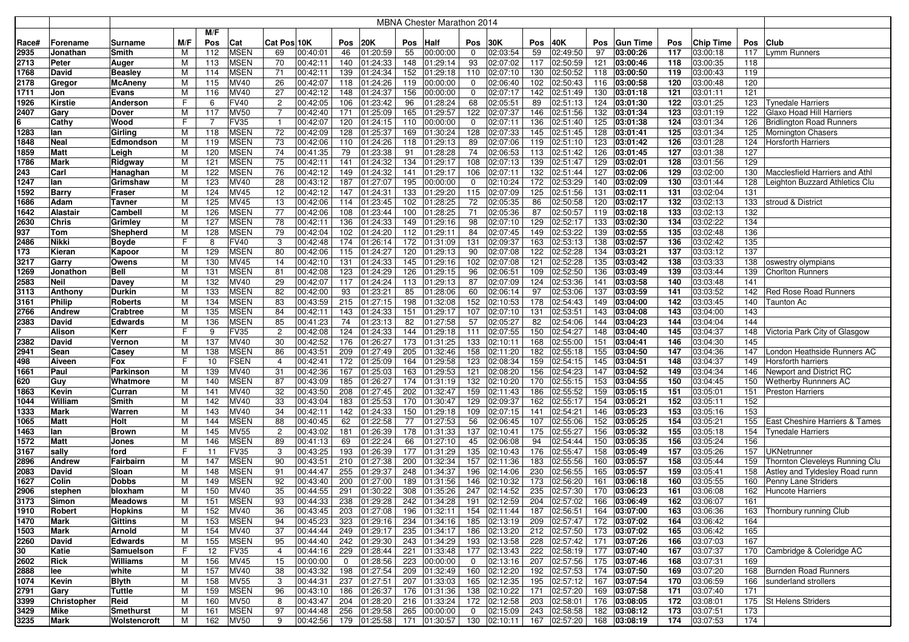|       |                |                |     |     |             |                 |          |                |              |     | <b>MBNA Chester Marathon 2014</b> |                |              |     |                           |            |                 |     |           |     |                                       |
|-------|----------------|----------------|-----|-----|-------------|-----------------|----------|----------------|--------------|-----|-----------------------------------|----------------|--------------|-----|---------------------------|------------|-----------------|-----|-----------|-----|---------------------------------------|
|       |                |                |     | M/F |             |                 |          |                |              |     |                                   |                |              |     |                           |            |                 |     |           |     |                                       |
| Race# | Forename       | Surname        | M/F | Pos | Cat         | Cat Pos 10K     |          | Pos            | <b>20K</b>   | Pos | Half                              | Pos            | 30K          | Pos | 40K                       | <b>Pos</b> | <b>Gun Time</b> | Pos | Chip Time | Pos | <b>Club</b>                           |
| 2935  | Jonathan       | Smith          | м   | 112 | <b>MSEN</b> | 69              | 00:40:01 | 46             | 01:20:59     | 55  | 00:00:00                          | 0              | 02:03:54     | 59  | 02:49:50                  | 97         | 03:00:26        | 117 | 03:00:18  | 117 | Lymm Runners                          |
| 2713  | Peter          | Auger          | М   | 113 | <b>MSEN</b> | 70              | 00:42:11 | 140            | 01:24:33     | 148 | 01:29:14                          | 93             | 02:07:02     | 117 | 02:50:59                  | 121        | 03:00:46        | 118 | 03:00:35  | 118 |                                       |
| 1768  | David          | Beasley        | M   | 114 | <b>MSEN</b> | 71              | 00:42:11 | 139            | 01:24:34     | 152 | 01:29:18                          | 110            | 02:07:10     | 130 | 02:50:52                  | 118        | 03:00:50        | 119 | 03:00:43  | 119 |                                       |
| 2178  | Gregor         | McAneny        | м   | 115 | MV40        | 26              | 00:42:07 | 118            | 01:24:26     | 119 | 00:00:00                          | 0              | 02:06:40     | 102 | 02:50:43                  | 116        | 03:00:58        | 120 | 03:00:48  | 120 |                                       |
| 1711  | Jon            | Evans          | M   | 116 | <b>MV40</b> | 27              | 00:42:12 | 148            | 01:24:37     | 156 | 00:00:00                          | 0              | 02:07:17     | 142 | 02:51:49                  | 130        | 03:01:18        | 121 | 03:01:11  | 121 |                                       |
| 1926  | <b>Kirstie</b> | Anderson       | F.  | 6   | <b>FV40</b> | $\overline{c}$  | 00:42:05 | 106            | 01:23:42     | 96  | 01:28:24                          | 68             | 02:05:51     | 89  | 02:51:13                  | 124        | 03:01:30        | 122 | 03:01:25  | 123 | <b>Tynedale Harriers</b>              |
| 2407  | Gary           | Dover          | м   | 117 | <b>MV50</b> | $\overline{7}$  | 00:42:40 | 171            | 01:25:09     | 165 | 01:29:57                          | 122            | 02:07:37     | 146 | 02:51:56                  | 132        | 03:01:34        | 123 | 03:01:19  | 122 | Glaxo Hoad Hill Harriers              |
| 6     | Cathy          | Wood           | F.  |     | <b>FV35</b> | -1              | 00:42:07 | 120            | 01:24:15     | 110 | 00:00:00                          | 0              | 02:07:11     | 136 | 02:51:40                  | 125        | 03:01:38        | 124 | 03:01:34  | 126 | <b>Bridlington Road Runners</b>       |
| 1283  | lan            | Girling        | м   | 118 | <b>MSEN</b> | $\overline{72}$ | 00:42:09 | 128            | 01:25:37     | 169 | 01:30:24                          | 128            | 02:07:33     | 145 | 02:51:45                  | 128        | 03:01:41        | 125 | 03:01:34  | 125 | Mornington Chasers                    |
| 1848  | <b>Neal</b>    | Edmondson      | M   | 119 | <b>MSEN</b> | 73              | 00:42:06 | 110            | 01:24:26     | 118 | 01:29:13                          | 89             | 02:07:06     | 119 | 02:51:10                  | 123        | 03:01:42        | 126 | 03:01:28  | 124 | <b>Horsforth Harriers</b>             |
| 1859  | Matt           | Leigh          | M   | 120 | <b>MSEN</b> | 74              | 00:41:35 | 79             | 01:23:38     | 91  | 01:28:28                          | 74             | 02:06:53     | 113 | 02:51:42                  | 126        | 03:01:45        | 127 | 03:01:38  | 127 |                                       |
| 1786  | Mark           | Ridgway        | M   | 121 | <b>MSEN</b> | 75              | 00:42:11 | 141            | 01:24:32     | 134 | 01:29:17                          | 108            | 02:07:13     | 139 | 02:51:47                  | 129        | 03:02:01        | 128 | 03:01:56  | 129 |                                       |
| 243   | Carl           | Hanaghan       | M   | 122 | <b>MSEN</b> | 76              | 00:42:12 | 149            | 01:24:32     | 141 | 01:29:17                          | 106            | 02:07:11     | 132 | 02:51:44                  | 127        | 03:02:06        | 129 | 03:02:00  | 130 | <b>Macclesfield Harriers and Athl</b> |
| 1247  | lan            | Grimshaw       | М   | 123 | MV40        | 28              | 00:43:12 | 187            | 01:27:07     | 195 | 00:00:00                          | 0              | 02:10:24     | 172 | 02:53:29                  | 140        | 03:02:09        | 130 | 03:01:44  | 128 | Leighton Buzzard Athletics Clu        |
| 1592  | Barry          | Fraser         | M   | 124 | MV45        | 12              | 00:42:12 | 147            | 01:24:31     | 133 | 01:29:20                          | 115            | 02:07:09     | 125 | 02:51:56                  | 131        | 03:02:11        | 131 | 03:02:04  | 131 |                                       |
| 1686  | Adam           | Tavner         | М   | 125 | <b>MV45</b> | 13              | 00:42:06 | 114            | 01:23:45     | 102 | 01:28:25                          | 72             | 02:05:35     | 86  | 02:50:58                  | 120        | 03:02:17        | 132 | 03:02:13  | 133 | stroud & District                     |
| 1642  | Alastair       | Cambel         | М   | 126 | <b>MSEN</b> | 77              | 00:42:06 | 108            | 01:23:44     | 100 | 01:28:25                          | 71             | 02:05:36     | 87  | 02:50:57                  | 119        | 03:02:18        | 133 | 03:02:13  | 132 |                                       |
| 2630  | Chris          | Grimley        | М   | 127 | <b>MSEN</b> | 78              | 00:42:11 | 136            | 01:24:33     | 149 | 01:29:16                          | 98             | 02:07:10     | 129 | 02:52:17                  | 133        | 03:02:30        | 134 | 03:02:22  | 134 |                                       |
| 937   | Tom            | Shepherd       | м   | 128 | <b>MSEN</b> | 79              | 00:42:04 | 102            | 01:24:20     | 112 | 01:29:11                          | 84             | 02:07:45     | 149 | 02:53:22                  | 139        | 03:02:55        | 135 | 03:02:48  | 136 |                                       |
| 2486  | Nikki          | Boyde          | F   |     | <b>FV40</b> | 3               | 00:42:48 | 174            | 01:26:14     | 172 | 01:31:09                          | 131            | 02:09:37     | 163 | 02:53:13                  | 138        | 03:02:57        | 136 | 03:02:42  | 135 |                                       |
| 173   | Kieran         | Kapoor         | м   | 129 | <b>MSEN</b> | 80              | 00:42:06 | 115            | 01:24:27     | 120 | 01:29:13                          | 90             | 02:07:08     | 122 | 02:52:28                  | 134        | 03:03:21        | 137 | 03:03:12  | 137 |                                       |
| 3217  | Garry          | Owens          | М   | 130 | MV45        | 14              | 00:42:10 | 131            | 01:24:33     | 145 | 01:29:16                          | 102            | 02:07:08     | 121 | 02:52:28                  | 135        | 03:03:42        | 138 | 03:03:33  | 138 | oswestry olympians                    |
| 1269  | Jonathon       | Bell           | M   | 131 | <b>MSEN</b> | 81              | 00:42:08 | 123            | 01:24:29     | 126 | 01:29:15                          | 96             | 02:06:51     | 109 | 02:52:50                  | 136        | 03:03:49        | 139 | 03:03:44  | 139 | <b>Chorlton Runners</b>               |
| 2583  | Neil           | Davey          | M   | 132 | MV40        | 29              | 00:42:07 | 117            | 01:24:24     | 113 | 01:29:13                          | 87             | 02:07:09     | 124 | 02:53:36                  | 141        | 03:03:58        | 140 | 03:03:48  | 141 |                                       |
| 3113  | Anthony        | Durkin         | М   | 133 | <b>MSEN</b> | 82              | 00:42:00 | 93             | 01:23:21     | 85  | 01:28:06                          | 60             | 02:06:14     | 97  | 02:53:06                  | 137        | 03:03:59        | 141 | 03:03:52  | 142 | Red Rose Road Runners                 |
| 3161  | <b>Philip</b>  | Roberts        | M   | 134 | <b>MSEN</b> | 83              | 00:43:59 | 215            | 01:27:15     | 198 | 01:32:08                          | 152            | 02:10:53     | 178 | 02:54:43                  | 149        | 03:04:00        | 142 | 03:03:45  | 140 | Taunton Ac                            |
| 2766  | Andrew         | Crabtree       | м   | 135 | <b>MSEN</b> | 84              | 00:42:11 | 143            | 01:24:33     | 151 | 01:29:17                          | 107            | 02:07:10     | 131 | 02:53:51                  | 143        | 03:04:08        | 143 | 03:04:00  | 143 |                                       |
| 2383  | David          | <b>Edwards</b> | M   | 136 | <b>MSEN</b> | 85              | 00:41:23 | 74             | 01:23:13     | 82  | 01:27:58                          | 57             | 02:05:27     | 82  | 02:54:06                  | 144        | 03:04:23        | 144 | 03:04:04  | 144 |                                       |
|       | <b>Alison</b>  | Kerr           | F.  | 9   | <b>FV35</b> | $\overline{2}$  | 00:42:08 | 124            | 01:24:33     | 144 | 01:29:18                          | 111            | 02:07:55     | 150 | 02:54:27                  | 148        | 03:04:40        | 145 | 03:04:37  | 148 | Victoria Park City of Glasgow         |
| 2382  | David          | Vernon         | M   | 137 | MV40        | 30              | 00:42:52 | 176            | 01:26:27     | 173 | 01:31:25                          | 133            | 02:10:11     | 168 | 02:55:00                  | 151        | 03:04:41        | 146 | 03:04:30  | 145 |                                       |
| 2941  | Sean           | Casey          | м   | 138 | <b>MSEN</b> | 86              | 00:43:51 | 209            | 01:27:49     | 205 | 01:32:46                          | 158            | 02:11:20     | 182 | 02:55:18                  | 155        | 03:04:50        | 147 | 03:04:36  | 147 | London Heathside Runners AC           |
| 498   | Aiveen         | Fox            | F.  | 10  | <b>FSEN</b> | $\overline{4}$  | 00:42:41 | 172            | 01:25:09     | 164 | 01:29:58                          | 123            | 02:08:34     | 159 | 02:54:15                  | 145        | 03:04:51        | 148 | 03:04:37  | 149 | Horsforth harriers                    |
| 1661  | Paul           | Parkinson      | м   | 139 | MV40        | 31              | 00:42:36 | 167            | 01:25:03     | 163 | 01:29:53                          | 121            | 02:08:20     | 156 | 02:54:23                  | 147        | 03:04:52        | 149 | 03:04:34  | 146 | Newport and District RC               |
| 620   | Guy            | Whatmore       | М   | 140 | <b>MSEN</b> | 87              | 00:43:09 | 185            | 01:26:27     | 174 | 01:31:19                          | 132            | 02:10:20     | 170 | 02:55:15                  | 153        | 03:04:55        | 150 | 03:04:45  | 150 | Wetherby Runnners AC                  |
| 1863  | Kevin          | Curran         | М   | 141 | MV40        | 32              | 00:43:50 | 208            | 01:27:45     | 202 | 01:32:47                          | 159            | 02:11:43     | 186 | 02:55:52                  | 159        | 03:05:15        | 151 | 03:05:01  | 151 | <b>Preston Harriers</b>               |
| 1044  | William        | Smith          | M   | 142 | MV40        | 33              | 00:43:04 | 183            | 01:25:53     | 170 | 01:30:47                          | 129            | 02:09:37     | 162 | 02:55:17                  | 154        | 03:05:21        | 152 | 03:05:11  | 152 |                                       |
| 1333  | Mark           | Warren         | M   | 143 | MV40        | 34              | 00:42:11 | 142            | 01:24:33     | 150 | 01:29:18                          | 109            | 02:07:15     | 141 | 02:54:21                  | 146        | 03:05:23        | 153 | 03:05:16  | 153 |                                       |
| 1065  | <b>Matt</b>    | Holt           | M   | 144 | <b>MSEN</b> | 88              | 00:40:45 | 62             | 01:22:58     | 77  | 01:27:53                          | 56             | 02:06:45     | 107 | 02:55:06                  | 152        | 03:05:25        | 154 | 03:05:21  | 155 | East Cheshire Harriers & Tames        |
| 1463  | lan            | Brown          | M   | 145 | <b>MV55</b> | $\overline{2}$  | 00:43:02 | 181            | 01:26:39     | 178 | 01:31:33                          | 137            | 02:10:41     | 175 | 02:55:27                  | 156        | 03:05:32        | 155 | 03:05:18  | 154 | Tynedale Harriers                     |
| 1572  | <b>Matt</b>    | Jones          | м   | 146 | <b>MSEN</b> | 89              | 00:41:13 | 69             | 01:22:24     | 66  | 01:27:10                          | 45             | 02:06:08     | 94  | 02:54:44                  | 150        | 03:05:35        | 156 | 03:05:24  | 156 |                                       |
| 3167  | sally          | ford           | F   | 11  | <b>FV35</b> | 3               | 00:43:25 | 193            | 01:26:39     | 177 | 01:31:29                          | 135            | 02:10:43     | 176 | 02:55:47                  | 158        | 03:05:49        | 157 | 03:05:26  | 157 | UKNetrunner                           |
| 2896  | <b>Andrew</b>  | Fairbairn      | М   | 147 | <b>MSEN</b> | 90              | 00:43:51 | 210            | 01:27:38     | 200 | 01:32:34                          | 157            | 02:11:36     | 183 | 02:55:56                  | 160        | 03:05:57        | 158 | 03:05:44  | 159 | Thornton Cleveleys Running Clu        |
| 2083  | David          | Sloan          | м   | 148 | <b>MSEN</b> | 91              | 00:44:47 | 255            | 01:29:37     | 248 | 01:34:37                          | 196            | 02:14:06     | 230 | 02:56:55                  | 165        | 03:05:57        | 159 | 03:05:41  | 158 | Astley and Tyldesley Road runn        |
| 1627  | Colin          | Dobbs          | М   | 149 | <b>MSEN</b> | 92              | 00:43:40 | 200            | 01:27:00     | 189 | 01:31:56                          | 146            | 02:10:32     | 173 | 02:56:20                  | 161        | 03:06:18        | 160 | 03:05:55  | 160 | <b>Penny Lane Striders</b>            |
| 2906  | stephen        | bloxham        | м   | 150 | MV40        | 35              | 00:44:55 | 291            | 01:30:22     | 308 | 01:35:26                          | 247            | 02:14:52     | 235 | 02:57:30                  | 170        | 03:06:23        | 161 | 03:06:08  | 162 | <b>Huncote Harriers</b>               |
| 3173  | Simon          | Meadows        | м   | 151 | MSEN        | 93              | 00:44:33 |                | 238 01:29:28 |     | 242 01:34:28                      |                | 191 02:12:59 |     | 204 02:57:02              |            | 166 03:06:49    | 162 | 03:06:07  | 161 |                                       |
| 1910  | Robert         | Hopkins        | M   | 152 | <b>MV40</b> | 36              | 00:43:45 |                | 203 01:27:08 |     | 196 01:32:11                      |                | 154 02:11:44 |     | 187 02:56:51              |            | 164 03:07:00    | 163 | 03:06:36  |     | 163 Thornbury running Club            |
| 1470  | Mark           | Gittins        | м   | 153 | <b>MSEN</b> | 94              | 00:45:23 | 323            | 01:29:16     |     | 234 01:34:16                      |                | 185 02:13:19 |     | 209 02:57:47              |            | 172 03:07:02    | 164 | 03:06:42  | 164 |                                       |
| 1503  | Mark           | Arnold         | м   | 154 | <b>MV40</b> | 37              | 00:44:44 | 249            | 01:29:17     |     | 235 01:34:17                      |                | 186 02:13:20 |     | 212 02:57:50              |            | 173 03:07:02    | 165 | 03:06:42  | 165 |                                       |
| 2260  | David          | Edwards        | м   | 155 | <b>MSEN</b> | 95              | 00:44:40 | 242            | 01:29:30     |     | 243 01:34:29                      |                | 193 02:13:58 |     | 228 02:57:42              |            | 171 03:07:26    | 166 | 03:07:03  | 167 |                                       |
| 30    | Katie          | Samuelson      | F   | 12  | <b>FV35</b> | $\overline{4}$  | 00:44:16 | 229            | 01:28:44     | 221 | 01:33:48                          |                | 177 02:13:43 |     | 222 02:58:19              |            | 177 03:07:40    | 167 | 03:07:37  |     | 170 Cambridge & Coleridge AC          |
| 2602  | <b>Rick</b>    | Williams       | М   | 156 | <b>MV45</b> | 15              | 00:00:00 | $\overline{0}$ | 01:28:56     |     | 223 00:00:00                      | $\overline{0}$ | 02:13:16     |     | 207 02:57:56              |            | 175 03:07:46    | 168 | 03:07:31  | 169 |                                       |
| 2888  | lee            | white          | М   | 157 | <b>MV40</b> | 38              | 00:43:32 | 198            | 01:27:54     |     | 209 01:32:49                      |                | 160 02:12:20 |     | 192 02:57:53              |            | 174 03:07:50    | 169 | 03:07:20  | 168 | Burnden Road Runners                  |
| 1074  | Kevin          | <b>Blyth</b>   | M   | 158 | <b>MV55</b> | 3               | 00:44:31 | 237            | 01:27:51     | 207 | 01:33:03                          |                | 165 02:12:35 |     | 195 02:57:12              |            | 167 03:07:54    | 170 | 03:06:59  | 166 | sunderland strollers                  |
| 2791  | Gary           | <b>Tuttle</b>  | м   | 159 | <b>MSEN</b> | 96              | 00:43:10 | 186            | 01:26:37     | 176 | 01:31:36                          | 138            | 02:10:22     | 171 | 02:57:20                  |            | 169 03:07:58    | 171 | 03:07:40  | 171 |                                       |
| 3399  | Christopher    | Reid           | м   | 160 | <b>MV50</b> | 8               | 00:43:47 | 204            | 01:28:20     | 216 | 01:33:24                          |                | 172 02:12:58 | 203 | 02:58:01                  |            | 176 03:08:05    | 172 | 03:08:01  |     | 175 St Helens Striders                |
| 3429  | Mike           | Smethurst      | м   | 161 | <b>MSEN</b> | 97              | 00:44:48 | 256            | 01:29:58     | 265 | 00:00:00                          | $\overline{0}$ | 02:15:09     |     | 243 02:58:58              |            | 182 03:08:12    | 173 | 03:07:51  | 173 |                                       |
| 3235  | <b>Mark</b>    | Wolstencroft   | M   | 162 | <b>MV50</b> | 9               | 00:42:56 | 179            | 01:25:58     |     | 171 01:30:57                      |                | 130 02:10:11 |     | 167 02:57:20 168 03:08:19 |            |                 | 174 | 03:07:53  | 174 |                                       |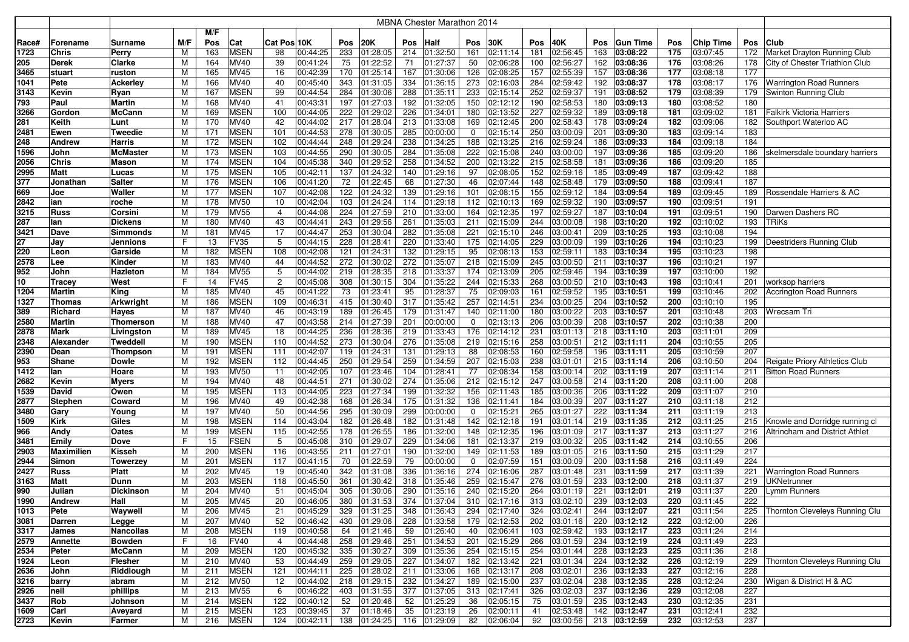|              |                   |                     |        |            |                            |                |                      |     |                           |     | <b>MBNA Chester Marathon 2014</b> |     |                              |     |                                                                                                               |            |                              |            |                      |            |                                    |
|--------------|-------------------|---------------------|--------|------------|----------------------------|----------------|----------------------|-----|---------------------------|-----|-----------------------------------|-----|------------------------------|-----|---------------------------------------------------------------------------------------------------------------|------------|------------------------------|------------|----------------------|------------|------------------------------------|
|              |                   |                     |        | M/F        |                            |                |                      |     |                           |     |                                   |     |                              |     |                                                                                                               |            |                              |            |                      |            |                                    |
| Race#        | Forename          | Surname             | M/F    | Pos        | Cat                        | Cat Pos 10K    |                      | Pos | <b>20K</b>                | Pos | Half                              | Pos | 30K                          | Pos | 40K                                                                                                           | <b>Pos</b> | <b>Gun Time</b>              | Pos        | Chip Time            | Pos        | <b>Club</b>                        |
| 1723         | <b>Chris</b>      | Perry               | м      | 163        | <b>MSEN</b>                | 98             | 00:44:25             | 233 | 01:28:05                  | 214 | 01:32:50                          | 161 | 02:11:14                     | 181 | 02:56:45                                                                                                      | 163        | 03:08:22                     | 175        | 03:07:45             | 172        | Market Drayton Running Club        |
| 205          | <b>Derek</b>      | Clarke              | М      | 164        | MV40                       | 39             | 00:41:24             | 75  | 01:22:52                  | 71  | 01:27:37                          | 50  | 02:06:28                     | 100 | 02:56:27                                                                                                      | 162        | 03:08:36                     | 176        | 03:08:26             | 178        | City of Chester Triathlon Club     |
| 3465         | stuart            | ruston              | М      | 165        | <b>MV45</b>                | 16             | 00:42:39             | 170 | 01:25:14                  | 167 | 01:30:06                          | 126 | 02:08:25                     | 157 | 02:55:39                                                                                                      | 157        | 03:08:36                     | 177        | 03:08:18             | 177        |                                    |
| 1041         | Pete              | Ackerley            | м      | 166        | MV40                       | 40             | 00:45:40             | 343 | 01:31:05                  | 334 | 01:36:15                          | 273 | 02:16:03                     | 284 | 02:59:42                                                                                                      |            | 192 03:08:37                 | 178        | 03:08:17             | 176        | <b>Warrington Road Runners</b>     |
| 3143         | Kevin             | Ryan                | М      | 167        | <b>MSEN</b>                | 99             | 00:44:54             | 284 | 01:30:06                  | 288 | 01:35:11                          | 233 | 02:15:14                     | 252 | 02:59:37                                                                                                      | 191        | 03:08:52                     | 179        | 03:08:39             | 179        | Swinton Running Club               |
| 793          | Paul              | Martin              | М      | 168        | MV40                       | 41             | 00:43:31             | 197 | 01:27:03                  | 192 | 01:32:05                          | 150 | 02:12:12                     | 190 | 02:58:53                                                                                                      | 180        | 03:09:13                     | 180        | 03:08:52             | 180        |                                    |
| 3266         | Gordon            | McCann              | М      | 169        | <b>MSEN</b>                | 100            | 00:44:05             | 222 | 01:29:02                  | 226 | 01:34:01                          | 180 | 02:13:52                     | 227 | 02:59:32                                                                                                      | 189        | 03:09:18                     | 181        | 03:09:02             | 181        | <b>Falkirk Victoria Harriers</b>   |
| 281          | Keith             | Lunt                | м      | 170        | MV40                       | 42             | 00:44:02             | 217 | 01:28:04                  | 213 | 01:33:08                          | 169 | 02:12:45                     | 200 | 02:58:43                                                                                                      | 178        | 03:09:24                     | 182        | 03:09:06             | 182        | Southport Waterloo AC              |
| 2481         | Ewen              | Tweedie             | М      | 171        | <b>MSEN</b>                | 101            | 00:44:53             | 278 | 01:30:05                  | 285 | 00:00:00                          | 0   | 02:15:14                     | 250 | 03:00:09                                                                                                      | 201        | 03:09:30                     | 183        | 03:09:14             | 183        |                                    |
| 248          | Andrew            | Harris              | М      | 172        | <b>MSEN</b>                | 102            | 00:44:44             | 248 | 01:29:24                  | 238 | 01:34:25                          | 188 | 02:13:25                     | 216 | 02:59:24                                                                                                      | 186        | 03:09:33                     | 184        | 03:09:18             | 184        |                                    |
| 1596         | John              | McMaster            | M      | 173        | <b>MSEN</b>                | 103            | 00:44:55             | 290 | 01:30:05                  | 284 | 01:35:08                          | 222 | 02:15:08                     | 240 | 03:00:00                                                                                                      | 197        | 03:09:36                     | 185        | 03:09:20             | 186        | skelmersdale boundary harriers     |
| 2056         | Chris             | Mason               | M      | 174        | <b>MSEN</b>                | 104            | 00:45:38             | 340 | 01:29:52                  | 258 | 01:34:52                          | 200 | 02:13:22                     | 215 | 02:58:58                                                                                                      | 181        | 03:09:36                     | 186        | 03:09:20             | 185        |                                    |
| 2995         | Matt              | Lucas               | М      | 175        | <b>MSEN</b>                | 105            | 00:42:11             | 137 | 01:24:32                  | 140 | 01:29:16                          | 97  | 02:08:05                     | 152 | 02:59:16                                                                                                      | 185        | 03:09:49                     | 187        | 03:09:42             | 188        |                                    |
| 377          | Jonathan          | Salter              | М      | 176        | <b>MSEN</b>                | 106            | 00:41:20             | 72  | 01:22:45                  | 68  | 01:27:30                          | 46  | 02:07:44                     | 148 | 02:58:48                                                                                                      | 179        | 03:09:50                     | 188        | 03:09:41             | 187        |                                    |
| 669          | Joe               | Waller              | М      | 177        | <b>MSEN</b>                | 107            | 00:42:08             | 122 | 01:24:32                  | 139 | 01:29:16                          | 101 | 02:08:15                     | 155 | 02:59:12                                                                                                      | 184        | 03:09:54                     | 189        | 03:09:45             | 189        | Rossendale Harriers & AC           |
| 2842         | ian               | roche               | М      | 178        | <b>MV50</b>                | 10             | 00:42:04             | 103 | 01:24:24                  | 114 | 01:29:18                          | 112 | 02:10:13                     | 169 | 02:59:32                                                                                                      | 190        | 03:09:57                     | 190        | 03:09:51             | 191        |                                    |
| 3215         | <b>Russ</b>       | Corsini             | М      | 179        | <b>MV55</b>                | $\overline{4}$ | 00:44:08             | 224 | 01:27:59                  | 210 | 01:33:00                          | 164 | 02:12:35                     | 197 | 02:59:27                                                                                                      | 187        | 03:10:04                     | 191        | 03:09:51             | 190        | Darwen Dashers RC                  |
| 287          | lan               | Dickens             | м      | 180        | MV40                       | 43             | 00:44:41             | 243 | 01:29:56                  | 261 | 01:35:03                          | 211 | 02:15:09                     | 244 | 03:00:08                                                                                                      | 198        | 03:10:20                     | 192        | 03:10:02             | 193        | TRiKs                              |
| 3421         | Dave              | Simmonds            | м      | 181        | MV45                       | 17             | 00:44:47             | 253 | 01:30:04                  | 282 | 01:35:08                          | 221 | 02:15:10                     | 246 | 03:00:41                                                                                                      | 209        | 03:10:25                     | 193        | 03:10:08             | 194        |                                    |
| 27           | Jav               | Jennions            | F      | 13         | <b>FV35</b>                | 5              | 00:44:15             | 228 | 01:28:41                  | 220 | 01:33:40                          | 175 | 02:14:05                     | 229 | 03:00:09                                                                                                      | 199        | 03:10:26                     | 194        | 03:10:23             | 199        | Deestriders Running Club           |
| 220          | Leon              | Garside             | м      | 182        | <b>MSEN</b>                | 108            | 00:42:08             | 121 | 01:24:31                  | 132 | 01:29:15                          | 95  | 02:08:13                     | 153 | 02:59:11                                                                                                      | 183        | 03:10:34                     | 195        | 03:10:23             | 198        |                                    |
| 2578         | Lee               | Kinder              | М      | 183        | MV40                       | 44             | 00:44:52             | 272 | 01:30:02                  | 272 | 01:35:07                          | 218 | 02:15:09                     | 245 | 03:00:50                                                                                                      | 211        | 03:10:37                     | 196        | 03:10:21             | 197        |                                    |
| 952          | John              | Hazleton            | M      | 184        | <b>MV55</b>                | 5              | 00:44:02             | 219 | 01:28:35                  | 218 | 01:33:37                          | 174 | 02:13:09                     | 205 | 02:59:46                                                                                                      | 194        | 03:10:39                     | 197        | 03:10:00             | 192        |                                    |
| 10           | Tracey            | West                | F      | 14         | <b>FV45</b>                | $\overline{2}$ | 00:45:08             | 308 | 01:30:15                  | 304 | 01:35:22                          | 244 | 02:15:33                     | 268 | 03:00:50                                                                                                      | 210        | 03:10:43                     | 198        | 03:10:41             | 201        | worksop harriers                   |
| 1204         | Martin            | King                | M      | 185        | MV40                       | 45             | 00:41:22             | 73  | 01:23:41                  | 95  | 01:28:37                          | 75  | 02:09:03                     | 161 | 02:59:52                                                                                                      | 195        | 03:10:51                     | 199        | 03:10:46             | 202        | <b>Accrington Road Runners</b>     |
| 1327         | Thomas            | Arkwright           | М      | 186        | <b>MSEN</b>                | 109            | 00:46:31             | 415 | 01:30:40                  | 317 | 01:35:42                          | 257 | 02:14:51                     | 234 | 03:00:25                                                                                                      | 204        | 03:10:52                     | 200        | 03:10:10             | 195        |                                    |
| 389          | Richard           | Hayes               | м      | 187        | MV40                       | 46             | 00:43:19             | 189 | 01:26:45                  | 179 | 01:31:47                          | 140 | 02:11:00                     | 180 | 03:00:22                                                                                                      | 203        | 03:10:57                     | 201        | 03:10:48             | 203        | <b>Wrecsam Tri</b>                 |
| 2580         | Martin            | Thomerson           | M      | 188        | MV40                       | 47             | 00:43:58             | 214 | 01:27:39                  | 201 | 00:00:00                          | 0   | 02:13:13                     | 206 | 03:00:39                                                                                                      | 208        | 03:10:57                     | 202        | 03:10:38             | 200        |                                    |
| 2878         | Mark              | Livingston          | M      | 189        | MV45                       | 18             | 00:44:25             | 236 | 01:28:36                  | 219 | 01:33:43                          | 176 | 02:14:12                     | 231 | 03:01:13                                                                                                      | 218        | 03:11:10                     | 203        | 03:11:01             | 209        |                                    |
| 2348         | Alexander         | Tweddel             | M      | 190        | <b>MSEN</b>                | 110            | 00:44:52             | 273 | 01:30:04                  | 276 | 01:35:08                          | 219 | 02:15:16                     | 258 | 03:00:51                                                                                                      | 212        | 03:11:11                     | 204        | 03:10:55             | 205        |                                    |
| 2390         | Dean              | Thompson            | м      | 191        | <b>MSEN</b>                | 111            | 00:42:07             | 119 | 01:24:31                  | 131 | 01:29:13                          | 88  | 02:08:53                     | 160 | 02:59:58                                                                                                      | 196        | 03:11:11                     | 205        | 03:10:59             | 207        |                                    |
| 953          | Shane             | Dowle               | м      | 192        | <b>MSEN</b>                | 112            | 00:44:45             | 250 | 01:29:54                  | 259 | 01:34:59                          | 207 | 02:15:03                     | 238 | 03:01:01                                                                                                      | 215        | 03:11:14                     | 206        | 03:10:50             | 204        | Reigate Priory Athletics Club      |
| 1412         | lan               | Hoare               | м      | 193        | <b>MV50</b>                | 11             | 00:42:05             | 107 | 01:23:46                  | 104 | 01:28:41                          | 77  | 02:08:34                     | 158 | 03:00:14                                                                                                      | 202        | 03:11:19                     | 207        | 03:11:14             | 211        | <b>Bitton Road Runners</b>         |
| 2682         | Kevin             | Myers               | М      | 194        | MV40                       | 48             | 00:44:51             | 271 | 01:30:02                  | 274 | 01:35:06                          | 212 | 02:15:12                     | 247 | 03:00:58                                                                                                      | 214        | 03:11:20                     | 208        | 03:11:00             | 208        |                                    |
| 1539         | David             | Owen                | М      | 195        | <b>MSEN</b>                | 113            | 00:44:05             | 223 | 01:27:34                  | 199 | 01:32:32                          | 156 | 02:11:43                     | 185 | 03:00:36                                                                                                      | 206        | 03:11:22                     | 209        | 03:11:07             | 210        |                                    |
| 2877         | <b>Stephen</b>    | Coward              | M      | 196        | MV40                       | 49             | 00:42:38             | 168 | 01:26:34                  | 175 | 01:31:32                          | 136 | 02:11:41                     | 184 | 03:00:39                                                                                                      | 207        | 03:11:27                     | 210        | 03:11:18             | 212        |                                    |
| 3480         | Gary              | Young               | M      | 197        | MV40                       | 50             | 00:44:56             | 295 | 01:30:09                  | 299 | 00:00:00                          | 0   | 02:15:21                     | 265 | 03:01:27                                                                                                      | 222        | 03:11:34                     | 211        | 03:11:19             | 213        |                                    |
| 1509         | <b>Kirk</b>       | Giles               | M      | 198        | <b>MSEN</b>                | 114            | 00:43:04             | 182 | 01:26:48                  | 182 | 01:31:48                          | 142 | 02:12:18                     | 191 | 03:01:14                                                                                                      | 219        | 03:11:35                     | 212        | 03:11:25             | 215        | Knowle and Dorridge running cl     |
| 966          | Andy              | Oates               | M      | 199        | <b>MSEN</b>                | 115            | 00:42:55             | 178 | 01:26:55                  | 186 | 01:32:00                          | 148 | 02:12:35                     | 196 | 03:01:09                                                                                                      | 217        | 03:11:37                     | 213        | 03:11:27             | 216        | Altrincham and District Athlet     |
| 3481         | Emily             | Dove                | F.     | 15         | <b>FSEN</b>                | 5              | 00:45:08             | 310 | 01:29:07                  | 229 | 01:34:06                          | 181 | 02:13:37                     | 219 | 03:00:32                                                                                                      | 205        | 03:11:42                     | 214        | 03:10:55             | 206        |                                    |
| 2903         | <b>Maximilien</b> | Kisseh              | M      | 200        | <b>MSEN</b>                | 116            | 00:43:55             | 211 | 01:27:01                  | 190 | 01:32:00                          | 149 | 02:11:53                     | 189 | 03:01:05                                                                                                      | 216        | 03:11:50                     | 215        | 03:11:29             | 217        |                                    |
| 2944         | Simon             | Towerzey            | М      | 201        | <b>MSEN</b>                | 117            | 00:41:15             | 70  | 01:22:59                  | 79  | 00:00:00                          | 0   | 02:07:59                     | 151 | 03:00:09                                                                                                      | 200        | 03:11:58                     | 216        | 03:11:49             | 224        |                                    |
| 2427         | Russ              | Platt               | м      | 202        | MV45                       | 19             | 00:45:40             | 342 | 01:31:08                  | 336 | 01:36:16                          | 274 | 02:16:06                     | 287 | 03:01:48                                                                                                      | 231        | 03:11:59                     | 217        | 03:11:39             | 221        | <b>Warrington Road Runners</b>     |
| 3163         | Matt              | Dunn                | м      | 203        | <b>MSEN</b>                | 118            | 00:45:50             | 361 | 01:30:42                  | 318 | 01:35:46                          | 259 | 02:15:47                     | 276 | 03:01:59                                                                                                      | 233        | 03:12:00                     | 218        | 03:11:37             | 219        | UKNetrunner                        |
| 990          | Julian            | Dickinson           | м      | 204        | MV40                       | 51             | 00:45:04             | 305 | 01:30:06                  | 290 | 01:35:16                          | 240 | 02:15:20                     | 264 | 03:01:19                                                                                                      | 221        | 03:12:01                     | 219        | 03:11:37             | 220        | Lymm Runners                       |
| 1990         | <b>Andrew</b>     | Hall                | M      | 205        | MV45                       | 20             | 00:46:05             | 380 | 01:31:53                  | 374 | 01:37:04                          |     | $310$ 02:17:16               |     | 313 03:02:10                                                                                                  |            | 239 03:12:03                 | 220<br>221 | 03:11:45             | 222        |                                    |
| 1013         | Pete              | Waywell             | М<br>M | 206        | <b>MV45</b>                | 21<br>52       | 00:45:29             | 430 | 329 01:31:25              |     | 348 01:36:43                      |     | 294 02:17:40<br>179 02:12:53 |     | 324 03:02:41<br>202 03:01:16                                                                                  |            | 244 03:12:07                 |            | 03:11:54             |            | 225 Thornton Cleveleys Running Clu |
| 3081<br>3317 | Darren<br>James   | Legge               | M      | 207<br>208 | <b>MV40</b><br><b>MSEN</b> | 119            | 00:46:42<br>00:40:58 | 64  | 01:29:06<br>01:21:46      | 59  | 228 01:33:58<br>01:26:40          | 40  | 02:06:41                     |     | 103 02:59:42                                                                                                  |            | 220 03:12:12<br>193 03:12:17 | 222<br>223 | 03:12:00<br>03:11:24 | 226<br>214 |                                    |
| 2579         | Annette           | Nancollas<br>Bowden | F      | 16         | <b>FV40</b>                | $\overline{4}$ | 00:44:48             | 258 | 01:29:46                  | 251 | 01:34:53                          |     | 201 02:15:29                 |     | 266 03:01:59                                                                                                  |            | 234 03:12:19                 | 224        | 03:11:49             | 223        |                                    |
| 2534         | Peter             | McCann              | M      | 209        | <b>MSEN</b>                | 120            | 00:45:32             | 335 | 01:30:27                  |     | 309 01:35:36                      | 254 | 02:15:15                     |     | 254 03:01:44                                                                                                  |            | 228 03:12:23                 | 225        | 03:11:36             | 218        |                                    |
| 1924         | Leon              | Flesher             | M      | 210        | <b>MV40</b>                | 53             | 00:44:49             | 259 | 01:29:05                  | 227 | 01:34:07                          |     | 182 02:13:42                 |     | 221 03:01:34                                                                                                  |            | 224 03:12:32                 | 226        | 03:12:19             |            | 229 Thornton Cleveleys Running Clu |
| 2636         | John              | Riddiough           | M      | 211        | <b>MSEN</b>                | 121            | 00:44:11             | 225 | 01:28:02                  | 211 | 01:33:06                          |     | 168 02:13:17                 |     | 208 03:02:01                                                                                                  |            | 236 03:12:33                 | 227        | 03:12:16             | 228        |                                    |
| 3216         | barry             | abram               | M      | 212        | <b>MV50</b>                | 12             | 00:44:02             | 218 | 01:29:15                  | 232 | 01:34:27                          | 189 | 02:15:00                     | 237 | 03:02:04                                                                                                      |            | 238 03:12:35                 | 228        | 03:12:24             | 230        | Wigan & District H & AC            |
| 2926         | neil              | phillips            | м      | 213        | <b>MV55</b>                | 6              | 00:46:22             | 403 | 01:31:55                  | 377 | $\boxed{01:37:05}$                | 313 | 02:17:41                     | 326 | 03:02:03                                                                                                      |            | $237$ 03:12:36               | 229        | 03:12:08             | 227        |                                    |
| 3437         | Rob               | Johnson             | м      | 214        | <b>MSEN</b>                | 122            | 00:40:12             | 52  | 01:20:46                  | 52  | 01:25:29                          | 36  | 02:05:15                     | 75  | 03:01:59                                                                                                      |            | 235 03:12:43                 | 230        | 03:12:35             | 231        |                                    |
| 1609         | Carl              | Aveyard             | м      | 215        | <b>MSEN</b>                | 123            | 00:39:45             | 37  | 01:18:46                  | 35  | 01:23:19                          | 26  | 02:00:11                     | 41  | 02:53:48                                                                                                      |            | 142 03:12:47                 | 231        | 03:12:41             | 232        |                                    |
| 2723         | Kevin             | Farmer              | M      | 216        | <b>MSEN</b>                | 124            | 00:42:11             |     | 138 01:24:25 116 01:29:09 |     |                                   | 82  | 02:06:04                     | 92  | $\begin{array}{ c c c c c c c c c } \hline \text{03:00:56} & \text{213} & \text{03:12:59} \hline \end{array}$ |            |                              | 232        | 03:12:53             | 237        |                                    |
|              |                   |                     |        |            |                            |                |                      |     |                           |     |                                   |     |                              |     |                                                                                                               |            |                              |            |                      |            |                                    |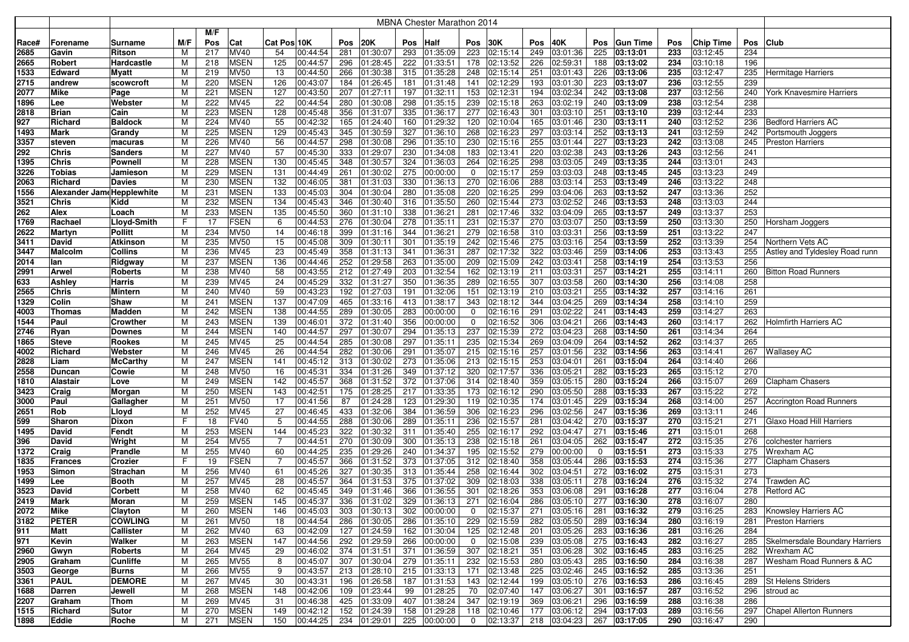|       |                            |                  |     |     |             |                |          |     |          |     | <b>MBNA Chester Marathon 2014</b> |                |              |     |                           |             |                   |     |           |     |                                      |
|-------|----------------------------|------------------|-----|-----|-------------|----------------|----------|-----|----------|-----|-----------------------------------|----------------|--------------|-----|---------------------------|-------------|-------------------|-----|-----------|-----|--------------------------------------|
|       |                            |                  |     | M/F |             |                |          |     |          |     |                                   |                |              |     |                           |             |                   |     |           |     |                                      |
| Race# | Forename                   | Surname          | M/F | Pos | Cat         | Cat Pos 10K    |          | Pos | 20K      | Pos | <b>Half</b>                       | Pos            | 30K          | Pos | 40K                       | <b>Pos</b>  | <b>Gun Time</b>   | Pos | Chip Time | Pos | <b>Club</b>                          |
| 2685  | Gavin                      | Ritson           | м   | 217 | MV40        | 54             | 00:44:54 | 281 | 01:30:07 | 293 | 01:35:09                          | 223            | 02:15:14     | 249 | 03:01:36                  | 225         | 03:13:01          | 233 | 03:12:45  | 234 |                                      |
| 2665  | Robert                     | Hardcastle       | M   | 218 | <b>MSEN</b> | 125            | 00:44:57 | 296 | 01:28:45 | 222 | 01:33:51                          | 178            | 02:13:52     | 226 | 02:59:31                  | 188         | 03:13:02          | 234 | 03:10:18  | 196 |                                      |
| 1533  | Edward                     | <b>Myatt</b>     | M   | 219 | <b>MV50</b> | 13             | 00:44:50 | 266 | 01:30:38 | 315 | 01:35:28                          | 248            | 02:15:14     | 251 | 03:01:43                  | 226         | 03:13:06          | 235 | 03:12:47  | 235 | Hermitage Harriers                   |
| 2715  | andrew                     | scowcroft        | М   | 220 | <b>MSEN</b> | 126            | 00:43:07 | 184 | 01:26:45 | 181 | 01:31:48                          | 141            | 02:12:29     | 193 | 03:01:30                  | 223         | 03:13:07          | 236 | 03:12:55  | 239 |                                      |
| 2077  | <b>Mike</b>                | Page             | M   | 221 | <b>MSEN</b> | 127            | 00:43:50 | 207 | 01:27:11 | 197 | 01:32:11                          | 153            | 02:12:31     | 194 | 03:02:34                  | 242         | 03:13:08          | 237 | 03:12:56  | 240 | York Knavesmire Harriers             |
| 1896  | Lee                        | Webster          | м   | 222 | <b>MV45</b> | 22             | 00:44:54 | 280 | 01:30:08 | 298 | 01:35:15                          | 239            | 02:15:18     | 263 | 03:02:19                  | 240         | 03:13:09          | 238 | 03:12:54  | 238 |                                      |
| 2818  | <b>Brian</b>               | Cain             | М   | 223 | <b>MSEN</b> | 128            | 00:45:48 | 356 | 01:31:07 | 335 | 01:36:17                          | 277            | 02:16:43     | 301 | 03:03:10                  | 251         | 03:13:10          | 239 | 03:12:44  | 233 |                                      |
| 927   | Richard                    | <b>Baldock</b>   | М   | 224 | MV40        | 55             | 00:42:32 | 165 | 01:24:40 | 160 | 01:29:32                          | 120            | 02:10:04     | 165 | 03:01:46                  | 230         | 03:13:11          | 240 | 03:12:52  | 236 | <b>Bedford Harriers AC</b>           |
| 1493  | <b>Mark</b>                | Grandy           | М   | 225 | <b>MSEN</b> | 129            | 00:45:43 | 345 | 01:30:59 | 327 | 01:36:10                          | 268            | 02:16:23     | 297 | 03:03:14                  | 252         | 03:13:13          | 241 | 03:12:59  | 242 | Portsmouth Joggers                   |
| 3357  | steven                     | macuras          | M   | 226 | MV40        | 56             | 00:44:57 | 298 | 01:30:08 | 296 | 01:35:10                          | 230            | 02:15:16     | 255 | 03:01:44                  | 227         | $\sqrt{03:13:23}$ | 242 | 03:13:08  | 245 | <b>Preston Harriers</b>              |
| 292   | <b>Chris</b>               | <b>Sanders</b>   | M   | 227 | <b>MV40</b> | 57             | 00:45:30 | 333 | 01:29:07 | 230 | 01:34:08                          | 183            | 02:13:41     | 220 | 03:02:38                  | 243         | 03:13:26          | 243 | 03:12:56  | 241 |                                      |
| 1395  | <b>Chris</b>               | Pownell          | M   | 228 | <b>MSEN</b> | 130            | 00:45:45 | 348 | 01:30:57 | 324 | 01:36:03                          | 264            | 02:16:25     | 298 | 03:03:05                  | 249         | 03:13:35          | 244 | 03:13:01  | 243 |                                      |
| 3226  | Tobias                     | Jamieson         | M   | 229 | <b>MSEN</b> | 131            | 00:44:49 | 261 | 01:30:02 | 275 | 00:00:00                          | 0              | 02:15:17     | 259 | 03:03:03                  |             | 248 03:13:45      | 245 | 03:13:23  | 249 |                                      |
| 2063  | Richard                    | <b>Davies</b>    | М   | 230 | <b>MSEN</b> | 132            | 00:46:05 | 381 | 01:31:03 | 330 | 01:36:13                          | 270            | 02:16:06     | 288 | 03:03:14                  | 253         | 03:13:49          | 246 | 03:13:22  | 248 |                                      |
| 1556  | Alexander Jame Hepplewhite |                  | М   | 231 | <b>MSEN</b> | 133            | 00:45:03 | 304 | 01:30:04 | 280 | 01:35:08                          | 220            | 02:16:25     | 299 | 03:04:06                  | 263         | 03:13:52          | 247 | 03:13:36  | 252 |                                      |
| 3521  | <b>Chris</b>               | Kidd             | M   | 232 | <b>MSEN</b> | 134            | 00:45:43 | 346 | 01:30:40 | 316 | 01:35:50                          | 260            | 02:15:44     | 273 | 03:02:52                  | 246         | 03:13:53          | 248 | 03:13:03  | 244 |                                      |
| 262   | Alex                       | Loach            | M   | 233 | <b>MSEN</b> | 135            | 00:45:50 | 360 | 01:31:10 | 338 | 01:36:21                          | 281            | 02:17:46     | 332 | 03:04:09                  | 265         | 03:13:57          | 249 | 03:13:37  | 253 |                                      |
| 1769  | Rachael                    | Lloyd-Smith      | F   | 17  | <b>FSEN</b> | 6              | 00:44:53 | 276 | 01:30:04 | 278 | 01:35:11                          | 231            | 02:15:37     | 270 | 03:03:07                  | 250         | 03:13:59          | 250 | 03:13:30  | 250 | Horsham Joggers                      |
| 2622  | Martyn                     | Pollitt          | м   | 234 | <b>MV50</b> | 14             | 00:46:18 | 399 | 01:31:16 | 344 | 01:36:21                          | 279            | 02:16:58     | 310 | 03:03:31                  | 256         | 03:13:59          | 251 | 03:13:22  | 247 |                                      |
| 3411  | David                      | Atkinson         | М   | 235 | <b>MV50</b> | 15             | 00:45:08 | 309 | 01:30:11 | 301 | 01:35:19                          | 242            | 02:15:46     | 275 | 03:03:16                  | 254         | 03:13:59          | 252 | 03:13:39  | 254 | Northern Vets AC                     |
| 3447  | <b>Malcolm</b>             | <b>Collins</b>   | М   | 236 | <b>MV45</b> | 23             | 00:45:49 | 358 | 01:31:13 | 341 | 01:36:31                          | 287            | 02:17:32     | 322 | 03:03:46                  | 259         | 03:14:06          | 253 | 03:13:43  | 255 | Astley and Tyldesley Road runn       |
| 2014  | lan                        | Ridgway          | М   | 237 | <b>MSEN</b> | 136            | 00:44:46 | 252 | 01:29:58 | 263 | 01:35:00                          | 209            | 02:15:09     | 242 | 03:03:41                  | 258         | 03:14:19          | 254 | 03:13:53  | 256 |                                      |
| 2991  | <b>Arwel</b>               | <b>Roberts</b>   | M   | 238 | MV40        | 58             | 00:43:55 | 212 | 01:27:49 | 203 | 01:32:54                          | 162            | 02:13:19     | 211 | 03:03:31                  | 257         | 03:14:21          | 255 | 03:14:11  | 260 | <b>Bitton Road Runners</b>           |
| 633   | Ashley                     | Harris           | M   | 239 | <b>MV45</b> | 24             | 00:45:29 | 332 | 01:31:27 | 350 | 01:36:35                          | 289            | 02:16:55     | 307 | 03:03:58                  | 260         | 03:14:30          | 256 | 03:14:08  | 258 |                                      |
| 2565  | <b>Chris</b>               | Mintern          | M   | 240 | <b>MV40</b> | 59             | 00:43:23 | 192 | 01:27:03 | 191 | 01:32:06                          | 151            | 02:13:19     | 210 | 03:03:21                  | 255         | 03:14:32          | 257 | 03:14:16  | 261 |                                      |
| 1329  | Colin                      | Shaw             | М   | 241 | <b>MSEN</b> | 137            | 00:47:09 | 465 | 01:33:16 | 413 | 01:38:17                          | 343            | 02:18:12     | 344 | 03:04:25                  | 269         | 03:14:34          | 258 | 03:14:10  | 259 |                                      |
| 4003  | Thomas                     | Madden           | M   | 242 | <b>MSEN</b> | 138            | 00:44:55 | 289 | 01:30:05 | 283 | 00:00:00                          | 0              | 02:16:16     | 291 | 03:02:22                  | 241         | 03:14:43          | 259 | 03:14:27  | 263 |                                      |
| 1544  | Paul                       | Crowther         | М   | 243 | <b>MSEN</b> | 139            | 00:46:01 | 372 | 01:31:40 | 356 | 00:00:00                          | 0              | 02:16:52     | 306 | 03:04:21                  | 266         | 03:14:43          | 260 | 03:14:17  | 262 | <b>Holmfirth Harriers AC</b>         |
| 2746  | Ryan                       | Downes           | M   | 244 | <b>MSEN</b> | 140            | 00:44:57 | 297 | 01:30:07 | 294 | 01:35:13                          | 237            | 02:15:39     | 272 | 03:04:23                  | 268         | 03:14:50          | 261 | 03:14:34  | 264 |                                      |
| 1865  | <b>Steve</b>               | <b>Rookes</b>    | M   | 245 | MV45        | 25             | 00:44:54 | 285 | 01:30:08 | 297 | 01:35:11                          | 235            | 02:15:34     | 269 | 03:04:09                  | 264         | 03:14:52          | 262 | 03:14:37  | 265 |                                      |
| 4002  | Richard                    | Webster          | м   | 246 | <b>MV45</b> | 26             | 00:44:54 | 282 | 01:30:06 | 291 | 01:35:07                          | 215            | 02:15:16     | 257 | 03:01:56                  | 232         | 03:14:56          | 263 | 03:14:41  | 267 | <b>Wallasey AC</b>                   |
| 2828  | Liam                       | McCarthy         | м   | 247 | <b>MSEN</b> | 141            | 00:45:12 | 313 | 01:30:02 | 273 | 01:35:06                          | 213            | 02:15:15     | 253 | 03:04:01                  | 261         | 03:15:04          | 264 | 03:14:40  | 266 |                                      |
| 2558  | <b>Duncan</b>              | Cowie            | м   | 248 | <b>MV50</b> | 16             | 00:45:31 | 334 | 01:31:26 |     | 349 01:37:12                      | 320            | 02:17:57     | 336 | 03:05:21                  | 282         | 03:15:23          | 265 | 03:15:12  | 270 |                                      |
| 1810  | <b>Alastair</b>            | Love             | M   | 249 | <b>MSEN</b> | 142            | 00:45:57 | 368 | 01:31:52 | 372 | 01:37:06                          | 314            | 02:18:40     | 359 | 03:05:15                  | 280         | 03:15:24          | 266 | 03:15:07  | 269 | Clapham Chasers                      |
| 3423  | Craig                      | Morgan           | М   | 250 | <b>MSEN</b> | 143            | 00:42:51 | 175 | 01:28:25 |     | 217 01:33:35                      | 173            | 02:16:12     | 290 | 03:05:50                  | 288         | 03:15:33          | 267 | 03:15:22  | 272 |                                      |
| 3000  | Paul                       | Gallagher        | M   | 251 | <b>MV50</b> | 17             | 00:41:56 | 87  | 01:24:28 | 123 | 01:29:30                          | 119            | 02:10:35     | 174 | 03:01:45                  | 229         | 03:15:34          | 268 | 03:14:00  | 257 | <b>Accrington Road Runners</b>       |
| 2651  | Rob                        | Lloyd            | M   | 252 | <b>MV45</b> | 27             | 00:46:45 | 433 | 01:32:06 | 384 | 01:36:59                          | 306            | 02:16:23     | 296 | 03:02:56                  | 247         | 03:15:36          | 269 | 03:13:11  | 246 |                                      |
| 599   | Sharon                     | Dixon            | F   | 18  | <b>FV40</b> | 5              | 00:44:55 | 288 | 01:30:06 | 289 | 01:35:11                          | 236            | 02:15:57     | 281 | 03:04:42                  | 270         | 03:15:37          | 270 | 03:15:21  | 271 | Glaxo Hoad Hill Harriers             |
| 1495  | David                      | Fendt            | M   | 253 | <b>MSEN</b> | 144            | 00:45:23 | 322 | 01:30:32 | 311 | 01:35:40                          | 255            | 02:16:17     | 292 | 03:04:47                  | 271         | 03:15:46          | 271 | 03:15:01  | 268 |                                      |
| 396   | David                      | Wright           | М   | 254 | <b>MV55</b> | 7              | 00:44:51 | 270 | 01:30:09 | 300 | 01:35:13                          | 238            | 02:15:18     | 261 | 03:04:05                  | 262         | 03:15:47          | 272 | 03:15:35  | 276 | colchester harriers                  |
| 1372  | Craig                      | Prandle          | М   | 255 | <b>MV40</b> | 60             | 00:44:25 | 235 | 01:29:26 | 240 | 01:34:37                          | 195            | 02:15:52     | 279 | 00:00:00                  | $\mathbf 0$ | 03:15:51          | 273 | 03:15:33  | 275 | Wrexham AC                           |
| 1835  | <b>Frances</b>             | Crozier          | F   | 19  | <b>FSEN</b> | $\overline{7}$ | 00:45:57 | 366 | 01:31:52 | 373 | 01:37:05                          | 312            | 02:18:40     | 358 | 03:05:44                  | 286         | 03:15:53          | 274 | 03:15:36  | 277 | <b>Clapham Chasers</b>               |
| 1953  | Simon                      | Strachan         | М   | 256 | MV40        | 61             | 00:45:26 | 327 | 01:30:35 | 313 | 01:35:44                          | 258            | 02:16:44     | 302 | 03:04:51                  | 272         | 03:16:02          | 275 | 03:15:31  | 273 |                                      |
| 1499  | Lee                        | Booth            | М   | 257 | MV45        | 28             | 00:45:57 | 364 | 01:31:53 | 375 | 01:37:02                          | 309            | 02:18:03     | 338 | 03:05:11                  | 278         | 03:16:24          | 276 | 03:15:32  | 274 | Trawden AC                           |
| 3523  | David                      | Corbett          | М   | 258 | MV40        | 62             | 00:45:45 | 349 | 01:31:46 | 366 | 01:36:55                          | 301            | 02:18:26     | 353 | 03:06:08                  | 291         | 03:16:28          | 277 | 03:16:04  | 278 | Retford AC                           |
| 2419  | Mark                       | Moran            | м   | 259 | MSEN        | 145            | 00:45:37 | 336 | 01:31:02 |     | 329 01:36:13                      |                | 271 02:16:04 |     | 286 03:05:10              |             | 277 03:16:30      | 278 | 03:16:07  | 280 |                                      |
| 2072  | Mike                       | Clayton          | М   | 260 | <b>MSEN</b> | 146            | 00:45:03 | 303 | 01:30:13 |     | 302 00:00:00                      | $\overline{0}$ | 02:15:37     |     | 271 03:05:16 281 03:16:32 |             |                   | 279 | 03:16:25  |     | 283 Knowsley Harriers AC             |
| 3182  | <b>PETER</b>               | <b>COWLING</b>   | M   | 261 | <b>MV50</b> | 18             | 00:44:54 | 286 | 01:30:05 |     | 286 01:35:10                      |                | 229 02:15:59 |     | 282 03:05:50              |             | 289 03:16:34      | 280 | 03:16:19  | 281 | <b>Preston Harriers</b>              |
| 911   | Matt                       | <b>Callister</b> | M   | 262 | <b>MV40</b> | 63             | 00:42:09 | 127 | 01:24:59 |     | 162 01:30:04                      |                | 125 02:12:48 | 201 | $ 03:05:26 $ 283 03:16:36 |             |                   | 281 | 03:16:26  | 284 |                                      |
| 971   | Kevin                      | <b>Walker</b>    | М   | 263 | <b>MSEN</b> | 147            | 00:44:56 | 292 | 01:29:59 |     | 266 00:00:00                      | $\overline{0}$ | 02:15:08     |     | 239 03:05:08 275 03:16:43 |             |                   | 282 | 03:16:27  |     | 285   Skelmersdale Boundary Harriers |
| 2960  | Gwyn                       | <b>Roberts</b>   | м   | 264 | <b>MV45</b> | 29             | 00:46:02 | 374 | 01:31:51 |     | 371 01:36:59                      |                | 307 02:18:21 | 351 | 03:06:28                  |             | 302 03:16:45      | 283 | 03:16:25  |     | 282 Wrexham AC                       |
| 2905  | Graham                     | <b>Cunliffe</b>  | М   | 265 | <b>MV55</b> | 8              | 00:45:07 | 307 | 01:30:04 |     | 279 01:35:11                      |                | 232 02:15:53 |     | 280 03:05:43 285 03:16:50 |             |                   | 284 | 03:16:38  |     | 287 Wesham Road Runners & AC         |
| 3503  | George                     | <b>Burns</b>     | М   | 266 | <b>MV55</b> | 9              | 00:43:57 | 213 | 01:28:10 |     | 215 01:33:13                      |                | 171 02:13:48 |     | 225 03:02:46 245 03:16:52 |             |                   | 285 | 03:13:36  | 251 |                                      |
| 3361  | <b>PAUL</b>                | <b>DEMORE</b>    | M   | 267 | <b>MV45</b> | 30             | 00:43:31 | 196 | 01:26:58 |     | 187 01:31:53                      | 143            | 02:12:44     | 199 | 03:05:10                  |             | 276 03:16:53      | 286 | 03:16:45  |     | 289 St Helens Striders               |
| 1688  | Darren                     | Jewell           | M   | 268 | <b>MSEN</b> | 148            | 00:42:06 | 109 | 01:23:44 | 99  | 01:28:25                          | 70             | 02:07:40     | 147 | 03:06:27                  |             | 301 03:16:57      | 287 | 03:16:52  | 296 | stroud ac                            |
| 2207  | Graham                     | Thom             | M   | 269 | <b>MV45</b> | 31             | 00:46:38 | 425 | 01:33:09 |     | 407 01:38:24                      |                | 347 02:19:19 | 369 | 03:06:21                  |             | 296 03:16:59      | 288 | 03:16:38  | 286 |                                      |
| 1515  | Richard                    | Sutor            | M   | 270 | <b>MSEN</b> | 149            | 00:42:12 | 152 | 01:24:39 |     | 158 01:29:28                      |                | 118 02:10:46 |     | $\overline{177}$ 03:06:12 |             | 294 03:17:03      | 289 | 03:16:56  |     | 297 Chapel Allerton Runners          |
| 1898  | Eddie                      | Roche            | М   | 271 | <b>MSEN</b> | 150            | 00:44:25 | 234 | 01:29:01 |     | 225 00:00:00                      | $\overline{0}$ | 02:13:37     |     | 218 03:04:23              |             | 267 03:17:05      | 290 | 03:16:47  | 290 |                                      |
|       |                            |                  |     |     |             |                |          |     |          |     |                                   |                |              |     |                           |             |                   |     |           |     |                                      |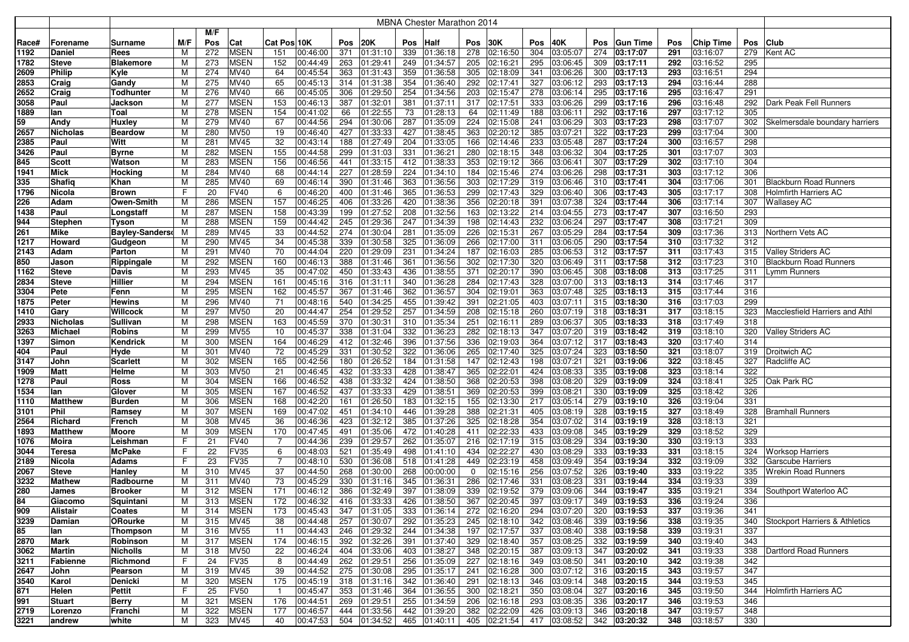|              |                               |                                 |        |     |                            |                |                      |            |                          |     | <b>MBNA Chester Marathon 2014</b> |            |                      |     |                           |            |                      |     |                      |            |                                       |
|--------------|-------------------------------|---------------------------------|--------|-----|----------------------------|----------------|----------------------|------------|--------------------------|-----|-----------------------------------|------------|----------------------|-----|---------------------------|------------|----------------------|-----|----------------------|------------|---------------------------------------|
|              |                               |                                 |        | M/F |                            |                |                      |            |                          |     |                                   |            |                      |     |                           |            |                      |     |                      |            |                                       |
| Race#        | Forename                      | Surname                         | M/F    | Pos | Cat                        | Cat Pos 10K    |                      | Pos        | <b>20K</b>               | Pos | <b>Half</b>                       | Pos        | 30K                  | Pos | 40K                       | <b>Pos</b> | <b>Gun Time</b>      | Pos | <b>Chip Time</b>     | Pos        | Club                                  |
| 1192         | <b>Daniel</b>                 | Rees                            | M      | 272 | <b>MSEN</b>                | 151            | 00:46:00             | 371        | 01:31:10                 | 339 | 01:36:18                          | 278        | 02:16:50             | 304 | 03:05:07                  | 274        | 03:17:07             | 291 | 03:16:07             | 279        | Kent AC                               |
| 1782         | <b>Steve</b>                  | <b>Blakemore</b>                | М      | 273 | <b>MSEN</b>                | 152            | 00:44:49             | 263        | 01:29:41                 | 249 | 01:34:57                          | 205        | 02:16:21             | 295 | 03:06:45                  | 309        | 03:17:11             | 292 | 03:16:52             | 295        |                                       |
| 2609         | <b>Philip</b>                 | Kyle                            | M      | 274 | MV40                       | 64             | 00:45:54             | 363        | 01:31:43                 | 359 | 01:36:58                          | 305        | 02:18:09             | 341 | 03:06:26                  | 300        | 03:17:13             | 293 | 03:16:51             | 294        |                                       |
| 2853         | Craig                         | Gandy                           | м      | 275 | MV40                       | 65             | 00:45:13             | 314        | 01:31:38                 | 354 | 01:36:40                          | 292        | 02:17:41             | 327 | 03:06:12                  | 293        | 03:17:13             | 294 | 03:16:44             | 288        |                                       |
| 2652         | Craig                         | <b>Todhunter</b>                | M      | 276 | MV40                       | 66             | 00:45:05             | 306        | 01:29:50                 | 254 | 01:34:56                          | 203        | 02:15:47             | 278 | 03:06:14                  | 295        | 03:17:16             | 295 | 03:16:47             | 291        |                                       |
| 3058         | Paul                          | Jackson                         | м      | 277 | <b>MSEN</b>                | 153            | 00:46:13             | 387        | 01:32:01                 | 381 | 01:37:11                          | 317        | 02:17:51             | 333 | 03:06:26                  | 299        | 03:17:16             | 296 | 03:16:48             | 292        | Dark Peak Fell Runners                |
| 1889         | lan                           | Toal                            | M      | 278 | <b>MSEN</b>                | 154            | 00:41:02             | 66         | 01:22:55                 | 73  | 01:28:13                          | 64         | 02:11:49             | 188 | 03:06:11                  | 292        | 03:17:16             | 297 | 03:17:12             | 305        |                                       |
| 59           | Andy                          | <b>Huxley</b>                   | М      | 279 | MV40                       | 67             | 00:44:56             | 294        | 01:30:06                 | 287 | 01:35:09                          | 224        | 02:15:08             | 241 | 03:06:29                  | 303        | 03:17:23             | 298 | 03:17:07             | 302        | Skelmersdale boundary harriers        |
| 2657         | <b>Nicholas</b>               | <b>Beardow</b>                  | М      | 280 | <b>MV50</b>                | 19             | 00:46:40             | 427        | 01:33:33                 | 427 | 01:38:45                          | 363        | 02:20:12             | 385 | 03:07:21                  | 322        | 03:17:23             | 299 | 03:17:04             | 300        |                                       |
| 2385         | Paul                          | Witt                            | M      | 281 | MV45                       | 32             | 00:43:14             | 188        | 01:27:49                 | 204 | 01:33:05                          | 166        | 02:14:46             | 233 | 03:05:48                  | 287        | 03:17:24             | 300 | 03:16:57             | 298        |                                       |
| 3426         | Paul                          | <b>Byrne</b>                    | M      | 282 | <b>MSEN</b>                | 155            | 00:44:58             | 299        | 01:31:03                 | 331 | 01:36:21                          | 280        | 02:18:15             | 348 | 03:06:32                  | 304        | 03:17:25             | 301 | 03:17:07             | 303        |                                       |
| 845          | <b>Scott</b>                  | Watson                          | M      | 283 | <b>MSEN</b>                | 156            | 00:46:56             | 441        | 01:33:15                 | 412 | 01:38:33                          | 353        | 02:19:12             | 366 | 03:06:41                  | 307        | 03:17:29             | 302 | 03:17:10             | 304        |                                       |
| 1941         | <b>Mick</b>                   | Hocking                         | M      | 284 | MV40                       | 68             | 00:44:14             | 227        | 01:28:59                 | 224 | 01:34:10                          | 184        | 02:15:46             | 274 | 03:06:26                  | 298        | 03:17:31             | 303 | 03:17:12             | 306        |                                       |
| 335          | Shafiq                        | Khan                            | M      | 285 | MV40                       | 69             | 00:46:14             | 390        | 01:31:46                 | 363 | 01:36:56                          | 303        | 02:17:29             | 319 | 03:06:46                  | 310        | 03:17:41             | 304 | 03:17:06             | 301        | <b>Blackburn Road Runners</b>         |
| 1796         | Nicola                        | <b>Brown</b>                    | F      | 20  | <b>FV40</b>                | 6              | 00:46:20             | 400        | 01:31:46                 | 365 | 01:36:53                          | 299        | 02:17:43             | 329 | 03:06:40                  | 306        | 03:17:43             | 305 | 03:17:17             | 308        | <b>Holmfirth Harriers AC</b>          |
| 226          | Adam                          | <b>Owen-Smith</b>               | M      | 286 | <b>MSEN</b>                | 157            | 00:46:25             | 406        | 01:33:26                 | 420 | 01:38:36                          | 356        | 02:20:18             | 391 | 03:07:38                  | 324        | 03:17:44             | 306 | 03:17:14             | 307        | <b>Wallasey AC</b>                    |
| 1438         | Paul                          |                                 |        | 287 | <b>MSEN</b>                | 158            | 00:43:39             |            | 01:27:52                 | 208 | 01:32:56                          | 163        | 02:13:22             | 214 |                           | 273        | 03:17:47             | 307 | 03:16:50             | 293        |                                       |
|              |                               | Longstaff                       | М      | 288 | <b>MSEN</b>                | 159            |                      | 199        |                          | 247 |                                   | 198        | 02:14:43             | 232 | 03:04:55                  |            |                      | 308 | 03:17:21             | 309        |                                       |
| 944<br>261   | <b>Stephen</b><br><b>Mike</b> | Tyson<br><b>Bayley-Sandersd</b> | M<br>M | 289 | MV45                       | 33             | 00:44:42<br>00:44:52 | 245<br>274 | 01:29:36<br>01:30:04     | 281 | 01:34:39<br>01:35:09              | 226        | 02:15:31             | 267 | 03:06:24<br>03:05:29      | 297<br>284 | 03:17:47<br>03:17:54 | 309 | 03:17:36             | 313        | Northern Vets AC                      |
| 1217         | Howard                        |                                 |        | 290 | MV45                       | 34             | 00:45:38             | 339        |                          | 325 |                                   | 266        | 02:17:00             | 311 |                           | 290        |                      | 310 | 03:17:32             | 312        |                                       |
| 2143         | Adam                          | Gudgeon<br>Parton               | M<br>м | 291 | MV40                       | 70             | 00:44:04             | 220        | 01:30:58<br>01:29:09     | 231 | 01:36:09<br>01:34:24              | 187        | 02:16:03             | 285 | 03:06:05<br>03:06:53      | 312        | 03:17:54<br>03:17:57 | 311 | 03:17:43             | 315        | <b>Valley Striders AC</b>             |
|              |                               |                                 |        | 292 |                            | 160            |                      | 388        |                          | 361 |                                   | 302        | 02:17:30             | 320 |                           | 311        |                      | 312 | 03:17:23             | 310        | <b>Blackburn Road Runners</b>         |
| 850          | Jason                         | Rippingale                      | M      | 293 | <b>MSEN</b><br>MV45        |                | 00:46:13<br>00:47:02 | 450        | 01:31:46<br>01:33:43     | 436 | 01:36:56<br>01:38:55              | 371        | 02:20:17             | 390 | 03:06:49<br>03:06:45      |            | 03:17:58<br>03:18:08 | 313 | 03:17:25             | 311        | Lymm Runners                          |
| 1162         | <b>Steve</b>                  | Davis                           | M      | 294 |                            | 35             |                      |            |                          | 340 |                                   | 284        |                      | 328 |                           | 308<br>313 |                      | 314 |                      | 317        |                                       |
| 2834         | <b>Steve</b>                  | Hillier                         | M      | 295 | <b>MSEN</b><br><b>MSEN</b> | 161<br>162     | 00:45:16<br>00:45:57 | 316<br>367 | 01:31:11                 | 362 | 01:36:28                          |            | 02:17:43             | 363 | 03:07:00                  | 325        | 03:18:13             | 315 | 03:17:46<br>03:17:44 | 316        |                                       |
| 3304         | Pete                          | Fenn                            | M<br>м | 296 | MV40                       | 71             | 00:48:16             |            | 01:31:46<br>540 01:34:25 | 455 | 01:36:57<br>01:39:42              | 304<br>391 | 02:19:01<br>02:21:05 | 403 | 03:07:48<br>03:07:11      | 315        | 03:18:13<br>03:18:30 | 316 | 03:17:03             | 299        |                                       |
| 1875         | Peter                         | <b>Hewins</b><br>Willcock       |        | 297 | <b>MV50</b>                |                |                      | 254        |                          | 257 |                                   |            |                      | 260 |                           | 318        |                      | 317 | 03:18:15             |            | <b>Macclesfield Harriers and Athl</b> |
| 1410         | Gary                          | <b>Sullivan</b>                 | M<br>М | 298 | <b>MSEN</b>                | 20             | 00:44:47<br>00:45:59 | 370        | 01:29:52<br>01:30:31     | 310 | 01:34:59<br>01:35:34              | 208<br>251 | 02:15:18<br>02:16:11 | 289 | 03:07:19                  | 305        | 03:18:31             | 318 |                      | 323<br>318 |                                       |
| 2933<br>3263 | Nicholas<br>Michael           |                                 |        | 299 | <b>MV55</b>                | 163<br>10      | 00:45:37             | 338        | 01:31:04                 | 332 | 01:36:23                          | 282        | 02:18:13             | 347 | 03:06:37<br>03:07:20      | 319        | 03:18:33<br>03:18:42 | 319 | 03:17:49<br>03:18:10 | 320        | <b>Valley Striders AC</b>             |
| 1397         | Simon                         | Robins<br>Kendrick              | M<br>M | 300 | <b>MSEN</b>                | 164            | 00:46:29             | 412        | 01:32:46                 | 396 | 01:37:56                          | 336        | 02:19:03             | 364 | 03:07:12                  | 317        | 03:18:43             | 320 | 03:17:40             | 314        |                                       |
|              | Paul                          |                                 |        | 301 | MV40                       | 72             | 00:45:29             | 331        | 01:30:52                 | 322 | 01:36:06                          | 265        | 02:17:40             | 325 | 03:07:24                  | 323        | 03:18:50             | 321 | 03:18:07             | 319        | Droitwich AC                          |
| 404<br>3147  | John                          | Hyde<br><b>Scarlett</b>         | M<br>М | 302 | <b>MSEN</b>                | 165            | 00:42:56             | 180        | 01:26:52                 | 184 | 01:31:58                          | 147        | 02:12:43             | 198 | 03:07:21                  | 321        | 03:19:06             | 322 | 03:18:45             | 327        | Radcliffe AC                          |
| 1909         | <b>Matt</b>                   | Helme                           | м      | 303 | <b>MV50</b>                | 21             | 00:46:45             | 432        | 01:33:33                 | 428 | 01:38:47                          | 365        | 02:22:01             | 424 | 03:08:33                  | 335        | 03:19:08             | 323 | 03:18:14             | 322        |                                       |
| 1278         | Paul                          | <b>Ross</b>                     | М      | 304 | <b>MSEN</b>                | 166            | 00:46:52             | 438        | 01:33:32                 | 424 | 01:38:50                          | 368        | 02:20:53             | 398 | 03:08:20                  | 329        | 03:19:09             | 324 | 03:18:41             | 325        | Oak Park RC                           |
| 1534         | lan                           | Glover                          | M      | 305 | <b>MSEN</b>                | 167            | 00:46:52             | 437        | 01:33:33                 | 429 | 01:38:51                          | 369        | 02:20:53             | 399 | 03:08:21                  | 330        | 03:19:09             | 325 | 03:18:42             | 326        |                                       |
| 1110         | <b>Matthew</b>                | <b>Burden</b>                   | M      | 306 | <b>MSEN</b>                | 168            | 00:42:20             | 161        | 01:26:50                 | 183 | 01:32:15                          | 155        | 02:13:30             | 217 | 03:05:14                  | 279        | 03:19:10             | 326 | 03:19:04             | 331        |                                       |
| 3101         | Phil                          | Ramsey                          | M      | 307 | <b>MSEN</b>                | 169            | 00:47:02             | 451        | 01:34:10                 | 446 | 01:39:28                          | 388        | 02:21:31             | 405 | 03:08:19                  | 328        | 03:19:15             | 327 | 03:18:49             | 328        | <b>Bramhall Runners</b>               |
| 2564         | Richard                       | French                          | M      | 308 | MV45                       | 36             | 00:46:36             | 423        | 01:32:12                 | 385 | 01:37:26                          | 325        | 02:18:28             | 354 | 03:07:02                  | 314        | 03:19:19             | 328 | 03:18:13             | 321        |                                       |
| 1893         | <b>Matthew</b>                | Moore                           | М      | 309 | <b>MSEN</b>                | 170            | 00:47:45             | 491        | 01:35:06                 | 472 | 01:40:28                          | 411        | 02:22:33             | 433 | 03:09:08                  | 345        | 03:19:29             | 329 | 03:18:52             | 329        |                                       |
| 1076         | Moira                         | Leishman                        | F      | 21  | <b>FV40</b>                | -7             | 00:44:36             | 239        | 01:29:57                 | 262 | 01:35:07                          | 216        | 02:17:19             | 315 | 03:08:29                  | 334        | 03:19:30             | 330 | 03:19:13             | 333        |                                       |
| 3044         | Teresa                        | <b>McPake</b>                   | F      | 22  | <b>FV35</b>                | 6              | 00:48:03             | 521        | 01:35:49                 | 498 | 01:41:10                          | 434        | 02:22:27             | 430 | 03:08:29                  | 333        | 03:19:33             | 331 | 03:18:15             | 324        | <b>Worksop Harriers</b>               |
| 2189         | Nicola                        | Adams                           | F      | 23  | <b>FV35</b>                | $\overline{7}$ | 00:48:10             | 530        | 01:36:08                 | 518 | 01:41:28                          | 449        | 02:23:19             | 458 | 03:09:49                  | 354        | 03:19:34             | 332 | 03:19:09             | 332        | Garscube Harriers                     |
| 2067         | <b>Steve</b>                  | Hanley                          | M      | 310 | MV45                       | 37             | 00:44:50             | 268        | 01:30:00                 | 268 | 00:00:00                          | 0          | 02:15:16             | 256 | 03:07:52                  | 326        | 03:19:40             | 333 | 03:19:22             | 335        | Wrekin Road Runners                   |
| 3232         | <b>Mathew</b>                 | Radbourne                       | м      | 311 | MV40                       | 73             | 00:45:29             | 330        | 01:31:16                 | 345 | 01:36:31                          | 286        | 02:17:46             | 331 | 03:08:23                  | 331        | 03:19:44             | 334 | 03:19:33             | 339        |                                       |
| 280          | James                         | <b>Brooker</b>                  | М      | 312 | <b>MSEN</b>                | 171            | 00:46:12             | 386        | 01:32:49                 | 397 | 01:38:09                          | 339        | 02:19:52             | 379 | 03:09:06                  | 344        | 03:19:47             | 335 | 03:19:21             | 334        | Southport Waterloo AC                 |
| 84           | Giacomo                       | Squintani                       | M      | 313 | <b>MSEN</b>                | 172            | 00:46:32             |            | 416 01:33:33             | 426 | 01:38:50                          |            | 367 02:20:45         |     | 397 03:09:17              |            | 349 03:19:53         | 336 | 03:19:24             | 336        |                                       |
| 909          | Alistair                      | Coates                          | М      | 314 | <b>MSEN</b>                | 173            | 00:45:43             |            | 347 01:31:05             | 333 | $ 01:36:14 $ 272 02:16:20         |            |                      |     | 294 03:07:20              |            | 320 03:19:53         | 337 | 03:19:36             | 341        |                                       |
| 3239         | Damian                        | ORourke                         | M      | 315 | <b>MV45</b>                | 38             | 00:44:48             |            | 257 01:30:07             | 292 | 01:35:23                          |            | 245 02:18:10         | 342 | 03:08:46                  |            | 339 03:19:56         | 338 | 03:19:35             |            | 340 Stockport Harriers & Athletics    |
| 85           | lan                           | <b>Thompson</b>                 | м      | 316 | <b>MV55</b>                | 11             | 00:44:43             |            | 246 01:29:32             | 244 | 01:34:38                          |            | 197 02:17:57         | 337 | 03:08:40                  |            | 338 03:19:58         | 339 | 03:19:31             | 337        |                                       |
| 2870         | Mark                          | Robinson                        | М      | 317 | <b>MSEN</b>                | 174            | 00:46:15             |            | 392 01:32:26             | 391 | 01:37:40                          |            | 329 02:18:40         | 357 | 03:08:25                  |            | 332 03:19:59         | 340 | 03:19:40             | 343        |                                       |
| 3062         | <b>Martin</b>                 | Nicholls                        | М      | 318 | <b>MV50</b>                | 22             | 00:46:24             |            | 404 01:33:06             | 403 | 01:38:27                          |            | 348 02:20:15         | 387 | 03:09:13                  |            | 347 03:20:02         | 341 | 03:19:33             |            | 338   Dartford Road Runners           |
| 3211         | Fabienne                      | Richmond                        | F.     | 24  | <b>FV35</b>                | 8              | 00:44:49             |            | 262 01:29:51             | 256 | 01:35:09                          |            | 227 02:18:16         |     | 349 03:08:50              |            | 341 03:20:10         | 342 | 03:19:38             | 342        |                                       |
| 2647         | John                          | Pearson                         | М      | 319 | <b>MV45</b>                | 39             | 00:44:52             |            | 275 01:30:08             | 295 | 01:35:17                          |            | 241 02:16:28         |     | 300 03:07:12 316 03:20:15 |            |                      | 343 | 03:19:57             | 347        |                                       |
| 3540         | Karol                         | <b>Denicki</b>                  | М      | 320 | <b>MSEN</b>                | 175            | 00:45:19             |            | 318 01:31:16             | 342 | 01:36:40                          |            | 291 02:18:13         | 346 | 03:09:14                  |            | 348 03:20:15         | 344 | 03:19:53             | 345        |                                       |
| 871          | Helen                         | Pettit                          | F.     | 25  | <b>FV50</b>                | $\overline{1}$ | 00:45:47             |            | 353 01:31:46             | 364 | 01:36:55                          |            | 300 02:18:21         |     | 350 03:08:04              |            | 327 03:20:16         | 345 | 03:19:50             | 344        | Holmfirth Harriers AC                 |
| 991          | Stuart                        | <b>Berry</b>                    | М      | 321 | <b>MSEN</b>                | 176            | 00:44:51             |            | 269 01:29:51             | 255 | 01:34:59                          |            | 206 02:16:18         | 293 | 03:08:35                  |            | 336 03:20:17         | 346 | 03:19:53             | 346        |                                       |
| 2719         | Lorenzo                       | Franchi                         | M      | 322 | <b>MSEN</b>                | 177            | 00:46:57             |            | 444 01:33:56             | 442 | 01:39:20                          |            | 382 02:22:09         | 426 | 03:09:13                  |            | 346 03:20:18         | 347 | 03:19:57             | 348        |                                       |
| 3221         | andrew                        | white                           | М      | 323 | <b>MV45</b>                | 40             | 00:47:53             |            | 504 01:34:52             |     | 465 01:40:11                      |            |                      |     | 405 02:21:54 417 03:08:52 |            | 342 03:20:32         | 348 | 03:18:57             | 330        |                                       |
|              |                               |                                 |        |     |                            |                |                      |            |                          |     |                                   |            |                      |     |                           |            |                      |     |                      |            |                                       |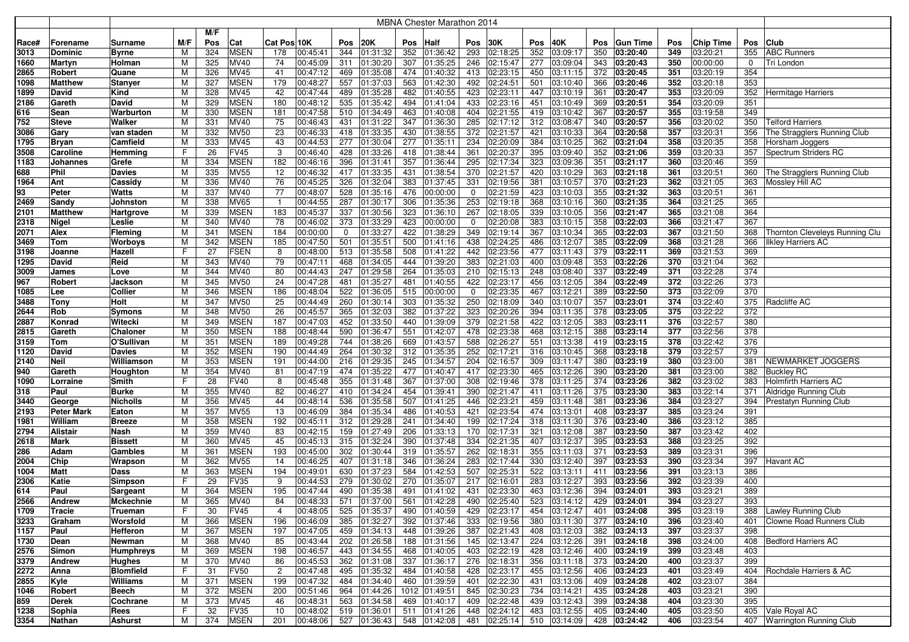|              |                          |                  |     |            |                            |                |                      |             |                           |            | <b>MBNA Chester Marathon 2014</b> |            |                      |            |                      |            |                 |            |           |            |                                                        |
|--------------|--------------------------|------------------|-----|------------|----------------------------|----------------|----------------------|-------------|---------------------------|------------|-----------------------------------|------------|----------------------|------------|----------------------|------------|-----------------|------------|-----------|------------|--------------------------------------------------------|
|              |                          |                  |     | M/F        |                            |                |                      |             |                           |            |                                   |            |                      |            |                      |            |                 |            |           |            |                                                        |
| Race#        | Forename                 | Surname          | M/F | Pos        | Cat                        | Cat Pos 10K    |                      | Pos         | <b>20K</b>                | Pos        | Half                              | Pos        | 30K                  | Pos        | 40K                  | <b>Pos</b> | <b>Gun Time</b> | Pos        | Chip Time | Pos        | <b>Club</b>                                            |
| 3013         | <b>Dominic</b>           | Byrne            | м   | 324        | <b>MSEN</b>                | 178            | 00:45:41             | 344         | 01:31:32                  | 352        | 01:36:42                          | 293        | 02:18:25             | 352        | 03:09:17             | 350        | 03:20:40        | 349        | 03:20:21  | 355        | <b>ABC Runners</b>                                     |
| 1660         | Martyn                   | Holman           | М   | 325        | MV40                       | 74             | 00:45:09             | 311         | 01:30:20                  | 307        | 01:35:25                          | 246        | 02:15:47             | 277        | 03:09:04             | 343        | 03:20:43        | 350        | 00:00:00  | 0          | Tri London                                             |
|              |                          |                  | М   | 326        | <b>MV45</b>                | 41             | 00:47:12             | 469         | 01:35:08                  | 474        | 01:40:32                          | 413        | 02:23:15             | 450        | 03:11:15             | 372        | 03:20:45        | 351        | 03:20:19  | 354        |                                                        |
| 2865<br>1098 | Robert<br><b>Matthew</b> | Quane<br>Stanyer | М   | 327        | <b>MSEN</b>                | 179            | 00:48:27             | 557         | 01:37:03                  | 563        | 01:42:30                          | 492        | 02:24:51             | 501        | 03:10:40             | 366        | 03:20:46        | 352        | 03:20:18  | 353        |                                                        |
|              |                          | Kind             | М   | 328        | MV45                       | 42             | 00:47:44             | 489         | 01:35:28                  | 482        | 01:40:55                          | 423        | 02:23:11             | 447        | 03:10:19             | 361        |                 | 353        | 03:20:09  | 352        |                                                        |
| 1899         | David                    |                  |     |            |                            |                |                      |             |                           |            |                                   |            |                      |            |                      |            | 03:20:47        |            |           |            | Hermitage Harriers                                     |
| 2186         | Gareth                   | David            | М   | 329<br>330 | <b>MSEN</b><br><b>MSEN</b> | 180<br>181     | 00:48:12<br>00:47:58 | 535         | 01:35:42                  | 494<br>463 | 01:41:04                          | 433<br>404 | 02:23:16<br>02:21:55 | 451<br>419 | 03:10:49             | 369        | 03:20:51        | 354<br>355 | 03:20:09  | 351<br>349 |                                                        |
| 616          | Sean                     | Warburton        | М   |            |                            |                | 00:46:43             | 510         | 01:34:49                  |            | 01:40:08                          |            |                      |            | 03:10:42             | 367        | 03:20:57        |            | 03:19:58  |            |                                                        |
| 752          | <b>Steve</b>             | Walker           | М   | 331<br>332 | MV40<br><b>MV50</b>        | 75<br>23       |                      | 431<br>418  | 01:31:22                  | 347        | 01:36:30                          | 285        | 02:17:12             | 312<br>421 | 03:08:47             | 340        | 03:20:57        | 356<br>357 | 03:20:02  | 350<br>356 | <b>Telford Harriers</b><br>The Stragglers Running Club |
| 3086         | Gary                     | van staden       | М   |            |                            |                | 00:46:33             |             | 01:33:35                  | 430        | 01:38:55                          | 372        | 02:21:57             |            | 03:10:33             | 364        | 03:20:58        |            | 03:20:31  |            |                                                        |
| 1795         | <b>Bryan</b>             | Camfield         | M   | 333        | <b>MV45</b>                | 43             | 00:44:53             | 277         | 01:30:04                  | 277        | 01:35:11                          | 234        | 02:20:09             | 384        | 03:10:25             | 362        | 03:21:04        | 358        | 03:20:35  | 358        | Horsham Joggers                                        |
| 3508         | Caroline                 | Hemming          | F   | 26<br>334  | <b>FV45</b><br><b>MSEN</b> | 3<br>182       | 00:46:40<br>00:46:16 | 428<br>396  | 01:33:26                  | 418<br>357 | 01:38:44                          | 361<br>295 | 02:20:37<br>02:17:34 | 395<br>323 | 03:09:40<br>03:09:36 | 352        | 03:21:06        | 359<br>360 | 03:20:33  | 357<br>359 | Spectrum Striders RC                                   |
| 1183         | Johannes                 | Grefe            | M   |            |                            |                |                      |             | 01:31:41                  |            | 01:36:44                          |            |                      |            |                      | 351        | 03:21:17        |            | 03:20:46  |            |                                                        |
| 688          | Phil                     | Davies           | М   | 335        | <b>MV55</b>                | 12             | 00:46:32             | 417         | 01:33:35                  | 431        | 01:38:54                          | 370        | 02:21:57             | 420        | 03:10:29             | 363        | 03:21:18        | 361        | 03:20:51  | 360        | The Stragglers Running Club                            |
| 1964         | Ant                      | Cassidy          | М   | 336        | MV40                       | 76             | 00:45:25             | 326         | 01:32:04                  | 383        | 01:37:45                          | 331        | 02:19:56             | 381        | 03:10:57             | 370        | 03:21:23        | 362        | 03:21:05  | 363        | Mossley Hill AC                                        |
| 93           | Peter                    | Watts            | М   | 337        | MV40                       | 77             | 00:48:07             | 528         | 01:35:16                  | 476        | 00:00:00                          | 0          | 02:21:59             | 423        | 03:10:03             | 355        | 03:21:32        | 363        | 03:20:51  | 361        |                                                        |
| 2469         | Sandy                    | Johnston         | М   | 338        | <b>MV65</b>                | $\overline{1}$ | 00:44:55             | 287         | 01:30:17                  | 306        | 01:35:36                          | 253        | 02:19:18             | 368        | 03:10:16             | 360        | 03:21:35        | 364        | 03:21:25  | 365        |                                                        |
| 2101         | <b>Matthew</b>           | Hartgrove        | М   | 339        | <b>MSEN</b>                | 183            | 00:45:37             | 337         | 01:30:56                  | 323        | 01:36:10                          | 267        | 02:18:05             | 339        | 03:10:05             | 356        | 03:21:47        | 365        | 03:21:08  | 364        |                                                        |
| 2318         | Nigel                    | Leslie           | М   | 340        | MV40                       | 78             | 00:46:02             | 373         | 01:33:29                  | 423        | 00:00:00                          | 0          | 02:20:08             | 383        | 03:10:15             | 358        | 03:22:03        | 366        | 03:21:47  | 367        |                                                        |
| 2071         | Alex                     | Fleming          | м   | 341        | <b>MSEN</b>                | 184            | 00:00:00             | $\mathbf 0$ | 01:33:27                  | 422        | 01:38:29                          | 349        | 02:19:14             | 367        | 03:10:34             | 365        | 03:22:03        | 367        | 03:21:50  | 368        | Thornton Cleveleys Running Clu                         |
| 3469         | Tom                      | Worboys          | М   | 342        | <b>MSEN</b>                | 185            | 00:47:50             | 501         | 01:35:51                  | 500        | 01:41:16                          | 438        | 02:24:25             | 486        | 03:12:07             | 385        | 03:22:09        | 368        | 03:21:28  | 366        | <b>Ilkley Harriers AC</b>                              |
| 3198         | Joanne                   | Hazell           | F   | 27         | <b>FSEN</b>                | 8              | 00:48:00             | 513         | 01:35:58                  | 508        | 01:41:22                          | 442        | 02:23:56             | 477        | 03:11:43             | 379        | 03:22:11        | 369        | 03:21:53  | 369        |                                                        |
| 1295         | David                    | Reid             | М   | 343        | MV40                       | 79             | 00:47:11             | 468         | 01:34:05                  | 444        | 01:39:20                          | 383        | 02:21:03             | 400        | 03:09:48             | 353        | 03:22:26        | 370        | 03:21:04  | 362        |                                                        |
| 3009         | James                    | Love             | M   | 344        | MV40                       | 80             | 00:44:43             | 247         | 01:29:58                  | 264        | 01:35:03                          | 210        | 02:15:13             | 248        | 03:08:40             | 337        | 03:22:49        | 371        | 03:22:28  | 374        |                                                        |
| 967          | Robert                   | Jackson          | M   | 345        | <b>MV50</b>                | 24             | 00:47:28             | 481         | 01:35:27                  | 481        | 01:40:55                          | 422        | 02:23:17             | 456        | 03:12:05             | 384        | 03:22:49        | 372        | 03:22:26  | 373        |                                                        |
| 1085         | Lee                      | Collier          | M   | 346        | <b>MSEN</b>                | 186            | 00:48:04             | 522         | 01:36:05                  | 515        | 00:00:00                          | 0          | 02:23:35             | 467        | 03:12:21             | 389        | 03:22:50        | 373        | 03:22:09  | 370        |                                                        |
| 3488         | Tony                     | Holt             | M   | 347        | <b>MV50</b>                | 25             | 00:44:49             | 260         | 01:30:14                  | 303        | 01:35:32                          | 250        | 02:18:09             | 340        | 03:10:07             | 357        | 03:23:01        | 374        | 03:22:40  | 375        | Radcliffe AC                                           |
| 2644         | Rob                      | Symons           | M   | 348        | <b>MV50</b>                | 26             | 00:45:57             | 365         | 01:32:03                  | 382        | 01:37:22                          | 323        | 02:20:26             | 394        | 03:11:35             | 378        | 03:23:05        | 375        | 03:22:22  | 372        |                                                        |
| 2887         | Konrad                   | Witecki          | M   | 349        | <b>MSEN</b>                | 187            | 00:47:03             | 452         | 01:33:50                  | 440        | 01:39:09                          | 379        | 02:21:58             | 422        | 03:12:05             | 383        | 03:23:11        | 376        | 03:22:57  | 380        |                                                        |
| 2815         | Gareth                   | Chaloner         | M   | 350        | <b>MSEN</b>                | 188            | 00:48:44             | 590         | 01:36:47                  | 551        | 01:42:07                          | 478        | 02:23:38             | 468        | 03:12:15             | 388        | 03:23:14        | 377        | 03:22:56  | 378        |                                                        |
| 3159         | Tom                      | O'Sullivan       | M   | 351        | <b>MSEN</b>                | 189            | 00:49:28             | 744         | 01:38:26                  | 669        | 01:43:57                          | 588        | 02:26:27             | 551        | 03:13:38             | 419        | 03:23:15        | 378        | 03:22:42  | 376        |                                                        |
| 1120         | David                    | Davies           | м   | 352        | <b>MSEN</b>                | 190            | 00:44:49             | 264         | 01:30:32                  | 312        | 01:35:35                          | 252        | 02:17:21             | 316        | 03:10:45             | 368        | 03:23:18        | 379        | 03:22:57  | 379        |                                                        |
| 2140         | <b>Neil</b>              | Williamson       | м   | 353        | <b>MSEN</b>                | 191            | 00:44:00             | 216         | 01:29:35                  | 245        | 01:34:57                          | 204        | 02:16:57             | 309        | 03:11:47             | 380        | 03:23:19        | 380        | 03:23:00  | 381        | NEWMARKET JOGGERS                                      |
| 940          | Gareth                   | Houghton         | м   | 354        | MV40                       | 81             | 00:47:19             | 474         | 01:35:22                  | 477        | 01:40:47                          | 417        | 02:23:30             | 465        | 03:12:26             | 390        | 03:23:20        | 381        | 03:23:00  | 382        | <b>Buckley RC</b>                                      |
| 1090         | Lorraine                 | Smith            | F.  | 28         | <b>FV40</b>                | 8              | 00:45:48             | 355         | 01:31:48                  | 367        | 01:37:00                          | 308        | 02:19:46             | 378        | 03:11:25             | 374        | 03:23:26        | 382        | 03:23:02  | 383        | <b>Holmfirth Harriers AC</b>                           |
| 318          | Paul                     | Burke            | М   | 355        | MV40                       | 82             | 00:46:27             | 410         | 01:34:24                  | 454        | 01:39:41                          | 390        | 02:21:47             | 411        | 03:11:26             | 375        | 03:23:30        | 383        | 03:22:14  | 371        | Aldridge Running Club                                  |
| 3440         | George                   | Nicholls         | M   | 356        | MV45                       | 44             | 00:48:14             | 536         | 01:35:58                  | 507        | 01:41:25                          | 446        | 02:23:21             | 459        | 03:11:48             | 381        | 03:23:36        | 384        | 03:23:27  | 394        | Prestatyn Running Club                                 |
| 2193         | <b>Peter Mark</b>        | Eaton            | M   | 357        | <b>MV55</b>                | 13             | 00:46:09             | 384         | 01:35:34                  | 486        | 01:40:53                          | 421        | 02:23:54             | 474        | 03:13:01             | 408        | 03:23:37        | 385        | 03:23:24  | 391        |                                                        |
| 1981         | William                  | Breeze           | M   | 358        | <b>MSEN</b>                | 192            | 00:45:11             | 312         | 01:29:28                  | 241        | 01:34:40                          | 199        | 02:17:24             | 318        | 03:11:30             | 376        | 03:23:40        | 386        | 03:23:12  | 385        |                                                        |
| 2794         | <b>Alistair</b>          | Nash             | M   | 359        | MV40                       | 83             | 00:42:15             | 159         | 01:27:49                  | 206        | 01:33:13                          | 170        | 02:17:31             | 321        | 03:12:08             | 387        | 03:23:50        | 387        | 03:23:42  | 402        |                                                        |
| 2618         | Mark                     | <b>Bissett</b>   | м   | 360        | <b>MV45</b>                | 45             | 00:45:13             | 315         | 01:32:24                  | 390        | 01:37:48                          | 334        | 02:21:35             | 407        | 03:12:37             | 395        | 03:23:53        | 388        | 03:23:25  | 392        |                                                        |
| 286          | Adam                     | Gambles          | M   | 361        | <b>MSEN</b>                | 193            | 00:45:00             | 302         | 01:30:44                  | 319        | 01:35:57                          | 262        | 02:18:31             | 355        | 03:11:03             | 371        | 03:23:53        | 389        | 03:23:31  | 396        |                                                        |
| 2004         | Chip                     | Wrapson          | М   | 362        | <b>MV55</b>                | 14             | 00:46:25             | 407         | 01:31:18                  | 346        | 01:36:24                          | 283        | 02:17:44             | 330        | 03:12:40             | 397        | 03:23:53        | 390        | 03:23:34  | 397        | Havant AC                                              |
| 1004         | Matt                     | Dass             | M   | 363        | <b>MSEN</b>                | 194            | 00:49:01             | 630         | 01:37:23                  | 584        | 01:42:53                          | 507        | 02:25:31             | 522        | 03:13:11             | 411        | 03:23:56        | 391        | 03:23:13  | 386        |                                                        |
| 2306         | Katie                    | Simpson          | F   | 29         | <b>FV35</b>                | 9              | 00:44:53             | 279         | 01:30:02                  | 270        | 01:35:07                          | 217        | 02:16:01             | 283        | 03:12:27             | 393        | 03:23:56        | 392        | 03:23:39  | 400        |                                                        |
| 614          | Paul                     | Sargeant         | М   | 364        | <b>MSEN</b>                | 195            | 00:47:44             | 490         | 01:35:38                  | 491        | 01:41:02                          | 431        | 02:23:30             | 463        | 03:12:36             | 394        | 03:24:01        | 393        | 03:23:21  | 389        |                                                        |
| 2566         | <b>Andrew</b>            | Mckechnie        | м   | 365        | MV40                       | 84             | 00:48:33             | 571         | 01:37:00                  | 561        | 01:42:28                          | 490        | 02:25:40             |            | 523 03:14:12         | 429        | 03:24:01        | 394        | 03:23:27  | 393        |                                                        |
| 1709         | <b>Tracie</b>            | Trueman          | F   | 30         | <b>FV45</b>                | $\overline{4}$ | 00:48:05             |             | 525 01:35:37              |            | 490 01:40:59                      |            | 429 02:23:17         |            | 454 03:12:47         |            | 401 03:24:08    | 395        | 03:23:19  |            | 388   Lawley Running Club                              |
| 3233         | Graham                   | Worsfold         | M   | 366        | <b>MSEN</b>                | 196            | 00:46:09             | 385         | 01:32:27                  |            | 392 01:37:46                      |            | 333 02:19:56         |            | 380 03:11:30         |            | 377 03:24:10    | 396        | 03:23:40  | 401        | Clowne Road Runners Club                               |
| 1157         | Paul                     | Hefferon         | м   | 367        | <b>MSEN</b>                | 197            | 00:47:05             | 459         | 01:34:13                  |            | 448 01:39:26                      |            | 387 02:21:43         |            | 408 03:12:03         |            | 382 03:24:13    | 397        | 03:23:37  | 398        |                                                        |
| 1730         | Dean                     | Newman           | М   | 368        | <b>MV40</b>                | 85             | 00:43:44             | 202         | 01:26:58                  |            | 188 01:31:56                      |            | 145 02:13:47         |            | 224 03:12:26         |            | 391 03:24:18    | 398        | 03:24:00  |            | 408   Bedford Harriers AC                              |
| 2576         | Simon                    | <b>Humphreys</b> | M   | 369        | <b>MSEN</b>                | 198            | 00:46:57             |             | 443 01:34:55              | 468        | 01:40:05                          | 403        | 02:22:19             |            | 428 03:12:46         |            | 400 03:24:19    | 399        | 03:23:48  | 403        |                                                        |
| 3379         | Andrew                   | Hughes           | М   | 370        | <b>MV40</b>                | 86             | 00:45:53             |             | 362 01:31:08              | 337        | 01:36:17                          |            | 276 02:18:31         |            | 356 03:11:18         |            | 373 03:24:20    | 400        | 03:23:37  | 399        |                                                        |
| 2272         | Anna                     | <b>Blomfield</b> | F.  | 31         | <b>FV50</b>                | $\overline{c}$ | 00:47:48             |             | 495 01:35:32              |            | 484 01:40:58                      | 428        | 02:23:17             |            | 455 03:12:56         |            | 406 03:24:23    | 401        | 03:23:49  | 404        | Rochdale Harriers & AC                                 |
| 2855         | Kyle                     | <b>Williams</b>  | M   | 371        | <b>MSEN</b>                | 199            | 00:47:32             | 484         | 01:34:40                  | 460        | 01:39:59                          | 401        | 02:22:30             | 431        | 03:13:06             | 409        | 03:24:28        | 402        | 03:23:07  | 384        |                                                        |
| 1046         | Robert                   | Beech            | м   | 372        | <b>MSEN</b>                | 200            | 00:51:46             | 964         | 01:44:26                  |            | 1012 01:49:51                     | 845        | 02:30:23             | 734        | 03:14:21             |            | 435 03:24:28    | 403        | 03:23:21  | 390        |                                                        |
| 859          | <b>Derek</b>             | Cochrane         | М   | 373        | MV45                       | 46             | 00:48:31             | 563         | 01:34:58                  | 469        | 01:40:17                          | 409        | 02:22:48             | 439        | 03:12:43             |            | 399 03:24:38    | 404        | 03:23:30  | 395        |                                                        |
| 1238         | Sophia                   | Rees             | F   | 32         | <b>FV35</b>                | 10             | 00:48:02             | 519         | 01:36:01                  | 511        | 01:41:26                          | 448        | 02:24:12             | 483        | 03:12:55             |            | 405 03:24:40    | 405        | 03:23:50  |            | 405 Vale Royal AC                                      |
| 3354         | Nathan                   | Ashurst          | M   | 374        | <b>MSEN</b>                | 201            | 00:48:06             |             | $\overline{527}$ 01:36:43 |            | 548 01:42:08                      |            | 481 02:25:14         |            | $510$ 03:14:09       |            | 428 03:24:42    | 406        | 03:23:54  |            | 407 Warrington Running Club                            |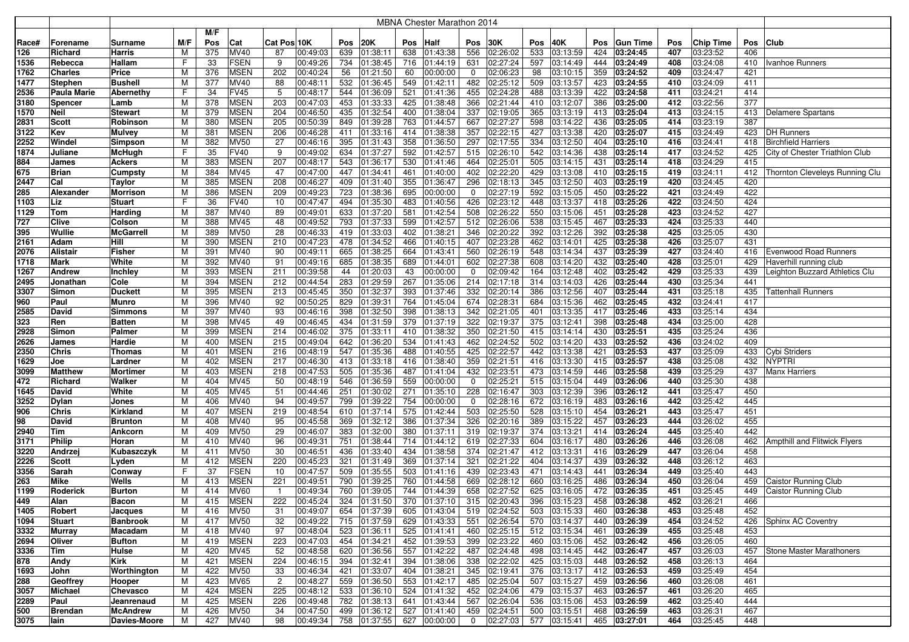|             |                    |                  |        |            |                            |                |                      |            |                      |            | <b>MBNA Chester Marathon 2014</b> |                    |                      |            |                           |            |                      |            |                      |            |                                    |
|-------------|--------------------|------------------|--------|------------|----------------------------|----------------|----------------------|------------|----------------------|------------|-----------------------------------|--------------------|----------------------|------------|---------------------------|------------|----------------------|------------|----------------------|------------|------------------------------------|
|             |                    |                  |        | M/F        |                            |                |                      |            |                      |            |                                   |                    |                      |            |                           |            |                      |            |                      |            |                                    |
| Race#       | Forename           | Surname          | M/F    | Pos        | Cat                        | Cat Pos 10K    |                      | Pos        | 20K                  | Pos        | <b>Half</b>                       | Pos                | 30K                  | Pos        | 40K                       | <b>Pos</b> | <b>Gun Time</b>      | Pos        | Chip Time            | Pos        | <b>Club</b>                        |
| 126         | Richard            | Harris           | м      | 375        | MV40                       | 87             | 00:49:03             | 639        | 01:38:11             | 638        | 01:43:38                          | 556                | 02:26:02             | 533        | 03:13:59                  | 424        | 03:24:45             | 407        | 03:23:52             | 406        |                                    |
| 1536        | Rebecca            | Hallam           | F      | 33         | <b>FSEN</b>                | 9              | 00:49:26             | 734        | 01:38:45             | 716        | 01:44:19                          | 631                | 02:27:24             | 597        | 03:14:49                  | 444        | 03:24:49             | 408        | 03:24:08             | 410        | Ivanhoe Runners                    |
| 1762        | <b>Charles</b>     | Price            | м      | 376        | <b>MSEN</b>                | 202            | 00:40:24             | 56         | 01:21:50             | 60         | 00:00:00                          | $\mathbf 0$        | 02:06:23             | 98         | 03:10:15                  | 359        | 03:24:52             | 409        | 03:24:47             | 421        |                                    |
| 1477        | Stephen            | Bushell          | M      | 377        | MV40                       | 88             | 00:48:11             | 532        | 01:36:45             | 549        | 01:42:11                          | 482                | 02:25:12             | 509        | 03:13:57                  | 423        | 03:24:55             | 410        | 03:24:09             | 411        |                                    |
| 2536        | <b>Paula Marie</b> | Abernethy        | F      | 34         | <b>FV45</b>                | 5              | 00:48:17             | 544        | 01:36:09             | 521        | 01:41:36                          | 455                | 02:24:28             | 488        | 03:13:39                  | 422        | 03:24:58             | 411        | 03:24:21             | 414        |                                    |
| 3180        | <b>Spencer</b>     | Lamb             | м      | 378        | <b>MSEN</b>                | 203            | 00:47:03             | 453        | 01:33:33             | 425        | 01:38:48                          | 366                | 02:21:44             | 410        | 03:12:07                  | 386        | 03:25:00             | 412        | 03:22:56             | 377        |                                    |
| 1570        | <b>Neil</b>        | Stewart          | М      | 379        | <b>MSEN</b>                | 204            | 00:46:50             | 435        | 01:32:54             | 400        | 01:38:04                          | 337                | 02:19:05             | 365        | 03:13:19                  | 413        | 03:25:04             | 413        | 03:24:15             | 413        | Delamere Spartans                  |
| 2831        | <b>Scott</b>       | Robinson         | М      | 380        | <b>MSEN</b>                | 205            | 00:50:39             | 849        | 01:39:28             | 763        | 01:44:57                          | 667                | 02:27:27             | 598        | 03:14:22                  | 436        | 03:25:05             | 414        | 03:23:19             | 387        |                                    |
| 3122        | Kev                | Mulvey           | М      | 381        | <b>MSEN</b>                | 206            | 00:46:28             | 411        | 01:33:16             | 414        | 01:38:38                          | 357                | 02:22:15             | 427        | 03:13:38                  | 420        | 03:25:07             | 415        | 03:24:49             | 423        | <b>DH Runners</b>                  |
| 2252        | Windel             | Simpson          | M      | 382        | <b>MV50</b>                | 27             | 00:46:16             | 395        | 01:31:43             | 358        | 01:36:50                          | 297                | 02:17:55             | 334        | 03:12:50                  | 404        | 03:25:10             | 416        | 03:24:41             | 418        | <b>Birchfield Harriers</b>         |
| 1874        | Juliane            | McHugh           |        | 35         | <b>FV40</b>                | 9              | 00:49:02             | 634        | 01:37:27             | 592        | 01:42:57                          | 515                | 02:26:10             | 542        | 03:14:36                  | 438        | 03:25:14             | 417        | 03:24:52             | 425        | City of Chester Triathlon Club     |
| 884         | James              | Ackers           | M      | 383        | <b>MSEN</b>                | 207            | 00:48:17             | 543        | 01:36:17             | 530        | 01:41:46                          | 464                | 02:25:01             | 505        | 03:14:15                  | 431        | 03:25:14             | 418        | 03:24:29             | 415        |                                    |
| 675         | <b>Brian</b>       | Cumpsty          | М      | 384        | <b>MV45</b>                | 47             | 00:47:00             | 447        | 01:34:41             | 461        | 01:40:00                          | 402                | 02:22:20             | 429        | 03:13:08                  | 410        | 03:25:15             | 419        | 03:24:11             |            | 412 Thornton Cleveleys Running Clu |
| 2447        | Cal                | Taylor           | M      | 385        | <b>MSEN</b>                | 208            | 00:46:27             | 409        | 01:31:40             | 355        | 01:36:47                          | 296                | 02:18:13             | 345        | 03:12:50                  | 403        | 03:25:19             | 420        | 03:24:45             | 420        |                                    |
| 285         | Alexander          | <b>Morrison</b>  | М      | 386        | <b>MSEN</b>                | 209            | 00:49:23             | 723        | 01:38:36             | 695        | 00:00:00                          | 0                  | 02:27:19             | 592        | 03:15:05                  | 450        | 03:25:22             | 421        | 03:24:49             | 422        |                                    |
| 1103        | Liz                | <b>Stuart</b>    | F      | 36         | <b>FV40</b>                | 10             | 00:47:47             | 494        | 01:35:30             | 483        | 01:40:56                          | 426                | 02:23:12             | 448        | 03:13:37                  | 418        | 03:25:26             | 422        | 03:24:50             | 424        |                                    |
| 1129        | <b>Tom</b>         | Harding          | М      | 387        | MV40                       | 89             | 00:49:01             | 633        | 01:37:20             | 581        | 01:42:54                          | 508                | 02:26:22             | 550        | 03:15:06                  | 451        | 03:25:28             | 423        | 03:24:52             | 427        |                                    |
| 727         | <b>Clive</b>       | Colson           | м      | 388        | <b>MV45</b>                | 48             | 00:49:52             | 793        | 01:37:33             | 599        | 01:42:57                          | 512                | 02:26:06             | 538        | 03:15:45                  | 467        | 03:25:33             | 424        | 03:25:33             | 440        |                                    |
| 395         | Wullie             | <b>McGarrell</b> | м      | 389        | <b>MV50</b>                | 28             | 00:46:33             | 419        | 01:33:03             | 402        | 01:38:21                          | 346                | 02:20:22             | 392        | 03:12:26                  | 392        | 03:25:38             | 425        | 03:25:05             | 430        |                                    |
| 2161        | Adam               | Hill             | М      | 390        | <b>MSEN</b>                | 210            | 00:47:23             | 478        | 01:34:52             | 466        | 01:40:15                          | 407                | 02:23:28             | 462        | 03:14:01                  | 425        | 03:25:38             | 426        | 03:25:07             | 431        |                                    |
| 2076        | <b>Alistair</b>    | Fisher           | М      | 391        | MV40                       | 90             | 00:49:11             | 665        | 01:38:25             | 664        | 01:43:41                          | 560                | 02:26:19             | 548        | 03:14:34                  | 437        | 03:25:39             | 427        | 03:24:40             | 416        | <b>Evenwood Road Runners</b>       |
| 1718        | <b>Mark</b>        | White            | М      | 392        | MV40                       | 91             | 00:49:16             | 685        | 01:38:35             | 689        | 01:44:01                          | 602                | 02:27:38             | 608        | 03:14:20                  | 432        | 03:25:40             | 428        | 03:25:01             | 429        | Haverhill running club             |
| 1267        | Andrew             | Inchley          | M      | 393        | <b>MSEN</b>                | 211            | 00:39:58             | 44         | 01:20:03             | 43         | 00:00:00                          | 0                  | 02:09:42             | 164        | 03:12:48                  | 402        | 03:25:42             | 429        | 03:25:33             | 439        | Leighton Buzzard Athletics Clu     |
| 2495        | Jonathan           | Cole             | M      | 394        | <b>MSEN</b>                | 212            | 00:44:54             | 283        | 01:29:59             | 267        | 01:35:06                          | 214                | 02:17:18             | 314        | 03:14:03                  | 426        | 03:25:44             | 430        | 03:25:34             | 441        |                                    |
| 3307        | Simon              | <b>Duckett</b>   | M      | 395        | <b>MSEN</b>                | 213            | 00:45:45             | 350        | 01:32:37             | 393        | 01:37:46                          | 332                | 02:20:14             | 386        | 03:12:56                  | 407        | 03:25:44             | 431        | 03:25:18             | 435        | Tattenhall Runners                 |
| 960         | Paul               | Munro            | М      | 396        | <b>MV40</b>                | 92             | 00:50:25             | 829        | 01:39:31             | 764        | 01:45:04                          | 674                | 02:28:31             | 684        | 03:15:36                  | 462        | 03:25:45             | 432        | 03:24:41             | 417        |                                    |
| 2585        | David              | Simmons          | M      | 397        | <b>MV40</b>                | 93             | 00:46:16             | 398        | 01:32:50             | 398        | 01:38:13                          | 342                | 02:21:05             | 401        | 03:13:35                  | 417        | 03:25:46             | 433        | 03:25:14             | 434        |                                    |
| 323         | Ren                | <b>Batten</b>    | М      | 398        | <b>MV45</b>                | 49             | 00:46:45             | 434        | 01:31:59             | 379        | 01:37:19                          | 322                | 02:19:37             | 375        | 03:12:41                  | 398        | 03:25:48             | 434        | 03:25:00             | 428        |                                    |
| 2928        | Simon              | Palmer           | M      | 399        | <b>MSEN</b>                | 214            | 00:46:02             | 375        | 01:33:11             | 410        | 01:38:32                          | 350                | 02:21:50             | 415        | 03:14:14                  | 430        | 03:25:51             | 435        | 03:25:24             | 436        |                                    |
| 2626        | James              | Hardie           | М      | 400        | <b>MSEN</b>                | 215            | 00:49:04             | 642        | 01:36:20             | 534        | 01:41:43                          | 462                | 02:24:52             | 502        | 03:14:20                  | 433        | 03:25:52             | 436        | 03:24:02             | 409        |                                    |
| 2350        | <b>Chris</b>       | Thomas           | м      | 401        | <b>MSEN</b>                | 216            | 00:48:19             | 547        | 01:35:36             | 488        | 01:40:55                          | 425                | 02:22:57             | 442        | 03:13:38                  | 421        | 03:25:53             | 437        | 03:25:09             | 433        | Cybi Striders                      |
| 1629        | Joe                | Lardner          | М      | 402        | <b>MSEN</b>                | 217            | 00:46:30             | 413        | 01:33:18             | 416        | 01:38:40                          | 359                | 02:21:51             | 416        | 03:13:30                  | 415        | 03:25:57             | 438        | 03:25:08             | 432        | NYPTRI                             |
| 3099        | <b>Matthew</b>     | Mortimeı         | М      | 403        | <b>MSEN</b><br><b>MV45</b> | 218            | 00:47:53<br>00:48:19 | 505<br>546 | 01:35:36             | 487        | 01:41:04                          | 432<br>$\mathbf 0$ | 02:23:51<br>02:25:21 | 473<br>515 | 03:14:59                  | 446<br>449 | 03:25:58<br>03:26:06 | 439<br>440 | 03:25:29             | 437<br>438 | <b>Manx Harriers</b>               |
| 472<br>1645 | Richard<br>David   | Walker<br>White  | M<br>M | 404<br>405 | MV45                       | 50<br>51       | 00:44:46             | 251        | 01:36:59<br>01:30:02 | 559<br>271 | 00:00:00<br>01:35:10              | 228                | 02:16:47             | 303        | 03:15:04<br>03:12:39      | 396        | 03:26:12             | 441        | 03:25:30<br>03:25:47 | 450        |                                    |
| 3252        | <b>Dylan</b>       | Jones            | M      | 406        | MV40                       | 94             | 00:49:57             | 799        | 01:39:22             | 754        | 00:00:00                          | 0                  | 02:28:16             | 672        | 03:16:19                  | 483        | 03:26:16             | 442        | 03:25:42             | 445        |                                    |
| 906         | Chris              | Kirkland         | M      | 407        | <b>MSEN</b>                | 219            | 00:48:54             | 610        | 01:37:14             | 575        | 01:42:44                          | 503                | 02:25:50             | 528        | 03:15:10                  | 454        | 03:26:21             | 443        | 03:25:47             | 451        |                                    |
| 98          | David              | <b>Brunton</b>   | M      | 408        | <b>MV40</b>                | 95             | 00:45:58             | 369        | 01:32:12             | 386        | 01:37:34                          | 326                | 02:20:16             | 389        | 03:15:22                  | 457        | 03:26:23             | 444        | 03:26:02             | 455        |                                    |
| 2940        | <b>Tim</b>         | Ankcorn          | М      | 409        | <b>MV50</b>                | 29             | 00:46:07             | 383        | 01:32:00             | 380        | 01:37:11                          | 319                | 02:19:37             | 374        | 03:13:21                  | 414        | 03:26:24             | 445        | 03:25:40             | 442        |                                    |
| 3171        | <b>Philip</b>      | Horan            | М      | 410        | MV40                       | 96             | 00:49:31             | 751        | 01:38:44             | 714        | 01:44:12                          | 619                | 02:27:33             | 604        | 03:16:17                  | 480        | 03:26:26             | 446        | 03:26:08             | 462        | Ampthill and Flitwick Flyers       |
| 3220        | Andrzej            | Kubaszczyk       | M      | 411        | <b>MV50</b>                | 30             | 00:46:51             | 436        | 01:33:40             | 434        | 01:38:58                          | 374                | 02:21:47             | 412        | 03:13:31                  | 416        | 03:26:29             | 447        | 03:26:04             | 458        |                                    |
| 2226        | <b>Scott</b>       | Lyden            | M      | 412        | <b>MSEN</b>                | 220            | 00:45:23             | 321        | 01:31:49             | 369        | 01:37:14                          | 321                | 02:21:22             | 404        | 03:14:37                  | 439        | 03:26:32             | 448        | 03:26:12             | 463        |                                    |
| 3356        | Sarah              | Conway           | F      | 37         | <b>FSEN</b>                | 10             | 00:47:57             | 509        | 01:35:55             | 503        | 01:41:16                          | 439                | 02:23:43             | 471        | 03:14:43                  | 441        | 03:26:34             | 449        | 03:25:40             | 443        |                                    |
| 263         | <b>Mike</b>        | Wells            | М      | 413        | <b>MSEN</b>                | 221            | 00:49:51             | 790        | 01:39:25             | 760        | 01:44:58                          | 669                | 02:28:12             | 660        | 03:16:25                  | 486        | 03:26:34             | 450        | 03:26:04             | 459        | <b>Caistor Running Club</b>        |
| 1199        | Roderick           | <b>Burton</b>    | М      | 414        | <b>MV60</b>                | $\mathbf{1}$   | 00:49:34             | 760        | 01:39:05             | 744        | 01:44:39                          | 658                | 02:27:52             | 625        | 03:16:05                  | 472        | 03:26:35             | 451        | 03:25:45             | 449        | Caistor Running Club               |
| 449         | Alan               | Bacon            | M      | 415        | MSEN                       | 222            | 00:45:24             | 324        | 01:31:50             |            | 370 01:37:10                      |                    | 315 02:20:43         |            | 396 03:15:23              | 458        | 03:26:38             | 452        | 03:26:21             | 466        |                                    |
| 1405        | Robert             | Jacques          | М      | 416        | <b>MV50</b>                | 31             | 00:49:07             | 654        | 01:37:39             |            | 605 01:43:04                      |                    | 519 02:24:52         |            | 503 03:15:33              |            | 460 03:26:38         | 453        | 03:25:48             | 452        |                                    |
| 1094        | Stuart             | <b>Banbrook</b>  | M      | 417        | <b>MV50</b>                | 32             | 00:49:22             | 715        | 01:37:59             |            | 629 01:43:33                      |                    | 551 02:26:54         |            | 570 03:14:37              |            | 440 03:26:39         | 454        | 03:24:52             |            | 426 Sphinx AC Coventry             |
| 3332        | <b>Murray</b>      | Macadam          | M      | 418        | <b>MV40</b>                | 97             | 00:48:04             | 523        | 01:36:11             |            | 525 01:41:41                      |                    | 460 02:25:15         |            | 512 03:15:34              |            | 461 03:26:39         | 455        | 03:25:48             | 453        |                                    |
| 2694        | <b>Oliver</b>      | Bufton           | M      | 419        | <b>MSEN</b>                | 223            | 00:47:03             | 454        | 01:34:21             |            | 452 01:39:53                      |                    | 399 02:23:22         |            | 460 03:15:06 452 03:26:42 |            |                      | 456        | 03:26:05             | 460        |                                    |
| 3336        | Tim                | Hulse            | м      | 420        | MV45                       | 52             | 00:48:58             | 620        | 01:36:56             |            | 557 01:42:22                      |                    | 487 02:24:48         |            | 498 03:14:45 442 03:26:47 |            |                      | 457        | 03:26:03             |            | 457 Stone Master Marathoners       |
| 878         | Andy               | Kirk             | м      | 421        | <b>MSEN</b>                | 224            | 00:46:15             | 394        | 01:32:41             |            | 394 01:38:06                      |                    | 338 02:22:02         |            | 425 03:15:03 448 03:26:52 |            |                      | 458        | 03:26:13             | 464        |                                    |
| 1693        | John               | Worthington      | М      | 422        | <b>MV50</b>                | 33             | 00:46:34             | 421        | 01:33:07             |            | 404 01:38:21                      |                    | 345 02:19:41         |            | 376 03:13:17              |            | 412 03:26:53         | 459        | 03:25:49             | 454        |                                    |
| 288         | Geoffrey           | Hooper           | M      | 423        | <b>MV65</b>                | $\overline{c}$ | 00:48:27             | 559        | 01:36:50             |            | 553 01:42:17                      | 485                | 02:25:04             |            | 507 03:15:27              |            | 459 03:26:56         | 460        | 03:26:08             | 461        |                                    |
| 3057        | Michael            | Chevasco         | M      | 424        | <b>MSEN</b>                | 225            | 00:48:12             | 533        | 01:36:10             |            | 524 01:41:32                      | 452                | 02:24:06             |            | 479 03:15:37              |            | 463 03:26:57         | 461        | 03:26:20             | 465        |                                    |
| 2289        | Paul               | Jeanrenaud       | М      | 425        | <b>MSEN</b>                | 226            | 00:49:48             | 782        | 01:38:13             |            | 641 01:43:44                      |                    | 567 02:26:04         |            | 536 03:15:06              |            | 453 03:26:59         | 462        | 03:25:40             | 444        |                                    |
| 500         | <b>Brendan</b>     | <b>McAndrew</b>  | M      | 426        | <b>MV50</b>                | 34             | 00:47:50             | 499        | 01:36:12             |            | 527 01:41:40                      | 459                | 02:24:51             |            | $\overline{500}$ 03:15:51 |            | 468 03:26:59         | 463        | 03:26:31             | 467        |                                    |
| 3075        | lain               | Davies-Moore     | M      | 427        | <b>MV40</b>                | 98             | 00:49:34             | 758        | 01:37:55             |            | 627 00:00:00                      | $\overline{0}$     | 02:27:03             |            | 577 03:15:41 465 03:27:01 |            |                      | 464        | 03:25:45             | 448        |                                    |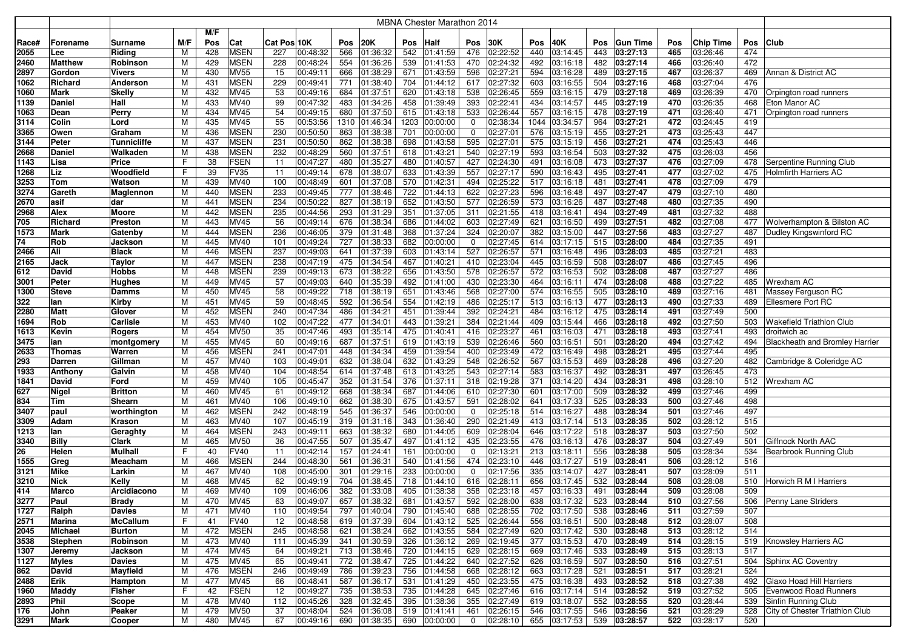|              |                |                   |        |            |                            |             |                      |            |                      |            | <b>MBNA Chester Marathon 2014</b> |                |                      |            |                           |            |                      |            |                      |            |                                              |
|--------------|----------------|-------------------|--------|------------|----------------------------|-------------|----------------------|------------|----------------------|------------|-----------------------------------|----------------|----------------------|------------|---------------------------|------------|----------------------|------------|----------------------|------------|----------------------------------------------|
|              |                |                   |        | M/F        |                            |             |                      |            |                      |            |                                   |                |                      |            |                           |            |                      |            |                      |            |                                              |
| Race#        | Forename       | Surname           | M/F    | Pos        | Cat                        | Cat Pos 10K |                      | Pos        | <b>20K</b>           | Pos        | Half                              | Pos            | 30K                  | Pos        | 40K                       | <b>Pos</b> | <b>Gun Time</b>      | Pos        | Chip Time            | Pos        | <b>Club</b>                                  |
| 2055         | Lee            | Riding            | м      | 428        | <b>MSEN</b>                | 227         | 00:48:32             | 566        | 01:36:32             | 542        | 01:41:59                          | 476            | 02:22:52             | 440        | 03:14:45                  | 443        | 03:27:13             | 465        | 03:26:46             | 474        |                                              |
| 2460         | <b>Matthew</b> | Robinson          | М      | 429        | <b>MSEN</b>                | 228         | 00:48:24             | 554        | 01:36:26             | 539        | 01:41:53                          | 470            | 02:24:32             | 492        | 03:16:18                  | 482        | 03:27:14             | 466        | 03:26:40             | 472        |                                              |
| 2897         | Gordon         | Vivers            | M      | 430        | <b>MV55</b>                | 15          | 00:49:11             | 666        | 01:38:29             | 671        | 01:43:59                          | 596            | 02:27:21             | 594        | 03:16:28                  | 489        | 03:27:15             | 467        | 03:26:37             | 469        | Annan & District AC                          |
| 1062         | Richard        | Anderson          | М      | 431        | <b>MSEN</b>                | 229         | 00:49:41             | 771        | 01:38:40             | 704        | 01:44:12                          | 617            | 02:27:32             | 603        | 03:16:55                  | 504        | 03:27:16             | 468        | 03:27:04             | 476        |                                              |
| 1060         | Mark           | Skelly            | М      | 432        | MV45                       | 53          | 00:49:16             | 684        | 01:37:51             | 620        | 01:43:18                          | 538            | 02:26:45             | 559        | 03:16:15                  | 479        | 03:27:18             | 469        | 03:26:39             | 470        | Orpington road runners                       |
| 1139         | Daniel         | Hall              | М      | 433        | MV40                       | 99          | 00:47:32             | 483        | 01:34:26             | 458        | 01:39:49                          | 393            | 02:22:41             | 434        | 03:14:57                  | 445        | 03:27:19             | 470        | 03:26:35             | 468        | Eton Manor AC                                |
| 1063         | Dean           | Perry             | М      | 434        | MV45                       | 54          | 00:49:15             | 680        | 01:37:50             | 615        | 01:43:18                          | 533            | 02:26:44             | 557        | 03:16:15                  | 478        | 03:27:19             | 471        | 03:26:40             | 471        | Orpington road runners                       |
| 3114         | Colin          | Lord              | м      | 435        | MV45                       | 55          | 00:53:56             | 1310       | 01:46:34             |            | 1203 00:00:00                     | 0              | 02:38:34             | 1044       | 03:34:57                  | 964        | 03:27:21             | 472        | 03:24:45             | 419        |                                              |
| 3365         | Owen           | Graham            | М      | 436        | <b>MSEN</b>                | 230         | 00:50:50             | 863        | 01:38:38             | 701        | 00:00:00                          | 0              | 02:27:01             | 576        | 03:15:19                  | 455        | 03:27:21             | 473        | 03:25:43             | 447        |                                              |
| 3144         | Peter          | Tunnicliffe       | M      | 437        | <b>MSEN</b>                | 231         | 00:50:50             | 862        | 01:38:38             | 698        | 01:43:58                          | 595            | 02:27:01             | 575        | 03:15:19                  | 456        | 03:27:21             | 474        | 03:25:43             | 446        |                                              |
| 2668         | Daniel         | Walkaden          | M      | 438        | <b>MSEN</b>                | 232         | 00:48:29             | 560        | 01:37:51             | 618        | 01:43:21                          | 540            | 02:27:19             | 593        | 03:16:54                  | 503        | 03:27:32             | 475        | 03:26:03             | 456        |                                              |
| 1143         | Lisa           | Price             | F      | 38         | <b>FSEN</b>                | 11          | 00:47:27             | 480        | 01:35:27             | 480        | 01:40:57                          | 427            | 02:24:30             | 491        | 03:16:08                  | 473        | 03:27:37             | 476        | 03:27:09             | 478        | Serpentine Running Club                      |
| 1268         | Liz            | Woodfield         | F      | 39         | <b>FV35</b>                | 11          | 00:49:14             | 678        | 01:38:07             | 633        | 01:43:39                          | 557            | 02:27:17             | 590        | 03:16:43                  | 495        | 03:27:41             | 477        | 03:27:02             | 475        | Holmfirth Harriers AC                        |
| 3253         | Tom            | Watson            | M      | 439        | MV40                       | 100         | 00:48:49             | 601        | 01:37:08             | 570        | 01:42:31                          | 494            | 02:25:22             | 517        | 03:16:18                  | 481        | 03:27:41             | 478        | 03:27:09             | 479        |                                              |
| 3274         | Gareth         | Maglennon         | М      | 440        | <b>MSEN</b>                | 233         | 00:49:45             | 777        | 01:38:46             | 722        | 01:44:13                          | 622            | 02:27:23             | 596        | 03:16:48                  | 497        | 03:27:47             | 479        | 03:27:10             | 480        |                                              |
| 2670         | asif           | dar               | M      | 441        | <b>MSEN</b>                | 234         | 00:50:22             | 827        | 01:38:19             | 652        | 01:43:50                          | 577            | 02:26:59             | 573        | 03:16:26                  | 487        | 03:27:48             | 480        | 03:27:35             | 490        |                                              |
| 2968         | Alex           | Moore             | M      | 442        | <b>MSEN</b>                | 235         | 00:44:56             | 293        | 01:31:29             | 351        | 01:37:05                          | 311            | 02:21:55             | 418        | 03:16:41                  | 494        | 03:27:49             | 481        | 03:27:32             | 488        |                                              |
| 705          | Richard        | Preston           | М      | 443        | MV45                       | 56          | 00:49:14             | 676        | 01:38:34             | 686        | 01:44:02                          | 603            | 02:27:49             | 621        | 03:16:50                  | 499        | 03:27:51             | 482        | 03:27:08             | 477        | Wolverhampton & Bilston AC                   |
| 1573         | Mark           | Gatenby           | М      | 444        | <b>MSEN</b>                | 236         | 00:46:05             | 379        | 01:31:48             | 368        | 01:37:24                          | 324            | 02:20:07             | 382        | 03:15:00                  | 447        | 03:27:56             | 483        | 03:27:27             | 487        | Dudley Kingswinford RC                       |
| 74           | Rob            | Jackson           | м      | 445        | MV40                       | 101         | 00:49:24             | 727        | 01:38:33             | 682        | 00:00:00                          | $\mathbf 0$    | 02:27:45             | 614        | 03:17:15                  | 515        | 03:28:00             | 484        | 03:27:35             | 491        |                                              |
| 2466         | Ali            | <b>Black</b>      | М      | 446        | <b>MSEN</b>                | 237         | 00:49:03             | 641        | 01:37:39             | 603        | 01:43:14                          | 527            | 02:26:57             | 571        | 03:16:48                  | 496        | 03:28:03             | 485        | 03:27:21             | 483        |                                              |
| 2165         | Jack           | Taylor            | М      | 447        | <b>MSEN</b>                | 238         | 00:47:19             | 475        | 01:34:54             | 467        | 01:40:21                          | 410            | 02:23:04             | 445        | 03:16:59                  | 508        | 03:28:07             | 486        | 03:27:45             | 496        |                                              |
| 612          | David          | Hobbs             | M      | 448        | <b>MSEN</b>                | 239         | 00:49:13             | 673        | 01:38:22             | 656        | 01:43:50                          | 578            | 02:26:57             | 572        | 03:16:53                  | 502        | 03:28:08             | 487        | 03:27:27             | 486        |                                              |
| 3001         | Peter          | Hughes            | M      | 449        | MV45                       | 57          | 00:49:03             | 640        | 01:35:39             | 492        | 01:41:00                          | 430            | 02:23:30             | 464        | 03:16:11                  | 474        | 03:28:08             | 488        | 03:27:22             | 485        | Wrexham AC                                   |
| 1300         | <b>Steve</b>   | Damms             | M      | 450        | MV45                       | 58          | 00:49:22             | 718        | 01:38:19             | 651        | 01:43:46                          | 568            | 02:27:00             | 574        | 03:16:55                  | 505        | 03:28:10             | 489        | 03:27:16             | 481        | Massey Ferguson RC                           |
| 322          | lan            | Kirby             | M      | 451        | MV45                       | 59          | 00:48:45             | 592        | 01:36:54             | 554        | 01:42:19                          | 486            | 02:25:17             | 513        | 03:16:13                  | 477        | 03:28:13             | 490        | 03:27:33             | 489        | Ellesmere Port RC                            |
| 2280         | Matt           | Glover            | M      | 452        | <b>MSEN</b>                | 240         | 00:47:34             | 486        | 01:34:21             | 451        | 01:39:44                          | 392            | 02:24:21             | 484        | 03:16:12                  | 475        | 03:28:14             | 491        | 03:27:49             | 500        |                                              |
| 1694         | Rob            | Carlisle          | M      | 453        | MV40                       | 102         | 00:47:22             | 477        | 01:34:01             | 443        | 01:39:21                          | 384            | 02:21:44             | 409        | 03:15:44                  | 466        | 03:28:18             | 492        | 03:27:50             | 503        | Wakefield Triathlon Club                     |
| 1613         | Kevin          | Rogers            | M      | 454        | <b>MV50</b>                | 35          | 00:47:46             | 493        | 01:35:14             | 475        | 01:40:41                          | 416            | 02:23:27             | 461        | 03:16:03                  | 471        | 03:28:18             | 493        | 03:27:41             | 493        | droitwich ac                                 |
| 3475         | ian            | montgomery        | M      | 455        | MV45                       | 60          | 00:49:16             | 687        | 01:37:51             | 619        | 01:43:19                          | 539            | 02:26:46             | 560        | 03:16:51                  | 501        | 03:28:20             | 494        | 03:27:42             | 494        | <b>Blackheath and Bromley Harrier</b>        |
| 2633         | <b>Thomas</b>  | Warren            | м      | 456        | <b>MSEN</b>                | 241         | 00:47:01             | 448        | 01:34:34             | 459        | 01:39:54                          | 400            | 02:23:49             | 472        | 03:16:49                  | 498        | 03:28:21             | 495        | 03:27:44             | 495        |                                              |
| 293          | Darren         | Gillman           | м      | 457        | MV40                       | 103         | 00:49:01             | 632        | 01:38:04             | 632        | 01:43:29                          | 548            | 02:26:52             | 567        | 03:15:53                  | 469        | 03:28:28             | 496        | 03:27:20             | 482        | Cambridge & Coleridge AC                     |
| 1933         | Anthony        | Galvin            | м      | 458        | MV40                       | 104         | 00:48:54             | 614        | 01:37:48             | 613        | 01:43:25                          | 543            | 02:27:14             | 583        | 03:16:37                  | 492        | 03:28:31             | 497        | 03:26:45             | 473        |                                              |
| 1841         | David          | Ford              | М      | 459        | MV40                       | 105         | 00:45:47             | 352        | 01:31:54             | 376        | 01:37:11                          | 318            | 02:19:28             | 371        | 03:14:20                  | 434        | 03:28:31             | 498        | 03:28:10             | 512        | Wrexham AC                                   |
| 627          | Nigel          | Britton           | М      | 460        | MV45                       | 61          | 00:49:12             | 668        | 01:38:34             | 687        | 01:44:06                          | 610            | 02:27:30             | 601        | 03:17:00                  | 509        | 03:28:32             | 499        | 03:27:46             | 499        |                                              |
| 834          | Tim            | Shearn            | М      | 461        | MV40                       | 106         | 00:49:10             | 662        | 01:38:30             | 675        | 01:43:57                          | 591            | 02:28:02             | 641        | 03:17:33                  | 525        | 03:28:33             | 500        | 03:27:46             | 498        |                                              |
| 3407         | paul           | worthington       | M      | 462        | <b>MSEN</b>                | 242         | 00:48:19             | 545        | 01:36:37             | 546        | 00:00:00                          | 0              | 02:25:18             | 514        | 03:16:27                  | 488        | 03:28:34             | 501        | 03:27:46             | 497        |                                              |
| 3309         | Adam           | Krason            | M      | 463        | MV40                       | 107         | 00:45:19             | 319        | 01:31:16             | 343        | 01:36:40                          | 290            | 02:21:49             | 413        | 03:17:14                  | 513        | 03:28:35             | 502        | 03:28:12             | 515        |                                              |
| 1213         | lan            | Geraghty          | M      | 464        | <b>MSEN</b>                | 243         | 00:49:11             | 663        | 01:38:32             | 680        | 01:44:05                          | 609            | 02:28:04             | 646        | 03:17:22                  | 518        | 03:28:37             | 503        | 03:27:50             | 502        |                                              |
| 3340         | <b>Billy</b>   | Clark<br>Mulhall  | М<br>F | 465        | <b>MV50</b><br><b>FV40</b> | 36          | 00:47:55<br>00:42:14 | 507<br>157 | 01:35:47             | 497        | 01:41:12                          | 435            | 02:23:55<br>02:13:21 | 476        | 03:16:13                  | 476        | 03:28:37<br>03:28:38 | 504<br>505 | 03:27:49<br>03:28:34 | 501        | Giffnock North AAC<br>Bearbrook Running Club |
| 26           | Helen          |                   |        | 40         | <b>MSEN</b>                | 11<br>244   | 00:48:30             | 561        | 01:24:41             | 161        | 00:00:00<br>01:41:56              | 0<br>474       | 02:23:10             | 213        | 03:18:11<br>03:17:27      | 556        | 03:28:41             | 506        |                      | 534<br>516 |                                              |
| 1555<br>3121 | Greg<br>Mike   | Meacham<br>Larkin | М<br>м | 466<br>467 | MV40                       | 108         | 00:45:00             | 301        | 01:36:31<br>01:29:16 | 540<br>233 | 00:00:00                          | 0              | 02:17:56             | 446<br>335 | 03:14:07                  | 519<br>427 | 03:28:41             | 507        | 03:28:12<br>03:28:09 | 511        |                                              |
| 3210         | <b>Nick</b>    | Kelly             | м      | 468        | MV45                       | 62          | 00:49:19             | 704        | 01:38:45             | 718        | 01:44:10                          | 616            | 02:28:11             | 656        | 03:17:45                  | 532        | 03:28:44             | 508        | 03:28:08             | 510        | Horwich R M I Harriers                       |
| 414          | Marco          | Arcidiacono       | М      | 469        | MV40                       | 109         | 00:46:06             | 382        | 01:33:08             | 405        | 01:38:38                          | 358            | 02:23:18             | 457        | 03:16:33                  | 491        | 03:28:44             | 509        | 03:28:08             | 509        |                                              |
| 3277         | Paul           | Brady             | M      | 470        | MV45                       | 63          | 00:49:07             |            | 657 01:38:32         | 681        | 01:43:57                          |                | 592 02:28:00         |            | 638 03:17:32              | 523        | 03:28:44             | 510        | 03:27:56             |            | 506 Penny Lane Striders                      |
| 1727         | Ralph          | Davies            | м      | 471        | <b>MV40</b>                | 110         | 00:49:54             |            | 797 01:40:04         |            | 790 01:45:40                      |                | 688 02:28:55         |            | 702 03:17:50              |            | 538 03:28:46         | 511        | 03:27:59             | 507        |                                              |
| 2571         | Marina         | McCallum          | F      | 41         | <b>FV40</b>                | 12          | 00:48:58             |            | 619 01:37:39         |            | 604 01:43:12                      |                | 525 02:26:44         |            | 556 03:16:51              |            | 500 03:28:48         | 512        | 03:28:07             | 508        |                                              |
| 2045         | <b>Michael</b> | Burton            | м      | 472        | <b>MSEN</b>                | 245         | 00:48:58             | 621        | 01:38:24             |            | 662 01:43:55                      |                | 584 02:27:49         |            | 620 03:17:42              |            | 530 03:28:48         | 513        | 03:28:12             | 514        |                                              |
| 3538         | Stephen        | Robinson          | М      | 473        | <b>MV40</b>                | 111         | 00:45:39             | 341        | 01:30:59             |            | 326 01:36:12                      |                | 269 02:19:45         |            | 377 03:15:53 470 03:28:49 |            |                      | 514        | 03:28:15             |            | 519 Knowsley Harriers AC                     |
| 1307         | Jeremy         | Jackson           | M      | 474        | <b>MV45</b>                | 64          | 00:49:21             |            | 713 01:38:46         |            | 720 01:44:15                      |                | 629 02:28:15         |            | 669 03:17:46              |            | 533 03:28:49         | 515        | 03:28:13             | 517        |                                              |
| 1127         | Myles          | <b>Davies</b>     | M      | 475        | <b>MV45</b>                | 65          | 00:49:41             |            | 772 01:38:47         |            | 725 01:44:22                      |                | 640 02:27:52         |            | 626 03:16:59 507 03:28:50 |            |                      | 516        | 03:27:51             |            | 504 Sphinx AC Coventry                       |
| 862          | David          | Mayfield          | M      | 476        | <b>MSEN</b>                | 246         | 00:49:49             | 786        | 01:39:23             |            | 756 01:44:58                      |                | 668 02:28:12         |            | 663 03:17:28              |            | 521 03:28:51         | 517        | 03:28:21             | 524        |                                              |
| 2488         | Erik           | Hampton           | M      | 477        | <b>MV45</b>                | 66          | 00:48:41             | 587        | 01:36:17             | 531        | 01:41:29                          | 450            | 02:23:55             |            | 475 03:16:38              |            | 493 03:28:52         | 518        | 03:27:38             |            | 492 Glaxo Hoad Hill Harriers                 |
| 1960         | Maddy          | Fisher            | F      | 42         | <b>FSEN</b>                | 12          | 00:49:27             | 735        | 01:38:53             | 735        | 01:44:28                          | 645            | 02:27:46             |            | $616$ 03:17:14            |            | 514 03:28:52         | 519        | 03:27:52             | 505        | Evenwood Road Runners                        |
| 2893         | Phil           | Scope             | M      | 478        | <b>MV40</b>                | 112         | 00:45:26             | 328        | 01:32:45             | 395        | 01:38:36                          |                | 355 02:27:49         |            | 619 03:18:07              |            | 552 03:28:55         | 520        | 03:28:44             |            | 539 Sinfin Running Club                      |
| 176          | John           | Peaker            | м      | 479        | <b>MV50</b>                | 37          | 00:48:04             | 524        | 01:36:08             |            | 519 01:41:41                      | 461            | 02:26:15             |            | 546 03:17:55              |            | 546 03:28:56         | 521        | 03:28:29             | 528        | City of Chester Triathlon Club               |
| 3291         | <b>Mark</b>    | Cooper            | M      | 480        | <b>MV45</b>                | 67          | 00:49:16             |            | 690 01:38:35         |            | 690 00:00:00                      | $\overline{0}$ | 02:28:10             |            | 655 03:17:53              |            | 539 03:28:57         | 522        | 03:28:17             | 520        |                                              |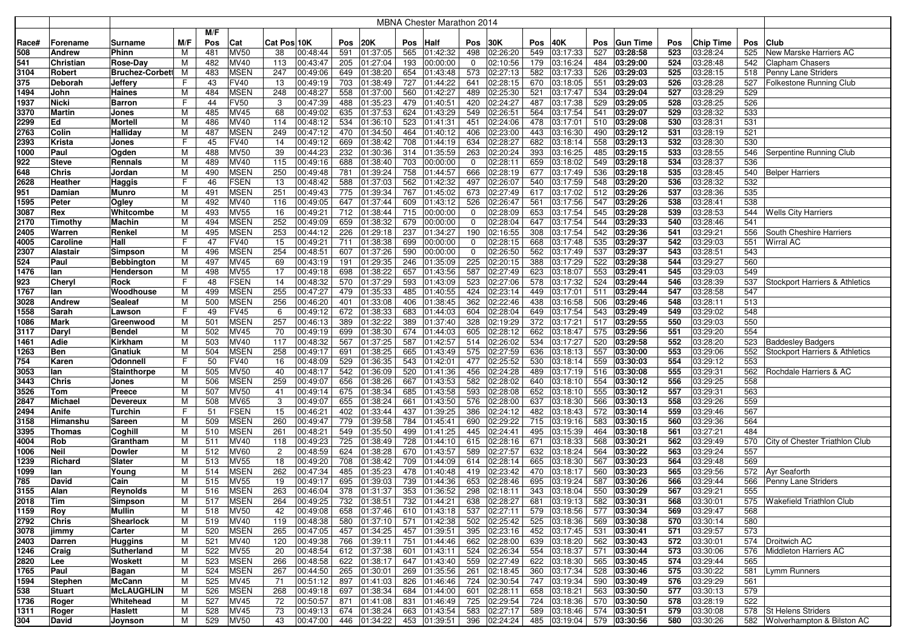|              |                   |                          |        |            |                            |                |                      |            |                      |            | <b>MBNA Chester Marathon 2014</b> |             |                      |            |                           |            |                      |            |                      |            |                                           |
|--------------|-------------------|--------------------------|--------|------------|----------------------------|----------------|----------------------|------------|----------------------|------------|-----------------------------------|-------------|----------------------|------------|---------------------------|------------|----------------------|------------|----------------------|------------|-------------------------------------------|
|              |                   |                          |        | M/F        |                            |                |                      |            |                      |            |                                   |             |                      |            |                           |            |                      |            |                      |            |                                           |
| Race#        | Forename          | Surname                  | M/F    | Pos        | Cat                        | Cat Pos 10K    |                      | Pos        | 20K                  | Pos        | <b>Half</b>                       | Pos         | 30K                  | Pos        | 40K                       | <b>Pos</b> | <b>Gun Time</b>      | Pos        | Chip Time            | Pos        | ∣Club                                     |
| 508          | <b>Andrew</b>     | Phinn                    | м      | 481        | <b>MV50</b>                | 38             | 00:48:44             | 591        | 01:37:05             | 565        | 01:42:32                          | 498         | 02:26:20             | 549        | 03:17:33                  | 527        | 03:28:58             | 523        | 03:28:24             | 525        | New Marske Harriers AC                    |
| 541          | Christian         | Rose-Day                 | M      | 482        | MV40                       | 113            | 00:43:47             | 205        | 01:27:04             | 193        | 00:00:00                          | $\mathbf 0$ | 02:10:56             | 179        | 03:16:24                  | 484        | 03:29:00             | 524        | 03:28:48             | 542        | <b>Clapham Chasers</b>                    |
| 3104         | Robert            | <b>Bruchez-Corbett</b>   | м      | 483        | <b>MSEN</b>                | 247            | 00:49:06             | 649        | 01:38:20             | 654        | 01:43:48                          | 573         | 02:27:13             | 582        | 03:17:33                  | 526        | 03:29:03             | 525        | 03:28:15             | 518        | Penny Lane Striders                       |
| 375          | Deborah           | Jeffery                  | F      | 43         | FV40                       | 13             | 00:49:19             | 703        | 01:38:49             | 727        | 01:44:22                          | 641         | 02:28:15             | 670        | 03:18:05                  | 551        | 03:29:03             | 526        | 03:28:28             | 527        | Folkestone Running Club                   |
| 1494         | John              | Haines                   | M      | 484        | <b>MSEN</b>                | 248            | 00:48:27             | 558        | 01:37:00             | 560        | 01:42:27                          | 489         | 02:25:30             | 521        | 03:17:47                  | 534        | 03:29:04             | 527        | 03:28:29             | 529        |                                           |
| 1937         | Nicki             | <b>Barron</b>            | F      | 44         | FV50                       | 3              | 00:47:39             | 488        | 01:35:23             | 479        | 01:40:51                          | 420         | 02:24:27             | 487        | 03:17:38                  | 529        | 03:29:05             | 528        | 03:28:25             | 526        |                                           |
| 3370         | Martin            | Jones                    | м      | 485        | MV45                       | 68             | 00:49:02             | 635        | 01:37:53             | 624        | 01:43:29                          | 549         | 02:26:51             | 564        | 03:17:54                  | 541        | 03:29:07             | 529        | 03:28:32             | 533        |                                           |
| 2299         | Ed                | <b>Mortell</b>           | М      | 486        | MV40                       | 114            | 00:48:12             | 534        | 01:36:10             | 523        | 01:41:31                          | 451         | 02:24:06             | 478        | 03:17:01                  | 510        | 03:29:08             | 530        | 03:28:31             | 531        |                                           |
| 2763         | Colin             | Halliday                 | М      | 487        | <b>MSEN</b>                | 249            | 00:47:12             | 470        | 01:34:50             | 464        | 01:40:12                          | 406         | 02:23:00             | 443        | 03:16:30                  | 490        | 03:29:12             | 531        | 03:28:19             | 521        |                                           |
| 2393         | Krista            | Jones                    | F      | 45         | <b>FV40</b>                | 14             | 00:49:12             | 669        | 01:38:42             | 708        | 01:44:19                          | 634         | 02:28:27             | 682        | 03:18:14                  | 558        | 03:29:13             | 532        | 03:28:30             | 530        |                                           |
| 1000         | Paul              | Ogden                    | M      | 488        | <b>MV50</b>                | 39             | 00:44:23             | 232        | 01:30:36             | 314        | 01:35:59                          | 263         | 02:20:24             | 393        | 03:16:25                  | 485        | 03:29:15             | 533        | 03:28:55             | 546        | Serpentine Running Club                   |
| 922          | <b>Steve</b>      | Rennals                  | M      | 489        | MV40                       | 115            | 00:49:16             | 688        | 01:38:40             | 703        | 00:00:00                          | 0           | 02:28:11             | 659        | 03:18:02                  | 549        | 03:29:18             | 534        | 03:28:37             | 536        |                                           |
| 648          | <b>Chris</b>      | Jordan                   | М      | 490        | <b>MSEN</b>                | 250            | 00:49:48             | 781        | 01:39:24             | 758        | 01:44:57                          | 666         | 02:28:19             | 677        | 03:17:49                  | 536        | 03:29:18             | 535        | 03:28:45             |            | 540   Belper Harriers                     |
| 2628         | Heather           | <b>Haggis</b>            | F      | 46         | <b>FSEN</b>                | 13<br>251      | 00:48:42             | 588        | 01:37:03             | 562        | 01:42:32                          | 497         | 02:26:07             | 540        | 03:17:59                  | 548        | 03:29:20             | 536        | 03:28:32             | 532<br>535 |                                           |
| 951          | Damian<br>Peter   | Munro                    | М<br>M | 491<br>492 | <b>MSEN</b><br>MV40        | 116            | 00:49:43<br>00:49:05 | 775<br>647 | 01:39:34             | 767        | 01:45:02                          | 673<br>526  | 02:27:49<br>02:26:47 | 617<br>561 | 03:17:02                  | 512<br>547 | 03:29:26<br>03:29:26 | 537<br>538 | 03:28:36<br>03:28:41 | 538        |                                           |
| 1595<br>3087 | Rex               | Ogley<br>Whitcombe       | М      | 493        | <b>MV55</b>                | 16             | 00:49:21             | 712        | 01:37:44<br>01:38:44 | 609<br>715 | 01:43:12<br>00:00:00              | 0           | 02:28:09             | 653        | 03:17:56<br>03:17:54      | 545        | 03:29:28             | 539        | 03:28:53             | 544        | <b>Wells City Harriers</b>                |
| 2170         | Timothy           | Machin                   | M      | 494        | <b>MSEN</b>                | 252            | 00:49:09             | 659        | 01:38:32             | 679        | 00:00:00                          | 0           | 02:28:04             | 647        | 03:17:54                  | 544        | 03:29:33             | 540        | 03:28:46             | 541        |                                           |
| 2405         | Warren            | Renkel                   | м      | 495        | <b>MSEN</b>                | 253            | 00:44:12             | 226        | 01:29:18             | 237        | 01:34:27                          | 190         | 02:16:55             | 308        | 03:17:54                  | 542        | 03:29:36             | 541        | 03:29:21             | 556        | South Cheshire Harriers                   |
| 4005         | Caroline          | Hall                     | F      | 47         | <b>FV40</b>                | 15             | 00:49:21             | 711        | 01:38:38             | 699        | 00:00:00                          | $\mathbf 0$ | 02:28:15             | 668        | 03:17:48                  | 535        | 03:29:37             | 542        | 03:29:03             | 551        | <b>Wirral AC</b>                          |
| 2307         | <b>Alastair</b>   | Simpson                  | м      | 496        | <b>MSEN</b>                | 254            | 00:48:51             | 607        | 01:37:26             | 590        | 00:00:00                          | 0           | 02:26:50             | 562        | 03:17:49                  | 537        | 03:29:37             | 543        | 03:28:51             | 543        |                                           |
| 524          | Paul              | <b>Bebbington</b>        | M      | 497        | MV45                       | 69             | 00:43:19             | 191        | 01:29:35             | 246        | 01:35:09                          | 225         | 02:20:15             | 388        | 03:17:29                  | 522        | 03:29:38             | 544        | 03:29:27             | 560        |                                           |
| 1476         | lan               | Henderson                | M      | 498        | <b>MV55</b>                | 17             | 00:49:18             | 698        | 01:38:22             | 657        | 01:43:56                          | 587         | 02:27:49             | 623        | 03:18:07                  | 553        | 03:29:41             | 545        | 03:29:03             | 549        |                                           |
| 923          | Cheryl            | Rock                     | F      | 48         | <b>FSEN</b>                | 14             | 00:48:32             | 570        | 01:37:29             | 593        | 01:43:09                          | 523         | 02:27:06             | 578        | 03:17:32                  | 524        | 03:29:44             | 546        | 03:28:39             | 537        | <b>Stockport Harriers &amp; Athletics</b> |
| 1767         | lan               | Woodhouse                | M      | 499        | <b>MSEN</b>                | 255            | 00:47:27             | 479        | 01:35:33             | 485        | 01:40:55                          | 424         | 02:23:14             | 449        | 03:17:01                  | 511        | 03:29:44             | 547        | 03:28:58             | 547        |                                           |
| 3028         | <b>Andrew</b>     | Sealeaf                  | М      | 500        | <b>MSEN</b>                | 256            | 00:46:20             | 401        | 01:33:08             | 406        | 01:38:45                          | 362         | 02:22:46             | 438        | 03:16:58                  | 506        | 03:29:46             | 548        | 03:28:11             | 513        |                                           |
| 1558         | Sarah             | Lawson                   | F      | 49         | <b>FV45</b>                | 6              | 00:49:12             | 672        | 01:38:33             | 683        | 01:44:03                          | 604         | 02:28:04             | 649        | 03:17:54                  | 543        | 03:29:49             | 549        | 03:29:02             | 548        |                                           |
| 1086         | Mark              | Greenwood                | М      | 501        | <b>MSEN</b>                | 257            | 00:46:13             | 389        | 01:32:22             | 389        | 01:37:40                          | 328         | 02:19:29             | 372        | 03:17:21                  | 517        | 03:29:55             | 550        | 03:29:03             | 550        |                                           |
| 3117         | Dary              | Bendel                   | M      | 502        | <b>MV45</b>                | 70             | 00:49:19             | 699        | 01:38:30             | 674        | 01:44:03                          | 605         | 02:28:12             | 662        | 03:18:47                  | 575        | 03:29:56             | 551        | 03:29:20             | 554        |                                           |
| 1461         | Adie              | Kirkham                  | М      | 503        | MV40                       | 117            | 00:48:32             | 567        | 01:37:25             | 587        | 01:42:57                          | 514         | 02:26:02             | 534        | 03:17:27                  | 520        | 03:29:58             | 552        | 03:28:20             | 523        | <b>Baddesley Badgers</b>                  |
| 1263         | <b>Ben</b>        | Gnatiuk                  | м      | 504        | <b>MSEN</b>                | 258            | 00:49:17             | 691        | 01:38:25             | 665        | 01:43:49                          | 575         | 02:27:59             | 636        | 03:18:13                  | 557        | 03:30:00             | 553        | 03:29:06             | 552        | Stockport Harriers & Athletics            |
| 754          | Karen             | Odonnell                 | F      | 50         | <b>FV40</b>                | 16             | 00:48:09             | 529        | 01:36:35             | 543        | 01:42:01                          | 477         | 02:25:52             | 530        | 03:18:14                  | 559        | 03:30:03             | 554        | 03:29:12             | 553        |                                           |
| 3053         | lan               | Stainthorpe              | м      | 505        | <b>MV50</b>                | 40             | 00:48:17             | 542        | 01:36:09             | 520        | 01:41:36                          | 456         | 02:24:28             | 489        | 03:17:19                  | 516        | 03:30:08             | 555        | 03:29:31             | 562        | Rochdale Harriers & AC                    |
| 3443         | <b>Chris</b>      | Jones                    | M      | 506        | <b>MSEN</b>                | 259            | 00:49:07             | 656        | 01:38:26             | 667        | 01:43:53                          | 582         | 02:28:02             | 640        | 03:18:10                  | 554        | 03:30:12             | 556        | 03:29:25             | 558        |                                           |
| 3526         | Tom               | Preece                   | M      | 507        | <b>MV50</b>                | 41             | 00:49:14             | 675        | 01:38:34             | 685        | 01:43:58                          | 593         | 02:28:08             | 652        | 03:18:10                  | 555        | 03:30:12             | 557        | 03:29:31             | 563        |                                           |
| 2847         | <b>Michael</b>    | <b>Devereux</b>          | M<br>F | 508        | <b>MV65</b><br><b>FSEN</b> | 3<br>15        | 00:49:07             | 655        | 01:38:24             | 661<br>437 | 01:43:50                          | 576<br>386  | 02:28:00<br>02:24:12 | 637        | 03:18:30                  | 566        | 03:30:13             | 558<br>559 | 03:29:26<br>03:29:46 | 559<br>567 |                                           |
| 2494<br>3158 | Anife<br>Himanshu | <b>Turchin</b><br>Sareen | M      | 51<br>509  | <b>MSEN</b>                | 260            | 00:46:21<br>00:49:47 | 402<br>779 | 01:33:44<br>01:39:58 | 784        | 01:39:25<br>01:45:41              | 690         | 02:29:22             | 482<br>715 | 03:18:43<br>03:19:16      | 572<br>583 | 03:30:14<br>03:30:15 | 560        | 03:29:36             | 564        |                                           |
| 3395         | Thomas            | Coghill                  | М      | 510        | <b>MSEN</b>                | 261            | 00:48:21             | 549        | 01:35:50             | 499        | 01:41:25                          | 445         | 02:24:41             | 495        | 03:15:39                  | 464        | 03:30:18             | 561        | 03:27:21             | 484        |                                           |
| 4004         | Rob               | Grantham                 | М      | 511        | MV40                       | 118            | 00:49:23             | 725        | 01:38:49             | 728        | 01:44:10                          | 615         | 02:28:16             | 671        | 03:18:33                  | 568        | 03:30:21             | 562        | 03:29:49             | 570        | City of Chester Triathlon Club            |
| 1006         | <b>Neil</b>       | Dowler                   | M      | 512        | <b>MV60</b>                | $\overline{2}$ | 00:48:59             | 624        | 01:38:28             | 670        | 01:43:57                          | 589         | 02:27:57             | 632        | 03:18:24                  | 564        | 03:30:22             | 563        | 03:29:24             | 557        |                                           |
| 1239         | Richard           | Slater                   | М      | 513        | <b>MV55</b>                | 18             | 00:49:20             | 708        | 01:38:42             | 709        | 01:44:09                          | 614         | 02:28:14             | 665        | 03:18:30                  | 567        | 03:30:23             | 564        | 03:29:48             | 569        |                                           |
| 1099         | lan               | Young                    | М      | 514        | <b>MSEN</b>                | 262            | 00:47:34             | 485        | 01:35:23             | 478        | 01:40:48                          | 419         | 02:23:42             | 470        | 03:18:17                  | 560        | 03:30:23             | 565        | 03:29:56             | 572        | <b>Ayr Seaforth</b>                       |
| 785          | David             | Cain                     | M      | 515        | MV55                       | 19             | 00:49:17             | 695        | 01:39:03             | 739        | 01:44:36                          | 653         | 02:28:46             | 695        | 03:19:24                  | 587        | 03:30:26             | 566        | 03:29:44             | 566        | Penny Lane Striders                       |
| 3155         | Alan              | Reynolds                 | м      | 516        | MSEN                       | 263            | 00:46:04             | 378        | 01:31:37             | 353        | 01:36:52                          | 298         | 02:18:11             | 343        | 03:18:04                  | 550        | 03:30:29             | 567        | 03:29:21             | 555        |                                           |
| 2018         | Tim               | Simpson                  | м      | 517        | MSEN                       | 264            | 00:49:25             | 732        | 01:38:51             |            | 732 01:44:21                      | 638         | 02:28:27             | 681        | 03:19:13                  | 582        | 03:30:31             | 568        | 03:30:01             |            | 575   Wakefield Triathlon Club            |
| 1159         | Roy               | Mullin                   | М      | 518        | <b>MV50</b>                | 42             | 00:49:08             | 658        | 01:37:46             |            | 610 01:43:18                      |             | 537 02:27:11         |            | 579 03:18:56 577 03:30:34 |            |                      | 569        | 03:29:47             | 568        |                                           |
| 2792         | Chris             | <b>Shearlock</b>         | M      | 519        | <b>MV40</b>                | 119            | 00:48:38             | 580        | 01:37:10             |            | 571 01:42:38                      |             | 502 02:25:42         |            | 525 03:18:36              |            | 569 03:30:38         | 570        | 03:30:14             | 580        |                                           |
| 3078         | jimmy             | Carter                   | М      | 520        | <b>MSEN</b>                | 265            | 00:47:05             | 457        | 01:34:25             |            | 457 01:39:51                      |             | 395 02:23:16         |            | 452 03:17:45 531 03:30:41 |            |                      | 571        | 03:29:57             | 573        |                                           |
| 2403         | <b>Darren</b>     | Huggins                  | М      | 521        | <b>MV40</b>                | 120            | 00:49:38             | 766        | 01:39:11             |            | 751 01:44:46                      |             | 662 02:28:00         |            | 639 03:18:20              |            | 562 03:30:43         | 572        | 03:30:01             |            | 574 Droitwich AC                          |
| 1246         | Craig             | Sutherland               | м      | 522        | <b>MV55</b>                | 20             | 00:48:54             | 612        | 01:37:38             | 601        | 01:43:11                          | 524         | 02:26:34             |            | 554 03:18:37              |            | 571 03:30:44         | 573        | 03:30:06             | 576        | Middleton Harriers AC                     |
| 2820         | Lee               | Woskett                  | м      | 523        | <b>MSEN</b>                | 266            | 00:48:58             | 622        | 01:38:17             |            | 647 01:43:40                      |             | 559 02:27:49         |            | 622 03:18:30              |            | 565 03:30:45         | 574        | 03:29:44             | 565        |                                           |
| 1765         | Paul              | Bagan                    | М      | 524        | <b>MSEN</b>                | 267            | 00:44:50             | 265        | 01:30:01             |            | 269 01:35:56                      |             | 261 02:18:45         |            | 360 03:17:34              |            | 528 03:30:46         | 575        | 03:30:22             | 581        | Lymm Runners                              |
| 1594         | Stephen           | <b>McCann</b>            | M      | 525        | <b>MV45</b>                | 71             | 00:51:12             | 897        | 01:41:03             |            | 826 01:46:46                      | 724         | 02:30:54             |            | 747 03:19:34              |            | 590 03:30:49         | 576        | 03:29:29             | 561        |                                           |
| 538          | <b>Stuart</b>     | <b>McLAUGHLIN</b>        | M      | 526        | <b>MSEN</b>                | 268            | 00:49:18             | 697        | 01:38:34             |            | 684 01:44:00                      | 601         | 02:28:11             |            | 658 03:18:21              |            | 563 03:30:50         | 577        | 03:30:13             | 579        |                                           |
| 1736         | Roger             | Whitehead                | М      | 527        | <b>MV45</b>                | 72             | 00:50:57             | 871        | 01:41:08             |            | $\overline{831}$ 01:46:49         | 725         | 02:29:54             |            | 724 03:18:36              |            | 570 03:30:50         | 578        | 03:28:19             | 522        |                                           |
| 1311         | Roger             | Haslett                  | M      | 528        | MV45                       | 73             | 00:49:13             | 674        | 01:38:24             |            | 663 01:43:54                      | 583         | 02:27:17             |            | 589 03:18:46              |            | 574 03:30:51         | 579        | 03:30:08             |            | 578 St Helens Striders                    |
| 304          | David             | Joynson                  | M      | 529        | <b>MV50</b>                | 43             | 00:47:00             | 446        | 01:34:22             |            | 453 01:39:51                      |             | 396 02:24:24         |            | 485 03:19:04 579 03:30:56 |            |                      | 580        | 03:30:26             |            | 582 Wolverhampton & Bilston AC            |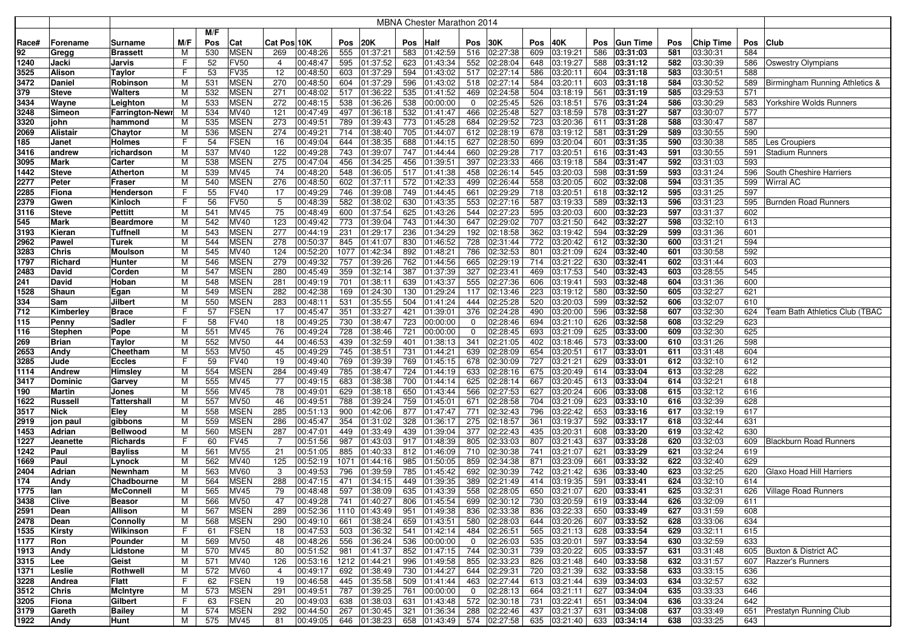| M/F<br>M/F<br>Pos<br>20K<br>30K<br>Pos<br>40K<br>Cat<br>Cat Pos 10K<br>Pos<br>Pos<br>Half<br><b>Pos</b><br><b>Gun Time</b><br>Pos<br><b>Chip Time</b><br>Pos<br><b>Club</b><br>Race#<br>Forename<br>Surname<br>Pos<br>555<br>583<br>609<br>586<br>581<br>584<br>92<br>530<br><b>MSEN</b><br>01:37:21<br>01:42:59<br>02:27:38<br>03:19:21<br>03:31:03<br>03:30:31<br>M<br>269<br>00:48:26<br>516<br>Gregg<br>Brassett<br>52<br>623<br>552<br>02:28:04<br>588<br>1240<br><b>FV50</b><br>00:48:47<br>595<br>01:37:52<br>01:43:34<br>648<br>03:19:27<br>03:31:12<br>582<br>03:30:39<br>586<br><b>Oswestry Olympians</b><br>Jacki<br>Jarvis<br>F<br>4<br><b>FV35</b><br>00:48:50<br>594<br>01:43:02<br>02:27:14<br>586<br>03:30:51<br>3525<br><b>Alison</b><br>F<br>53<br>12<br>603<br>01:37:29<br>517<br>03:20:11<br>604<br>03:31:18<br>583<br>588<br>Taylor<br><b>MSEN</b><br>270<br>02:27:14<br>03:30:52<br>3472<br>531<br>00:48:50<br>604<br>01:37:29<br>596<br>01:43:02<br>518<br>584<br>03:20:11<br>603<br>03:31:18<br>584<br>589<br>Daniel<br>Robinson<br>M<br><b>MSEN</b><br>532<br>271<br>00:48:02<br>535<br>01:41:52<br>469<br>02:24:58<br>504<br>03:18:19<br>561<br>585<br>03:29:53<br>571<br>379<br>M<br>517<br>01:36:22<br>03:31:19<br><b>Steve</b><br>Walters<br><b>MSEN</b><br>272<br>00:48:15<br>02:25:45<br>526<br>586<br>03:30:29<br>3434<br>533<br>538<br>01:36:26<br>538<br>00:00:00<br>03:18:51<br>03:31:24<br>583<br>Wayne<br>Leighton<br>M<br>0<br>576<br>Yorkshire Wolds Runners<br>532<br>02:25:48<br>527<br>587<br>03:30:07<br>577<br>534<br>MV40<br>121<br>00:47:49<br>497<br>01:41:47<br>466<br>03:18:59<br>578<br>03:31:27<br>3248<br>Simeon<br>Farrington-Newr<br>м<br>01:36:18<br><b>MSEN</b><br>00:49:51<br>789<br>684<br>02:29:52<br>723<br>588<br>03:30:47<br>587<br>3320<br>535<br>273<br>01:39:43<br>773<br> 01:45:28<br>03:20:36<br>611<br>03:31:28<br>john<br>hammond<br>M<br>274<br>590<br>2069<br>Alistair<br>M<br>536<br>MSEN<br>00:49:21<br>714<br>01:38:40<br>705<br> 01:44:07<br>612<br>02:28:19<br>678<br>03:19:12<br>581<br>03:31:29<br>589<br>03:30:55<br>Chaytor<br><b>FSEN</b><br>16<br>00:49:04<br>01:38:35<br>688<br>627<br>02:28:50<br>699<br>03:20:04<br>03:31:35<br>590<br>03:30:38<br>585<br>185<br>F<br>54<br>644<br>01:44:15<br>601<br>Les Croupiers<br>Janet<br>Holmes<br>M<br>537<br>122<br>743<br>747<br>660<br>02:29:28<br>717<br>03:20:51<br>03:30:55<br>591<br>MV40<br>00:49:28<br>01:39:07<br> 01:44:44<br>616<br>03:31:43<br>591<br><b>Stadium Runners</b><br>3416<br>richardson<br>andrew<br>538<br><b>MSEN</b><br>275<br>00:47:04<br>456<br>01:34:25<br>456<br>01:39:51<br>397<br>02:23:33<br>466<br>03:19:18<br>584<br>592<br>03:31:03<br>593<br>3095<br>Mark<br>M<br>03:31:47<br>Carter<br>74<br>M<br>539<br><b>MV45</b><br>517<br>458<br>02:26:14<br>545<br>598<br>593<br>03:31:24<br>596<br>1442<br><b>Steve</b><br>00:48:20<br>548<br>01:36:05<br> 01:41:38<br>03:20:03<br>03:31:59<br>South Cheshire Harriers<br>Atherton<br><b>MSEN</b><br>276<br>00:48:50<br>572<br>01:42:33<br>02:26:44<br>558<br>03:20:05<br>03:31:35<br>599<br>2277<br>Peter<br>M<br>540<br>602<br>01:37:11<br>499<br>602<br>03:32:08<br>594<br><b>Wirral AC</b><br>Fraser<br>749<br>02:29:29<br>03:31:25<br>597<br>2285<br>55<br><b>FV40</b><br>17<br>00:49:29<br>746<br>01:39:08<br>01:44:45<br>661<br>718<br>03:20:51<br>618<br>03:32:12<br>595<br>Fiona<br>Henderson<br>F<br><b>FV50</b><br>5<br>02:27:16<br>03:32:13<br>03:31:23<br>2379<br>Kinloch<br>F<br>56<br>00:48:39<br>582<br>01:38:02<br>630<br>01:43:35<br>553<br>587<br>03:19:33<br>589<br>596<br>595<br>Burnden Road Runners<br>Gwen<br>75<br><b>MV45</b><br>00:48:49<br>600<br>01:37:54<br>625<br>01:43:26<br>544<br>02:27:23<br>595<br>03:20:03<br>03:32:23<br>597<br>03:31:37<br>602<br><b>Steve</b><br>Pettitt<br>M<br>541<br>600<br>3116<br>123<br>743<br>02:29:02<br>707<br>598<br>03:32:10<br>542<br>MV40<br>00:49:42<br>773<br>01:39:04<br>01:44:30<br>647<br>03:21:50<br>642<br>03:32:27<br>613<br>545<br>Mark<br>M<br>Beardmore<br><b>MSEN</b><br>277<br>00:44:19<br>236<br>192<br>02:18:58<br>362<br>594<br>03:32:29<br>599<br>03:31:36<br>601<br>3193<br>Tuffnell<br>543<br>231<br>01:29:17<br>01:34:29<br>03:19:42<br>Kieran<br>M<br>278<br><b>MSEN</b><br>00:50:37<br>830<br>728<br>02:31:44<br>772<br>03:32:30<br>03:31:21<br>594<br>2962<br>M<br>544<br>845<br>01:41:07<br> 01:46:52<br>03:20:42<br>612<br>600<br>Pawel<br>Turek<br>1077<br>02:32:53<br>592<br>3283<br><b>Chris</b><br>MV40<br>124<br>00:52:20<br>01:42:34<br>892<br> 01:48:21<br>786<br>801<br>03:21:09<br>624<br>03:32:40<br>601<br>03:30:58<br>Moulson<br>M<br>545<br>279<br><b>MSEN</b><br>00:49:32<br>757<br>762<br>665<br>02:29:19<br>714<br>03:21:22<br>602<br>03:31:44<br>603<br>1797<br>M<br>546<br>01:39:26<br>01:44:56<br>630<br>03:32:41<br>Richard<br>Hunter<br>547<br><b>MSEN</b><br>280<br>00:45:49<br>359<br>01:32:14<br>387<br>01:37:39<br>327<br>02:23:41<br>469<br>03:17:53<br>540<br>03:32:43<br>603<br>03:28:55<br>545<br>2483<br>David<br>M<br>Corden<br><b>MSEN</b><br>281<br>639<br>01:43:37<br>555<br>02:27:36<br>03:32:48<br>03:31:36<br>600<br>241<br>M<br>548<br>00:49:19<br>701<br>01:38:11<br>606<br>03:19:41<br>593<br>604<br>David<br>Hoban<br><b>MSEN</b><br>282<br>00:42:38<br>02:13:46<br>223<br>605<br>03:32:27<br>621<br>1528<br>Shaun<br>M<br>549<br>169<br>01:24:30<br>130<br> 01:29:24<br>117<br>03:19:12<br>580<br>03:32:50<br>Egan<br><b>MSEN</b><br>504<br>03:32:07<br>Jilbert<br>550<br>283<br>00:48:11<br>531<br>01:35:55<br> 01:41:24<br>444<br>02:25:28<br>520<br>03:20:03<br>599<br>03:32:52<br>606<br>610<br>334<br>Sam<br>M<br><b>FSEN</b><br>00:45:47<br>02:24:28<br>03:32:30<br>712<br>57<br>17<br>351<br>01:33:27<br>421<br> 01:39:01<br>376<br>490<br>03:20:00<br>596<br>03:32:58<br>607<br>624<br>Team Bath Athletics Club (TBAC<br>Kimberley<br><b>Brace</b><br>F<br><b>FV40</b><br>00:49:25<br>02:28:46<br>03:21:10<br>03:32:58<br>03:32:29<br>623<br>Sadler<br>F<br>58<br>18<br>730<br>01:38:47<br>723<br>00:00:00<br>694<br>626<br>608<br>115<br>0<br>Penny<br>00:49:24<br>721<br>02:28:45<br>03:32:30<br>625<br>551<br>MV45<br>76<br>728<br>01:38:46<br>00:00:00<br>$\mathbf 0$<br>693<br>03:21:09<br>625<br>03:33:00<br>609<br>116<br><b>Stephen</b><br>M<br>Pope<br>02:21:05<br>552<br><b>MV50</b><br>44<br>00:46:53<br>439<br>01:32:59<br>401<br>01:38:13<br>341<br>402<br>573<br>03:33:00<br>610<br>03:31:26<br>598<br>269<br>M<br>03:18:46<br><b>Brian</b><br>Taylor<br>45<br>553<br><b>MV50</b><br>00:49:29<br>745<br>731<br> 01:44:21<br>639<br>02:28:09<br>654<br>03:20:51<br>03:33:01<br>611<br>03:31:48<br>604<br>2653<br>Andy<br>Cheetham<br>M<br>01:38:51<br>617<br>59<br><b>FV40</b><br>19<br>00:49:40<br>769<br>769<br>678<br>02:30:09<br>727<br>612<br>03:32:10<br>612<br>3285<br>Jude<br>Eccles<br>01:39:39<br> 01:45:15<br>03:21:21<br>629<br>03:33:01<br>F<br><b>MSEN</b><br>284<br>м<br>554<br>00:49:49<br>785<br>01:38:47<br>724<br>01:44:19<br>633<br>02:28:16<br>675<br>03:20:49<br>614<br>03:33:04<br>613<br>03:32:28<br>622<br>1114<br><b>Andrew</b><br>Himsley<br>555<br><b>MV45</b><br>77<br>00:49:15<br>683<br>01:38:38<br>700<br>625<br>02:28:14<br>03:20:45<br>03:33:04<br>03:32:21<br>618<br>3417<br><b>Dominic</b><br>M<br> 01:44:14<br>667<br>613<br>614<br>Garvey<br>78<br>566<br>02:27:53<br>03:32:12<br>190<br>M<br>556<br>MV45<br>00:49:01<br>629<br>01:38:18<br>650<br> 01:43:44<br>627<br>03:20:24<br>606<br>03:33:08<br>615<br>616<br>Martin<br>Jones<br>557<br><b>MV50</b><br>00:49:51<br>788<br>01:39:24<br>759<br>01:45:01<br>671<br>02:28:58<br>704<br>03:21:09<br>623<br>03:33:10<br>616<br>03:32:39<br>628<br>1622<br>Russell<br>M<br>46<br>Tattershall<br>M<br>558<br><b>MSEN</b><br>285<br>00:51:13<br>900<br>877<br>01:47:47<br>771<br>02:32:43<br>796<br>03:22:42<br>653<br>03:33:16<br>617<br>03:32:19<br>617<br><b>Nick</b><br>Elev<br>01:42:06<br>3517<br>559<br><b>MSEN</b><br>286<br>328<br>01:36:17<br>275<br>02:18:57<br>03:19:37<br>03:32:44<br>631<br>M<br>00:45:47<br>354<br>01:31:02<br>361<br>592<br>03:33:17<br>618<br>2919<br>jon paul<br>gibbons<br>560<br><b>MSEN</b><br>287<br>439<br>377<br>02:22:43<br>435<br>03:20:31<br>619<br>03:32:42<br>630<br>Adrian<br>Bellwood<br>M<br>00:47:01<br>449<br>01:33:49<br>01:39:04<br>608<br>03:33:20<br>1453<br><b>FV45</b><br>03:32:03<br>1227<br>F<br>60<br>-7<br>00:51:56<br>987<br>01:43:03<br>917<br> 01:48:39<br>805<br>02:33:03<br>807<br>03:21:43<br>637<br>03:33:28<br>620<br>Blackburn Road Runners<br>Richards<br>609<br>Jeanette<br>21<br>00:51:05<br>01:46:09<br>02:30:38<br>03:33:29<br>621<br>03:32:24<br>1242<br>M<br>561<br><b>MV55</b><br>885<br>01:40:33<br>812<br>710<br>741<br>03:21:07<br>621<br>619<br>Paul<br>Bayliss<br>562<br><b>MV40</b><br>125<br>00:52:19<br>1071<br>985<br>01:50:05<br>859<br>02:34:38<br>871<br>03:23:09<br>03:33:32<br>622<br>03:32:40<br>629<br>1669<br>Paul<br>M<br>01:44:16<br>661<br>Lynock<br>02:30:39<br>563<br><b>MV60</b><br>3<br>00:49:53<br>796<br>01:39:59<br>785<br>01:45:42<br>692<br>742<br>03:21:42<br>636<br>03:33:40<br>623<br>03:32:25<br>620<br>Glaxo Hoad Hill Harriers<br>2404<br>Adrian<br>Newnham<br>M<br>414<br>591<br>624<br>174<br>564<br>MSEN<br>288<br>00:47:15<br>471<br>449<br>389<br>02:21:49<br>03:19:35<br>03:32:10<br>614<br>Andy<br>Chadbourne<br>M<br>01:34:15<br>01:39:35<br>03:33:41<br>79<br>558<br>625<br>1775<br>м<br>565<br>MV45<br>00:48:48<br>597<br>01:38:09<br>635<br> 01:43:39<br>02:28:05<br>650<br>03:21:07<br>620<br>03:33:41<br>03:32:31<br>626<br><b>Village Road Runners</b><br>lan<br><b>McConnell</b><br>3438<br>Clive<br>Beasor<br>M<br>566<br><b>MV50</b><br>47<br>00:49:28<br>741<br>01:40:27<br>806 01:45:54<br>699 02:30:12<br>730<br> 03:20:59 <br>619 03:33:44<br>626<br>03:32:09<br>611<br>2591<br>00:52:36<br>M<br>567<br><b>MSEN</b><br>289<br>1110 01:43:49<br>951 01:49:38<br>836 02:33:38<br>836<br>03:22:33<br>650 03:33:49<br>627<br>03:31:59<br>608<br>Dean<br>Allison<br><b>MSEN</b><br>290<br>661<br>659 01:43:51<br>580 02:28:03<br>644<br>03:20:26<br>607 03:33:52<br>03:33:06<br>634<br>2478<br>M<br>568<br>00:49:10<br>01:38:24<br>628<br>Dean<br><b>Connolly</b><br><b>FSEN</b><br>18<br>00:47:53<br>503<br>01:36:32<br>541<br>01:42:14<br>484 02:26:51<br>565<br>03:21:13<br>628 03:33:54<br>03:32:11<br>615<br>1535<br>F.<br>61<br>629<br>Kirsty<br>Wilkinson<br>556<br>01:36:24<br>536 00:00:00<br>02:26:03<br>535<br>03:20:01<br>597 03:33:54<br>М<br>569<br><b>MV50</b><br>48<br>00:48:26<br>$\overline{0}$<br>03:32:59<br>633<br>1177<br>Ron<br>Pounder<br>630<br>00:51:52<br>01:41:37<br>852 01:47:15<br>744 02:30:31<br>739<br>03:20:22<br>605 03:33:57<br>03:31:48<br>605 Buxton & District AC<br>1913<br>570<br><b>MV45</b><br>80<br>981<br>Andy<br>Lidstone<br>М<br>631<br>03:21:48<br>03:31:57<br>3315<br>571<br>MV40<br>126<br>00:53:16<br>1212 01:44:21<br>996 01:49:58<br>855 02:33:23<br>826<br>640 03:33:58<br>607   Razzer's Runners<br>Lee<br>Geist<br>M<br>632<br>692 01:38:49<br>644 02:29:31<br>720<br>$\sqrt{03:21:39}$<br>03:33:15<br>1371<br>572<br><b>MV60</b><br>$\overline{4}$<br>00:49:17<br>730 01:44:27<br>632 03:33:58<br>636<br>Leslie<br>Rothwell<br>M<br>633<br>F<br><b>FSEN</b><br>19<br>00:46:58<br>01:35:58<br>$\overline{509}$ 01:41:44<br>463 02:27:44<br>03:21:44<br>639 03:34:03<br>03:32:57<br>632<br>3228<br>Andrea<br>Flatt<br>62<br>445<br>613<br>634<br>573<br><b>MSEN</b><br>291<br>761<br>02:28:13<br>664<br>3512<br>M<br>00:49:51<br>787<br>01:39:25<br>00:00:00<br>$\mathbf{0}$<br>03:21:11<br>627 03:34:04<br>635<br>03:33:33<br>646<br>Chris<br><b>McIntyre</b><br><b>FSEN</b><br>572 02:30:18<br>642<br>Gilbert<br>F.<br>63<br>20<br>00:49:03<br>638<br>01:38:03<br>631<br>01:43:48<br>731<br>03:22:41<br>651<br> 03:34:04<br>03:33:24<br>3205<br>Fiona<br>636<br><b>MSEN</b><br>292<br>3179<br><b>Bailey</b><br>M<br>574<br>00:44:50<br>267<br>321<br>01:36:34<br>288<br>02:22:46<br>437<br>03:21:37<br>631<br>03:34:08<br>637<br>03:33:49<br>651<br>Prestatyn Running Club<br>Gareth<br>01:30:45<br>574 02:27:58<br>646 01:38:23<br>658 01:43:49<br>635 03:21:40<br>633 03:34:14 |      |      |      |   |     |             |    |          |  | <b>MBNA Chester Marathon 2014</b> |  |  |  |     |          |     |                                |
|--------------------------------------------------------------------------------------------------------------------------------------------------------------------------------------------------------------------------------------------------------------------------------------------------------------------------------------------------------------------------------------------------------------------------------------------------------------------------------------------------------------------------------------------------------------------------------------------------------------------------------------------------------------------------------------------------------------------------------------------------------------------------------------------------------------------------------------------------------------------------------------------------------------------------------------------------------------------------------------------------------------------------------------------------------------------------------------------------------------------------------------------------------------------------------------------------------------------------------------------------------------------------------------------------------------------------------------------------------------------------------------------------------------------------------------------------------------------------------------------------------------------------------------------------------------------------------------------------------------------------------------------------------------------------------------------------------------------------------------------------------------------------------------------------------------------------------------------------------------------------------------------------------------------------------------------------------------------------------------------------------------------------------------------------------------------------------------------------------------------------------------------------------------------------------------------------------------------------------------------------------------------------------------------------------------------------------------------------------------------------------------------------------------------------------------------------------------------------------------------------------------------------------------------------------------------------------------------------------------------------------------------------------------------------------------------------------------------------------------------------------------------------------------------------------------------------------------------------------------------------------------------------------------------------------------------------------------------------------------------------------------------------------------------------------------------------------------------------------------------------------------------------------------------------------------------------------------------------------------------------------------------------------------------------------------------------------------------------------------------------------------------------------------------------------------------------------------------------------------------------------------------------------------------------------------------------------------------------------------------------------------------------------------------------------------------------------------------------------------------------------------------------------------------------------------------------------------------------------------------------------------------------------------------------------------------------------------------------------------------------------------------------------------------------------------------------------------------------------------------------------------------------------------------------------------------------------------------------------------------------------------------------------------------------------------------------------------------------------------------------------------------------------------------------------------------------------------------------------------------------------------------------------------------------------------------------------------------------------------------------------------------------------------------------------------------------------------------------------------------------------------------------------------------------------------------------------------------------------------------------------------------------------------------------------------------------------------------------------------------------------------------------------------------------------------------------------------------------------------------------------------------------------------------------------------------------------------------------------------------------------------------------------------------------------------------------------------------------------------------------------------------------------------------------------------------------------------------------------------------------------------------------------------------------------------------------------------------------------------------------------------------------------------------------------------------------------------------------------------------------------------------------------------------------------------------------------------------------------------------------------------------------------------------------------------------------------------------------------------------------------------------------------------------------------------------------------------------------------------------------------------------------------------------------------------------------------------------------------------------------------------------------------------------------------------------------------------------------------------------------------------------------------------------------------------------------------------------------------------------------------------------------------------------------------------------------------------------------------------------------------------------------------------------------------------------------------------------------------------------------------------------------------------------------------------------------------------------------------------------------------------------------------------------------------------------------------------------------------------------------------------------------------------------------------------------------------------------------------------------------------------------------------------------------------------------------------------------------------------------------------------------------------------------------------------------------------------------------------------------------------------------------------------------------------------------------------------------------------------------------------------------------------------------------------------------------------------------------------------------------------------------------------------------------------------------------------------------------------------------------------------------------------------------------------------------------------------------------------------------------------------------------------------------------------------------------------------------------------------------------------------------------------------------------------------------------------------------------------------------------------------------------------------------------------------------------------------------------------------------------------------------------------------------------------------------------------------------------------------------------------------------------------------------------------------------------------------------------------------------------------------------------------------------------------------------------------------------------------------------------------------------------------------------------------------------------------------------------------------------------------------------------------------------------------------------------------------------------------------------------------------------------------------------------------------------------------------------------------------------------------------------------------------------------------------------------------------------------------------------------------------------------------------------------------------------------------------------------------------------------------------------------------------------------------------------------------------------------------------------------------------------------------------------------------------------------------------------------------------------------------------------------------------------------------------------------------------------------------------------------------------------------------------------------------------------------------------------------------------------------------------------------------------------------------------------------------------------------------------------------------------------------------------------------------------------------------------------------------------------------------------------------------------------------------------------------------------------------------------------------------------------------------------------------------------------------------------------------------------------------------------------------------------------------------------------------------------------------------------------------------------------------------------------------------------------------------------------------------------------------------------------------------------------------------------------------------------------------------------------------------------------------------------------------------------------------------------------------------------------------------------------------------------------------------------------------------------------------------------------------------------------------------------------------------------------------------------------------------------------------------------------------------------------------------------------------------------------------------------------------------------------------------------------------------------------------------------------------------------------------------------------------------------------------------------------------------------------------------------------------------------------------------------------------------------------------------------------------------------------------------------------------------------------------------------------------------------------------------------------------------------------------------------------------------------------------------------------------------------------------------------------------------------------------------------------------------------------------------------------------------------------------------------------------------------------------------------------------------------------------------------------------------------------------------------------------------------------------------------------------------------------------------------------------------------------------------------------------------------|------|------|------|---|-----|-------------|----|----------|--|-----------------------------------|--|--|--|-----|----------|-----|--------------------------------|
|                                                                                                                                                                                                                                                                                                                                                                                                                                                                                                                                                                                                                                                                                                                                                                                                                                                                                                                                                                                                                                                                                                                                                                                                                                                                                                                                                                                                                                                                                                                                                                                                                                                                                                                                                                                                                                                                                                                                                                                                                                                                                                                                                                                                                                                                                                                                                                                                                                                                                                                                                                                                                                                                                                                                                                                                                                                                                                                                                                                                                                                                                                                                                                                                                                                                                                                                                                                                                                                                                                                                                                                                                                                                                                                                                                                                                                                                                                                                                                                                                                                                                                                                                                                                                                                                                                                                                                                                                                                                                                                                                                                                                                                                                                                                                                                                                                                                                                                                                                                                                                                                                                                                                                                                                                                                                                                                                                                                                                                                                                                                                                                                                                                                                                                                                                                                                                                                                                                                                                                                                                                                                                                                                                                                                                                                                                                                                                                                                                                                                                                                                                                                                                                                                                                                                                                                                                                                                                                                                                                                                                                                                                                                                                                                                                                                                                                                                                                                                                                                                                                                                                                                                                                                                                                                                                                                                                                                                                                                                                                                                                                                                                                                                                                                                                                                                                                                                                                                                                                                                                                                                                                                                                                                                                                                                                                                                                                                                                                                                                                                                                                                                                                                                                                                                                                                                                                                                                                                                                                                                                                                                                                                                                                                                                                                                                                                                                                                                                                                                                                                                                                                                                                                                                                                                                                                                                                                                                                                                                                                                                                                                                                                                                                                                                                                                                                                                                                                                                                                                                                                                                                                                                                                                                                                                                                                                                                                                                                                                                                                                                                                                                                                                                                                                                                                                                                                                                                                                                                                                                                                                                                                                                                                                                                                                                      |      |      |      |   |     |             |    |          |  |                                   |  |  |  |     |          |     |                                |
|                                                                                                                                                                                                                                                                                                                                                                                                                                                                                                                                                                                                                                                                                                                                                                                                                                                                                                                                                                                                                                                                                                                                                                                                                                                                                                                                                                                                                                                                                                                                                                                                                                                                                                                                                                                                                                                                                                                                                                                                                                                                                                                                                                                                                                                                                                                                                                                                                                                                                                                                                                                                                                                                                                                                                                                                                                                                                                                                                                                                                                                                                                                                                                                                                                                                                                                                                                                                                                                                                                                                                                                                                                                                                                                                                                                                                                                                                                                                                                                                                                                                                                                                                                                                                                                                                                                                                                                                                                                                                                                                                                                                                                                                                                                                                                                                                                                                                                                                                                                                                                                                                                                                                                                                                                                                                                                                                                                                                                                                                                                                                                                                                                                                                                                                                                                                                                                                                                                                                                                                                                                                                                                                                                                                                                                                                                                                                                                                                                                                                                                                                                                                                                                                                                                                                                                                                                                                                                                                                                                                                                                                                                                                                                                                                                                                                                                                                                                                                                                                                                                                                                                                                                                                                                                                                                                                                                                                                                                                                                                                                                                                                                                                                                                                                                                                                                                                                                                                                                                                                                                                                                                                                                                                                                                                                                                                                                                                                                                                                                                                                                                                                                                                                                                                                                                                                                                                                                                                                                                                                                                                                                                                                                                                                                                                                                                                                                                                                                                                                                                                                                                                                                                                                                                                                                                                                                                                                                                                                                                                                                                                                                                                                                                                                                                                                                                                                                                                                                                                                                                                                                                                                                                                                                                                                                                                                                                                                                                                                                                                                                                                                                                                                                                                                                                                                                                                                                                                                                                                                                                                                                                                                                                                                                                                                                      |      |      |      |   |     |             |    |          |  |                                   |  |  |  |     |          |     |                                |
|                                                                                                                                                                                                                                                                                                                                                                                                                                                                                                                                                                                                                                                                                                                                                                                                                                                                                                                                                                                                                                                                                                                                                                                                                                                                                                                                                                                                                                                                                                                                                                                                                                                                                                                                                                                                                                                                                                                                                                                                                                                                                                                                                                                                                                                                                                                                                                                                                                                                                                                                                                                                                                                                                                                                                                                                                                                                                                                                                                                                                                                                                                                                                                                                                                                                                                                                                                                                                                                                                                                                                                                                                                                                                                                                                                                                                                                                                                                                                                                                                                                                                                                                                                                                                                                                                                                                                                                                                                                                                                                                                                                                                                                                                                                                                                                                                                                                                                                                                                                                                                                                                                                                                                                                                                                                                                                                                                                                                                                                                                                                                                                                                                                                                                                                                                                                                                                                                                                                                                                                                                                                                                                                                                                                                                                                                                                                                                                                                                                                                                                                                                                                                                                                                                                                                                                                                                                                                                                                                                                                                                                                                                                                                                                                                                                                                                                                                                                                                                                                                                                                                                                                                                                                                                                                                                                                                                                                                                                                                                                                                                                                                                                                                                                                                                                                                                                                                                                                                                                                                                                                                                                                                                                                                                                                                                                                                                                                                                                                                                                                                                                                                                                                                                                                                                                                                                                                                                                                                                                                                                                                                                                                                                                                                                                                                                                                                                                                                                                                                                                                                                                                                                                                                                                                                                                                                                                                                                                                                                                                                                                                                                                                                                                                                                                                                                                                                                                                                                                                                                                                                                                                                                                                                                                                                                                                                                                                                                                                                                                                                                                                                                                                                                                                                                                                                                                                                                                                                                                                                                                                                                                                                                                                                                                                                                      |      |      |      |   |     |             |    |          |  |                                   |  |  |  |     |          |     |                                |
|                                                                                                                                                                                                                                                                                                                                                                                                                                                                                                                                                                                                                                                                                                                                                                                                                                                                                                                                                                                                                                                                                                                                                                                                                                                                                                                                                                                                                                                                                                                                                                                                                                                                                                                                                                                                                                                                                                                                                                                                                                                                                                                                                                                                                                                                                                                                                                                                                                                                                                                                                                                                                                                                                                                                                                                                                                                                                                                                                                                                                                                                                                                                                                                                                                                                                                                                                                                                                                                                                                                                                                                                                                                                                                                                                                                                                                                                                                                                                                                                                                                                                                                                                                                                                                                                                                                                                                                                                                                                                                                                                                                                                                                                                                                                                                                                                                                                                                                                                                                                                                                                                                                                                                                                                                                                                                                                                                                                                                                                                                                                                                                                                                                                                                                                                                                                                                                                                                                                                                                                                                                                                                                                                                                                                                                                                                                                                                                                                                                                                                                                                                                                                                                                                                                                                                                                                                                                                                                                                                                                                                                                                                                                                                                                                                                                                                                                                                                                                                                                                                                                                                                                                                                                                                                                                                                                                                                                                                                                                                                                                                                                                                                                                                                                                                                                                                                                                                                                                                                                                                                                                                                                                                                                                                                                                                                                                                                                                                                                                                                                                                                                                                                                                                                                                                                                                                                                                                                                                                                                                                                                                                                                                                                                                                                                                                                                                                                                                                                                                                                                                                                                                                                                                                                                                                                                                                                                                                                                                                                                                                                                                                                                                                                                                                                                                                                                                                                                                                                                                                                                                                                                                                                                                                                                                                                                                                                                                                                                                                                                                                                                                                                                                                                                                                                                                                                                                                                                                                                                                                                                                                                                                                                                                                                                                                      |      |      |      |   |     |             |    |          |  |                                   |  |  |  |     |          |     |                                |
|                                                                                                                                                                                                                                                                                                                                                                                                                                                                                                                                                                                                                                                                                                                                                                                                                                                                                                                                                                                                                                                                                                                                                                                                                                                                                                                                                                                                                                                                                                                                                                                                                                                                                                                                                                                                                                                                                                                                                                                                                                                                                                                                                                                                                                                                                                                                                                                                                                                                                                                                                                                                                                                                                                                                                                                                                                                                                                                                                                                                                                                                                                                                                                                                                                                                                                                                                                                                                                                                                                                                                                                                                                                                                                                                                                                                                                                                                                                                                                                                                                                                                                                                                                                                                                                                                                                                                                                                                                                                                                                                                                                                                                                                                                                                                                                                                                                                                                                                                                                                                                                                                                                                                                                                                                                                                                                                                                                                                                                                                                                                                                                                                                                                                                                                                                                                                                                                                                                                                                                                                                                                                                                                                                                                                                                                                                                                                                                                                                                                                                                                                                                                                                                                                                                                                                                                                                                                                                                                                                                                                                                                                                                                                                                                                                                                                                                                                                                                                                                                                                                                                                                                                                                                                                                                                                                                                                                                                                                                                                                                                                                                                                                                                                                                                                                                                                                                                                                                                                                                                                                                                                                                                                                                                                                                                                                                                                                                                                                                                                                                                                                                                                                                                                                                                                                                                                                                                                                                                                                                                                                                                                                                                                                                                                                                                                                                                                                                                                                                                                                                                                                                                                                                                                                                                                                                                                                                                                                                                                                                                                                                                                                                                                                                                                                                                                                                                                                                                                                                                                                                                                                                                                                                                                                                                                                                                                                                                                                                                                                                                                                                                                                                                                                                                                                                                                                                                                                                                                                                                                                                                                                                                                                                                                                                                                      |      |      |      |   |     |             |    |          |  |                                   |  |  |  |     |          |     |                                |
|                                                                                                                                                                                                                                                                                                                                                                                                                                                                                                                                                                                                                                                                                                                                                                                                                                                                                                                                                                                                                                                                                                                                                                                                                                                                                                                                                                                                                                                                                                                                                                                                                                                                                                                                                                                                                                                                                                                                                                                                                                                                                                                                                                                                                                                                                                                                                                                                                                                                                                                                                                                                                                                                                                                                                                                                                                                                                                                                                                                                                                                                                                                                                                                                                                                                                                                                                                                                                                                                                                                                                                                                                                                                                                                                                                                                                                                                                                                                                                                                                                                                                                                                                                                                                                                                                                                                                                                                                                                                                                                                                                                                                                                                                                                                                                                                                                                                                                                                                                                                                                                                                                                                                                                                                                                                                                                                                                                                                                                                                                                                                                                                                                                                                                                                                                                                                                                                                                                                                                                                                                                                                                                                                                                                                                                                                                                                                                                                                                                                                                                                                                                                                                                                                                                                                                                                                                                                                                                                                                                                                                                                                                                                                                                                                                                                                                                                                                                                                                                                                                                                                                                                                                                                                                                                                                                                                                                                                                                                                                                                                                                                                                                                                                                                                                                                                                                                                                                                                                                                                                                                                                                                                                                                                                                                                                                                                                                                                                                                                                                                                                                                                                                                                                                                                                                                                                                                                                                                                                                                                                                                                                                                                                                                                                                                                                                                                                                                                                                                                                                                                                                                                                                                                                                                                                                                                                                                                                                                                                                                                                                                                                                                                                                                                                                                                                                                                                                                                                                                                                                                                                                                                                                                                                                                                                                                                                                                                                                                                                                                                                                                                                                                                                                                                                                                                                                                                                                                                                                                                                                                                                                                                                                                                                                                                                      |      |      |      |   |     |             |    |          |  |                                   |  |  |  |     |          |     | Birmingham Running Athletics & |
|                                                                                                                                                                                                                                                                                                                                                                                                                                                                                                                                                                                                                                                                                                                                                                                                                                                                                                                                                                                                                                                                                                                                                                                                                                                                                                                                                                                                                                                                                                                                                                                                                                                                                                                                                                                                                                                                                                                                                                                                                                                                                                                                                                                                                                                                                                                                                                                                                                                                                                                                                                                                                                                                                                                                                                                                                                                                                                                                                                                                                                                                                                                                                                                                                                                                                                                                                                                                                                                                                                                                                                                                                                                                                                                                                                                                                                                                                                                                                                                                                                                                                                                                                                                                                                                                                                                                                                                                                                                                                                                                                                                                                                                                                                                                                                                                                                                                                                                                                                                                                                                                                                                                                                                                                                                                                                                                                                                                                                                                                                                                                                                                                                                                                                                                                                                                                                                                                                                                                                                                                                                                                                                                                                                                                                                                                                                                                                                                                                                                                                                                                                                                                                                                                                                                                                                                                                                                                                                                                                                                                                                                                                                                                                                                                                                                                                                                                                                                                                                                                                                                                                                                                                                                                                                                                                                                                                                                                                                                                                                                                                                                                                                                                                                                                                                                                                                                                                                                                                                                                                                                                                                                                                                                                                                                                                                                                                                                                                                                                                                                                                                                                                                                                                                                                                                                                                                                                                                                                                                                                                                                                                                                                                                                                                                                                                                                                                                                                                                                                                                                                                                                                                                                                                                                                                                                                                                                                                                                                                                                                                                                                                                                                                                                                                                                                                                                                                                                                                                                                                                                                                                                                                                                                                                                                                                                                                                                                                                                                                                                                                                                                                                                                                                                                                                                                                                                                                                                                                                                                                                                                                                                                                                                                                                                                                      |      |      |      |   |     |             |    |          |  |                                   |  |  |  |     |          |     |                                |
|                                                                                                                                                                                                                                                                                                                                                                                                                                                                                                                                                                                                                                                                                                                                                                                                                                                                                                                                                                                                                                                                                                                                                                                                                                                                                                                                                                                                                                                                                                                                                                                                                                                                                                                                                                                                                                                                                                                                                                                                                                                                                                                                                                                                                                                                                                                                                                                                                                                                                                                                                                                                                                                                                                                                                                                                                                                                                                                                                                                                                                                                                                                                                                                                                                                                                                                                                                                                                                                                                                                                                                                                                                                                                                                                                                                                                                                                                                                                                                                                                                                                                                                                                                                                                                                                                                                                                                                                                                                                                                                                                                                                                                                                                                                                                                                                                                                                                                                                                                                                                                                                                                                                                                                                                                                                                                                                                                                                                                                                                                                                                                                                                                                                                                                                                                                                                                                                                                                                                                                                                                                                                                                                                                                                                                                                                                                                                                                                                                                                                                                                                                                                                                                                                                                                                                                                                                                                                                                                                                                                                                                                                                                                                                                                                                                                                                                                                                                                                                                                                                                                                                                                                                                                                                                                                                                                                                                                                                                                                                                                                                                                                                                                                                                                                                                                                                                                                                                                                                                                                                                                                                                                                                                                                                                                                                                                                                                                                                                                                                                                                                                                                                                                                                                                                                                                                                                                                                                                                                                                                                                                                                                                                                                                                                                                                                                                                                                                                                                                                                                                                                                                                                                                                                                                                                                                                                                                                                                                                                                                                                                                                                                                                                                                                                                                                                                                                                                                                                                                                                                                                                                                                                                                                                                                                                                                                                                                                                                                                                                                                                                                                                                                                                                                                                                                                                                                                                                                                                                                                                                                                                                                                                                                                                                                                                      |      |      |      |   |     |             |    |          |  |                                   |  |  |  |     |          |     |                                |
|                                                                                                                                                                                                                                                                                                                                                                                                                                                                                                                                                                                                                                                                                                                                                                                                                                                                                                                                                                                                                                                                                                                                                                                                                                                                                                                                                                                                                                                                                                                                                                                                                                                                                                                                                                                                                                                                                                                                                                                                                                                                                                                                                                                                                                                                                                                                                                                                                                                                                                                                                                                                                                                                                                                                                                                                                                                                                                                                                                                                                                                                                                                                                                                                                                                                                                                                                                                                                                                                                                                                                                                                                                                                                                                                                                                                                                                                                                                                                                                                                                                                                                                                                                                                                                                                                                                                                                                                                                                                                                                                                                                                                                                                                                                                                                                                                                                                                                                                                                                                                                                                                                                                                                                                                                                                                                                                                                                                                                                                                                                                                                                                                                                                                                                                                                                                                                                                                                                                                                                                                                                                                                                                                                                                                                                                                                                                                                                                                                                                                                                                                                                                                                                                                                                                                                                                                                                                                                                                                                                                                                                                                                                                                                                                                                                                                                                                                                                                                                                                                                                                                                                                                                                                                                                                                                                                                                                                                                                                                                                                                                                                                                                                                                                                                                                                                                                                                                                                                                                                                                                                                                                                                                                                                                                                                                                                                                                                                                                                                                                                                                                                                                                                                                                                                                                                                                                                                                                                                                                                                                                                                                                                                                                                                                                                                                                                                                                                                                                                                                                                                                                                                                                                                                                                                                                                                                                                                                                                                                                                                                                                                                                                                                                                                                                                                                                                                                                                                                                                                                                                                                                                                                                                                                                                                                                                                                                                                                                                                                                                                                                                                                                                                                                                                                                                                                                                                                                                                                                                                                                                                                                                                                                                                                                                                                      |      |      |      |   |     |             |    |          |  |                                   |  |  |  |     |          |     |                                |
|                                                                                                                                                                                                                                                                                                                                                                                                                                                                                                                                                                                                                                                                                                                                                                                                                                                                                                                                                                                                                                                                                                                                                                                                                                                                                                                                                                                                                                                                                                                                                                                                                                                                                                                                                                                                                                                                                                                                                                                                                                                                                                                                                                                                                                                                                                                                                                                                                                                                                                                                                                                                                                                                                                                                                                                                                                                                                                                                                                                                                                                                                                                                                                                                                                                                                                                                                                                                                                                                                                                                                                                                                                                                                                                                                                                                                                                                                                                                                                                                                                                                                                                                                                                                                                                                                                                                                                                                                                                                                                                                                                                                                                                                                                                                                                                                                                                                                                                                                                                                                                                                                                                                                                                                                                                                                                                                                                                                                                                                                                                                                                                                                                                                                                                                                                                                                                                                                                                                                                                                                                                                                                                                                                                                                                                                                                                                                                                                                                                                                                                                                                                                                                                                                                                                                                                                                                                                                                                                                                                                                                                                                                                                                                                                                                                                                                                                                                                                                                                                                                                                                                                                                                                                                                                                                                                                                                                                                                                                                                                                                                                                                                                                                                                                                                                                                                                                                                                                                                                                                                                                                                                                                                                                                                                                                                                                                                                                                                                                                                                                                                                                                                                                                                                                                                                                                                                                                                                                                                                                                                                                                                                                                                                                                                                                                                                                                                                                                                                                                                                                                                                                                                                                                                                                                                                                                                                                                                                                                                                                                                                                                                                                                                                                                                                                                                                                                                                                                                                                                                                                                                                                                                                                                                                                                                                                                                                                                                                                                                                                                                                                                                                                                                                                                                                                                                                                                                                                                                                                                                                                                                                                                                                                                                                                                                      |      |      |      |   |     |             |    |          |  |                                   |  |  |  |     |          |     |                                |
|                                                                                                                                                                                                                                                                                                                                                                                                                                                                                                                                                                                                                                                                                                                                                                                                                                                                                                                                                                                                                                                                                                                                                                                                                                                                                                                                                                                                                                                                                                                                                                                                                                                                                                                                                                                                                                                                                                                                                                                                                                                                                                                                                                                                                                                                                                                                                                                                                                                                                                                                                                                                                                                                                                                                                                                                                                                                                                                                                                                                                                                                                                                                                                                                                                                                                                                                                                                                                                                                                                                                                                                                                                                                                                                                                                                                                                                                                                                                                                                                                                                                                                                                                                                                                                                                                                                                                                                                                                                                                                                                                                                                                                                                                                                                                                                                                                                                                                                                                                                                                                                                                                                                                                                                                                                                                                                                                                                                                                                                                                                                                                                                                                                                                                                                                                                                                                                                                                                                                                                                                                                                                                                                                                                                                                                                                                                                                                                                                                                                                                                                                                                                                                                                                                                                                                                                                                                                                                                                                                                                                                                                                                                                                                                                                                                                                                                                                                                                                                                                                                                                                                                                                                                                                                                                                                                                                                                                                                                                                                                                                                                                                                                                                                                                                                                                                                                                                                                                                                                                                                                                                                                                                                                                                                                                                                                                                                                                                                                                                                                                                                                                                                                                                                                                                                                                                                                                                                                                                                                                                                                                                                                                                                                                                                                                                                                                                                                                                                                                                                                                                                                                                                                                                                                                                                                                                                                                                                                                                                                                                                                                                                                                                                                                                                                                                                                                                                                                                                                                                                                                                                                                                                                                                                                                                                                                                                                                                                                                                                                                                                                                                                                                                                                                                                                                                                                                                                                                                                                                                                                                                                                                                                                                                                                                                                      |      |      |      |   |     |             |    |          |  |                                   |  |  |  |     |          |     |                                |
|                                                                                                                                                                                                                                                                                                                                                                                                                                                                                                                                                                                                                                                                                                                                                                                                                                                                                                                                                                                                                                                                                                                                                                                                                                                                                                                                                                                                                                                                                                                                                                                                                                                                                                                                                                                                                                                                                                                                                                                                                                                                                                                                                                                                                                                                                                                                                                                                                                                                                                                                                                                                                                                                                                                                                                                                                                                                                                                                                                                                                                                                                                                                                                                                                                                                                                                                                                                                                                                                                                                                                                                                                                                                                                                                                                                                                                                                                                                                                                                                                                                                                                                                                                                                                                                                                                                                                                                                                                                                                                                                                                                                                                                                                                                                                                                                                                                                                                                                                                                                                                                                                                                                                                                                                                                                                                                                                                                                                                                                                                                                                                                                                                                                                                                                                                                                                                                                                                                                                                                                                                                                                                                                                                                                                                                                                                                                                                                                                                                                                                                                                                                                                                                                                                                                                                                                                                                                                                                                                                                                                                                                                                                                                                                                                                                                                                                                                                                                                                                                                                                                                                                                                                                                                                                                                                                                                                                                                                                                                                                                                                                                                                                                                                                                                                                                                                                                                                                                                                                                                                                                                                                                                                                                                                                                                                                                                                                                                                                                                                                                                                                                                                                                                                                                                                                                                                                                                                                                                                                                                                                                                                                                                                                                                                                                                                                                                                                                                                                                                                                                                                                                                                                                                                                                                                                                                                                                                                                                                                                                                                                                                                                                                                                                                                                                                                                                                                                                                                                                                                                                                                                                                                                                                                                                                                                                                                                                                                                                                                                                                                                                                                                                                                                                                                                                                                                                                                                                                                                                                                                                                                                                                                                                                                                                                                      |      |      |      |   |     |             |    |          |  |                                   |  |  |  |     |          |     |                                |
|                                                                                                                                                                                                                                                                                                                                                                                                                                                                                                                                                                                                                                                                                                                                                                                                                                                                                                                                                                                                                                                                                                                                                                                                                                                                                                                                                                                                                                                                                                                                                                                                                                                                                                                                                                                                                                                                                                                                                                                                                                                                                                                                                                                                                                                                                                                                                                                                                                                                                                                                                                                                                                                                                                                                                                                                                                                                                                                                                                                                                                                                                                                                                                                                                                                                                                                                                                                                                                                                                                                                                                                                                                                                                                                                                                                                                                                                                                                                                                                                                                                                                                                                                                                                                                                                                                                                                                                                                                                                                                                                                                                                                                                                                                                                                                                                                                                                                                                                                                                                                                                                                                                                                                                                                                                                                                                                                                                                                                                                                                                                                                                                                                                                                                                                                                                                                                                                                                                                                                                                                                                                                                                                                                                                                                                                                                                                                                                                                                                                                                                                                                                                                                                                                                                                                                                                                                                                                                                                                                                                                                                                                                                                                                                                                                                                                                                                                                                                                                                                                                                                                                                                                                                                                                                                                                                                                                                                                                                                                                                                                                                                                                                                                                                                                                                                                                                                                                                                                                                                                                                                                                                                                                                                                                                                                                                                                                                                                                                                                                                                                                                                                                                                                                                                                                                                                                                                                                                                                                                                                                                                                                                                                                                                                                                                                                                                                                                                                                                                                                                                                                                                                                                                                                                                                                                                                                                                                                                                                                                                                                                                                                                                                                                                                                                                                                                                                                                                                                                                                                                                                                                                                                                                                                                                                                                                                                                                                                                                                                                                                                                                                                                                                                                                                                                                                                                                                                                                                                                                                                                                                                                                                                                                                                                                                                      |      |      |      |   |     |             |    |          |  |                                   |  |  |  |     |          |     |                                |
|                                                                                                                                                                                                                                                                                                                                                                                                                                                                                                                                                                                                                                                                                                                                                                                                                                                                                                                                                                                                                                                                                                                                                                                                                                                                                                                                                                                                                                                                                                                                                                                                                                                                                                                                                                                                                                                                                                                                                                                                                                                                                                                                                                                                                                                                                                                                                                                                                                                                                                                                                                                                                                                                                                                                                                                                                                                                                                                                                                                                                                                                                                                                                                                                                                                                                                                                                                                                                                                                                                                                                                                                                                                                                                                                                                                                                                                                                                                                                                                                                                                                                                                                                                                                                                                                                                                                                                                                                                                                                                                                                                                                                                                                                                                                                                                                                                                                                                                                                                                                                                                                                                                                                                                                                                                                                                                                                                                                                                                                                                                                                                                                                                                                                                                                                                                                                                                                                                                                                                                                                                                                                                                                                                                                                                                                                                                                                                                                                                                                                                                                                                                                                                                                                                                                                                                                                                                                                                                                                                                                                                                                                                                                                                                                                                                                                                                                                                                                                                                                                                                                                                                                                                                                                                                                                                                                                                                                                                                                                                                                                                                                                                                                                                                                                                                                                                                                                                                                                                                                                                                                                                                                                                                                                                                                                                                                                                                                                                                                                                                                                                                                                                                                                                                                                                                                                                                                                                                                                                                                                                                                                                                                                                                                                                                                                                                                                                                                                                                                                                                                                                                                                                                                                                                                                                                                                                                                                                                                                                                                                                                                                                                                                                                                                                                                                                                                                                                                                                                                                                                                                                                                                                                                                                                                                                                                                                                                                                                                                                                                                                                                                                                                                                                                                                                                                                                                                                                                                                                                                                                                                                                                                                                                                                                                                                      |      |      |      |   |     |             |    |          |  |                                   |  |  |  |     |          |     |                                |
|                                                                                                                                                                                                                                                                                                                                                                                                                                                                                                                                                                                                                                                                                                                                                                                                                                                                                                                                                                                                                                                                                                                                                                                                                                                                                                                                                                                                                                                                                                                                                                                                                                                                                                                                                                                                                                                                                                                                                                                                                                                                                                                                                                                                                                                                                                                                                                                                                                                                                                                                                                                                                                                                                                                                                                                                                                                                                                                                                                                                                                                                                                                                                                                                                                                                                                                                                                                                                                                                                                                                                                                                                                                                                                                                                                                                                                                                                                                                                                                                                                                                                                                                                                                                                                                                                                                                                                                                                                                                                                                                                                                                                                                                                                                                                                                                                                                                                                                                                                                                                                                                                                                                                                                                                                                                                                                                                                                                                                                                                                                                                                                                                                                                                                                                                                                                                                                                                                                                                                                                                                                                                                                                                                                                                                                                                                                                                                                                                                                                                                                                                                                                                                                                                                                                                                                                                                                                                                                                                                                                                                                                                                                                                                                                                                                                                                                                                                                                                                                                                                                                                                                                                                                                                                                                                                                                                                                                                                                                                                                                                                                                                                                                                                                                                                                                                                                                                                                                                                                                                                                                                                                                                                                                                                                                                                                                                                                                                                                                                                                                                                                                                                                                                                                                                                                                                                                                                                                                                                                                                                                                                                                                                                                                                                                                                                                                                                                                                                                                                                                                                                                                                                                                                                                                                                                                                                                                                                                                                                                                                                                                                                                                                                                                                                                                                                                                                                                                                                                                                                                                                                                                                                                                                                                                                                                                                                                                                                                                                                                                                                                                                                                                                                                                                                                                                                                                                                                                                                                                                                                                                                                                                                                                                                                                                                      |      |      |      |   |     |             |    |          |  |                                   |  |  |  |     |          |     |                                |
|                                                                                                                                                                                                                                                                                                                                                                                                                                                                                                                                                                                                                                                                                                                                                                                                                                                                                                                                                                                                                                                                                                                                                                                                                                                                                                                                                                                                                                                                                                                                                                                                                                                                                                                                                                                                                                                                                                                                                                                                                                                                                                                                                                                                                                                                                                                                                                                                                                                                                                                                                                                                                                                                                                                                                                                                                                                                                                                                                                                                                                                                                                                                                                                                                                                                                                                                                                                                                                                                                                                                                                                                                                                                                                                                                                                                                                                                                                                                                                                                                                                                                                                                                                                                                                                                                                                                                                                                                                                                                                                                                                                                                                                                                                                                                                                                                                                                                                                                                                                                                                                                                                                                                                                                                                                                                                                                                                                                                                                                                                                                                                                                                                                                                                                                                                                                                                                                                                                                                                                                                                                                                                                                                                                                                                                                                                                                                                                                                                                                                                                                                                                                                                                                                                                                                                                                                                                                                                                                                                                                                                                                                                                                                                                                                                                                                                                                                                                                                                                                                                                                                                                                                                                                                                                                                                                                                                                                                                                                                                                                                                                                                                                                                                                                                                                                                                                                                                                                                                                                                                                                                                                                                                                                                                                                                                                                                                                                                                                                                                                                                                                                                                                                                                                                                                                                                                                                                                                                                                                                                                                                                                                                                                                                                                                                                                                                                                                                                                                                                                                                                                                                                                                                                                                                                                                                                                                                                                                                                                                                                                                                                                                                                                                                                                                                                                                                                                                                                                                                                                                                                                                                                                                                                                                                                                                                                                                                                                                                                                                                                                                                                                                                                                                                                                                                                                                                                                                                                                                                                                                                                                                                                                                                                                                                                                      |      |      |      |   |     |             |    |          |  |                                   |  |  |  |     |          |     |                                |
|                                                                                                                                                                                                                                                                                                                                                                                                                                                                                                                                                                                                                                                                                                                                                                                                                                                                                                                                                                                                                                                                                                                                                                                                                                                                                                                                                                                                                                                                                                                                                                                                                                                                                                                                                                                                                                                                                                                                                                                                                                                                                                                                                                                                                                                                                                                                                                                                                                                                                                                                                                                                                                                                                                                                                                                                                                                                                                                                                                                                                                                                                                                                                                                                                                                                                                                                                                                                                                                                                                                                                                                                                                                                                                                                                                                                                                                                                                                                                                                                                                                                                                                                                                                                                                                                                                                                                                                                                                                                                                                                                                                                                                                                                                                                                                                                                                                                                                                                                                                                                                                                                                                                                                                                                                                                                                                                                                                                                                                                                                                                                                                                                                                                                                                                                                                                                                                                                                                                                                                                                                                                                                                                                                                                                                                                                                                                                                                                                                                                                                                                                                                                                                                                                                                                                                                                                                                                                                                                                                                                                                                                                                                                                                                                                                                                                                                                                                                                                                                                                                                                                                                                                                                                                                                                                                                                                                                                                                                                                                                                                                                                                                                                                                                                                                                                                                                                                                                                                                                                                                                                                                                                                                                                                                                                                                                                                                                                                                                                                                                                                                                                                                                                                                                                                                                                                                                                                                                                                                                                                                                                                                                                                                                                                                                                                                                                                                                                                                                                                                                                                                                                                                                                                                                                                                                                                                                                                                                                                                                                                                                                                                                                                                                                                                                                                                                                                                                                                                                                                                                                                                                                                                                                                                                                                                                                                                                                                                                                                                                                                                                                                                                                                                                                                                                                                                                                                                                                                                                                                                                                                                                                                                                                                                                                                                      |      |      |      |   |     |             |    |          |  |                                   |  |  |  |     |          |     |                                |
|                                                                                                                                                                                                                                                                                                                                                                                                                                                                                                                                                                                                                                                                                                                                                                                                                                                                                                                                                                                                                                                                                                                                                                                                                                                                                                                                                                                                                                                                                                                                                                                                                                                                                                                                                                                                                                                                                                                                                                                                                                                                                                                                                                                                                                                                                                                                                                                                                                                                                                                                                                                                                                                                                                                                                                                                                                                                                                                                                                                                                                                                                                                                                                                                                                                                                                                                                                                                                                                                                                                                                                                                                                                                                                                                                                                                                                                                                                                                                                                                                                                                                                                                                                                                                                                                                                                                                                                                                                                                                                                                                                                                                                                                                                                                                                                                                                                                                                                                                                                                                                                                                                                                                                                                                                                                                                                                                                                                                                                                                                                                                                                                                                                                                                                                                                                                                                                                                                                                                                                                                                                                                                                                                                                                                                                                                                                                                                                                                                                                                                                                                                                                                                                                                                                                                                                                                                                                                                                                                                                                                                                                                                                                                                                                                                                                                                                                                                                                                                                                                                                                                                                                                                                                                                                                                                                                                                                                                                                                                                                                                                                                                                                                                                                                                                                                                                                                                                                                                                                                                                                                                                                                                                                                                                                                                                                                                                                                                                                                                                                                                                                                                                                                                                                                                                                                                                                                                                                                                                                                                                                                                                                                                                                                                                                                                                                                                                                                                                                                                                                                                                                                                                                                                                                                                                                                                                                                                                                                                                                                                                                                                                                                                                                                                                                                                                                                                                                                                                                                                                                                                                                                                                                                                                                                                                                                                                                                                                                                                                                                                                                                                                                                                                                                                                                                                                                                                                                                                                                                                                                                                                                                                                                                                                                                                                      |      |      |      |   |     |             |    |          |  |                                   |  |  |  |     |          |     |                                |
|                                                                                                                                                                                                                                                                                                                                                                                                                                                                                                                                                                                                                                                                                                                                                                                                                                                                                                                                                                                                                                                                                                                                                                                                                                                                                                                                                                                                                                                                                                                                                                                                                                                                                                                                                                                                                                                                                                                                                                                                                                                                                                                                                                                                                                                                                                                                                                                                                                                                                                                                                                                                                                                                                                                                                                                                                                                                                                                                                                                                                                                                                                                                                                                                                                                                                                                                                                                                                                                                                                                                                                                                                                                                                                                                                                                                                                                                                                                                                                                                                                                                                                                                                                                                                                                                                                                                                                                                                                                                                                                                                                                                                                                                                                                                                                                                                                                                                                                                                                                                                                                                                                                                                                                                                                                                                                                                                                                                                                                                                                                                                                                                                                                                                                                                                                                                                                                                                                                                                                                                                                                                                                                                                                                                                                                                                                                                                                                                                                                                                                                                                                                                                                                                                                                                                                                                                                                                                                                                                                                                                                                                                                                                                                                                                                                                                                                                                                                                                                                                                                                                                                                                                                                                                                                                                                                                                                                                                                                                                                                                                                                                                                                                                                                                                                                                                                                                                                                                                                                                                                                                                                                                                                                                                                                                                                                                                                                                                                                                                                                                                                                                                                                                                                                                                                                                                                                                                                                                                                                                                                                                                                                                                                                                                                                                                                                                                                                                                                                                                                                                                                                                                                                                                                                                                                                                                                                                                                                                                                                                                                                                                                                                                                                                                                                                                                                                                                                                                                                                                                                                                                                                                                                                                                                                                                                                                                                                                                                                                                                                                                                                                                                                                                                                                                                                                                                                                                                                                                                                                                                                                                                                                                                                                                                                                                      |      |      |      |   |     |             |    |          |  |                                   |  |  |  |     |          |     |                                |
|                                                                                                                                                                                                                                                                                                                                                                                                                                                                                                                                                                                                                                                                                                                                                                                                                                                                                                                                                                                                                                                                                                                                                                                                                                                                                                                                                                                                                                                                                                                                                                                                                                                                                                                                                                                                                                                                                                                                                                                                                                                                                                                                                                                                                                                                                                                                                                                                                                                                                                                                                                                                                                                                                                                                                                                                                                                                                                                                                                                                                                                                                                                                                                                                                                                                                                                                                                                                                                                                                                                                                                                                                                                                                                                                                                                                                                                                                                                                                                                                                                                                                                                                                                                                                                                                                                                                                                                                                                                                                                                                                                                                                                                                                                                                                                                                                                                                                                                                                                                                                                                                                                                                                                                                                                                                                                                                                                                                                                                                                                                                                                                                                                                                                                                                                                                                                                                                                                                                                                                                                                                                                                                                                                                                                                                                                                                                                                                                                                                                                                                                                                                                                                                                                                                                                                                                                                                                                                                                                                                                                                                                                                                                                                                                                                                                                                                                                                                                                                                                                                                                                                                                                                                                                                                                                                                                                                                                                                                                                                                                                                                                                                                                                                                                                                                                                                                                                                                                                                                                                                                                                                                                                                                                                                                                                                                                                                                                                                                                                                                                                                                                                                                                                                                                                                                                                                                                                                                                                                                                                                                                                                                                                                                                                                                                                                                                                                                                                                                                                                                                                                                                                                                                                                                                                                                                                                                                                                                                                                                                                                                                                                                                                                                                                                                                                                                                                                                                                                                                                                                                                                                                                                                                                                                                                                                                                                                                                                                                                                                                                                                                                                                                                                                                                                                                                                                                                                                                                                                                                                                                                                                                                                                                                                                                                                      |      |      |      |   |     |             |    |          |  |                                   |  |  |  |     |          |     |                                |
|                                                                                                                                                                                                                                                                                                                                                                                                                                                                                                                                                                                                                                                                                                                                                                                                                                                                                                                                                                                                                                                                                                                                                                                                                                                                                                                                                                                                                                                                                                                                                                                                                                                                                                                                                                                                                                                                                                                                                                                                                                                                                                                                                                                                                                                                                                                                                                                                                                                                                                                                                                                                                                                                                                                                                                                                                                                                                                                                                                                                                                                                                                                                                                                                                                                                                                                                                                                                                                                                                                                                                                                                                                                                                                                                                                                                                                                                                                                                                                                                                                                                                                                                                                                                                                                                                                                                                                                                                                                                                                                                                                                                                                                                                                                                                                                                                                                                                                                                                                                                                                                                                                                                                                                                                                                                                                                                                                                                                                                                                                                                                                                                                                                                                                                                                                                                                                                                                                                                                                                                                                                                                                                                                                                                                                                                                                                                                                                                                                                                                                                                                                                                                                                                                                                                                                                                                                                                                                                                                                                                                                                                                                                                                                                                                                                                                                                                                                                                                                                                                                                                                                                                                                                                                                                                                                                                                                                                                                                                                                                                                                                                                                                                                                                                                                                                                                                                                                                                                                                                                                                                                                                                                                                                                                                                                                                                                                                                                                                                                                                                                                                                                                                                                                                                                                                                                                                                                                                                                                                                                                                                                                                                                                                                                                                                                                                                                                                                                                                                                                                                                                                                                                                                                                                                                                                                                                                                                                                                                                                                                                                                                                                                                                                                                                                                                                                                                                                                                                                                                                                                                                                                                                                                                                                                                                                                                                                                                                                                                                                                                                                                                                                                                                                                                                                                                                                                                                                                                                                                                                                                                                                                                                                                                                                                                                      |      |      |      |   |     |             |    |          |  |                                   |  |  |  |     |          |     |                                |
|                                                                                                                                                                                                                                                                                                                                                                                                                                                                                                                                                                                                                                                                                                                                                                                                                                                                                                                                                                                                                                                                                                                                                                                                                                                                                                                                                                                                                                                                                                                                                                                                                                                                                                                                                                                                                                                                                                                                                                                                                                                                                                                                                                                                                                                                                                                                                                                                                                                                                                                                                                                                                                                                                                                                                                                                                                                                                                                                                                                                                                                                                                                                                                                                                                                                                                                                                                                                                                                                                                                                                                                                                                                                                                                                                                                                                                                                                                                                                                                                                                                                                                                                                                                                                                                                                                                                                                                                                                                                                                                                                                                                                                                                                                                                                                                                                                                                                                                                                                                                                                                                                                                                                                                                                                                                                                                                                                                                                                                                                                                                                                                                                                                                                                                                                                                                                                                                                                                                                                                                                                                                                                                                                                                                                                                                                                                                                                                                                                                                                                                                                                                                                                                                                                                                                                                                                                                                                                                                                                                                                                                                                                                                                                                                                                                                                                                                                                                                                                                                                                                                                                                                                                                                                                                                                                                                                                                                                                                                                                                                                                                                                                                                                                                                                                                                                                                                                                                                                                                                                                                                                                                                                                                                                                                                                                                                                                                                                                                                                                                                                                                                                                                                                                                                                                                                                                                                                                                                                                                                                                                                                                                                                                                                                                                                                                                                                                                                                                                                                                                                                                                                                                                                                                                                                                                                                                                                                                                                                                                                                                                                                                                                                                                                                                                                                                                                                                                                                                                                                                                                                                                                                                                                                                                                                                                                                                                                                                                                                                                                                                                                                                                                                                                                                                                                                                                                                                                                                                                                                                                                                                                                                                                                                                                                                                      |      |      |      |   |     |             |    |          |  |                                   |  |  |  |     |          |     |                                |
|                                                                                                                                                                                                                                                                                                                                                                                                                                                                                                                                                                                                                                                                                                                                                                                                                                                                                                                                                                                                                                                                                                                                                                                                                                                                                                                                                                                                                                                                                                                                                                                                                                                                                                                                                                                                                                                                                                                                                                                                                                                                                                                                                                                                                                                                                                                                                                                                                                                                                                                                                                                                                                                                                                                                                                                                                                                                                                                                                                                                                                                                                                                                                                                                                                                                                                                                                                                                                                                                                                                                                                                                                                                                                                                                                                                                                                                                                                                                                                                                                                                                                                                                                                                                                                                                                                                                                                                                                                                                                                                                                                                                                                                                                                                                                                                                                                                                                                                                                                                                                                                                                                                                                                                                                                                                                                                                                                                                                                                                                                                                                                                                                                                                                                                                                                                                                                                                                                                                                                                                                                                                                                                                                                                                                                                                                                                                                                                                                                                                                                                                                                                                                                                                                                                                                                                                                                                                                                                                                                                                                                                                                                                                                                                                                                                                                                                                                                                                                                                                                                                                                                                                                                                                                                                                                                                                                                                                                                                                                                                                                                                                                                                                                                                                                                                                                                                                                                                                                                                                                                                                                                                                                                                                                                                                                                                                                                                                                                                                                                                                                                                                                                                                                                                                                                                                                                                                                                                                                                                                                                                                                                                                                                                                                                                                                                                                                                                                                                                                                                                                                                                                                                                                                                                                                                                                                                                                                                                                                                                                                                                                                                                                                                                                                                                                                                                                                                                                                                                                                                                                                                                                                                                                                                                                                                                                                                                                                                                                                                                                                                                                                                                                                                                                                                                                                                                                                                                                                                                                                                                                                                                                                                                                                                                                                                      |      |      |      |   |     |             |    |          |  |                                   |  |  |  |     |          |     |                                |
|                                                                                                                                                                                                                                                                                                                                                                                                                                                                                                                                                                                                                                                                                                                                                                                                                                                                                                                                                                                                                                                                                                                                                                                                                                                                                                                                                                                                                                                                                                                                                                                                                                                                                                                                                                                                                                                                                                                                                                                                                                                                                                                                                                                                                                                                                                                                                                                                                                                                                                                                                                                                                                                                                                                                                                                                                                                                                                                                                                                                                                                                                                                                                                                                                                                                                                                                                                                                                                                                                                                                                                                                                                                                                                                                                                                                                                                                                                                                                                                                                                                                                                                                                                                                                                                                                                                                                                                                                                                                                                                                                                                                                                                                                                                                                                                                                                                                                                                                                                                                                                                                                                                                                                                                                                                                                                                                                                                                                                                                                                                                                                                                                                                                                                                                                                                                                                                                                                                                                                                                                                                                                                                                                                                                                                                                                                                                                                                                                                                                                                                                                                                                                                                                                                                                                                                                                                                                                                                                                                                                                                                                                                                                                                                                                                                                                                                                                                                                                                                                                                                                                                                                                                                                                                                                                                                                                                                                                                                                                                                                                                                                                                                                                                                                                                                                                                                                                                                                                                                                                                                                                                                                                                                                                                                                                                                                                                                                                                                                                                                                                                                                                                                                                                                                                                                                                                                                                                                                                                                                                                                                                                                                                                                                                                                                                                                                                                                                                                                                                                                                                                                                                                                                                                                                                                                                                                                                                                                                                                                                                                                                                                                                                                                                                                                                                                                                                                                                                                                                                                                                                                                                                                                                                                                                                                                                                                                                                                                                                                                                                                                                                                                                                                                                                                                                                                                                                                                                                                                                                                                                                                                                                                                                                                                                                                      |      |      |      |   |     |             |    |          |  |                                   |  |  |  |     |          |     |                                |
|                                                                                                                                                                                                                                                                                                                                                                                                                                                                                                                                                                                                                                                                                                                                                                                                                                                                                                                                                                                                                                                                                                                                                                                                                                                                                                                                                                                                                                                                                                                                                                                                                                                                                                                                                                                                                                                                                                                                                                                                                                                                                                                                                                                                                                                                                                                                                                                                                                                                                                                                                                                                                                                                                                                                                                                                                                                                                                                                                                                                                                                                                                                                                                                                                                                                                                                                                                                                                                                                                                                                                                                                                                                                                                                                                                                                                                                                                                                                                                                                                                                                                                                                                                                                                                                                                                                                                                                                                                                                                                                                                                                                                                                                                                                                                                                                                                                                                                                                                                                                                                                                                                                                                                                                                                                                                                                                                                                                                                                                                                                                                                                                                                                                                                                                                                                                                                                                                                                                                                                                                                                                                                                                                                                                                                                                                                                                                                                                                                                                                                                                                                                                                                                                                                                                                                                                                                                                                                                                                                                                                                                                                                                                                                                                                                                                                                                                                                                                                                                                                                                                                                                                                                                                                                                                                                                                                                                                                                                                                                                                                                                                                                                                                                                                                                                                                                                                                                                                                                                                                                                                                                                                                                                                                                                                                                                                                                                                                                                                                                                                                                                                                                                                                                                                                                                                                                                                                                                                                                                                                                                                                                                                                                                                                                                                                                                                                                                                                                                                                                                                                                                                                                                                                                                                                                                                                                                                                                                                                                                                                                                                                                                                                                                                                                                                                                                                                                                                                                                                                                                                                                                                                                                                                                                                                                                                                                                                                                                                                                                                                                                                                                                                                                                                                                                                                                                                                                                                                                                                                                                                                                                                                                                                                                                                                                      |      |      |      |   |     |             |    |          |  |                                   |  |  |  |     |          |     |                                |
|                                                                                                                                                                                                                                                                                                                                                                                                                                                                                                                                                                                                                                                                                                                                                                                                                                                                                                                                                                                                                                                                                                                                                                                                                                                                                                                                                                                                                                                                                                                                                                                                                                                                                                                                                                                                                                                                                                                                                                                                                                                                                                                                                                                                                                                                                                                                                                                                                                                                                                                                                                                                                                                                                                                                                                                                                                                                                                                                                                                                                                                                                                                                                                                                                                                                                                                                                                                                                                                                                                                                                                                                                                                                                                                                                                                                                                                                                                                                                                                                                                                                                                                                                                                                                                                                                                                                                                                                                                                                                                                                                                                                                                                                                                                                                                                                                                                                                                                                                                                                                                                                                                                                                                                                                                                                                                                                                                                                                                                                                                                                                                                                                                                                                                                                                                                                                                                                                                                                                                                                                                                                                                                                                                                                                                                                                                                                                                                                                                                                                                                                                                                                                                                                                                                                                                                                                                                                                                                                                                                                                                                                                                                                                                                                                                                                                                                                                                                                                                                                                                                                                                                                                                                                                                                                                                                                                                                                                                                                                                                                                                                                                                                                                                                                                                                                                                                                                                                                                                                                                                                                                                                                                                                                                                                                                                                                                                                                                                                                                                                                                                                                                                                                                                                                                                                                                                                                                                                                                                                                                                                                                                                                                                                                                                                                                                                                                                                                                                                                                                                                                                                                                                                                                                                                                                                                                                                                                                                                                                                                                                                                                                                                                                                                                                                                                                                                                                                                                                                                                                                                                                                                                                                                                                                                                                                                                                                                                                                                                                                                                                                                                                                                                                                                                                                                                                                                                                                                                                                                                                                                                                                                                                                                                                                                                                      |      |      |      |   |     |             |    |          |  |                                   |  |  |  |     |          |     |                                |
|                                                                                                                                                                                                                                                                                                                                                                                                                                                                                                                                                                                                                                                                                                                                                                                                                                                                                                                                                                                                                                                                                                                                                                                                                                                                                                                                                                                                                                                                                                                                                                                                                                                                                                                                                                                                                                                                                                                                                                                                                                                                                                                                                                                                                                                                                                                                                                                                                                                                                                                                                                                                                                                                                                                                                                                                                                                                                                                                                                                                                                                                                                                                                                                                                                                                                                                                                                                                                                                                                                                                                                                                                                                                                                                                                                                                                                                                                                                                                                                                                                                                                                                                                                                                                                                                                                                                                                                                                                                                                                                                                                                                                                                                                                                                                                                                                                                                                                                                                                                                                                                                                                                                                                                                                                                                                                                                                                                                                                                                                                                                                                                                                                                                                                                                                                                                                                                                                                                                                                                                                                                                                                                                                                                                                                                                                                                                                                                                                                                                                                                                                                                                                                                                                                                                                                                                                                                                                                                                                                                                                                                                                                                                                                                                                                                                                                                                                                                                                                                                                                                                                                                                                                                                                                                                                                                                                                                                                                                                                                                                                                                                                                                                                                                                                                                                                                                                                                                                                                                                                                                                                                                                                                                                                                                                                                                                                                                                                                                                                                                                                                                                                                                                                                                                                                                                                                                                                                                                                                                                                                                                                                                                                                                                                                                                                                                                                                                                                                                                                                                                                                                                                                                                                                                                                                                                                                                                                                                                                                                                                                                                                                                                                                                                                                                                                                                                                                                                                                                                                                                                                                                                                                                                                                                                                                                                                                                                                                                                                                                                                                                                                                                                                                                                                                                                                                                                                                                                                                                                                                                                                                                                                                                                                                                                                                      |      |      |      |   |     |             |    |          |  |                                   |  |  |  |     |          |     |                                |
|                                                                                                                                                                                                                                                                                                                                                                                                                                                                                                                                                                                                                                                                                                                                                                                                                                                                                                                                                                                                                                                                                                                                                                                                                                                                                                                                                                                                                                                                                                                                                                                                                                                                                                                                                                                                                                                                                                                                                                                                                                                                                                                                                                                                                                                                                                                                                                                                                                                                                                                                                                                                                                                                                                                                                                                                                                                                                                                                                                                                                                                                                                                                                                                                                                                                                                                                                                                                                                                                                                                                                                                                                                                                                                                                                                                                                                                                                                                                                                                                                                                                                                                                                                                                                                                                                                                                                                                                                                                                                                                                                                                                                                                                                                                                                                                                                                                                                                                                                                                                                                                                                                                                                                                                                                                                                                                                                                                                                                                                                                                                                                                                                                                                                                                                                                                                                                                                                                                                                                                                                                                                                                                                                                                                                                                                                                                                                                                                                                                                                                                                                                                                                                                                                                                                                                                                                                                                                                                                                                                                                                                                                                                                                                                                                                                                                                                                                                                                                                                                                                                                                                                                                                                                                                                                                                                                                                                                                                                                                                                                                                                                                                                                                                                                                                                                                                                                                                                                                                                                                                                                                                                                                                                                                                                                                                                                                                                                                                                                                                                                                                                                                                                                                                                                                                                                                                                                                                                                                                                                                                                                                                                                                                                                                                                                                                                                                                                                                                                                                                                                                                                                                                                                                                                                                                                                                                                                                                                                                                                                                                                                                                                                                                                                                                                                                                                                                                                                                                                                                                                                                                                                                                                                                                                                                                                                                                                                                                                                                                                                                                                                                                                                                                                                                                                                                                                                                                                                                                                                                                                                                                                                                                                                                                                                                                      |      |      |      |   |     |             |    |          |  |                                   |  |  |  |     |          |     |                                |
|                                                                                                                                                                                                                                                                                                                                                                                                                                                                                                                                                                                                                                                                                                                                                                                                                                                                                                                                                                                                                                                                                                                                                                                                                                                                                                                                                                                                                                                                                                                                                                                                                                                                                                                                                                                                                                                                                                                                                                                                                                                                                                                                                                                                                                                                                                                                                                                                                                                                                                                                                                                                                                                                                                                                                                                                                                                                                                                                                                                                                                                                                                                                                                                                                                                                                                                                                                                                                                                                                                                                                                                                                                                                                                                                                                                                                                                                                                                                                                                                                                                                                                                                                                                                                                                                                                                                                                                                                                                                                                                                                                                                                                                                                                                                                                                                                                                                                                                                                                                                                                                                                                                                                                                                                                                                                                                                                                                                                                                                                                                                                                                                                                                                                                                                                                                                                                                                                                                                                                                                                                                                                                                                                                                                                                                                                                                                                                                                                                                                                                                                                                                                                                                                                                                                                                                                                                                                                                                                                                                                                                                                                                                                                                                                                                                                                                                                                                                                                                                                                                                                                                                                                                                                                                                                                                                                                                                                                                                                                                                                                                                                                                                                                                                                                                                                                                                                                                                                                                                                                                                                                                                                                                                                                                                                                                                                                                                                                                                                                                                                                                                                                                                                                                                                                                                                                                                                                                                                                                                                                                                                                                                                                                                                                                                                                                                                                                                                                                                                                                                                                                                                                                                                                                                                                                                                                                                                                                                                                                                                                                                                                                                                                                                                                                                                                                                                                                                                                                                                                                                                                                                                                                                                                                                                                                                                                                                                                                                                                                                                                                                                                                                                                                                                                                                                                                                                                                                                                                                                                                                                                                                                                                                                                                                                                                      |      |      |      |   |     |             |    |          |  |                                   |  |  |  |     |          |     |                                |
|                                                                                                                                                                                                                                                                                                                                                                                                                                                                                                                                                                                                                                                                                                                                                                                                                                                                                                                                                                                                                                                                                                                                                                                                                                                                                                                                                                                                                                                                                                                                                                                                                                                                                                                                                                                                                                                                                                                                                                                                                                                                                                                                                                                                                                                                                                                                                                                                                                                                                                                                                                                                                                                                                                                                                                                                                                                                                                                                                                                                                                                                                                                                                                                                                                                                                                                                                                                                                                                                                                                                                                                                                                                                                                                                                                                                                                                                                                                                                                                                                                                                                                                                                                                                                                                                                                                                                                                                                                                                                                                                                                                                                                                                                                                                                                                                                                                                                                                                                                                                                                                                                                                                                                                                                                                                                                                                                                                                                                                                                                                                                                                                                                                                                                                                                                                                                                                                                                                                                                                                                                                                                                                                                                                                                                                                                                                                                                                                                                                                                                                                                                                                                                                                                                                                                                                                                                                                                                                                                                                                                                                                                                                                                                                                                                                                                                                                                                                                                                                                                                                                                                                                                                                                                                                                                                                                                                                                                                                                                                                                                                                                                                                                                                                                                                                                                                                                                                                                                                                                                                                                                                                                                                                                                                                                                                                                                                                                                                                                                                                                                                                                                                                                                                                                                                                                                                                                                                                                                                                                                                                                                                                                                                                                                                                                                                                                                                                                                                                                                                                                                                                                                                                                                                                                                                                                                                                                                                                                                                                                                                                                                                                                                                                                                                                                                                                                                                                                                                                                                                                                                                                                                                                                                                                                                                                                                                                                                                                                                                                                                                                                                                                                                                                                                                                                                                                                                                                                                                                                                                                                                                                                                                                                                                                                                                      |      |      |      |   |     |             |    |          |  |                                   |  |  |  |     |          |     |                                |
|                                                                                                                                                                                                                                                                                                                                                                                                                                                                                                                                                                                                                                                                                                                                                                                                                                                                                                                                                                                                                                                                                                                                                                                                                                                                                                                                                                                                                                                                                                                                                                                                                                                                                                                                                                                                                                                                                                                                                                                                                                                                                                                                                                                                                                                                                                                                                                                                                                                                                                                                                                                                                                                                                                                                                                                                                                                                                                                                                                                                                                                                                                                                                                                                                                                                                                                                                                                                                                                                                                                                                                                                                                                                                                                                                                                                                                                                                                                                                                                                                                                                                                                                                                                                                                                                                                                                                                                                                                                                                                                                                                                                                                                                                                                                                                                                                                                                                                                                                                                                                                                                                                                                                                                                                                                                                                                                                                                                                                                                                                                                                                                                                                                                                                                                                                                                                                                                                                                                                                                                                                                                                                                                                                                                                                                                                                                                                                                                                                                                                                                                                                                                                                                                                                                                                                                                                                                                                                                                                                                                                                                                                                                                                                                                                                                                                                                                                                                                                                                                                                                                                                                                                                                                                                                                                                                                                                                                                                                                                                                                                                                                                                                                                                                                                                                                                                                                                                                                                                                                                                                                                                                                                                                                                                                                                                                                                                                                                                                                                                                                                                                                                                                                                                                                                                                                                                                                                                                                                                                                                                                                                                                                                                                                                                                                                                                                                                                                                                                                                                                                                                                                                                                                                                                                                                                                                                                                                                                                                                                                                                                                                                                                                                                                                                                                                                                                                                                                                                                                                                                                                                                                                                                                                                                                                                                                                                                                                                                                                                                                                                                                                                                                                                                                                                                                                                                                                                                                                                                                                                                                                                                                                                                                                                                                                                      |      |      |      |   |     |             |    |          |  |                                   |  |  |  |     |          |     |                                |
|                                                                                                                                                                                                                                                                                                                                                                                                                                                                                                                                                                                                                                                                                                                                                                                                                                                                                                                                                                                                                                                                                                                                                                                                                                                                                                                                                                                                                                                                                                                                                                                                                                                                                                                                                                                                                                                                                                                                                                                                                                                                                                                                                                                                                                                                                                                                                                                                                                                                                                                                                                                                                                                                                                                                                                                                                                                                                                                                                                                                                                                                                                                                                                                                                                                                                                                                                                                                                                                                                                                                                                                                                                                                                                                                                                                                                                                                                                                                                                                                                                                                                                                                                                                                                                                                                                                                                                                                                                                                                                                                                                                                                                                                                                                                                                                                                                                                                                                                                                                                                                                                                                                                                                                                                                                                                                                                                                                                                                                                                                                                                                                                                                                                                                                                                                                                                                                                                                                                                                                                                                                                                                                                                                                                                                                                                                                                                                                                                                                                                                                                                                                                                                                                                                                                                                                                                                                                                                                                                                                                                                                                                                                                                                                                                                                                                                                                                                                                                                                                                                                                                                                                                                                                                                                                                                                                                                                                                                                                                                                                                                                                                                                                                                                                                                                                                                                                                                                                                                                                                                                                                                                                                                                                                                                                                                                                                                                                                                                                                                                                                                                                                                                                                                                                                                                                                                                                                                                                                                                                                                                                                                                                                                                                                                                                                                                                                                                                                                                                                                                                                                                                                                                                                                                                                                                                                                                                                                                                                                                                                                                                                                                                                                                                                                                                                                                                                                                                                                                                                                                                                                                                                                                                                                                                                                                                                                                                                                                                                                                                                                                                                                                                                                                                                                                                                                                                                                                                                                                                                                                                                                                                                                                                                                                                                                      |      |      |      |   |     |             |    |          |  |                                   |  |  |  |     |          |     |                                |
|                                                                                                                                                                                                                                                                                                                                                                                                                                                                                                                                                                                                                                                                                                                                                                                                                                                                                                                                                                                                                                                                                                                                                                                                                                                                                                                                                                                                                                                                                                                                                                                                                                                                                                                                                                                                                                                                                                                                                                                                                                                                                                                                                                                                                                                                                                                                                                                                                                                                                                                                                                                                                                                                                                                                                                                                                                                                                                                                                                                                                                                                                                                                                                                                                                                                                                                                                                                                                                                                                                                                                                                                                                                                                                                                                                                                                                                                                                                                                                                                                                                                                                                                                                                                                                                                                                                                                                                                                                                                                                                                                                                                                                                                                                                                                                                                                                                                                                                                                                                                                                                                                                                                                                                                                                                                                                                                                                                                                                                                                                                                                                                                                                                                                                                                                                                                                                                                                                                                                                                                                                                                                                                                                                                                                                                                                                                                                                                                                                                                                                                                                                                                                                                                                                                                                                                                                                                                                                                                                                                                                                                                                                                                                                                                                                                                                                                                                                                                                                                                                                                                                                                                                                                                                                                                                                                                                                                                                                                                                                                                                                                                                                                                                                                                                                                                                                                                                                                                                                                                                                                                                                                                                                                                                                                                                                                                                                                                                                                                                                                                                                                                                                                                                                                                                                                                                                                                                                                                                                                                                                                                                                                                                                                                                                                                                                                                                                                                                                                                                                                                                                                                                                                                                                                                                                                                                                                                                                                                                                                                                                                                                                                                                                                                                                                                                                                                                                                                                                                                                                                                                                                                                                                                                                                                                                                                                                                                                                                                                                                                                                                                                                                                                                                                                                                                                                                                                                                                                                                                                                                                                                                                                                                                                                                                                                      |      |      |      |   |     |             |    |          |  |                                   |  |  |  |     |          |     |                                |
|                                                                                                                                                                                                                                                                                                                                                                                                                                                                                                                                                                                                                                                                                                                                                                                                                                                                                                                                                                                                                                                                                                                                                                                                                                                                                                                                                                                                                                                                                                                                                                                                                                                                                                                                                                                                                                                                                                                                                                                                                                                                                                                                                                                                                                                                                                                                                                                                                                                                                                                                                                                                                                                                                                                                                                                                                                                                                                                                                                                                                                                                                                                                                                                                                                                                                                                                                                                                                                                                                                                                                                                                                                                                                                                                                                                                                                                                                                                                                                                                                                                                                                                                                                                                                                                                                                                                                                                                                                                                                                                                                                                                                                                                                                                                                                                                                                                                                                                                                                                                                                                                                                                                                                                                                                                                                                                                                                                                                                                                                                                                                                                                                                                                                                                                                                                                                                                                                                                                                                                                                                                                                                                                                                                                                                                                                                                                                                                                                                                                                                                                                                                                                                                                                                                                                                                                                                                                                                                                                                                                                                                                                                                                                                                                                                                                                                                                                                                                                                                                                                                                                                                                                                                                                                                                                                                                                                                                                                                                                                                                                                                                                                                                                                                                                                                                                                                                                                                                                                                                                                                                                                                                                                                                                                                                                                                                                                                                                                                                                                                                                                                                                                                                                                                                                                                                                                                                                                                                                                                                                                                                                                                                                                                                                                                                                                                                                                                                                                                                                                                                                                                                                                                                                                                                                                                                                                                                                                                                                                                                                                                                                                                                                                                                                                                                                                                                                                                                                                                                                                                                                                                                                                                                                                                                                                                                                                                                                                                                                                                                                                                                                                                                                                                                                                                                                                                                                                                                                                                                                                                                                                                                                                                                                                                                                                      |      |      |      |   |     |             |    |          |  |                                   |  |  |  |     |          |     |                                |
|                                                                                                                                                                                                                                                                                                                                                                                                                                                                                                                                                                                                                                                                                                                                                                                                                                                                                                                                                                                                                                                                                                                                                                                                                                                                                                                                                                                                                                                                                                                                                                                                                                                                                                                                                                                                                                                                                                                                                                                                                                                                                                                                                                                                                                                                                                                                                                                                                                                                                                                                                                                                                                                                                                                                                                                                                                                                                                                                                                                                                                                                                                                                                                                                                                                                                                                                                                                                                                                                                                                                                                                                                                                                                                                                                                                                                                                                                                                                                                                                                                                                                                                                                                                                                                                                                                                                                                                                                                                                                                                                                                                                                                                                                                                                                                                                                                                                                                                                                                                                                                                                                                                                                                                                                                                                                                                                                                                                                                                                                                                                                                                                                                                                                                                                                                                                                                                                                                                                                                                                                                                                                                                                                                                                                                                                                                                                                                                                                                                                                                                                                                                                                                                                                                                                                                                                                                                                                                                                                                                                                                                                                                                                                                                                                                                                                                                                                                                                                                                                                                                                                                                                                                                                                                                                                                                                                                                                                                                                                                                                                                                                                                                                                                                                                                                                                                                                                                                                                                                                                                                                                                                                                                                                                                                                                                                                                                                                                                                                                                                                                                                                                                                                                                                                                                                                                                                                                                                                                                                                                                                                                                                                                                                                                                                                                                                                                                                                                                                                                                                                                                                                                                                                                                                                                                                                                                                                                                                                                                                                                                                                                                                                                                                                                                                                                                                                                                                                                                                                                                                                                                                                                                                                                                                                                                                                                                                                                                                                                                                                                                                                                                                                                                                                                                                                                                                                                                                                                                                                                                                                                                                                                                                                                                                                                                      |      |      |      |   |     |             |    |          |  |                                   |  |  |  |     |          |     |                                |
|                                                                                                                                                                                                                                                                                                                                                                                                                                                                                                                                                                                                                                                                                                                                                                                                                                                                                                                                                                                                                                                                                                                                                                                                                                                                                                                                                                                                                                                                                                                                                                                                                                                                                                                                                                                                                                                                                                                                                                                                                                                                                                                                                                                                                                                                                                                                                                                                                                                                                                                                                                                                                                                                                                                                                                                                                                                                                                                                                                                                                                                                                                                                                                                                                                                                                                                                                                                                                                                                                                                                                                                                                                                                                                                                                                                                                                                                                                                                                                                                                                                                                                                                                                                                                                                                                                                                                                                                                                                                                                                                                                                                                                                                                                                                                                                                                                                                                                                                                                                                                                                                                                                                                                                                                                                                                                                                                                                                                                                                                                                                                                                                                                                                                                                                                                                                                                                                                                                                                                                                                                                                                                                                                                                                                                                                                                                                                                                                                                                                                                                                                                                                                                                                                                                                                                                                                                                                                                                                                                                                                                                                                                                                                                                                                                                                                                                                                                                                                                                                                                                                                                                                                                                                                                                                                                                                                                                                                                                                                                                                                                                                                                                                                                                                                                                                                                                                                                                                                                                                                                                                                                                                                                                                                                                                                                                                                                                                                                                                                                                                                                                                                                                                                                                                                                                                                                                                                                                                                                                                                                                                                                                                                                                                                                                                                                                                                                                                                                                                                                                                                                                                                                                                                                                                                                                                                                                                                                                                                                                                                                                                                                                                                                                                                                                                                                                                                                                                                                                                                                                                                                                                                                                                                                                                                                                                                                                                                                                                                                                                                                                                                                                                                                                                                                                                                                                                                                                                                                                                                                                                                                                                                                                                                                                                                                      |      |      |      |   |     |             |    |          |  |                                   |  |  |  |     |          |     |                                |
|                                                                                                                                                                                                                                                                                                                                                                                                                                                                                                                                                                                                                                                                                                                                                                                                                                                                                                                                                                                                                                                                                                                                                                                                                                                                                                                                                                                                                                                                                                                                                                                                                                                                                                                                                                                                                                                                                                                                                                                                                                                                                                                                                                                                                                                                                                                                                                                                                                                                                                                                                                                                                                                                                                                                                                                                                                                                                                                                                                                                                                                                                                                                                                                                                                                                                                                                                                                                                                                                                                                                                                                                                                                                                                                                                                                                                                                                                                                                                                                                                                                                                                                                                                                                                                                                                                                                                                                                                                                                                                                                                                                                                                                                                                                                                                                                                                                                                                                                                                                                                                                                                                                                                                                                                                                                                                                                                                                                                                                                                                                                                                                                                                                                                                                                                                                                                                                                                                                                                                                                                                                                                                                                                                                                                                                                                                                                                                                                                                                                                                                                                                                                                                                                                                                                                                                                                                                                                                                                                                                                                                                                                                                                                                                                                                                                                                                                                                                                                                                                                                                                                                                                                                                                                                                                                                                                                                                                                                                                                                                                                                                                                                                                                                                                                                                                                                                                                                                                                                                                                                                                                                                                                                                                                                                                                                                                                                                                                                                                                                                                                                                                                                                                                                                                                                                                                                                                                                                                                                                                                                                                                                                                                                                                                                                                                                                                                                                                                                                                                                                                                                                                                                                                                                                                                                                                                                                                                                                                                                                                                                                                                                                                                                                                                                                                                                                                                                                                                                                                                                                                                                                                                                                                                                                                                                                                                                                                                                                                                                                                                                                                                                                                                                                                                                                                                                                                                                                                                                                                                                                                                                                                                                                                                                                                                                      |      |      |      |   |     |             |    |          |  |                                   |  |  |  |     |          |     |                                |
|                                                                                                                                                                                                                                                                                                                                                                                                                                                                                                                                                                                                                                                                                                                                                                                                                                                                                                                                                                                                                                                                                                                                                                                                                                                                                                                                                                                                                                                                                                                                                                                                                                                                                                                                                                                                                                                                                                                                                                                                                                                                                                                                                                                                                                                                                                                                                                                                                                                                                                                                                                                                                                                                                                                                                                                                                                                                                                                                                                                                                                                                                                                                                                                                                                                                                                                                                                                                                                                                                                                                                                                                                                                                                                                                                                                                                                                                                                                                                                                                                                                                                                                                                                                                                                                                                                                                                                                                                                                                                                                                                                                                                                                                                                                                                                                                                                                                                                                                                                                                                                                                                                                                                                                                                                                                                                                                                                                                                                                                                                                                                                                                                                                                                                                                                                                                                                                                                                                                                                                                                                                                                                                                                                                                                                                                                                                                                                                                                                                                                                                                                                                                                                                                                                                                                                                                                                                                                                                                                                                                                                                                                                                                                                                                                                                                                                                                                                                                                                                                                                                                                                                                                                                                                                                                                                                                                                                                                                                                                                                                                                                                                                                                                                                                                                                                                                                                                                                                                                                                                                                                                                                                                                                                                                                                                                                                                                                                                                                                                                                                                                                                                                                                                                                                                                                                                                                                                                                                                                                                                                                                                                                                                                                                                                                                                                                                                                                                                                                                                                                                                                                                                                                                                                                                                                                                                                                                                                                                                                                                                                                                                                                                                                                                                                                                                                                                                                                                                                                                                                                                                                                                                                                                                                                                                                                                                                                                                                                                                                                                                                                                                                                                                                                                                                                                                                                                                                                                                                                                                                                                                                                                                                                                                                                                                                      |      |      |      |   |     |             |    |          |  |                                   |  |  |  |     |          |     |                                |
|                                                                                                                                                                                                                                                                                                                                                                                                                                                                                                                                                                                                                                                                                                                                                                                                                                                                                                                                                                                                                                                                                                                                                                                                                                                                                                                                                                                                                                                                                                                                                                                                                                                                                                                                                                                                                                                                                                                                                                                                                                                                                                                                                                                                                                                                                                                                                                                                                                                                                                                                                                                                                                                                                                                                                                                                                                                                                                                                                                                                                                                                                                                                                                                                                                                                                                                                                                                                                                                                                                                                                                                                                                                                                                                                                                                                                                                                                                                                                                                                                                                                                                                                                                                                                                                                                                                                                                                                                                                                                                                                                                                                                                                                                                                                                                                                                                                                                                                                                                                                                                                                                                                                                                                                                                                                                                                                                                                                                                                                                                                                                                                                                                                                                                                                                                                                                                                                                                                                                                                                                                                                                                                                                                                                                                                                                                                                                                                                                                                                                                                                                                                                                                                                                                                                                                                                                                                                                                                                                                                                                                                                                                                                                                                                                                                                                                                                                                                                                                                                                                                                                                                                                                                                                                                                                                                                                                                                                                                                                                                                                                                                                                                                                                                                                                                                                                                                                                                                                                                                                                                                                                                                                                                                                                                                                                                                                                                                                                                                                                                                                                                                                                                                                                                                                                                                                                                                                                                                                                                                                                                                                                                                                                                                                                                                                                                                                                                                                                                                                                                                                                                                                                                                                                                                                                                                                                                                                                                                                                                                                                                                                                                                                                                                                                                                                                                                                                                                                                                                                                                                                                                                                                                                                                                                                                                                                                                                                                                                                                                                                                                                                                                                                                                                                                                                                                                                                                                                                                                                                                                                                                                                                                                                                                                                                                      |      |      |      |   |     |             |    |          |  |                                   |  |  |  |     |          |     |                                |
|                                                                                                                                                                                                                                                                                                                                                                                                                                                                                                                                                                                                                                                                                                                                                                                                                                                                                                                                                                                                                                                                                                                                                                                                                                                                                                                                                                                                                                                                                                                                                                                                                                                                                                                                                                                                                                                                                                                                                                                                                                                                                                                                                                                                                                                                                                                                                                                                                                                                                                                                                                                                                                                                                                                                                                                                                                                                                                                                                                                                                                                                                                                                                                                                                                                                                                                                                                                                                                                                                                                                                                                                                                                                                                                                                                                                                                                                                                                                                                                                                                                                                                                                                                                                                                                                                                                                                                                                                                                                                                                                                                                                                                                                                                                                                                                                                                                                                                                                                                                                                                                                                                                                                                                                                                                                                                                                                                                                                                                                                                                                                                                                                                                                                                                                                                                                                                                                                                                                                                                                                                                                                                                                                                                                                                                                                                                                                                                                                                                                                                                                                                                                                                                                                                                                                                                                                                                                                                                                                                                                                                                                                                                                                                                                                                                                                                                                                                                                                                                                                                                                                                                                                                                                                                                                                                                                                                                                                                                                                                                                                                                                                                                                                                                                                                                                                                                                                                                                                                                                                                                                                                                                                                                                                                                                                                                                                                                                                                                                                                                                                                                                                                                                                                                                                                                                                                                                                                                                                                                                                                                                                                                                                                                                                                                                                                                                                                                                                                                                                                                                                                                                                                                                                                                                                                                                                                                                                                                                                                                                                                                                                                                                                                                                                                                                                                                                                                                                                                                                                                                                                                                                                                                                                                                                                                                                                                                                                                                                                                                                                                                                                                                                                                                                                                                                                                                                                                                                                                                                                                                                                                                                                                                                                                                                                                      |      |      |      |   |     |             |    |          |  |                                   |  |  |  |     |          |     |                                |
|                                                                                                                                                                                                                                                                                                                                                                                                                                                                                                                                                                                                                                                                                                                                                                                                                                                                                                                                                                                                                                                                                                                                                                                                                                                                                                                                                                                                                                                                                                                                                                                                                                                                                                                                                                                                                                                                                                                                                                                                                                                                                                                                                                                                                                                                                                                                                                                                                                                                                                                                                                                                                                                                                                                                                                                                                                                                                                                                                                                                                                                                                                                                                                                                                                                                                                                                                                                                                                                                                                                                                                                                                                                                                                                                                                                                                                                                                                                                                                                                                                                                                                                                                                                                                                                                                                                                                                                                                                                                                                                                                                                                                                                                                                                                                                                                                                                                                                                                                                                                                                                                                                                                                                                                                                                                                                                                                                                                                                                                                                                                                                                                                                                                                                                                                                                                                                                                                                                                                                                                                                                                                                                                                                                                                                                                                                                                                                                                                                                                                                                                                                                                                                                                                                                                                                                                                                                                                                                                                                                                                                                                                                                                                                                                                                                                                                                                                                                                                                                                                                                                                                                                                                                                                                                                                                                                                                                                                                                                                                                                                                                                                                                                                                                                                                                                                                                                                                                                                                                                                                                                                                                                                                                                                                                                                                                                                                                                                                                                                                                                                                                                                                                                                                                                                                                                                                                                                                                                                                                                                                                                                                                                                                                                                                                                                                                                                                                                                                                                                                                                                                                                                                                                                                                                                                                                                                                                                                                                                                                                                                                                                                                                                                                                                                                                                                                                                                                                                                                                                                                                                                                                                                                                                                                                                                                                                                                                                                                                                                                                                                                                                                                                                                                                                                                                                                                                                                                                                                                                                                                                                                                                                                                                                                                                                                      |      |      |      |   |     |             |    |          |  |                                   |  |  |  |     |          |     |                                |
|                                                                                                                                                                                                                                                                                                                                                                                                                                                                                                                                                                                                                                                                                                                                                                                                                                                                                                                                                                                                                                                                                                                                                                                                                                                                                                                                                                                                                                                                                                                                                                                                                                                                                                                                                                                                                                                                                                                                                                                                                                                                                                                                                                                                                                                                                                                                                                                                                                                                                                                                                                                                                                                                                                                                                                                                                                                                                                                                                                                                                                                                                                                                                                                                                                                                                                                                                                                                                                                                                                                                                                                                                                                                                                                                                                                                                                                                                                                                                                                                                                                                                                                                                                                                                                                                                                                                                                                                                                                                                                                                                                                                                                                                                                                                                                                                                                                                                                                                                                                                                                                                                                                                                                                                                                                                                                                                                                                                                                                                                                                                                                                                                                                                                                                                                                                                                                                                                                                                                                                                                                                                                                                                                                                                                                                                                                                                                                                                                                                                                                                                                                                                                                                                                                                                                                                                                                                                                                                                                                                                                                                                                                                                                                                                                                                                                                                                                                                                                                                                                                                                                                                                                                                                                                                                                                                                                                                                                                                                                                                                                                                                                                                                                                                                                                                                                                                                                                                                                                                                                                                                                                                                                                                                                                                                                                                                                                                                                                                                                                                                                                                                                                                                                                                                                                                                                                                                                                                                                                                                                                                                                                                                                                                                                                                                                                                                                                                                                                                                                                                                                                                                                                                                                                                                                                                                                                                                                                                                                                                                                                                                                                                                                                                                                                                                                                                                                                                                                                                                                                                                                                                                                                                                                                                                                                                                                                                                                                                                                                                                                                                                                                                                                                                                                                                                                                                                                                                                                                                                                                                                                                                                                                                                                                                                                                      |      |      |      |   |     |             |    |          |  |                                   |  |  |  |     |          |     |                                |
|                                                                                                                                                                                                                                                                                                                                                                                                                                                                                                                                                                                                                                                                                                                                                                                                                                                                                                                                                                                                                                                                                                                                                                                                                                                                                                                                                                                                                                                                                                                                                                                                                                                                                                                                                                                                                                                                                                                                                                                                                                                                                                                                                                                                                                                                                                                                                                                                                                                                                                                                                                                                                                                                                                                                                                                                                                                                                                                                                                                                                                                                                                                                                                                                                                                                                                                                                                                                                                                                                                                                                                                                                                                                                                                                                                                                                                                                                                                                                                                                                                                                                                                                                                                                                                                                                                                                                                                                                                                                                                                                                                                                                                                                                                                                                                                                                                                                                                                                                                                                                                                                                                                                                                                                                                                                                                                                                                                                                                                                                                                                                                                                                                                                                                                                                                                                                                                                                                                                                                                                                                                                                                                                                                                                                                                                                                                                                                                                                                                                                                                                                                                                                                                                                                                                                                                                                                                                                                                                                                                                                                                                                                                                                                                                                                                                                                                                                                                                                                                                                                                                                                                                                                                                                                                                                                                                                                                                                                                                                                                                                                                                                                                                                                                                                                                                                                                                                                                                                                                                                                                                                                                                                                                                                                                                                                                                                                                                                                                                                                                                                                                                                                                                                                                                                                                                                                                                                                                                                                                                                                                                                                                                                                                                                                                                                                                                                                                                                                                                                                                                                                                                                                                                                                                                                                                                                                                                                                                                                                                                                                                                                                                                                                                                                                                                                                                                                                                                                                                                                                                                                                                                                                                                                                                                                                                                                                                                                                                                                                                                                                                                                                                                                                                                                                                                                                                                                                                                                                                                                                                                                                                                                                                                                                                                                                      |      |      |      |   |     |             |    |          |  |                                   |  |  |  |     |          |     |                                |
|                                                                                                                                                                                                                                                                                                                                                                                                                                                                                                                                                                                                                                                                                                                                                                                                                                                                                                                                                                                                                                                                                                                                                                                                                                                                                                                                                                                                                                                                                                                                                                                                                                                                                                                                                                                                                                                                                                                                                                                                                                                                                                                                                                                                                                                                                                                                                                                                                                                                                                                                                                                                                                                                                                                                                                                                                                                                                                                                                                                                                                                                                                                                                                                                                                                                                                                                                                                                                                                                                                                                                                                                                                                                                                                                                                                                                                                                                                                                                                                                                                                                                                                                                                                                                                                                                                                                                                                                                                                                                                                                                                                                                                                                                                                                                                                                                                                                                                                                                                                                                                                                                                                                                                                                                                                                                                                                                                                                                                                                                                                                                                                                                                                                                                                                                                                                                                                                                                                                                                                                                                                                                                                                                                                                                                                                                                                                                                                                                                                                                                                                                                                                                                                                                                                                                                                                                                                                                                                                                                                                                                                                                                                                                                                                                                                                                                                                                                                                                                                                                                                                                                                                                                                                                                                                                                                                                                                                                                                                                                                                                                                                                                                                                                                                                                                                                                                                                                                                                                                                                                                                                                                                                                                                                                                                                                                                                                                                                                                                                                                                                                                                                                                                                                                                                                                                                                                                                                                                                                                                                                                                                                                                                                                                                                                                                                                                                                                                                                                                                                                                                                                                                                                                                                                                                                                                                                                                                                                                                                                                                                                                                                                                                                                                                                                                                                                                                                                                                                                                                                                                                                                                                                                                                                                                                                                                                                                                                                                                                                                                                                                                                                                                                                                                                                                                                                                                                                                                                                                                                                                                                                                                                                                                                                                                                                      |      |      |      |   |     |             |    |          |  |                                   |  |  |  |     |          |     |                                |
|                                                                                                                                                                                                                                                                                                                                                                                                                                                                                                                                                                                                                                                                                                                                                                                                                                                                                                                                                                                                                                                                                                                                                                                                                                                                                                                                                                                                                                                                                                                                                                                                                                                                                                                                                                                                                                                                                                                                                                                                                                                                                                                                                                                                                                                                                                                                                                                                                                                                                                                                                                                                                                                                                                                                                                                                                                                                                                                                                                                                                                                                                                                                                                                                                                                                                                                                                                                                                                                                                                                                                                                                                                                                                                                                                                                                                                                                                                                                                                                                                                                                                                                                                                                                                                                                                                                                                                                                                                                                                                                                                                                                                                                                                                                                                                                                                                                                                                                                                                                                                                                                                                                                                                                                                                                                                                                                                                                                                                                                                                                                                                                                                                                                                                                                                                                                                                                                                                                                                                                                                                                                                                                                                                                                                                                                                                                                                                                                                                                                                                                                                                                                                                                                                                                                                                                                                                                                                                                                                                                                                                                                                                                                                                                                                                                                                                                                                                                                                                                                                                                                                                                                                                                                                                                                                                                                                                                                                                                                                                                                                                                                                                                                                                                                                                                                                                                                                                                                                                                                                                                                                                                                                                                                                                                                                                                                                                                                                                                                                                                                                                                                                                                                                                                                                                                                                                                                                                                                                                                                                                                                                                                                                                                                                                                                                                                                                                                                                                                                                                                                                                                                                                                                                                                                                                                                                                                                                                                                                                                                                                                                                                                                                                                                                                                                                                                                                                                                                                                                                                                                                                                                                                                                                                                                                                                                                                                                                                                                                                                                                                                                                                                                                                                                                                                                                                                                                                                                                                                                                                                                                                                                                                                                                                                                                                      |      |      |      |   |     |             |    |          |  |                                   |  |  |  |     |          |     |                                |
|                                                                                                                                                                                                                                                                                                                                                                                                                                                                                                                                                                                                                                                                                                                                                                                                                                                                                                                                                                                                                                                                                                                                                                                                                                                                                                                                                                                                                                                                                                                                                                                                                                                                                                                                                                                                                                                                                                                                                                                                                                                                                                                                                                                                                                                                                                                                                                                                                                                                                                                                                                                                                                                                                                                                                                                                                                                                                                                                                                                                                                                                                                                                                                                                                                                                                                                                                                                                                                                                                                                                                                                                                                                                                                                                                                                                                                                                                                                                                                                                                                                                                                                                                                                                                                                                                                                                                                                                                                                                                                                                                                                                                                                                                                                                                                                                                                                                                                                                                                                                                                                                                                                                                                                                                                                                                                                                                                                                                                                                                                                                                                                                                                                                                                                                                                                                                                                                                                                                                                                                                                                                                                                                                                                                                                                                                                                                                                                                                                                                                                                                                                                                                                                                                                                                                                                                                                                                                                                                                                                                                                                                                                                                                                                                                                                                                                                                                                                                                                                                                                                                                                                                                                                                                                                                                                                                                                                                                                                                                                                                                                                                                                                                                                                                                                                                                                                                                                                                                                                                                                                                                                                                                                                                                                                                                                                                                                                                                                                                                                                                                                                                                                                                                                                                                                                                                                                                                                                                                                                                                                                                                                                                                                                                                                                                                                                                                                                                                                                                                                                                                                                                                                                                                                                                                                                                                                                                                                                                                                                                                                                                                                                                                                                                                                                                                                                                                                                                                                                                                                                                                                                                                                                                                                                                                                                                                                                                                                                                                                                                                                                                                                                                                                                                                                                                                                                                                                                                                                                                                                                                                                                                                                                                                                                                                                      |      |      |      |   |     |             |    |          |  |                                   |  |  |  |     |          |     |                                |
|                                                                                                                                                                                                                                                                                                                                                                                                                                                                                                                                                                                                                                                                                                                                                                                                                                                                                                                                                                                                                                                                                                                                                                                                                                                                                                                                                                                                                                                                                                                                                                                                                                                                                                                                                                                                                                                                                                                                                                                                                                                                                                                                                                                                                                                                                                                                                                                                                                                                                                                                                                                                                                                                                                                                                                                                                                                                                                                                                                                                                                                                                                                                                                                                                                                                                                                                                                                                                                                                                                                                                                                                                                                                                                                                                                                                                                                                                                                                                                                                                                                                                                                                                                                                                                                                                                                                                                                                                                                                                                                                                                                                                                                                                                                                                                                                                                                                                                                                                                                                                                                                                                                                                                                                                                                                                                                                                                                                                                                                                                                                                                                                                                                                                                                                                                                                                                                                                                                                                                                                                                                                                                                                                                                                                                                                                                                                                                                                                                                                                                                                                                                                                                                                                                                                                                                                                                                                                                                                                                                                                                                                                                                                                                                                                                                                                                                                                                                                                                                                                                                                                                                                                                                                                                                                                                                                                                                                                                                                                                                                                                                                                                                                                                                                                                                                                                                                                                                                                                                                                                                                                                                                                                                                                                                                                                                                                                                                                                                                                                                                                                                                                                                                                                                                                                                                                                                                                                                                                                                                                                                                                                                                                                                                                                                                                                                                                                                                                                                                                                                                                                                                                                                                                                                                                                                                                                                                                                                                                                                                                                                                                                                                                                                                                                                                                                                                                                                                                                                                                                                                                                                                                                                                                                                                                                                                                                                                                                                                                                                                                                                                                                                                                                                                                                                                                                                                                                                                                                                                                                                                                                                                                                                                                                                                                                      |      |      |      |   |     |             |    |          |  |                                   |  |  |  |     |          |     |                                |
|                                                                                                                                                                                                                                                                                                                                                                                                                                                                                                                                                                                                                                                                                                                                                                                                                                                                                                                                                                                                                                                                                                                                                                                                                                                                                                                                                                                                                                                                                                                                                                                                                                                                                                                                                                                                                                                                                                                                                                                                                                                                                                                                                                                                                                                                                                                                                                                                                                                                                                                                                                                                                                                                                                                                                                                                                                                                                                                                                                                                                                                                                                                                                                                                                                                                                                                                                                                                                                                                                                                                                                                                                                                                                                                                                                                                                                                                                                                                                                                                                                                                                                                                                                                                                                                                                                                                                                                                                                                                                                                                                                                                                                                                                                                                                                                                                                                                                                                                                                                                                                                                                                                                                                                                                                                                                                                                                                                                                                                                                                                                                                                                                                                                                                                                                                                                                                                                                                                                                                                                                                                                                                                                                                                                                                                                                                                                                                                                                                                                                                                                                                                                                                                                                                                                                                                                                                                                                                                                                                                                                                                                                                                                                                                                                                                                                                                                                                                                                                                                                                                                                                                                                                                                                                                                                                                                                                                                                                                                                                                                                                                                                                                                                                                                                                                                                                                                                                                                                                                                                                                                                                                                                                                                                                                                                                                                                                                                                                                                                                                                                                                                                                                                                                                                                                                                                                                                                                                                                                                                                                                                                                                                                                                                                                                                                                                                                                                                                                                                                                                                                                                                                                                                                                                                                                                                                                                                                                                                                                                                                                                                                                                                                                                                                                                                                                                                                                                                                                                                                                                                                                                                                                                                                                                                                                                                                                                                                                                                                                                                                                                                                                                                                                                                                                                                                                                                                                                                                                                                                                                                                                                                                                                                                                                                                                      |      |      |      |   |     |             |    |          |  |                                   |  |  |  |     |          |     |                                |
|                                                                                                                                                                                                                                                                                                                                                                                                                                                                                                                                                                                                                                                                                                                                                                                                                                                                                                                                                                                                                                                                                                                                                                                                                                                                                                                                                                                                                                                                                                                                                                                                                                                                                                                                                                                                                                                                                                                                                                                                                                                                                                                                                                                                                                                                                                                                                                                                                                                                                                                                                                                                                                                                                                                                                                                                                                                                                                                                                                                                                                                                                                                                                                                                                                                                                                                                                                                                                                                                                                                                                                                                                                                                                                                                                                                                                                                                                                                                                                                                                                                                                                                                                                                                                                                                                                                                                                                                                                                                                                                                                                                                                                                                                                                                                                                                                                                                                                                                                                                                                                                                                                                                                                                                                                                                                                                                                                                                                                                                                                                                                                                                                                                                                                                                                                                                                                                                                                                                                                                                                                                                                                                                                                                                                                                                                                                                                                                                                                                                                                                                                                                                                                                                                                                                                                                                                                                                                                                                                                                                                                                                                                                                                                                                                                                                                                                                                                                                                                                                                                                                                                                                                                                                                                                                                                                                                                                                                                                                                                                                                                                                                                                                                                                                                                                                                                                                                                                                                                                                                                                                                                                                                                                                                                                                                                                                                                                                                                                                                                                                                                                                                                                                                                                                                                                                                                                                                                                                                                                                                                                                                                                                                                                                                                                                                                                                                                                                                                                                                                                                                                                                                                                                                                                                                                                                                                                                                                                                                                                                                                                                                                                                                                                                                                                                                                                                                                                                                                                                                                                                                                                                                                                                                                                                                                                                                                                                                                                                                                                                                                                                                                                                                                                                                                                                                                                                                                                                                                                                                                                                                                                                                                                                                                                                                                      |      |      |      |   |     |             |    |          |  |                                   |  |  |  |     |          |     |                                |
|                                                                                                                                                                                                                                                                                                                                                                                                                                                                                                                                                                                                                                                                                                                                                                                                                                                                                                                                                                                                                                                                                                                                                                                                                                                                                                                                                                                                                                                                                                                                                                                                                                                                                                                                                                                                                                                                                                                                                                                                                                                                                                                                                                                                                                                                                                                                                                                                                                                                                                                                                                                                                                                                                                                                                                                                                                                                                                                                                                                                                                                                                                                                                                                                                                                                                                                                                                                                                                                                                                                                                                                                                                                                                                                                                                                                                                                                                                                                                                                                                                                                                                                                                                                                                                                                                                                                                                                                                                                                                                                                                                                                                                                                                                                                                                                                                                                                                                                                                                                                                                                                                                                                                                                                                                                                                                                                                                                                                                                                                                                                                                                                                                                                                                                                                                                                                                                                                                                                                                                                                                                                                                                                                                                                                                                                                                                                                                                                                                                                                                                                                                                                                                                                                                                                                                                                                                                                                                                                                                                                                                                                                                                                                                                                                                                                                                                                                                                                                                                                                                                                                                                                                                                                                                                                                                                                                                                                                                                                                                                                                                                                                                                                                                                                                                                                                                                                                                                                                                                                                                                                                                                                                                                                                                                                                                                                                                                                                                                                                                                                                                                                                                                                                                                                                                                                                                                                                                                                                                                                                                                                                                                                                                                                                                                                                                                                                                                                                                                                                                                                                                                                                                                                                                                                                                                                                                                                                                                                                                                                                                                                                                                                                                                                                                                                                                                                                                                                                                                                                                                                                                                                                                                                                                                                                                                                                                                                                                                                                                                                                                                                                                                                                                                                                                                                                                                                                                                                                                                                                                                                                                                                                                                                                                                                                                      |      |      |      |   |     |             |    |          |  |                                   |  |  |  |     |          |     |                                |
|                                                                                                                                                                                                                                                                                                                                                                                                                                                                                                                                                                                                                                                                                                                                                                                                                                                                                                                                                                                                                                                                                                                                                                                                                                                                                                                                                                                                                                                                                                                                                                                                                                                                                                                                                                                                                                                                                                                                                                                                                                                                                                                                                                                                                                                                                                                                                                                                                                                                                                                                                                                                                                                                                                                                                                                                                                                                                                                                                                                                                                                                                                                                                                                                                                                                                                                                                                                                                                                                                                                                                                                                                                                                                                                                                                                                                                                                                                                                                                                                                                                                                                                                                                                                                                                                                                                                                                                                                                                                                                                                                                                                                                                                                                                                                                                                                                                                                                                                                                                                                                                                                                                                                                                                                                                                                                                                                                                                                                                                                                                                                                                                                                                                                                                                                                                                                                                                                                                                                                                                                                                                                                                                                                                                                                                                                                                                                                                                                                                                                                                                                                                                                                                                                                                                                                                                                                                                                                                                                                                                                                                                                                                                                                                                                                                                                                                                                                                                                                                                                                                                                                                                                                                                                                                                                                                                                                                                                                                                                                                                                                                                                                                                                                                                                                                                                                                                                                                                                                                                                                                                                                                                                                                                                                                                                                                                                                                                                                                                                                                                                                                                                                                                                                                                                                                                                                                                                                                                                                                                                                                                                                                                                                                                                                                                                                                                                                                                                                                                                                                                                                                                                                                                                                                                                                                                                                                                                                                                                                                                                                                                                                                                                                                                                                                                                                                                                                                                                                                                                                                                                                                                                                                                                                                                                                                                                                                                                                                                                                                                                                                                                                                                                                                                                                                                                                                                                                                                                                                                                                                                                                                                                                                                                                                                                                      |      |      |      |   |     |             |    |          |  |                                   |  |  |  |     |          |     |                                |
|                                                                                                                                                                                                                                                                                                                                                                                                                                                                                                                                                                                                                                                                                                                                                                                                                                                                                                                                                                                                                                                                                                                                                                                                                                                                                                                                                                                                                                                                                                                                                                                                                                                                                                                                                                                                                                                                                                                                                                                                                                                                                                                                                                                                                                                                                                                                                                                                                                                                                                                                                                                                                                                                                                                                                                                                                                                                                                                                                                                                                                                                                                                                                                                                                                                                                                                                                                                                                                                                                                                                                                                                                                                                                                                                                                                                                                                                                                                                                                                                                                                                                                                                                                                                                                                                                                                                                                                                                                                                                                                                                                                                                                                                                                                                                                                                                                                                                                                                                                                                                                                                                                                                                                                                                                                                                                                                                                                                                                                                                                                                                                                                                                                                                                                                                                                                                                                                                                                                                                                                                                                                                                                                                                                                                                                                                                                                                                                                                                                                                                                                                                                                                                                                                                                                                                                                                                                                                                                                                                                                                                                                                                                                                                                                                                                                                                                                                                                                                                                                                                                                                                                                                                                                                                                                                                                                                                                                                                                                                                                                                                                                                                                                                                                                                                                                                                                                                                                                                                                                                                                                                                                                                                                                                                                                                                                                                                                                                                                                                                                                                                                                                                                                                                                                                                                                                                                                                                                                                                                                                                                                                                                                                                                                                                                                                                                                                                                                                                                                                                                                                                                                                                                                                                                                                                                                                                                                                                                                                                                                                                                                                                                                                                                                                                                                                                                                                                                                                                                                                                                                                                                                                                                                                                                                                                                                                                                                                                                                                                                                                                                                                                                                                                                                                                                                                                                                                                                                                                                                                                                                                                                                                                                                                                                                                                      |      |      |      |   |     |             |    |          |  |                                   |  |  |  |     |          |     |                                |
|                                                                                                                                                                                                                                                                                                                                                                                                                                                                                                                                                                                                                                                                                                                                                                                                                                                                                                                                                                                                                                                                                                                                                                                                                                                                                                                                                                                                                                                                                                                                                                                                                                                                                                                                                                                                                                                                                                                                                                                                                                                                                                                                                                                                                                                                                                                                                                                                                                                                                                                                                                                                                                                                                                                                                                                                                                                                                                                                                                                                                                                                                                                                                                                                                                                                                                                                                                                                                                                                                                                                                                                                                                                                                                                                                                                                                                                                                                                                                                                                                                                                                                                                                                                                                                                                                                                                                                                                                                                                                                                                                                                                                                                                                                                                                                                                                                                                                                                                                                                                                                                                                                                                                                                                                                                                                                                                                                                                                                                                                                                                                                                                                                                                                                                                                                                                                                                                                                                                                                                                                                                                                                                                                                                                                                                                                                                                                                                                                                                                                                                                                                                                                                                                                                                                                                                                                                                                                                                                                                                                                                                                                                                                                                                                                                                                                                                                                                                                                                                                                                                                                                                                                                                                                                                                                                                                                                                                                                                                                                                                                                                                                                                                                                                                                                                                                                                                                                                                                                                                                                                                                                                                                                                                                                                                                                                                                                                                                                                                                                                                                                                                                                                                                                                                                                                                                                                                                                                                                                                                                                                                                                                                                                                                                                                                                                                                                                                                                                                                                                                                                                                                                                                                                                                                                                                                                                                                                                                                                                                                                                                                                                                                                                                                                                                                                                                                                                                                                                                                                                                                                                                                                                                                                                                                                                                                                                                                                                                                                                                                                                                                                                                                                                                                                                                                                                                                                                                                                                                                                                                                                                                                                                                                                                                                                                      |      |      |      |   |     |             |    |          |  |                                   |  |  |  |     |          |     |                                |
|                                                                                                                                                                                                                                                                                                                                                                                                                                                                                                                                                                                                                                                                                                                                                                                                                                                                                                                                                                                                                                                                                                                                                                                                                                                                                                                                                                                                                                                                                                                                                                                                                                                                                                                                                                                                                                                                                                                                                                                                                                                                                                                                                                                                                                                                                                                                                                                                                                                                                                                                                                                                                                                                                                                                                                                                                                                                                                                                                                                                                                                                                                                                                                                                                                                                                                                                                                                                                                                                                                                                                                                                                                                                                                                                                                                                                                                                                                                                                                                                                                                                                                                                                                                                                                                                                                                                                                                                                                                                                                                                                                                                                                                                                                                                                                                                                                                                                                                                                                                                                                                                                                                                                                                                                                                                                                                                                                                                                                                                                                                                                                                                                                                                                                                                                                                                                                                                                                                                                                                                                                                                                                                                                                                                                                                                                                                                                                                                                                                                                                                                                                                                                                                                                                                                                                                                                                                                                                                                                                                                                                                                                                                                                                                                                                                                                                                                                                                                                                                                                                                                                                                                                                                                                                                                                                                                                                                                                                                                                                                                                                                                                                                                                                                                                                                                                                                                                                                                                                                                                                                                                                                                                                                                                                                                                                                                                                                                                                                                                                                                                                                                                                                                                                                                                                                                                                                                                                                                                                                                                                                                                                                                                                                                                                                                                                                                                                                                                                                                                                                                                                                                                                                                                                                                                                                                                                                                                                                                                                                                                                                                                                                                                                                                                                                                                                                                                                                                                                                                                                                                                                                                                                                                                                                                                                                                                                                                                                                                                                                                                                                                                                                                                                                                                                                                                                                                                                                                                                                                                                                                                                                                                                                                                                                                                                      |      |      |      |   |     |             |    |          |  |                                   |  |  |  |     |          |     |                                |
|                                                                                                                                                                                                                                                                                                                                                                                                                                                                                                                                                                                                                                                                                                                                                                                                                                                                                                                                                                                                                                                                                                                                                                                                                                                                                                                                                                                                                                                                                                                                                                                                                                                                                                                                                                                                                                                                                                                                                                                                                                                                                                                                                                                                                                                                                                                                                                                                                                                                                                                                                                                                                                                                                                                                                                                                                                                                                                                                                                                                                                                                                                                                                                                                                                                                                                                                                                                                                                                                                                                                                                                                                                                                                                                                                                                                                                                                                                                                                                                                                                                                                                                                                                                                                                                                                                                                                                                                                                                                                                                                                                                                                                                                                                                                                                                                                                                                                                                                                                                                                                                                                                                                                                                                                                                                                                                                                                                                                                                                                                                                                                                                                                                                                                                                                                                                                                                                                                                                                                                                                                                                                                                                                                                                                                                                                                                                                                                                                                                                                                                                                                                                                                                                                                                                                                                                                                                                                                                                                                                                                                                                                                                                                                                                                                                                                                                                                                                                                                                                                                                                                                                                                                                                                                                                                                                                                                                                                                                                                                                                                                                                                                                                                                                                                                                                                                                                                                                                                                                                                                                                                                                                                                                                                                                                                                                                                                                                                                                                                                                                                                                                                                                                                                                                                                                                                                                                                                                                                                                                                                                                                                                                                                                                                                                                                                                                                                                                                                                                                                                                                                                                                                                                                                                                                                                                                                                                                                                                                                                                                                                                                                                                                                                                                                                                                                                                                                                                                                                                                                                                                                                                                                                                                                                                                                                                                                                                                                                                                                                                                                                                                                                                                                                                                                                                                                                                                                                                                                                                                                                                                                                                                                                                                                                                                                      |      |      |      |   |     |             |    |          |  |                                   |  |  |  |     |          |     |                                |
|                                                                                                                                                                                                                                                                                                                                                                                                                                                                                                                                                                                                                                                                                                                                                                                                                                                                                                                                                                                                                                                                                                                                                                                                                                                                                                                                                                                                                                                                                                                                                                                                                                                                                                                                                                                                                                                                                                                                                                                                                                                                                                                                                                                                                                                                                                                                                                                                                                                                                                                                                                                                                                                                                                                                                                                                                                                                                                                                                                                                                                                                                                                                                                                                                                                                                                                                                                                                                                                                                                                                                                                                                                                                                                                                                                                                                                                                                                                                                                                                                                                                                                                                                                                                                                                                                                                                                                                                                                                                                                                                                                                                                                                                                                                                                                                                                                                                                                                                                                                                                                                                                                                                                                                                                                                                                                                                                                                                                                                                                                                                                                                                                                                                                                                                                                                                                                                                                                                                                                                                                                                                                                                                                                                                                                                                                                                                                                                                                                                                                                                                                                                                                                                                                                                                                                                                                                                                                                                                                                                                                                                                                                                                                                                                                                                                                                                                                                                                                                                                                                                                                                                                                                                                                                                                                                                                                                                                                                                                                                                                                                                                                                                                                                                                                                                                                                                                                                                                                                                                                                                                                                                                                                                                                                                                                                                                                                                                                                                                                                                                                                                                                                                                                                                                                                                                                                                                                                                                                                                                                                                                                                                                                                                                                                                                                                                                                                                                                                                                                                                                                                                                                                                                                                                                                                                                                                                                                                                                                                                                                                                                                                                                                                                                                                                                                                                                                                                                                                                                                                                                                                                                                                                                                                                                                                                                                                                                                                                                                                                                                                                                                                                                                                                                                                                                                                                                                                                                                                                                                                                                                                                                                                                                                                                                                                      |      |      |      |   |     |             |    |          |  |                                   |  |  |  |     |          |     |                                |
|                                                                                                                                                                                                                                                                                                                                                                                                                                                                                                                                                                                                                                                                                                                                                                                                                                                                                                                                                                                                                                                                                                                                                                                                                                                                                                                                                                                                                                                                                                                                                                                                                                                                                                                                                                                                                                                                                                                                                                                                                                                                                                                                                                                                                                                                                                                                                                                                                                                                                                                                                                                                                                                                                                                                                                                                                                                                                                                                                                                                                                                                                                                                                                                                                                                                                                                                                                                                                                                                                                                                                                                                                                                                                                                                                                                                                                                                                                                                                                                                                                                                                                                                                                                                                                                                                                                                                                                                                                                                                                                                                                                                                                                                                                                                                                                                                                                                                                                                                                                                                                                                                                                                                                                                                                                                                                                                                                                                                                                                                                                                                                                                                                                                                                                                                                                                                                                                                                                                                                                                                                                                                                                                                                                                                                                                                                                                                                                                                                                                                                                                                                                                                                                                                                                                                                                                                                                                                                                                                                                                                                                                                                                                                                                                                                                                                                                                                                                                                                                                                                                                                                                                                                                                                                                                                                                                                                                                                                                                                                                                                                                                                                                                                                                                                                                                                                                                                                                                                                                                                                                                                                                                                                                                                                                                                                                                                                                                                                                                                                                                                                                                                                                                                                                                                                                                                                                                                                                                                                                                                                                                                                                                                                                                                                                                                                                                                                                                                                                                                                                                                                                                                                                                                                                                                                                                                                                                                                                                                                                                                                                                                                                                                                                                                                                                                                                                                                                                                                                                                                                                                                                                                                                                                                                                                                                                                                                                                                                                                                                                                                                                                                                                                                                                                                                                                                                                                                                                                                                                                                                                                                                                                                                                                                                                                                      |      |      |      |   |     |             |    |          |  |                                   |  |  |  |     |          |     |                                |
|                                                                                                                                                                                                                                                                                                                                                                                                                                                                                                                                                                                                                                                                                                                                                                                                                                                                                                                                                                                                                                                                                                                                                                                                                                                                                                                                                                                                                                                                                                                                                                                                                                                                                                                                                                                                                                                                                                                                                                                                                                                                                                                                                                                                                                                                                                                                                                                                                                                                                                                                                                                                                                                                                                                                                                                                                                                                                                                                                                                                                                                                                                                                                                                                                                                                                                                                                                                                                                                                                                                                                                                                                                                                                                                                                                                                                                                                                                                                                                                                                                                                                                                                                                                                                                                                                                                                                                                                                                                                                                                                                                                                                                                                                                                                                                                                                                                                                                                                                                                                                                                                                                                                                                                                                                                                                                                                                                                                                                                                                                                                                                                                                                                                                                                                                                                                                                                                                                                                                                                                                                                                                                                                                                                                                                                                                                                                                                                                                                                                                                                                                                                                                                                                                                                                                                                                                                                                                                                                                                                                                                                                                                                                                                                                                                                                                                                                                                                                                                                                                                                                                                                                                                                                                                                                                                                                                                                                                                                                                                                                                                                                                                                                                                                                                                                                                                                                                                                                                                                                                                                                                                                                                                                                                                                                                                                                                                                                                                                                                                                                                                                                                                                                                                                                                                                                                                                                                                                                                                                                                                                                                                                                                                                                                                                                                                                                                                                                                                                                                                                                                                                                                                                                                                                                                                                                                                                                                                                                                                                                                                                                                                                                                                                                                                                                                                                                                                                                                                                                                                                                                                                                                                                                                                                                                                                                                                                                                                                                                                                                                                                                                                                                                                                                                                                                                                                                                                                                                                                                                                                                                                                                                                                                                                                                                                      |      |      |      |   |     |             |    |          |  |                                   |  |  |  |     |          |     |                                |
|                                                                                                                                                                                                                                                                                                                                                                                                                                                                                                                                                                                                                                                                                                                                                                                                                                                                                                                                                                                                                                                                                                                                                                                                                                                                                                                                                                                                                                                                                                                                                                                                                                                                                                                                                                                                                                                                                                                                                                                                                                                                                                                                                                                                                                                                                                                                                                                                                                                                                                                                                                                                                                                                                                                                                                                                                                                                                                                                                                                                                                                                                                                                                                                                                                                                                                                                                                                                                                                                                                                                                                                                                                                                                                                                                                                                                                                                                                                                                                                                                                                                                                                                                                                                                                                                                                                                                                                                                                                                                                                                                                                                                                                                                                                                                                                                                                                                                                                                                                                                                                                                                                                                                                                                                                                                                                                                                                                                                                                                                                                                                                                                                                                                                                                                                                                                                                                                                                                                                                                                                                                                                                                                                                                                                                                                                                                                                                                                                                                                                                                                                                                                                                                                                                                                                                                                                                                                                                                                                                                                                                                                                                                                                                                                                                                                                                                                                                                                                                                                                                                                                                                                                                                                                                                                                                                                                                                                                                                                                                                                                                                                                                                                                                                                                                                                                                                                                                                                                                                                                                                                                                                                                                                                                                                                                                                                                                                                                                                                                                                                                                                                                                                                                                                                                                                                                                                                                                                                                                                                                                                                                                                                                                                                                                                                                                                                                                                                                                                                                                                                                                                                                                                                                                                                                                                                                                                                                                                                                                                                                                                                                                                                                                                                                                                                                                                                                                                                                                                                                                                                                                                                                                                                                                                                                                                                                                                                                                                                                                                                                                                                                                                                                                                                                                                                                                                                                                                                                                                                                                                                                                                                                                                                                                                                                                      | 1922 | Andy | Hunt | M | 575 | <b>MV45</b> | 81 | 00:49:05 |  |                                   |  |  |  | 638 | 03:33:25 | 643 |                                |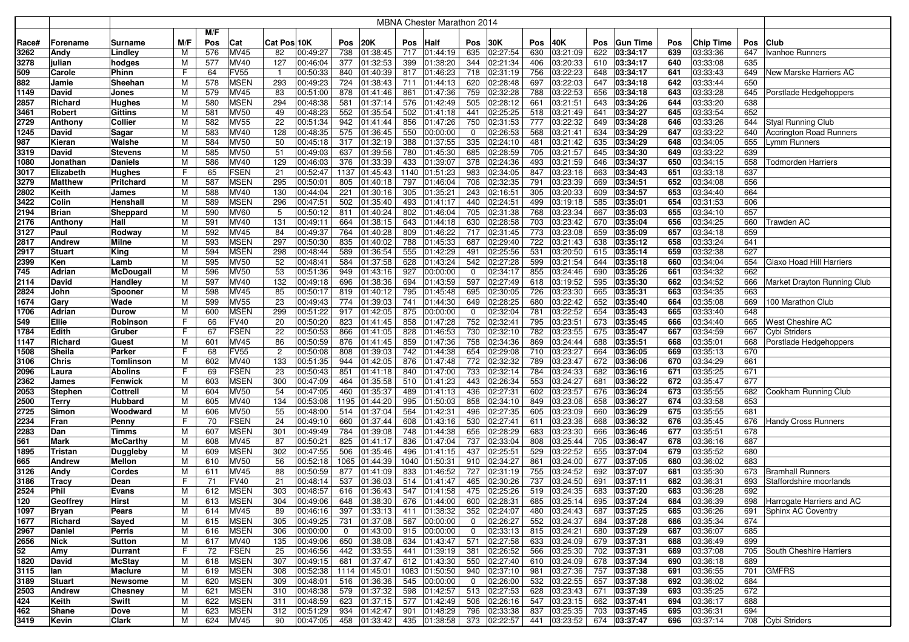|             |                  |                    |        |            |                            |                |                      |             |                       |            | <b>MBNA Chester Marathon 2014</b> |              |                          |            |                       |            |                          |            |                      |            |                                                 |
|-------------|------------------|--------------------|--------|------------|----------------------------|----------------|----------------------|-------------|-----------------------|------------|-----------------------------------|--------------|--------------------------|------------|-----------------------|------------|--------------------------|------------|----------------------|------------|-------------------------------------------------|
|             |                  |                    |        | M/F        |                            |                |                      |             |                       |            |                                   |              |                          |            |                       |            |                          |            |                      |            |                                                 |
| Race#       | Forename         | Surname            | M/F    | Pos        | Cat                        | Cat Pos 10K    |                      | Pos         | 20K                   | Pos        | Half                              | Pos          | 30K                      | Pos        | 40K                   | <b>Pos</b> | <b>Gun Time</b>          | Pos        | <b>Chip Time</b>     | Pos        | Club                                            |
| 3262        | Andy             | Lindley            | M      | 576        | MV45                       | 82             | 00:49:27             | 738         | 01:38:45              | 717        | 01:44:19                          | 635          | 02:27:54                 | 630        | 03:21:09              | 622        | 03:34:17                 | 639        | 03:33:36             | 647        | Ivanhoe Runners                                 |
| 3278        | julian           | hodges             | M      | 577        | MV40                       | 127            | 00:46:04             | 377         | 01:32:53              | 399        | 01:38:20                          | 344          | 02:21:34                 | 406        | 03:20:33              | 610        | 03:34:17                 | 640        | 03:33:08             | 635        |                                                 |
| 509         | Carole           | Phinn              | F      | 64         | <b>FV55</b>                | $\overline{1}$ | 00:50:33             | 840         | 01:40:39              | 817        | 01:46:23                          | 718          | 02:31:19                 | 756        | 03:22:23              | 648        | 03:34:17                 | 641        | 03:33:43             | 649        | New Marske Harriers AC                          |
| 882         | Jamie            | Sheehan            | M      | 578        | <b>MSEN</b>                | 293            | 00:49:23             | 724         | 01:38:43              | 711        | 01:44:13                          | 620          | 02:28:48                 | 697        | 03:22:03              | 647        | 03:34:18                 | 642        | 03:33:44             | 650        |                                                 |
| 1149        | David            | Jones              | M      | 579        | MV45                       | 83             | 00:51:00             | 878         | 01:41:46              | 861        | 01:47:36                          | 759          | 02:32:28                 | 788        | 03:22:53              | 656        | 03:34:18                 | 643        | 03:33:28             | 645        | Porstlade Hedgehoppers                          |
| 2857        | Richard          | Hughes             | M      | 580        | MSEN                       | 294            | 00:48:38             | 581         | 01:37:14              | 576        | 01:42:49                          | 505          | 02:28:12                 | 661        | 03:21:51              | 643        | 03:34:26                 | 644        | 03:33:20             | 638        |                                                 |
| 3461        | Robert           | Gittins            | M      | 581        | <b>MV50</b>                | 49             | 00:48:23             | 552         | 01:35:54              | 502        | 01:41:18                          | 441          | 02:25:25                 | 518        | 03:21:49              | 641        | 03:34:27                 | 645        | 03:33:54             | 652        |                                                 |
| 2729        | Anthony          | Collier            | M      | 582        | <b>MV55</b>                | 22             | 00:51:34             | 942         | 01:41:44              | 856        | 01:47:26                          | 750          | 02:31:53                 | 777        | 03:22:32              | 649        | 03:34:28                 | 646        | 03:33:26             | 644        | Styal Running Club                              |
| 1245        | David            | Sagar              | M      | 583        | MV40                       | 128            | 00:48:35             | 575         | 01:36:45              | 550        | 00:00:00                          | 0            | 02:26:53                 | 568        | 03:21:41              | 634        | 03:34:29                 | 647        | 03:33:22             | 640        | <b>Accrington Road Runners</b>                  |
| 987         | Kieran           | Walshe             | M      | 584        | <b>MV50</b>                | 50             | 00:45:18             | 317         | 01:32:19              | 388        | 01:37:55                          | 335          | 02:24:10                 | 481        | 03:21:42              | 635        | 03:34:29                 | 648        | 03:34:05             | 655        | Lymm Runners                                    |
| 3319        | David            | <b>Stevens</b>     | M      | 585        | <b>MV50</b>                | 51             | 00:49:03             | 637         | 01:39:56              | 780        | 01:45:30                          | 685          | 02:28:59                 | 705        | 03:21:57              | 645        | 03:34:30                 | 649        | 03:33:22             | 639        |                                                 |
| 1080        | Jonathan         | Daniels            | M      | 586        | MV40                       | 129            | 00:46:03             | 376         | 01:33:39              | 433        | 01:39:07                          | 378          | 02:24:36                 | 493        | 03:21:59              | 646        | 03:34:37                 | 650        | 03:34:15             | 658        | Todmorden Harriers                              |
| 3017        | Elizabeth        | Hughes             |        | 65         | <b>FSEN</b>                | 21             | 00:52:47             | 1137        | 01:45:43              |            | 1140 01:51:23                     | 983          | 02:34:05                 | 847        | 03:23:16              | 663        | 03:34:43                 | 651        | 03:33:18             | 637        |                                                 |
| 3279        | <b>Matthew</b>   | Pritchard          | M      | 587        | <b>MSEN</b>                | 295            | 00:50:01             | 805         | 01:40:18              | 797        | 01:46:04                          | 706          | 02:32:35                 | 791        | 03:23:39              | 669        | 03:34:51                 | 652        | 03:34:08             | 656        |                                                 |
| 2802        | Keith            | James              | M      | 588        | MV40                       | 130            | 00:44:04             | 221         | 01:30:16              | 305        | 01:35:21                          | 243          | 02:16:51                 | 305        | 03:20:33              | 609        | 03:34:57                 | 653        | 03:34:40             | 664        |                                                 |
| 3422        | Colin            | Henshall           | M      | 589        | <b>MSEN</b>                | 296            | 00:47:51             | 502         | 01:35:40              | 493        | 01:41:17                          | 440          | 02:24:51                 | 499        | 03:19:18              | 585        | 03:35:01                 | 654        | 03:31:53             | 606        |                                                 |
| 2194        | <b>Brian</b>     | Sheppard           | M      | 590        | <b>MV60</b>                | 5              | 00:50:12             | 811         | 01:40:24              | 802        | 01:46:04                          | 705          | 02:31:38                 | 768        | 03:23:34              | 667        | 03:35:03                 | 655        | 03:34:10             | 657        |                                                 |
| 2176        | Anthony          | Hall               | M      | 591        | MV40                       | 131            | 00:49:11             | 664         | 01:38:15              | 643        | 01:44:18                          | 630          | 02:28:58                 | 703        | 03:23:42              | 670        | 03:35:04                 | 656        | 03:34:25             | 660        | Trawden AC                                      |
| 3127        | Paul             | Rodway             | M      | 592        | MV45                       | 84             | 00:49:37             | 764         | 01:40:28              | 809        | 01:46:22                          | 717          | 02:31:45                 | 773        | 03:23:08              | 659        | 03:35:09                 | 657        | 03:34:18             | 659        |                                                 |
| 2817        | <b>Andrew</b>    | Milne              | M      | 593        | <b>MSEN</b>                | 297            | 00:50:30             | 835         | 01:40:02              | 788        | 01:45:33                          | 687          | 02:29:40                 | 722        | 03:21:43              | 638        | 03:35:12                 | 658        | 03:33:24             | 641        |                                                 |
| 2917        | <b>Stuart</b>    | King               | M      | 594        | MSEN                       | 298            | 00:48:44             | 589         | 01:36:54              | 555        | 01:42:29                          | 491          | 02:25:56                 | 531        | 03:20:50              | 615        | 03:35:14                 | 659        | 03:32:38             | 627        |                                                 |
| 2399        | Ken              | Lamb               | M      | 595        | <b>MV50</b>                | 52             | 00:48:41             | 584         | 01:37:58              | 628        | 01:43:24                          | 542          | 02:27:28                 | 599        | 03:21:54              | 644        | 03:35:18                 | 660        | 03:34:04             | 654        | <b>Glaxo Hoad Hill Harriers</b>                 |
| 745         | Adrian           | McDougall          | M      | 596        | <b>MV50</b>                | 53             | 00:51:36             | 949         | 01:43:16              | 927        | 00:00:00                          | $\mathbf 0$  | 02:34:17                 | 855        | 03:24:46              | 690        | 03:35:26                 | 661        | 03:34:32             | 662        |                                                 |
| 2114        | David            | Handley            | M      | 597        | MV40                       | 132            | 00:49:18             | 696         | 01:38:36              | 694        | 01:43:59                          | 597          | 02:27:49                 | 618        | 03:19:52              | 595        | 03:35:30                 | 662        | 03:34:52             | 666        | Market Drayton Running Club                     |
| 2824        | John             | Spooner            | M      | 598        | MV45                       | 85             | 00:50:17             | 819         | 01:40:12              | 795        | 01:45:48                          | 695          | 02:30:05                 | 726        | 03:23:30              | 665        | 03:35:31                 | 663        | 03:34:35             | 663        |                                                 |
| 1674        | Gary             | Wade               | M      | 599        | <b>MV55</b>                | 23             | 00:49:43             | 774         | 01:39:03              | 741        | 01:44:30                          | 649          | 02:28:25                 | 680        | 03:22:42              | 652        | 03:35:40                 | 664        | 03:35:08             | 669        | 100 Marathon Club                               |
| 1706        | Adrian           | Durow              | M      | 600        | <b>MSEN</b>                | 299            | 00:51:22             | 917         | 01:42:05              | 875        | 00:00:00                          | 0            | 02:32:04                 | 781        | 03:22:52              | 654        | 03:35:43                 | 665        | 03:33:40             | 648        |                                                 |
| 549<br>1784 | Ellie<br>Edith   | Robinson<br>Gruber | F      | 66<br>67   | <b>FV40</b><br><b>FSEN</b> | 20<br>22       | 00:50:20<br>00:50:53 | 823<br>866  | 01:41:45<br>01:41:05  | 858<br>828 | 01:47:28<br>01:46:53              | 752<br>730   | 02:32:41<br>02:32:10     | 795<br>782 | 03:23:51<br>03:23:55  | 673<br>675 | 03:35:45<br>03:35:47     | 666<br>667 | 03:34:40<br>03:34:59 | 665<br>667 | West Cheshire AC<br>Cybi Striders               |
| 1147        | Richard          | Guest              | M      | 601        | MV45                       | 86             | 00:50:59             | 876         | 01:41:45              | 859        | 01:47:36                          | 758          | 02:34:36                 | 869        | 03:24:44              | 688        | 03:35:51                 | 668        | 03:35:01             | 668        | Porstlade Hedgehoppers                          |
| 1508        | Sheila           | Parker             | F      | 68         | FV55                       | $\overline{2}$ | 00:50:08             | 808         | 01:39:03              | 742        | 01:44:38                          | 654          | 02:29:08                 | 710        | 03:23:27              | 664        | 03:36:05                 | 669        | 03:35:13             | 670        |                                                 |
| 3106        | Chris            | Tomlinson          | M      | 602        | MV40                       | 133            | 00:51:35             | 944         | 01:42:05              | 876        | 01:47:48                          | 772          | 02:32:32                 | 789        | 03:23:47              | 672        | 03:36:06                 | 670        | 03:34:29             | 661        |                                                 |
| 2096        | Laura            | Abolins            | F      | 69         | <b>FSEN</b>                | 23             | 00:50:43             | 851         | 01:41:18              | 840        | 01:47:00                          | 733          | 02:32:14                 | 784        | 03:24:33              | 682        | 03:36:16                 | 671        | 03:35:25             | 671        |                                                 |
| 2362        | James            | Fenwick            | M      | 603        | <b>MSEN</b>                | 300            | 00:47:09             | 464         | 01:35:58              | 510        | 01:41:23                          | 443          | 02:26:34                 | 553        | 03:24:27              | 681        | 03:36:22                 | 672        | 03:35:47             | 677        |                                                 |
| 2053        | <b>Stephen</b>   | Cottrell           | M      | 604        | MV50                       | 54             | 00:47:05             | 460         | 01:35:37              | 489        | 01:41:13                          | 436          | 02:27:31                 | 602        | 03:23:57              | 676        | 03:36:24                 | 673        | 03:35:55             | 682        | Cookham Running Club                            |
| 2500        | Terry            | <b>Hubbard</b>     | M      | 605        | MV40                       | 134            | 00:53:08             | 1195        | 01:44:20              | 995        | 01:50:03                          | 858          | 02:34:10                 | 849        | 03:23:06              | 658        | 03:36:27                 | 674        | 03:33:58             | 653        |                                                 |
| 2725        | Simon            | Woodward           | M      | 606        | <b>MV50</b>                | 55             | 00:48:00             | 514         | 01:37:04              | 564        | 01:42:31                          | 496          | 02:27:35                 | 605        | 03:23:09              | 660        | 03:36:29                 | 675        | 03:35:55             | 681        |                                                 |
| 2234        | Fran             | Penny              | F      | 70         | <b>FSEN</b>                | 24             | 00:49:10             | 660         | 01:37:44              | 608        | 01:43:16                          | 530          | 02:27:41                 | 611        | 03:23:36              | 668        | 03:36:32                 | 676        | 03:35:45             | 676        | <b>Handy Cross Runners</b>                      |
| 2283        | Dan              | Timms              | M      | 607        | <b>MSEN</b>                | 301            | 00:49:49             | 784         | 01:39:08              | 748        | 01:44:38                          | 656          | 02:28:29                 | 683        | 03:23:30              | 666        | 03:36:46                 | 677        | 03:35:51             | 678        |                                                 |
| 561         | Mark             | McCarthy           | M      | 608        | MV45                       | 87             | 00:50:21             | 825         | 01:41:17              | 836        | 01:47:04                          | 737          | 02:33:04                 | 808        | 03:25:44              | 705        | 03:36:47                 | 678        | 03:36:16             | 687        |                                                 |
| 1895        | Tristan          | Duggleby           | M      | 609        | <b>MSEN</b>                | 302            | 00:47:55             | 506         | 01:35:46              | 496        | 01:41:15                          | 437          | 02:25:51                 | 529        | 03:22:52              | 655        | 03:37:04                 | 679        | 03:35:52             | 680        |                                                 |
| 665         | Andrew           | Mellon             | M      | 610        | <b>MV50</b>                | 56             | 00:52:18             | 1065        | 01:44:39              | 1040       | 01:50:31                          | 910          | 02:34:27                 | 861        | 03:24:00              | 677        | 03:37:05                 | 680        | 03:36:02             | 683        |                                                 |
| 3126        | Andy             | Cordes             | M      | 611        | MV45                       | 88             | 00:50:59             | 877         | 01:41:09              | 833        | 01:46:52                          | 727          | 02:31:19                 | 755        | 03:24:52              | 692        | 03:37:07                 | 681        | 03:35:30             | 673        | <b>Bramhall Runners</b>                         |
| 3186        | Tracy            | Dean               | F      | 71         | FV40                       | 21             | 00:48:14             | 537         | 01:36:03              | 514        | 01:41:47                          | 465          | 02:30:26                 | 737        | 03:24:50              | 691        | 03:37:11                 | 682        | 03:36:31             | 693        | Staffordshire moorlands                         |
| 2524        | Phil             | Evans              | м      | 612        | MSEN                       | 303            | 00:48:57             | 616         | 01:36:43              | 547        | 01:41:58                          | 475          | 02:25:26                 | 519        | 03:24:35              | 683        | 03:37:20                 | 683        | 03:36:28             | 692        |                                                 |
| 120<br>1097 | Geoffrey         | Hirst<br>Pears     | м<br>M | 613<br>614 | <b>MSEN</b><br><b>MV45</b> | 304<br>89      | 00:49:06<br>00:46:16 | 648<br>397  | 01:38:30<br> 01:33:13 | 411        | 676 01:44:00<br>01:38:32          | 600          | 02:28:31<br>352 02:24:07 | 685<br>480 | 03:25:14 <br>03:24:43 | 695        | 03:37:24<br>687 03:37:25 | 684<br>685 | 03:36:39<br>03:36:26 | 698<br>691 | Harrogate Harriers and AC<br>Sphinx AC Coventry |
| 1677        | Bryan<br>Richard | Sayed              | M      | 615        | <b>MSEN</b>                | 305            | 00:49:25             | 731         | 01:37:08              | 567        | 00:00:00                          | $\mathbf{0}$ | 02:26:27                 | 552        | 03:24:37              |            | 684 03:37:28             | 686        | 03:35:34             | 674        |                                                 |
| 2967        | Daniel           | Perris             | M      | 616        | <b>MSEN</b>                | 306            | 00:00:00             | $\mathbf 0$ | 01:43:00              |            | 915 00:00:00                      | $\mathbf{0}$ | 02:33:13                 | 815        | 03:24:21              |            | 680 03:37:29             | 687        | 03:36:07             | 685        |                                                 |
| 2656        | <b>Nick</b>      | Sutton             | M      | 617        | <b>MV40</b>                | 135            | 00:49:06             | 650         | 01:38:08              |            | $\overline{634}$ 01:43:47         |              | 571 02:27:58             | 633        | 03:24:09              |            | 679 03:37:31             | 688        | 03:36:49             | 699        |                                                 |
| 52          | Amy              | <b>Durrant</b>     | F      | 72         | <b>FSEN</b>                | 25             | 00:46:56             | 442         | 01:33:55              | 441        | 01:39:19                          |              | 381 02:26:52             | 566        | 03:25:30              |            | 702 03:37:31             | 689        | 03:37:08             |            | 705 South Cheshire Harriers                     |
| 1820        | David            | <b>McStay</b>      | M      | 618        | <b>MSEN</b>                | 307            | 00:49:15             | 681         | 01:37:47              |            | 612 01:43:30                      |              | 550 02:27:40             | 610        | 03:24:09              |            | 678 03:37:34             | 690        | 03:36:18             | 689        |                                                 |
| 3115        | lan              | Maclure            | M      | 619        | <b>MSEN</b>                | 308            | 00:52:38             |             | 1114 01:45:01         |            | 1083 01:50:50                     |              | 940 02:37:10             | 981        | 03:27:36              |            | 757 03:37:38             | 691        | 03:36:55             | 701        | <b>GMFRS</b>                                    |
| 3189        | <b>Stuart</b>    | <b>Newsome</b>     | M      | 620        | <b>MSEN</b>                | 309            | 00:48:01             | 516         | 01:36:36              |            | 545 00:00:00                      | $\mathbf{0}$ | 02:26:00                 | 532        | 03:22:55              |            | 657 03:37:38             | 692        | 03:36:02             | 684        |                                                 |
| 2503        | Andrew           | <b>Chesney</b>     | M      | 621        | <b>MSEN</b>                | 310            | 00:48:38             | 579         | 01:37:32              | 598        | 01:42:57                          |              | 513 02:27:53             | 628        | 03:23:43              | 671        | 03:37:39                 | 693        | 03:35:25             | 672        |                                                 |
| 424         | Keith            | Swift              | м      | 622        | <b>MSEN</b>                | 311            | 00:48:59             | 623         | 01:37:15              | 577        | 01:42:49                          | 506          | 02:26:16                 | 547        | 03:23:15              |            | 662 03:37:41             | 694        | 03:36:17             | 688        |                                                 |
| 462         | Shane            | Dove               | M      | 623        | <b>MSEN</b>                | 312            | 00:51:29             | 934         | 01:42:47              | 901        | 01:48:29                          | 796          | 02:33:38                 | 837        | 03:25:35              |            | 703 03:37:45             | 695        | 03:36:31             | 694        |                                                 |
| 3419        | Kevin            | Clark              | M      | 624        | MV45                       | 90             | 00:47:05             |             | 458 01:33:42          |            | 435 01:38:58                      |              | 373 02:22:57             | 441        | 03:23:52              |            | 674 03:37:47             | 696        | 03:37:14             |            | 708 Cybi Striders                               |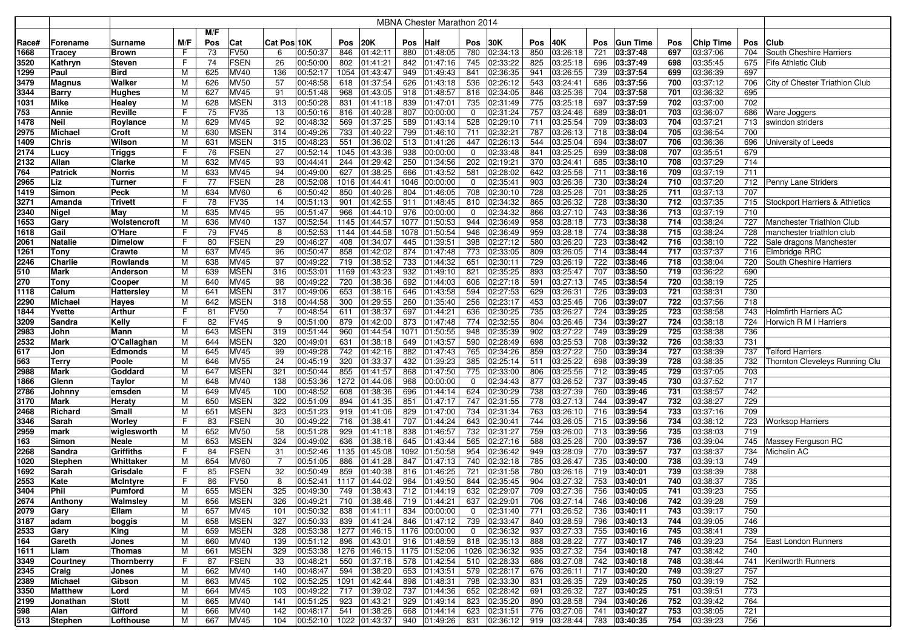|              |                         |                                    |         |            |                            |                |                      |             |                             |            | <b>MBNA Chester Marathon 2014</b> |                    |                      |            |                           |            |                      |            |                      |            |                                |
|--------------|-------------------------|------------------------------------|---------|------------|----------------------------|----------------|----------------------|-------------|-----------------------------|------------|-----------------------------------|--------------------|----------------------|------------|---------------------------|------------|----------------------|------------|----------------------|------------|--------------------------------|
|              |                         |                                    |         | M/F        |                            |                |                      |             |                             |            |                                   |                    |                      |            |                           |            |                      |            |                      |            |                                |
| Race#        | Forename                | Surname                            | M/F     | Pos        | Cat                        | Cat Pos 10K    |                      | Pos         | <b>20K</b>                  | Pos        | Half                              | Pos                | 30K                  | Pos        | 40K                       | <b>Pos</b> | <b>Gun Time</b>      | Pos        | Chip Time            | Pos        | <b>Club</b>                    |
| 1668         | Tracey                  | <b>Brown</b>                       | F.      | 73         | <b>FV50</b>                | 6              | 00:50:37             | 846         | 01:42:11                    | 880        | 01:48:05                          | 780                | 02:34:13             | 850        | 03:26:18                  | 721        | 03:37:48             | 697        | 03:37:06             | 704        | South Cheshire Harriers        |
| 3520         | Kathryn                 | Steven                             | F       | 74         | <b>FSEN</b>                | 26             | 00:50:00             | 802         | 01:41:21                    | 842        | 01:47:16                          | 745                | 02:33:22             | 825        | 03:25:18                  | 696        | 03:37:49             | 698        | 03:35:45             | 675        | <b>Fife Athletic Club</b>      |
| 1299         |                         | Bird                               | M       | 625        | MV40                       | 136            | 00:52:17             | 1054        | 01:43:47                    | 949        | 01:49:43                          | 841                | 02:36:35             | 941        | 03:26:55                  | 739        | 03:37:54             | 699        | 03:36:39             | 697        |                                |
| 3479         | Paul                    | Walker                             | М       | 626        | <b>MV50</b>                | 57             | 00:48:58             | 618         | 01:37:54                    | 626        | 01:43:18                          | 536                | 02:26:12             | 543        | 03:24:41                  | 686        | 03:37:56             | 700        | 03:37:12             | 706        | City of Chester Triathlon Club |
|              | Magnus                  |                                    | М       | 627        | <b>MV45</b>                |                | 00:51:48             | 968         |                             | 918        |                                   |                    | 02:34:05             | 846        | 03:25:36                  | 704        | 03:37:58             | 701        | 03:36:32             | 695        |                                |
| 3344         | <b>Barry</b>            | Hughes                             |         |            |                            | 91             |                      |             | 01:43:05                    |            | 01:48:57                          | 816                |                      |            |                           |            |                      |            |                      |            |                                |
| 1031         | Mike                    | Healey                             | М       | 628        | <b>MSEN</b><br><b>FV35</b> | 313            | 00:50:28             | 831         | 01:41:18                    | 839        | 01:47:01                          | 735                | 02:31:49<br>02:31:24 | 775<br>757 | 03:25:18                  | 697        | 03:37:59             | 702        | 03:37:00             | 702<br>686 |                                |
| 753          | Annie                   | Reville                            | F       | 75         |                            | 13             | 00:50:16             | 816         | 01:40:28                    | 807        | 00:00:00                          | 0                  |                      |            | 03:24:46                  | 689        | 03:38:01             | 703        | 03:36:07             |            | <b>Ware Joggers</b>            |
| 1478         | <b>Neil</b>             | Roylance                           | м       | 629        | MV45<br><b>MSEN</b>        | 92<br>314      | 00:48:32             | 569         | 01:37:25                    | 589        | 01:43:14                          | 528<br>711         | 02:29:10             | 711<br>787 | 03:25:54                  | 709        | 03:38:03             | 704        | 03:37:21             | 713<br>700 | swindon striders               |
| 2975         | Michael                 | Croft                              | М       | 630        |                            |                | 00:49:26             | 733         | 01:40:22                    | 799        | 01:46:10                          |                    | 02:32:21             |            | 03:26:13                  | 718        | 03:38:04             | 705<br>706 | 03:36:54             |            |                                |
| 1409         | <b>Chris</b>            | Wilson                             | M       | 631        | <b>MSEN</b>                | 315            | 00:48:23             | 551         | 01:36:02                    | 513        | 01:41:26                          | 447<br>$\mathbf 0$ | 02:26:13             | 544        | 03:25:04                  | 694        | 03:38:07             |            | 03:36:36             | 696        | University of Leeds            |
| 2174         | Lucy<br>Allan           | <b>Triggs</b>                      | F       | 76<br>632  | <b>FSEN</b><br>MV45        | 27             | 00:52:14             | 1045        | 01:43:36                    | 938        | 00:00:00                          | 202                | 02:33:48<br>02:19:21 | 841<br>370 | 03:25:25<br>03:24:41      | 699        | 03:38:08             | 707        | 03:35:51             | 679<br>714 |                                |
| 2132         |                         | Clarke                             | M       |            |                            | 93             | 00:44:41             | 244         | 01:29:42                    | 250        | 01:34:56                          |                    |                      |            |                           | 685        | 03:38:10             | 708        | 03:37:29             |            |                                |
| 764          | <b>Patrick</b>          | Norris                             | М       | 633        | <b>MV45</b><br><b>FSEN</b> | 94             | 00:49:00             | 627         | 01:38:25                    | 666        | 01:43:52                          | 581                | 02:28:02             | 642        | 03:25:56                  | 711        | 03:38:16             | 709        | 03:37:19             | 711        |                                |
| 2965         | Liz                     | Turner                             | F       | 77         |                            | 28             | 00:52:08             | 1016        | 01:44:41                    | 1046       | 00:00:00                          | 0                  | 02:35:41             | 903        | 03:26:36                  | 730        | 03:38:24             | 710        | 03:37:20             | 712        | Penny Lane Striders            |
| 1419         | Simon                   | Peck                               | M       | 634        | <b>MV60</b>                | 6              | 00:50:42             | 850         | 01:40:26                    | 804        | 01:46:05                          | 708                | 02:30:10             | 728        | 03:25:26                  | 701        | 03:38:25             | 711        | 03:37:13             | 707        |                                |
| 3271         | Amanda                  | Trivett                            | F       | 78         | <b>FV35</b>                | 14             | 00:51:13             | 901         | 01:42:55                    | 911        | 01:48:45                          | 810                | 02:34:32             | 865        | 03:26:32                  | 728        | 03:38:30             | 712        | 03:37:35             | 715        | Stockport Harriers & Athletics |
| 2340         | <b>Nigel</b>            | May                                | М       | 635        | <b>MV45</b>                | 95             | 00:51:47             | 966         | 01:44:10                    | 976        | 00:00:00                          | 0                  | 02:34:32             | 866        | 03:27:10                  | 743        | 03:38:36             | 713        | 03:37:19             | 710        |                                |
| 1653         | Gary                    | Wolstencroft                       | M       | 636        | MV40                       | 137            | 00:52:54             | 1145        | 01:44:57                    | 1077       | 01:50:53                          | 944                | 02:36:49             | 958        | 03:28:18                  | 773        | 03:38:38             | 714        | 03:38:24             | 727        | Manchester Triathlon Club      |
| 1618         | Gail                    | O'Hare                             | F.      | 79         | <b>FV45</b>                | 8              | 00:52:53             | 1144        | 01:44:58                    | 1078       | 01:50:54                          | 946                | 02:36:49             | 959        | 03:28:18                  | 774        | 03:38:38             | 715        | 03:38:24             | 728        | manchester triathlon club      |
| 2061         | <b>Natalie</b>          | Dimelow                            | F       | 80         | <b>FSEN</b>                | 29             | 00:46:27             | 408         | 01:34:07                    | 445        | 01:39:51                          | 398                | 02:27:12             | 580        | 03:26:20                  | 723        | 03:38:42             | 716        | 03:38:10             | 722        | Sale dragons Manchester        |
| 1261         | Tony                    | Crawte                             | М       | 637        | MV45                       | 96             | 00:50:47             | 858         | 01:42:02                    | 874        | 01:47:48                          | 773                | 02:33:05             | 809        | 03:26:05                  | 714        | 03:38:44             | 717        | 03:37:37             | 716        | Elmbridge RRC                  |
| 2246         | Charlie                 | Rowlands                           | М       | 638        | MV45                       | 97             | 00:49:22             | 719         | 01:38:52                    | 733        | 01:44:32                          | 651                | 02:30:11             | 729        | 03:26:19                  | 722        | 03:38:46             | 718        | 03:38:04             | 720        | South Cheshire Harriers        |
| 510          | Mark                    | Anderson                           | M       | 639        | <b>MSEN</b>                | 316            | 00:53:01             | 1169        | 01:43:23                    | 932        | 01:49:10                          | 821                | 02:35:25             | 893        | 03:25:47                  | 707        | 03:38:50             | 719        | 03:36:22             | 690        |                                |
| 270          | Tony                    | Cooper                             | M       | 640        | MV45                       | 98             | 00:49:22             | 720         | 01:38:36                    | 692        | 01:44:03                          | 606                | 02:27:18             | 591        | 03:27:13                  | 745        | 03:38:54             | 720        | 03:38:19             | 725        |                                |
| 1118         | Calum                   | Hattersley                         | M       | 641        | <b>MSEN</b>                | 317            | 00:49:06             | 653         | 01:38:16                    | 646        | 01:43:58                          | 594                | 02:27:53             | 629        | 03:26:31                  | 726        | 03:39:03             | 721        | 03:38:31             | 730        |                                |
| 2290         | Michael                 | Hayes                              | M       | 642        | <b>MSEN</b>                | 318            | 00:44:58             | 300         | 01:29:55                    | 260        | 01:35:40                          | 256                | 02:23:17             | 453        | 03:25:46                  | 706        | 03:39:07             | 722        | 03:37:56             | 718        |                                |
| 1844         | Yvette                  | Arthur                             | F<br>E  | 81         | <b>FV50</b>                | 7              | 00:48:54             | 611         | 01:38:37                    | 697        | 01:44:21                          | 636                | 02:30:25             | 735        | 03:26:27                  | 724        | 03:39:25             | 723        | 03:38:58             | 743        | <b>Holmfirth Harriers AC</b>   |
| 3209         | Sandra                  | Kelly                              |         | 82         | <b>FV45</b><br><b>MSEN</b> | 9<br>319       | 00:51:00             | 879         | 01:42:00                    | 873        | 01:47:48                          | 774                | 02:32:55<br>02:35:39 | 804        | 03:26:46                  | 734        | 03:39:27             | 724        | 03:38:18             | 724<br>736 | Horwich R M I Harriers         |
| 2983         | John                    | Mann                               | M       | 643        |                            |                | 00:51:44             | 960         | 01:44:54                    | 1071       | 01:50:55                          | 948                |                      | 902        | 03:27:22                  | 749        | 03:39:29             | 725        | 03:38:38             |            |                                |
| 2532         | Mark                    | O'Callaghan                        | М       | 644        | <b>MSEN</b>                | 320            | 00:49:01             | 631         | 01:38:18                    | 649        | 01:43:57                          | 590                | 02:28:49             | 698        | 03:25:53                  | 708        | 03:39:32             | 726        | 03:38:33             | 731        |                                |
| 617          | Jon                     | Edmonds                            | м       | 645        | MV45<br><b>MV55</b>        | 99<br>24       | 00:49:28<br>00:45:19 | 742<br>320  | 01:42:16                    | 882        | 01:47:43                          | 765<br>385         | 02:34:26<br>02:25:14 | 859<br>511 | 03:27:22                  | 750        | 03:39:34             | 727<br>728 | 03:38:39<br>03:38:35 | 737        | Telford Harriers               |
| 563          | Terry                   | Poole                              | М       | 646        |                            |                |                      |             | 01:33:37                    | 432        | 01:39:23                          |                    |                      |            | 03:25:22                  | 698        | 03:39:39             |            |                      | 732        | Thornton Cleveleys Running Clu |
| 2988         | Mark                    | Goddard                            | м       | 647        | <b>MSEN</b>                | 321            | 00:50:44             | 855         | 01:41:57                    | 868        | 01:47:50                          | 775                | 02:33:00             | 806        | 03:25:56                  |            | 712 03:39:45         | 729<br>730 | 03:37:05             | 703        |                                |
| 1866         | Glenn                   | <b>Taylor</b>                      | М<br>М  | 648<br>649 | MV40                       | 138<br>100     | 00:53:36             | 1272<br>608 | 01:44:06                    | 968<br>696 | 00:00:00                          | $\mathbf 0$        | 02:34:43             | 877        | 03:26:52<br>03:27:39      | 737<br>760 | 03:39:45             | 731        | 03:37:52             | 717<br>742 |                                |
| 2786         | Johnny                  | emsden                             |         |            | MV45<br><b>MSEN</b>        | 322            | 00:48:52<br>00:51:09 | 894         | 01:38:36                    |            | 01:44:14                          | 624                | 02:30:29<br>02:31:55 | 738<br>778 | 03:27:13                  |            | 03:39:46<br>03:39:47 | 732        | 03:38:57<br>03:38:27 | 729        |                                |
| 3170         | Mark                    | Heraty                             | M<br>M  | 650        | <b>MSEN</b>                | 323            |                      |             | 01:41:35                    | 851<br>829 | 01:47:17                          | 747<br>734         | 02:31:34             | 763        |                           | 744        |                      | 733        | 03:37:16             | 709        |                                |
| 2468         | Richard                 | Small                              | F       | 651<br>83  | <b>FSEN</b>                | 30             | 00:51:23             | 919         | 01:41:06                    | 707        | 01:47:00                          |                    | 02:30:41             | 744        | 03:26:10                  | 716        | 03:39:54             | 734        | 03:38:12             |            |                                |
| 3346         | Sarah                   | Worley                             |         | 652        | <b>MV50</b>                | 58             | 00:49:22<br>00:51:28 | 716         | 01:38:41                    | 838        | 01:44:24                          | 643<br>732         | 02:31:27             | 759        | 03:26:05                  | 715        | 03:39:56             | 735        |                      | 723<br>719 | <b>Worksop Harriers</b>        |
| 2959<br>163  | mark<br>Simon           | wiglesworth<br>Neale               | M<br>М  | 653        | <b>MSEN</b>                | 324            | 00:49:02             | 929<br>636  | 01:41:18<br>01:38:16        | 645        | 01:46:57<br>01:43:44              | 565                | 02:27:16             | 588        | 03:26:00<br>03:25:26      | 713<br>700 | 03:39:56<br>03:39:57 | 736        | 03:38:03<br>03:39:04 | 745        | Massey Ferguson RC             |
| 2268         | Sandra                  | Griffiths                          | F       | 84         | <b>FSEN</b>                | 31             | 00:52:46             | 1135        | 01:45:08                    |            | 1092 01:50:58                     | 954                | 02:36:42             | 949        | 03:28:09                  | 770        | 03:39:57             | 737        | 03:38:37             | 734        | Michelin AC                    |
|              |                         |                                    |         |            | <b>MV60</b>                | $\overline{7}$ | 00:51:05             | 886         |                             | 847        |                                   | 740                | 02:32:18             | 785        | 03:26:47                  | 735        |                      | 738        |                      | 749        |                                |
| 1020<br>1692 | <b>Stephen</b><br>Sarah | Whittaker<br>Grisdale              | M<br>F. | 654<br>85  | <b>FSEN</b>                | 32             | 00:50:49             | 859         | 01:41:28<br>01:40:38        | 816        | 01:47:13<br>01:46:25              | 721                | 02:31:58             | 780        | 03:26:16                  | 719        | 03:40:00<br>03:40:01 | 739        | 03:39:13<br>03:38:39 | 738        |                                |
| 2553         | Kate                    | McIntyre                           | F.      | 86         | <b>FV50</b>                | 8              | 00:52:41             | 1117        | 01:44:02                    | 964        | 01:49:50                          | 844                | 02:35:45             | 904        | 03:27:32                  | 753        | 03:40:01             | 740        | 03:38:37             | 735        |                                |
| 3404         | Phil                    | Pumford                            | М       | 655        | <b>MSEN</b>                | 325            | 00:49:30             | 749         | 01:38:43                    | 712        | 01:44:19                          | 632                | 02:29:07             | 709        | 03:27:36                  | 756        | 03:40:05             | 741        | 03:39:23             | 755        |                                |
| 2674         | Anthony                 | Walmsley                           | м       | 656        | MSEN                       | 326            | 00:49:21             |             | 710 01:38:46                |            | 719 01:44:21                      |                    | 637 02:29:01         |            | 706 03:27:14              |            | 746 03:40:06         | 742        | 03:39:28             | 759        |                                |
| 2079         | Gary                    | Ellam                              | М       | 657        | <b>MV45</b>                | 101            | 00:50:32             |             | 838 01:41:11                |            | 834 00:00:00                      | $\overline{0}$     | 02:31:40             |            | 771 03:26:52              |            | 736 03:40:11         | 743        | 03:39:17             | 750        |                                |
| 3187         | adam                    |                                    | м       | 658        | <b>MSEN</b>                | 327            | 00:50:33             |             | 839 01:41:24                |            | 846 01:47:12                      |                    | 739 02:33:47         | 840        | 03:28:59                  |            | 796 03:40:13         | 744        | 03:39:05             | 746        |                                |
| 2533         |                         | boggis                             | м       | 659        | <b>MSEN</b>                | 328            | 00:53:38             |             | 1277 01:46:15 1176 00:00:00 |            |                                   | $\overline{0}$     | 02:36:32             | 937        | 03:27:33                  |            | 755 03:40:16         | 745        | 03:38:41             | 739        |                                |
| 164          | Gary<br>Gareth          | King<br>Jones                      | M       | 660        | <b>MV40</b>                | 139            | 00:51:12             |             | 896 01:43:01                |            | 916 01:48:59                      |                    | 818 02:35:13         |            | 888 03:28:22              |            | 777 03:40:17         | 746        | 03:39:23             |            | 754 East London Runners        |
|              | Liam                    |                                    |         | 661        | <b>MSEN</b>                |                | 00:53:38             |             |                             |            | 1276 01:46:15 1175 01:52:06       |                    | 1026 02:36:32        |            | 935 03:27:32              |            | 754 03:40:18         | 747        | 03:38:42             | 740        |                                |
| 1611<br>3349 | Courtney                | <b>Thomas</b><br><b>Thornberry</b> | М<br>F  | 87         | <b>FSEN</b>                | 329<br>33      | 00:48:21             |             | 550 01:37:16                |            | 578 01:42:54                      |                    | 510 02:28:33         |            | 686 03:27:08 742 03:40:18 |            |                      | 748        | 03:38:44             |            | 741   Kenilworth Runners       |
| 2345         |                         |                                    | М       | 662        | <b>MV40</b>                | 140            | 00:48:47             |             | 594 01:38:20                |            | 653 01:43:51                      |                    | 579 02:28:17         |            | 676 03:26:11 717 03:40:20 |            |                      | 749        | 03:39:27             | 757        |                                |
| 2389         | Craig<br>Michael        | Jones<br>Gibson                    | M       | 663        | <b>MV45</b>                | 102            | 00:52:25             |             | 1091 01:42:44               |            | 898 01:48:31                      |                    | 798 02:33:30         |            | 831 03:26:35              |            | 729 03:40:25         | 750        | 03:39:19             | 752        |                                |
| 3350         | <b>Matthew</b>          | Lord                               | м       | 664        | MV45                       | 103            | 00:49:22             |             | 717 01:39:02                | 737        |                                   | 652                | 02:28:42             |            | 691 03:26:32              |            | 727 03:40:25         | 751        | 03:39:51             | 773        |                                |
| 2199         |                         |                                    | М       | 665        | <b>MV40</b>                | 141            | 00:51:25             | 923         | 01:43:21                    | 929        | 01:44:36<br>01:49:14              |                    | 823 02:35:20         |            | 890 03:28:58              |            | 794 03:40:26         | 752        | 03:39:42             | 764        |                                |
|              | Jonathan                | Stott                              |         |            |                            |                |                      |             |                             |            | $668$ 01:44:14                    |                    |                      |            |                           |            |                      |            |                      |            |                                |
| 598          | Alan                    | Gifford                            | м       | 666        | MV40                       | 142            | 00:48:17             | 541         | 01:38:26                    |            |                                   |                    | 623 02:31:51         |            | 776 03:27:06              |            | 741 03:40:27         | 753        | 03:38:05             | 721        |                                |
| 513          | Stephen                 | Lofthouse                          | M       | 667        | <b>MV45</b>                | 104            |                      |             | 00:52:10 1022 01:43:37      |            | 940 01:49:26                      |                    | 831 02:36:12         |            | 919 03:28:44 783 03:40:35 |            |                      | 754        | 03:39:23             | 756        |                                |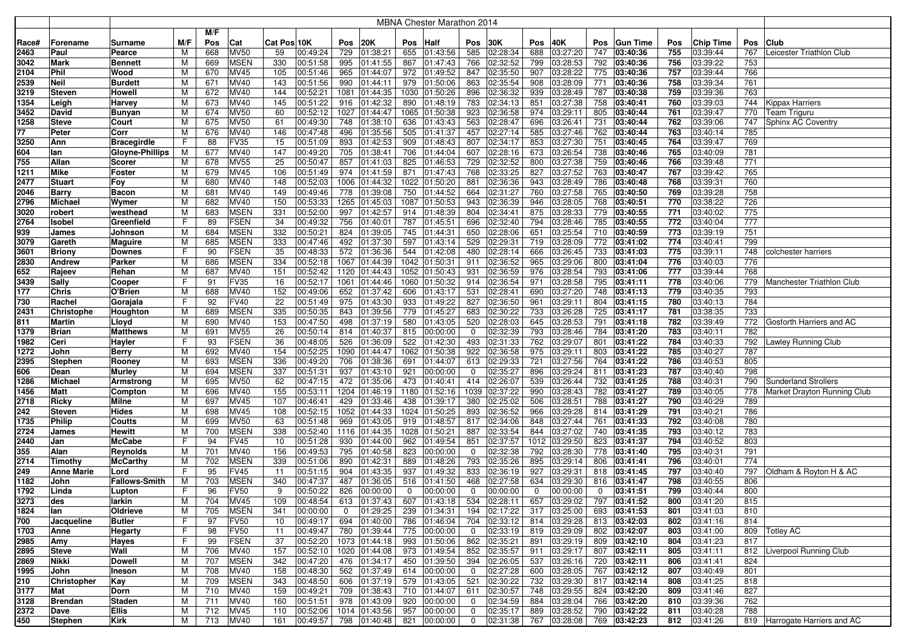|       |                    |                        |     |     |                            |             |                       |                |               |          | <b>MBNA Chester Marathon 2014</b> |                |                      |          |                                 |          |                   |            |                      |     |                               |
|-------|--------------------|------------------------|-----|-----|----------------------------|-------------|-----------------------|----------------|---------------|----------|-----------------------------------|----------------|----------------------|----------|---------------------------------|----------|-------------------|------------|----------------------|-----|-------------------------------|
|       |                    |                        |     | M/F |                            |             |                       |                |               |          |                                   |                |                      |          |                                 |          |                   |            |                      |     |                               |
| Race# | Forename           | Surname                | M/F | Pos | Cat                        | Cat Pos 10K |                       | Pos            | 20K           | Pos      | <b>Half</b>                       | Pos            | 30K                  | Pos      | 40K                             | Pos      | <b>Gun Time</b>   | Pos        | <b>Chip Time</b>     | Pos | Club                          |
|       | Paul               |                        |     |     |                            |             |                       |                |               | 655      |                                   |                |                      | 688      | 03:27:20                        | 747      | 03:40:36          | 755        |                      | 767 |                               |
| 2463  |                    | Pearce                 | M   | 668 | <b>MV50</b><br><b>MSEN</b> | 59<br>330   | 00:49:24              | 729            | 01:38:21      | 867      | 01:43:56                          | 585<br>766     | 02:28:34<br>02:32:52 | 799      |                                 | 792      |                   | 756        | 03:39:44             | 753 | Leicester Triathlon Club      |
| 3042  | <b>Mark</b>        | <b>Bennett</b>         | М   | 669 |                            |             | 00:51:58              | 995            | 01:41:55      |          | 01:47:43                          |                |                      |          | 03:28:53                        |          | 03:40:36          |            | 03:39:22             |     |                               |
| 2104  | Phil               | Wood                   | M   | 670 | MV45                       | 105         | 00:51:46              | 965            | 01:44:07      | 972      | 01:49:52                          | 847            | 02:35:50<br>02:35:54 | 907      | 03:28:22<br>03:28:09            | 775      | 03:40:36          | 757<br>758 | 03:39:44<br>03:39:34 | 766 |                               |
| 2539  | <b>Neil</b>        | <b>Burdett</b>         | М   | 671 | MV40                       | 143         | 00:51:56              | 990            | 01:44:11      | 979      | 01:50:06                          | 863            |                      | 908      |                                 | 771      | 03:40:36          |            |                      | 761 |                               |
| 3219  | <b>Steven</b>      | Howell                 | M   | 672 | MV40                       | 144         | 00:52:21              | 1081           | 01:44:35      | 1030     | 01:50:26                          | 896            | 02:36:32             | 939      | 03:28:49                        | 787      | 03:40:38          | 759        | 03:39:36             | 763 |                               |
| 1354  | Leigh              | Harvey                 | м   | 673 | MV40                       | 145         | 00:51:22              | 916            | 01:42:32      | 890      | 01:48:19                          | 783            | 02:34:13             | 851      | 03:27:38                        | 758      | 03:40:41          | 760        | 03:39:03             | 744 | <b>Kippax Harriers</b>        |
| 3452  | David              | Bunyan                 | м   | 674 | <b>MV50</b>                | 60          | 00:52:12              | 1027           | 01:44:47      | 1065     | 01:50:38                          | 923            | 02:36:58             | 974      | 03:29:11                        | 805      | 03:40:44          | 761        | 03:39:47             | 770 | Team Triguru                  |
| 1258  | <b>Steve</b>       | Court                  | М   | 675 | <b>MV50</b>                | 61          | 00:49:30              | 748            | 01:38:10      | 636      | 01:43:43                          | 563            | 02:28:47             | 696      | 03:26:41                        | 731      | 03:40:44          | 762        | 03:39:06             | 747 | Sphinx AC Coventry            |
| 77    | Peter              | Corr                   | М   | 676 | MV40                       | 146         | 00:47:48              | 496            | 01:35:56      | 505      | 01:41:37                          | 457            | 02:27:14             | 585      | 03:27:46                        | 762      | 03:40:44          | 763        | 03:40:14             | 785 |                               |
| 3250  | Ann                | <b>Bracegirdle</b>     | F   | 88  | <b>FV35</b>                | 15          | 00:51:09              | 893            | 01:42:53      | 909      | 01:48:43                          | 807            | 02:34:17             | 853      | 03:27:30                        | 751      | 03:40:45          | 764        | 03:39:47             | 769 |                               |
| 604   | lan                | <b>Gloyne-Phillips</b> | M   | 677 | MV40                       | 147         | 00:49:20              | 705            | 01:38:41      | 706      | 01:44:04                          | 607            | 02:28:16             | 673      | 03:26:54                        | 738      | 03:40:46          | 765        | 03:40:09             | 781 |                               |
| 755   | Allan              | Scorer                 | М   | 678 | <b>MV55</b>                | 25          | 00:50:47              | 857            | 01:41:03      | 825      | 01:46:53                          | 729            | 02:32:52             | 800      | 03:27:38                        | 759      | 03:40:46          | 766        | 03:39:48             | 771 |                               |
| 1211  | <b>Mike</b>        | Foster                 | М   | 679 | MV45                       | 106         | 00:51:49              | 974            | 01:41:59      | 871      | 01:47:43                          | 768            | 02:33:25             | 827      | 03:27:52                        | 763      | 03:40:47          | 767        | 03:39:42             | 765 |                               |
| 2477  | <b>Stuart</b>      | Fov                    | M   | 680 | MV40                       | 148         | 00:52:03              |                | 1006 01:44:32 | 1022     | 01:50:20                          | 881            | 02:36:36             | 943      | 03:28:49                        | 786      | 03:40:48          | 768        | 03:39:31             | 760 |                               |
| 2046  | <b>Barry</b>       | <b>Bacon</b>           | М   | 681 | MV40                       | 149         | 00:49:46              | 778            | 01:39:08      | 750      | 01:44:52                          | 664            | 02:31:27             | 760      | 03:27:58                        | 765      | 03:40:50          | 769        | 03:39:28             | 758 |                               |
| 2796  | <b>Michael</b>     | Wymer                  | M   | 682 | MV40                       | 150         | 00:53:33              | 1265           | 01:45:03      | 1087     | 01:50:53                          | 943            | 02:36:39             | 946      | 03:28:05                        | 768      | 03:40:51          | 770        | 03:38:22             | 726 |                               |
| 3020  | robert             | westhead               | М   | 683 | <b>MSEN</b>                | 331         | 00:52:00              | 997            | 01:42:57      | 914      | 01:48:39                          | 804            | 02:34:41             | 875      | 03:28:33                        | 779      | 03:40:55          | 771        | 03:40:02             | 775 |                               |
| 2764  | Isobel             | Greenfield             | F   | 89  | <b>FSEN</b>                | 34          | 00:49:32              | 756            | 01:40:01      | 787      | 01:45:51                          | 696            | 02:32:40             | 794      | 03:28:46                        | 785      | 03:40:55          | 772        | 03:40:04             | 777 |                               |
| 939   | James              | Johnson                | М   | 684 | <b>MSEN</b>                | 332         | 00:50:21              | 824            | 01:39:05      | 745      | 01:44:31                          | 650            | 02:28:06             | 651      | 03:25:54                        | 710      | 03:40:59          | 773        | 03:39:19             | 751 |                               |
| 3079  | Gareth             | <b>Maguire</b>         | М   | 685 | <b>MSEN</b>                | 333         | 00:47:46              | 492            | 01:37:30      | 597      | 01:43:14                          | 529            | 02:29:31             | 719      | 03:28:09                        | 772      | 03:41:02          | 774        | 03:40:41             | 799 |                               |
| 3601  | <b>Briony</b>      | <b>Downes</b>          | F   | 90  | <b>FSEN</b>                | 35          | 00:48:33              | 572            | 01:36:36      | 544      | 01:42:08                          | 480            | 02:28:14             | 666      | 03:26:45                        | 733      | 03:41:03          | 775        | 03:39:11             | 748 | colchester harriers           |
| 2830  | Andrew             | Parker                 | М   | 686 | <b>MSEN</b>                | 334         | 00:52:18              | 1067           | 01:44:39      | 1042     | 01:50:31                          | 911            | 02:36:52             | 965      | 03:29:06                        | 800      | 03:41:04          | 776        | 03:40:03             | 776 |                               |
| 652   | Rajeev             | Rehan                  | M   | 687 | MV40                       | 151         | 00:52:42              | 1120           | 01:44:43      | 1052     | 01:50:43                          | 931            | 02:36:59             | 976      | 03:28:54                        | 793      | $\sqrt{03:41:06}$ | 777        | 03:39:44             | 768 |                               |
| 3439  | Sally              | Cooper                 | F   | 9   | <b>FV35</b>                | 16          | 00:52:17              |                | 1061 01:44:46 | 1060     | 01:50:32                          | 914            | 02:36:54             | 971      | 03:28:58                        | 795      | 03:41:11          | 778        | 03:40:06             | 779 | Manchester Triathlon Club     |
| 177   | <b>Chris</b>       | O'Brien                | M   | 688 | MV40                       | 152         | 00:49:06              |                | 652 01:37:42  | 606      | 01:43:17                          | 531            | 02:28:41             | 690      | 03:27:20                        | 748      | 03:41:13          | 779        | 03:40:35             | 793 |                               |
| 730   | Rachel             | Gorajala               | F   | 92  | <b>FV40</b>                | 22          | 00:51:49              |                | 975 01:43:30  | 933      | 01:49:22                          | 827            | 02:36:50             | 961      | 03:29:11                        | 804      | 03:41:15          | 780        | 03:40:13             | 784 |                               |
| 2431  | <b>Christophe</b>  | Houghton               | м   | 689 | <b>MSEN</b>                | 335         | 00:50:35              | 843            | 01:39:56      | 779      | 01:45:27                          | 683            | 02:30:22             | 733      | 03:26:28                        | 725      | 03:41:17          | 781        | 03:38:35             | 733 |                               |
| 811   | Martin             | Lloyd                  | М   | 690 | MV40                       | 153         | 00:47:50              | 498            | 01:37:19      | 580      | 01:43:05                          | 520            | 02:28:03             | 645      | 03:28:53                        | 791      | 03:41:18          | 782        | 03:39:49             | 772 | Gosforth Harriers and AC      |
| 1379  | <b>Brian</b>       | <b>Matthews</b>        | M   | 691 | <b>MV55</b>                | 26          | 00:50:14              | 814            | 01:40:37      | 815      | 00:00:00                          | $\mathbf{0}$   | 02:32:39             | 793      | 03:28:46                        | 784      | 03:41:20          | 783        | 03:40:11             | 782 |                               |
| 1982  | Ceri               | Hayler                 | F   | 93  | <b>FSEN</b>                | 36          | 00:48:05              | 526            | 01:36:09      | 522      | 01:42:30                          | 493            | 02:31:33             | 762      | 03:29:07                        | 801      | 03:41:22          | 784        | 03:40:33             | 792 | Lawley Running Club           |
| 1272  | John               | <b>Berry</b>           | M   | 692 | MV40                       | 154         | 00:52:25              | 1090           | 01:44:47      | 1062     | 01:50:38                          | 922            | 02:36:58             | 975      | 03:29:11                        | 803      | 03:41:22          | 785        | 03:40:27             | 787 |                               |
| 2395  | <b>Stephen</b>     | Rooney                 | м   | 693 | <b>MSEN</b>                | 336         | 00:49:20              | 706            | 01:38:36      | 691      | 01:44:07                          | 613            | 02:29:33             | 721      | 03:27:56                        | 764      | 03:41:22          | 786        | 03:40:53             | 805 |                               |
| 606   | Dean               | <b>Murley</b>          | м   | 694 | <b>MSEN</b>                | 337         | 00:51:31              | 937            | 01:43:10      | 921      | 00:00:00                          | $\mathbf{0}$   | 02:35:27             | 896      | 03:29:24                        | 811      | 03:41:23          | 787        | 03:40:40             | 798 |                               |
| 1286  | Michael            | Armstrong              | М   | 695 | <b>MV50</b>                | 62          | 00:47:15              | 472            | 01:35:06      | 473      | 01:40:41                          | 414            | 02:26:07             | 539      | 03:26:44                        | 732      | 03:41:25          | 788        | 03:40:31             | 790 | <b>Sunderland Strollers</b>   |
| 1456  | <b>Matt</b>        | Compton                | M   | 696 | MV40                       | 155         | 00:53:11              | 1204           | 01:46:19      | 1180     | 01:52:16                          | 1039           | 02:37:22             | 990      | 03:28:43                        | 782      | 03:41:27          | 789        | 03:40:05             | 778 | Market Drayton Running Club   |
| 2718  | Ricky              | <b>Milne</b>           | M   | 697 | MV45                       | 107         | 00:46:41              | 429            | 01:33:46      | 438      | 01:39:17                          | 380            | 02:25:02             | 506      | 03:28:51                        | 788      | 03:41:27          | 790        | 03:40:29             | 789 |                               |
| 242   | <b>Steven</b>      | <b>Hides</b>           | M   | 698 | MV45                       | 108         | 00:52:15              | 1052           | 01:44:33      | 1024     | 01:50:25                          | 893            | 02:36:52             | 966      | 03:29:28                        | 814      | 03:41:29          | 791        | 03:40:21             | 786 |                               |
| 1735  | Philip             | Coutts                 | M   | 699 | <b>MV50</b>                | 63          | 00:51:48              | 969            | 01:43:05      | 919      | 01:48:57                          | 817            | 02:34:06             | 848      | 03:27:44                        | 761      | 03:41:33          | 792        | 03:40:08             | 780 |                               |
| 2724  | James              | Hewitt                 | М   | 700 | <b>MSEN</b>                | 338         | 00:52:40              |                | 1116 01:44:35 | 1028     | 01:50:21                          | 887            | 02:33:54             | 844      | 03:27:02                        | 740      | 03:41:35          | 793        | 03:40:12             | 783 |                               |
| 2440  | Jan                | <b>McCabe</b>          | F   | 94  | <b>FV45</b>                | 10          | 00:51:28              | 930            | 01:44:00      | 962      | 01:49:54                          | 851            | 02:37:57             | 1012     | 03:29:50                        | 823      | 03:41:37          | 794        | 03:40:52             | 803 |                               |
| 355   | Alan               | Reynolds               | M   | 701 | MV40                       | 156         | 00:49:53              | 795            | 01:40:58      | 823      | 00:00:00                          | $\mathbf 0$    | 02:32:38             | 792      | 03:28:30                        | 778      | 03:41:40          | 795        | 03:40:31             | 791 |                               |
| 2714  | Timothy            | <b>McCarthy</b>        | M   | 702 | <b>MSEN</b>                | 339         | 00:51:06              | 890            | 01:42:31      | 889      | 01:48:26                          | 793            | 02:35:26             | 895      | 03:29:14                        | 806      | 03:41:41          | 796        | 03:40:01             | 774 |                               |
| 249   | <b>Anne Marie</b>  | Lord                   | F   | 95  | <b>FV45</b>                | 11          | 00:51:15              | 904            | 01:43:35      | 937      | 01:49:32                          | 833            | 02:36:19             | 927      | 03:29:31                        | 818      | 03:41:45          | 797        | 03:40:40             | 797 | Oldham & Royton H & AC        |
| 1182  | John               | <b>Fallows-Smith</b>   | м   | 703 | <b>MSEN</b>                | 340         | 00:47:37              | 487            | 01:36:05      | 516      | 01:41:50                          | 468            | 02:27:58             | 634      | 03:29:30                        | 816      | 03:41:47          | 798        | 03:40:55             | 806 |                               |
| 1792  | Linda              | Lupton                 | F   | 96  | <b>FV50</b>                | 9           | 00:50:22              | 826            | 00:00:00      | $\Omega$ | 00:00:00                          | $\mathbf 0$    | 00:00:00             | $\Omega$ | 00:00:00                        | $\Omega$ | 03:41:51          | 799        | 03:40:44             | 800 |                               |
| 3273  | des                | larkin                 | М   | 704 | MV45                       | 109         | 00:48:54              |                | 613 01:37:43  | 607      | 01:43:18                          | 534            | 02:28:11             |          | 657 03:29:02                    |          | 797 03:41:52      | 800        | 03:41:20             | 815 |                               |
| 1824  | lan                | Oldrieve               | М   | 705 | <b>MSEN</b>                | 341         | 00:00:00              | $\overline{0}$ | 01:29:25      | 239      | 01:34:31                          |                | 194 02:17:22         | 317      | 03:25:00                        |          | 693 03:41:53      | 801        | 03:41:03             | 810 |                               |
| 700   | Jacqueline         | Butler                 | F.  | 97  | <b>FV50</b>                | 10          | 00:49:17              |                | 694 01:40:00  | 786      | 01:46:04                          |                | 704 02:33:12         | 814      | 03:29:28                        |          | 813 03:42:03      | 802        | 03:41:16             | 814 |                               |
| 1703  | Anne               | <b>Hegarty</b>         | F.  | 98  | <b>FV50</b>                | 11          | 00:49:47              |                | 780 01:39:44  | 775      | 00:00:00                          | $\mathbf{0}$   | 02:33:19             | 819      | 03:29:09                        |          | 802 03:42:07      | 803        | 03:41:00             |     | 809 Totley AC                 |
| 2985  | Amy                | Hayes                  | F.  | 99  | <b>FSEN</b>                | 37          | 00:52:20              |                | 1073 01:44:18 | 993      | 01:50:06                          |                | 862 02:35:21         | 891      | 03:29:19                        |          | 809 03:42:10      | 804        | 03:41:23             | 817 |                               |
| 2895  | <b>Steve</b>       | Wall                   | М   | 706 | MV40                       | 157         | 00:52:10              |                | 1020 01:44:08 | 973      | 01:49:54                          |                | 852 02:35:57         | 911      | 03:29:17                        |          | 807 03:42:11      | 805        | 03:41:11             |     | 812 Liverpool Running Club    |
| 2869  | Nikki              | <b>Dowell</b>          | M   | 707 | <b>MSEN</b>                | 342         | 00:47:20              |                | 476 01:34:17  | 450      | 01:39:50                          |                | 394 02:26:05         |          | 537 03:26:16                    |          | 720 03:42:11      | 806        | 03:41:41             | 824 |                               |
| 1995  | John               | Ineson                 | М   | 708 | MV40                       | 158         | 00:48:30              |                | 562 01:37:49  |          | 614 00:00:00                      | $\overline{0}$ | 02:27:28             |          | 600 03:28:05                    |          | 767 03:42:12      | 807        | 03:40:49             | 801 |                               |
| 210   | <b>Christopher</b> | Kay                    | M   | 709 | <b>MSEN</b>                | 343         | 00:48:50              |                | 606 01:37:19  | 579      | 01:43:05                          |                | 521 02:30:22         | 732      | 03:29:30                        |          | 817 03:42:14      | 808        | 03:41:25             | 818 |                               |
| 3177  | Mat                | Dorn                   | M   | 710 | MV40                       | 159         | 00:49:21              |                | 709 01:38:43  | 710      | 01:44:07                          |                | 611 02:30:57         | 748      | 03:29:55                        | 824      | 03:42:20          | 809        | 03:41:46             | 827 |                               |
| 3128  | <b>Brendan</b>     | <b>Staden</b>          | M   | 711 | MV40                       | 160         | 00:51:51              |                | 978 01:43:09  | 920      | 00:00:00                          | $\mathbf{0}$   | 02:34:59             | 884      | 03:28:04                        | 766      | 03:42:20          | 810        | 03:39:36             | 762 |                               |
| 2372  | Dave               | <b>Ellis</b>           | M   | 712 | MV45                       | 110         | 00:52:06              |                | 1014 01:43:56 | 957      | 00:00:00                          | $\mathbf{0}$   | 02:35:17             | 889      | 03:28:52                        |          | 790 03:42:22      | 811        | 03:40:28             | 788 |                               |
| 450   | <b>Stephen</b>     | Kirk                   | М   | 713 | <b>MV40</b>                | 161         | 00:49:57 798 01:40:48 |                |               | 821      | 00:00:00                          |                |                      |          | $0$   02:31:38   767   03:28:08 |          | 769 03:42:23      | 812        | 03:41:26             |     | 819 Harrogate Harriers and AC |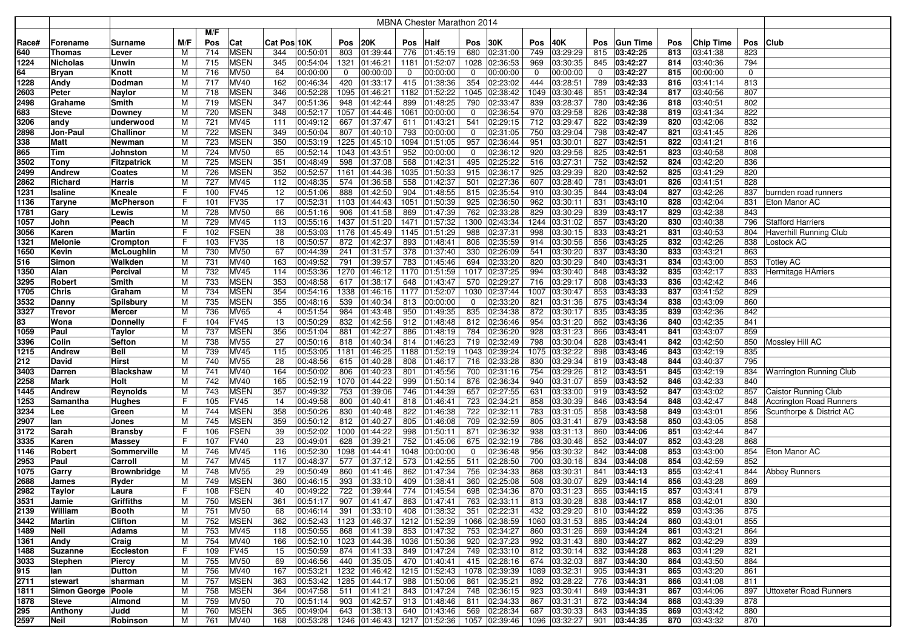|       |                      |                  |     |     |                  |                |          |      |                           |      | <b>MBNA Chester Marathon 2014</b>                                    |             |              |             |                           |            |                   |     |           |             |                                |
|-------|----------------------|------------------|-----|-----|------------------|----------------|----------|------|---------------------------|------|----------------------------------------------------------------------|-------------|--------------|-------------|---------------------------|------------|-------------------|-----|-----------|-------------|--------------------------------|
|       |                      |                  |     | M/F |                  |                |          |      |                           |      |                                                                      |             |              |             |                           |            |                   |     |           |             |                                |
| Race# | Forename             | Surname          | M/F | Pos | Cat              | Cat Pos 10K    |          | Pos  | <b>20K</b>                | Pos  | Half                                                                 | Pos         | 30K          | Pos         | 40K                       | <b>Pos</b> | <b>Gun Time</b>   | Pos | Chip Time | Pos         | <b>Club</b>                    |
| 640   | <b>Thomas</b>        | Lever            | м   | 714 | <b>MSEN</b>      | 344            | 00:50:01 | 803  | 01:39:44                  | 776  | 01:45:19                                                             | 680         | 02:31:00     | 749         | 03:29:29                  | 815        | 03:42:25          | 813 | 03:41:38  | 823         |                                |
| 1224  | <b>Nicholas</b>      | Unwin            | М   | 715 | <b>MSEN</b>      | 345            | 00:54:04 | 1321 | 01:46:21                  | 1181 | 01:52:07                                                             | 1028        | 02:36:53     | 969         | 03:30:35                  | 845        | 03:42:27          | 814 | 03:40:36  | 794         |                                |
| 64    | <b>Bryan</b>         | Knott            | M   | 716 | <b>MV50</b>      | 64             | 00:00:00 | 0    | 00:00:00                  | 0    | 00:00:00                                                             | $\mathbf 0$ | 00:00:00     | $\mathbf 0$ | 00:00:00                  | 0          | 03:42:27          | 815 | 00:00:00  | $\mathbf 0$ |                                |
| 1228  | Andy                 | Dodman           | м   | 717 | MV40             | 162            | 00:46:34 | 420  | 01:33:17                  | 415  | 01:38:36                                                             | 354         | 02:23:02     | 444         | 03:28:51                  | 789        | 03:42:33          | 816 | 03:41:14  | 813         |                                |
| 2603  | Peter                | Naylor           | м   | 718 | <b>MSEN</b>      | 346            | 00:52:28 | 1095 | 01:46:21                  | 1182 | 01:52:22                                                             | 1045        | 02:38:42     | 1049        | 03:30:46                  | 851        | 03:42:34          | 817 | 03:40:56  | 807         |                                |
| 2498  | Grahame              | Smith            | м   | 719 | <b>MSEN</b>      | 347            | 00:51:36 | 948  | 01:42:44                  | 899  | 01:48:25                                                             | 790         | 02:33:47     | 839         | 03:28:37                  | 780        | 03:42:36          | 818 | 03:40:51  | 802         |                                |
| 683   | <b>Steve</b>         | Downey           | м   | 720 | <b>MSEN</b>      | 348            | 00:52:17 | 1057 | 01:44:46                  | 1061 | 00:00:00                                                             | 0           | 02:36:54     | 970         | 03:29:58                  | 826        | 03:42:38          | 819 | 03:41:34  | 822         |                                |
| 3206  | andy                 | underwood        | М   | 721 | MV45             | 111            | 00:49:12 | 667  | 01:37:47                  | 611  | 01:43:21                                                             | 541         | 02:29:15     | 712         | 03:29:47                  | 822        | 03:42:39          | 820 | 03:42:06  | 832         |                                |
| 2898  | Jon-Paul             | Challinor        | М   | 722 | <b>MSEN</b>      | 349            | 00:50:04 | 807  | 01:40:10                  | 793  | 00:00:00                                                             | 0           | 02:31:05     | 750         | 03:29:04                  | 798        | 03:42:47          | 821 | 03:41:45  | 826         |                                |
| 338   | Matt                 | Newman           | М   | 723 | <b>MSEN</b>      | 350            | 00:53:19 | 1225 | 01:45:10                  | 1094 | 01:51:05                                                             | 957         | 02:36:44     | 951         | 03:30:01                  | 827        | 03:42:51          | 822 | 03:41:21  | 816         |                                |
| 865   | Tim                  | Johnston         | M   | 724 | <b>MV50</b>      | 65             | 00:52:14 | 1043 | 01:43:51                  | 952  | 00:00:00                                                             | 0           | 02:36:12     | 920         | 03:29:56                  | 825        | 03:42:51          | 823 | 03:40:58  | 808         |                                |
| 3502  | <b>Tony</b>          | Fitzpatrick      | M   | 725 | <b>MSEN</b>      | 351            | 00:48:49 | 598  | 01:37:08                  | 568  | 01:42:31                                                             | 495         | 02:25:22     | 516         | 03:27:31                  | 752        | 03:42:52          | 824 | 03:42:20  | 836         |                                |
| 2499  | <b>Andrew</b>        | Coates           | М   | 726 | <b>MSEN</b>      | 352            | 00:52:57 | 1161 | 01:44:36                  |      | 1035 01:50:33                                                        | 915         | 02:36:17     | 925         | 03:29:39                  | 820        | 03:42:52          | 825 | 03:41:29  | 820         |                                |
| 2862  | Richard              | Harris           | М   | 727 | <b>MV45</b>      | 112            | 00:48:35 | 574  | 01:36:58                  | 558  | 01:42:37                                                             | 501         | 02:27:36     | 607         | 03:28:40                  | 781        | 03:43:01          | 826 | 03:41:51  | 828         |                                |
| 1231  | Isaline              | Kneale           | F   | 100 | <b>FV45</b>      | 12             | 00:51:06 | 888  | 01:42:50                  | 904  | 01:48:55                                                             | 815         | 02:35:54     | 910         | 03:30:35                  | 844        | 03:43:04          | 827 | 03:42:26  | 837         | burnden road runners           |
| 1136  | Taryne               | McPherson        | F   | 101 | <b>FV35</b>      | 17             | 00:52:31 | 1103 | 01:44:43                  | 1051 | 01:50:39                                                             | 925         | 02:36:50     | 962         | 03:30:11                  | 831        | 03:43:10          | 828 | 03:42:04  | 831         | Eton Manor AC                  |
| 1781  | Gary                 | Lewis            | М   | 728 | <b>MV50</b>      | 66             | 00:51:16 | 906  | 01:41:58                  | 869  | 01:47:39                                                             | 762         | 02:33:28     | 829         | 03:30:29                  | 839        | 03:43:17          | 829 | 03:42:38  | 843         |                                |
| 1057  | John                 | Peach            | М   | 729 | MV45             | 113            | 00:55:16 | 1437 | 01:51:20                  | 1471 | 01:57:32                                                             | 1300        | 02:43:34     | 1244        | 03:31:02                  | 857        | 03:43:20          | 830 | 03:40:38  | 796         | <b>Stafford Harriers</b>       |
| 3056  | Karen                | Martin           | F   | 102 | <b>FSEN</b>      | 38             | 00:53:03 | 1176 | 01:45:49                  | 1145 | 01:51:29                                                             | 988         | 02:37:31     | 998         | 03:30:15                  | 833        | 03:43:21          | 831 | 03:40:53  | 804         | Haverhill Running Club         |
| 1321  | <b>Melonie</b>       | Crompton         | F   | 103 | <b>FV35</b>      | 18             | 00:50:57 | 872  | 01:42:37                  | 893  | 01:48:41                                                             | 806         | 02:35:59     | 914         | 03:30:56                  | 856        | 03:43:25          | 832 | 03:42:26  | 838         | Lostock AC                     |
| 1650  | Kevin                | McLoughlin       | м   | 730 | <b>MV50</b>      | 67             | 00:44:39 | 241  | 01:31:57                  | 378  | 01:37:40                                                             | 330         | 02:26:09     | 541         | 03:30:20                  | 837        | 03:43:30          | 833 | 03:43:21  | 863         |                                |
| 516   | Simon                | Walkden          | М   | 731 | MV40             | 163            | 00:49:52 | 791  | 01:39:57                  | 783  | 01:45:46                                                             | 694         | 02:33:20     | 820         | 03:30:29                  | 840        | 03:43:31          | 834 | 03:43:00  | 853         | <b>Totley AC</b>               |
| 1350  | Alan                 | Percival         | M   | 732 | MV45             | 114            | 00:53:36 | 1270 | 01:46:12                  | 1170 | 01:51:59                                                             | 1017        | 02:37:25     | 994         | 03:30:40                  | 848        | 03:43:32          | 835 | 03:42:17  | 833         | Hermitage HArriers             |
| 3295  | Robert               | Smith            | M   | 733 | <b>MSEN</b>      | 353            | 00:48:58 | 617  | 01:38:17                  | 648  | 01:43:47                                                             | 570         | 02:29:27     | 716         | 03:29:17                  | 808        | 03:43:33          | 836 | 03:42:42  | 846         |                                |
| 1705  | Chris                | Graham           | M   | 734 | <b>MSEN</b>      | 354            | 00:54:16 | 1338 | 01:46:16                  | 1177 | 01:52:07                                                             | 1030        | 02:37:44     | 1007        | 03:30:47                  | 853        | 03:43:33          | 837 | 03:41:52  | 829         |                                |
| 3532  | Danny                | Spilsbury        | M   | 735 | <b>MSEN</b>      | 355            | 00:48:16 | 539  | 01:40:34                  | 813  | 00:00:00                                                             | 0           | 02:33:20     | 821         | 03:31:36                  | 875        | 03:43:34          | 838 | 03:43:09  | 860         |                                |
| 3327  | <b>Trevor</b>        | Mercer           | M   | 736 | <b>MV65</b>      | $\overline{4}$ | 00:51:54 | 984  | 01:43:48                  | 950  | 01:49:35                                                             | 835         | 02:34:38     | 872         | 03:30:17                  | 835        | 03:43:35          | 839 | 03:42:36  | 842         |                                |
| 83    | Wona                 | Donnelly         | F   | 104 | <b>FV45</b>      | 13             | 00:50:29 | 832  | 01:42:56                  | 912  | 01:48:48                                                             | 812         | 02:36:46     | 954         | 03:31:20                  | 862        | 03:43:36          | 840 | 03:42:35  | 841         |                                |
| 1059  | Paul                 | Taylor           | M   | 737 | <b>MSEN</b>      | 356            | 00:51:04 | 881  | 01:42:27                  | 886  | 01:48:19                                                             | 784         | 02:36:20     | 928         | 03:31:23                  | 866        | 03:43:41          | 841 | 03:43:07  | 859         |                                |
| 3396  | Colin                | Sefton           | М   | 738 | <b>MV55</b>      | 27             | 00:50:16 | 818  | 01:40:34                  | 814  | 01:46:23                                                             | 719         | 02:32:49     | 798         | 03:30:04                  | 828        | $\sqrt{03:43:41}$ | 842 | 03:42:50  | 850         | Mossley Hill AC                |
| 1215  | <b>Andrew</b>        | Bell             | M   | 739 | MV45             | 115            | 00:53:05 | 1181 | 01:46:25                  | 1188 | 01:52:19                                                             | 1043        | 02:39:24     |             | 1075 03:32:22             | 898        | 03:43:46          | 843 | 03:42:19  | 835         |                                |
| 212   | David                | Hirst            | м   | 740 | <b>MV55</b>      | 28             | 00:48:56 | 615  | 01:40:28                  | 808  | 01:46:17                                                             | 716         | 02:33:28     | 830         | 03:29:34                  | 819        | 03:43:48          | 844 | 03:40:37  | 795         |                                |
| 3403  | Darren               | <b>Blackshaw</b> | м   | 741 | MV40             | 164            | 00:50:02 | 806  | 01:40:23                  | 801  | 01:45:56                                                             | 700         | 02:31:16     | 754         | 03:29:26                  |            | 812 03:43:51      | 845 | 03:42:19  | 834         | <b>Warrington Running Club</b> |
| 2258  | Mark                 | Holt             | М   | 742 | MV40             | 165            | 00:52:19 | 1070 | 01:44:22                  | 999  | 01:50:14                                                             | 876         | 02:36:34     | 940         | 03:31:07                  | 859        | 03:43:52          | 846 | 03:42:33  | 840         |                                |
| 1445  | <b>Andrew</b>        | Reynolds         | М   | 743 | <b>MSEN</b>      | 357            | 00:49:32 | 753  | 01:39:06                  | 746  | 01:44:39                                                             | 657         | 02:27:55     | 631         | 03:33:00                  | 919        | 03:43:52          | 847 | 03:43:02  | 857         | <b>Caistor Running Club</b>    |
| 1253  | Samantha             | Hughes           | F   | 105 | <b>FV45</b>      | 14             | 00:49:58 | 800  | 01:40:41                  | 818  | 01:46:41                                                             | 723         | 02:34:21     | 858         | 03:30:39                  | 846        | 03:43:54          | 848 | 03:42:47  | 848         | <b>Accrington Road Runners</b> |
| 3234  | Lee                  | Green            | M   | 744 | <b>MSEN</b>      | 358            | 00:50:26 | 830  | 01:40:48                  | 822  | 01:46:38                                                             | 722         | 02:32:11     | 783         | 03:31:05                  | 858        | 03:43:58          | 849 | 03:43:01  | 856         | Scunthorpe & District AC       |
| 2907  | lan                  | Jones            | M   | 745 | <b>MSEN</b>      | 359            | 00:50:12 | 812  | 01:40:27                  | 805  | 01:46:08                                                             | 709         | 02:32:59     | 805         | 03:31:41                  | 879        | 03:43:58          | 850 | 03:43:05  | 858         |                                |
| 3172  | Sarah                | Bransb∖          | F   | 106 | <b>FSEN</b>      | 39             | 00:52:02 | 1000 | 01:44:22                  | 998  | 01:50:11                                                             | 871         | 02:36:32     | 938         | 03:31:13                  | 860        | 03:44:06          | 851 | 03:42:44  | 847         |                                |
| 3335  | Karen                | Massey           | F   | 107 | <b>FV40</b>      | 23             | 00:49:01 | 628  | 01:39:21                  | 752  | 01:45:06                                                             | 675         | 02:32:19     | 786         | 03:30:46                  | 852        | 03:44:07          | 852 | 03:43:28  | 868         |                                |
| 1146  | Robert               | Sommerville      | М   | 746 | MV45             | 116            | 00:52:30 | 1098 | 01:44:41                  | 1048 | 00:00:00                                                             | 0           | 02:36:48     | 956         | 03:30:32                  | 842        | 03:44:08          | 853 | 03:43:00  | 854         | Eton Manor AC                  |
| 2953  | Paul                 | Carroll          | М   | 747 | <b>MV45</b>      | 117            | 00:48:37 | 577  | 01:37:12                  | 573  | 01:42:55                                                             | 511         | 02:28:50     | 700         | 03:30:16                  | 834        | 03:44:08          | 854 | 03:42:59  | 852         |                                |
| 1075  | Garry                | Brownbridge      | м   | 748 | <b>MV55</b>      | 29             | 00:50:49 | 860  | 01:41:46                  | 862  | 01:47:34                                                             | 756         | 02:34:33     | 868         | 03:30:31                  | 841        | 03:44:13          | 855 | 03:42:41  | 844         | <b>Abbey Runners</b>           |
| 2688  | James                | Ryder            | м   | 749 | <b>MSEN</b>      | 360            | 00:46:15 | 393  | 01:33:10                  | 409  | 01:38:41                                                             | 360         | 02:25:08     | 508         | 03:30:07                  | 829        | 03:44:14          | 856 | 03:43:28  | 869         |                                |
| 2982  | Taylor               | Laura            | F.  | 108 | <b>FSEN</b>      | 40             | 00:49:22 | 722  | 01:39:44                  | 774  | 01:45:54                                                             | 698         | 02:34:36     | 870         | 03:31:23                  | 865        | 03:44:15          | 857 | 03:43:41  | 879         |                                |
| 3531  | Jamie                | Griffiths        | м   | 750 | MSEN             | 361            | 00:51:17 |      | 907 01:41:47              |      | 863 01:47:41                                                         |             | 763 02:33:11 |             | 813 03:30:28              |            | 838 03:44:17      | 858 | 03:42:01  | 830         |                                |
| 2139  | William              | Booth            | M   | 751 | MV <sub>50</sub> | 68             | 00:46:14 |      | 391 01:33:10              |      | 408 01:38:32                                                         |             | 351 02:22:31 |             | 432 03:29:20 810 03:44:22 |            |                   | 859 | 03:43:36  | 875         |                                |
| 3442  | Martin               | <b>Clifton</b>   | м   | 752 | <b>MSEN</b>      | 362            | 00:52:43 |      | 1123 01:46:37             |      | 1212 01:52:39 1066 02:38:59                                          |             |              |             | 1060 03:31:53             |            | 885 03:44:24      | 860 | 03:43:01  | 855         |                                |
| 1489  | Neil                 | Adams            | M   | 753 | MV45             | 118            | 00:50:55 |      | 868 01:41:39              |      | 853 01:47:32                                                         |             | 753 02:34:27 |             | 860 03:31:26              |            | 869 03:44:24      | 861 | 03:43:21  | 864         |                                |
| 1361  | Andy                 | Craig            | M   | 754 | <b>MV40</b>      | 166            | 00:52:10 |      | 1023 01:44:36             |      | 1036 01:50:36                                                        |             | 920 02:37:23 |             | 992 03:31:43              |            | 880 03:44:27      | 862 | 03:42:29  | 839         |                                |
| 1488  | <b>Suzanne</b>       | Eccleston        | F.  | 109 | <b>FV45</b>      | 15             | 00:50:59 |      | 874 01:41:33              |      | 849 01:47:24                                                         |             | 749 02:33:10 |             | 812 03:30:14              |            | 832 03:44:28      | 863 | 03:41:29  | 821         |                                |
| 3033  | Stephen              | <b>Piercy</b>    | М   | 755 | <b>MV50</b>      | 69             | 00:46:56 |      | 440 01:35:05              |      | 470 01:40:41                                                         |             | 415 02:28:16 |             | 674 03:32:03              |            | 887 03:44:30      | 864 | 03:43:50  | 884         |                                |
| 915   | lan                  | <b>Dutton</b>    | M   | 756 | <b>MV40</b>      | 167            | 00:53:21 |      | 1232 01:46:42             |      | 1215 01:52:43 1078 02:39:39                                          |             |              |             | 1089 03:32:31             |            | 905 03:44:31      | 865 | 03:43:20  | 861         |                                |
| 2711  | stewart              | sharman          | м   | 757 | <b>MSEN</b>      | 363            | 00:53:42 |      | 1285 01:44:17             |      | 988 01:50:06                                                         |             | 861 02:35:21 |             | 892 03:28:22              |            | 776 03:44:31      | 866 | 03:41:08  | 811         |                                |
| 1811  | Simon George   Poole |                  | м   | 758 | <b>MSEN</b>      | 364            | 00:47:58 |      | $\overline{511}$ 01:41:21 |      | 843 01:47:24                                                         |             | 748 02:36:15 |             | $923$ 03:30:41            |            | 849 03:44:31      | 867 | 03:44:06  |             | 897 Uttoxeter Road Runners     |
| 1878  | Steve                | Almond           | М   | 759 | MV <sub>50</sub> | 70             | 00:51:14 |      | 903 01:42:57              |      | 913 01:48:46                                                         |             | 811 02:34:33 |             | 867 03:31:31              |            | 872 03:44:34      | 868 | 03:43:39  | 878         |                                |
| 295   | Anthony              | Judd             | M   | 760 | <b>MSEN</b>      | 365            | 00:49:04 |      | 643 01:38:13              |      | $\boxed{640}$ 01:43:46                                               |             | 569 02:28:34 |             | 687 03:30:33              |            | 843 03:44:35      | 869 | 03:43:42  | 880         |                                |
| 2597  | Neil                 | Robinson         | M   | 761 | <b>MV40</b>      | 168            | 00:53:28 |      |                           |      | 1246 01:46:43 1217 01:52:36 1057 02:39:46 1096 03:32:27 901 03:44:35 |             |              |             |                           |            |                   | 870 | 03:43:32  | 870         |                                |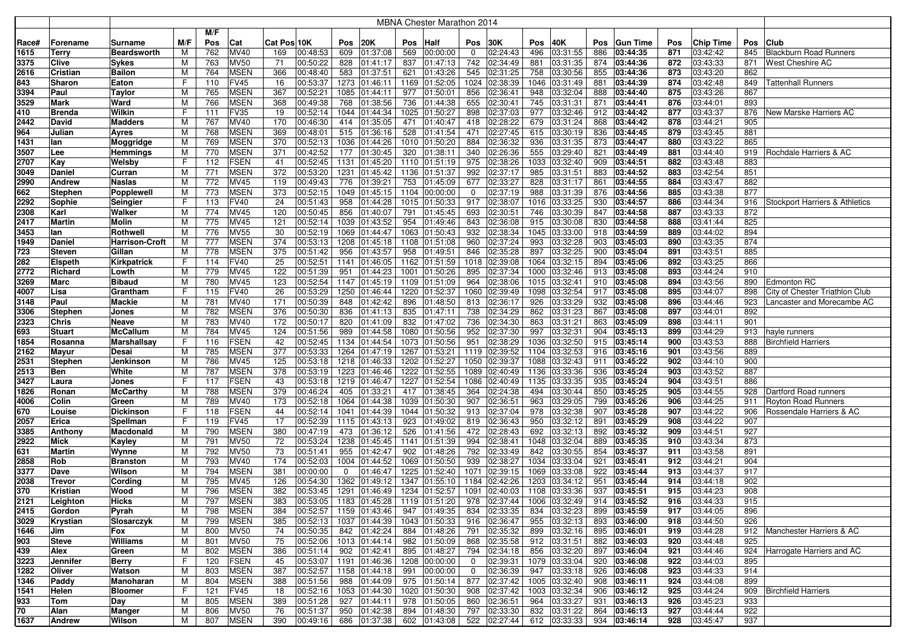|       |                |                    |     |     |             |             |          |      |                                                  |      | <b>MBNA Chester Marathon 2014</b> |                |              |      |                            |            |                 |     |           |     |                                |
|-------|----------------|--------------------|-----|-----|-------------|-------------|----------|------|--------------------------------------------------|------|-----------------------------------|----------------|--------------|------|----------------------------|------------|-----------------|-----|-----------|-----|--------------------------------|
|       |                |                    |     | M/F |             |             |          |      |                                                  |      |                                   |                |              |      |                            |            |                 |     |           |     |                                |
| Race# | Forename       | Surname            | M/F | Pos | Cat         | Cat Pos 10K |          | Pos  | <b>20K</b>                                       | Pos  | Half                              | Pos            | 30K          | Pos  | 40K                        | <b>Pos</b> | <b>Gun Time</b> | Pos | Chip Time | Pos | <b>Club</b>                    |
| 1615  | Terry          | <b>Beardsworth</b> | M   | 762 | MV40        | 169         | 00:48:53 | 609  | 01:37:08                                         | 569  | 00:00:00                          | 0              | 02:24:43     | 496  | 03:31:55                   | 886        | 03:44:35        | 871 | 03:42:42  | 845 | <b>Blackburn Road Runners</b>  |
| 3375  | Clive          | Sykes              | М   | 763 | <b>MV50</b> | 71          | 00:50:22 | 828  | 01:41:17                                         | 837  | 01:47:13                          | 742            | 02:34:49     | 881  | 03:31:35                   | 874        | 03:44:36        | 872 | 03:43:33  | 871 | West Cheshire AC               |
| 2616  | Cristian       | Bailon             | M   | 764 | <b>MSEN</b> | 366         | 00:48:40 | 583  | 01:37:51                                         | 621  | 01:43:26                          | 545            | 02:31:25     | 758  | 03:30:56                   | 855        | 03:44:36        | 873 | 03:43:20  | 862 |                                |
| 843   | Sharon         | Eaton              | F   | 110 | <b>FV45</b> | 16          | 00:53:37 | 1273 | 01:46:11                                         |      | 1169 01:52:05                     | 1024           | 02:38:39     | 1046 | 03:31:49                   | 881        | 03:44:39        | 874 | 03:42:48  | 849 | <b>Tattenhall Runners</b>      |
| 3394  | Paul           | Taylor             | м   | 765 | <b>MSEN</b> | 367         | 00:52:21 | 1085 | 01:44:11                                         | 977  | 01:50:01                          | 856            | 02:36:41     | 948  | 03:32:04                   | 888        | 03:44:40        | 875 | 03:43:26  | 867 |                                |
| 3529  | Mark           | Ward               | м   | 766 | <b>MSEN</b> | 368         | 00:49:38 | 768  | 01:38:56                                         | 736  | 01:44:38                          | 655            | 02:30:41     | 745  | 03:31:31                   | 871        | 03:44:41        | 876 | 03:44:01  | 893 |                                |
| 410   | <b>Brenda</b>  | Wilkin             | F   | 111 | <b>FV35</b> | 19          | 00:52:14 | 1044 | 01:44:34                                         | 1025 | 01:50:27                          | 898            | 02:37:03     | 977  | 03:32:46                   | 912        | 03:44:42        | 877 | 03:43:37  | 876 | New Marske Harriers AC         |
| 2442  | David          | Madders            | м   | 767 | MV40        | 170         | 00:46:30 | 414  | 01:35:05                                         | 471  | 01:40:47                          | 418            | 02:28:22     | 679  | 03:31:24                   | 868        | 03:44:42        | 878 | 03:44:21  | 905 |                                |
| 964   | Julian         | Ayres              | м   | 768 | <b>MSEN</b> | 369         | 00:48:01 | 515  | 01:36:16                                         | 528  | 01:41:54                          | 471            | 02:27:45     | 615  | 03:30:19                   | 836        | 03:44:45        | 879 | 03:43:45  | 881 |                                |
| 1431  | lan            | Moggridge          | M   | 769 | <b>MSEN</b> | 370         | 00:52:13 | 1036 | 01:44:26                                         | 1010 | 01:50:20                          | 884            | 02:36:32     | 936  | 03:31:35                   | 873        | 03:44:47        | 880 | 03:43:22  | 865 |                                |
| 3507  | Lee            | Hemmings           | M   | 770 | <b>MSEN</b> | 371         | 00:42:52 | 177  | 01:30:45                                         | 320  | 01:38:11                          | 340            | 02:26:36     | 555  | 03:29:40                   | 821        | 03:44:49        | 881 | 03:44:40  | 919 | Rochdale Harriers & AC         |
| 2707  | Kay            | Welsby             | F   | 112 | <b>FSEN</b> | 41          | 00:52:45 | 1131 | 01:45:20                                         |      | 1110 01:51:19                     | 975            | 02:38:26     | 1033 | 03:32:40                   | 909        | 03:44:51        | 882 | 03:43:48  | 883 |                                |
| 3049  | Daniel         | Curran             | M   | 771 | <b>MSEN</b> | 372         | 00:53:20 | 1231 | 01:45:42                                         |      | 1136 01:51:37                     | 992            | 02:37:17     | 985  | 03:31:51                   | 883        | 03:44:52        | 883 | 03:42:54  | 851 |                                |
| 2990  | <b>Andrew</b>  | Naslas             | М   | 772 | <b>MV45</b> | 119         | 00:49:43 | 776  | 01:39:21                                         | 753  | 01:45:09                          | 677            | 02:33:27     | 828  | 03:31:17                   | 861        | 03:44:55        | 884 | 03:43:47  | 882 |                                |
| 662   | <b>Stephen</b> | Popplewell         | м   | 773 | <b>MSEN</b> | 373         | 00:52:15 | 1049 | 01:45:15                                         |      | 1104 00:00:00                     | 0              | 02:37:19     | 988  | 03:31:39                   | 876        | 03:44:56        | 885 | 03:43:38  | 877 |                                |
| 2292  | Sophie         | Seingier           | F   | 113 | <b>FV40</b> | 24          | 00:51:43 | 958  | 01:44:28                                         |      | 1015 01:50:33                     | 917            | 02:38:07     | 1016 | 03:33:25                   | 930        | 03:44:57        | 886 | 03:44:34  | 916 | Stockport Harriers & Athletics |
| 2308  | Karl           | Walker             | М   | 774 | <b>MV45</b> | 120         | 00:50:45 | 856  | 01:40:07                                         | 791  | 01:45:45                          | 693            | 02:30:51     | 746  | 03:30:39                   | 847        | 03:44:58        | 887 | 03:43:33  | 872 |                                |
| 2417  | Martin         | Molin              | м   | 775 | MV45        | 121         | 00:52:14 | 1039 | 01:43:52                                         | 954  | 01:49:46                          | 843            | 02:36:08     | 915  | 03:30:08                   | 830        | 03:44:58        | 888 | 03:41:44  | 825 |                                |
| 3453  | lan            | Rothwell           | м   | 776 | <b>MV55</b> | 30          | 00:52:19 | 1069 | 01:44:47                                         |      | 1063 01:50:43                     | 932            | 02:38:34     | 1045 | 03:33:00                   | 918        | 03:44:59        | 889 | 03:44:02  | 894 |                                |
| 1949  | Daniel         | Harrison-Croft     | м   | 777 | <b>MSEN</b> | 374         | 00:53:13 | 1208 | 01:45:18                                         |      | 1108 01:51:08                     | 960            | 02:37:24     | 993  | 03:32:28                   | 903        | 03:45:03        | 890 | 03:43:35  | 874 |                                |
| 723   | <b>Steven</b>  | Gillan             | м   | 778 | <b>MSEN</b> | 375         | 00:51:42 | 956  | 01:43:57                                         | 958  | 01:49:51                          | 846            | 02:35:28     | 897  | 03:32:25                   | 900        | 03:45:04        | 891 | 03:43:51  | 885 |                                |
| 282   | <b>Elspeth</b> | Kirkpatrick        | F   | 114 | <b>FV40</b> | 25          | 00:52:51 | 1141 | 01:46:05                                         |      | 1162 01:51:59                     | 1018           | 02:39:08     | 1064 | 03:32:15                   | 894        | 03:45:06        | 892 | 03:43:25  | 866 |                                |
| 2772  | Richard        | Lowth              | M   | 779 | <b>MV45</b> | 122         | 00:51:39 | 951  | 01:44:23                                         | 1001 | 01:50:26                          | 895            | 02:37:34     | 1000 | 03:32:46                   | 913        | 03:45:08        | 893 | 03:44:24  | 910 |                                |
| 3269  | Marc           | Bibaud             | M   | 780 | MV45        | 123         | 00:52:54 | 1147 | 01:45:19                                         |      | 1109 01:51:09                     | 964            | 02:38:06     | 1015 | 03:32:41                   | 910        | 03:45:08        | 894 | 03:43:56  | 890 | Edmonton RC                    |
| 4007  | Lisa           | Grantham           | F   | 115 | <b>FV40</b> | 26          | 00:53:29 | 1250 | 01:46:44                                         |      | 1220 01:52:37                     | 1060           | 02:39:49     | 1098 | 03:32:54                   | 917        | 03:45:08        | 895 | 03:44:07  | 898 | City of Chester Triathlon Club |
| 3148  | Paul           | Mackie             | M   | 781 | MV40        | 171         | 00:50:39 | 848  | 01:42:42                                         | 896  | 01:48:50                          | 813            | 02:36:17     | 926  | 03:33:29                   | 932        | 03:45:08        | 896 | 03:44:46  | 923 | Lancaster and Morecambe AC     |
| 3306  | <b>Stephen</b> | Jones              | M   | 782 | <b>MSEN</b> | 376         | 00:50:30 | 836  | 01:41:13                                         | 835  | 01:47:11                          | 738            | 02:34:29     | 862  | 03:31:23                   | 867        | 03:45:08        | 897 | 03:44:01  | 892 |                                |
| 2323  | <b>Chris</b>   | Neave              | M   | 783 | MV40        | 172         | 00:50:17 | 820  | 01:41:09                                         | 832  | 01:47:02                          | 736            | 02:34:30     | 863  | 03:31:21                   | 863        | 03:45:09        | 898 | 03:44:11  | 901 |                                |
| 693   | <b>Stuart</b>  | McCallum           | M   | 784 | MV45        | 124         | 00:51:56 | 989  | 01:44:58                                         |      | 1080 01:50:56                     | 952            | 02:37:30     | 997  | 03:32:31                   | 904        | 03:45:13        | 899 | 03:44:29  | 913 | hayle runners                  |
| 1854  | Rosanna        | Marshallsay        | F   | 116 | <b>FSEN</b> | 42          | 00:52:45 | 1134 | 01:44:54                                         |      | 1073 01:50:56                     | 951            | 02:38:29     | 1036 | 03:32:50                   | 915        | 03:45:14        | 900 | 03:43:53  | 888 | <b>Birchfield Harriers</b>     |
| 2162  | Mayur          | Desai              | м   | 785 | <b>MSEN</b> | 377         | 00:53:33 | 1264 | 01:47:19                                         |      | 1267 01:53:21                     | 1119           | 02:39:52     | 1104 | 03:32:53                   |            | 916 03:45:16    | 901 | 03:43:56  | 889 |                                |
| 2531  | <b>Stephen</b> | Jenkinson          | м   | 786 | MV45        | 125         | 00:53:18 | 1218 | 01:46:33                                         | 1202 | 01:52:27                          | 1050           | 02:39:37     | 1088 | 03:32:43                   | 911        | 03:45:22        | 902 | 03:44:10  | 900 |                                |
| 2513  | Ben            | White              | м   | 787 | <b>MSEN</b> | 378         | 00:53:19 | 1223 | 01:46:46                                         |      | 1222 01:52:55                     | 1089           | 02:40:49     | 1136 | 03:33:36                   | 936        | 03:45:24        | 903 | 03:43:52  | 887 |                                |
| 3427  | Laura          | Jones              | F   | 117 | <b>FSEN</b> | 43          | 00:53:18 | 1219 | 01:46:47                                         |      | 1227 01:52:54                     | 1086           | 02:40:49     | 1135 | 03:33:35                   | 935        | 03:45:24        | 904 | 03:43:51  | 886 |                                |
| 1826  | Ronan          | McCarthy           | М   | 788 | <b>MSEN</b> | 379         | 00:46:24 | 405  | 01:33:21                                         | 417  | 01:38:45                          | 364            | 02:24:38     | 494  | 03:30:44                   | 850        | 03:45:25        | 905 | 03:44:55  | 928 | Dartford Road runners          |
| 4006  | Colin          | Green              | M   | 789 | MV40        | 173         | 00:52:18 | 1064 | 01:44:38                                         | 1039 | 01:50:30                          | 907            | 02:36:51     | 963  | 03:29:05                   | 799        | 03:45:26        | 906 | 03:44:25  | 911 | Royton Road Runners            |
| 670   | Louise         | Dickinson          | F   | 118 | <b>FSEN</b> | 44          | 00:52:14 | 1041 | 01:44:39                                         |      | 1044 01:50:32                     | 913            | 02:37:04     | 978  | 03:32:38                   | 907        | 03:45:28        | 907 | 03:44:22  | 906 | Rossendale Harriers & AC       |
| 2057  | Erica          | Spellman           | F   | 119 | <b>FV45</b> | 17          | 00:52:39 | 1115 | 01:43:13                                         | 923  | 01:49:02                          | 819            | 02:36:43     | 950  | 03:32:12                   | 891        | 03:45:29        | 908 | 03:44:22  | 907 |                                |
| 3385  | Anthony        | Macdonald          | M   | 790 | <b>MSEN</b> | 380         | 00:47:19 | 473  | 01:36:12                                         | 526  | 01:41:56                          | 472            | 02:28:43     | 692  | 03:32:13                   | 892        | 03:45:32        | 909 | 03:44:51  | 927 |                                |
| 2922  | Mick           | Kayley             | M   | 791 | <b>MV50</b> | 72          | 00:53:24 | 1238 | 01:45:45                                         | 1141 | 01:51:39                          | 994            | 02:38:41     | 1048 | 03:32:04                   | 889        | 03:45:35        | 910 | 03:43:34  | 873 |                                |
| 631   | Martin         | Wynne              | M   | 792 | <b>MV50</b> | 73          | 00:51:41 | 955  | 01:42:47                                         | 902  | 01:48:26                          | 792            | 02:33:49     | 842  | 03:30:55                   | 854        | 03:45:37        | 911 | 03:43:58  | 891 |                                |
| 2858  | Rob            | <b>Branston</b>    | М   | 793 | MV40        | 174         | 00:52:03 | 1004 | 01:44:52                                         | 1069 | 01:50:50                          | 939            | 02:38:27     | 1034 | 03:33:04                   | 921        | 03:45:41        | 912 | 03:44:21  | 904 |                                |
| 3377  | Dave           | Wilson             | м   | 794 | <b>MSEN</b> | 381         | 00:00:00 | 0    | 01:46:47                                         | 1225 | 01:52:40                          | 1071           | 02:39:15     | 1069 | 03:33:08                   | 922        | 03:45:44        | 913 | 03:44:37  | 917 |                                |
| 2038  | Trevor         | Cording            | м   | 795 | MV45        | 126         | 00:54:30 | 1362 | 01:49:12                                         |      | 1347 01:55:10                     | 1184           | 02:42:26     | 1203 | 03:34:12                   | 951        | 03:45:44        | 914 | 03:44:18  | 902 |                                |
| 370   | Kristian       | Wood               | М   | 796 | <b>MSEN</b> | 382         | 00:53:45 | 1291 | 01:46:49                                         |      | 1234 01:52:57                     | 1091           | 02:40:03     | 1108 | 03:33:36                   | 937        | 03:45:51        | 915 | 03:44:23  | 908 |                                |
| 2121  | Leighton       | Hicks              | м   | 797 | MSEN        | 383         |          |      | $ 00:53:05 $ 1183 $ 01:45:28 $ 1119 $ 01:51:20 $ |      |                                   |                | 978 02:37:44 |      | 1006 03:32:49              |            | 914 03:45:52    | 916 | 03:44:33  | 915 |                                |
| 2415  | Gordon         | Pyrah              | M   | 798 | <b>MSEN</b> | 384         | 00:52:57 |      | 1159 01:43:46                                    |      | 947 01:49:35                      |                | 834 02:33:35 |      | 834 03:32:23 899 03:45:59  |            |                 | 917 | 03:44:05  | 896 |                                |
| 3029  | Krystian       | Slosarczyk         | м   | 799 | <b>MSEN</b> | 385         | 00:52:13 |      | 1037 01:44:39                                    |      | 1043 01:50:33 916 02:36:47        |                |              |      | 955 03:32:13 893 03:46:00  |            |                 | 918 | 03:44:50  | 926 |                                |
| 1646  | Jim            | Fox                | M   | 800 | <b>MV50</b> | 74          | 00:50:35 |      | 842 01:42:24                                     |      | 884 01:48:26                      |                | 791 02:35:32 |      | 899 03:32:16 895 03:46:01  |            |                 | 919 | 03:44:28  |     | 912   Manchester Harriers & AC |
| 903   | Steve          | Williams           | М   | 801 | <b>MV50</b> | 75          | 00:52:06 |      | 1013 01:44:14                                    |      | 982 01:50:09                      |                | 868 02:35:58 |      | 912 03:31:51 882 03:46:03  |            |                 | 920 | 03:44:48  | 925 |                                |
| 439   | Alex           | Green              | М   | 802 | <b>MSEN</b> | 386         | 00:51:14 |      | 902 01:42:41                                     |      | 895 01:48:27                      | 794            | 02:34:18     |      | 856 03:32:20               |            | 897 03:46:04    | 921 | 03:44:46  |     | 924 Harrogate Harriers and AC  |
| 3223  | Jennifer       | Berry              | F   | 120 | <b>FSEN</b> | 45          | 00:53:07 |      | 1191 01:46:36 1208 00:00:00                      |      |                                   | $\overline{0}$ | 02:39:31     |      | 1079 03:33:04 920 03:46:08 |            |                 | 922 | 03:44:03  | 895 |                                |
| 1282  | Oliver         | Watson             | M   | 803 | <b>MSEN</b> | 387         | 00:52:57 |      | 1158 01:44:18                                    |      | 991 00:00:00                      | $\overline{0}$ | 02:36:39     |      | 947 03:33:18 926 03:46:08  |            |                 | 923 | 03:44:33  | 914 |                                |
| 1346  | Paddy          | Manoharan          | м   | 804 | <b>MSEN</b> | 388         | 00:51:56 |      | 988 01:44:09                                     |      | 975 01:50:14                      |                | 877 02:37:42 |      | 1005 03:32:40              |            | 908 03:46:11    | 924 | 03:44:08  | 899 |                                |
| 1541  | Helen          | <b>Bloomer</b>     | F.  | 121 | <b>FV45</b> | 18          | 00:52:16 |      | 1053 01:44:30                                    |      | 1020 01:50:30                     | 908            | 02:37:42     |      | 1003 03:32:34              |            | 906 03:46:12    | 925 | 03:44:24  |     | 909   Birchfield Harriers      |
| 933   | Tom            | Day                | M   | 805 | <b>MSEN</b> | 389         | 00:51:28 |      | 927 01:44:11                                     |      | 978 01:50:05                      | 860            | 02:36:51     |      | 964 03:33:27               |            | 931 03:46:13    | 926 | 03:45:23  | 933 |                                |
| 70    | Alan           | Manger             | м   | 806 | <b>MV50</b> | 76          | 00:51:37 | 950  | 01:42:38                                         | 894  | 01:48:30                          |                | 797 02:33:30 |      | 832 03:31:22               |            | 864 03:46:13    | 927 | 03:44:44  | 922 |                                |
| 1637  | <b>Andrew</b>  | Wilson             | M   | 807 | <b>MSEN</b> | 390         | 00:49:16 |      | 686 01:37:38                                     |      | 602 01:43:08                      |                | 522 02:27:44 |      | 612 03:33:33 934 03:46:14  |            |                 | 928 | 03:45:47  | 937 |                                |
|       |                |                    |     |     |             |             |          |      |                                                  |      |                                   |                |              |      |                            |            |                 |     |           |     |                                |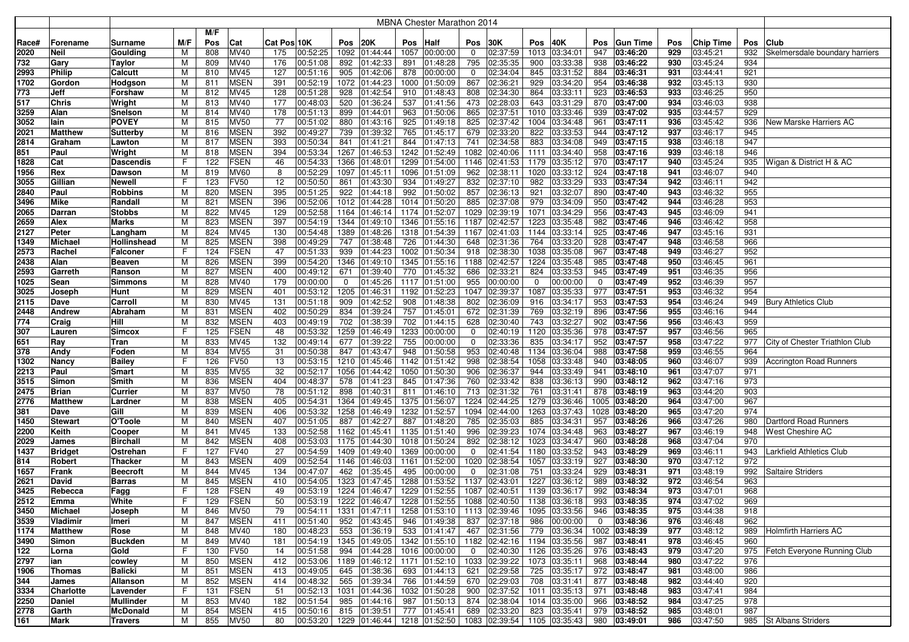|       |                |                  |     |     |                            |             |          |      |               |     | MBNA Chester Marathon 2014                              |              |               |             |                             |             |                              |     |                  |     |                                |
|-------|----------------|------------------|-----|-----|----------------------------|-------------|----------|------|---------------|-----|---------------------------------------------------------|--------------|---------------|-------------|-----------------------------|-------------|------------------------------|-----|------------------|-----|--------------------------------|
|       |                |                  |     | M/F |                            |             |          |      |               |     |                                                         |              |               |             |                             |             |                              |     |                  |     |                                |
| Race# | Forename       | Surname          | M/F | Pos | Cat                        | Cat Pos 10K |          | Pos  | 20K           | Pos | <b>Half</b>                                             | Pos          | 30K           | Pos         | 40K                         | Pos         | <b>Gun Time</b>              | Pos | <b>Chip Time</b> | Pos | Club                           |
| 2020  | <b>Neil</b>    | Goulding         | M   | 808 | MV40                       | 175         | 00:52:25 | 1092 | 01:44:44      |     | 1057 00:00:00                                           | $\mathbf 0$  | 02:37:59      | 1013        | 03:34:01                    | 947         | 03:46:20                     | 929 | 03:45:21         | 932 | Skelmersdale boundary harriers |
| 732   | Gary           | <b>Taylor</b>    | M   | 809 | MV40                       | 176         | 00:51:08 | 892  | 01:42:33      | 891 | 01:48:28                                                | 795          | 02:35:35      | 900         | 03:33:38                    | 938         | 03:46:22                     | 930 | 03:45:24         | 934 |                                |
| 2993  | Philip         | Calcutt          | M   | 810 | <b>MV45</b>                | 127         | 00:51:16 | 905  | 01:42:06      | 878 | 00:00:00                                                | 0            | 02:34:04      | 845         | 03:31:52                    | 884         | 03:46:31                     | 931 | 03:44:41         | 921 |                                |
| 1702  | Gordon         | <b>Hodgson</b>   | M   | 811 | <b>MSEN</b>                | 391         | 00:52:19 | 1072 | 01:44:23      |     | 1000 01:50:09                                           | 867          | 02:36:21      | 929         | 03:34:20                    | 954         | 03:46:38                     | 932 | 03:45:13         | 930 |                                |
| 773   | Jeff           | Forshaw          | M   | 812 | MV45                       | 128         | 00:51:28 | 928  | 01:42:54      |     | 910 01:48:43                                            | 808          | 02:34:30      | 864         | 03:33:11                    | 923         | 03:46:53                     | 933 | 03:46:25         | 950 |                                |
| 517   | <b>Chris</b>   | Wright           | M   | 813 | MV40                       | 177         | 00:48:03 | 520  | 01:36:24      | 537 | 01:41:56                                                | 473          | 02:28:03      | 643         | 03:31:29                    | 870         | 03:47:00                     | 934 | 03:46:03         | 938 |                                |
| 3259  | Alan           | Snelson          | м   | 814 | MV40                       | 178         | 00:51:13 | 899  | 01:44:01      | 963 | 01:50:06                                                | 865          | 02:37:51      | 1010        | 03:33:46                    | 939         | 03:47:02                     | 935 | 03:44:57         | 929 |                                |
| 3052  | lain           | <b>POVEY</b>     | M   | 815 | <b>MV50</b>                | 77          | 00:51:02 | 880  | 01:43:16      | 925 | 01:49:18                                                | 825          | 02:37:42      | 1004        | 03:34:48                    | 961         | 03:47:11                     | 936 | 03:45:42         | 936 | New Marske Harriers AC         |
| 2021  | <b>Matthew</b> | Sutterby         | M   | 816 | <b>MSEN</b>                | 392         | 00:49:27 | 739  | 01:39:32      | 765 | 01:45:17                                                | 679          | 02:33:20      | 822         | 03:33:53                    | 944         | 03:47:12                     | 937 | 03:46:17         | 945 |                                |
| 2814  | Graham         | Lawton           | M   | 817 | <b>MSEN</b>                | 393         | 00:50:34 | 841  | 01:41:21      | 844 | 01:47:13                                                | 741          | 02:34:58      | 883         | 03:34:08                    | 949         | 03:47:15                     | 938 | 03:46:18         | 947 |                                |
| 851   | Paul           | Wright           | M   | 818 | <b>MSEN</b>                | 394         | 00:53:34 | 1267 | 01:46:53      |     | 1242 01:52:49                                           | 1082         | 02:40:06      | 1111        | 03:34:40                    | 958         | 03:47:16                     | 939 | 03:46:18         | 946 |                                |
| 1828  | Cat            | <b>Dascendis</b> | F   | 122 | <b>FSEN</b>                | 46          | 00:54:33 | 1366 | 01:48:01      |     | 1299 01:54:00                                           | 1146         | 02:41:53      | 1179        | 03:35:12                    | 970         | 03:47:17                     | 940 | 03:45:24         | 935 | Wigan & District H & AC        |
| 1956  | Rex            | Dawson           | M   | 819 | <b>MV60</b>                | 8           | 00:52:29 | 1097 | 01:45:11      |     | 1096 01:51:09                                           | 962          | 02:38:11      | 1020        | 03:33:12                    | 924         | 03:47:18                     | 941 | 03:46:07         | 940 |                                |
| 3055  | Gillian        | Newell           | F   | 123 | <b>FV50</b>                | 12          | 00:50:50 | 861  | 01:43:30      | 934 | 01:49:27                                                | 832          | 02:37:10      | 982         | 03:33:29                    | 933         | 03:47:34                     | 942 | 03:46:11         | 942 |                                |
| 2840  | Paul           | <b>Robbins</b>   | M   | 820 | <b>MSEN</b>                | 395         | 00:51:25 | 922  | 01:44:18      |     | 992 01:50:02                                            | 857          | 02:36:13      | 921         | 03:32:07                    | 890         | 03:47:40                     | 943 | 03:46:32         | 955 |                                |
| 3496  | <b>Mike</b>    | Randall          | M   | 821 | <b>MSEN</b>                | 396         | 00:52:06 | 1012 | 01:44:28      |     | 1014 01:50:20                                           | 885          | 02:37:08      | 979         | 03:34:09                    | 950         | 03:47:42                     | 944 | 03:46:28         | 953 |                                |
| 2065  | <b>Darran</b>  | <b>Stobbs</b>    | M   | 822 | MV45                       | 129         | 00:52:58 | 1164 | 01:46:14      |     | 1174 01:52:07                                           | 1029         | 02:39:19      | 1071        | 03:34:29                    | 956         | 03:47:43                     | 945 | 03:46:09         | 941 |                                |
| 2659  | Alex           | Marks            | M   | 823 | <b>MSEN</b>                | 397         | 00:54:19 | 1344 | 01:49:10      |     | 1346 01:55:16                                           | 1187         | 02:42:57      | 1223        | 03:35:48                    | 982         | 03:47:46                     | 946 | 03:46:42         | 958 |                                |
| 2127  | Peter          | Langham          | M   | 824 | MV45                       | 130         | 00:54:48 | 1389 | 01:48:26      |     | 1318 01:54:39                                           | 1167         | 02:41:03      | 1144        | 03:33:14                    | 925         | 03:47:46                     | 947 | 03:45:16         | 931 |                                |
| 1349  | <b>Michael</b> | Hollinshead      | M   | 825 | <b>MSEN</b>                | 398         | 00:49:29 | 747  | 01:38:48      |     | 726 01:44:30                                            | 648          | 02:31:36      | 764         | 03:33:20                    | 928         | 03:47:47                     | 948 | 03:46:58         | 966 |                                |
| 2573  | Rachel         | Falconeı         | F   | 124 | <b>FSEN</b>                | 47          | 00:51:33 | 939  | 01:44:23      |     | 1002 01:50:34                                           | 918          | 02:38:30      | 1038        | 03:35:08                    | 967         | 03:47:48                     | 949 | 03:46:27         | 952 |                                |
| 2438  | Alan           | Beaven           | M   | 826 | <b>MSEN</b>                | 399         | 00:54:20 | 1346 | 01:49:10      |     | 1345 01:55:16                                           |              | 1188 02:42:57 | 1224        | 03:35:48                    | 985         | 03:47:48                     | 950 | 03:46:45         | 961 |                                |
| 2593  | Garreth        | Ranson           | M   | 827 | <b>MSEN</b>                | 400         | 00:49:12 | 671  | 01:39:40      | 770 | 01:45:32                                                | 686          | 02:33:21      | 824         | 03:33:53                    | 945         | 03:47:49                     | 951 | 03:46:35         | 956 |                                |
| 1025  | Sean           | <b>Simmons</b>   | M   | 828 | MV40                       | 179         | 00:00:00 | 0    | 01:45:26      |     | 1117 01:51:00                                           | 955          | 00:00:00      | $\mathbf 0$ | 00:00:00                    | $\Omega$    | 03:47:49                     | 952 | 03:46:39         | 957 |                                |
| 3025  | Joseph         | Hunt             | M   | 829 | <b>MSEN</b>                | 401         | 00:53:12 | 1205 | 01:46:31      |     | 1192 01:52:23                                           | 1047         | 02:39:37      | 1087        | 03:35:33                    | 977         | 03:47:51                     | 953 | 03:46:32         | 954 |                                |
| 2115  | Dave           | Carroll          | М   | 830 | MV45                       | 131         | 00:51:18 | 909  | 01:42:52      | 908 | 01:48:38                                                | 802          | 02:36:09      | 916         | 03:34:17                    | 953         | 03:47:53                     | 954 | 03:46:24         | 949 | <b>Bury Athletics Club</b>     |
| 2448  | <b>Andrew</b>  | Abraham          | M   | 831 | <b>MSEN</b>                | 402         | 00:50:29 | 834  | 01:39:24      | 757 | 01:45:01                                                | 672          | 02:31:39      | 769         | 03:32:19                    | 896         | 03:47:56                     | 955 | 03:46:16         | 944 |                                |
| 774   | Craig          | Hill             | M   | 832 | <b>MSEN</b>                | 403         | 00:49:19 | 702  | 01:38:39      | 702 | $\sqrt{01:44:15}$                                       | 628          | 02:30:40      | 743         | 03:32:27                    | 902         | 03:47:56                     | 956 | 03:46:43         | 959 |                                |
| 307   | Lauren         | <b>Simcox</b>    | F   | 125 | <b>FSEN</b>                | 48          | 00:53:32 | 1259 | 01:46:49      |     | 1233 00:00:00                                           | 0            | 02:40:19      | 1120        | 03:35:36                    | 978         | 03:47:57                     | 957 | 03:46:56         | 965 |                                |
| 651   | Ray            | Tran             | M   | 833 | MV45                       | 132         | 00:49:14 | 677  | 01:39:22      | 755 | 00:00:00                                                | 0            | 02:33:36      | 835         | 03:34:17                    | 952         | 03:47:57                     | 958 | 03:47:22         | 977 | City of Chester Triathlon Club |
| 378   | Andy           | Foden            | M   | 834 | <b>MV55</b>                | 31          | 00:50:38 | 847  | 01:43:47      | 948 | 01:50:58                                                | 953          | 02:40:48      | 1134        | 03:36:04                    | 988         | 03:47:58                     | 959 | 03:46:55         | 964 |                                |
| 1302  | <b>Nancy</b>   | <b>Bailey</b>    | F   | 126 | <b>FV50</b>                | 13          | 00:53:15 | 1210 | 01:45:46      |     | 1142 01:51:42                                           | 998          | 02:38:54      | 1058        | 03:33:48                    | 940         | 03:48:05                     | 960 | 03:46:07         | 939 | Accrington Road Runners        |
| 2213  | Paul           | Smart            | M   | 835 | <b>MV55</b>                | 32          | 00:52:17 | 1056 | 01:44:42      |     | 1050 01:50:30                                           | 906          | 02:36:37      | 944         | 03:33:49                    | 941         | 03:48:10                     | 961 | 03:47:07         | 971 |                                |
| 3515  | Simon          | Smith            | M   | 836 | <b>MSEN</b>                | 404         | 00:48:37 | 578  | 01:41:23      | 845 | 01:47:36                                                | 760          | 02:33:42      | 838         | 03:36:13                    | 990         | 03:48:12                     | 962 | 03:47:16         | 973 |                                |
| 2475  | <b>Brian</b>   | Currier          | M   | 837 | <b>MV50</b>                | 78          | 00:51:12 | 898  | 01:40:31      | 811 | 01:46:10                                                | 713          | 02:31:32      | 761         | 03:31:41                    | 878         | 03:48:19                     | 963 | 03:44:20         | 903 |                                |
| 2776  | <b>Matthew</b> | Lardner          | M   | 838 | <b>MSEN</b>                | 405         | 00:54:31 | 1364 | 01:49:45      |     | 1375 01:56:07                                           | 1224         | 02:44:25      | 1279        | 03:36:46                    |             | 1005 03:48:20                | 964 | 03:47:00         | 967 |                                |
| 381   | Dave           | Gill             | M   | 839 | <b>MSEN</b>                | 406         | 00:53:32 | 1258 | 01:46:49      |     | 1232 01:52:57                                           |              | 1094 02:44:00 | 1263        | 03:37:43                    |             | 1028 03:48:20                | 965 | 03:47:20         | 974 |                                |
| 1450  | <b>Stewart</b> | O'Toole          | M   | 840 | MSEN                       | 407         | 00:51:05 | 887  | 01:42:27      | 887 | 01:48:20                                                | 785          | 02:35:03      | 885         | 03:34:31                    | 957         | 03:48:26                     | 966 | 03:47:26         | 980 | Dartford Road Runners          |
| 2200  | Keith          | Cooper           | М   | 841 | MV45                       | 133         | 00:52:58 | 1162 | 01:45:41      |     | 1135 01:51:40                                           | 996          | 02:39:23      | 1074        | 03:34:48                    | 963         | 03:48:27                     | 967 | 03:46:19         | 948 | <b>West Cheshire AC</b>        |
| 2029  | James          | <b>Birchall</b>  | M   | 842 | <b>MSEN</b>                | 408         | 00:53:03 | 1175 | 01:44:30      |     | 1018 01:50:24                                           | 892          | 02:38:12      | 1023        | 03:34:47                    | 960         | 03:48:28                     | 968 | 03:47:04         | 970 |                                |
| 1437  | <b>Bridget</b> | Ostrehan         | F   | 127 | <b>FV40</b>                | 27          | 00:54:59 | 1409 | 01:49:40      |     | 1369 00:00:00                                           | $\mathbf 0$  | 02:41:54      | 1180        | 03:33:52                    | 943         | 03:48:29                     | 969 | 03:46:11         | 943 | Larkfield Athletics Club       |
| 814   | Robert         | <b>Thacker</b>   | M   | 843 | <b>MSEN</b>                | 409         | 00:52:54 | 1146 | 01:46:03      |     | 1161 01:52:00                                           | 1020         | 02:38:54      | 1057        | 03:33:19                    | 927         | 03:48:30                     | 970 | 03:47:12         | 972 |                                |
| 1657  | Frank          | Beecroft         | M   | 844 | MV45                       | 134         | 00:47:07 | 462  | 01:35:45      | 495 | 00:00:00                                                | 0            | 02:31:08      | 751         | 03:33:24                    | 929         | 03:48:31                     | 971 | 03:48:19         | 992 | <b>Saltaire Striders</b>       |
| 2621  | David          | Barras           | M   | 845 | <b>MSEN</b>                | 410         | 00:54:05 | 1323 | 01:47:45      |     | 1288 01:53:52                                           | 1137         | 02:43:01      | 1227        | 03:36:12                    | 989         | 03:48:32                     | 972 | 03:46:54         | 963 |                                |
| 3425  | Rebecca        | Fagg             | F   | 128 | <b>FSEN</b>                | 49          | 00:53:19 | 1224 | 01:46:47      |     | 1229 01:52:55                                           | 1087         | 02:40:51      | 1139        | 03:36:17                    | 992         | 03:48:34                     | 973 | 03:47:01         | 968 |                                |
| 2512  | ∣Emma          | White            | F   | 129 | <b>FSEN</b>                | 50          | 00:53:19 |      | 1222 01:46:47 |     | 1228 01:52:55                                           |              |               |             | 1088 02:40:50 1138 03:36:18 | 993         | 03:48:35                     | 974 | 03:47:02         | 969 |                                |
| 3450  | Michael        | Joseph           | M   | 846 | <b>MV50</b>                | 79          | 00:54:11 | 1331 | 01:47:11      |     | 1258 01:53:10 1113 02:39:46                             |              |               |             | 1095 03:33:56               |             | 946 03:48:35                 | 975 | 03:44:38         | 918 |                                |
| 3539  | Vladimir       | Imeri            | M   | 847 | <b>MSEN</b>                | 411         | 00:51:40 | 952  | 01:43:45      |     | 946 01:49:38                                            |              | 837 02:37:18  | 986         | 00:00:00                    | $\mathbf 0$ | 03:48:36                     | 976 | 03:46:48         | 962 |                                |
| 1174  | <b>Matthew</b> | Rose             | M   | 848 | <b>MV40</b>                | 180         | 00:48:23 |      | 553 01:36:19  |     | 533 01:41:47                                            |              | 467 02:31:56  | 779         | 03:36:34 1002 03:48:39      |             |                              | 977 | 03:48:12         |     | 989 Holmfirth Harriers AC      |
| 3490  | Simon          | <b>Buckden</b>   | M   | 849 | <b>MV40</b>                | 181         | 00:54:19 |      | 1345 01:49:05 |     | 1342 01:55:10                                           |              | 1182 02:42:16 |             | 1194 03:35:56               |             | 987 03:48:41                 | 978 | 03:46:45         | 960 |                                |
| 122   | Lorna          | Gold             | F   | 130 | <b>FV50</b>                | 14          | 00:51:58 | 994  | 01:44:28      |     | 1016 00:00:00                                           | $\mathbf{0}$ | 02:40:30      |             | 1126 03:35:26               |             | 976 03:48:43<br>968 03:48:44 | 979 | 03:47:20         | 975 | Fetch Everyone Running Club    |
| 2797  | ian            | cowley           | M   | 850 | <b>MSEN</b>                | 412         | 00:53:06 |      |               |     | 1189 01:46:12 1171 01:52:10                             |              | 1033 02:39:22 |             | 1073 03:35:11               |             |                              | 980 | 03:47:22         | 976 |                                |
| 1906  | Thomas         | Balicki          | M   | 851 | <b>MSEN</b>                | 413         | 00:49:05 | 645  | 01:38:36      |     | 693 01:44:13                                            | 621          | 02:29:58      | 725         | 03:35:17                    |             | 972 03:48:47                 | 981 | 03:48:00         | 986 |                                |
| 344   | James          | <b>Allanson</b>  | M   | 852 | <b>MSEN</b>                | 414         | 00:48:32 | 565  | 01:39:34      |     | 766 01:44:59                                            |              | 670 02:29:03  | 708         | 03:31:41                    |             | 877 03:48:48                 | 982 | 03:44:40         | 920 |                                |
| 3334  | Charlotte      | Lavender         | F   | 131 | FSEN                       | 51          | 00:52:13 | 1031 | 01:44:36      |     | 1032 01:50:28                                           |              | 900 02:37:52  | 1011        | 03:35:13                    |             | $971$ 03:48:48               | 983 | 03:47:41         | 984 |                                |
| 2250  | Daniel         | <b>Mullinder</b> | M   | 853 | <b>MV40</b><br><b>MSEN</b> | 182<br>415  | 00:51:54 | 985  | 01:44:16      |     | 987 01:50:13                                            |              | 874 02:38:04  |             | 1014 03:35:00               |             | 966 03:48:52                 | 984 | 03:47:25         | 978 |                                |
| 2778  | Garth          | <b>McDonald</b>  | M   | 854 |                            |             | 00:50:16 | 815  | 01:39:51      |     | 777 01:45:41                                            |              | 689 02:33:20  | 823         | 03:35:41                    |             | 979 03:48:52                 | 985 | 03:48:01         | 987 |                                |
| 161   | <b>Mark</b>    | <b>Travers</b>   | М   | 855 | <b>MV50</b>                | 80          | 00:53:20 |      |               |     | 1229 01:46:44 1218 01:52:50 1083 02:39:54 1105 03:35:43 |              |               |             |                             |             | 980 03:49:01                 | 986 | 03:47:50         |     | 985 St Albans Striders         |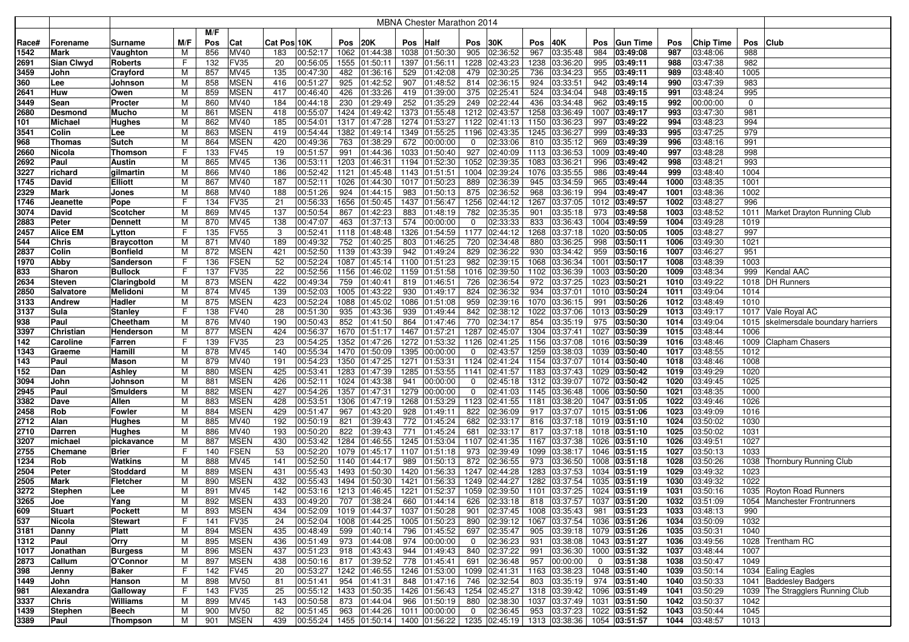|             |                   |                                |        |            |                            |             |                                                                                                        |                               |            | <b>MBNA Chester Marathon 2014</b> |                |                      |      |                                |              |                               |              |                      |             |                                     |
|-------------|-------------------|--------------------------------|--------|------------|----------------------------|-------------|--------------------------------------------------------------------------------------------------------|-------------------------------|------------|-----------------------------------|----------------|----------------------|------|--------------------------------|--------------|-------------------------------|--------------|----------------------|-------------|-------------------------------------|
|             |                   |                                |        | M/F        |                            |             |                                                                                                        |                               |            |                                   |                |                      |      |                                |              |                               |              |                      |             |                                     |
| Race#       | Forename          | Surname                        | M/F    | Pos        | Cat                        | Cat Pos 10K | Pos                                                                                                    | 20K                           | Pos        | Half                              | Pos            | 30K                  | Pos  | 40K                            | Pos          | <b>Gun Time</b>               | Pos          | <b>Chip Time</b>     | Pos Club    |                                     |
| 1542        | <b>Mark</b>       | Vaughton                       | M      | 856        | MV40                       | 183         | 00:52:17                                                                                               | 1062 01:44:38                 |            | 1038 01:50:30                     | 905            | 02:36:52             | 967  | 03:35:48                       | 984          | 03:49:08                      | 987          | 03:48:06             | 988         |                                     |
| 2691        | <b>Sian Clwyd</b> | <b>Roberts</b>                 | F      | 132        | <b>FV35</b>                | 20          | 00:56:05                                                                                               | 1555 01:50:11                 | 1397       | 01:56:11                          | 1228           | 02:43:23             |      | 1238 03:36:20                  | 995          | 03:49:11                      | 988          | 03:47:38             | 982         |                                     |
| 3459        | John              | Crayford                       | M      | 857        | <b>MV45</b>                | 135         | 00:47:30<br>482                                                                                        | 01:36:16                      | 529        | 01:42:08                          | 479            | 02:30:25             | 736  | 03:34:23                       | 955          | 03:49:11                      | 989          | 03:48:40             | 1005        |                                     |
| 360         | Lee               | Johnson                        | M      | 858        | <b>MSEN</b>                | 416         | 00:51:27<br>925                                                                                        | 01:42:52                      | 907        | 01:48:52                          | 814            | 02:36:15             | 924  | 03:33:51                       | 942          | 03:49:14                      | 990          | 03:47:39             | 983         |                                     |
| 2641        | Huw               | Owen                           | M      | 859        | <b>MSEN</b>                | 417         | 00:46:40<br>426                                                                                        | 01:33:26                      | 419        | 01:39:00                          | 375            | 02:25:41             | 524  | 03:34:04                       | 948          | 03:49:15                      | 991          | 03:48:24             | 995         |                                     |
| 3449        | Sean              | Procter                        | M      | 860        | MV40                       | 184         | 00:44:18<br>230                                                                                        | 01:29:49                      | 252        | 01:35:29                          | 249            | 02:22:44             | 436  | 03:34:48                       | 962          | 03:49:15                      | 992          | 00:00:00             | $\mathbf 0$ |                                     |
| 2680        | Desmond           | Mucho                          | M      | 861        | <b>MSEN</b>                | 418         | 00:55:07                                                                                               | 1424 01:49:42                 |            | 1373 01:55:48                     | 1212           | 02:43:57             |      | 1258 03:36:49                  | 1007         | 03:49:17                      | 993          | 03:47:30             | 981         |                                     |
| 101         | <b>Michael</b>    | <b>Hughes</b>                  | M      | 862        | <b>MV40</b>                | 185         | 00:54:01                                                                                               | 1317 01:47:28                 |            | 1274 01:53:27                     | 1122           | 02:41:13             |      | 1150 03:36:23                  | 997          | 03:49:22                      | 994          | 03:48:23             | 994         |                                     |
| 3541        | Colin             | Lee                            | M      | 863        | <b>MSEN</b>                | 419         | 00:54:44                                                                                               | 1382 01:49:14                 |            | 1349 01:55:25                     | 1196           | 02:43:35             |      | 1245 03:36:27                  | 999          | 03:49:33                      | 995          | 03:47:25             | 979         |                                     |
| 968         | <b>Thomas</b>     | Sutch                          | M      | 864        | <b>MSEN</b>                | 420         | 00:49:36<br>763                                                                                        | 01:38:29                      | 672        | 00:00:00                          | 0              | 02:33:06             | 810  | 03:35:12                       | 969          | 03:49:39                      | 996          | 03:48:16             | 991         |                                     |
| 2660        | Nicola            | Thomson                        | F      | 133        | <b>FV45</b>                | 19          | 00:51:57<br>991                                                                                        | 01:44:36                      |            | 1033 01:50:40                     | 927            | 02:40:09             |      | 1113 03:36:53                  | 1009         | 03:49:40                      | 997          | 03:48:28             | 998         |                                     |
| 2692        | Paul              | Austin                         | M      | 865        | <b>MV45</b>                | 136         | 00:53:11                                                                                               | 1203 01:46:31                 |            | 1194 01:52:30                     | 1052           | 02:39:35             | 1083 | 03:36:21                       | 996          | 03:49:42                      | 998          | 03:48:21             | 993         |                                     |
| 3227        | richard           | gilmartin                      | M      | 866        | <b>MV40</b>                | 186         | 00:52:42                                                                                               | 1121 01:45:48                 |            | 1143 01:51:51                     | 1004           | 02:39:24             |      | 1076 03:35:55                  | 986          | 03:49:44                      | 999          | 03:48:40             | 1004        |                                     |
| 1745        | David             | <b>Elliott</b>                 | M      | 867        | <b>MV40</b>                | 187         | 00:52:11                                                                                               | 1026 01:44:30                 |            | 1017 01:50:23                     | 889            | 02:36:39             | 945  | 03:34:59                       | 965          | 03:49:44                      | 1000         | 03:48:35             | 1001        |                                     |
| 2329        | <b>Mark</b>       | Jones                          | M      | 868        | <b>MV40</b>                | 188         | 924<br>00:51:26                                                                                        | 01:44:15                      | 983        | 01:50:13                          | 875            | 02:36:52             | 968  | 03:36:19                       | 994          | 03:49:47                      | 1001         | 03:48:36             | 1002        |                                     |
| 1746        | Jeanette          | Pope                           | F      | 134        | <b>FV35</b>                | 21          | 00:56:33                                                                                               | 1656 01:50:45                 |            | 1437 01:56:47                     | 1256           | 02:44:12             | 1267 | 03:37:05                       | 1012         | 03:49:57                      | 1002         | 03:48:27             | 996         |                                     |
| 3074        | David             | Scotcher                       | M      | 869        | MV45                       | 137         | 00:50:54<br>867                                                                                        | 01:42:23                      | 883        | 01:48:19                          | 782            | 02:35:35             | 901  | 03:35:18                       | 973          | 03:49:58                      | 1003         | 03:48:52             | 1011        | Market Drayton Running Club         |
| 2883        | Peter             | <b>Dennett</b>                 | M      | 870        | <b>MV45</b>                | 138         | 463<br>00:47:07                                                                                        | 01:37:13                      | 574        | 00:00:00                          | $\mathbf 0$    | 02:33:33             | 833  | 03:36:43                       | 1004         | 03:49:59                      | 1004         | 03:49:28             | 1019        |                                     |
| 2457        | <b>Alice EM</b>   | Lytton                         | F      | 135        | <b>FV55</b>                | 3           | 00:52:41                                                                                               | 1118 01:48:48                 |            | 1326 01:54:59                     | 1177           | 02:44:12             |      | 1268 03:37:18                  | 1020         | 03:50:05                      | 1005         | 03:48:27             | 997         |                                     |
| 544         | <b>Chris</b>      | <b>Braycotton</b>              | M      | 871        | <b>MV40</b>                | 189         | 752<br>00:49:32                                                                                        | 01:40:25                      | 803        | 01:46:25                          | 720            | 02:34:48             | 880  | 03:36:25                       | 998          | 03:50:11                      | 1006         | 03:49:30             | 1021        |                                     |
| 2837        | Colin             | <b>Bonfield</b>                | M      | 872        | <b>MSEN</b>                | 421         | 00:52:50                                                                                               | 1139 01:43:39                 | 942        | 01:49:24                          | 829            | 02:36:22             | 930  | 03:34:42                       | 959          | 03:50:16                      | 1007         | 03:46:27             | 951         |                                     |
| 1970        | Abby              | Sanderson                      | F      | 136        | <b>FSEN</b>                | 52          | 00:52:24<br>1087                                                                                       | 01:45:14                      |            | 1100 01:51:23                     | 982            | 02:39:15             |      | 1068 03:36:34                  | 1001         | 03:50:17                      | 1008         | 03:48:39             | 1003        |                                     |
| 833         | Sharon            | <b>Bullock</b>                 | F      | 137        | <b>FV35</b>                | 22          | 00:52:56<br>1156                                                                                       | 01:46:02                      |            | 1159 01:51:58                     | 1016           | 02:39:50             |      | 1102 03:36:39                  | 1003         | 03:50:20                      | 1009         | 03:48:34             | 999         | Kendal AAC                          |
| 2634        | Steven            | Claringbold                    | M      | 873        | <b>MSEN</b>                | 422         | 00:49:34<br>759                                                                                        | 01:40:41                      |            | 819 01:46:51                      | 726            | 02:36:54             | 972  | 03:37:25                       |              | 1023 03:50:21                 | 1010         | 03:49:22             |             | 1018   DH Runners                   |
| 2850        | <b>Salvatore</b>  | Melidoni                       | М      | 874        | <b>MV45</b>                | 139         | 00:52:03                                                                                               | 1005 01:43:22                 |            | 930 01:49:17                      | 824            | 02:36:32             | 934  | 03:37:01                       |              | 1010 03:50:24                 | 1011         | 03:49:04             | 1014        |                                     |
| 3133        | <b>Andrew</b>     | Hadler                         | M      | 875        | <b>MSEN</b>                | 423         | 00:52:24                                                                                               | 1088 01:45:02                 |            | 1086 01:51:08                     | 959            | 02:39:16             |      | 1070 03:36:15                  | 991          | 03:50:26                      | 1012         | 03:48:49             | 1010        |                                     |
| 3137        | Sula<br>Paul      | Stanley                        | F<br>M | 138<br>876 | <b>FV40</b><br><b>MV40</b> | 28<br>190   | 00:51:30<br>935<br>00:50:43<br>852                                                                     | 01:43:36<br>01:41:50          | 939<br>864 | 01:49:44<br>01:47:46              | 842<br>770     | 02:38:12<br>02:34:17 | 854  | 1022 03:37:06<br>03:35:19      | 975          | 1013 03:50:29<br>03:50:30     | 1013<br>1014 | 03:49:17<br>03:49:04 |             | 1017 Vale Royal AC                  |
| 938<br>3397 | Christian         | Cheetham<br>Henderson          | M      | 877        | <b>MSEN</b>                | 424         | 00:56:37                                                                                               | 1670 01:51:17                 |            | 1467 01:57:21                     | 1287           | 02:45:07             |      | 1304 03:37:41                  | 1027         | 03:50:39                      | 1015         | 03:48:44             | 1006        | 1015 skelmersdale boundary harriers |
| 142         | Caroline          | Farren                         | F      | 139        | <b>FV35</b>                | 23          | 00:54:25                                                                                               | 1352 01:47:26                 |            | 1272 01:53:32                     | 1126           | 02:41:25             |      | 1156 03:37:08                  | 1016         | 03:50:39                      | 1016         | 03:48:46             |             | 1009 Clapham Chasers                |
| 1343        | Graeme            | Hamill                         | M      | 878        | <b>MV45</b>                | 140         | 00:55:34                                                                                               | 1470 01:50:09                 |            | 1395 00:00:00                     | 0              | 02:43:57             |      | 1259 03:38:03                  | 1039         | 03:50:40                      | 1017         | 03:48:55             | 1012        |                                     |
| 143         | Paul              | Mason                          | M      | 879        | <b>MV40</b>                | 191         | 00:54:23                                                                                               | 1350 01:47:25                 |            | 1271 01:53:31                     | 1124           | 02:41:24             |      | 1154 03:37:07                  | 1014         | 03:50:40                      | 1018         | 03:48:46             | 1008        |                                     |
| 152         | Dan               | Ashley                         | M      | 880        | <b>MSEN</b>                | 425         | 00:53:41                                                                                               | 1283 01:47:39                 |            | 1285 01:53:55                     | 1141           | 02:41:57             |      | 1183 03:37:43                  |              | 1029 03:50:42                 | 1019         | 03:49:29             | 1020        |                                     |
| 3094        | John              | Johnson                        | M      | 881        | <b>MSEN</b>                | 426         | 00:52:11                                                                                               | 1024 01:43:38                 | 941        | 00:00:00                          | 0              | 02:45:18             |      | 1312 03:39:07                  |              | 1072 03:50:42                 | 1020         | 03:49:45             | 1025        |                                     |
| 2945        | Paul              | Smulders                       | M      | 882        | <b>MSEN</b>                | 427         | 00:54:26                                                                                               | 1357 01:47:31                 |            | 1279 00:00:00                     | 0              | 02:41:03             |      | 1145 03:36:48                  |              | 1006 03:50:50                 | 1021         | 03:48:35             | 1000        |                                     |
| 3382        | Dave              | Allen                          | M      | 883        | <b>MSEN</b>                | 428         | 00:53:51<br>1306                                                                                       | 01:47:19                      |            | 1268 01:53:29                     | 1123           | 02:41:55             | 1181 | 03:38:20                       | 1047         | 03:51:05                      | 1022         | 03:49:46             | 1026        |                                     |
| 2458        | Rob               | Fowler                         | M      | 884        | <b>MSEN</b>                | 429         | 00:51:47<br>967                                                                                        | 01:43:20                      | 928        | 01:49:11                          | 822            | 02:36:09             | 917  | 03:37:07                       |              | 1015 03:51:06                 | 1023         | 03:49:09             | 1016        |                                     |
| 2712        | Alan              | Hughes                         | M      | 885        | <b>MV40</b>                | 192         | 00:50:19<br>821                                                                                        | 01:39:43                      |            | 772 01:45:24                      | 682            | 02:33:17             | 816  | 03:37:18                       |              | 1019 03:51:10                 | 1024         | 03:50:02             | 1030        |                                     |
| 2710        | <b>Darren</b>     | Hughes                         | M      | 886        | <b>MV40</b>                | 193         | 822<br>00:50:20                                                                                        | 01:39:43                      | 771        | 01:45:24                          | 681            | 02:33:17             | 817  | 03:37:18                       | 1018         | 03:51:10                      | 1025         | 03:50:02             | 1031        |                                     |
| 3207        | michael           | pickavance                     | M      | 887        | <b>MSEN</b>                | 430         | 00:53:42                                                                                               | 1284 01:46:55                 |            | 1245 01:53:04                     | 1107           | 02:41:35             | 1167 | 03:37:38                       | 1026         | 03:51:10                      | 1026         | 03:49:51             | 1027        |                                     |
| 2755        | Chemane           | <b>Brier</b>                   | F      | 140        | <b>FSEN</b>                | 53          | 00:52:20                                                                                               | 1079 01:45:17                 |            | 1107 01:51:18                     | 973            | 02:39:49             |      | 1099 03:38:17                  | 1046         | 03:51:15                      | 1027         | 03:50:13             | 1033        |                                     |
| 1234        | Rob               | Watkins                        | M      | 888        | <b>MV45</b>                | 141         | 00:52:50                                                                                               | 1140 01:44:17                 | 989        | 01:50:13                          | 872            | 02:36:55             | 973  | 03:36:50                       | 1008         | 03:51:18                      | 1028         | 03:50:26             |             | 1038 Thornbury Running Club         |
| 2504        | Peter             | Stoddard                       | M      | 889        | <b>MSEN</b>                | 431         | 00:55:43                                                                                               | 1493 01:50:30                 |            | 1420 01:56:33                     | 1247           | 02:44:28             |      | 1283 03:37:53                  | 1034         | 03:51:19                      | 1029         | 03:49:32             | 1023        |                                     |
| 2505        | <b>Mark</b>       | <b>Fletcher</b>                | M      | 890        | <b>MSEN</b>                | 432         | 00:55:43                                                                                               | 1494 01:50:30                 |            | 1421 01:56:33                     | 1249           | 02:44:27             |      | 1282 03:37:54                  | 1035         | 03:51:19                      | 1030         | 03:49:32             | 1022        |                                     |
| 3272        | <b>Stephen</b>    | Lee                            | M      | 891        | <b>MV45</b>                | 142         | 00:53:16                                                                                               | 1213 01:46:45                 |            | 1221 01:52:37                     | 1059           | 02:39:50             |      | 1101 03:37:25                  | 1024         | 03:51:19                      | 1031         | 03:50:16             |             | 1035 Royton Road Runners            |
| 3265        | Joe               | Yang                           | M      | 892        | <b>MSEN</b>                | 433         | 00:49:20                                                                                               | 707 01:38:24<br>1019 01:44:37 |            | 660 01:44:14                      | 626            | 02:33:18             |      | 818 03:37:57                   |              | 1037 03:51:20                 | 1032         | 03:51:09             |             | 1054   Manchester Frontrunners      |
| 609<br>537  | <b>Stuart</b>     | Pockett                        | M<br>F | 893<br>141 | <b>MSEN</b><br><b>FV35</b> | 434<br>24   | 00:52:09<br>00:52:04                                                                                   | 1008 01:44:25                 |            | 1037 01:50:28<br>1005 01:50:23    | 901<br>890     | 02:37:45<br>02:39:12 |      | 1008 03:35:43<br>1067 03:37:54 |              | 981 03:51:23<br>1036 03:51:26 | 1033<br>1034 | 03:48:13<br>03:50:09 | 990<br>1032 |                                     |
| 3181        | Nicola<br>Danny   | <b>Stewart</b><br><b>Platt</b> | M      | 894        | <b>MSEN</b>                | 435         | 00:48:49                                                                                               | $\overline{599}$ 01:40:14     |            | 796 01:45:52                      | 697            | 02:35:47             | 905  | 03:39:18 1079 03:51:26         |              |                               | 1035         | 03:50:31             | 1040        |                                     |
| 1312        | Paul              | Orry                           | M      | 895        | <b>MSEN</b>                | 436         | 00:51:49                                                                                               | 973 01:44:08                  |            | 974 00:00:00                      | $\mathbf 0$    | 02:36:23             |      | 931 03:38:08 1043 03:51:27     |              |                               | 1036         | 03:49:56             |             | 1028 Trentham RC                    |
| 1017        | Jonathan          | <b>Burgess</b>                 | M      | 896        | <b>MSEN</b>                | 437         | 00:51:23                                                                                               | 918 01:43:43                  |            | 944 01:49:43                      | 840            | $\boxed{02:37:22}$   | 991  | 03:36:30                       |              | 1000 03:51:32                 | 1037         | 03:48:44             | 1007        |                                     |
| 2873        | Callum            | O'Connor                       | M      | 897        | <b>MSEN</b>                | 438         | 00:50:16                                                                                               | 817 01:39:52                  |            | 778 01:45:41                      | 691            | 02:36:48             |      | 957 00:00:00                   | $\mathbf{0}$ | 03:51:38                      | 1038         | 03:50:47             | 1049        |                                     |
| 398         | Jenny             | Baker                          | F      | 142        | <b>FV45</b>                | 20          | 00:53:27                                                                                               | 1242 01:46:55                 |            | 1246 01:53:00                     |                | 1099 02:41:31        |      | 1163 03:38:23   1048 03:51:40  |              |                               | 1039         | 03:50:14             |             | 1034 Ealing Eagles                  |
| 1449        | John              | Hanson                         | M      | 898        | <b>MV50</b>                | 81          | 00:51:41                                                                                               | 954 01:41:31                  |            | 848 01:47:16                      | 746            | 02:32:54             |      | 803 03:35:19                   |              | 974 03:51:40                  | 1040         | 03:50:33             |             | 1041 Baddesley Badgers              |
| 981         | Alexandra         | Galloway                       | F      | 143        | <b>FV35</b>                | 25          | 00:55:12                                                                                               | 1433 01:50:35                 |            | 1426 01:56:43                     | 1254           | 02:45:27             |      | 1318 03:39:42                  |              | 1096 03:51:49                 | 1041         | 03:50:29             |             | 1039 The Stragglers Running Club    |
| 3337        | <b>Chris</b>      | Williams                       | M      | 899        | MV45                       | 143         | 00:50:58                                                                                               | 873 01:44:04                  |            | 966 01:50:19                      | 880            | 02:38:30             |      | 1037 03:37:49                  |              | 1031 03:51:50                 | 1042         | 03:50:37             | 1042        |                                     |
| 1439        | Stephen           | Beech                          | M      | 900        | <b>MV50</b>                | 82          | 00:51:45                                                                                               | $963$ 01:44:26                |            | 1011 00:00:00                     | $\overline{0}$ | 02:36:45             |      | 953 03:37:23                   |              | 1022 03:51:52                 | 1043         | 03:50:44             | 1045        |                                     |
| 3389        | Paul              | <b>Thompson</b>                | M      | 901        | <b>MSEN</b>                | 439         | $ 00:55:24 $ 1455 $ 01:50:14 $ 1400 $ 01:56:22 $ 1235 $ 02:45:19 $ 1313 $ 03:38:36 $ 1054 $ 03:51:57 $ |                               |            |                                   |                |                      |      |                                |              |                               |              | 1044 03:48:57        | 1013        |                                     |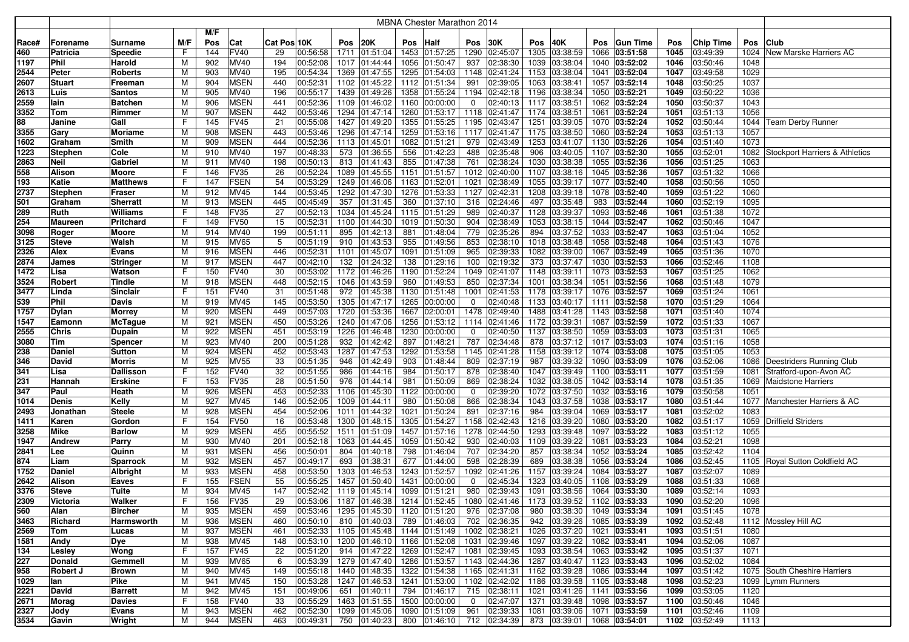|              |                |                                 |        |            |                            |             |                      |      |                                             |      | MBNA Chester Marathon 2014                                                             |                |               |      |                                  |      |                                |              |                      |              |                                     |
|--------------|----------------|---------------------------------|--------|------------|----------------------------|-------------|----------------------|------|---------------------------------------------|------|----------------------------------------------------------------------------------------|----------------|---------------|------|----------------------------------|------|--------------------------------|--------------|----------------------|--------------|-------------------------------------|
|              |                |                                 |        | M/F        |                            |             |                      |      |                                             |      |                                                                                        |                |               |      |                                  |      |                                |              |                      |              |                                     |
| Race#        | Forename       | Surname                         | M/F    | Pos        | Cat                        | Cat Pos 10K |                      | Pos  | <b>20K</b>                                  | Pos  | Half                                                                                   | Pos            | 30K           | Pos  | 40K                              | Pos  | <b>Gun Time</b>                | Pos          | <b>Chip Time</b>     | Pos          | <b>Club</b>                         |
| 460          | Patricia       | Speedie                         | F.     | 144        | <b>FV40</b>                | 29          | 00:56:58             | 1711 | 01:51:04                                    | 1453 | 01:57:25                                                                               |                | 1290 02:45:07 | 1305 | 03:38:59                         | 1066 | 03:51:58                       | 1045         | 03:49:39             |              | 1024 New Marske Harriers AC         |
| 1197         | Phil           | Harold                          | M      | 902        | MV40                       | 194         | 00:52:08             |      | 1017 01:44:44                               | 1056 | 01:50:47                                                                               | 937            | 02:38:30      | 1039 | 03:38:04                         |      | 1040 03:52:02                  | 1046         | 03:50:46             | 1048         |                                     |
| 2544         | Peter          | Roberts                         | M      | 903        | MV40                       | 195         | 00:54:34             | 1369 | 01:47:55                                    | 1295 | 01:54:03                                                                               |                | 1148 02:41:24 | 1153 | 03:38:04                         | 1041 | 03:52:04                       | 1047         | 03:49:58             | 1029         |                                     |
| 2607         | <b>Stuart</b>  | Freeman                         | М      | 904        | <b>MSEN</b>                | 440         | 00:52:31             | 1102 | 01:45:22                                    | 1112 | 01:51:34                                                                               | 991            | 02:39:05      | 1063 | 03:38:41                         | 1057 | 03:52:14                       | 1048         | 03:50:25             | 1037         |                                     |
| 2613         | Luis           | Santos                          | М      | 905        | MV40                       | 196         | 00:55:17             | 1439 | 01:49:26                                    | 1358 | 01:55:24                                                                               |                | 1194 02:42:18 | 1196 | 03:38:34                         |      | 1050 03:52:21                  | 1049         | 03:50:22             | 1036         |                                     |
| 2559         | lain           | Batchen                         | М      | 906        | <b>MSEN</b>                | 441         | 00:52:36             | 1109 | 01:46:02                                    | 1160 | 00:00:00                                                                               | 0              | 02:40:13      | 1117 | 03:38:51                         | 1062 | 03:52:24                       | 1050         | 03:50:37             | 1043         |                                     |
| 3352         | Tom            | Rimmer                          | м      | 907        | MSEN                       | 442         | 00:53:46             |      | 1294 01:47:14                               | 1260 | 01:53:17                                                                               |                | 1118 02:41:47 | 1174 | 03:38:51                         | 1061 | 03:52:24                       | 1051         | 03:51:13             | 1056         |                                     |
| 88           | Janine         | Gall                            | F      | 145        | <b>FV45</b>                | 21          | 00:55:08             | 1427 | 01:49:20                                    | 1355 | 01:55:25                                                                               |                | 1195 02:43:47 | 1251 | 03:39:05                         |      | 1070 03:52:24                  | 1052         | 03:50:44             |              | 1044   Team Derby Runner            |
| 3355         | Gary           | Moriame                         | M      | 908        | <b>MSEN</b>                | 443         | 00:53:46             |      | 1296 01:47:14                               | 1259 | 01:53:16                                                                               |                | 1117 02:41:47 | 1175 | 03:38:50                         |      | 1060 03:52:24                  | 1053         | 03:51:13             | 1057         |                                     |
| 1602         | Graham         | Smith                           | M      | 909        | <b>MSEN</b>                | 444         | 00:52:36             |      | 1113 01:45:01                               | 1082 | 01:51:21                                                                               | 979            | 02:43:49      | 1253 | 03:41:07                         |      | 1130 03:52:26                  | 1054         | 03:51:40             | 1073         |                                     |
| 1223         | Stephen        | Cole                            | M      | 910        | MV40                       | 197         | 00:48:33             |      | 573 01:36:55                                | 556  | 01:42:23                                                                               | 488            | 02:35:48      | 906  | 03:40:05                         |      | 1107 03:52:30                  | 1055         | 03:52:01             |              | 1082 Stockport Harriers & Athletics |
| 2863         | <b>Neil</b>    | Gabriel                         | м      | 911        | <b>MV40</b>                | 198         | 00:50:13             |      | 813 01:41:43                                | 855  | 01:47:38                                                                               | 761            | 02:38:24      | 1030 | 03:38:38                         |      | 1055 03:52:36                  | 1056         | 03:51:25             | 1063         |                                     |
| 558          | Alison         | Moore                           | F      | 146        | <b>FV35</b>                | 26          | 00:52:24             |      | 1089 01:45:55                               | 1151 | 01:51:57                                                                               |                | 1012 02:40:00 | 1107 | 03:38:16                         |      | 1045 03:52:36                  | 1057         | 03:51:32             | 1066         |                                     |
| 193          | Katie          | Matthews                        | F      | 147        | <b>FSEN</b>                | 54          | 00:53:29             |      | 1249 01:46:06                               | 1163 | 01:52:01                                                                               | 1021           | 02:38:49      | 1055 | 03:39:17                         |      | 1077 03:52:40                  | 1058         | 03:50:56             | 1050         |                                     |
| 2737         | Stephen        | Fraser                          | М      | 912        | <b>MV45</b>                | 144         | 00:53:45             |      | 1292 01:47:30                               | 1276 | 01:53:33                                                                               |                | 1127 02:42:31 | 1208 | 03:39:18                         |      | 1078 03:52:40                  | 1059         | 03:51:22             | 1060         |                                     |
| 501          | Graham         | <b>Sherratt</b>                 | M      | 913        | <b>MSEN</b>                | 445         | 00:45:49             |      | 357 01:31:45                                | 360  | 01:37:10                                                                               | 316            | 02:24:46      | 497  | 03:35:48                         | 983  | 03:52:44                       | 1060         | 03:52:19             | 1095         |                                     |
| 289          | Ruth           | Williams                        | F.     | 148        | <b>FV35</b>                | 27          | 00:52:13             |      | 1034 01:45:24                               | 1115 | 01:51:29                                                                               | 989            | 02:40:37      | 1128 | 03:39:37                         | 1093 | 03:52:46                       | 1061         | 03:51:38             | 1072         |                                     |
| 254          | <b>Maureen</b> | Pritchard                       | F      | 149        | <b>FV50</b>                | 15          | 00:52:31             |      | 1100 01:44:30                               | 1019 | 01:50:30                                                                               | 904            | 02:38:49      | 1053 | 03:38:15                         |      | 1044 03:52:47                  | 1062         | 03:50:46             | 1047         |                                     |
| 3098         | Roger          | Moore                           | М      | 914        | MV40                       | 199         | 00:51:11             | 895  | 01:42:13                                    | 881  | 01:48:04                                                                               | 779            | 02:35:26      | 894  | 03:37:52                         | 1033 | 03:52:47                       | 1063         | 03:51:04             | 1052         |                                     |
| 3125         | <b>Steve</b>   | Walsh                           | М      | 915        | <b>MV65</b>                | 5           | 00:51:19             | 910  | 01:43:53                                    | 955  | 01:49:56                                                                               | 853            | 02:38:10      | 1018 | 03:38:48                         |      | 1058 03:52:48                  | 1064         | 03:51:43             | 1076         |                                     |
| 2326         | Alex           | Evans                           | М      | 916        | <b>MSEN</b>                | 446         | 00:52:31             | 1101 | 01:45:07                                    | 1091 | 01:51:09                                                                               | 965            | 02:39:33      | 1082 | 03:39:00                         | 1067 | 03:52:49                       | 1065         | 03:51:36             | 1070         |                                     |
| 2874         | James          | Stringer                        | M      | 917        | <b>MSEN</b>                | 447         | 00:42:10             | 132  | 01:24:32                                    | 138  | 01:29:16                                                                               | 100            | 02:19:32      | 373  | 03:37:47                         |      | 1030 03:52:53                  | 1066         | 03:52:46             | 1108         |                                     |
| 1472         | Lisa           | Watson                          | F      | 150        | <b>FV40</b>                | 30          | 00:53:02             |      | 1172 01:46:26                               | 1190 | 01:52:24                                                                               |                | 1049 02:41:07 | 1148 | 03:39:11                         |      | 1073 03:52:53                  | 1067         | 03:51:25             | 1062         |                                     |
| 3524         | Robert         | Tindle                          | М      | 918        | <b>MSEN</b>                | 448         | 00:52:15             |      | 1046 01:43:59                               | 960  | 01:49:53                                                                               | 850            | 02:37:34      | 1001 | 03:38:34                         |      | 1051 03:52:56                  | 1068         | 03:51:48             | 1079         |                                     |
| 3477         | Linda          | Sinclair                        | F      | 151        | <b>FV40</b>                | 31          | 00:51:48             |      | 972 01:45:38                                | 1130 | 01:51:48                                                                               | 1001           | 02:41:53      | 1178 | 03:39:17                         |      | 1076 03:52:57                  | 1069         | 03:51:24             | 1061         |                                     |
| 539          | Phil           | Davis                           | M      | 919        | MV45                       | 145         | 00:53:50             |      | 1305 01:47:17                               | 1265 | 00:00:00                                                                               | 0              | 02:40:48      |      | 1133 03:40:17                    |      | 1111 03:52:58                  | 1070         | 03:51:29             | 1064         |                                     |
| 1757         | Dylan          | Morrey                          | M      | 920        | <b>MSEN</b>                | 449         | 00:57:03             |      | 1720 01:53:36                               | 1667 | 02:00:01                                                                               |                | 1478 02:49:40 | 1488 | 03:41:28                         |      | 1143 03:52:58                  | 1071         | 03:51:40             | 1074         |                                     |
| 1547         | Eamonn         | McTague                         | М      | 921        | <b>MSEN</b>                | 450         | 00:53:26             |      | 1240 01:47:06                               | 1256 | 01:53:12                                                                               |                | 1114 02:41:46 | 1172 | 03:39:31                         | 1087 | 03:52:59                       | 1072         | 03:51:33             | 1067         |                                     |
| 2555         | Chris          | Dupain                          | M      | 922        | <b>MSEN</b>                | 451         | 00:53:19             |      | 1226 01:46:48                               | 1230 | 00:00:00                                                                               | 0              | 02:40:50      | 1137 | 03:38:50                         |      | 1059 03:53:03                  | 1073         | 03:51:31             | 1065         |                                     |
| 3080         | Tim            | Spencer                         | М      | 923        | MV40                       | 200         | 00:51:28             |      | 932 01:42:42                                | 897  | 01:48:21                                                                               | 787            | 02:34:48      | 878  | 03:37:12                         |      | 1017 03:53:03                  | 1074         | 03:51:16             | 1058         |                                     |
| 238          | Daniel         | Sutton                          | М      | 924        | <b>MSEN</b>                | 452         | 00:53:43             | 1287 | 01:47:53                                    | 1292 | 01:53:58                                                                               |                | 1145 02:41:28 | 1158 | $\sqrt{03:39:12}$                |      | 1074 03:53:08                  | 1075         | 03:51:05             | 1053         |                                     |
| 346          | David          | Morris                          | М      | 925        | <b>MV55</b>                | 33          | 00:51:35             | 946  | 01:42:49                                    | 903  | 01:48:44                                                                               | 809            | 02:37:19      | 987  | 03:39:32                         |      | 1090 03:53:09                  | 1076         | 03:52:06             |              | 1086 Deestriders Running Club       |
| 341          | Lisa           | Dallisson                       | F      | 152        | <b>FV40</b>                | 32          | 00:51:55             | 986  | 01:44:16                                    | 984  | 01:50:17                                                                               | 878            | 02:38:40      | 1047 | 03:39:49                         |      | 1100 03:53:11                  | 1077         | 03:51:59             |              | 1081 Stratford-upon-Avon AC         |
| 231          | Hannah         | Erskine                         | F      | 153        | <b>FV35</b>                | 28          | 00:51:50             | 976  | 01:44:14                                    | 981  | 01:50:09                                                                               | 869            | 02:38:24      | 1032 | 03:38:05                         |      | 1042 03:53:14                  | 1078         | 03:51:35             |              | 1069 Maidstone Harriers             |
| 347          | Paul           | Heath                           | M      | 926        | <b>MSEN</b>                | 453         | 00:52:33             | 1106 | 01:45:30                                    | 1122 | 00:00:00                                                                               | 0              | 02:39:20      | 1072 | 03:37:50                         |      | 1032 03:53:16                  | 1079         | 03:50:58             | 1051         |                                     |
| 1014         | <b>Denis</b>   | Kelly                           | M      | 927        | MV45                       | 146         | 00:52:05             |      | 1009 01:44:11                               | 980  | 01:50:08                                                                               | 866            | 02:38:34      | 1043 | 03:37:58                         |      | 1038 03:53:17                  | 1080         | 03:51:44             |              | 1077 Manchester Harriers & AC       |
| 2493         | Jonathan       | Steele                          | M      | 928        | <b>MSEN</b>                | 454         | 00:52:06             |      | 1011 01:44:32                               | 1021 | 01:50:24                                                                               | 891            | 02:37:16      | 984  | 03:39:04                         |      | 1069 03:53:17                  | 1081         | 03:52:02             | 1083         |                                     |
| 1411         | Karen          | Gordon                          | F.     | 154        | <b>FV50</b>                | 16          | 00:53:48             |      | 1300 01:48:15                               | 1305 | 01:54:27                                                                               |                | 1158 02:42:43 | 1216 | 03:39:20                         |      | 1080 03:53:20                  | 1082         | 03:51:17             |              | 1059   Driffield Striders           |
| 3258         | Mike           | Barlow                          | M      | 929        | <b>MSEN</b>                | 455         | 00:55:52             |      | 1511 01:51:09                               | 1457 | 01:57:16                                                                               |                | 1278 02:44:50 | 1293 | 03:39:48                         |      | 1097 03:53:22                  | 1083         | 03:51:12             | 1055         |                                     |
| 1947         | Andrew         | Parry                           | м      | 930        | MV40                       | 201         | 00:52:18             |      | 1063 01:44:45                               |      | 1059 01:50:42                                                                          | 930            | 02:40:03      | 1109 | 03:39:22                         |      | 1081 03:53:23                  | 1084         | 03:52:21             | 1098         |                                     |
| 2841         | Lee            | Quinn                           | М      | 931        | <b>MSEN</b>                | 456         | 00:50:01             | 804  | 01:40:18                                    | 798  | 01:46:04                                                                               | 707            | 02:34:20      | 857  | 03:38:34                         | 1052 | 03:53:24                       | 1085         | 03:52:42             | 1104         |                                     |
| 874          | Liam           | Sparrock                        | м      | 932        | MSEN                       | 457         | 00:49:17             | 693  | 01:38:31                                    | 677  | 01:44:00                                                                               | 598            | 02:28:39      | 689  | 03:38:38                         |      | 1056 03:53:24                  | 1086         | 03:52:45             |              | 1105   Royal Sutton Coldfield AC    |
| 1752         | Daniel         | Albright                        | м      | 933        | <b>MSEN</b>                | 458         | 00:53:50             | 1303 | 01:46:53                                    | 1243 | 01:52:57                                                                               |                | 1092 02:41:26 | 1157 | 03:39:24                         | 1084 | 03:53:27                       | 1087         | 03:52:07             | 1089         |                                     |
| 2642         | Alison         | Eaves                           | F      | 155        | <b>FSEN</b>                | 55          | 00:55:25             | 1457 | 01:50:40                                    | 1431 | 00:00:00                                                                               | 0              | 02:45:34      | 1323 | 03:40:05                         | 1108 | 03:53:29                       | 1088         | 03:51:33             | 1068         |                                     |
| 3376         | <b>Steve</b>   | Tuite                           | M      | 934        | MV45                       | 147         | 00:52:42             |      | 1119 01:45:14                               | 1099 | 01:51:21                                                                               | 980            | 02:39:43      | 1091 | 03:38:56                         | 1064 | 03:53:30                       | 1089         | 03:52:14             | 1093         |                                     |
| 2309         | Victoria       | Walker                          | F.     | 156        | <b>FV35</b>                | 29          |                      |      |                                             |      | 00:53:06   1187  01:46:38   1214  01:52:45   1080  02:41:46   1173  03:39:52           |                |               |      |                                  |      | 1102 03:53:33                  | 1090         | 03:52:20             | 1096         |                                     |
| 560          | Alan           | <b>Bircher</b>                  | M      | 935        | <b>MSEN</b>                | 459         | 00:53:46             |      |                                             |      | 1295 01:45:30 1120 01:51:20                                                            |                | 976 02:37:08  |      | 980 03:38:30                     |      | 1049 03:53:34                  | 1091         | 03:51:45             | 1078         |                                     |
| 3463         | Richard        | Harmsworth                      | М      | 936        | <b>MSEN</b>                | 460         | 00:50:10<br>00:52:33 |      | 810 01:40:03                                |      | 789 01:46:03                                                                           |                | 702 02:36:35  |      | 942 03:39:26                     |      | 1085 03:53:39                  | 1092         | 03:52:48             |              | 1112 Mossley Hill AC                |
| 2569         | Tom            | Lucas                           | M      | 937        | <b>MSEN</b>                | 461         |                      |      |                                             |      | 1105 01:45:48 1144 01:51:49 1002 02:38:21                                              |                |               |      | 1026 03:37:20                    |      | 1021 03:53:41                  | 1093         | 03:51:51             | 1080         |                                     |
| 1581         | Andy           | <b>Dye</b>                      | M      | 938        | <b>MV45</b>                | 148         | 00:53:10             |      |                                             |      | 1200 01:46:10 1166 01:52:08 1031 02:39:46                                              |                |               |      | 1097 03:39:22                    |      | 1082 03:53:41                  | 1094         | 03:52:06             | 1087         |                                     |
| 134          | Lesley         | Wong                            | F.     | 157        | <b>FV45</b>                | 22          | 00:51:20<br>00:53:39 |      |                                             |      | 914 01:47:22 1269 01:52:47 1081 02:39:45                                               |                |               |      | 1093 03:38:54                    |      | 1063 03:53:42<br>1123 03:53:43 | 1095<br>1096 | 03:51:37<br>03:52:02 | 1071         |                                     |
| 227          | Donald         | Gemmell                         | M      | 939        | <b>MV65</b><br><b>MV45</b> | 6<br>149    |                      |      |                                             |      | 1279 01:47:40 1286 01:53:57 1143 02:44:36<br>1440 01:48:35 1322 01:54:38 1165 02:41:31 |                |               |      | 1287 03:40:47                    |      | 1086 03:53:44                  | 1097         |                      | 1084         |                                     |
| 958          | Robert J       | Brown                           | M      | 940        |                            |             | 00:55:18<br>00:53:28 |      |                                             |      |                                                                                        |                |               |      | 1162 03:39:28                    |      | 1105 03:53:48                  |              | 03:51:42             |              | 1075 South Cheshire Harriers        |
| 1029<br>2221 | lan            | Pike                            | M      | 941<br>942 | <b>MV45</b><br><b>MV45</b> | 150<br>151  |                      |      |                                             | 794  | 1247 01:46:53 1241 01:53:00 1102 02:42:02                                              |                | 715 02:38:11  |      | 1186 03:39:58<br>$1021$ 03:41:26 |      | 1141 03:53:56                  | 1098         | 03:52:23<br>03:53:05 |              | 1099 Lymm Runners                   |
| 2671         | David          | <b>Barrett</b><br><b>Davies</b> | M<br>F | 158        | <b>FV40</b>                | 33          | 00:49:06<br>00:55:29 |      | 651 01:40:11<br>1463 01:51:55 1500 00:00:00 |      | $\boxed{01:46:17}$                                                                     | $\overline{0}$ | 02:47:07      |      | 1371 03:39:48                    |      | 1098 03:53:57                  | 1099<br>1100 | 03:50:46             | 1120<br>1046 |                                     |
| 2327         | Morag<br>Jody  | Evans                           | M      | 943        | <b>MSEN</b>                | 462         | 00:52:30             |      | 1099 01:45:06                               |      | 1090 01:51:09                                                                          |                | 961 02:39:33  |      | 1081 03:39:06                    |      | 1071 03:53:59                  | 1101         | 03:52:46             | 1109         |                                     |
|              |                |                                 |        |            | <b>MSEN</b>                |             | 00:49:31             |      |                                             |      |                                                                                        |                |               |      |                                  |      |                                |              |                      |              |                                     |
| 3534         | Gavin          | Wright                          | м      | 944        |                            | 463         |                      |      | 750 01:40:23                                |      | 800 01:46:10 712 02:34:39                                                              |                |               |      | 873 03:39:01                     |      | 1068 03:54:01                  |              | 1102 03:52:49        | 1113         |                                     |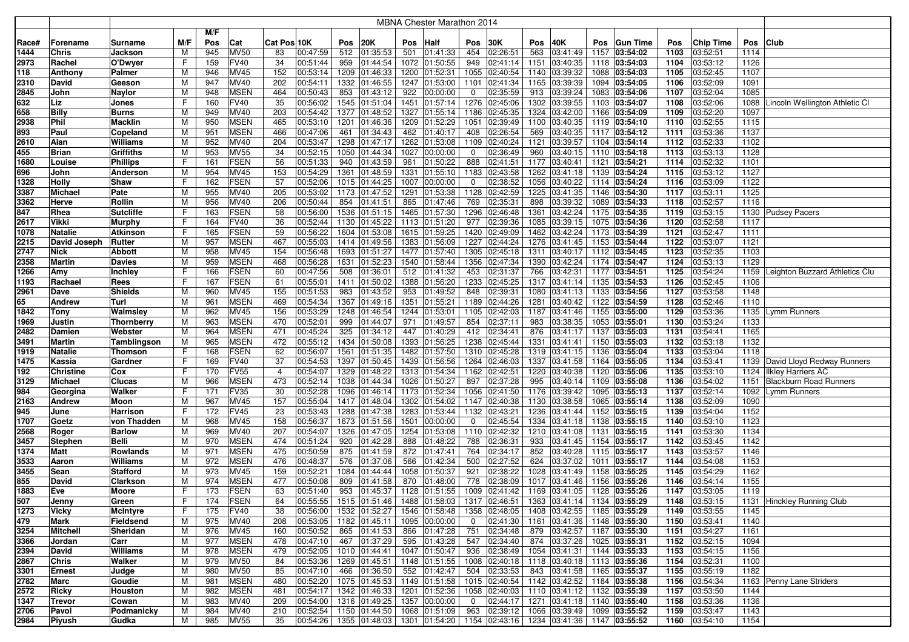|       |                  |                  |     |     |             |                |                        |      |                          |      | <b>MBNA Chester Marathon 2014</b>                             |                |               |      |                                                |      |                 |      |                  |          |                                     |
|-------|------------------|------------------|-----|-----|-------------|----------------|------------------------|------|--------------------------|------|---------------------------------------------------------------|----------------|---------------|------|------------------------------------------------|------|-----------------|------|------------------|----------|-------------------------------------|
|       |                  |                  |     | M/F |             |                |                        |      |                          |      |                                                               |                |               |      |                                                |      |                 |      |                  |          |                                     |
| Race# | Forename         | Surname          | M/F | Pos | Cat         | Cat Pos 10K    |                        | Pos  | 20K                      | Pos  | Half                                                          | Pos            | 30K           | Pos  | 40K                                            | Pos  | <b>Gun Time</b> | Pos  | <b>Chip Time</b> | Pos Club |                                     |
| 1444  | <b>Chris</b>     | Jackson          | M   | 945 | <b>MV50</b> | 83             | 00:47:59               |      | 512 01:35:53             | 501  | 01:41:33                                                      | 454            | 02:26:51      | 563  | 03:41:49                                       | 1157 | 03:54:02        | 1103 | 03:52:51         | 1114     |                                     |
| 2973  | Rachel           | O'Dwyer          | F   | 159 | <b>FV40</b> | 34             | 00:51:44               | 959  | 01:44:54                 |      | 1072 01:50:55                                                 | 949            | 02:41:14      | 1151 | 03:40:35                                       |      | 1118 03:54:03   | 1104 | 03:53:12         | 1126     |                                     |
| 118   | Anthony          | Palmer           | M   | 946 | <b>MV45</b> | 152            | 00:53:14               |      | 1209 01:46:33            |      | 1200 01:52:31                                                 | 1055           | 02:40:54      |      | 1140 03:39:32                                  | 1088 | 03:54:03        | 1105 | 03:52:45         | 1107     |                                     |
| 2310  | David            | Geeson           | M   | 947 | MV40        | 202            | 00:54:11               |      | 1332 01:46:55            |      | 1247 01:53:00                                                 | 1101           | 02:41:34      |      | 1165 03:39:39                                  |      | 1094 03:54:05   | 1106 | 03:52:09         | 1091     |                                     |
| 2845  | John             | Naylor           | M   | 948 | <b>MSEN</b> | 464            | 00:50:43               | 853  | 01:43:12                 | 922  | 00:00:00                                                      | 0              | 02:35:59      | 913  | 03:39:24                                       | 1083 | 03:54:06        | 1107 | 03:52:04         | 1085     |                                     |
| 632   | Liz              | Jones            | F   | 160 | <b>FV40</b> | 35             | 00:56:02               |      | 1545 01:51:04            |      | 1451 01:57:14                                                 | 1276           | 02:45:06      |      | 1302 03:39:55                                  | 1103 | 03:54:07        | 1108 | 03:52:06         |          | 1088 Lincoln Wellington Athletic Cl |
| 658   | <b>Billy</b>     | Burns            | M   | 949 | MV40        | 203            | 00:54:42               |      | 1377 01:48:52            |      | 1327 01:55:14                                                 | 1186           | 02:45:35      |      | 1324 03:42:00                                  | 1166 | 03:54:09        | 1109 | 03:52:20         | 1097     |                                     |
| 2938  | Phil             | <b>Macklin</b>   | M   | 950 | <b>MSEN</b> | 465            | 00:53:10               |      | 1201 01:46:36            |      | 1209 01:52:29                                                 | 1051           | 02:39:49      |      | 1100 03:40:35                                  |      | 1119 03:54:10   | 1110 | 03:52:55         | 1115     |                                     |
| 893   | Paul             | Copeland         | M   | 951 | <b>MSEN</b> | 466            | 00:47:06               | 461  | 01:34:43                 | 462  | 01:40:17                                                      | 408            | 02:26:54      | 569  | 03:40:35                                       |      | 1117 03:54:12   | 1111 | 03:53:36         | 1137     |                                     |
| 2610  | Alan             | Williams         | M   | 952 | MV40        | 204            | 00:53:47               |      | 1298 01:47:17            |      | 1262 01:53:08                                                 | 1109           | 02:40:24      | 1121 | 03:39:57                                       | 1104 | 03:54:14        | 1112 | 03:52:33         | 1102     |                                     |
| 455   | <b>Brian</b>     | Griffiths        | M   | 953 | <b>MV55</b> | 34             | 00:52:15               |      | 1050 01:44:34            |      | 1027 00:00:00                                                 | 0              | 02:36:49      | 960  | 03:40:15                                       |      | 1110 03:54:18   | 1113 | 03:53:13         | 1128     |                                     |
| 1680  | Louise           | <b>Phillips</b>  | F   | 161 | <b>FSEN</b> | 56             | 00:51:33               | 940  | 01:43:59                 | 961  | 01:50:22                                                      | 888            | 02:41:51      | 1177 | 03:40:41                                       | 1121 | 03:54:21        | 1114 | 03:52:32         | 1101     |                                     |
| 696   | John             | Anderson         | M   | 954 | <b>MV45</b> | 153            | 00:54:29               | 1361 | 01:48:59                 | 1331 | 01:55:10                                                      | 1183           | 02:43:58      |      | 1262 03:41:18                                  |      | 1139 03:54:24   | 1115 | 03:53:12         | 1127     |                                     |
| 1328  | <b>Holly</b>     | Shaw             | F   | 162 | <b>FSEN</b> | 57             | 00:52:06               |      | 1015 01:44:25            |      | 1007 00:00:00                                                 | 0              | 02:38:52      |      | 1056 03:40:22                                  | 1114 | 03:54:24        | 1116 | 03:53:09         | 1122     |                                     |
| 3387  | <b>Michael</b>   | Pate             | M   | 955 | <b>MV40</b> | 205            | 00:53:02               |      | 1173 01:47:52            |      | 1291 01:53:38                                                 | 1128           | 02:42:59      |      | 1225 03:41:35                                  |      | 1146 03:54:30   | 1117 | 03:53:11         | 1125     |                                     |
| 3362  | Herve            | Rollin           | M   | 956 | <b>MV40</b> | 206            | 00:50:44               | 854  | 01:41:51                 | 865  | 01:47:46                                                      | 769            | 02:35:31      | 898  | 03:39:32                                       |      | 1089 03:54:33   | 1118 | 03:52:57         | 1116     |                                     |
| 847   | Rhea             | <b>Sutcliffe</b> | F   | 163 | <b>FSEN</b> | 58             | 00:56:00               |      | 1536 01:51:15            | 1465 | 01:57:30                                                      | 1296           | 02:46:48      | 1361 | 03:42:24                                       | 1175 | 03:54:35        | 1119 | 03:53:15         |          | 1130 Pudsey Pacers                  |
| 2617  | Vikki            | Murphy           | F   | 164 | <b>FV40</b> | 36             | 00:52:44               |      | 1130 01:45:22            |      | 1113 01:51:20                                                 | 977            | 02:39:36      |      | 1085 03:39:15                                  | 1075 | 03:54:36        | 1120 | 03:52:58         | 1117     |                                     |
| 1078  | <b>Natalie</b>   | <b>Atkinson</b>  | F   | 165 | <b>FSEN</b> | 59             | 00:56:22               |      | 1604 01:53:08            |      | 1615 01:59:25                                                 | 1420           | 02:49:09      |      | 1462 03:42:24                                  | 1173 | 03:54:39        | 1121 | 03:52:47         | 1111     |                                     |
| 2215  | David Joseph     | <b>Rutter</b>    | M   | 957 | <b>MSEN</b> | 467            | 00:55:03               |      | 1414 01:49:56            |      | 1383 01:56:09                                                 | 1227           | 02:44:24      |      | 1276 03:41:45                                  | 1153 | 03:54:44        | 1122 | 03:53:07         | 1121     |                                     |
| 2747  | <b>Nick</b>      | Abbott           | M   | 958 | MV45        | 154            | 00:56:48               |      | 1693 01:51:27            |      | 1477 01:57:40                                                 | 1305           | 02:45:18      |      | 1311 03:40:17                                  |      | 1112 03:54:45   | 1123 | 03:52:35         | 1103     |                                     |
| 2358  | <b>Martin</b>    | <b>Davies</b>    | M   | 959 | <b>MSEN</b> | 468            | 00:56:28               | 1631 | 01:52:23                 |      | 1540 01:58:44                                                 | 1356           | 02:47:34      |      | 1390 03:42:24                                  | 1174 | 03:54:47        | 1124 | 03:53:13         | 1129     |                                     |
| 1266  | Amy              | Inchley          | F   | 166 | <b>FSEN</b> | 60             | 00:47:56               | 508  | 01:36:01                 |      | 512 01:41:32                                                  | 453            | 02:31:37      | 766  | 03:42:31                                       | 1177 | 03:54:51        | 1125 | 03:54:24         |          | 1159 Leighton Buzzard Athletics Clu |
| 1193  | Rachael          | Rees             | F   | 167 | <b>FSEN</b> | 61             | 00:55:01               | 1411 | 01:50:02                 |      | 1388 01:56:20                                                 | 1233           | 02:45:25      |      | 1317 03:41:14                                  |      | 1135 03:54:53   | 1126 | 03:52:45         | 1106     |                                     |
| 2961  | Dave             | Shields          | M   | 960 | <b>MV45</b> | 155            | 00:51:53               | 983  | 01:43:52                 | 953  | 01:49:52                                                      | 848            | 02:39:31      |      | 1080 03:41:13                                  |      | 1133 03:54:56   | 1127 | 03:53:58         | 1148     |                                     |
| 65    | <b>Andrew</b>    | Turl             | M   | 961 | <b>MSEN</b> | 469            | 00:54:34               |      | 1367 01:49:16            |      | 1351 01:55:21                                                 | 1189           | 02:44:26      |      | 1281 03:40:42                                  |      | 1122 03:54:59   | 1128 | 03:52:46         | 1110     |                                     |
| 1842  | <b>Tony</b>      | Walmsley         | M   | 962 | <b>MV45</b> | 156            | 00:53:29               |      | 1248 01:46:54            |      | 1244 01:53:01                                                 | 1105           | 02:42:03      |      | 1187 03:41:46                                  |      | 1155 03:55:00   | 1129 | 03:53:36         |          | 1135 Lymm Runners                   |
| 1969  | Justin           | Thornberry       | M   | 963 | <b>MSEN</b> | 470            | 00:52:01               | 999  | 01:44:07                 | 971  | 01:49:57                                                      | 854            | 02:37:11      | 983  | 03:38:35                                       |      | 1053 03:55:01   | 1130 | 03:53:24         | 1133     |                                     |
| 2482  | Damien           | Webster          | M   | 964 | <b>MSEN</b> | 471            | 00:45:24               | 325  | 01:34:12                 | 447  | 01:40:29                                                      | 412            | 02:34:41      | 876  | 03:41:17                                       | 1137 | 03:55:03        | 1131 | 03:54:41         | 1165     |                                     |
| 3491  | <b>Martin</b>    | Tamblingson      | M   | 965 | <b>MSEN</b> | 472            | 00:55:12               |      | 1434 01:50:08            |      | 1393 01:56:25                                                 | 1238           | 02:45:44      | 1331 | 03:41:41                                       | 1150 | 03:55:03        | 1132 | 03:53:18         | 1132     |                                     |
| 1919  | <b>Natalie</b>   | Thomson          | F   | 168 | <b>FSEN</b> | 62             | 00:56:07               |      | 1561 01:51:35            |      | 1482 01:57:50                                                 | 1310           | 02:45:28      |      | 1319 03:41:15                                  | 1136 | 03:55:04        | 1133 | 03:53:04         | 1118     |                                     |
| 1475  | Kassia           | Gardner          | F   | 169 | <b>FV40</b> | 37             | 00:54:53               |      | 1397 01:50:45            |      | 1439 01:56:56                                                 | 1264           | 02:46:03      |      | 1337 03:41:58                                  | 1164 | 03:55:05        | 1134 | 03:53:41         |          | 1139 David Lloyd Redway Runners     |
| 192   | <b>Christine</b> | Cox              | F   | 170 | <b>FV55</b> | $\overline{4}$ | 00:54:07               |      | 1329 01:48:22            |      | 1313 01:54:34                                                 | 1162           | 02:42:51      |      | 1220 03:40:38                                  |      | 1120 03:55:06   | 1135 | 03:53:10         |          | 1124   Ilkley Harriers AC           |
| 3129  | <b>Michael</b>   | Clucas           | M   | 966 | <b>MSEN</b> | 473            | 00:52:14               |      | 1038 01:44:34            |      | 1026 01:50:27                                                 | 897            | 02:37:28      | 995  | 03:40:14                                       | 1109 | 03:55:08        | 1136 | 03:54:02         |          | 1151 Blackburn Road Runners         |
| 984   | Georgina         | Walker           | F   | 171 | <b>FV35</b> | 30             | 00:52:28               |      | 1096 01:46:14            |      | 1173 01:52:34                                                 | 1056           | 02:41:50      |      | 1176 03:39:42                                  |      | 1095 03:55:13   | 1137 | 03:52:14         |          | 1092 Lymm Runners                   |
| 2163  | Andrew           | Moon             | M   | 967 | <b>MV45</b> | 157            | 00:55:04               |      | 1417 01:48:04            | 1302 | 01:54:02                                                      | 1147           | 02:40:38      |      | 1130 03:38:58                                  | 1065 | 03:55:14        | 1138 | 03:52:09         | 1090     |                                     |
| 945   | June             | Harrison         | F   | 172 | <b>FV45</b> | 23             | 00:53:43               |      | 1288 01:47:38            |      | 1283 01:53:44                                                 | 1132           | 02:43:21      |      | 1236 03:41:44                                  |      | 1152 03:55:15   | 1139 | 03:54:04         | 1152     |                                     |
| 1707  | Goetz            | von Thadden      | M   | 968 | <b>MV45</b> | 158            | 00:56:37               |      | 1673 01:51:56            | 1501 | 00:00:00                                                      | 0              | 02:45:54      |      | 1334 03:41:18                                  | 1138 | 03:55:15        | 1140 | 03:53:10         | 1123     |                                     |
| 2568  | Roger            | <b>Barlow</b>    | M   | 969 | MV40        | 207            | 00:54:07               |      | 1326 01:47:05            |      | 1254 01:53:08                                                 | 1110           | 02:42:32      |      | 1210 03:41:08                                  | 1131 | 03:55:15        | 1141 | 03:53:30         | 1134     |                                     |
| 3457  | <b>Stephen</b>   | Belli            | M   | 970 | <b>MSEN</b> | 474            | 00:51:24               | 920  | 01:42:28                 | 888  | 01:48:22                                                      | 788            | 02:36:31      | 933  | 03:41:45                                       | 1154 | 03:55:17        | 1142 | 03:53:45         | 1142     |                                     |
| 1374  | Matt             | Rowlands         | M   | 971 | <b>MSEN</b> | 475            | 00:50:59               | 875  | 01:41:59                 |      | 872 01:47:41                                                  | 764            | 02:34:17      | 852  | 03:40:28                                       |      | 1115 03:55:17   | 1143 | 03:53:57         | 1146     |                                     |
| 3533  | Aaron            | Williams         | M   | 972 | <b>MSEN</b> | 476            | 00:48:37               | 576  | 01:37:06                 | 566  | 01:42:34                                                      | 500            | 02:27:52      | 624  | 03:37:02                                       | 1011 | 03:55:17        | 1144 | 03:54:08         | 1153     |                                     |
| 3455  | Sean             | Stafford         | M   | 973 | MV45        | 159            | 00:52:21               | 1084 | 01:44:44                 |      | 1058 01:50:37                                                 | 921            | 02:38:22      |      | 1028 03:41:49                                  | 1158 | 03:55:25        | 1145 | 03:54:29         | 1162     |                                     |
| 855   | David            | Clarkson         | M   | 974 | <b>MSEN</b> | 477            | 00:50:08               | 809  | 01:41:58                 | 870  | 01:48:00                                                      | 778            | 02:38:09      |      | 1017 03:41:46                                  | 1156 | 03:55:26        | 1146 | 03:54:14         | 1155     |                                     |
| 1883  | Eve              | Moore            | F   | 173 | <b>FSEN</b> | 63             | 00:51:40               | 953  | 01:45:37                 |      | 1128 01:51:55                                                 | 1009           | 02:41:42      |      | 1169 03:41:05                                  | 1128 | 03:55:26        | 1147 | 03:53:05         | 1119     |                                     |
| 507   | Jenny            | Green            | F   | 174 | FSEN        | 64             | 00:55:55 1515 01:51:46 |      |                          |      | 1488 01:58:03   1317 02:46:51   1363 03:41:14   1134 03:55:29 |                |               |      |                                                |      |                 |      | 1148 03:53:15    |          | 1131 Hinckley Running Club          |
| 1273  | <b>Vicky</b>     | <b>McIntyre</b>  | F   | 175 | <b>FV40</b> | 38             | 00:56:00 1532 01:52:27 |      |                          |      | 1546 01:58:48 1358 02:48:05 1408 03:42:55 1185 03:55:29       |                |               |      |                                                |      |                 | 1149 | 03:53:55         | 1145     |                                     |
| 479   | Mark             | Fieldsend        | M   | 975 | <b>MV40</b> | 208            | 00:53:05               |      | $1182$ 01:45:11          |      | 1095 00:00:00                                                 | $\overline{0}$ |               |      | $ 02:41:30 $ 1161 $ 03:41:36 $ 1148 03:55:30   |      |                 | 1150 | 03:53:41         | 1140     |                                     |
| 3254  | Mitchell         | Sheridan         | M   | 976 | MV45        | 160            | 00:50:52               |      | 865 01:41:53             |      | 866 01:47:28                                                  | 751            | 02:34:48      |      | 879 03:42:57 1187 03:55:30                     |      |                 | 1151 | 03:54:27         | 1161     |                                     |
| 3366  | Jordan           | Carr             | M   | 977 | <b>MSEN</b> | 478            | 00:47:10               |      | 467 01:37:29             |      | 595 01:43:28                                                  | 547            | 02:34:40      |      | 874 03:37:26 1025 03:55:31                     |      |                 | 1152 | 03:52:15         | 1094     |                                     |
| 2394  | David            | Williams         | M   | 978 | <b>MSEN</b> | 479            | 00:52:05               |      | 1010 01:44:41            |      | 1047 01:50:47                                                 | 936            |               |      | $\boxed{02:38:49}$ 1054 03:41:31 1144 03:55:33 |      |                 | 1153 | 03:54:15         | 1156     |                                     |
| 2867  | <b>Chris</b>     | Walker           | M   | 979 | <b>MV50</b> | 84             | 00:53:36               |      | 1269 01:45:51            |      | 1148 01:51:55                                                 |                |               |      | 1008 02:40:18 1118 03:40:18 1113 03:55:36      |      |                 | 1154 | 03:52:31         | 1100     |                                     |
| 3301  | Ernest           | Judge            | M   | 980 | <b>MV50</b> | 85             | 00:47:10               |      | 466 01:36:50             |      | 552 01:42:47                                                  | 504            | 02:33:53      |      | 843 03:41:58 1165 03:55:37                     |      |                 | 1155 | 03:55:19         | 1182     |                                     |
| 2782  | Marc             | Goudie           | M   | 981 | <b>MSEN</b> | 480            | 00:52:20               |      | 1075 01:45:53            |      | 1149 01:51:58                                                 |                |               |      | 1015 02:40:54 1142 03:42:52 1184 03:55:38      |      |                 | 1156 | 03:54:34         |          | 1163 Penny Lane Striders            |
| 2572  | Ricky            | Houston          | M   | 982 | <b>MSEN</b> | 481            | 00:54:17               |      | 1342 01:46:33            |      | 1201 01:52:36                                                 |                | 1058 02:40:03 |      | 1110 03:41:12 1132 03:55:39                    |      |                 | 1157 | 03:53:50         | 1144     |                                     |
| 1347  | Trevor           | Cowan            | M   | 983 | MV40        | 209            | 00:54:00               |      | 1316 01:49:25            |      | 1357 00:00:00                                                 | $\overline{0}$ | 02:44:17      |      | 1271 03:41:18 1140 03:55:40                    |      |                 | 1158 | 03:53:36         | 1136     |                                     |
| 2706  | Pavol            | Podmanicky       | M   | 984 | MV40        | 210            | 00:52:54               |      | 1150 01:44:50            |      | 1068 01:51:09                                                 | 963            | 02:39:12      |      | 1066 03:39:49 1099 03:55:52                    |      |                 | 1159 | 03:53:47         | 1143     |                                     |
| 2984  | Piyush           | Gudka            | M   | 985 | <b>MV55</b> | 35             |                        |      | 00:54:26   1355 01:48:03 |      | 1301 01:54:20 1154 02:43:16 1234 03:41:36 1147 03:55:52       |                |               |      |                                                |      |                 |      | 1160 03:54:10    | 1154     |                                     |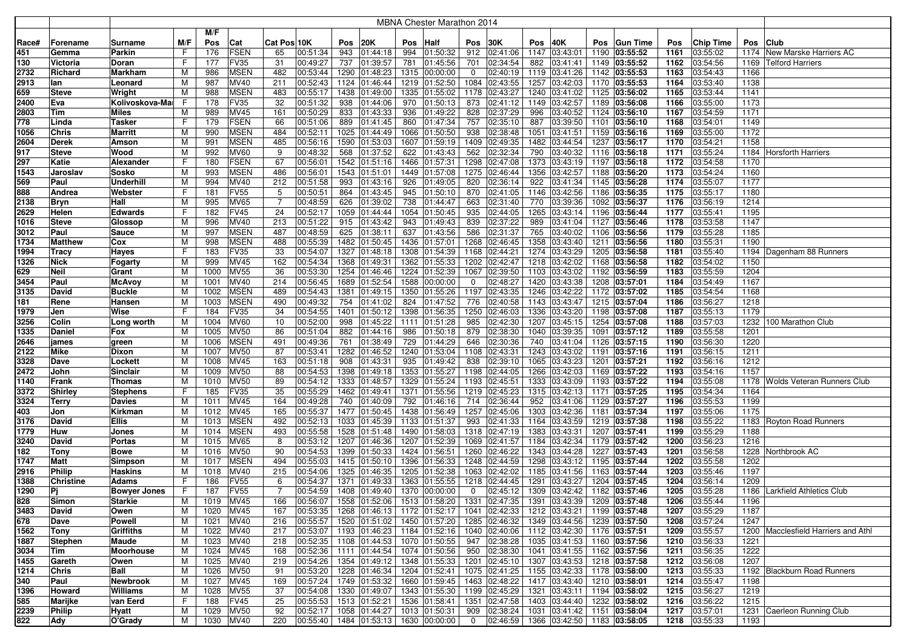|             |                          |                     |        |             |                            |                |                      |      |                                |      | MBNA Chester Marathon 2014                              |              |                                                                    |      |                                |      |                                |      |               |              |                                     |
|-------------|--------------------------|---------------------|--------|-------------|----------------------------|----------------|----------------------|------|--------------------------------|------|---------------------------------------------------------|--------------|--------------------------------------------------------------------|------|--------------------------------|------|--------------------------------|------|---------------|--------------|-------------------------------------|
|             |                          |                     |        | M/F         |                            |                |                      |      |                                |      |                                                         |              |                                                                    |      |                                |      |                                |      |               |              |                                     |
| Race#       | Forename                 | Surname             | M/F    | Pos         | Cat                        | Cat Pos 10K    |                      | Pos  | 20K                            | Pos  | Half                                                    | Pos          | 30K                                                                | Pos  | 40K                            | Pos  | <b>Gun Time</b>                | Pos  | Chip Time     | Pos          | <b>Club</b>                         |
| 451         | Gemma                    | Parkin              | F      | 176         | <b>FSEN</b>                | 65             | 00:51:34             | 943  | 01:44:18                       | 994  | 01:50:32                                                | 912          | 02:41:06                                                           | 1147 | 03:43:01                       | 1190 | 03:55:52                       | 1161 | 03:55:02      | 1174         | New Marske Harriers AC              |
| 130         | Victoria                 | Doran               | F      | 177         | <b>FV35</b>                | 31             | 00:49:27             | 737  | 01:39:57                       | 781  | 01:45:56                                                | 701          | 02:34:54                                                           | 882  | 03:41:41                       |      | 1149 03:55:52                  | 1162 | 03:54:56      | 1169         | <b>Telford Harriers</b>             |
| 2732        | Richard                  | Markham             | M      | 986         | <b>MSEN</b>                | 482            | 00:53:44             | 1290 | 01:48:23                       |      | 1315 00:00:00                                           | 0            | 02:40:19                                                           | 1119 | 03:41:26                       |      | 1142 03:55:53                  | 1163 | 03:54:43      | 1166         |                                     |
| 2913        | lan                      | Leonard             | M      | 987         | MV40                       | 211            | 00:52:43             | 1124 | 01:46:44                       | 1219 | 01:52:50                                                |              | 1084 02:43:55                                                      | 1257 | 03:42:03                       | 1170 | 03:55:53                       | 1164 | 03:53:40      | 1138         |                                     |
| 659         | <b>Steve</b>             | Wright              | м      | 988         | <b>MSEN</b>                | 483            | 00:55:17             | 1438 | 01:49:00                       |      | 1335 01:55:02                                           |              | 1178 02:43:27                                                      | 1240 | 03:41:02                       |      | 1125 03:56:02                  | 1165 | 03:53:44      | 1141         |                                     |
| 2400        | Eva                      | Kolivoskova-Mai     | F      | 178         | <b>FV35</b>                | 32             | 00:51:32             | 938  | 01:44:06                       | 970  | 01:50:13                                                | 873          | 02:41:12                                                           | 1149 | 03:42:57                       | 1189 | 03:56:08                       | 1166 | 03:55:00      | 1173         |                                     |
| 2803        | Tim                      | Miles               | м      | 989         | MV45                       | 161            | 00:50:29             | 833  | 01:43:33                       | 936  | 01:49:22                                                | 828          | 02:37:29                                                           | 996  | 03:40:52                       |      | 1124 03:56:10                  | 1167 | 03:54:59      | 1171         |                                     |
| 778         | Linda                    | Tasker              | F      | 179         | <b>FSEN</b>                | 66             | 00:51:06             | 889  | 01:41:45                       | 860  | 01:47:34                                                | 757          | 02:35:10                                                           | 887  | 03:39:50                       | 1101 | 03:56:10                       | 1168 | 03:54:01      | 1149         |                                     |
| 1056        | <b>Chris</b>             | Marritt             | M      | 990         | <b>MSEN</b>                | 484            | 00:52:11             | 1025 | 01:44:49                       | 1066 | 01:50:50                                                | 938          | 02:38:48                                                           | 1051 | 03:41:51                       |      | 1159 03:56:16                  | 1169 | 03:55:00      | 1172         |                                     |
| 2604        | <b>Derek</b>             | Amson               | M      | 991         | <b>MSEN</b>                | 485            | 00:56:16             | 1590 | 01:53:03                       | 1607 | 01:59:19                                                |              | 1409 02:49:35                                                      | 1482 | 03:44:54                       | 1237 | 03:56:17                       | 1170 | 03:54:21      | 1158         |                                     |
| 917         | <b>Steve</b>             | Wood                | M      | 992         | <b>MV60</b>                | 9              | 00:48:32             | 568  | 01:37:52                       | 622  | 01:43:43                                                | 562          | 02:32:34                                                           | 790  | 03:40:32                       |      | 1116 03:56:18                  | 1171 | 03:55:24      |              | 1184 Horsforth Harriers             |
| 297         | Katie                    | Alexander           | F      | 180         | <b>FSEN</b>                | 67             | 00:56:01             |      | 1542 01:51:16                  |      | 1466 01:57:31                                           |              | 1298 02:47:08                                                      | 1373 | 03:43:19                       |      | 1197 03:56:18                  | 1172 | 03:54:58      | 1170         |                                     |
| 1543        | Jaroslav                 | Sosko               | M      | 993         | <b>MSEN</b>                | 486            | 00:56:01             |      | 1543 01:51:01                  |      | 1449 01:57:08                                           |              | 1275 02:46:44                                                      | 1356 | 03:42:57                       |      | 1188 03:56:20                  | 1173 | 03:54:24      | 1160         |                                     |
| 569         | Paul                     | Underhill           | М      | 994         | MV40                       | 212            | 00:51:58             | 993  | 01:43:16                       | 926  | 01:49:05                                                | 820          | 02:36:14                                                           | 922  | 03:41:34                       |      | 1145 03:56:28                  | 1174 | 03:55:07      | 1177         |                                     |
| 888         | Andrea                   | Webster             | F      | 181         | <b>FV55</b>                | 5              | 00:50:51             | 864  | 01:43:45                       | 945  | 01:50:10                                                | 870          | 02:41:05                                                           | 1146 | 03:42:56                       |      | 1186 03:56:35                  | 1175 | 03:55:17      | 1180         |                                     |
| 2138        | <b>Bryn</b>              | Hall                | M      | 995         | <b>MV65</b>                | $\overline{7}$ | 00:48:59             | 626  | 01:39:02                       | 738  | 01:44:47                                                | 663          | 02:31:40                                                           | 770  | 03:39:36                       |      | 1092 03:56:37                  | 1176 | 03:56:19      | 1214         |                                     |
| 2629        | Helen                    | <b>Edwards</b>      | F      | 182         | <b>FV45</b>                | 24             | 00:52:17             | 1059 | 01:44:44                       | 1054 | 01:50:45                                                | 935          | 02:44:05                                                           | 1265 | 03:43:14                       |      | 1196 03:56:44                  | 1177 | 03:55:41      | 1195         |                                     |
| 1016        | <b>Steve</b>             | Glossop             | м      | 996         | MV40                       | 213            | 00:51:22             | 915  | 01:43:42                       | 943  | 01:49:43                                                | 839          | 02:37:22                                                           | 989  | 03:41:04                       |      | 1127 03:56:46                  | 1178 | 03:53:58      | 1147         |                                     |
| 3012        | Paul                     | <b>Sauce</b>        | M      | 997         | <b>MSEN</b>                | 487            | 00:48:59             | 625  | 01:38:11                       | 637  | 01:43:56                                                | 586          | 02:31:37                                                           | 765  | 03:40:02                       | 1106 | 03:56:56                       | 1179 | 03:55:28      | 1185         |                                     |
| 1734        | <b>Matthew</b>           | Cox                 | M      | 998         | <b>MSEN</b>                | 488            | 00:55:39             | 1482 | 01:50:45                       | 1436 | 01:57:01                                                |              | 1268 02:46:45                                                      | 1358 | 03:43:40                       |      | 1211 03:56:56                  | 1180 | 03:55:31      | 1190         |                                     |
| 1994        | Tracy                    | Hayes               | F      | 183         | FV35                       | 33             | 00:54:07             | 1327 | 01:48:18                       | 1308 | 01:54:39                                                | 1168         | 02:44:21                                                           | 1274 | 03:43:29                       |      | 1205 03:56:58                  | 1181 | 03:55:40      |              | 1194 Dagenham 88 Runners            |
| 1326        | <b>Nick</b>              | Fogarty             | M      | 999         | MV45                       | 162            | 00:54:34             | 1368 | 01:49:31                       | 1362 | 01:55:33                                                |              | 1202 02:42:47                                                      | 1218 | 03:42:02                       |      | 1168 03:56:58                  | 1182 | 03:54:02      | 1150         |                                     |
| 629         | <b>Neil</b>              | Grant               | M      | 1000        | <b>MV55</b>                | 36             | 00:53:30             |      | 1254 01:46:46                  |      | 1224 01:52:39                                           |              | 1067 02:39:50                                                      | 1103 | 03:43:02                       |      | 1192 03:56:59                  | 1183 | 03:55:59      | 1204         |                                     |
| 3454        | Paul                     | McAvoy              | M      | 1001        | MV40                       | 214            | 00:56:45             |      | 1689 01:52:54                  |      | 1588 00:00:00                                           | 0            | 02:48:27                                                           |      | 1420 03:43:38                  |      | 1208 03:57:01                  | 1184 | 03:54:49      | 1167         |                                     |
| 3135        | David                    | <b>Buckle</b>       | M      | 1002        | <b>MSEN</b>                | 489            | 00:54:43             |      | 1381 01:49:15                  |      | 1350 01:55:26                                           |              | 1197 02:43:35                                                      | 1246 | 03:42:22                       |      | 1172 03:57:02                  | 1185 | 03:54:54      | 1168         |                                     |
| 181         | Rene                     | Hansen              | м      | 1003        | <b>MSEN</b>                | 490            | 00:49:32             |      | 754 01:41:02                   | 824  | 01:47:52                                                | 776          | 02:40:58                                                           |      | 1143 03:43:47                  |      | 1215 03:57:04                  | 1186 | 03:56:27      | 1218         |                                     |
| 1979        | Jen                      | Wise                | F      | 184         | <b>FV35</b>                | 34             | 00:54:55             | 1401 | 01:50:12                       | 1398 | 01:56:35                                                |              | 1250 02:46:03                                                      | 1336 | 03:43:20                       |      | 1198 03:57:08                  | 1187 | 03:55:13      | 1179         |                                     |
| 3256        | Colin                    | Long worth          | M      | 1004        | <b>MV60</b>                | 10             | 00:52:00             | 998  | 01:45:22                       | 1111 | 01:51:28                                                | 985          | 02:42:30                                                           | 1207 | 03:45:15                       |      | 1254 03:57:08                  | 1188 | 03:57:03      | 1232         | 100 Marathon Club                   |
| 1335        | Daniel                   | Fox                 | M      | 1005        | <b>MV50</b>                | 86             | 00:51:04             | 882  | 01:44:16                       | 986  | 01:50:18                                                | 879          | 02:38:30                                                           | 1040 | 03:39:35                       |      | 1091 03:57:12                  | 1189 | 03:55:58      | 1201         |                                     |
| 2646        | james                    | green               | м      | 1006        | <b>MSEN</b>                | 491            | 00:49:36             | 761  | 01:38:49                       | 729  | 01:44:29                                                | 646          | 02:30:36                                                           | 740  | 03:41:04                       |      | 1126 03:57:15                  | 1190 | 03:56:30      | 1220         |                                     |
| 2122        | <b>Mike</b>              | Dixon               | м      | 1007        | <b>MV50</b>                | 87             | 00:53:41             | 1282 | 01:46:52                       |      | 1240 01:53:04                                           |              | 1108 02:43:31                                                      | 1243 | 03:43:02                       |      | 1191 03:57:16                  | 1191 | 03:56:15      | 1211         |                                     |
| 3328        | Dave                     | Lockett             | M      | 1008        | MV45                       | 163            | 00:51:18             | 908  | 01:43:31                       | 935  | 01:49:42                                                | 838          | 02:39:10                                                           | 1065 | 03:43:23                       | 1201 | 03:57:21                       | 1192 | 03:56:16      | 1212         |                                     |
| 2472        | John                     | Sinclair            | M      | 1009        | <b>MV50</b>                | 88             | 00:54:53             | 1398 | 01:49:18                       |      | 1353 01:55:27                                           |              | 1198 02:44:05                                                      | 1266 | 03:42:03                       |      | 1169 03:57:22                  | 1193 | 03:54:16      | 1157         |                                     |
| 1140        | Frank                    | <b>Thomas</b>       | M      | 1010        | <b>MV50</b>                | 89             | 00:54:12             | 1333 | 01:48:57                       | 1329 | 01:55:24                                                |              | 1193 02:45:51                                                      | 1333 | 03:43:09                       |      | 1193 03:57:22                  | 1194 | 03:55:08      |              | 1178 Wolds Veteran Runners Club     |
| 3372        | Shirley                  | Stephens            | F      | 185         | <b>FV35</b>                | 35             | 00:55:29             | 1462 | 01:49:41                       | 1371 | 01:55:56                                                |              | 1219 02:45:23                                                      | 1315 | 03:42:13                       |      | 1171 03:57:25                  | 1195 | 03:54:34      | 1164         |                                     |
| 3324        | <b>Terry</b>             | <b>Davies</b>       | M      | 1011        | MV45                       | 164            | 00:49:28             | 740  | 01:40:09                       | 792  | 01:46:16                                                | 714          | 02:36:44                                                           | 952  | 03:41:06                       |      | 1129 03:57:27                  | 1196 | 03:55:53      | 1199         |                                     |
| 403         | Jon                      | Kirkman             | M      | 1012        | <b>MV45</b>                | 165            | 00:55:37             |      | 1477 01:50:45                  | 1438 | 01:56:49                                                |              | 1257 02:45:06                                                      | 1303 | 03:42:36                       |      | 1181 03:57:34                  | 1197 | 03:55:06      | 1175         |                                     |
| 3176        | David                    | <b>Ellis</b>        | м      | 1013        | <b>MSEN</b>                | 492            | 00:52:13             |      | 1033 01:45:39                  |      | 1133 01:51:37                                           | 993          | 02:41:33                                                           | 1164 | 03:43:59                       |      | 1219 03:57:38                  | 1198 | 03:55:22      |              | 1183 Royton Road Runners            |
| 1779        | Huw                      | Jones               | M      | 1014        | <b>MSEN</b>                | 493            | 00:55:58             |      | 1528 01:51:48                  | 1490 | 01:58:03                                                |              | 1318 02:47:19                                                      | 1383 | 03:43:31                       |      | 1207 03:57:41                  | 1199 | 03:55:29      | 1188         |                                     |
| 3240        | David                    | Portas              | M      | 1015        | <b>MV65</b>                | 8              | 00:53:12             |      | 1207 01:46:36                  |      | 1207 01:52:39                                           |              | 1069 02:41:57                                                      | 1184 | 03:42:34                       |      | 1179 03:57:42                  | 1200 | 03:56:23      | 1216         |                                     |
| 182         | Tony                     | <b>Bowe</b>         | M      | 1016        | <b>MV50</b>                | 90             | 00:54:53             |      | 1399 01:50:33                  | 1424 | 01:56:51                                                |              | 1260 02:46:22                                                      | 1343 | 03:44:28                       |      | 1227 03:57:43                  | 1201 | 03:56:58      | 1228         | Northbrook AC                       |
| 1747        | Matt                     | Simpson             | м      | 1017        | <b>MSEN</b>                | 494            | 00:55:03             |      | 1415 01:50:10                  | 1396 | 01:56:33                                                |              | 1248 02:44:59                                                      | 1298 | 03:43:12                       |      | 1195 03:57:44                  | 1202 | 03:55:58      | 1202         |                                     |
| 2916        | <b>Philip</b>            | Haskins             | M      | 1018        | MV40                       | 215            | 00:54:06             |      | 1325 01:46:35                  | 1205 | 01:52:38                                                |              | 1063 02:42:02                                                      | 1185 | 03:41:56                       |      | 1163 03:57:44                  | 1203 | 03:55:46      | 1197         |                                     |
| 1388        | <b>Christine</b>         | Adams               | F      | 186         | FV55                       | 6              | 00:54:37             | 1371 | 01:49:33                       | 1363 | 01:55:55                                                |              | 1218 02:44:45                                                      | 1291 | 03:43:27                       |      | 1204 03:57:45                  | 1204 | 03:56:14      | 1209         |                                     |
| 1290        | Pi                       | <b>Bowyer Jones</b> | F      | 187         | <b>FV55</b>                | 7              | 00:54:59             | 1408 | 01:49:40                       |      | 1370 00:00:00                                           | $\mathbf{0}$ | 02:45:12                                                           | 1309 | 03:42:42                       |      | 1182 03:57:46                  | 1205 | 03:55:28      |              | 1186 Larkfield Athletics Club       |
| 828         | Simon                    | <b>Starkie</b>      | M      |             | 1019 MV45                  | 166            | 00:56:07             |      |                                |      | 1558 01:52:06 1513 01:58:20 1331 02:47:35 1391 03:43:39 |              |                                                                    |      |                                |      | 1209 03:57:48                  | 1206 | 03:55:44      | 1196         |                                     |
| 3483        | David                    | Owen                | M      | 1020        | MV45                       | 167            | 00:53:35             |      |                                |      | 1268 01:46:13 1172 01:52:17 1041 02:42:33               |              |                                                                    |      | 1212 03:43:21                  |      | 1199 03:57:48                  | 1207 | 03:55:29      | 1187         |                                     |
| 678         | Dave                     | Powell              | M      | 1021        | <b>MV40</b>                | 216            | 00:55:57             |      |                                |      | 1520 01:51:02 1450 01:57:20 1285 02:46:32               |              |                                                                    |      | 1349 03:44:56                  |      | 1239 03:57:50                  | 1208 | 03:57:24      | 1247         |                                     |
| 1562        | Tony                     | Griffiths           | м      | 1022        | <b>MV40</b>                | 217            | 00:53:07             |      |                                |      | 1193 01:46:23 1184 01:52:16 1040 02:40:06               |              |                                                                    |      | 1112 03:42:30 1176 03:57:51    |      |                                | 1209 | 03:55:57      |              | 1200 Macclesfield Harriers and Athl |
| 1887        | Stephen                  | Maude               | M      | 1023        | MV40                       | 218            | 00:52:35             |      | 1108 01:44:53                  |      | 1070 01:50:55                                           |              | 947 02:38:28                                                       |      | 1035 03:41:53                  |      | 1160 03:57:56                  | 1210 | 03:56:33      | 1221         |                                     |
| 3034        | Tim                      | <b>Moorhouse</b>    | м      | 1024        | <b>MV45</b>                | 168            | 00:52:36             |      | 1111 01:44:54                  |      | 1074 01:50:56                                           |              | 950 02:38:30                                                       |      | 1041 03:41:55 1162 03:57:56    |      |                                | 1211 | 03:56:35      | 1222         |                                     |
| 1455        | Gareth                   | Owen                | M      | 1025        | <b>MV40</b>                | 219            | 00:54:26             |      |                                |      | 1354 01:49:12 1348 01:55:33                             |              | 1201 02:45:10                                                      |      | 1307 03:43:53 1218 03:57:58    |      |                                | 1212 | 03:56:08      | 1207         |                                     |
| 1214        | <b>Chris</b>             | Ball                | M      | 1026        | <b>MV50</b>                | 91             | 00:53:20             |      | 1228 01:46:34                  |      | 1204 01:52:41                                           |              | 1075 02:41:25                                                      |      | 1155 03:42:33 1178 03:58:00    |      |                                | 1213 | 03:55:33      |              | 1192 Blackburn Road Runners         |
| 340         | Paul                     | Newbrook            | м      | 1027        | <b>MV45</b>                | 169            | 00:57:24             |      | 1749 01:53:32                  |      | 1660 01:59:45 1463 02:48:22                             |              |                                                                    |      | 1417 03:43:40                  |      | 1210 03:58:01                  | 1214 | 03:55:47      | 1198         |                                     |
| 1396        | Howard                   | Williams            | M      | 1028        | <b>MV55</b>                | 37<br>25       | 00:54:08             |      |                                |      | 1330 01:49:07 1343 01:55:30 1199 02:45:29               |              |                                                                    |      | 1321 03:43:11                  |      | 1194 03:58:02                  | 1215 | 03:56:27      | 1219<br>1215 |                                     |
| 585<br>2239 | Marijke<br><b>Philip</b> | van Eerd            | F<br>M | 188<br>1029 | <b>FV45</b><br><b>MV50</b> | 92             | 00:55:53<br>00:52:17 |      | 1513 01:52:21<br>1058 01:44:27 |      | 1536 01:58:41 1351 02:47:58<br>1013 01:50:31            |              |                                                                    |      | 1403 03:44:40<br>1031 03:41:42 |      | 1232 03:58:02<br>1151 03:58:04 | 1216 | 03:56:22      |              | 1231 Caerleon Running Club          |
| 822         |                          | Hyatt               |        |             |                            |                | 00:55:40             |      |                                |      |                                                         |              | 909 02:38:24<br>$0$   02:46:59   1366   03:42:50   1183   03:58:05 |      |                                |      |                                | 1217 | 03:57:01      |              |                                     |
|             | Ady                      | O'Grady             | М      |             | 1030 MV40                  | 220            |                      |      | 1484 01:53:13 1630 00:00:00    |      |                                                         |              |                                                                    |      |                                |      |                                |      | 1218 03:55:33 | 1193         |                                     |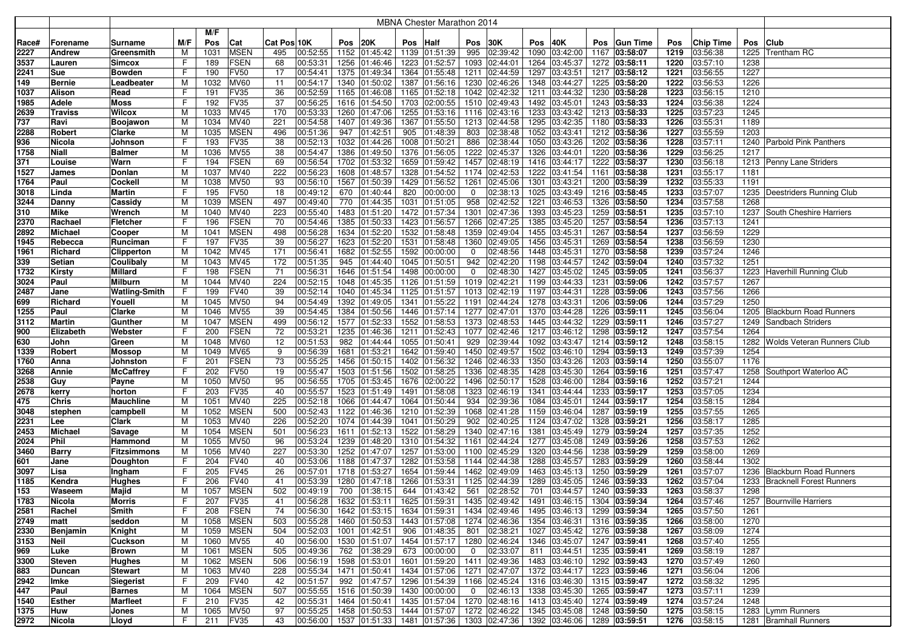|       |                |                    |     |      |             |             |          |      |                            |      | MBNA Chester Marathon 2014                |                |               |      |                             |      |                 |      |                  |      |                                 |
|-------|----------------|--------------------|-----|------|-------------|-------------|----------|------|----------------------------|------|-------------------------------------------|----------------|---------------|------|-----------------------------|------|-----------------|------|------------------|------|---------------------------------|
|       |                |                    |     | M/F  |             |             |          |      |                            |      |                                           |                |               |      |                             |      |                 |      |                  |      |                                 |
| Race# | Forename       | Surname            | M/F | Pos  | Cat         | Cat Pos 10K |          | Pos  | 20K                        | Pos  | <b>Half</b>                               | Pos            | 30K           | Pos  | 40K                         | Pos  | <b>Gun Time</b> | Pos  | <b>Chip Time</b> | Pos  | <b>Club</b>                     |
| 2227  | <b>Andrew</b>  | Greensmith         | м   | 1031 | <b>MSEN</b> | 495         | 00:52:55 | 1152 | 01:45:42                   |      | 1139 01:51:39                             | 995            | 02:39:42      | 1090 | 03:42:00                    | 1167 | 03:58:07        | 1219 | 03:56:38         | 1225 | <b>Trentham RC</b>              |
| 3537  | Lauren         | <b>Simcox</b>      | F   | 189  | <b>FSEN</b> | 68          | 00:53:31 | 1256 | 01:46:46                   |      | 1223 01:52:57                             |                | 1093 02:44:01 | 1264 | 03:45:37                    |      | 1272 03:58:11   | 1220 | 03:57:10         | 1238 |                                 |
| 2241  | <b>Sue</b>     | Bowden             | F   | 190  | <b>FV50</b> | 17          | 00:54:41 | 1375 | 01:49:34                   |      | 1364 01:55:48                             | 1211           | 02:44:59      | 1297 | 03:43:51                    |      | 1217 03:58:12   | 1221 | 03:56:55         | 1227 |                                 |
| 149   | Bernie         | Leadbeater         | м   | 1032 | <b>MV60</b> | 11          | 00:54:17 | 1340 | 01:50:02                   |      | 1387 01:56:16                             | 1230           | 02:46:26      | 1348 | 03:44:27                    |      | 1225 03:58:20   | 1222 | 03:56:53         | 1226 |                                 |
| 1037  | <b>Alison</b>  | Read               | F   | 191  | FV35        | 36          | 00:52:59 | 1165 | 01:46:08                   |      | $\overline{1165}$ 01:52:18                | 1042           | 02:42:32      | 1211 | 03:44:32                    |      | 1230 03:58:28   | 1223 | 03:56:15         | 1210 |                                 |
| 1985  | Adele          | Moss               | F   | 192  | FV35        | 37          | 00:56:25 | 1616 | 01:54:50                   |      | 1703 02:00:55                             | 1510           | 02:49:43      | 1492 | 03:45:01                    |      | 1243 03:58:33   | 1224 | 03:56:38         | 1224 |                                 |
| 2639  | <b>Traviss</b> | Wilcox             | м   | 1033 | MV45        | 170         | 00:53:33 | 1260 | 01:47:06                   |      | 1255 01:53:16                             |                | 1116 02:43:16 | 1233 | 03:43:42                    |      | 1213 03:58:33   | 1225 | 03:57:23         | 1245 |                                 |
| 737   | Ravi           | Boojawon           | M   | 1034 | MV40        | 221         | 00:54:58 | 1407 | 01:49:36                   |      | 1367 01:55:50                             |                | 1213 02:44:58 | 1295 | 03:42:35                    |      | 1180 03:58:33   | 1226 | 03:55:31         | 1189 |                                 |
| 2288  | Robert         | Clarke             | M   | 1035 | <b>MSEN</b> | 496         | 00:51:36 | 947  | 01:42:51                   | 905  | 01:48:39                                  | 803            | 02:38:48      |      | 1052 03:43:41               |      | 1212 03:58:36   | 1227 | 03:55:59         | 1203 |                                 |
| 936   | Nicola         | Johnson            | F   | 193  | FV35        | 38          | 00:52:13 | 1032 | 01:44:26                   |      | 1008 01:50:21                             | 886            | 02:38:44      | 1050 | 03:43:26                    |      | 1202 03:58:36   | 1228 | 03:57:11         |      | 1240 Parbold Pink Panthers      |
| 1758  | <b>Niall</b>   | Balmeı             | M   | 1036 | <b>MV55</b> | 38          | 00:54:47 | 1386 | 01:49:50                   |      | 1376 01:56:05                             |                | 1222 02:45:37 |      | 1326 03:44:01               |      | 1220 03:58:36   | 1229 | 03:56:25         | 1217 |                                 |
| 371   | Louise         | Warn               | F   | 194  | <b>FSEN</b> | 69          | 00:56:54 | 1702 | 01:53:32                   |      | 1659 01:59:42                             |                | 1457 02:48:19 |      | 1416 03:44:17               |      | 1222 03:58:37   | 1230 | 03:56:18         |      | 1213 Penny Lane Striders        |
| 1527  | James          | Donlan             | м   | 1037 | <b>MV40</b> | 222         | 00:56:23 | 1608 | 01:48:57                   |      | 1328 01:54:52                             |                | 1174 02:42:53 |      | 1222 03:41:54               |      | 1161 03:58:38   | 1231 | 03:55:17         | 1181 |                                 |
| 1764  | Paul           | Cockell            | M   | 1038 | <b>MV50</b> | 93          | 00:56:10 | 1567 | 01:50:39                   |      | 1429 01:56:52                             | 1261           | 02:45:06      | 1301 | 03:43:21                    |      | 1200 03:58:39   | 1232 | 03:55:33         | 1191 |                                 |
| 3018  | Linda          | Martin             | F   | 195  | <b>FV50</b> | 18          | 00:49:12 | 670  | 01:40:44                   | 820  | 00:00:00                                  | $\mathbf 0$    | 02:38:13      |      | 1025 03:43:49               |      | 1216 03:58:45   | 1233 | 03:57:07         |      | 1235 Deestriders Running Club   |
| 3244  | Danny          | Cassidy            | M   | 1039 | <b>MSEN</b> | 497         | 00:49:40 | 770  | 01:44:35                   |      | 1031 01:51:05                             | 958            | 02:42:52      | 1221 | 03:46:53                    |      | 1326 03:58:50   | 1234 | 03:57:58         | 1268 |                                 |
| 310   | <b>Mike</b>    | Wrench             | м   | 1040 | <b>MV40</b> | 223         | 00:55:40 | 1483 | 01:51:20                   |      | 1472 01:57:34                             | 1301           | 02:47:36      | 1393 | 03:45:23                    |      | 1259 03:58:51   | 1235 | 03:57:10         |      | 1237 South Cheshire Harriers    |
| 2370  | Rachael        | Fletcher           | F   | 196  | <b>FSEN</b> | 70          | 00:54:46 | 1385 | 01:50:33                   |      | 1423 01:56:57                             | 1266           | 02:47:25      | 1385 | 03:45:20                    |      | 1257 03:58:54   | 1236 | 03:57:13         | 1241 |                                 |
| 2892  | <b>Michael</b> | Cooper             | м   | 1041 | <b>MSEN</b> | 498         | 00:56:28 | 1634 | 01:52:20                   |      | 1532 01:58:48                             | 1359           | 02:49:04      | 1455 | 03:45:31                    |      | 1267 03:58:54   | 1237 | 03:56:59         | 1229 |                                 |
| 1945  | Rebecca        | Runciman           | F   | 197  | FV35        | 39          | 00:56:27 | 1623 | 01:52:20                   |      | 1531 01:58:48                             | 1360           | 02:49:05      | 1456 | 03:45:31                    |      | 1269 03:58:54   | 1238 | 03:56:59         | 1230 |                                 |
| 1961  | Richard        | <b>Clipperton</b>  | M   | 1042 | <b>MV45</b> | 171         | 00:56:41 | 1682 | 01:52:55                   |      | 1592 00:00:00                             | 0              | 02:48:56      | 1448 | 03:45:31                    |      | 1270 03:58:58   | 1239 | 03:57:24         | 1246 |                                 |
| 339   | <b>Setian</b>  | Coulibaly          | M   | 1043 | MV45        | 172         | 00:51:35 | 945  | 01:44:40                   |      | 1045 01:50:51                             | 942            | 02:42:20      | 1198 | 03:44:57                    |      | 1242 03:59:04   | 1240 | 03:57:32         | 1251 |                                 |
| 1732  | <b>Kirsty</b>  | Millard            | F   | 198  | <b>FSEN</b> | 71          | 00:56:31 | 1646 | 01:51:54                   |      | 1498 00:00:00                             | $\mathbf 0$    | 02:48:30      | 1427 | 03:45:02                    |      | 1245 03:59:05   | 1241 | 03:56:37         |      | 1223 Haverhill Running Club     |
| 3024  | Paul           | Milburn            | M   | 1044 | MV40        | 224         | 00:52:15 | 1048 | 01:45:35                   |      | 1126 01:51:59                             |                | 1019 02:42:21 |      | 1199 03:44:33               |      | 1231 03:59:06   | 1242 | 03:57:57         | 1267 |                                 |
| 2487  | Jane           | Watling-Smith      | F   | 199  | <b>FV40</b> | 39          | 00:52:14 | 1040 | 01:45:34                   |      | 1125 01:51:57                             |                | 1013 02:42:19 |      | 1197 03:44:31               |      | 1228 03:59:06   | 1243 | 03:57:56         | 1266 |                                 |
| 699   | Richard        | Youell             | м   | 1045 | <b>MV50</b> | 94          | 00:54:49 | 1392 | 01:49:05                   |      | 1341 01:55:22                             |                | 1191 02:44:24 |      | 1278 03:43:31               |      | 1206 03:59:06   | 1244 | 03:57:29         | 1250 |                                 |
| 1255  | Paul           | Clarke             | M   | 1046 | <b>MV55</b> | 39          | 00:54:45 | 1384 | 01:50:56                   |      | 1446 01:57:14                             |                | 1277 02:47:01 |      | 1370 03:44:28               |      | 1226 03:59:11   | 1245 | 03:56:04         |      | 1205 Blackburn Road Runners     |
| 3112  | <b>Martin</b>  | Gunther            | M   | 1047 | <b>MSEN</b> | 499         | 00:56:12 | 1577 | 01:52:33                   |      | 1552 01:58:53                             |                | 1373 02:48:53 |      | 1445 03:44:32               |      | 1229 03:59:11   | 1246 | 03:57:27         |      | 1249 Sandbach Striders          |
| 900   | Elizabeth      | Webster            | F   | 200  | <b>FSEN</b> | 72          | 00:53:21 | 1235 | 01:46:36                   |      | 1211 01:52:43                             |                | 1077 02:42:46 | 1217 | 03:46:12                    |      | 1298 03:59:12   | 1247 | 03:57:54         | 1264 |                                 |
| 630   | John           | Green              | м   | 1048 | <b>MV60</b> | 12          | 00:51:53 | 982  | 01:44:44                   |      | 1055 01:50:41                             | 929            | 02:39:44      | 1092 | 03:43:47                    |      | 1214 03:59:12   | 1248 | 03:58:15         |      | 1282 Wolds Veteran Runners Club |
| 1339  | <b>Robert</b>  | Mossop             | M   | 1049 | <b>MV65</b> | 9           | 00:56:39 | 1681 | 01:53:21                   |      | 1642 01:59:40                             |                | 1450 02:49:57 |      | 1502 03:46:10               |      | 1294 03:59:13   | 1249 | 03:57:39         | 1254 |                                 |
| 1760  | Anna           | Johnston           | F   | 201  | <b>FSEN</b> | 73          | 00:55:25 | 1456 | 01:50:15                   | 1402 | 01:56:32                                  | 1246           | 02:46:33      | 1350 | 03:43:26                    |      | 1203 03:59:14   | 1250 | 03:55:07         | 1176 |                                 |
| 3268  | <b>Annie</b>   | McCaffrey          | F   | 202  | <b>FV50</b> | 19          | 00:55:47 | 1503 | 01:51:56                   |      | 1502 01:58:25                             | 1336           | 02:48:35      | 1428 | 03:45:30                    |      | 1264 03:59:16   | 1251 | 03:57:47         |      | 1258 Southport Waterloo AC      |
| 2538  | Guy            | Payne              | M   | 1050 | <b>MV50</b> | 95          | 00:56:55 | 1705 | 01:53:45                   |      | 1676 02:00:22                             | 1496           | 02:50:17      | 1528 | 03:46:00                    |      | 1284 03:59:16   | 1252 | 03:57:21         | 1244 |                                 |
| 2678  | kerry          | horton             | F   | 203  | FV35        | 40          | 00:55:57 | 1523 | 01:51:49                   |      | 1491 01:58:08                             |                | 1323 02:46:19 | 1341 | 03:44:44                    |      | 1233 03:59:17   | 1253 | 03:57:05         | 1234 |                                 |
| 475   | <b>Chris</b>   | Mauchline          | M   | 1051 | <b>MV40</b> | 225         | 00:52:18 | 1066 | 01:44:47                   |      | 1064 01:50:44                             | 934            | 02:39:36      | 1084 | 03:45:01                    |      | 1244 03:59:17   | 1254 | 03:58:15         | 1284 |                                 |
| 3048  | stephen        | campbell           | M   | 1052 | <b>MSEN</b> | 500         | 00:52:43 | 1122 | 01:46:36                   |      | 1210 01:52:39                             |                | 1068 02:41:28 |      | 1159 03:46:04               |      | 1287 03:59:19   | 1255 | 03:57:55         | 1265 |                                 |
| 2231  | Lee            | Clark              | м   | 1053 | MV40        | 226         | 00:52:20 | 1074 | 01:44:39                   |      | 1041 01:50:29                             | 902            | 02:40:25      | 1124 | 03:47:02                    |      | 1328 03:59:21   | 1256 | 03:58:17         | 1285 |                                 |
| 2453  | <b>Michael</b> | Savage             | M   | 1054 | <b>MSEN</b> | 501         | 00:56:23 | 1611 | 01:52:13                   |      | 1522 01:58:29                             |                | 1340 02:47:16 | 1381 | 03:45:49                    |      | 1279 03:59:24   | 1257 | 03:57:35         | 1252 |                                 |
| 2024  | Phil           | Hammond            | M   | 1055 | <b>MV50</b> | 96          | 00:53:24 | 1239 | 01:48:20                   |      | 1310 01:54:32                             |                | 1161 02:44:24 |      | 1277 03:45:08               |      | 1249 03:59:26   | 1258 | 03:57:53         | 1262 |                                 |
| 3460  | <b>Barry</b>   | <b>Fitzsimmons</b> | M   | 1056 | <b>MV40</b> | 227         | 00:53:30 | 1252 | 01:47:07                   |      | 1257 01:53:00                             |                | 1100 02:45:29 | 1320 | 03:44:56                    |      | 1238 03:59:29   | 1259 | 03:58:00         | 1269 |                                 |
| 601   | Jane           | Doughton           | F   | 204  | FV40        | 40          | 00:53:06 | 1188 | 01:47:37                   |      | 1282 01:53:58                             | 1144           | 02:44:38      |      | 1288 03:45:57               |      | 1283 03:59:29   | 1260 | 03:58:44         | 1302 |                                 |
| 3097  | Lisa           | Ingham             | F   | 205  | <b>FV45</b> | 26          | 00:57:01 | 1718 | 01:53:27                   |      | 1654 01:59:44                             | 1462           | 02:49:09      | 1463 | 03:45:13                    |      | 1250 03:59:29   | 1261 | 03:57:07         | 1236 | <b>Blackburn Road Runners</b>   |
| 1185  | Kendra         | Hughes             | F   | 206  | FV40        | 41          | 00:53:39 | 1280 | 01:47:18                   |      | 1266 01:53:31                             | 1125           | 02:44:39      | 1289 | 03:45:05                    |      | 1246 03:59:33   | 1262 | 03:57:04         | 1233 | <b>Bracknell Forest Runners</b> |
| 153   | Waseem         | Majid              | м   | 1057 | <b>MSEN</b> | 502         | 00:49:19 | 700  | 01:38:15                   | 644  | 01:43:42                                  | 561            | 02:28:52      | 701  | 03:44:57                    |      | 1240 03:59:33   | 1263 | 03:58:37         | 1298 |                                 |
| 1783  | Nicola         | Morris             | F   | 207  | <b>FV35</b> | 41          | 00:56:28 |      | 1632 01:53:11              |      | 1625 01:59:31 1435 02:49:42               |                |               |      | 1491 03:46:15 1304 03:59:34 |      |                 | 1264 | 03:57:46         |      | 1257 Bournville Harriers        |
| 2581  | Rachel         | Smith              | F   | 208  | <b>FSEN</b> | 74          | 00:56:30 |      | 1642 01:53:15              |      | 1634 01:59:31 1434 02:49:46               |                |               |      | 1495 03:46:13 1299 03:59:34 |      |                 | 1265 | 03:57:50         | 1261 |                                 |
| 2749  | matt           | seddon             | M   | 1058 | <b>MSEN</b> | 503         | 00:55:28 |      | 1460 01:50:53              |      | 1443 01:57:08 1274 02:46:36               |                |               |      | 1354 03:46:31               |      | 1316 03:59:35   | 1266 | 03:58:00         | 1270 |                                 |
| 2330  | Benjamin       | Knight             | M   | 1059 | <b>MSEN</b> | 504         | 00:52:03 |      | $\overline{1001}$ 01:42:51 |      | 906 01:48:35 801 02:38:21                 |                |               |      | 1027 03:45:42 1276 03:59:38 |      |                 | 1267 | 03:58:09         | 1274 |                                 |
| 3153  | Neil           | Cuckson            | M   | 1060 | <b>MV55</b> | 40          | 00:56:00 |      | 1530 01:51:07              |      | 1454 01:57:17 1280 02:46:24               |                |               |      | 1346 03:45:07               |      | 1247 03:59:41   | 1268 | 03:57:40         | 1255 |                                 |
| 969   | Luke           | Brown              | M   | 1061 | <b>MSEN</b> | 505         | 00:49:36 |      | 762 01:38:29               |      | 673 00:00:00                              | $\overline{0}$ | 02:33:07      |      | 811 03:44:51                |      | 1235 03:59:41   | 1269 | 03:58:19         | 1287 |                                 |
| 3300  | <b>Steven</b>  | Hughes             | M   | 1062 | <b>MSEN</b> | 506         | 00:56:19 |      | 1598 01:53:01              |      | 1601 01:59:20 1411 02:49:36               |                |               |      | 1483 03:46:10 1292 03:59:43 |      |                 | 1270 | 03:57:49         | 1260 |                                 |
| 883   | Duncan         | <b>Stewart</b>     | M   | 1063 | MV40        | 228         | 00:55:34 |      | $\overline{1471}$ 01:50:41 |      | 1434 01:57:06 1271 02:47:07               |                |               |      | 1372 03:44:17               |      | 1223 03:59:46   | 1271 | 03:56:04         | 1206 |                                 |
| 2942  | Imke           | <b>Siegerist</b>   | F   | 209  | <b>FV40</b> | 42          | 00:51:57 | 992  | 01:47:57                   |      | 1296 01:54:39 1166 02:45:24               |                |               |      | 1316 03:46:30               |      | 1315 03:59:47   | 1272 | 03:58:32         | 1295 |                                 |
| 447   | Paul           | <b>Barnes</b>      | M   | 1064 | <b>MSEN</b> | 507         | 00:55:55 |      | 1516 01:50:39              |      | 1430 00:00:00                             | $\overline{0}$ | 02:46:13      |      | 1338 03:45:30               |      | 1265 03:59:47   | 1273 | 03:57:11         | 1239 |                                 |
| 1540  | <b>Esther</b>  | <b>Marfleet</b>    | F   | 210  | <b>FV35</b> | 42          | 00:55:31 |      | 1464 01:50:41              |      | 1435 01:57:04 1270 02:48:16               |                |               |      | 1413 03:45:40               |      | 1274 03:59:49   | 1274 | 03:57:24         | 1248 |                                 |
| 1375  | Huw            | Jones              | M   | 1065 | <b>MV50</b> | 97          | 00:55:25 |      | 1458 01:50:53              |      | 1444 01:57:07 1272 02:46:22               |                |               |      | 1345 03:45:08               |      | 1248 03:59:50   | 1275 | 03:58:15         |      | 1283   Lymm Runners             |
| 2972  | Nicola         | Lloyd              | F   | 211  | FV35        | 43          | 00:56:00 |      |                            |      | 1537 01:51:33 1481 01:57:36 1303 02:47:36 |                |               |      | 1392 03:46:06 1289 03:59:51 |      |                 |      | 1276 03:58:15    |      | 1281 Bramhall Runners           |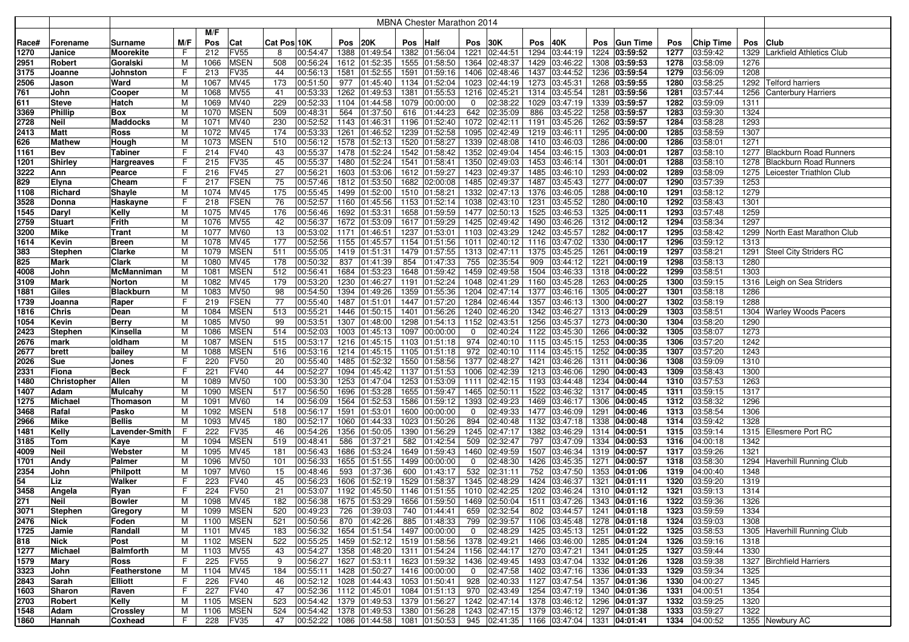|              |                  |                        |        |             |                     |             |                      |              |                             |     | <b>MBNA Chester Marathon 2014</b> |                |                                |      |                                          |      |                                |              |                      |      |                                                                |
|--------------|------------------|------------------------|--------|-------------|---------------------|-------------|----------------------|--------------|-----------------------------|-----|-----------------------------------|----------------|--------------------------------|------|------------------------------------------|------|--------------------------------|--------------|----------------------|------|----------------------------------------------------------------|
|              |                  |                        |        | M/F         |                     |             |                      |              |                             |     |                                   |                |                                |      |                                          |      |                                |              |                      |      |                                                                |
| Race#        | Forename         | Surname                | M/F    | Pos         | Cat                 | Cat Pos 10K |                      | Pos          | 20K                         | Pos | <b>Half</b>                       | Pos            | 30K                            | Pos  | 40K                                      | Pos  | <b>Gun Time</b>                | Pos          | <b>Chip Time</b>     | Pos  | <b>Club</b>                                                    |
| 1270         | Janice           | Moorekite              | F      | 212         | <b>FV55</b>         | 8           | 00:54:47             | 1388         | 01:49:54                    |     | 1382 01:56:04                     | 1221           | 02:44:51                       | 1294 | 03:44:19                                 |      | 1224 03:59:52                  | 1277         | 03:59:42             | 1329 | Larkfield Athletics Club                                       |
| 2951         | Robert           | Goralski               | M      | 1066        | <b>MSEN</b>         | 508         | 00:56:24             | 1612         | 01:52:35                    |     | 1555 01:58:50                     | 1364           | 02:48:37                       | 1429 | 03:46:22                                 |      | 1308 03:59:53                  | 1278         | 03:58:09             | 1276 |                                                                |
| 3175         | Joanne           | Johnston               | F      | 213         | FV35                | 44          | 00:56:13             | 1581         | 01:52:55                    |     | 1591 01:59:16                     | 1406           | 02:48:46                       | 1437 | 03:44:52                                 |      | 1236 03:59:54                  | 1279         | 03:56:09             | 1208 |                                                                |
| 2506         | Jason            | Ward                   | M      | 1067        | <b>MV45</b>         | 173         | 00:51:50             | 977          | 01:45:40                    |     | 1134 01:52:04                     | 1023           | 02:44:19                       | 1273 | 03:45:31                                 |      | 1268 03:59:55                  | 1280         | 03:58:25             | 1292 | <b>Telford harriers</b>                                        |
| 761          | John             | Cooper                 | M      | 1068        | <b>MV55</b>         | 41          | 00:53:33             | 1262         | 01:49:53                    |     | 1381 01:55:53                     | 1216           | 02:45:21                       |      | 1314 03:45:54                            |      | 1281 03:59:56                  | 1281         | 03:57:44             | 1256 | Canterbury Harriers                                            |
| 611          | <b>Steve</b>     | Hatch                  | м      | 1069        | <b>MV40</b>         | 229         | 00:52:33             | 1104         | 01:44:58                    |     | 1079 00:00:00                     | 0              | 02:38:22                       | 1029 | 03:47:19                                 | 1339 | 03:59:57                       | 1282         | 03:59:09             | 1311 |                                                                |
| 3369         | <b>Phillip</b>   | Box                    | М      | 1070        | <b>MSEN</b>         | 509         | 00:48:31             | 564          | 01:37:50                    |     | 616 01:44:23                      | 642            | 02:35:09                       | 886  | 03:45:22                                 |      | 1258 03:59:57                  | 1283         | 03:59:30             | 1324 |                                                                |
| 2728         | <b>Neil</b>      | <b>Maddocks</b>        | М      | 1071        | MV40                | 230         | 00:52:52             | 1143         | 01:46:31                    |     | 1196 01:52:40                     | 1072           | 02:42:11                       | 1191 | 03:45:26                                 |      | 1262 03:59:57                  | 1284         | 03:58:28             | 1293 |                                                                |
| 2413         | Matt             | Ross                   | М      | 1072        | MV45                | 174         | 00:53:33             | 1261         | 01:46:52                    |     | 1239 01:52:58                     |                | 1095 02:42:49                  |      | 1219 03:46:11                            |      | 1295 04:00:00                  | 1285         | 03:58:59             | 1307 |                                                                |
| 626          | <b>Mathew</b>    | Hough                  | M      | 1073        | <b>MSEN</b>         | 510         | 00:56:12             | 1578         | 01:52:13                    |     | 1520 01:58:27                     | 1339           | 02:48:08                       |      | 1410 03:46:03                            |      | 1286 04:00:00                  | 1286         | 03:58:01             | 1271 |                                                                |
| 1161         | Bev              | Tabiner                | F      | 214         | <b>FV40</b><br>FV35 | 43          | 00:55:37<br>00:55:37 | 1478         | 01:52:24                    |     | 1542 01:58:42                     |                | 1352 02:49:04<br>1350 02:49:03 |      | 1454 03:46:15                            |      | 1303 04:00:01                  | 1287         | 03:58:10<br>03:58:10 |      | 1277 Blackburn Road Runners                                    |
| 1201<br>3222 | Shirley          | <b>Hargreaves</b>      | F<br>F | 215<br>216  | <b>FV45</b>         | 45<br>27    | 00:56:21             | 1480<br>1603 | 01:52:24                    |     | 1541 01:58:41<br>1612 01:59:27    |                | 1423 02:49:37                  |      | 1453 03:46:14<br>1485 03:46:10           |      | 1301 04:00:01                  | 1288<br>1289 | 03:58:09             |      | 1278 Blackburn Road Runners<br>1275   Leicester Triathlon Club |
|              | Ann              | Pearce                 | F      | 217         | <b>FSEN</b>         | 75          | 00:57:46             |              | 01:53:06<br>1812 01:53:50   |     | 1682 02:00:08                     |                | 1485 02:49:37                  |      | 1487 03:45:43                            |      | 1293 04:00:02<br>1277 04:00:07 | 1290         | 03:57:39             | 1253 |                                                                |
| 829<br>1108  | Elyna<br>Richard | Cheam<br>Shayle        | M      | 1074        | <b>MV45</b>         | 175         | 00:55:45             | 1499         | 01:52:00                    |     | 1510 01:58:21                     |                | 1332 02:47:13                  |      | 1376 03:46:05                            |      | 1288 04:00:10                  | 1291         | 03:58:12             | 1279 |                                                                |
| 3528         | Donna            | Haskayne               | F      | 218         | <b>FSEN</b>         | 76          | 00:52:57             | 1160         | 01:45:56                    |     | 1153 01:52:14                     |                | 1038 02:43:10                  | 1231 | 03:45:52                                 |      | 1280 04:00:10                  | 1292         | 03:58:43             | 1301 |                                                                |
| 1545         | Daryl            | Kelly                  | м      | 1075        | <b>MV45</b>         | 176         | 00:56:46             | 1692         | 01:53:31                    |     | 1658 01:59:59                     |                | 1477 02:50:13                  |      | 1525 03:46:53                            |      | 1325 04:00:11                  | 1293         | 03:57:48             | 1259 |                                                                |
| 2759         | <b>Stuart</b>    | Frith                  | М      | 1076        | <b>MV55</b>         | 42          | 00:56:37             | 1672         | 01:53:09                    |     | 1617 01:59:29                     | 1425           | 02:49:42                       | 1490 | 03:46:26                                 |      | 1312 04:00:12                  | 1294         | 03:58:34             | 1297 |                                                                |
| 3200         | <b>Mike</b>      | Trant                  | м      | 1077        | <b>MV60</b>         | 13          | 00:53:02             | 1171         | 01:46:51                    |     | 1237 01:53:01                     | 1103           | 02:43:29                       |      | 1242 03:45:57                            |      | 1282 04:00:17                  | 1295         | 03:58:42             |      | 1299 North East Marathon Club                                  |
| 1614         | Kevin            | Breen                  | М      | 1078        | <b>MV45</b>         | 177         | 00:52:56             | 1155         | 01:45:57                    |     | 1154 01:51:56                     | 1011           | 02:40:12                       | 1116 | 03:47:02                                 |      | 1330 04:00:17                  | 1296         | 03:59:12             | 1313 |                                                                |
| 383          | <b>Stephen</b>   | Clarke                 | М      | 1079        | <b>MSEN</b>         | 511         | 00:55:05             | 1419         | 01:51:31                    |     | 1479 01:57:55                     | 1313           | 02:47:11                       | 1375 | 03:45:25                                 |      | 1261 04:00:19                  | 1297         | 03:58:21             |      | 1291 Steel City Striders RC                                    |
| 825          | Mark             | Clark                  | M      | 1080        | <b>MV45</b>         | 178         | 00:50:32             | 837          | 01:41:39                    | 854 | 01:47:33                          | 755            | 02:35:54                       | 909  | 03:44:12                                 |      | 1221 04:00:19                  | 1298         | 03:58:13             | 1280 |                                                                |
| 4008         | John             | McManniman             | M      | 1081        | <b>MSEN</b>         | 512         | 00:56:41             | 1684         | 01:53:23                    |     | 1648 01:59:42                     |                | 1459 02:49:58                  |      | 1504 03:46:33                            |      | 1318 04:00:22                  | 1299         | 03:58:51             | 1303 |                                                                |
| 3109         | Mark             | Norton                 | М      | 1082        | <b>MV45</b>         | 179         | 00:53:20             | 1230         | 01:46:27                    |     | 1191 01:52:24                     |                | 1048 02:41:29                  |      | 1160 03:45:28                            |      | 1263 04:00:25                  | 1300         | 03:59:15             |      | 1316 Leigh on Sea Striders                                     |
| 1881         | Giles            | <b>Blackburn</b>       | M      | 1083        | <b>MV50</b>         | 98          | 00:54:50             | 1394         | 01:49:26                    |     | 1359 01:55:36                     |                | 1204 02:47:14                  |      | 1377 03:46:16                            |      | 1305 04:00:27                  | 1301         | 03:58:18             | 1286 |                                                                |
| 1739         | Joanna           | Raper                  | F      | 219         | <b>FSEN</b>         | 77          | 00:55:40             | 1487         | 01:51:01                    |     | 1447 01:57:20                     |                | 1284 02:46:44                  |      | 1357 03:46:13                            |      | 1300 04:00:27                  | 1302         | 03:58:19             | 1288 |                                                                |
| 1816         | <b>Chris</b>     | Dean                   | M      | 1084        | <b>MSEN</b>         | 513         | 00:55:21             | 1446         | 01:50:15                    |     | 1401 01:56:26                     |                | 1240 02:46:20                  |      | 1342 03:46:27                            |      | 1313 04:00:29                  | 1303         | 03:58:51             |      | 1304 Warley Woods Pacers                                       |
| 1054         | Kevin            | Berry                  | М      | 1085        | <b>MV50</b>         | 99          | 00:53:51             | 1307         | 01:48:00                    |     | 1298 01:54:13                     | 1152           | 02:43:51                       |      | 1256 03:45:37                            |      | 1273 04:00:30                  | 1304         | 03:58:20             | 1290 |                                                                |
| 2423         | <b>Stephen</b>   | Kinsella               | M      | 1086        | <b>MSEN</b>         | 514         | 00:52:03             | 1003         | 01:45:13                    |     | 1097 00:00:00                     | 0              | 02:40:24                       |      | 1122 03:45:30                            |      | 1266 04:00:32                  | 1305         | 03:58:07             | 1273 |                                                                |
| 2676         | mark             | oldham                 | м      | 1087        | <b>MSEN</b>         | 515         | 00:53:17             | 1216         | 01:45:15                    |     | 1103 01:51:18                     | 974            | 02:40:10                       |      | 1115 03:45:15                            |      | 1253 04:00:35                  | 1306         | 03:57:20             | 1242 |                                                                |
| 2677         | brett            | bailey                 | м      | 1088        | <b>MSEN</b>         | 516         | 00:53:16             | 1214         | 01:45:15                    |     | 1105 01:51:18                     | 972            | 02:40:10                       |      | 1114 03:45:15                            |      | 1252 04:00:35                  | 1307         | 03:57:20             | 1243 |                                                                |
| 2026         | <b>Sue</b>       | Jones                  | F      | 220         | <b>FV50</b>         | 20          | 00:55:40             | 1485         | 01:52:32                    |     | 1550 01:58:56                     | 1377           | 02:48:27                       | 1421 | 03:46:26                                 |      | 1311 04:00:36                  | 1308         | 03:59:09             | 1310 |                                                                |
| 2331         | Fiona            | <b>Beck</b>            | F      | 221         | <b>FV40</b>         | 44          | 00:52:27             | 1094         | 01:45:42                    |     | 1137 01:51:53                     | 1006           | 02:42:39                       |      | 1213 03:46:06                            |      | 1290 04:00:43                  | 1309         | 03:58:43             | 1300 |                                                                |
| 1480         | Christopher      | Allen                  | M      | 1089        | <b>MV50</b>         | 100         | 00:53:30             | 1253         | 01:47:04                    |     | 1253 01:53:09                     | 1111           | 02:42:15                       | 1193 | 03:44:48                                 |      | 1234 04:00:44                  | 1310         | 03:57:53             | 1263 |                                                                |
| 1407         | Adam             | Mulcahy                | M      | 1090        | <b>MSEN</b>         | 517         | 00:56:50             | 1696         | 01:53:28                    |     | 1655 01:59:47                     |                | 1465 02:50:11                  |      | 1522 03:46:32                            |      | 1317 04:00:45                  | 1311         | 03:59:15             | 1317 |                                                                |
| 1275         | <b>Michael</b>   | Thomason               | M      | 1091        | <b>MV60</b>         | 14          | 00:56:09             | 1564         | 01:52:53                    |     | 1586 01:59:12                     | 1393           | 02:49:23                       |      | 1469 03:46:17                            |      | 1306 04:00:45                  | 1312         | 03:58:32             | 1296 |                                                                |
| 3468         | Rafal            | Pasko                  | M      | 1092        | <b>MSEN</b>         | 518         | 00:56:17             | 1591         | 01:53:01                    |     | 1600 00:00:00                     | $\mathbf 0$    | 02:49:33                       |      | 1477 03:46:09                            |      | 1291 04:00:46                  | 1313         | 03:58:54             | 1306 |                                                                |
| 2966         | <b>Mike</b>      | Bellis                 | M      | 1093<br>222 | MV45<br>FV35        | 180         | 00:52:17<br>00:54:26 | 1060<br>1356 | 01:44:33                    |     | 1023 01:50:26<br>1390 01:56:29    | 894            | 02:40:48<br>02:47:17           |      | 1132 03:47:18<br>1382 03:46:29           |      | 1338 04:00:48<br>1314 04:00:51 | 1314<br>1315 | 03:59:42<br>03:59:14 | 1328 |                                                                |
| 1481<br>3185 | Kelly<br>Tom     | Lavender-Smith<br>Kaye | M      | 1094        | <b>MSEN</b>         | 46<br>519   | 00:48:41             | 586          | 01:50:05<br>01:37:21        | 582 | 01:42:54                          | 1245<br>509    | 02:32:47                       | 797  | 03:47:09                                 |      | 1334 04:00:53                  | 1316         | 04:00:18             | 1342 | 1315 Ellesmere Port RC                                         |
| 4009         | <b>Neil</b>      | Webster                | М      | 1095        | <b>MV45</b>         | 181         | 00:56:43             | 1686         | 01:53:24                    |     | 1649 01:59:43                     | 1460           | 02:49:59                       | 1507 | 03:46:34                                 |      | 1319 04:00:57                  | 1317         | 03:59:26             | 1321 |                                                                |
| 1701         | Andy             | Palmer                 | M      | 1096        | <b>MV50</b>         | 101         | 00:56:33             | 1655         | 01:51:55                    |     | 1499 00:00:00                     | 0              | 02:48:30                       |      | 1426 03:45:35                            |      | 1271 04:00:57                  | 1318         | 03:58:30             |      | 1294 Haverhill Running Club                                    |
| 2354         | John             | Philpott               | М      | 1097        | <b>MV60</b>         | 15          | 00:48:46             | 593          | 01:37:36                    | 600 | 01:43:17                          | 532            | 02:31:11                       | 752  | 03:47:50                                 |      | 1353 04:01:06                  | 1319         | 04:00:40             | 1348 |                                                                |
| 54           | Liz              | Walker                 | F      | 223         | FV40                | 45          | 00:56:23             | 1606         | 01:52:19                    |     | 1529 01:58:37                     | 1345           | 02:48:29                       | 1424 | 03:46:37                                 | 1321 | 04:01:11                       | 1320         | 03:59:20             | 1319 |                                                                |
| 3458         | Angela           | Ryan                   | F      | 224         | <b>FV50</b>         | 21          | 00:53:07             | 1192         | 01:45:50                    |     | 1146 01:51:55                     |                | 1010 02:42:25                  |      | 1202 03:46:24                            |      | 1310 04:01:12                  | 1321         | 03:59:13             | 1314 |                                                                |
| 271          | <b>Neil</b>      | <b>Bowler</b>          | М      |             | 1098 MV45           | 182         | 00:56:38             |              | 1675 01:53:29               |     | 1656 01:59:50 1469 02:50:04       |                |                                |      | 1511 03:47:26 3343 04:01:16              |      |                                | 1322         | 03:59:36             | 1326 |                                                                |
| 3071         | <b>Stephen</b>   | Gregory                | M      | 1099        | <b>MSEN</b>         | 520         | 00:49:23             | 726          | 01:39:03                    |     | 740 01:44:41                      |                | 659 02:32:54                   |      | 802 03:44:57 1241 04:01:18               |      |                                | 1323         | 03:59:59             | 1334 |                                                                |
| 2476         | Nick             | Foden                  | М      | 1100        | <b>MSEN</b>         | 521         | 00:50:56             | 870          | 01:42:26                    |     | 885 01:48:33                      |                | 799 02:39:57                   |      | 1106 03:45:48 1278 04:01:18              |      |                                | 1324         | 03:59:03             | 1308 |                                                                |
| 1725         | Jamie            | Randall                | М      | 1101        | <b>MV45</b>         | 183         | 00:56:32             |              | 1654 01:51:54 1497 00:00:00 |     |                                   | $\overline{0}$ | 02:48:29                       |      | 1425 03:45:13 1251 04:01:22              |      |                                | 1325         | 03:58:53             |      | 1305 Haverhill Running Club                                    |
| 818          | Nick             | Post                   | M      | 1102        | <b>MSEN</b>         | 522         | 00:55:25             |              |                             |     | 1459 01:52:12 1519 01:58:56       |                | 1378 02:49:21                  |      | 1466 03:46:00 1285 04:01:24              |      |                                | 1326         | 03:59:16             | 1318 |                                                                |
| 1277         | Michael          | <b>Balmforth</b>       | М      | 1103        | <b>MV55</b>         | 43          | 00:54:27             |              | 1358 01:48:20               |     | 1311 01:54:24 1156 02:44:17       |                |                                |      | 1270 03:47:21 1341 04:01:25              |      |                                | 1327         | 03:59:44             | 1330 |                                                                |
| 1579         | Mary             | Ross                   | F      | 225         | <b>FV55</b>         | 9           | 00:56:27             |              | 1627 01:53:11               |     | 1623 01:59:32 1436 02:49:45       |                |                                |      | 1493 03:47:04 1332 04:01:26              |      |                                | 1328         | 03:59:38             |      | 1327 Birchfield Harriers                                       |
| 3323         | John             | Featherstone           | M      | 1104        | <b>MV45</b>         | 184         | 00:55:11             |              | 1428 01:50:27               |     | 1416 00:00:00                     | $\overline{0}$ | 02:47:58                       |      | 1402 03:47:16 1336 04:01:33              |      |                                | 1329         | 03:59:34             | 1325 |                                                                |
| 2843         | Sarah            | Elliott                | F.     | 226         | <b>FV40</b>         | 46          | 00:52:12             |              | 1028 01:44:43               |     | 1053 01:50:41                     |                | 928 02:40:33                   |      | 1127 03:47:54 1357 04:01:36              |      |                                | 1330         | 04:00:27             | 1345 |                                                                |
| 1603         | Sharon           | Raven                  | F      | 227         | <b>FV40</b>         | 47          | 00:52:36             |              | $\overline{1112}$ 01:45:01  |     | 1084 01:51:13                     |                | 970 02:43:49                   |      | 1254 03:47:19 1340 04:01:36              |      |                                | 1331         | 04:00:51             | 1354 |                                                                |
| 2703         | <b>Robert</b>    | Kelly                  | M      | 1105        | <b>MSEN</b>         | 523         | 00:54:42             |              | 1379 01:49:53               |     | 1379 01:56:27 1242 02:47:14       |                |                                |      | 1378 03:46:12 1296 04:01:37              |      |                                | 1332         | 03:59:25             | 1320 |                                                                |
| 1548         | Adam             | <b>Crossley</b>        | M      | 1106        | <b>MSEN</b>         | 524         | 00:54:42             |              | 1378 01:49:53               |     | 1380 01:56:28 1243 02:47:15       |                |                                |      | 1379 03:46:12 1297 04:01:38              |      |                                | 1333         | 03:59:27             | 1322 |                                                                |
| 1860         | Hannah           | Coxhead                | F      | 228         | <b>FV35</b>         | 47          | 00:52:22             |              |                             |     | 1086 01:44:58 1081 01:50:53       |                |                                |      | 945 02:41:35 1166 03:47:04 1331 04:01:41 |      |                                |              | 1334 04:00:52        |      | 1355 Newbury AC                                                |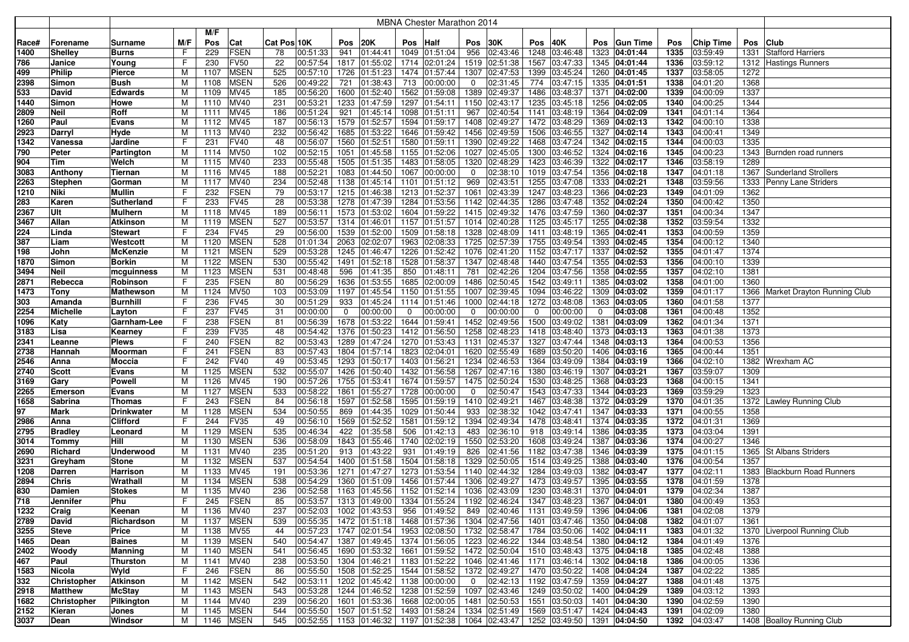|             |                               |                     |        |              |                            |             |                      |             |                                |      | MBNA Chester Marathon 2014                |                |               |      |                                                            |     |               |              |                      |              |                                  |
|-------------|-------------------------------|---------------------|--------|--------------|----------------------------|-------------|----------------------|-------------|--------------------------------|------|-------------------------------------------|----------------|---------------|------|------------------------------------------------------------|-----|---------------|--------------|----------------------|--------------|----------------------------------|
|             |                               |                     |        | M/F          |                            |             |                      |             |                                |      |                                           |                |               |      |                                                            |     |               |              |                      |              |                                  |
| Race#       | Forename                      | Surname             | M/F    | Pos          | Cat                        | Cat Pos 10K |                      | Pos         | 20K                            | Pos  | <b>Half</b>                               | Pos            | 30K           | Pos  | 40K                                                        | Pos | Gun Time      | Pos          | Chip Time            | Pos          | <b>Club</b>                      |
| 1400        | <b>Shelley</b>                | Burns               | F.     | 229          | <b>FSEN</b>                | 78          | 00:51:33             | 941         | 01:44:41                       |      | 1049 01:51:04                             | 956            | 02:43:46      |      | 1248 03:46:48                                              |     | 1323 04:01:44 | 1335         | 03:59:49             | 1331         | <b>Stafford Harriers</b>         |
| 786         | Janice                        | Young               | F      | 230          | <b>FV50</b>                | 22          | 00:57:54             | 1817        | 01:55:02                       |      | 1714 02:01:24                             |                | 1519 02:51:38 | 1567 | 03:47:33                                                   |     | 1345 04:01:44 | 1336         | 03:59:12             |              | 1312 Hastings Runners            |
| 499         | <b>Philip</b>                 | Pierce              | M      | 1107         | <b>MSEN</b>                | 525         | 00:57:10             | 1726        | 01:51:23                       |      | 1474 01:57:44                             |                | 1307 02:47:53 |      | 1399 03:45:24                                              |     | 1260 04:01:45 | 1337         | 03:58:05             | 1272         |                                  |
| 2398        | Simon                         | Bush                | M      | 1108         | <b>MSEN</b>                | 526         | 00:49:22             | 721         | 01:38:43                       | 713  | 00:00:00                                  | $\overline{0}$ | 02:31:45      | 774  | 03:47:15                                                   |     | 1335 04:01:51 | 1338         | 04:01:20             | 1368         |                                  |
| 533         | David                         | Edwards             | М      | 1109         | <b>MV45</b>                | 185         | 00:56:20             | 1600        | 01:52:40                       |      | 1562 01:59:08                             |                | 1389 02:49:37 | 1486 | 03:48:37                                                   |     | 1371 04:02:00 | 1339         | 04:00:09             | 1337         |                                  |
| 1440        | Simon                         | Howe                | м      | 1110         | MV40                       | 231         | 00:53:21             | 1233        | 01:47:59                       |      | 1297 01:54:11                             | 1150           | 02:43:17      | 1235 | 03:45:18                                                   |     | 1256 04:02:05 | 1340         | 04:00:25             | 1344         |                                  |
| 2809        | Neil                          | Roff                | м      | 1111         | <b>MV45</b>                | 186         | 00:51:24             | 921         | 01:45:14                       |      | 1098 01:51:11                             | 967            | 02:40:54      |      | 1141 03:48:19                                              |     | 1364 04:02:09 | 1341         | 04:01:14             | 1364         |                                  |
| 1260        | Paul                          | Evans               | м      | 1112         | <b>MV45</b>                | 187         | 00:56:13             | 1579        | 01:52:57                       |      | 1594 01:59:17                             |                | 1408 02:49:27 | 1472 | 03:48:29                                                   |     | 1369 04:02:13 | 1342         | 04:00:10             | 1338         |                                  |
| 2923        | Darryl                        | Hyde                | м      | 1113         | MV40                       | 232         | 00:56:42             | 1685        | 01:53:22                       |      | 1646 01:59:42                             | 1456           | 02:49:59      | 1506 | 03:46:55                                                   |     | 1327 04:02:14 | 1343         | 04:00:41             | 1349         |                                  |
| 1342        | Vanessa                       | Jardine             | F      | 231          | <b>FV40</b>                | 48          | 00:56:07             | 1560        | 01:52:51                       | 1580 | 01:59:11                                  | 1390           | 02:49:22      | 1468 | 03:47:24                                                   |     | 1342 04:02:15 | 1344         | 04:00:03             | 1335         |                                  |
| 790         | Peter                         | Partington          | M      | 1114         | <b>MV50</b>                | 102         | 00:52:15             | 1051        | 01:45:58                       |      | 1155 01:52:06                             | 1027           | 02:45:05      | 1300 | 03:46:52                                                   |     | 1324 04:02:16 | 1345         | 04:00:23             |              | 1343 Burnden road runners        |
| 904         | Tim                           | Welch               | M      | 1115         | <b>MV40</b>                | 233         | 00:55:48             | 1505        | 01:51:35                       |      | 1483 01:58:05                             |                | 1320 02:48:29 | 1423 | 03:46:39                                                   |     | 1322 04:02:17 | 1346         | 03:58:19             | 1289         |                                  |
| 3083        | Anthony                       | Tiernan             | М      | 1116         | <b>MV45</b>                | 188         | 00:52:21             |             | 1083 01:44:50                  |      | 1067 00:00:00                             | 0              | 02:38:10      |      | 1019 03:47:54                                              |     | 1356 04:02:18 | 1347         | 04:01:18             |              | 1367 Sunderland Strollers        |
| 2263        | <b>Stephen</b>                | Gorman              | М      | 1117         | MV40                       | 234         | 00:52:48             | 1138        | 01:45:14                       | 1101 | 01:51:12                                  | 969            | 02:43:51      |      | 1255 03:47:08                                              |     | 1333 04:02:21 | 1348         | 03:59:56             |              | 1333 Penny Lane Striders         |
| 1210        | Niki                          | Mullin              | F      | 232          | <b>FSEN</b>                | 79          | 00:53:17             |             | 1215 01:46:38                  |      | 1213 01:52:37                             |                | 1061 02:43:39 |      | 1247 03:48:23                                              |     | 1366 04:02:23 | 1349         | 04:01:09             | 1362         |                                  |
| 283         | Karen                         | Sutherland          | F      | 233          | <b>FV45</b>                | 28          | 00:53:38             |             | 1278 01:47:39                  |      | 1284 01:53:56                             |                | 1142 02:44:35 |      | 1286 03:47:48                                              |     | 1352 04:02:24 | 1350         | 04:00:42             | 1350         |                                  |
| 2367        | Ult                           | Mulhern             | М      | 1118         | <b>MV45</b>                | 189         | 00:56:11             | 1573        | 01:53:02                       |      | 1604 01:59:22                             |                | 1415 02:49:32 |      | 1476 03:47:59                                              |     | 1360 04:02:37 | 1351         | 04:00:34             | 1347         |                                  |
| 3467        | Allan                         | Atkinson            | м      | 1119         | <b>MSEN</b>                | 527         | 00:53:57             | 1314        | 01:46:01                       |      | 1157 01:51:57                             |                | 1014 02:40:28 |      | 1125 03:45:17                                              |     | 1255 04:02:38 | 1352         | 03:59:54             | 1332         |                                  |
| 224         | Linda                         | Stewart             | F.     | 234          | <b>FV45</b>                | 29          | 00:56:00             | 1539        | 01:52:00                       |      | 1509 01:58:18                             |                | 1328 02:48:09 |      | 1411 03:48:19                                              |     | 1365 04:02:41 | 1353         | 04:00:59             | 1359         |                                  |
| 387         | Liam                          | Westcott            | м      | 1120         | <b>MSEN</b>                | 528         | 01:01:34             | 2063        | 02:02:07                       |      | 1963 02:08:33                             |                | 1725 02:57:39 |      | 1755 03:49:54                                              |     | 1393 04:02:45 | 1354         | 04:00:12             | 1340         |                                  |
| 198         | John                          | McKenzie            | м      | 1121         | <b>MSEN</b>                | 529         | 00:53:28             | 1245        | 01:46:47                       |      | 1226 01:52:42                             |                | 1076 02:41:20 |      | 1152 03:47:17                                              |     | 1337 04:02:52 | 1355         | 04:01:47             | 1374         |                                  |
| 1870        | Simon                         | <b>Borkin</b>       | М      | 1122         | <b>MSEN</b>                | 530         | 00:55:42             | 1491        | 01:52:18                       |      | 1528 01:58:37                             |                | 1347 02:48:48 |      | 1440 03:47:54                                              |     | 1355 04:02:53 | 1356         | 04:00:10             | 1339         |                                  |
| 3494        | <b>Neil</b>                   | mcguinness          | M      | 1123         | <b>MSEN</b>                | 531         | 00:48:48             | 596         | 01:41:35                       | 850  | 01:48:11                                  | 781            | 02:42:26      | 1204 | 03:47:56                                                   |     | 1358 04:02:55 | 1357         | 04:02:10             | 1381         |                                  |
| 2871        | Rebecca                       | Robinson            | F      | 235          | <b>FSEN</b>                | 80          | 00:56:29             | 1636        | 01:53:55                       |      | 1685 02:00:09                             |                | 1486 02:50:45 |      | 1542 03:49:11                                              |     | 1385 04:03:02 | 1358         | 04:01:00             | 1360         |                                  |
| 1473        | <b>Tony</b>                   | Mathewson           | M      | 1124         | <b>MV50</b>                | 103         | 00:53:09             | 1197        | 01:45:54                       |      | 1150 01:51:55                             |                | 1007 02:39:45 | 1094 | 03:46:22                                                   |     | 1309 04:03:02 | 1359         | 04:01:17             |              | 1366 Market Drayton Running Club |
| 303         | Amanda                        | Burnhill            | F      | 236          | <b>FV45</b>                | 30          | 00:51:29             | 933         | 01:45:24                       |      | 1114 01:51:46                             |                | 1000 02:44:18 |      | 1272 03:48:08                                              |     | 1363 04:03:05 | 1360         | 04:01:58             | 1377         |                                  |
| 2254        | <b>Michelle</b>               | Layton              | F      | 237          | <b>FV45</b>                | 31          | 00:00:00             | $\mathbf 0$ | 00:00:00                       | 0    | 00:00:00                                  | $\mathbf 0$    | 00:00:00      | 0    | 00:00:00                                                   | 0   | 04:03:08      | 1361         | 04:00:48             | 1352         |                                  |
| 1096        | Katy                          | Garnham-Lee         | F      | 238          | <b>FSEN</b>                | 81          | 00:56:39             | 1678        | 01:53:22                       |      | 1644 01:59:41                             |                | 1452 02:49:56 | 1500 | 03:49:02                                                   |     | 1381 04:03:09 | 1362         | 04:01:34             | 1371         |                                  |
| 3183        | Lisa                          | Kearney             | F      | 239          | <b>FV35</b>                | 48          | 00:54:42             | 1376        | 01:50:23                       |      | 1412 01:56:50                             |                | 1258 02:48:23 |      | 1418 03:48:40                                              |     | 1373 04:03:13 | 1363         | 04:01:38             | 1373         |                                  |
| 2341        | Leanne                        | Plews               | F      | 240          | <b>FSEN</b>                | 82          | 00:53:43             | 1289        | 01:47:24                       |      | 1270 01:53:43                             | 1131           | 02:45:37      | 1327 | 03:47:44                                                   |     | 1348 04:03:13 | 1364         | 04:00:53             | 1356         |                                  |
| 2738        | Hannah                        | Moorman             | F      | 241          | <b>FSEN</b>                | 83          | 00:57:43             | 1804        | 01:57:14                       |      | 1823 02:04:01                             | 1620           | 02:55:49      |      | 1689 03:50:20                                              |     | 1406 04:03:16 | 1365         | 04:00:44             | 1351         |                                  |
| 2546        | Anna                          | Moccia              | F.     | 242          | <b>FV40</b>                | 49          | 00:53:45             | 1293        | 01:50:17                       |      | 1403 01:56:21                             |                | 1234 02:46:53 |      | 1364 03:49:09                                              |     | 1384 04:03:19 | 1366         | 04:02:10             |              | 1382 Wrexham AC                  |
| 2740        | <b>Scott</b>                  | Evans               | м      | 1125         | <b>MSEN</b>                | 532         | 00:55:07             | 1426        | 01:50:40                       |      | 1432 01:56:58                             |                | 1267 02:47:16 |      | 1380 03:46:19                                              |     | 1307 04:03:21 | 1367         | 03:59:07             | 1309         |                                  |
| 3169        | Gary                          | Powell              | М      | 1126         | <b>MV45</b>                | 190         | 00:57:26             | 1755        | 01:53:41                       |      | 1674 01:59:57                             |                | 1475 02:50:24 |      | 1530 03:48:25                                              |     | 1368 04:03:23 | 1368         | 04:00:15             | 1341         |                                  |
| 2265        | <b>Emerson</b>                | Evans               | М      | 1127         | <b>MSEN</b>                | 533         | 00:58:22             | 1861        | 01:55:27                       |      | 1728 00:00:00                             | 0              | 02:50:47      |      | 1543 03:47:33                                              |     | 1344 04:03:23 | 1369         | 03:59:29             | 1323         |                                  |
| 1658        | Sabrina                       | Thomas              | F      | 243          | <b>FSEN</b>                | 84          | 00:56:18             | 1597        | 01:52:58                       |      | 1595 01:59:19                             |                | 1410 02:49:21 | 1467 | 03:48:38                                                   |     | 1372 04:03:29 | 1370         | 04:01:35             |              | 1372 Lawley Running Club         |
| 97          | Mark                          | Drinkwater          | M      | 1128         | <b>MSEN</b>                | 534         | 00:50:55             | 869         | 01:44:35                       |      | 1029 01:50:44                             | 933            | 02:38:32      |      | 1042 03:47:41                                              |     | 1347 04:03:33 | 1371         | 04:00:55             | 1358         |                                  |
| 2986        | Anna                          | Clifford            | F      | 244          | <b>FV35</b>                | 49          | 00:56:10             | 1569        | 01:52:52                       |      | 1581 01:59:12                             |                | 1394 02:49:34 |      | 1478 03:48:41                                              |     | 1374 04:03:35 | 1372         | 04:01:31             | 1369         |                                  |
| 2795        | <b>Bradley</b>                | Leonard             | M      | 1129         | <b>MSEN</b>                | 535         | 00:46:34             | 422         | 01:35:58                       | 506  | 01:42:13                                  | 483            | 02:36:10      | 918  | 03:49:14                                                   |     | 1386 04:03:35 | 1373         | 04:03:04             | 1391         |                                  |
| 3014        | <b>Tommy</b>                  | Hill                | M      | 1130         | <b>MSEN</b>                | 536         | 00:58:09             | 1843        | 01:55:46                       |      | 1740 02:02:19                             |                | 1550 02:53:20 | 1608 | 03:49:24                                                   |     | 1387 04:03:36 | 1374         | 04:00:27             | 1346         |                                  |
| 2690        | Richard                       | Underwood           | М      | 1131         | <b>MV40</b>                | 235         | 00:51:20             | 913         | 01:43:22                       | 931  | 01:49:19                                  | 826            | 02:41:56      |      | 1182 03:47:38                                              |     | 1346 04:03:39 | 1375         | 04:01:15             |              | 1365 St Albans Striders          |
| 3231        | Greyham                       | Stone               | M      | 1132         | <b>MSEN</b>                | 537         | 00:54:54             | 1400        | 01:51:58                       |      | 1504 01:58:18                             | 1329           | 02:50:05      |      | 1514 03:49:25                                              |     | 1388 04:03:40 | 1376         | 04:00:54             | 1357         |                                  |
| 1208        | Darren                        | Harrison            | м      | 1133         | MV45                       | 191         | 00:53:36             | 1271        | 01:47:27                       |      | 1273 01:53:54                             | 1140           | 02:44:32      | 1284 | 03:49:03                                                   |     | 1382 04:03:47 | 1377         | 04:02:11             |              | 1383 Blackburn Road Runners      |
| 2894        | Chris                         | Wrathall            | м      | 1134         | <b>MSEN</b>                | 538         | 00:54:29             | 1360        | 01:51:09                       |      | 1456 01:57:44                             | 1306           | 02:49:27      |      | 1473 03:49:57                                              |     | 1395 04:03:55 | 1378         | 04:01:59             | 1378         |                                  |
| 830         | Damien                        | Stokes              | М      | 1135         | MV40                       | 236         | 00:52:58             | 1163        | 01:45:56                       |      | 1152 01:52:14                             |                | 1036 02:43:09 |      | 1230 03:48:31                                              |     | 1370 04:04:01 | 1379         | 04:02:34             | 1387         |                                  |
| 718         | Jennifer                      | Phu                 | F.     | 245          | FSEN                       | 85          | 00:53:57             |             | 1313 01:49:00                  |      | 1334 01:55:24 1192 02:46:24               |                |               |      | 1347 03:48:23                                              |     | 1367 04:04:01 | 1380         | 04:00:49             | 1353         |                                  |
| 1232        | Craig                         | Keenan              | М      | 1136         | <b>MV40</b>                | 237         | 00:52:03             |             | 1002 01:43:53                  |      | 956 01:49:52 849 02:40:46                 |                |               |      | 1131 03:49:59 1396 04:04:06                                |     |               | 1381         | 04:02:08             | 1379         |                                  |
| 2789        | David                         | Richardson          | м      | 1137         | <b>MSEN</b>                | 539         | 00:55:35             |             |                                |      | 1472 01:51:18 1468 01:57:36 1304 02:47:56 |                |               |      | 1401 03:47:46 1350 04:04:08                                |     |               | 1382         | 04:01:07             | 1361         |                                  |
| 3255        | <b>Steve</b>                  | Price               | M      | 1138         | <b>MV55</b>                | 44          | 00:57:23             |             | 1747 02:01:54                  |      | 1953 02:08:50 1732 02:58:47               |                |               |      | 1784 03:50:06 1402 04:04:11                                |     |               | 1383         | 04:01:32             |              | 1370 Liverpool Running Club      |
| 1465        | Dean                          | Baines              | M      | 1139         | <b>MSEN</b>                | 540         | 00:54:47             |             |                                |      | 1387 01:49:45 1374 01:56:05 1223 02:46:22 |                |               |      | 1344 03:48:54 1380 04:04:12                                |     |               | 1384         | 04:01:49             | 1376         |                                  |
| 2402        | Woody                         | Manning<br>Thurston | М      | 1140         | <b>MSEN</b>                | 541         | 00:56:45             |             | 1690 01:53:32                  |      | 1661 01:59:52 1472 02:50:04               |                |               |      | 1510 03:48:43 1375 04:04:18                                |     |               | 1385         | 04:02:48             | 1388         |                                  |
| 467         | Paul                          |                     | М      | 1141         | <b>MV40</b>                | 238         | 00:53:50             |             |                                |      | 1304 01:46:21 1183 01:52:22 1046 02:41:46 |                |               |      | 1171 03:46:14 1302 04:04:18                                |     |               | 1386         | 04:00:05             | 1336         |                                  |
| 1583<br>332 | Nicola                        | Wyld                | F.     | 246          | <b>FSEN</b>                | 86<br>542   | 00:55:50             |             | 1508 01:52:25                  |      | 1544 01:58:52 1372 02:49:27               |                | 02:42:13      |      | 1470 03:50:22 1408 04:04:24                                |     |               | 1387         | 04:02:22             | 1385<br>1375 |                                  |
| 2918        | Christopher<br><b>Matthew</b> | Atkinson            | M<br>м | 1142<br>1143 | <b>MSEN</b><br><b>MSEN</b> | 543         | 00:53:11<br>00:53:28 |             | 1202 01:45:42<br>1244 01:46:52 |      | 1138 00:00:00<br>1238 01:52:59            | $\overline{0}$ | 1097 02:43:46 |      | 1192 03:47:59 1359 04:04:27<br>1249 03:50:02 1400 04:04:29 |     |               | 1388<br>1389 | 04:01:48<br>04:03:12 | 1393         |                                  |
| 1682        | Christopher                   | McStay              | м      | 1144         | <b>MV40</b>                | 239         | 00:56:20             |             | 1601 01:53:36                  |      | 1668 02:00:05 1481 02:50:53               |                |               |      | $1551$ 03:50:03                                            |     | 1401 04:04:30 | 1390         | 04:02:59             | 1390         |                                  |
| 2152        | Kieran                        | Pilkington<br>Jones | м      | 1145         | <b>MSEN</b>                | 544         | 00:55:50             |             | 1507 01:51:52                  |      | 1493 01:58:24 1334 02:51:49               |                |               |      | 1569 03:51:47 1424 04:04:43                                |     |               | 1391         | 04:02:09             | 1380         |                                  |
|             | Dean                          | Windsor             | M      |              | 1146   MSEN                | 545         | 00:52:55             |             |                                |      | 1153 01:46:32 1197 01:52:38 1064 02:43:47 |                |               |      | 1252 03:49:50 1391 04:04:50                                |     |               | 1392         |                      |              | 1408 Boalloy Running Club        |
| 3037        |                               |                     |        |              |                            |             |                      |             |                                |      |                                           |                |               |      |                                                            |     |               |              | 04:03:47             |              |                                  |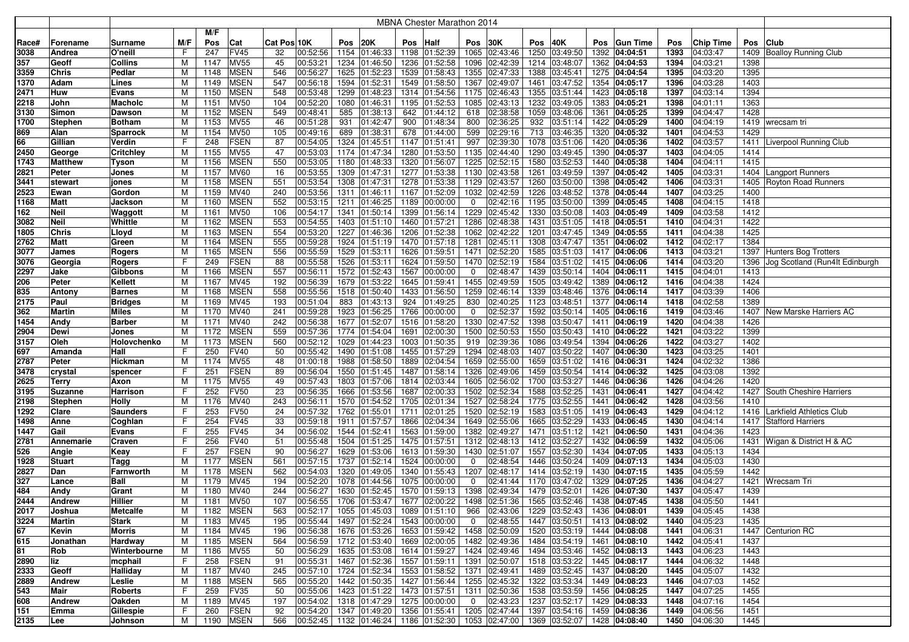|              |                         |                 |        |              |                            |             |                      |              |                            |     | MBNA Chester Marathon 2014                                                         |                |                                |      |                                |      |                                |              |                      |              |                                              |
|--------------|-------------------------|-----------------|--------|--------------|----------------------------|-------------|----------------------|--------------|----------------------------|-----|------------------------------------------------------------------------------------|----------------|--------------------------------|------|--------------------------------|------|--------------------------------|--------------|----------------------|--------------|----------------------------------------------|
|              |                         |                 |        | M/F          |                            |             |                      |              |                            |     |                                                                                    |                |                                |      |                                |      |                                |              |                      |              |                                              |
| Race#        | Forename                | Surname         | M/F    | Pos          | Cat                        | Cat Pos 10K |                      | Pos          | 20K                        | Pos | <b>Half</b>                                                                        | Pos            | 30K                            | Pos  | 40K                            | Pos  | <b>Gun Time</b>                | Pos          | <b>Chip Time</b>     | Pos          | <b>Club</b>                                  |
| 3038         | Andrea                  | O'neill         | F      | 247          | <b>FV45</b>                | 32          | 00:52:56             | 1154         | 01:46:33                   |     | 1198 01:52:39                                                                      | 1065           | 02:43:46                       | 1250 | 03:49:50                       | 1392 | 04:04:51                       | 1393         | 04:03:47             |              | 1409 Boalloy Running Club                    |
| 357          | Geoff                   | Collins         | М      | 1147         | <b>MV55</b>                | 45          | 00:53:21             | 1234         | 01:46:50                   |     | 1236 01:52:58                                                                      | 1096           | 02:42:39                       | 1214 | 03:48:07                       |      | 1362 04:04:53                  | 1394         | 04:03:21             | 1398         |                                              |
| 3359         | <b>Chris</b>            | Pedlar          | M      | 1148         | <b>MSEN</b>                | 546         | 00:56:27             | 1625         | 01:52:23                   |     | 1539 01:58:43                                                                      | 1355           | 02:47:33                       | 1388 | 03:45:41                       |      | 1275 04:04:54                  | 1395         | 04:03:20             | 1395         |                                              |
| 1370         | Adam                    | Lines           | M      | 1149         | <b>MSEN</b>                | 547         | 00:56:18             | 1594         | 01:52:31                   |     | 1549 01:58:50                                                                      | 1367           | 02:49:07                       | 1461 | 03:47:52                       |      | 1354 04:05:17                  | 1396         | 04:03:28             | 1403         |                                              |
| 2471         | Huw                     | Evans           | М      | 1150         | <b>MSEN</b>                | 548         | 00:53:48             | 1299         | 01:48:23                   |     | 1314 01:54:56                                                                      | 1175           | 02:46:43                       |      | 1355 03:51:44                  |      | 1423 04:05:18                  | 1397         | 04:03:14             | 1394         |                                              |
| 2218         | John                    | Macholc         | м      | 1151         | <b>MV50</b>                | 104         | 00:52:20             | 1080         | 01:46:31                   |     | 1195 01:52:53                                                                      | 1085           | 02:43:13                       | 1232 | 03:49:05                       |      | 1383 04:05:21                  | 1398         | 04:01:11             | 1363         |                                              |
| 3130         | Simon                   | Dawson          | м      | 1152         | <b>MSEN</b>                | 549         | 00:48:41             | 585          | 01:38:13                   |     | 642 01:44:12                                                                       | 618            | 02:38:58                       |      | 1059 03:48:06                  |      | 1361 04:05:25                  | 1399         | 04:04:47             | 1428         |                                              |
| 1700         | <b>Stephen</b>          | <b>Botham</b>   | М      | 1153         | <b>MV55</b>                | 46          | 00:51:28             | 931          | 01:42:47                   | 900 | 01:48:34                                                                           | 800            | 02:36:25                       | 932  | 03:51:14                       |      | 1422 04:05:29                  | 1400         | 04:04:19             |              | 1419   wrecsam tri                           |
| 869          | Alan                    | Sparrock        | М      | 1154         | <b>MV50</b>                | 105         | 00:49:16             | 689          | 01:38:31                   |     | 678 01:44:00                                                                       | 599            | 02:29:16                       | 713  | 03:46:35                       |      | 1320 04:05:32                  | 1401         | 04:04:53             | 1429         |                                              |
| 66           | Gillian                 | Verdin          | F      | 248          | <b>FSEN</b>                | 87          | 00:54:05             | 1324         | 01:45:51                   |     | 1147 01:51:41                                                                      | 997            | 02:39:30                       | 1078 | 03:51:06                       |      | 1420 04:05:36                  | 1402         | 04:03:57             |              | 1411 Liverpool Running Club                  |
| 2450         | George                  | Critchley       | М      | 1155         | <b>MV55</b><br><b>MSEN</b> | 47<br>550   | 00:53:03<br>00:53:05 | 1174         | 01:47:34                   |     | 1280 01:53:50<br>1320 01:56:07                                                     |                | 1135 02:44:40<br>1225 02:52:15 |      | 1290 03:49:45<br>1580 03:52:53 |      | 1390 04:05:37                  | 1403         | 04:04:05<br>04:04:11 | 1414<br>1415 |                                              |
| 1743         | <b>Matthew</b>          | Tyson           | м<br>М | 1156<br>1157 | <b>MV60</b>                | 16          | 00:53:55             | 1180<br>1309 | 01:48:33                   |     | 1277 01:53:38                                                                      |                | 1130 02:43:58                  | 1261 | 03:49:59                       |      | 1440 04:05:38                  | 1404<br>1405 | 04:03:31             |              |                                              |
| 2821<br>3441 | <b>Peter</b><br>stewart | Jones           | M      | 1158         | <b>MSEN</b>                | 551         | 00:53:54             | 1308         | 01:47:31<br>01:47:31       |     | 1278 01:53:38                                                                      |                | 1129 02:43:57                  |      | 1260 03:50:00                  |      | 1397 04:05:42<br>1398 04:05:42 | 1406         | 04:03:31             | 1404         | Langport Runners<br>1405 Royton Road Runners |
| 2523         | Ewan                    | jones<br>Gordon | M      | 1159         | <b>MV40</b>                | 240         | 00:53:56             | 1311         | 01:46:11                   |     | 1167 01:52:09                                                                      | 1032           | 02:42:59                       |      | 1226 03:48:52                  |      | 1378 04:05:44                  | 1407         | 04:03:25             | 1400         |                                              |
| 1168         | <b>Matt</b>             | Jackson         | М      | 1160         | <b>MSEN</b>                | 552         | 00:53:15             | 1211         | 01:46:25                   |     | 1189 00:00:00                                                                      | 0              | 02:42:16                       |      | 1195 03:50:00                  |      | 1399 04:05:45                  | 1408         | 04:04:15             | 1418         |                                              |
| 162          | <b>Neil</b>             | Waggott         | м      | 1161         | <b>MV50</b>                | 106         | 00:54:17             | 1341         | 01:50:14                   |     | 1399 01:56:14                                                                      | 1229           | 02:45:42                       | 1330 | 03:50:08                       |      | 1403 04:05:49                  | 1409         | 04:03:58             | 1412         |                                              |
| 3082         | <b>Neil</b>             | Whittle         | М      | 1162         | <b>MSEN</b>                | 553         | 00:54:55             | 1403         | 01:51:10                   |     | 1460 01:57:21                                                                      | 1286           | 02:48:38                       | 1431 | 03:51:05                       |      | 1418 04:05:51                  | 1410         | 04:04:31             | 1422         |                                              |
| 1805         | <b>Chris</b>            | Lloyd           | М      | 1163         | <b>MSEN</b>                | 554         | 00:53:20             | 1227         | 01:46:36                   |     | 1206 01:52:38                                                                      | 1062           | 02:42:22                       | 1201 | 03:47:45                       | 1349 | 04:05:55                       | 1411         | 04:04:38             | 1425         |                                              |
| 2762         | <b>Matt</b>             | Green           | M      | 1164         | <b>MSEN</b>                | 555         | 00:59:28             | 1924         | 01:51:19                   |     | 1470 01:57:18                                                                      | 1281           | 02:45:11                       | 1308 | 03:47:47                       |      | 1351 04:06:02                  | 1412         | 04:02:17             | 1384         |                                              |
| 3077         | James                   | Rogers          | М      | 1165         | <b>MSEN</b>                | 556         | 00:55:59             | 1529         | 01:53:11                   |     | 1626 01:59:51                                                                      | 1471           | 02:52:20                       | 1585 | 03:51:03                       |      | 1417 04:06:06                  | 1413         | 04:03:21             |              | 1397 Hunters Bog Trotters                    |
| 3076         | Georgia                 | <b>Rogers</b>   | F      | 249          | <b>FSEN</b>                | 88          | 00:55:58             | 1526         | 01:53:11                   |     | 1624 01:59:50                                                                      | 1470           | 02:52:19                       | 1584 | 03:51:02                       |      | 1415 04:06:06                  | 1414         | 04:03:20             | 1396         | Jog Scotland (Run4It Edinburgh               |
| 2297         | Jake                    | Gibbons         | M      | 1166         | <b>MSEN</b>                | 557         | 00:56:11             | 1572         | 01:52:43                   |     | 1567 00:00:00                                                                      | $\mathbf 0$    | 02:48:47                       |      | 1439 03:50:14                  |      | 1404 04:06:11                  | 1415         | 04:04:01             | 1413         |                                              |
| 206          | <b>Peter</b>            | Kellett         | м      | 1167         | <b>MV45</b>                | 192         | 00:56:39             | 1679         | 01:53:22                   |     | 1645 01:59:41                                                                      |                | 1455 02:49:59                  |      | 1505 03:49:42                  |      | 1389 04:06:12                  | 1416         | 04:04:38             | 1424         |                                              |
| 835          | Antony                  | <b>Barnes</b>   | м      | 1168         | <b>MSEN</b>                | 558         | 00:55:56             | 1518         | 01:50:40                   |     | 1433 01:56:50                                                                      |                | 1259 02:46:14                  |      | 1339 03:48:46                  |      | 1376 04:06:14                  | 1417         | 04:03:39             | 1406         |                                              |
| 2175         | Paul                    | Bridges         | м      | 1169         | <b>MV45</b>                | 193         | 00:51:04             | 883          | 01:43:13                   |     | 924 01:49:25                                                                       | 830            | 02:40:25                       |      | 1123 03:48:51                  |      | 1377 04:06:14                  | 1418         | 04:02:58             | 1389         |                                              |
| 362          | <b>Martin</b>           | Miles           | M      | 1170         | <b>MV40</b>                | 241         | 00:59:28             | 1923         | 01:56:25                   |     | 1766 00:00:00                                                                      | 0              | 02:52:37                       |      | 1592 03:50:14                  |      | 1405 04:06:16                  | 1419         | 04:03:46             | 1407         | New Marske Harriers AC                       |
| 1454         | Andy                    | Barber          | М      | 1171         | <b>MV40</b>                | 242         | 00:56:38             | 1677         | 01:52:07                   |     | 1516 01:58:20                                                                      | 1330           | 02:47:52                       | 1398 | 03:50:47                       |      | 1411 04:06:19                  | 1420         | 04:04:38             | 1426         |                                              |
| 2904         | Dewi                    | Jones           | М      | 1172         | <b>MSEN</b>                | 559         | 00:57:36             | 1774         | 01:54:04                   |     | 1691 02:00:30                                                                      | 1500           | 02:50:53                       | 1550 | 03:50:43                       |      | 1410 04:06:22                  | 1421         | 04:03:22             | 1399         |                                              |
| 3157         | Oleh                    | Holovchenko     | м      | 1173         | <b>MSEN</b>                | 560         | 00:52:12             | 1029         | 01:44:23                   |     | 1003 01:50:35                                                                      | 919            | 02:39:36                       | 1086 | 03:49:54                       |      | 1394 04:06:26                  | 1422         | 04:03:27             | 1402         |                                              |
| 697          | Amanda                  | Hall            | F      | 250          | <b>FV40</b>                | 50          | 00:55:42             | 1490         | 01:51:08                   |     | 1455 01:57:29                                                                      | 1294           | 02:48:03                       | 1407 | 03:50:22                       |      | 1407 04:06:30                  | 1423         | 04:03:25             | 1401         |                                              |
| 2787         | Peter                   | Hickman         | М      | 1174         | <b>MV55</b>                | 48          | 01:00:18             | 1988         | 01:58:50                   |     | 1889 02:04:54                                                                      | 1659           | 02:55:00                       | 1659 | 03:51:02                       |      | 1416 04:06:31                  | 1424         | 04:02:32             | 1386         |                                              |
| 3478         | crystal                 | spencer         | F      | 251          | <b>FSEN</b>                | 89          | 00:56:04             | 1550         | 01:51:45                   |     | 1487 01:58:14                                                                      | 1326           | 02:49:06                       | 1459 | 03:50:54                       |      | 1414 04:06:32                  | 1425         | 04:03:08             | 1392         |                                              |
| 2625         | <b>Terry</b>            | Axon            | M      | 1175         | <b>MV55</b>                | 49          | 00:57:43             | 1803         | 01:57:06                   |     | 1814 02:03:44                                                                      | 1605           | 02:56:02                       | 1700 | 03:53:27                       | 1446 | 04:06:36                       | 1426         | 04:04:26             | 1420         |                                              |
| 3195         | Suzanne                 | Harrison        | F      | 252          | <b>FV50</b>                | 23          | 00:56:35             | 1666         | 01:53:56                   |     | 1687 02:00:33                                                                      |                | 1502 02:52:34                  | 1588 | 03:52:25                       |      | 1431 04:06:41                  | 1427         | 04:04:42             |              | 1427 South Cheshire Harriers                 |
| 2198         | <b>Stephen</b>          | Holly           | М      | 1176         | <b>MV40</b>                | 243         | 00:56:11             | 1570         | 01:54:52                   |     | 1705 02:01:34                                                                      | 1527           | 02:58:24                       | 1775 | 03:52:55                       |      | 1441 04:06:42                  | 1428         | 04:03:56             | 1410         |                                              |
| 1292         | Clare                   | <b>Saunders</b> | F      | 253          | <b>FV50</b>                | 24          | 00:57:32             | 1762         | 01:55:01                   |     | 1711 02:01:25                                                                      | 1520           | 02:52:19                       |      | 1583 03:51:05                  |      | 1419 04:06:43                  | 1429         | 04:04:12             |              | 1416 Larkfield Athletics Club                |
| 1498         | Anne                    | Coghlan         | F<br>F | 254          | <b>FV45</b>                | 33          | 00:59:18             | 1911         | 01:57:57                   |     | 1866 02:04:34                                                                      |                | 1649 02:55:06                  |      | 1665 03:52:29                  |      | 1433 04:06:45<br>1421 04:06:50 | 1430         | 04:04:14             |              | 1417 Stafford Harriers                       |
| 1447<br>2781 | Gail<br>Annemarie       | Evans<br>Craven | F      | 255<br>256   | <b>FV45</b><br><b>FV40</b> | 34<br>51    | 00:56:02<br>00:55:48 | 1544<br>1504 | 01:52:41<br>01:51:25       |     | 1563 01:59:00<br>1475 01:57:51                                                     | 1382           | 02:49:27<br>1312 02:48:13      | 1471 | 03:51:12<br>1412 03:52:27      |      | 1432 04:06:59                  | 1431<br>1432 | 04:04:36<br>04:05:06 | 1423         | 1431 Wigan & District H & AC                 |
| 526          | Angie                   | Keay            | F      | 257          | <b>FSEN</b>                | 90          | 00:56:27             | 1629         | 01:53:06                   |     | 1613 01:59:30                                                                      | 1430           | 02:51:07                       | 1557 | 03:52:30                       |      | 1434 04:07:05                  | 1433         | 04:05:13             | 1434         |                                              |
| 1928         | <b>Stuart</b>           | Tagg            | м      | 1177         | <b>MSEN</b>                | 561         | 00:57:15             | 1737         | 01:52:14                   |     | 1524 00:00:00                                                                      | 0              | 02:48:54                       |      | 1446 03:50:24                  |      | 1409 04:07:13                  | 1434         | 04:05:03             | 1430         |                                              |
| 2827         | Dan                     | Farnworth       | м      | 1178         | <b>MSEN</b>                | 562         | 00:54:03             | 1320         | 01:49:05                   |     | 1340 01:55:43                                                                      | 1207           | 02:48:17                       |      | 1414 03:52:19                  | 1430 | 04:07:15                       | 1435         | 04:05:59             | 1442         |                                              |
| 327          | Lance                   | Ball            | M      | 1179         | MV45                       | 194         | 00:52:20             | 1078         | 01:44:56                   |     | 1075 00:00:00                                                                      | $\mathbf 0$    | 02:41:44                       | 1170 | 03:47:02                       | 1329 | 04:07:25                       | 1436         | 04:04:27             |              | 1421   Wrecsam Tri                           |
| 484          | Andy                    | Grant           | М      | 1180         | MV40                       | 244         | 00:56:27             | 1630         | 01:52:45                   |     | 1570 01:59:13                                                                      | 1398           | 02:49:34                       |      | 1479 03:52:01                  |      | 1426 04:07:30                  | 1437         | 04:05:47             | 1439         |                                              |
| 2444         | Andrew                  | Hillier         | M      |              | 1181   MV50                | 107         | 00:56:55             |              |                            |     | 1706  01:53:47   1677  02:00:22   1498  02:51:36   1565  03:52:46   1438  04:07:45 |                |                                |      |                                |      |                                | 1438         | 04:05:50             | 1441         |                                              |
| 2017         | Joshua                  | Metcalfe        | M      | 1182         | <b>MSEN</b>                | 563         | 00:52:17             |              | $\overline{1055}$ 01:45:03 |     | 1089 01:51:10                                                                      |                | 966 02:43:06                   |      | 1229 03:52:43 1436 04:08:01    |      |                                | 1439         | 04:05:45             | 1438         |                                              |
| 3224         | Martin                  | Stark           | М      | 1183         | <b>MV45</b>                | 195         | 00:55:44             |              |                            |     | 1497 01:52:24 1543 00:00:00                                                        | $\overline{0}$ | 02:48:55                       |      | 1447 03:50:51 1413 04:08:02    |      |                                | 1440         | 04:05:23             | 1435         |                                              |
| 67           | Kevin                   | Morris          | М      | 1184         | <b>MV45</b>                | 196         | 00:56:38             |              |                            |     | 1676 01:53:26 1653 01:59:42 1458 02:50:09                                          |                |                                |      | 1520 03:53:19 1444 04:08:08    |      |                                | 1441         | 04:06:31             |              | 1447 Centurion RC                            |
| 615          | Jonathan                | Hardway         | M      | 1185         | <b>MSEN</b>                | 564         | 00:56:59             |              | 1712 01:53:40              |     | 1669 02:00:05 1482 02:49:36                                                        |                |                                |      | 1484 03:54:19 1461 04:08:10    |      |                                | 1442         | 04:05:41             | 1437         |                                              |
| 81           | Rob                     | Winterbourne    | м      | 1186         | <b>MV55</b>                | 50          | 00:56:29             |              | 1635 01:53:08              |     | 1614 01:59:27 1424 02:49:46                                                        |                |                                |      | 1494 03:53:46 1452 04:08:13    |      |                                | 1443         | 04:06:23             | 1443         |                                              |
| 2890         | liz                     | mcphail         | F      | 258          | <b>FSEN</b>                | 91          | 00:55:31             |              | 1467 01:52:36              |     | 1557 01:59:11 1391 02:50:07                                                        |                |                                |      | 1518 03:53:22 1445 04:08:17    |      |                                | 1444         | 04:06:32             | 1448         |                                              |
| 2333         | Geoff                   | Halliday        | M      | 1187         | MV40                       | 245         | 00:57:10             |              | 1724 01:52:34              |     | 1553 01:58:52 1371 02:49:41                                                        |                |                                |      | 1489 03:52:45 1437 04:08:20    |      |                                | 1445         | 04:05:07             | 1432         |                                              |
| 2889         | Andrew                  | Leslie          | M      | 1188         | <b>MSEN</b>                | 565         | 00:55:20             |              | 1442 01:50:35              |     | 1427 01:56:44 1255 02:45:32                                                        |                |                                |      | 1322 03:53:34 1449 04:08:23    |      |                                | 1446         | 04:07:03             | 1452         |                                              |
| 543          | Mair                    | Roberts         | F      | 259          | <b>FV35</b>                | 50          | 00:55:06             |              | $\overline{1423}$ 01:51:22 |     | 1473 01:57:51 1311 02:50:36                                                        |                |                                |      | 1538 03:53:59 1456 04:08:25    |      |                                | 1447         | 04:07:25             | 1455         |                                              |
| 608          | Andrew                  | Oakden          | M      | 1189         | <b>MV45</b>                | 197         | 00:54:02             |              | 1318 01:47:29              |     | 1275 00:00:00                                                                      | $\overline{0}$ | 02:43:23                       |      | 1237 03:52:17 1429 04:08:33    |      |                                | 1448         | 04:07:16             | 1454         |                                              |
| 151          | Emma                    | Gillespie       | F      | 260          | <b>FSEN</b>                | 92          | 00:54:20             |              | 1347 01:49:20              |     | 1356 01:55:41 1205 02:47:44                                                        |                |                                |      | 1397 03:54:16 1459 04:08:36    |      |                                | 1449         | 04:06:56             | 1451         |                                              |
| 2135         | Lee                     | Johnson         | M      |              | 1190 MSEN                  | 566         | 00:52:45             |              |                            |     | 1132 01:46:24 1186 01:52:30 1053 02:47:00                                          |                |                                |      | 1369 03:52:07 1428 04:08:40    |      |                                |              | 1450 04:06:30        | 1445         |                                              |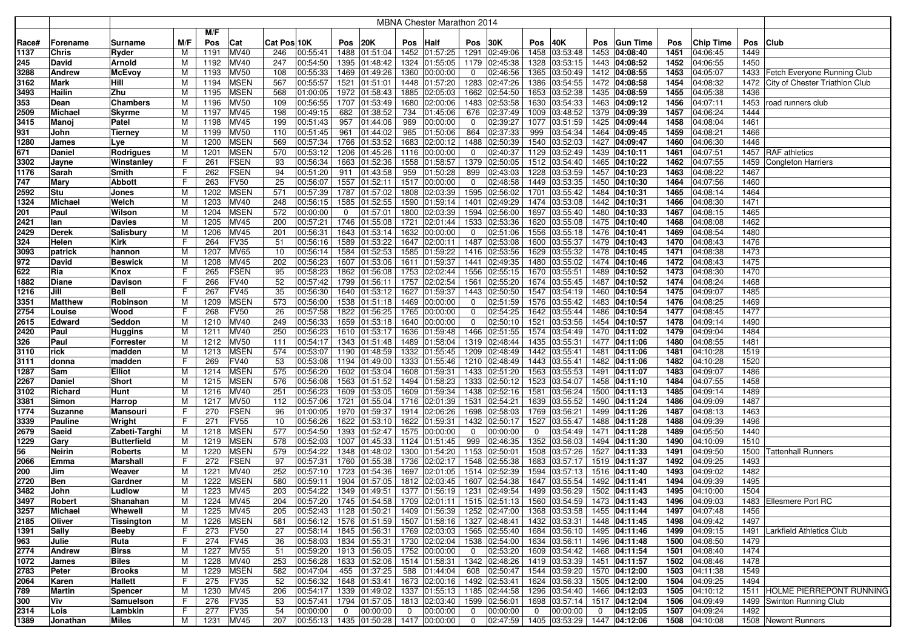|       |                |                    |     |           |             |             |          |                |                                                         |                | <b>MBNA Chester Marathon 2014</b> |                |               |                |               |             |                             |      |                  |      |                                     |
|-------|----------------|--------------------|-----|-----------|-------------|-------------|----------|----------------|---------------------------------------------------------|----------------|-----------------------------------|----------------|---------------|----------------|---------------|-------------|-----------------------------|------|------------------|------|-------------------------------------|
|       |                |                    |     | M/F       |             |             |          |                |                                                         |                |                                   |                |               |                |               |             |                             |      |                  |      |                                     |
| Race# | Forename       | Surname            | M/F | Pos       | Cat         | Cat Pos 10K |          | Pos 20K        |                                                         | Pos            | <b>Half</b>                       | Pos            | 30K           | Pos            | 40K           | Pos         | <b>Gun Time</b>             | Pos  | <b>Chip Time</b> | Pos  | Club                                |
| 1137  | Chris          | Ryder              | м   | 1191      | <b>MV40</b> | 246         | 00:55:41 |                | 1488 01:51:04                                           |                | 1452 01:57:25                     |                | 1291 02:49:06 | 1458           | 03:53:48      | 1453        | 04:08:40                    | 1451 | 04:06:45         | 1449 |                                     |
| 245   | David          | Arnold             | м   | 1192      | MV40        | 247         | 00:54:50 |                | 1395 01:48:42                                           |                | 1324 01:55:05                     |                | 1179 02:45:38 | 1328           | 03:53:15      |             | 1443 04:08:52               | 1452 | 04:06:55         | 1450 |                                     |
| 3288  | <b>Andrew</b>  | <b>McEvoy</b>      | M   | 1193      | <b>MV50</b> | 108         | 00:55:33 |                | 1469 01:49:26                                           |                | 1360 00:00:00                     | 0              | 02:46:56      | 1365           | 03:50:49      |             | 1412 04:08:55               | 1453 | 04:05:07         |      | 1433 Fetch Everyone Running Club    |
| 3162  | Mark           | Hill               | М   | 1194      | <b>MSEN</b> | 567         | 00:55:57 |                | 1521 01:51:01                                           |                | 1448 01:57:20                     | 1283           | 02:47:26      | 1386           | 03:54:55      |             | 1472 04:08:58               | 1454 | 04:08:32         |      | 1472 City of Chester Triathlon Club |
| 3493  | Hailin         | Zhu                | M   | 1195      | <b>MSEN</b> | 568         | 01:00:05 |                | 1972 01:58:43                                           |                | 1885 02:05:03                     |                | 1662 02:54:50 | 1653           | 03:52:38      | 1435        | 04:08:59                    | 1455 | 04:05:38         | 1436 |                                     |
| 353   | Dean           | <b>Chambers</b>    | м   | 1196      | <b>MV50</b> | 109         | 00:56:55 | 1707           | 01:53:49                                                | 1680           | 02:00:06                          | 1483           | 02:53:58      | 1630           | 03:54:33      | 1463        | 04:09:12                    | 1456 | 04:07:11         | 1453 | road runners club                   |
| 2509  | <b>Michael</b> | <b>Skyrme</b>      | M   | 1197      | MV45        | 198         | 00:49:15 | 682            | 01:38:52                                                | 734            | 01:45:06                          |                | 676 02:37:49  | 1009           | 03:48:52      |             | 1379 04:09:39               | 1457 | 04:06:24         | 1444 |                                     |
| 3415  | Manoj          | Patel              | м   | 1198      | MV45        | 199         | 00:51:43 | 957            | 01:44:06                                                | 969            | 00:00:00                          | $\mathbf 0$    | 02:39:27      | 1077           | 03:51:59      | 1425        | 04:09:44                    | 1458 | 04:08:04         | 1461 |                                     |
| 931   | John           | <b>Tierney</b>     | м   | 1199      | <b>MV50</b> | 110         | 00:51:45 | 961            | 01:44:02                                                | 965            | 01:50:06                          | 864            | 02:37:33      | 999            | 03:54:34      | 1464        | 04:09:45                    | 1459 | 04:08:21         | 1466 |                                     |
| 1280  | James          | Lye                | м   | 1200      | <b>MSEN</b> | 569         | 00:57:34 | 1766           | 01:53:52                                                | 1683           | 02:00:12                          | 1488           | 02:50:39      | 1540           | 03:52:03      | 1427        | 04:09:47                    | 1460 | 04:06:30         | 1446 |                                     |
| 671   | <b>Daniel</b>  | <b>Rodrigues</b>   | M   | 1201      | <b>MSEN</b> | 570         | 00:53:12 | 1206           | 01:45:26                                                |                | 1116 00:00:00                     | 0              | 02:40:37      | 1129           | 03:52:49      |             | 1439 04:10:11               | 1461 | 04:07:51         |      | 1457   RAF athletics                |
| 3302  | Jayne          | Winstanley         | F   | 261       | <b>FSEN</b> | 93          | 00:56:34 |                | 1663 01:52:36                                           |                | 1558 01:58:57                     | 1379           | 02:50:05      | 1512           | 03:54:40      | 1465        | 04:10:22                    | 1462 | 04:07:55         | 1459 | Congleton Harriers                  |
| 1176  | Sarah          | Smith              | F   | 262       | <b>FSEN</b> | 94          | 00:51:20 | 911            | 01:43:58                                                | 959            | 01:50:28                          | 899            | 02:43:03      | 1228           | 03:53:59      | 1457        | 04:10:23                    | 1463 | 04:08:22         | 1467 |                                     |
| 747   | Mary           | Abbott             | F   | 263       | <b>FV50</b> | 25          | 00:56:07 |                | 1557 01:52:11                                           |                | 1517 00:00:00                     | 0              | 02:48:58      | 1449           | 03:53:35      |             | 1450 04:10:30               | 1464 | 04:07:56         | 1460 |                                     |
| 2592  | Stu            | Jones              | M   | 1202      | <b>MSEN</b> | 571         | 00:57:39 |                | 1787 01:57:02                                           |                | 1808 02:03:39                     |                | 1595 02:56:02 | 1701           | 03:55:42      | 1484        | 04:10:31                    | 1465 | 04:08:14         | 1464 |                                     |
| 1324  | <b>Michael</b> | Welch              | M   | 1203      | MV40        | 248         | 00:56:15 | 1585           | 01:52:55                                                |                | 1590 01:59:14                     |                | 1401 02:49:29 | 1474           | 03:53:08      |             | 1442 04:10:31               | 1466 | 04:08:30         | 1471 |                                     |
| 201   | Paul           | Wilson             | M   | 1204      | <b>MSEN</b> | 572         | 00:00:00 | $\mathbf 0$    | 01:57:01                                                | 1800           | 02:03:39                          | 1594           | 02:56:00      | 1697           | 03:55:40      | 1480        | 04:10:33                    | 1467 | 04:08:15         | 1465 |                                     |
| 2421  | lan            | Davies             | M   | 1205      | MV45        | 200         | 00:57:21 | 1746           | 01:55:08                                                | 1721           | 02:01:44                          |                | 1533 02:53:36 | 1620           | 03:55:08      | 1475        | 04:10:40                    | 1468 | 04:08:08         | 1462 |                                     |
| 2429  | <b>Derek</b>   | Salisbury          | м   | 1206      | MV45        | 201         | 00:56:31 | 1643           | 01:53:14                                                |                | 1632 00:00:00                     | $\mathbf 0$    | 02:51:06      | 1556           | 03:55:18      |             | 1476 04:10:41               | 1469 | 04:08:54         | 1480 |                                     |
| 324   | Helen          | <b>Kirk</b>        | F   | 264       | <b>FV35</b> | 51          | 00:56:16 | 1589           | 01:53:22                                                |                | 1647 02:00:11                     |                | 1487 02:53:08 | 1600           | 03:55:37      |             | 1479 04:10:43               | 1470 | 04:08:43         | 1476 |                                     |
| 3093  | patrick        | hannon             | м   | 1207      | <b>MV65</b> | 10          | 00:56:14 | 1584           | 01:52:53                                                |                | 1585 01:59:22                     | 1416           | 02:53:56      | 1629           | 03:55:32      |             | 1478 04:10:45               | 1471 | 04:08:38         | 1473 |                                     |
| 972   | David          | <b>Beswick</b>     | M   | 1208      | MV45        | 202         | 00:56:23 | 1607           | 01:53:06                                                |                | 1611 01:59:37                     |                | 1441 02:49:35 | 1480           | 03:55:02      |             | 1474 04:10:46               | 1472 | 04:08:43         | 1475 |                                     |
| 622   | Ria            | Knox               | F   | 265       | <b>FSEN</b> | 95          | 00:58:23 | 1862           | 01:56:08                                                | 1753           | 02:02:44                          | 1556           | 02:55:15      | 1670           | 03:55:51      | 1489        | 04:10:52                    | 1473 | 04:08:30         | 1470 |                                     |
| 1882  | Diane          | Davison            | F   | 266       | <b>FV40</b> | 52          | 00:57:42 |                | 1799 01:56:11                                           |                | 1757 02:02:54                     |                | 1561 02:55:20 | 1674           | 03:55:45      | 1487        | 04:10:52                    | 1474 | 04:08:24         | 1468 |                                     |
| 1216  | Jill           | Bell               | F   | 267       | <b>FV45</b> | 35          | 00:56:30 |                | 1640 01:53:12                                           | 1627           | 01:59:37                          |                | 1443 02:50:50 | 1547           | 03:54:19      | 1460        | 04:10:54                    | 1475 | 04:09:07         | 1485 |                                     |
| 3351  | <b>Matthew</b> | Robinson           | M   | 1209      | <b>MSEN</b> | 573         | 00:56:00 |                | 1538 01:51:18                                           |                | 1469 00:00:00                     | 0              | 02:51:59      | 1576           | 03:55:42      |             | 1483 04:10:54               | 1476 | 04:08:25         | 1469 |                                     |
| 2754  | Louise         | Wood               | F   | 268       | <b>FV50</b> | 26          | 00:57:58 |                | 1822 01:56:25                                           |                | 1765 00:00:00                     | 0              | 02:54:25      | 1642           | 03:55:44      | 1486        | 04:10:54                    | 1477 | 04:08:45         | 1477 |                                     |
| 2615  | Edward         | Seddon             | М   | 1210      | <b>MV40</b> | 249         | 00:56:33 |                | 1659 01:53:18                                           |                | 1640 00:00:00                     | 0              | 02:50:10      | 1521           | 03:53:56      | 1454        | 04:10:57                    | 1478 | 04:09:14         | 1490 |                                     |
| 2420  | Paul           | Huggins            | м   | 1211      | MV40        | 250         | 00:56:23 |                | 1610 01:53:17                                           |                | 1636 01:59:48                     |                | 1466 02:51:55 |                | 1574 03:54:49 |             | 1470 04:11:02               | 1479 | 04:09:04         | 1484 |                                     |
| 326   | Paul           | Forrester          | м   | 1212      | <b>MV50</b> | 111         | 00:54:17 |                | 1343 01:51:48                                           |                | 1489 01:58:04                     |                | 1319 02:48:44 | 1435           | 03:55:31      | 1477        | 04:11:06                    | 1480 | 04:08:55         | 1481 |                                     |
| 3110  | rick           | madden             | M   | 1213      | <b>MSEN</b> | 574         | 00:53:07 | 1190           | 01:48:59                                                |                | 1332 01:55:45                     |                | 1209 02:48:49 | 1442           | 03:55:41      | 1481        | 04:11:06                    | 1481 | 04:10:28         | 1519 |                                     |
| 3111  | donna          | madden             | F   | 269       | <b>FV40</b> | 53          | 00:53:08 | 1194           | 01:49:00                                                |                | 1333 01:55:46                     | 1210           | 02:48:49      | 1443           | 03:55:41      | 1482        | 04:11:06                    | 1482 | 04:10:28         | 1520 |                                     |
| 1287  | Sam            | <b>Elliot</b>      | M   | 1214      | <b>MSEN</b> | 575         | 00:56:20 | 1602           | 01:53:04                                                |                | 1608 01:59:31                     | 1433           | 02:51:20      | 1563           | 03:55:53      | 1491        | 04:11:07                    | 1483 | 04:09:07         | 1486 |                                     |
| 2267  | Daniel         | <b>Short</b>       | M   | 1215      | <b>MSEN</b> | 576         | 00:56:08 | 1563           | 01:51:52                                                |                | 1494 01:58:23                     | 1333           | 02:50:12      | 1523           | 03:54:07      | 1458        | 04:11:10                    | 1484 | 04:07:55         | 1458 |                                     |
| 3102  | Richard        | Hunt               | М   | 1216      | MV40        | 251         | 00:56:23 | 1609           | 01:53:05                                                |                | 1609 01:59:34                     |                | 1438 02:52:16 | 1581           | 03:56:24      |             | 1500 04:11:13               | 1485 | 04:09:14         | 1489 |                                     |
| 3381  | Simon          | Harrop             | M   | 1217      | <b>MV50</b> | 112         | 00:57:06 | 1721           | 01:55:04                                                |                | 1716 02:01:39                     |                | 1531 02:54:21 | 1639           | 03:55:52      | 1490        | 04:11:24                    | 1486 | 04:09:09         | 1487 |                                     |
| 1774  | <b>Suzanne</b> | Mansouri           | F   | 270       | <b>FSEN</b> | 96          | 01:00:05 |                | 1970 01:59:37                                           |                | 1914 02:06:26                     |                | 1698 02:58:03 | 1769           | 03:56:21      |             | 1499 04:11:26               | 1487 | 04:08:13         | 1463 |                                     |
| 3339  | Pauline        | Wright             | F   | 271       | <b>FV55</b> | 10          | 00:56:26 |                | 1622 01:53:10                                           |                | 1622 01:59:31                     |                | 1432 02:50:17 | 1527           | 03:55:47      |             | 1488 04:11:28               | 1488 | 04:09:39         | 1496 |                                     |
| 2679  | Saeid          | Zabeti-Targhi      | M   | 1218      | <b>MSEN</b> | 577         | 00:54:50 |                | 1393 01:52:47                                           |                | 1575 00:00:00                     | 0              | 00:00:00      | $\mathbf 0$    | 03:54:49      | 1471        | 04:11:28                    | 1489 | 04:05:50         | 1440 |                                     |
| 1229  | Gary           | <b>Butterfield</b> | M   | 1219      | <b>MSEN</b> | 578         | 00:52:03 |                | 1007 01:45:33                                           |                | 1124 01:51:45                     | 999            | 02:46:35      | 1352           | 03:56:03      | 1494        | 04:11:30                    | 1490 | 04:10:09         | 1510 |                                     |
| 56    | Neirin         | Roberts            | M   | 1220      | <b>MSEN</b> | 579         | 00:54:22 |                | 1348 01:48:02                                           |                | 1300 01:54:20                     | 1153           | 02:50:01      | 1508           | 03:57:26      | 1527        | 04:11:33                    | 1491 | 04:09:50         | 1500 | <b>Tattenhall Runners</b>           |
| 2066  | Emma           | Marshall           | F   | 272       | <b>FSEN</b> | 97          | 00:57:31 | 1760           | 01:55:38                                                | 1736           | 02:02:17                          | 1548           | 02:55:38      | 1683           | 03:57:17      |             | 1519 04:11:37               | 1492 | 04:09:25         | 1493 |                                     |
| 200   | Jim            | Weaver             | M   | 1221      | MV40        | 252         | 00:57:10 | 1723           | 01:54:36                                                | 1697           | 02:01:05                          | 1514           | 02:52:39      | 1594           | 03:57:13      | 1516        | 04:11:40                    | 1493 | 04:09:02         | 1482 |                                     |
| 2720  | Ben            | Gardner            | м   | 1222      | <b>MSEN</b> | 580         | 00:59:11 | 1904           | 01:57:05                                                |                | 1812 02:03:45                     | 1607           | 02:54:38      | 1647           | 03:55:54      | 1492        | 04:11:41                    | 1494 | 04:09:39         | 1495 |                                     |
| 3482  | John           | Ludlow             | М   | 1223      | MV45        | 203         | 00:54:22 | 1349           | 01:49:51                                                |                | 1377 01:56:19                     |                | 1231 02:49:54 | 1499           | 03:56:29      | 1502        | 04:11:43                    | 1495 | 04:10:00         | 1504 |                                     |
| 3497  | Robert         | Shanahan           | м   |           | 1224 MV45   | 204         | 00:57:20 |                | 1745 01:54:58 1709 02:01:11 1515 02:51:13 1560 03:54:59 |                |                                   |                |               |                |               |             | 1473 04:11:43               | 1496 | 04:09:03         |      | 1483 Ellesmere Port RC              |
| 3257  | Michael        | Whewell            | М   | 1225      | <b>MV45</b> | 205         | 00:52:43 |                | 1128 01:50:21 1409 01:56:39 1252 02:47:00 1368 03:53:58 |                |                                   |                |               |                |               |             | 1455 04:11:44               | 1497 | 04:07:48         | 1456 |                                     |
| 2185  | Oliver         | Tissington         | М   | 1226      | <b>MSEN</b> | 581         | 00:56:12 |                | 1576 01:51:59 1507 01:58:16 1327 02:48:41               |                |                                   |                |               |                | 1432 03:53:31 |             | 1448 04:11:45               | 1498 | 04:09:42         | 1497 |                                     |
| 1391  | <b>Sally</b>   | Beeby              | F.  | 273       | <b>FV50</b> | 27          | 00:58:14 |                | 1845 01:56:31 1769 02:03:03 1565 02:55:40               |                |                                   |                |               |                | 1684 03:56:10 |             | 1495 04:11:46               | 1499 | 04:09:15         | 1491 | Larkfield Athletics Club            |
| 963   | Julie          | Ruta               | F   | 274       | <b>FV45</b> | 36          | 00:58:03 |                | 1834 01:55:31 1730 02:02:04 1538 02:54:00               |                |                                   |                |               |                | 1634 03:56:11 |             | 1496 04:11:48               | 1500 | 04:08:50         | 1479 |                                     |
| 2774  | Andrew         | <b>Birss</b>       | M   | 1227      | <b>MV55</b> | 51          | 00:59:20 |                | 1913 01:56:05 1752 00:00:00                             |                |                                   | $\overline{0}$ | 02:53:20      |                | 1609 03:54:42 |             | 1468 04:11:54               | 1501 | 04:08:40         | 1474 |                                     |
| 1072  | James          | <b>Biles</b>       | M   | 1228      | <b>MV40</b> | 253         | 00:56:28 |                | 1633 01:52:06 1514 01:58:31 1342 02:48:26               |                |                                   |                |               |                | 1419 03:53:39 |             | 1451 04:11:57               | 1502 | 04:08:46         | 1478 |                                     |
| 2783  | Peter          | Brooks             | M   | 1229      | <b>MSEN</b> | 582         | 00:47:04 |                | 455 01:37:25                                            |                | 588 01:44:04                      |                | 608 02:50:47  |                | 1544 03:59:20 |             | 1570 04:12:00               | 1503 | 04:11:38         | 1549 |                                     |
| 2064  | Karen          | Hallett            | F   | 275       | <b>FV35</b> | 52          | 00:56:32 |                | 1648 01:53:41                                           |                | 1673 02:00:16 1492 02:53:41       |                |               |                | 1624 03:56:33 |             | 1505 04:12:00               | 1504 | 04:09:25         | 1494 |                                     |
| 789   | Martin         | <b>Spencer</b>     | м   | 1230      | <b>MV45</b> | 206         | 00:54:17 |                | 1339 01:49:02 1337 01:55:13 1185 02:44:58               |                |                                   |                |               |                | 1296 03:54:40 |             | 1466 04:12:03               | 1505 | 04:10:12         |      | 1511 HOLME PIERREPONT RUNNING       |
| 300   | Viv            | Samuelson          | F   | 276       | <b>FV35</b> | 53          | 00:57:41 |                | 1794 01:57:05 1813 02:03:40 1599 02:56:01               |                |                                   |                |               |                | 1698 03:57:14 |             | 1517 04:12:04               | 1506 | 04:09:49         |      | 1499 Swinton Running Club           |
| 2314  | Lois           | Lambkin            | F.  | 277       | <b>FV35</b> | 54          | 00:00:00 | $\overline{0}$ | 00:00:00                                                | $\overline{0}$ | 00:00:00                          | $\mathbf 0$    | 00:00:00      | $\overline{0}$ | 00:00:00      | $\mathbf 0$ | 04:12:05                    | 1507 | 04:09:24         | 1492 |                                     |
| 1389  | Jonathan       | Miles              | М   | 1231 MV45 |             | 207         |          |                | $ 00:55:13 $ 1435 01:50:28 1417 00:00:00                |                |                                   | $\overline{0}$ | 02:47:59      |                |               |             | 1405 03:53:29 1447 04:12:06 |      | 1508 04:10:08    |      | 1508 Newent Runners                 |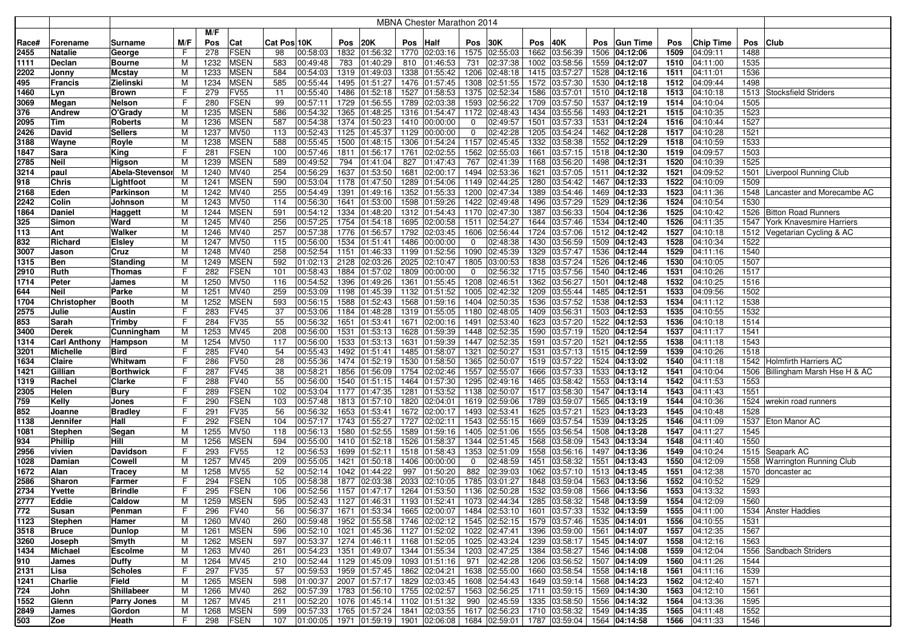|       |                     |                   |     |      |             |             |          |      |               |     | <b>MBNA Chester Marathon 2014</b>                                             |             |               |      |                             |            |                 |      |           |      |                                  |
|-------|---------------------|-------------------|-----|------|-------------|-------------|----------|------|---------------|-----|-------------------------------------------------------------------------------|-------------|---------------|------|-----------------------------|------------|-----------------|------|-----------|------|----------------------------------|
|       |                     |                   |     | M/F  |             |             |          |      |               |     |                                                                               |             |               |      |                             |            |                 |      |           |      |                                  |
| Race# | Forename            | Surname           | M/F | Pos  | Cat         | Cat Pos 10K |          | Pos  | 20K           | Pos | <b>Half</b>                                                                   | Pos         | 30K           | Pos  | 40K                         | <b>Pos</b> | <b>Gun Time</b> | Pos  | Chip Time | Pos  | <b>Club</b>                      |
| 2455  | <b>Natalie</b>      | George            | F   | 278  | <b>FSEN</b> | 98          | 00:58:03 | 1832 | 01:56:32      |     | 1770 02:03:16                                                                 |             | 1575 02:55:03 |      | 1662 03:56:39               |            | 1506 04:12:06   | 1509 | 04:09:11  | 1488 |                                  |
| 1111  | <b>Declan</b>       | Bourne            | M   | 1232 | <b>MSEN</b> | 583         | 00:49:48 | 783  | 01:40:29      |     | 810 01:46:53                                                                  | 731         | 02:37:38      |      | 1002 03:58:56               |            | 1559 04:12:07   | 1510 | 04:11:00  | 1535 |                                  |
| 2202  | Jonny               | Mcstay            | м   | 1233 | <b>MSEN</b> | 584         | 00:54:03 | 1319 | 01:49:03      |     | 1338 01:55:42                                                                 |             | 1206 02:48:18 |      | 1415 03:57:27               |            | 1528 04:12:16   | 1511 | 04:11:01  | 1536 |                                  |
| 495   | <b>Francis</b>      | Zielinski         | М   | 1234 | <b>MSEN</b> | 585         | 00:55:44 | 1495 | 01:51:27      |     | 1476 01:57:45                                                                 |             | 1308 02:51:55 |      | 1572 03:57:30               |            | 1530 04:12:18   | 1512 | 04:09:44  | 1498 |                                  |
| 1460  | Lyn                 | <b>Brown</b>      | F   | 279  | <b>FV55</b> | 11          | 00:55:40 | 1486 | 01:52:18      |     | 1527 01:58:53                                                                 |             | 1375 02:52:34 |      | 1586 03:57:01               |            | 1510 04:12:18   | 1513 | 04:10:18  |      | 1513 Stocksfield Striders        |
| 3069  | Megan               | Nelson            | F   | 280  | <b>FSEN</b> | 99          | 00:57:11 | 1729 | 01:56:55      |     | 1789 02:03:38                                                                 | 1593        | 02:56:22      |      | 1709 03:57:50               |            | 1537 04:12:19   | 1514 | 04:10:04  | 1505 |                                  |
| 376   | <b>Andrew</b>       | O'Grady           | м   | 1235 | <b>MSEN</b> | 586         | 00:54:32 | 1365 | 01:48:25      |     | 1316 01:54:47 1172 02:48:43                                                   |             |               |      | 1434 03:55:56               |            | 1493 04:12:21   | 1515 | 04:10:35  | 1523 |                                  |
| 2095  | <b>Tim</b>          | Roberts           | м   | 1236 | <b>MSEN</b> | 587         | 00:54:38 | 1374 | 01:50:23      |     | 1410 00:00:00                                                                 | 0           | 02:49:57      | 1501 | 03:57:33                    |            | 1531 04:12:24   | 1516 | 04:10:44  | 1527 |                                  |
| 2426  | David               | <b>Sellers</b>    | М   | 1237 | <b>MV50</b> | 113         | 00:52:43 | 1125 | 01:45:37      |     | 1129 00:00:00                                                                 | 0           | 02:42:28      | 1205 | 03:54:24                    |            | 1462 04:12:28   | 1517 | 04:10:28  | 1521 |                                  |
| 3188  | Wayne               | Royle             | M   | 1238 | <b>MSEN</b> | 588         | 00:55:45 | 1500 | 01:48:15      |     | 1306 01:54:24                                                                 | 1157        | 02:45:45      | 1332 | 03:58:38                    |            | 1552 04:12:29   | 1518 | 04:10:59  | 1533 |                                  |
| 1847  | Sara                | King              | F   | 281  | <b>FSEN</b> | 100         | 00:57:46 | 1811 | 01:56:17      |     | 1761 02:02:55                                                                 | 1562        | 02:55:03      | 1661 | 03:57:15                    |            | 1518 04:12:30   | 1519 | 04:09:57  | 1503 |                                  |
| 2785  | <b>Neil</b>         | Higson            | M   | 1239 | <b>MSEN</b> | 589         | 00:49:52 | 794  | 01:41:04      | 827 | 01:47:43                                                                      | 767         | 02:41:39      | 1168 | 03:56:20                    |            | 1498 04:12:31   | 1520 | 04:10:39  | 1525 |                                  |
| 3214  | paul                | Abela-Stevensor   | м   | 1240 | <b>MV40</b> | 254         | 00:56:29 | 1637 | 01:53:50      |     | 1681 02:00:17                                                                 |             | 1494 02:53:36 | 1621 | 03:57:05                    |            | 1511 04:12:32   | 1521 | 04:09:52  |      | 1501 Liverpool Running Club      |
| 918   | <b>Chris</b>        | Lightfoot         | M   | 1241 | <b>MSEN</b> | 590         | 00:53:04 | 1178 | 01:47:50      |     | 1289 01:54:06                                                                 | 1149        | 02:44:25      | 1280 | 03:54:42                    |            | 1467 04:12:33   | 1522 | 04:10:09  | 1509 |                                  |
| 2168  | Eden                | Parkinson         | M   | 1242 | <b>MV40</b> | 255         | 00:54:49 | 1391 | 01:49:16      |     | 1352 01:55:33                                                                 |             | 1200 02:47:34 |      | 1389 03:54:46               |            | 1469 04:12:33   | 1523 | 04:11:36  |      | 1548 Lancaster and Morecambe AC  |
| 2242  | Colin               | Johnson           | M   | 1243 | <b>MV50</b> | 114         | 00:56:30 | 1641 | 01:53:00      |     | 1598 01:59:26                                                                 |             | 1422 02:49:48 | 1496 | 03:57:29                    |            | 1529 04:12:36   | 1524 | 04:10:54  | 1530 |                                  |
| 1864  | Daniel              | <b>Haggett</b>    | M   | 1244 | <b>MSEN</b> | 591         | 00:54:12 | 1334 | 01:48:20      |     | 1312 01:54:43                                                                 | 1170        | 02:47:30      | 1387 | 03:56:33                    |            | 1504 04:12:36   | 1525 | 04:10:42  |      | 1526 Bitton Road Runners         |
| 325   | Simon               | Ward              | м   | 1245 | MV40        | 256         | 00:57:25 | 1754 | 01:54:18      |     | 1695 02:00:58                                                                 | 1511        | 02:54:27      |      | 1644 03:57:46               |            | 1534 04:12:40   | 1526 | 04:11:35  |      | 1547 York Knavesmire Harriers    |
| 113   | Ant                 | Walker            | м   | 1246 | <b>MV40</b> | 257         | 00:57:38 | 1776 | 01:56:57      |     | 1792 02:03:45                                                                 | 1606        | 02:56:44      |      | 1724 03:57:06               |            | 1512 04:12:42   | 1527 | 04:10:18  |      | 1512 Vegetarian Cycling & AC     |
| 832   | Richard             | <b>Elsley</b>     | м   | 1247 | <b>MV50</b> | 115         | 00:56:00 | 1534 | 01:51:41      |     | 1486 00:00:00                                                                 | $\mathbf 0$ | 02:48:38      |      | 1430 03:56:59               |            | 1509 04:12:43   | 1528 | 04:10:34  | 1522 |                                  |
| 3007  | Jason               | Cruz              | М   | 1248 | <b>MV40</b> | 258         | 00:52:54 | 1151 | 01:46:33      |     | 1199 01:52:56                                                                 | 1090        | 02:45:39      |      | 1329 03:57:47               |            | 1536 04:12:44   | 1529 | 04:11:16  | 1540 |                                  |
| 1315  | <b>Ben</b>          | Standing          | М   | 1249 | <b>MSEN</b> | 592         | 01:02:13 | 2128 | 02:03:26      |     | 2025 02:10:47                                                                 |             | 1805 03:00:53 |      | 1838 03:57:24               |            | 1526 04:12:46   | 1530 | 04:10:05  | 1507 |                                  |
| 2910  | Ruth                | Thomas            | F   | 282  | <b>FSEN</b> | 101         | 00:58:43 | 1884 | 01:57:02      |     | 1809 00:00:00                                                                 | 0           | 02:56:32      |      | 1715 03:57:56               |            | 1540 04:12:46   | 1531 | 04:10:26  | 1517 |                                  |
| 1714  | Peter               | James             | M   | 1250 | <b>MV50</b> | 116         | 00:54:52 | 1396 | 01:49:26      |     | 1361 01:55:45                                                                 |             | 1208 02:46:51 |      | 1362 03:56:27               |            | 1501 04:12:48   | 1532 | 04:10:25  | 1516 |                                  |
| 644   | <b>Neil</b>         | Parke             | М   | 1251 | <b>MV40</b> | 259         | 00:53:09 | 1198 | 01:45:39      |     | 1132 01:51:52                                                                 |             | 1005 02:42:32 |      | 1209 03:55:44               |            | 1485 04:12:51   | 1533 | 04:09:56  | 1502 |                                  |
| 1704  | <b>Christopher</b>  | Booth             | M   | 1252 | <b>MSEN</b> | 593         | 00:56:15 | 1588 | 01:52:43      |     | 1568 01:59:16                                                                 |             | 1404 02:50:35 |      | 1536 03:57:52               |            | 1538 04:12:53   | 1534 | 04:11:12  | 1538 |                                  |
| 2575  | Julie               | Austin            | F   | 283  | <b>FV45</b> | 37          | 00:53:06 | 1184 | 01:48:28      |     | 1319 01:55:05                                                                 |             | 1180 02:48:05 |      | 1409 03:56:31               |            | 1503 04:12:53   | 1535 | 04:10:55  | 1532 |                                  |
| 853   | Sarah               | Trimby            | F   | 284  | FV35        | 55          | 00:56:32 | 1651 | 01:53:41      |     | 1671 02:00:16                                                                 | 1491        | 02:53:40      |      | 1623 03:57:20               |            | 1522 04:12:53   | 1536 | 04:10:18  | 1514 |                                  |
| 3400  | <b>Derek</b>        | Cunningham        | M   | 1253 | <b>MV45</b> | 208         | 00:56:00 | 1531 | 01:53:13      |     | 1628 01:59:39                                                                 |             | 1448 02:52:35 |      | 1590 03:57:19               |            | 1520 04:12:54   | 1537 | 04:11:17  | 1541 |                                  |
| 1314  | <b>Carl Anthony</b> | Hampson           | M   | 1254 | <b>MV50</b> | 117         | 00:56:00 | 1533 | 01:53:13      |     | 1631 01:59:39                                                                 | 1447        | 02:52:35      | 1591 | 03:57:20                    |            | 1521 04:12:55   | 1538 | 04:11:18  | 1543 |                                  |
| 3201  | <b>Michelle</b>     | Bird              | F   | 285  | <b>FV40</b> | 54          | 00:55:43 | 1492 | 01:51:41      |     | 1485 01:58:07                                                                 | 1321        | 02:50:27      |      | 1531 03:57:13               |            | 1515 04:12:59   | 1539 | 04:10:26  | 1518 |                                  |
| 1634  | Claire              | Whitwam           | F   | 286  | <b>FV50</b> | 28          | 00:55:36 | 1474 | 01:52:19      |     | 1530 01:58:50                                                                 | 1365        | 02:50:07      |      | 1519 03:57:22               |            | 1524 04:13:02   | 1540 | 04:11:18  |      | 1542 Holmfirth Harriers AC       |
| 1421  | Gillian             | <b>Borthwick</b>  | F   | 287  | <b>FV45</b> | 38          | 00:58:21 | 1856 | 01:56:09      |     | 1754 02:02:46                                                                 |             | 1557 02:55:07 |      | 1666 03:57:33               |            | 1533 04:13:12   | 1541 | 04:10:04  |      | 1506 Billingham Marsh Hse H & AC |
| 1319  | Rachel              | Clarke            | F   | 288  | <b>FV40</b> | 55          | 00:56:00 | 1540 | 01:51:15      |     | 1464 01:57:30                                                                 | 1295        | 02:49:16      |      | 1465 03:58:42               |            | 1553 04:13:14   | 1542 | 04:11:53  | 1553 |                                  |
| 2305  | Helen               | Bury              | F   | 289  | <b>FSEN</b> | 102         | 00:53:04 | 1177 | 01:47:35      |     | 1281 01:53:52                                                                 |             | 1138 02:50:07 |      | 1517 03:58:30               |            | 1547 04:13:14   | 1543 | 04:11:43  | 1551 |                                  |
| 759   | Kelly               | Jones             | F   | 290  | <b>FSEN</b> | 103         | 00:57:48 | 1813 | 01:57:10      |     | 1820 02:04:01                                                                 |             | 1619 02:59:06 |      | 1789 03:59:07               |            | 1565 04:13:19   | 1544 | 04:10:36  |      | 1524 wrekin road runners         |
| 852   | Joanne              | <b>Bradley</b>    | F   | 291  | FV35        | 56          | 00:56:32 | 1653 | 01:53:41      |     | 1672 02:00:17                                                                 |             | 1493 02:53:41 |      | 1625 03:57:21               |            | 1523 04:13:23   | 1545 | 04:10:48  | 1528 |                                  |
| 1138  | Jennifer            | Hall              | F   | 292  | <b>FSEN</b> | 104         | 00:57:17 | 1743 | 01:55:27      |     | 1727 02:02:11                                                                 |             | 1543 02:55:15 |      | 1669 03:57:54               |            | 1539 04:13:25   | 1546 | 04:11:09  |      | 1537 Eton Manor AC               |
| 1081  | <b>Stephen</b>      | Segan             | M   | 1255 | <b>MV50</b> | 118         | 00:56:13 | 1580 | 01:52:55      |     | 1589 01:59:16                                                                 |             | 1405 02:51:06 |      | 1555 03:56:54               |            | 1508 04:13:28   | 1547 | 04:11:27  | 1545 |                                  |
| 934   | <b>Phillip</b>      | Hill              | M   | 1256 | <b>MSEN</b> | 594         | 00:55:00 | 1410 | 01:52:18      |     | 1526 01:58:37                                                                 |             | 1344 02:51:45 |      | 1568 03:58:09               |            | 1543 04:13:34   | 1548 | 04:11:40  | 1550 |                                  |
| 2956  | vivien              | Davidson          | F   | 293  | <b>FV55</b> | 12          | 00:56:53 | 1699 | 01:52:11      |     | 1518 01:58:43                                                                 |             | 1353 02:51:09 |      | 1558 03:56:16               |            | 1497 04:13:36   | 1549 | 04:10:24  |      | 1515 Seapark AC                  |
| 1028  | Damian              | Cowell            | M   | 1257 | <b>MV45</b> | 209         | 00:55:05 | 1421 | 01:50:18      |     | 1406 00:00:00                                                                 | 0           | 02:48:59      | 1451 | 03:58:32                    |            | 1551 04:13:43   | 1550 | 04:12:09  |      | 1558 Warrington Running Club     |
| 1672  | Alan                | Tracey            | м   | 1258 | <b>MV55</b> | 52          | 00:52:14 | 1042 | 01:44:22      | 997 | 01:50:20                                                                      | 882         | 02:39:03      | 1062 | 03:57:10                    |            | 1513 04:13:45   | 1551 | 04:12:38  | 1570 | doncaster ac                     |
| 2586  | Sharon              | Farmer            | F   | 294  | <b>FSEN</b> | 105         | 00:58:38 | 1877 | 02:03:38      |     | 2033 02:10:05                                                                 | 1785        | 03:01:27      |      | 1848 03:59:04               |            | 1563 04:13:56   | 1552 | 04:10:52  | 1529 |                                  |
| 2734  | Yvette              | <b>Brindle</b>    | F   | 295  | <b>FSEN</b> | 106         | 00:52:56 | 1157 | 01:47:17      |     | 1264 01:53:50                                                                 | 1136        | 02:50:28      |      | 1532 03:59:08               |            | 1566 04:13:56   | 1553 | 04:13:32  | 1593 |                                  |
| 2777  | Eddie               | Caldow            | м   | 1259 | <b>MSEN</b> | 595         | 00:52:43 |      |               |     | 1127 01:46:31   1193 01:52:41   1073 02:44:34   1285 03:58:32   1548 04:13:59 |             |               |      |                             |            |                 | 1554 | 04:12:09  | 1560 |                                  |
| 772   | Susan               | Penman            | F   | 296  | <b>FV40</b> | 56          | 00:56:37 |      |               |     | 1671 01:53:34   1665 02:00:07   1484 02:53:10   1601 03:57:33   1532 04:13:59 |             |               |      |                             |            |                 | 1555 | 04:11:00  |      | 1534 Anster Haddies              |
| 1123  | Stephen             | Hamer             | M   | 1260 | <b>MV40</b> | 260         | 00:59:48 |      |               |     | 1952 01:55:58 1746 02:02:12 1545 02:52:15                                     |             |               |      | 1579 03:57:46 1535 04:14:01 |            |                 | 1556 | 04:10:55  | 1531 |                                  |
| 3518  | <b>Bruce</b>        | <b>Dunlop</b>     | M   | 1261 | <b>MSEN</b> | 596         | 00:52:10 |      |               |     | 1021 01:45:36 1127 01:52:02 1022 02:47:41                                     |             |               |      | 1396 03:59:00 1561 04:14:07 |            |                 | 1557 | 04:12:35  | 1567 |                                  |
| 3260  | Joseph              | Smyth             | М   | 1262 | <b>MSEN</b> | 597         | 00:53:37 |      |               |     | 1274 01:46:11 1168 01:52:05 1025 02:43:24                                     |             |               |      | 1239 03:58:17 1545 04:14:07 |            |                 | 1558 | 04:12:16  | 1563 |                                  |
| 1434  | Michael             | <b>Escolme</b>    | м   | 1263 | MV40        | 261         | 00:54:23 |      | 1351 01:49:07 |     | 1344 01:55:34 1203 02:47:25                                                   |             |               |      | 1384 03:58:27 1546 04:14:08 |            |                 | 1559 | 04:12:04  |      | 1556 Sandbach Striders           |
| 910   | James               | Duffy             | м   | 1264 | MV45        | 210         | 00:52:44 |      |               |     | 1129 01:45:09 1093 01:51:16                                                   |             | 971 02:42:28  |      | 1206 03:56:52 1507 04:14:09 |            |                 | 1560 | 04:11:26  | 1544 |                                  |
| 2131  | Lisa                | <b>Scholes</b>    | F.  | 297  | <b>FV35</b> | 57          | 00:59:53 |      |               |     | 1959 01:57:45 1862 02:04:21 1638 02:55:00                                     |             |               |      | 1660 03:58:54 1558 04:14:18 |            |                 | 1561 | 04:11:16  | 1539 |                                  |
| 1241  | Charlie             | Field             | M   | 1265 | <b>MSEN</b> | 598         | 01:00:37 |      | 2007 01:57:17 |     | 1829 02:03:45 1608 02:54:43                                                   |             |               |      | 1649 03:59:14               |            | 1568 04:14:23   | 1562 | 04:12:40  | 1571 |                                  |
| 724   | John                | <b>Shillabeer</b> | M   | 1266 | MV40        | 262         | 00:57:39 |      | 1783 01:56:10 |     | 1755 02:02:57 1563 02:56:25                                                   |             |               |      | 1711 03:59:15 1569 04:14:30 |            |                 | 1563 | 04:12:10  | 1561 |                                  |
| 1552  | Glenn               | Parry Jones       | М   | 1267 | <b>MV45</b> | 211         | 00:52:20 |      | 1076 01:45:14 |     | 1102 01:51:32                                                                 |             | 990 02:45:59  |      | 1335 03:58:50               |            | 1556 04:14:32   | 1564 | 04:13:36  | 1595 |                                  |
| 2849  | James               | Gordon            | M   | 1268 | <b>MSEN</b> | 599         | 00:57:33 |      | 1765 01:57:24 |     | 1841 02:03:55 1617 02:56:23                                                   |             |               |      | 1710 03:58:32 1549 04:14:35 |            |                 | 1565 | 04:11:48  | 1552 |                                  |
| 503   | Zoe                 | Heath             | F.  | 298  | <b>FSEN</b> | 107         | 01:00:05 |      |               |     | 1971 01:59:19 1901 02:06:08 1684 02:59:01                                     |             |               |      | 1787 03:59:04 1564 04:14:58 |            |                 | 1566 | 04:11:33  | 1546 |                                  |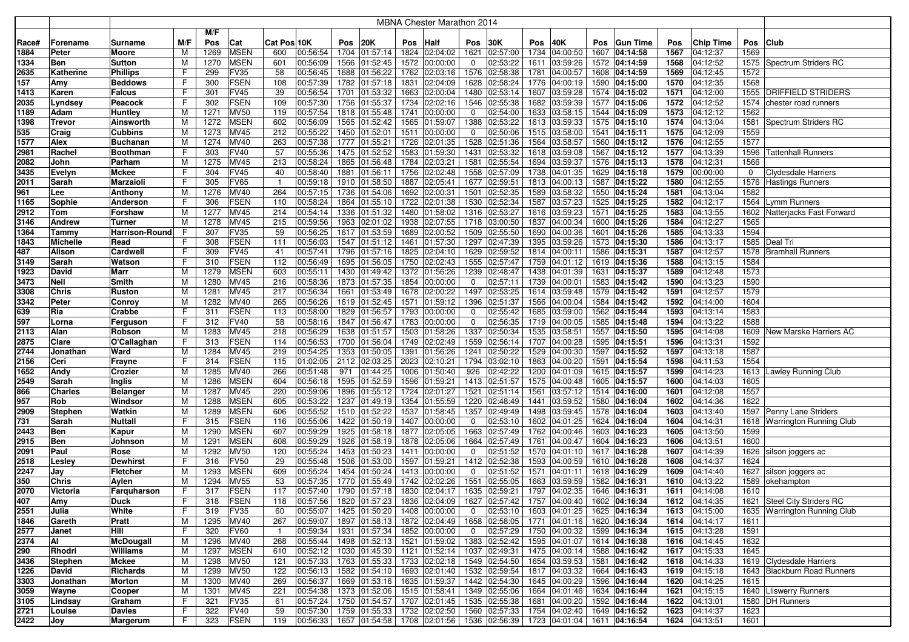|              |                 |                     |        |              |                     |                |                      |              |                      |      | MBNA Chester Marathon 2014                |                |                      |              |                                           |      |                                |              |                      |      |                              |
|--------------|-----------------|---------------------|--------|--------------|---------------------|----------------|----------------------|--------------|----------------------|------|-------------------------------------------|----------------|----------------------|--------------|-------------------------------------------|------|--------------------------------|--------------|----------------------|------|------------------------------|
|              |                 |                     |        | M/F          |                     |                |                      |              |                      |      |                                           |                |                      |              |                                           |      |                                |              |                      |      |                              |
| Race#        | Forename        | Surname             | M/F    | Pos          | Cat                 | Cat Pos 10K    |                      | Pos          | 20K                  | Pos  | <b>Half</b>                               | Pos            | 30K                  | Pos          | 40K                                       | Pos  | <b>Gun Time</b>                | Pos          | Chip Time            | Pos  | <b>Club</b>                  |
| 1884         | <b>Peter</b>    | Moore               | M      | 1269         | <b>MSEN</b>         | 600            | 00:56:54             | 1704         | 01:57:14             |      | 1824 02:04:02                             | 1621           | 02:57:00             | 1734         | 04:00:50                                  | 1607 | 04:14:58                       | 1567         | 04:12:37             | 1569 |                              |
| 1334         | <b>Ben</b>      | <b>Sutton</b>       | M      | 1270         | <b>MSEN</b>         | 601            | 00:56:09             | 1566         | 01:52:45             |      | 1572 00:00:00                             | 0              | 02:53:22             | 1611         | 03:59:26                                  |      | 1572 04:14:59                  | 1568         | 04:12:52             |      | 1575   Spectrum Striders RC  |
| 2635         | Katherine       | <b>Phillips</b>     | F      | 299          | FV35                | 58             | 00:56:45             | 1688         | 01:56:22             |      | 1762 02:03:16                             | 1576           | 02:58:38             | 1781         | 04:00:57                                  |      | 1608 04:14:59                  | 1569         | 04:12:45             | 1572 |                              |
| 157          | Amy             | Beddows             | F      | 300          | <b>FSEN</b>         | 108            | 00:57:39             | 1782         | 01:57:18             |      | 1831 02:04:09                             | 1628           | 02:58:24             | 1776         | 04:00:19                                  |      | 1590 04:15:00                  | 1570         | 04:12:35             | 1568 |                              |
| 1413         | Karen           | Falcus              | F      | 301          | FV45                | 39             | 00:56:54             | 1701         | 01:53:32             |      | 1663 02:00:04                             | 1480           | 02:53:14             | 1607         | 03:59:28                                  |      | 1574 04:15:02                  | 1571         | 04:12:00             | 1555 | <b>DRIFFIELD STRIDERS</b>    |
| 2035         | Lyndsey         | Peacock             | F      | 302          | <b>FSEN</b>         | 109            | 00:57:30             | 1756         | 01:55:37             |      | 1734 02:02:16                             | 1546           | 02:55:38             | 1682         | 03:59:39                                  |      | 1577 04:15:06                  | 1572         | 04:12:52             | 1574 | chester road runners         |
| 1189         | Adam            | Huntley             | м      | 1271         | <b>MV50</b>         | 119            | 00:57:54             | 1818         | 01:55:48             |      | 1741 00:00:00                             | 0              | 02:54:00             | 1633         | 03:58:15                                  |      | 1544 04:15:09                  | 1573         | 04:12:12             | 1562 |                              |
| 1398         | <b>Trevor</b>   | Ainsworth           | М      | 1272         | <b>MSEN</b>         | 602            | 00:56:09             | 1565         | 01:52:42             |      | 1565 01:59:07                             | 1388           | 02:53:22             |              | 1613 03:59:33                             |      | 1575 04:15:10                  | 1574         | 04:13:04             | 1581 | Spectrum Striders RC         |
| 535          | Craig           | Cubbins             | М      | 1273         | MV45                | 212            | 00:55:22             | 1450         | 01:52:01             |      | 1511 00:00:00                             | 0              | 02:50:06             |              | 1515 03:58:00                             |      | 1541 04:15:11                  | 1575         | 04:12:09             | 1559 |                              |
| 1577         | Alex            | <b>Buchanan</b>     | M<br>F | 1274         | MV40<br><b>FV40</b> | 263<br>57      | 00:57:38<br>00:55:36 | 1777<br>1475 | 01:55:21             |      | 1726 02:01:35<br>1583 01:59:30            | 1528<br>1431   | 02:51:36<br>02:53:32 | 1564         | 03:58:57                                  |      | 1560 04:15:12                  | 1576<br>1577 | 04:12:55             | 1577 |                              |
| 2981<br>2082 | Rachel<br>John  | Boothman<br>Parham  | M      | 303<br>1275  | <b>MV45</b>         | 213            | 00:58:24             | 1865         | 01:52:52<br>01:56:48 |      | 1784 02:03:21                             | 1581           | 02:55:54             |              | 1618 03:59:08<br>1694 03:59:37            |      | 1567 04:15:12<br>1576 04:15:13 | 1578         | 04:13:39<br>04:12:31 | 1566 | 1596 Tattenhall Runners      |
| 3435         | Evelyn          | Mckee               | F      | 304          | <b>FV45</b>         | 40             | 00:58:40             | 1881         | 01:56:11             |      | 1756 02:02:48                             |                | 1558 02:57:09        |              | 1738 04:01:35                             |      | 1629 04:15:18                  | 1579         | 00:00:00             | 0    | <b>Clydesdale Harriers</b>   |
| 2011         | Sarah           | Marzaioli           | F      | 305          | <b>FV65</b>         | $\overline{1}$ | 00:59:18             | 1910         | 01:58:50             |      | 1887 02:05:41                             | 1677           | 02:59:51             |              | 1813 04:00:13                             |      | 1587 04:15:22                  | 1580         | 04:12:55             |      | 1576 Hastings Runners        |
| 961          | Lee             | Anthony             | M      | 1276         | <b>MV40</b>         | 264            | 00:57:15             | 1736         | 01:54:06             |      | 1692 02:00:31                             | 1501           | 02:52:35             |              | 1589 03:58:32                             |      | 1550 04:15:24                  | 1581         | 04:13:04             | 1582 |                              |
| 1165         | Sophie          | Anderson            | F      | 306          | <b>FSEN</b>         | 110            | 00:58:24             | 1864         | 01:55:10             |      | 1722 02:01:38                             | 1530           | 02:52:34             |              | 1587 03:57:23                             |      | 1525 04:15:25                  | 1582         | 04:12:17             | 1564 | Lymm Runners                 |
| 2912         | Tom             | Forshaw             | м      | 1277         | MV45                | 214            | 00:54:14             | 1336         | 01:51:32             |      | 1480 01:58:02                             | 1316           | 02:53:27             |              | 1616 03:59:23                             |      | 1571 04:15:25                  | 1583         | 04:13:55             | 1602 | Natterjacks Fast Forward     |
| 3146         | <b>Andrew</b>   | Turner              | М      | 1278         | <b>MV45</b>         | 215            | 00:59:56             | 1963         | 02:01:02             |      | 1938 02:07:55                             | 1718           | 03:00:50             | 1837         | 04:00:34                                  |      | 1600 04:15:26                  | 1584         | 04:12:27             | 1565 |                              |
| 1364         | Tammy           | Harrison-Round      |        | 307          | FV35                | 59             | 00:56:25             | 1617         | 01:53:59             | 1689 | 02:00:52                                  | 1509           | 02:55:50             | 1690         | 04:00:36                                  |      | 1601 04:15:26                  | 1585         | 04:13:33             | 1594 |                              |
| 1843         | <b>Michelle</b> | Read                | F      | 308          | <b>FSEN</b>         | 111            | 00:56:03             | 1547         | 01:51:12             |      | 1461 01:57:30                             | 1297           | 02:47:39             | 1395         | 03:59:26                                  |      | 1573 04:15:30                  | 1586         | 04:13:17             | 1585 | Deal Tri                     |
| 487          | <b>Alison</b>   | Cardwell            | F      | 309          | <b>FV45</b>         | 41             | 00:57:41             | 1796         | 01:57:16             |      | 1825 02:04:10                             | 1629           | 02:59:52             | 1814         | 04:00:11                                  | 1586 | 04:15:31                       | 1587         | 04:12:57             | 1578 | <b>Bramhall Runners</b>      |
| 3149         | Sarah           | Watson              | F      | 310          | <b>FSEN</b>         | 112            | 00:56:49             | 1695         | 01:56:05             |      | 1750 02:02:43                             | 1555           | 02:57:47             |              | 1759 04:01:12                             |      | 1619 04:15:36                  | 1588         | 04:13:15             | 1584 |                              |
| 1923         | David           | Marr                | м      | 1279         | <b>MSEN</b>         | 603            | 00:55:11             | 1430         | 01:49:42             |      | 1372 01:56:26                             | 1239           | 02:48:47             |              | 1438 04:01:39                             |      | 1631 04:15:37                  | 1589         | 04:12:48             | 1573 |                              |
| 3473         | <b>Neil</b>     | Smith               | м      | 1280         | <b>MV45</b>         | 216            | 00:58:36             | 1873         | 01:57:35             |      | 1854 00:00:00                             | 0              | 02:57:11             |              | 1739 04:00:01                             |      | 1583 04:15:42                  | 1590         | 04:13:23             | 1590 |                              |
| 3308         | <b>Chris</b>    | Ruston              | м      | 1281         | <b>MV45</b>         | 217            | 00:56:34             | 1661         | 01:53:49             |      | 1678 02:00:22                             |                | 1497 02:53:25        |              | 1614 03:59:48                             |      | 1579 04:15:42                  | 1591         | 04:12:57             | 1579 |                              |
| 3342         | <b>Peter</b>    | Conroy              | м      | 1282         | MV40                | 265            | 00:56:26             | 1619         | 01:52:45             |      | 1571 01:59:12                             | 1396           | 02:51:37             |              | 1566 04:00:04                             |      | 1584 04:15:42                  | 1592         | 04:14:00             | 1604 |                              |
| 639          | Ria             | Crabbe              | F      | 311          | <b>FSEN</b>         | 113            | 00:58:00             | 1829         | 01:56:57             |      | 1793 00:00:00                             | 0              | 02:55:42             |              | 1685 03:59:00                             |      | 1562 04:15:44                  | 1593         | 04:13:14             | 1583 |                              |
| 597          | Lorna           | Ferguson            | F      | 312          | <b>FV40</b>         | 58             | 00:58:16             | 1847         | 01:56:47             |      | 1783 00:00:00                             | 0              | 02:56:35             |              | 1719 04:00:05                             |      | 1585 04:15:48                  | 1594         | 04:13:22             | 1588 |                              |
| 2113         | Alan            | Robson              | M      | 1283         | <b>MV45</b>         | 218            | 00:56:29             | 1638         | 01:51:57             |      | 1503 01:58:26                             | 1337           | 02:50:34             |              | 1535 03:58:51                             |      | 1557 04:15:50                  | 1595         | 04:14:08             | 1609 | New Marske Harriers AC       |
| 2875         | Clare           | O'Callaghan         | F      | 313          | <b>FSEN</b>         | 114            | 00:56:53             | 1700         | 01:56:04             |      | 1749 02:02:49                             | 1559           | 02:56:14             |              | 1707 04:00:28                             |      | 1595 04:15:51                  | 1596         | 04:13:31             | 1592 |                              |
| 2744         | Jonathan        | Ward                | м      | 1284         | MV45                | 219            | 00:54:25             | 1353         | 01:50:05             |      | 1391 01:56:26                             | 1241           | 02:50:22             | 1529         | 04:00:30                                  |      | 1597 04:15:52                  | 1597         | 04:13:18             | 1587 |                              |
| 2156         | Ceri            | Frayne              | F      | 314          | <b>FSEN</b>         | 115            | 01:02:05             | 2112         | 02:03:25             |      | 2023 02:10:21                             | 1794           | 03:02:10             | 1863         | 04:00:20                                  |      | 1591 04:15:54                  | 1598         | 04:11:53             | 1554 |                              |
| 1652         | Andy<br>Sarah   | Crozier             | М<br>M | 1285<br>1286 | MV40<br><b>MSEN</b> | 266<br>604     | 00:51:48<br>00:56:18 | 971<br>1595  | 01:44:25<br>01:52:59 |      | 1006 01:50:40<br>1596 01:59:21            | 926<br>1413    | 02:42:22<br>02:51:57 | 1200<br>1575 | 04:01:09<br>04:00:48                      |      | 1615 04:15:57<br>1605 04:15:57 | 1599<br>1600 | 04:14:23<br>04:14:03 | 1605 | 1613 Lawley Running Club     |
| 2549<br>866  | <b>Charles</b>  | Inglis              | M      | 1287         | <b>MV45</b>         | 220            | 00:59:06             | 1896         | 01:55:12             |      | 1724 02:01:27                             | 1521           | 02:51:14             | 1561         | 03:57:12                                  |      | 1514 04:16:00                  | 1601         | 04:12:08             | 1557 |                              |
| 957          | Rob             | Belanger<br>Windsor | м      | 1288         | <b>MSEN</b>         | 605            | 00:53:22             | 1237         | 01:49:19             |      | 1354 01:55:59                             | 1220           | 02:48:49             | 1441         | 03:59:52                                  |      | 1580 04:16:04                  | 1602         | 04:14:36             | 1622 |                              |
| 2909         | <b>Stephen</b>  | Watkin              | M      | 1289         | <b>MSEN</b>         | 606            | 00:55:52             | 1510         | 01:52:22             |      | 1537 01:58:45                             | 1357           | 02:49:49             | 1498         | 03:59:45                                  |      | 1578 04:16:04                  | 1603         | 04:13:40             |      | 1597 Penny Lane Striders     |
| 731          | Sarah           | Nuttall             | F      | 315          | <b>FSEN</b>         | 116            | 00:55:06             | 1422         | 01:50:19             |      | 1407 00:00:00                             | 0              | 02:53:10             |              | 1602 04:01:25                             |      | 1624 04:16:04                  | 1604         | 04:14:31             |      | 1618 Warrington Running Club |
| 2443         | <b>Ben</b>      | Kapur               | M      | 1290         | <b>MSEN</b>         | 607            | 00:59:29             | 1925         | 01:58:18             |      | 1877 02:05:05                             | 1663           | 02:57:49             |              | 1762 04:00:46                             |      | 1603 04:16:23                  | 1605         | 04:13:50             | 1599 |                              |
| 2915         | <b>Ben</b>      | Johnson             | M      | 1291         | <b>MSEN</b>         | 608            | 00:59:29             | 1926         | 01:58:19             |      | 1878 02:05:06                             | 1664           | 02:57:49             |              | 1761 04:00:47                             |      | 1604 04:16:23                  | 1606         | 04:13:51             | 1600 |                              |
| 2091         | Paul            | Rose                | M      | 1292         | <b>MV50</b>         | 120            | 00:55:24             | 1453         | 01:50:23             |      | 1411 00:00:00                             | 0              | 02:51:52             | 1570         | 04:01:10                                  |      | 1617 04:16:28                  | 1607         | 04:14:39             | 1626 | silson joggers ac            |
| 2518         | Lesley          | Dewhirst            | F      | 316          | FV50                | 29             | 00:55:48             | 1506         | 01:53:00             |      | 1597 01:59:21                             | 1412           | 02:52:38             |              | 1593 04:00:59                             |      | 1610 04:16:28                  | 1608         | 04:14:37             | 1624 |                              |
| 2247         | Jay             | Fletcher            | М      | 1293         | <b>MSEN</b>         | 609            | 00:55:24             | 1454         | 01:50:24             |      | 1413 00:00:00                             | 0              | 02:51:52             | 1571         | 04:01:11                                  |      | 1618 04:16:29                  | 1609         | 04:14:40             | 1627 | silson joggers ac            |
| 350          | <b>Chris</b>    | Aylen               | M      | 1294         | MV55                | 53             | 00:57:35             | 1770         | 01:55:49             |      | 1742 02:02:26                             | 1551           | 02:55:05             | 1663         | 03:59:59                                  | 1582 | 04:16:31                       | 1610         | 04:13:22             | 1589 | okehampton                   |
| 2070         | Victoria        | Farquharson         | F      | 317          | <b>FSEN</b>         | 117            | 00:57:40             | 1790         | 01:57:18             |      | 1830 02:04:17                             | 1635           | 02:59:21             |              | 1797 04:02:35                             |      | 1646 04:16:31                  | 1611         | 04:14:08             | 1610 |                              |
| 407          | Amy             | <b>Duck</b>         | ۲      | 318          | FSEN                | 118            | 00:57:56             |              | 1820 01:57:23        |      | 1836 02:04:09                             |                |                      |              | 1627 02:57:42 1757 04:00:40 1602 04:16:34 |      |                                | 1612         | 04:14:35             |      | 1621 Steel City Striders RC  |
| 2551         | Julia           | White               | F      | 319          | <b>FV35</b>         | 60             | 00:55:07             |              | 1425 01:50:20        |      | 1408 00:00:00                             | $\overline{0}$ |                      |              | 02:53:10   1603 04:01:25   1625 04:16:34  |      |                                | 1613         | 04:15:00             |      | 1635 Warrington Running Club |
| 1846         | Gareth          | Pratt               | M      | 1295         | <b>MV40</b>         | 267            | 00:59:07             | 1897         |                      |      | 01:58:13   1872 02:04:49                  |                | 1658 02:58:05        |              | 1771 04:01:16 1620 04:16:34               |      |                                | 1614         | 04:14:17             | 1611 |                              |
| 2577         | Janet           | Hill                | F      | 320          | <b>FV60</b>         | $\overline{1}$ | 00:59:34             |              |                      |      | 1931 01:57:34 1852 00:00:00               | $\overline{0}$ | 02:57:29             |              | 1750 04:00:32 1599 04:16:34               |      |                                | 1615         | 04:13:28             | 1591 |                              |
| 2374         | Al              | McDougall           | M      | 1296         | <b>MV40</b>         | 268            | 00:55:44             |              |                      |      | 1498 01:52:13 1521 01:59:02               |                | 1383 02:52:42        |              | 1595 04:01:07 1614 04:16:38               |      |                                | 1616         | 04:14:45             | 1632 |                              |
| 290          | Rhodri          | Williams            | М      | 1297         | <b>MSEN</b>         | 610            | 00:52:12             |              |                      |      | 1030 01:45:30 1121 01:52:14               |                | 1037 02:49:31        |              | 1475 04:00:14 1588 04:16:42               |      |                                | 1617         | 04:15:33             | 1645 |                              |
| 3436         | <b>Stephen</b>  | <b>Mckee</b>        | M      | 1298         | <b>MV50</b>         | 121            | 00:57:33             |              |                      |      | 1763 01:55:33 1733 02:02:18 1549 02:54:50 |                |                      |              | 1654 03:59:53 1581 04:16:42               |      |                                | 1618         | 04:14:33             |      | 1619 Clydesdale Harriers     |
| 1226         | David           | Richards            | M      | 1299         | <b>MV50</b>         | 122            | 00:56:13             |              | 1582 01:54:10        |      | 1693 02:01:40 1532 02:59:54               |                |                      |              | 1817 04:03:32 1664 04:16:43               |      |                                | 1619         | 04:15:18             |      | 1643 Blackburn Road Runners  |
| 3303         | Jonathan        | Morton              | M      | 1300         | MV40                | 269            | 00:56:37             |              | 1669 01:53:16        |      | 1635 01:59:37 1442 02:54:30               |                |                      |              | 1645 04:00:29 1596 04:16:44               |      |                                | 1620         | 04:14:25             | 1615 |                              |
| 3059         | Wayne           | Cooper              | M      | 1301         | <b>MV45</b>         | 221            | 00:54:38             |              | 1373 01:52:06        |      | 1515 01:58:41 1349 02:55:06               |                |                      |              | 1664 04:01:46 1634 04:16:44               |      |                                | 1621         | 04:15:15             |      | 1640 Lliswerry Runners       |
| 3105         | Lindsay         | Graham              | F      | 321          | <b>FV35</b>         | 61             | 00:57:24             |              | 1750 01:54:57        |      | 1707 02:01:45 1535 02:55:38               |                |                      |              | 1681 04:00:20 1592 04:16:44               |      |                                | 1622         | 04:13:01             |      | 1580   DH Runners            |
| 2721         | Louise          | <b>Davies</b>       | F      | 322          | <b>FV40</b>         | 59             | 00:57:30<br>00:56:33 |              |                      |      | 1759 01:55:33 1732 02:02:50 1560 02:57:33 |                |                      |              | 1754 04:02:40 1649 04:16:52               |      |                                | 1623         | 04:14:37             | 1623 |                              |
| 2422         | Joy             | Margerum            | F      | 323          | <b>FSEN</b>         | 119            |                      |              |                      |      | 1657 01:54:58 1708 02:01:56 1536 02:56:39 |                |                      |              | 1723 04:01:04 1611 04:16:54               |      |                                | 1624         | 04:13:51             | 1601 |                              |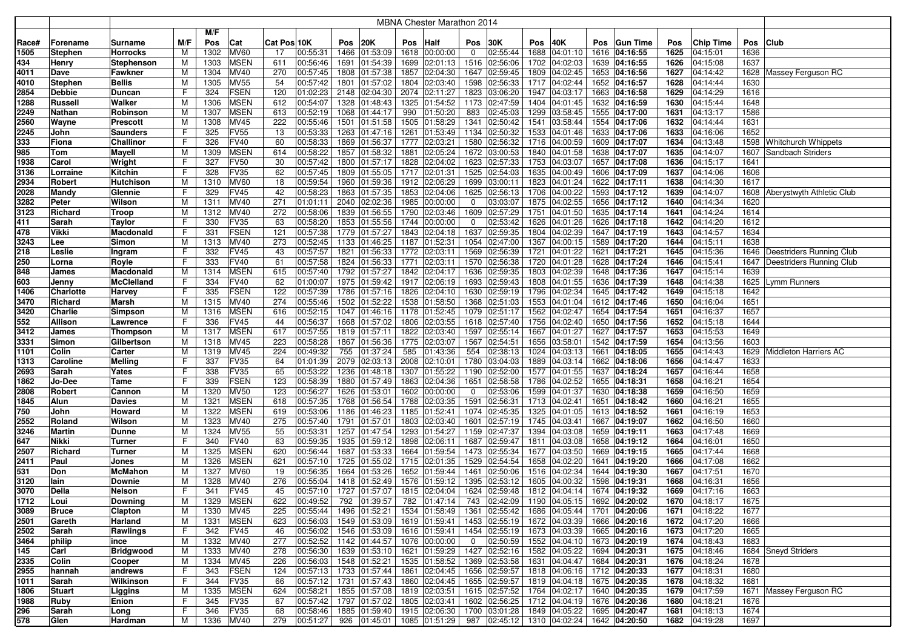|       |                |                  |     |      |             |             |          |      |                                           |      | MBNA Chester Marathon 2014  |                |                            |      |                                                               |      |                 |      |                  |      |                                |
|-------|----------------|------------------|-----|------|-------------|-------------|----------|------|-------------------------------------------|------|-----------------------------|----------------|----------------------------|------|---------------------------------------------------------------|------|-----------------|------|------------------|------|--------------------------------|
|       |                |                  |     | M/F  |             |             |          |      |                                           |      |                             |                |                            |      |                                                               |      |                 |      |                  |      |                                |
| Race# | Forename       | Surname          | M/F | Pos  | Cat         | Cat Pos 10K |          | Pos  | 20K                                       | Pos  | <b>Half</b>                 | Pos            | 30K                        | Pos  | 40K                                                           | Pos  | <b>Gun Time</b> | Pos  | <b>Chip Time</b> | Pos  | <b>Club</b>                    |
| 1505  | Stephen        | <b>Horrocks</b>  | M   | 1302 | <b>MV60</b> | 17          | 00:55:31 |      | 1466 01:53:09                             | 1618 | 00:00:00                    | 0              | 02:55:44                   | 1688 | 04:01:10                                                      |      | 1616 04:16:55   | 1625 | 04:15:01         | 1636 |                                |
| 434   | Henry          | Stephenson       | М   | 1303 | <b>MSEN</b> | 611         | 00:56:46 |      | 1691 01:54:39                             | 1699 | 02:01:13                    |                | 1516 02:56:06              | 1702 | 04:02:03                                                      |      | 1639 04:16:55   | 1626 | 04:15:08         | 1637 |                                |
| 4011  | Dave           | Fawkner          | M   | 1304 | <b>MV40</b> | 270         | 00:57:45 |      | 1808 01:57:38                             | 1857 | 02:04:30                    |                | 1647 02:59:45              | 1809 | 04:02:45                                                      |      | 1653 04:16:56   | 1627 | 04:14:42         |      | 1628 Massey Ferguson RC        |
| 4010  | Stephen        | <b>Bellis</b>    | M   | 1305 | <b>MV55</b> | 54          | 00:57:42 |      | 1801 01:57:02                             | 1804 | 02:03:40                    |                | 1598 02:56:33              | 1717 | 04:02:44                                                      |      | 1652 04:16:57   | 1628 | 04:14:44         | 1630 |                                |
| 2854  | Debbie         | Duncan           | F   | 324  | <b>FSEN</b> | 120         | 01:02:23 |      | 2148 02:04:30                             | 2074 | 02:11:27                    |                | 1823 03:06:20              | 1947 | 04:03:17                                                      |      | 1663 04:16:58   | 1629 | 04:14:29         | 1616 |                                |
| 1288  | <b>Russell</b> | Walker           | М   | 1306 | <b>MSEN</b> | 612         | 00:54:07 |      | 1328 01:48:43                             | 1325 | 01:54:52                    |                | 1173 02:47:59              | 1404 | 04:01:45                                                      | 1632 | 04:16:59        | 1630 | 04:15:44         | 1648 |                                |
| 2249  | Nathan         | Robinson         | м   | 1307 | <b>MSEN</b> | 613         | 00:52:19 |      | 1068 01:44:17                             | 990  | 01:50:20                    | 883            | 02:45:03                   | 1299 | 03:58:45                                                      |      | 1555 04:17:00   | 1631 | 04:13:17         | 1586 |                                |
| 2560  | Wayne          | Prescott         | М   | 1308 | MV45        | 222         | 00:55:46 |      | 1501 01:51:58                             | 1505 | 01:58:29                    |                | 1341 02:50:42              | 1541 | 03:58:44                                                      |      | 1554 04:17:06   | 1632 | 04:14:44         | 1631 |                                |
| 2245  | John           | Saunders         | F   | 325  | <b>FV55</b> | 13          | 00:53:33 | 1263 | 01:47:16                                  | 1261 | 01:53:49                    |                | 1134 02:50:32              | 1533 | 04:01:46                                                      |      | 1633 04:17:06   | 1633 | 04:16:06         | 1652 |                                |
| 333   | Fiona          | Challinor        | F   | 326  | <b>FV40</b> | 60          | 00:58:33 | 1869 | 01:56:37                                  | 1777 | 02:03:21                    | 1580           | 02:56:32                   | 1716 | 04:00:59                                                      |      | 1609 04:17:07   | 1634 | 04:13:48         |      | 1598 Whitchurch Whippets       |
| 985   | Tom            | Mayell           | M   | 1309 | <b>MSEN</b> | 614         | 00:58:22 |      | 1857 01:58:32                             | 1881 | 02:05:24                    |                | 1672 03:00:53              | 1840 | 04:01:58                                                      |      | 1638 04:17:07   | 1635 | 04:14:07         |      | 1607 Sandbach Striders         |
| 1938  | Carol          | Wright           | F   | 327  | <b>FV50</b> | 30          | 00:57:42 |      | 1800 01:57:17                             | 1828 | 02:04:02                    |                | 1623 02:57:33              | 1753 | 04:03:07                                                      |      | 1657 04:17:08   | 1636 | 04:15:17         | 1641 |                                |
| 3136  | Lorraine       | Kitchin          | F   | 328  | <b>FV35</b> | 62          | 00:57:45 |      | 1809 01:55:05                             | 1717 | 02:01:31                    |                | 1525 02:54:03              |      | 1635 04:00:49                                                 |      | 1606 04:17:09   | 1637 | 04:14:06         | 1606 |                                |
| 2934  | Robert         | Hutchison        | M   | 1310 | <b>MV60</b> | 18          | 00:59:54 |      | 1960 01:59:36                             | 1912 | 02:06:29                    |                | 1699 03:00:11              | 1823 | 04:01:24                                                      |      | 1622 04:17:11   | 1638 | 04:14:30         | 1617 |                                |
| 2028  | Mandy          | Glennie          | F   | 329  | <b>FV45</b> | 42          | 00:58:23 |      | 1863 01:57:35                             |      | 1853 02:04:06               |                | 1625 02:56:13              |      | 1706 04:00:22                                                 |      | 1593 04:17:12   | 1639 | 04:14:07         |      | 1608 Aberystwyth Athletic Club |
| 3282  | Peter          | Wilson           | M   | 1311 | <b>MV40</b> | 271         | 01:01:11 |      | 2040 02:02:36                             | 1985 | 00:00:00                    | 0              | 03:03:07                   |      | 1875 04:02:55                                                 |      | 1656 04:17:12   | 1640 | 04:14:34         | 1620 |                                |
| 3123  | Richard        | Troop            | М   | 1312 | <b>MV40</b> | 272         | 00:58:06 |      | 1839 01:56:55                             | 1790 | 02:03:46                    |                | 1609 02:57:29              | 1751 | 04:01:50                                                      |      | 1635 04:17:14   | 1641 | 04:14:24         | 1614 |                                |
| 411   | Sarah          | Taylor           | F   | 330  | <b>FV35</b> | 63          | 00:58:20 |      | 1853 01:55:56                             | 1744 | 00:00:00                    | 0              | 02:53:42                   | 1626 | 04:01:26                                                      |      | 1626 04:17:18   | 1642 | 04:14:20         | 1612 |                                |
| 478   | Vikki          | Macdonald        | F   | 331  | <b>FSEN</b> | 121         | 00:57:38 |      | 1779 01:57:27                             | 1843 | 02:04:18                    |                | 1637 02:59:35              | 1804 | 04:02:39                                                      |      | 1647 04:17:19   | 1643 | 04:14:57         | 1634 |                                |
| 3243  | Lee            | Simon            | м   | 1313 | MV40        | 273         | 00:52:45 |      | 1133 01:46:25                             |      | 1187 01:52:31               |                | 1054 02:47:00              | 1367 | 04:00:15                                                      |      | 1589 04:17:20   | 1644 | 04:15:11         | 1638 |                                |
| 218   | Leslie         | Ingram           | F   | 332  | <b>FV45</b> | 43          | 00:57:57 |      | 1821 01:56:33                             | 1772 | 02:03:11                    |                | 1569 02:56:39              | 1721 | 04:01:22                                                      | 1621 | 04:17:21        | 1645 | 04:15:36         |      | 1646 Deestriders Running Club  |
| 250   | Lorna          | Royle            | F   | 333  | <b>FV40</b> | 61          | 00:57:58 |      | 1824 01:56:33                             | 1771 | 02:03:11                    |                | 1570 02:56:38              | 1720 | 04:01:28                                                      |      | 1628 04:17:24   | 1646 | 04:15:41         |      | 1647 Deestriders Running Club  |
| 848   | James          | Macdonald        | M   | 1314 | <b>MSEN</b> | 615         | 00:57:40 | 1792 | 01:57:27                                  | 1842 | 02:04:17                    | 1636           | 02:59:35                   | 1803 | 04:02:39                                                      |      | 1648 04:17:36   | 1647 | 04:15:14         | 1639 |                                |
| 603   | Jenny          | McClelland       | F   | 334  | <b>FV40</b> | 62          | 01:00:07 |      | 1975 01:59:42                             | 1917 | 02:06:19                    |                | 1693 02:59:43              | 1808 | 04:01:55                                                      |      | 1636 04:17:39   | 1648 | 04:14:38         |      | 1625 Lymm Runners              |
| 1406  | Charlotte      | Harvey           | F   | 335  | <b>FSEN</b> | 122         | 00:57:39 |      | 1786 01:57:16                             | 1826 | 02:04:10                    |                | 1630 02:59:19              | 1796 | 04:02:34                                                      |      | 1645 04:17:42   | 1649 | 04:15:18         | 1642 |                                |
| 3470  | Richard        | Marsh            | M   | 1315 | <b>MV40</b> | 274         | 00:55:46 |      | 1502 01:52:22                             | 1538 | 01:58:50                    |                | 1368 02:51:03              | 1553 | 04:01:04                                                      |      | 1612 04:17:46   | 1650 | 04:16:04         | 1651 |                                |
| 3420  | Charlie        | Simpson          | M   | 1316 | <b>MSEN</b> | 616         | 00:52:15 |      | 1047 01:46:16                             |      | 1178 01:52:45               |                | 1079 02:51:17              |      | 1562 04:02:47                                                 |      | 1654 04:17:54   | 1651 | 04:16:37         | 1657 |                                |
| 552   | Allison        | Lawrence         | F   | 336  | <b>FV45</b> | 44          | 00:56:37 | 1668 | 01:57:02                                  | 1806 | 02:03:55                    |                | 1618 02:57:40              | 1756 | 04:02:40                                                      |      | 1650 04:17:56   | 1652 | 04:15:18         | 1644 |                                |
| 3412  | James          | Thompson         | M   | 1317 | <b>MSEN</b> | 617         | 00:57:55 |      | 1819 01:57:11                             | 1822 | 02:03:40                    |                | 1597 02:55:14              | 1667 | 04:01:27                                                      |      | 1627 04:17:57   | 1653 | 04:15:53         | 1649 |                                |
| 3331  | Simon          | Gilbertson       | М   | 1318 | <b>MV45</b> | 223         | 00:58:28 |      | 1867 01:56:36                             | 1775 | 02:03:07                    | 1567           | 02:54:51                   | 1656 | 03:58:01                                                      |      | 1542 04:17:59   | 1654 | 04:13:56         | 1603 |                                |
| 1101  | Colin          | Carter           | м   | 1319 | <b>MV45</b> | 224         | 00:49:32 | 755  | 01:37:24                                  | 585  | 01:43:36                    | 554            | 02:38:13                   | 1024 | 04:03:13                                                      | 1661 | 04:18:05        | 1655 | 04:14:43         |      | 1629 Middleton Harriers AC     |
| 1313  | Caroline       | Melling          | F   | 337  | <b>FV35</b> | 64          | 01:01:39 | 2079 | 02:03:13                                  | 2008 | 02:10:01                    |                | 1780 03:04:03              | 1889 | 04:03:14                                                      |      | 1662 04:18:06   | 1656 | 04:14:47         | 1633 |                                |
| 2693  | Sarah          | Yates            | F   | 338  | <b>FV35</b> | 65          | 00:53:22 |      | 1236 01:48:18                             | 1307 | 01:55:22                    |                | 1190 02:52:00              | 1577 | 04:01:55                                                      |      | 1637 04:18:24   | 1657 | 04:16:44         | 1658 |                                |
| 1862  | Jo-Dee         | Tame             | F   | 339  | <b>FSEN</b> | 123         | 00:58:39 |      | 1880 01:57:49                             | 1863 | 02:04:36                    | 1651           | 02:58:58                   | 1786 | 04:02:52                                                      |      | 1655 04:18:31   | 1658 | 04:16:21         | 1654 |                                |
| 2808  | Robert         | Cannon           | M   | 1320 | <b>MV50</b> | 123         | 00:56:27 |      | 1626 01:53:01                             | 1602 | 00:00:00                    | $\mathbf 0$    | 02:53:06                   | 1599 | 04:01:37                                                      |      | 1630 04:18:38   | 1659 | 04:16:50         | 1659 |                                |
| 1845  | Alun           | Davies           | M   | 1321 | <b>MSEN</b> | 618         | 00:57:35 |      | 1768 01:56:54                             | 1788 | 02:03:35                    | 1591           | 02:56:31                   | 1713 | 04:02:41                                                      | 1651 | 04:18:42        | 1660 | 04:16:21         | 1655 |                                |
| 750   | John           | Howard           | M   | 1322 | <b>MSEN</b> | 619         | 00:53:06 |      | 1186 01:46:23                             |      | 1185 01:52:41               |                | 1074 02:45:35              | 1325 | 04:01:05                                                      |      | 1613 04:18:52   | 1661 | 04:16:19         | 1653 |                                |
| 2552  | Roland         | Wilson           | M   | 1323 | MV40        | 275         | 00:57:40 | 1791 | 01:57:01                                  |      | 1803 02:03:40               | 1601           | 02:57:19                   | 1745 | 04:03:41                                                      |      | 1667 04:19:07   | 1662 | 04:16:50         | 1660 |                                |
| 3246  | <b>Martin</b>  | Dunne            | M   | 1324 | <b>MV55</b> | 55          | 00:53:31 |      | 1257 01:47:54                             | 1293 | 01:54:27                    |                | 1159 02:47:37              | 1394 | 04:03:08                                                      |      | 1659 04:19:11   | 1663 | 04:17:48         | 1669 |                                |
| 647   | Nikki          | Turner           | F   | 340  | <b>FV40</b> | 63          | 00:59:35 |      | 1935 01:59:12                             | 1898 | 02:06:11                    | 1687           | 02:59:47                   |      | 1811 04:03:08                                                 |      | 1658 04:19:12   | 1664 | 04:16:01         | 1650 |                                |
| 2507  | Richard        | Turner           | M   | 1325 | <b>MSEN</b> | 620         | 00:56:44 | 1687 | 01:53:33                                  | 1664 | 01:59:54                    |                | 1473 02:55:34              | 1677 | 04:03:50                                                      |      | 1669 04:19:15   | 1665 | 04:17:44         | 1668 |                                |
| 2411  | Paul           | Jones            | M   | 1326 | <b>MSEN</b> | 621         | 00:57:10 | 1725 | 01:55:02                                  | 1715 | 02:01:35                    |                | 1529 02:54:54              | 1658 | 04:02:20                                                      | 1641 | 04:19:20        | 1666 | 04:17:08         | 1662 |                                |
| 531   | Don            | McMahon          | м   | 1327 | <b>MV60</b> | 19          | 00:56:35 | 1664 | 01:53:26                                  | 1652 | 01:59:44                    | 1461           | 02:50:06                   | 1516 | 04:02:34                                                      |      | 1644 04:19:30   | 1667 | 04:17:51         | 1670 |                                |
| 3120  | lain           | Downie           | м   | 1328 | MV40        | 276         | 00:55:04 |      | 1418 01:52:49                             | 1576 | 01:59:12                    |                | 1395 02:53:12              | 1605 | 04:00:32                                                      |      | 1598 04:19:31   | 1668 | 04:16:31         | 1656 |                                |
| 3070  | Della          | Nelson           | F   | 341  | <b>FV45</b> | 45          | 00:57:10 |      | 1727 01:57:07                             | 1815 | 02:04:04                    |                | 1624 02:59:48              |      | 1812 04:04:14                                                 |      | 1674 04:19:32   | 1669 | 04:17:16         | 1663 |                                |
| 1712  | Loui           | Downing          | M   | 1329 | MSEN        | 622         | 00:49:52 |      | 792 01:39:57                              |      | 782 01:47:14                |                | 743 02:42:09 1190 04:05:15 |      |                                                               |      | 1692 04:20:02   | 1670 | 04:18:17         | 1675 |                                |
| 3089  | <b>Bruce</b>   | Clapton          | M   | 1330 | <b>MV45</b> | 225         | 00:55:44 |      |                                           |      |                             |                |                            |      | 1496 01:52:21   1534 01:58:49   1361 02:55:42   1686 04:05:44 |      | 1701 04:20:06   | 1671 | 04:18:22         | 1677 |                                |
| 2501  | Gareth         | Harland          | M   | 1331 | <b>MSEN</b> | 623         | 00:56:03 |      | 1549 01:53:09 1619 01:59:41 1453 02:55:19 |      |                             |                |                            |      | 1672 04:03:39                                                 |      | 1666 04:20:16   | 1672 | 04:17:20         | 1666 |                                |
| 2502  | Sarah          | Rawlings         | F   | 342  | <b>FV45</b> | 46          | 00:56:02 |      | 1546 01:53:09 1616 01:59:41 1454 02:55:19 |      |                             |                |                            |      | 1673 04:03:39                                                 |      | 1665 04:20:16   | 1673 | 04:17:20         | 1665 |                                |
| 3464  | philip         | ince             | M   |      | 1332 MV40   | 277         | 00:52:52 |      | 1142 01:44:57 1076 00:00:00               |      |                             | $\overline{0}$ | 02:50:59                   |      | 1552 04:04:10                                                 |      | 1673 04:20:19   | 1674 | 04:18:43         | 1683 |                                |
| 145   | Carl           | <b>Bridgwood</b> | M   | 1333 | <b>MV40</b> | 278         | 00:56:30 |      | 1639 01:53:10                             |      | 1621 01:59:29 1427 02:52:16 |                |                            |      | 1582 04:05:22                                                 |      | 1694 04:20:31   | 1675 | 04:18:46         |      | 1684 Sneyd Striders            |
| 2335  | Colin          | Cooper           | M   | 1334 | <b>MV45</b> | 226         | 00:56:03 |      | 1548 01:52:21 1535 01:58:52 1369 02:53:58 |      |                             |                |                            |      | 1631 04:04:47                                                 |      | 1684 04:20:31   | 1676 | 04:18:24         | 1678 |                                |
| 2955  | hannah         | andrews          | F   | 343  | FSEN        | 124         | 00:57:13 |      | 1733 01:57:44                             |      | 1861 02:04:45 1656 02:59:57 |                |                            |      | 1818 04:06:16 1712 04:20:33                                   |      |                 | 1677 | 04:18:31         | 1680 |                                |
| 1011  | Sarah          | Wilkinson        | F   | 344  | FV35        | 66          | 00:57:12 |      | 1731 01:57:43                             |      | 1860 02:04:45               |                | 1655 02:59:57              |      | 1819 04:04:18                                                 |      | 1675 04:20:35   | 1678 | 04:18:32         | 1681 |                                |
| 1806  | <b>Stuart</b>  | Liggins          | M   | 1335 | <b>MSEN</b> | 624         | 00:58:21 |      | 1855 01:57:08                             |      | 1819 02:03:51               |                | 1615 02:57:52              |      | 1764 04:02:17                                                 |      | 1640 04:20:35   | 1679 | 04:17:59         |      | 1671 Massey Ferguson RC        |
| 1988  | Ruby           | Enion            | F   | 345  | <b>FV35</b> | 67          | 00:57:42 |      | 1797 01:57:02                             |      | 1805 02:03:41               |                | 1602 02:56:25              |      | 1712 04:04:19                                                 |      | 1676 04:20:36   | 1680 | 04:18:21         | 1676 |                                |
| 296   | Sarah          | Long             | F   | 346  | FV35        | 68          | 00:58:46 |      | 1885 01:59:40 1915 02:06:30 1700 03:01:28 |      |                             |                |                            |      | 1849 04:05:22                                                 |      | 1695 04:20:47   | 1681 | 04:18:13         | 1674 |                                |
| 578   | Glen           | Hardman          | М   | 1336 | <b>MV40</b> | 279         | 00:51:27 |      | 926 01:45:01 1085 01:51:29                |      |                             |                |                            |      | 987 02:45:12 1310 04:02:24                                    |      | 1642 04:20:50   |      | 1682 04:19:28    | 1697 |                                |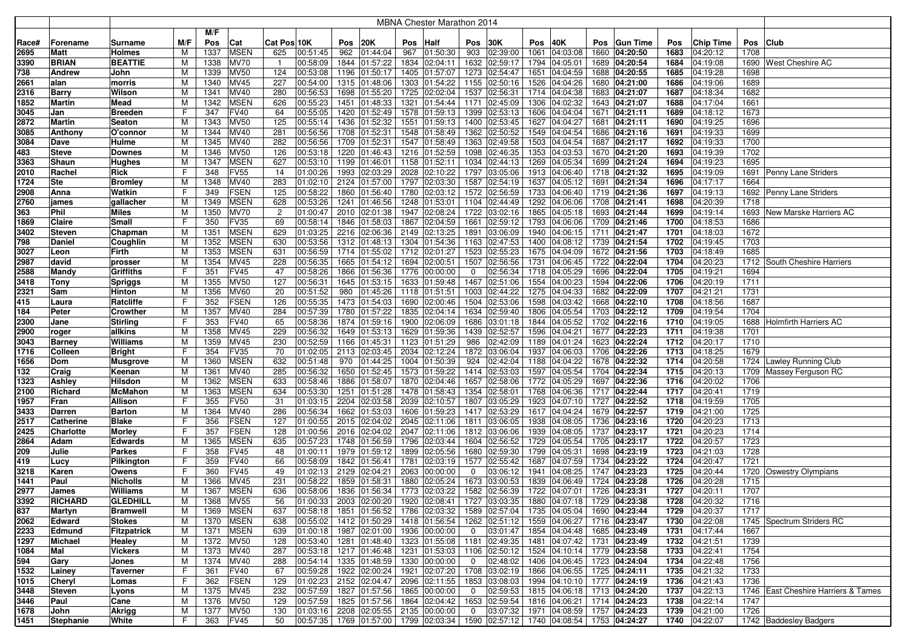|       |                  |                 |     |      |             |                |                            |      |                                          |      | MBNA Chester Marathon 2014                                                                            |                |               |      |                             |      |                 |      |                      |      |                                     |
|-------|------------------|-----------------|-----|------|-------------|----------------|----------------------------|------|------------------------------------------|------|-------------------------------------------------------------------------------------------------------|----------------|---------------|------|-----------------------------|------|-----------------|------|----------------------|------|-------------------------------------|
|       |                  |                 |     | M/F  |             |                |                            |      |                                          |      |                                                                                                       |                |               |      |                             |      |                 |      |                      |      |                                     |
| Race# | Forename         | Surname         | M/F | Pos  | Cat         | Cat Pos 10K    |                            | Pos  | 20K                                      | Pos  | Half                                                                                                  | Pos            | 30K           | Pos  | 40K                         | Pos  | <b>Gun Time</b> | Pos  | Chip Time            | Pos  | <b>Club</b>                         |
| 2695  | Matt             | <b>Holmes</b>   | M   | 1337 | <b>MSEN</b> | 625            | 00:51:45                   | 962  | 01:44:04                                 | 967  | 01:50:30                                                                                              | 903            | 02:39:00      | 1061 | 04:03:08                    |      | 1660 04:20:50   | 1683 | 04:20:12             | 1708 |                                     |
| 3390  | <b>BRIAN</b>     | <b>BEATTIE</b>  | M   | 1338 | <b>MV70</b> | $\overline{1}$ | 00:58:09                   | 1844 | 01:57:22                                 | 1834 | 02:04:11                                                                                              | 1632           | 02:59:17      | 1794 | 04:05:01                    |      | 1689 04:20:54   | 1684 | 04:19:08             |      | 1690 West Cheshire AC               |
| 738   | <b>Andrew</b>    | John            | M   | 1339 | <b>MV50</b> | 124            | 00:53:08                   | 1196 | 01:50:17                                 | 1405 | 01:57:07                                                                                              | 1273           | 02:54:47      | 1651 | 04:04:59                    |      | 1688 04:20:55   | 1685 | 04:19:28             | 1698 |                                     |
| 2661  | alan             | morris          | M   | 1340 | MV45        | 227            | 00:54:00                   | 1315 | 01:48:06                                 | 1303 | 01:54:22                                                                                              | 1155           | 02:50:16      | 1526 | 04:04:26                    |      | 1680 04:21:00   | 1686 | 04:19:06             | 1689 |                                     |
| 2316  | <b>Barry</b>     | Wilson          | м   | 1341 | MV40        | 280            | 00:56:53                   | 1698 | 01:55:20                                 |      | 1725 02:02:04                                                                                         | 1537           | 02:56:31      | 1714 | 04:04:38                    |      | 1683 04:21:07   | 1687 | 04:18:34             | 1682 |                                     |
| 1852  | Martin           | Mead            | M   | 1342 | <b>MSEN</b> | 626            | 00:55:23                   | 1451 | 01:48:33                                 | 1321 | 01:54:44                                                                                              | 1171           | 02:45:09      | 1306 | 04:02:32                    |      | 1643 04:21:07   | 1688 | 04:17:04             | 1661 |                                     |
| 3045  | Jan              | Breeden         | F   | 347  | <b>FV40</b> | 64             | 00:55:05                   |      | 1420 01:52:49                            |      | 1578 01:59:13                                                                                         | 1399           | 02:53:13      | 1606 | 04:04:04                    |      | 1671 04:21:11   | 1689 | 04:18:12             | 1673 |                                     |
| 2872  | <b>Martin</b>    | Seaton          | M   | 1343 | <b>MV50</b> | 125            | 00:55:14                   | 1436 | 01:52:32                                 | 1551 | 01:59:13                                                                                              | 1400           | 02:53:45      | 1627 | 04:04:27                    | 1681 | 04:21:11        | 1690 | 04:19:25             | 1696 |                                     |
| 3085  | Anthony          | O'connoı        | M   | 1344 | MV40        | 281            | 00:56:56                   |      | 1708 01:52:31                            |      | 1548 01:58:49                                                                                         | 1362           | 02:50:52      | 1549 | 04:04:54                    |      | 1686 04:21:16   | 1691 | 04:19:33             | 1699 |                                     |
|       |                  |                 |     |      | MV40        | 282            | 00:56:56                   |      | 1709 01:52:31                            |      |                                                                                                       | 1363           | 02:49:58      | 1503 |                             |      |                 | 1692 | 04:19:33             | 1700 |                                     |
| 3084  | Dave             | Hulme           | M   | 1345 | <b>MV50</b> | 126            |                            |      | 1220 01:46:43                            | 1547 | 01:58:49                                                                                              | 1098           |               | 1353 | 04:04:54                    |      | 1687 04:21:17   |      |                      | 1702 |                                     |
| 483   | <b>Steve</b>     | <b>Downes</b>   | M   | 1346 | <b>MSEN</b> |                | 00:53:18                   |      |                                          |      | 1216 01:52:59                                                                                         |                | 02:46:35      |      | 04:03:53<br>1269 04:05:34   |      | 1670 04:21:20   | 1693 | 04:19:39<br>04:19:23 | 1695 |                                     |
| 3363  | Shaun            | Hughes          | M   | 1347 |             | 627            | 00:53:10                   |      | 1199 01:46:01                            |      | 1158 01:52:11                                                                                         | 1034           | 02:44:13      |      |                             |      | 1699 04:21:24   | 1694 |                      |      |                                     |
| 2010  | Rachel           | Rick            | F   | 348  | <b>FV55</b> | 14             | 01:00:26                   |      | 1993 02:03:29                            |      | 2028 02:10:22                                                                                         | 1797           | 03:05:06      |      | 1913 04:06:40               |      | 1718 04:21:32   | 1695 | 04:19:09             |      | 1691 Penny Lane Striders            |
| 1724  | Ste              | <b>Bromley</b>  | M   | 1348 | MV40        | 283            | 01:02:10                   |      | 2124 01:57:00                            |      | 1797 02:03:30                                                                                         | 1587           | 02:54:19      |      | 1637 04:05:12               |      | 1691 04:21:34   | 1696 | 04:17:17             | 1664 |                                     |
| 2908  | Anna             | Watkin          | F   | 349  | <b>FSEN</b> | 125            | 00:58:22                   |      | 1860 01:56:40                            |      | 1780 02:03:12                                                                                         | 1572           | 02:56:59      |      | 1733 04:06:40               |      | 1719 04:21:36   | 1697 | 04:19:13             |      | 1692 Penny Lane Striders            |
| 2760  | james            | gallacher       | M   | 1349 | <b>MSEN</b> | 628            | 00:53:26                   |      | 1241 01:46:56                            |      | 1248 01:53:01                                                                                         | 1104           | 02:44:49      |      | 1292 04:06:06               |      | 1708 04:21:41   | 1698 | 04:20:39             | 1718 |                                     |
| 363   | Phil             | <b>Miles</b>    | M   | 1350 | <b>MV70</b> | 2              | 01:00:47                   | 2010 | 02:01:38                                 |      | 1947 02:08:24                                                                                         | 1722           | 03:02:16      |      | 1865 04:05:18               |      | 1693 04:21:44   | 1699 | 04:19:14             |      | 1693 New Marske Harriers AC         |
| 1869  | Claire           | Small           | F   | 350  | <b>FV35</b> | 69             | 00:58:14                   | 1846 | 01:58:03                                 |      | 1867 02:04:59                                                                                         | 1661           | 02:59:12      | 1793 | 04:06:06                    |      | 1709 04:21:46   | 1700 | 04:18:53             | 1686 |                                     |
| 3402  | <b>Steven</b>    | Chapman         | M   | 1351 | <b>MSEN</b> | 629            | 01:03:25                   | 2216 | 02:06:36                                 |      | 2149 02:13:25                                                                                         | 1891           | 03:06:09      |      | 1940 04:06:15               |      | 1711 04:21:47   | 1701 | 04:18:03             | 1672 |                                     |
| 798   | Daniel           | Coughlin        | M   | 1352 | <b>MSEN</b> | 630            | 00:53:56                   |      | 1312 01:48:13                            |      | 1304 01:54:36                                                                                         | 1163           | 02:47:53      | 1400 | 04:08:12                    |      | 1739 04:21:54   | 1702 | 04:19:45             | 1703 |                                     |
| 3027  | Leon             | Firth           | M   | 1353 | <b>MSEN</b> | 631            | 00:56:59                   | 1714 | 01:55:02                                 |      | 1712 02:01:27                                                                                         | 1523           | 02:55:23      | 1675 | 04:04:09                    |      | 1672 04:21:56   | 1703 | 04:18:49             | 1685 |                                     |
| 2987  | david            | prosser         | M   | 1354 | MV45        | 228            | 00:56:35                   |      | 1665 01:54:12                            | 1694 | 02:00:51                                                                                              | 1507           | 02:56:56      | 1731 | 04:06:45                    |      | 1722 04:22:04   | 1704 | 04:20:23             |      | 1712 South Cheshire Harriers        |
| 2588  | Mandy            | Griffiths       | F   | 351  | <b>FV45</b> | 47             | 00:58:26                   |      | 1866 01:56:36                            |      | 1776 00:00:00                                                                                         | $\mathbf 0$    | 02:56:34      | 1718 | 04:05:29                    |      | 1696 04:22:04   | 1705 | 04:19:21             | 1694 |                                     |
| 3418  | <b>Tony</b>      | <b>Spriggs</b>  | M   | 1355 | <b>MV50</b> | 127            | 00:56:31                   |      | 1645 01:53:15                            |      | 1633 01:59:48                                                                                         | 1467           | 02:51:06      |      | 1554 04:00:23               |      | 1594 04:22:06   | 1706 | 04:20:19             | 1711 |                                     |
| 2321  | Sam              | Hinton          | M   | 1356 | <b>MV60</b> | 20             | 00:51:52                   |      | 980 01:45:26                             |      | 1118 01:51:51                                                                                         | 1003           | 02:44:22      | 1275 | 04:04:33                    |      | 1682 04:22:09   | 1707 | 04:21:21             | 1731 |                                     |
| 415   | Laura            | Ratcliffe       | F   | 352  | <b>FSEN</b> | 126            | 00:55:35                   |      | 1473 01:54:03                            |      | 1690 02:00:46                                                                                         | 1504           | 02:53:06      |      | 1598 04:03:42               |      | 1668 04:22:10   | 1708 | 04:18:56             | 1687 |                                     |
| 184   | Peter            | Crowther        | M   | 1357 | <b>MV40</b> | 284            | 00:57:39                   |      | 1780 01:57:22                            |      | 1835 02:04:14                                                                                         | 1634           | 02:59:40      | 1806 | 04:05:54                    |      | 1703 04:22:12   | 1709 | 04:19:54             | 1704 |                                     |
| 2300  | Jane             | Stirling        | F   | 353  | <b>FV40</b> | 65             | 00:58:36                   |      | 1874 01:59:16                            | 1900 | 02:06:09                                                                                              | 1686           | 03:01:18      |      | 1844 04:05:52               |      | 1702 04:22:16   | 1710 | 04:19:05             |      | 1688 Holmfirth Harriers AC          |
| 2900  | roger            | allkins         | M   | 1358 | MV45        | 229            | 00:56:32                   |      | 1649 01:53:13                            |      | 1629 01:59:36                                                                                         | 1439           | 02:52:57      | 1596 | 04:04:21                    |      | 1677 04:22:23   | 1711 | 04:19:38             | 1701 |                                     |
| 3043  | <b>Barney</b>    | Williams        | M   | 1359 | MV45        | 230            | 00:52:59                   |      | 1166 01:45:31                            |      | 1123 01:51:29                                                                                         | 986            | 02:42:09      | 1189 | 04:01:24                    |      | 1623 04:22:24   | 1712 | 04:20:17             | 1710 |                                     |
| 1716  | Colleen          | <b>Bright</b>   | F   | 354  | <b>FV35</b> | 70             | 01:02:05                   | 2113 | 02:03:45                                 |      | 2034 02:12:24                                                                                         | 1872           | 03:06:04      | 1937 | 04:06:03                    |      | 1706 04:22:26   | 1713 | 04:18:25             | 1679 |                                     |
| 1656  | Dom              | <b>Musgrove</b> | M   | 1360 | <b>MSEN</b> | 632            | 00:51:48                   | 970  | 01:44:25                                 | 1004 | 01:50:39                                                                                              | 924            | 02:42:04      | 1188 | 04:04:22                    |      | 1678 04:22:32   | 1714 | 04:20:58             |      | 1724 Lawley Running Club            |
| 132   | Craig            | Keenan          | M   | 1361 | MV40        | 285            | 00:56:32                   | 1650 | 01:52:45                                 |      | 1573 01:59:22                                                                                         | 1414           | 02:53:03      |      | 1597 04:05:54               |      | 1704 04:22:34   | 1715 | 04:20:13             | 1709 | Massey Ferguson RC                  |
| 1323  | Ashley           | Hilsdon         | M   | 1362 | <b>MSEN</b> | 633            | 00:58:46                   | 1886 | 01:58:07                                 |      | 1870 02:04:46                                                                                         | 1657           | 02:58:06      | 1772 | 04:05:29                    | 1697 | 04:22:36        | 1716 | 04:20:02             | 1706 |                                     |
| 2100  | Richard          | McMahon         | M   | 1363 | <b>MSEN</b> | 634            | 00:53:30                   |      | 1251 01:51:28                            |      | 1478 01:58:43                                                                                         | 1354           | 02:58:01      |      | 1768 04:06:36               |      | 1717 04:22:44   | 1717 | 04:20:41             | 1719 |                                     |
| 1957  | Fran             | Allison         | F   | 355  | <b>FV50</b> | 31             | 01:03:15                   | 2204 | 02:03:58                                 |      | 2039 02:10:57                                                                                         | 1807           | 03:05:29      | 1923 | 04:07:10                    |      | 1727 04:22:52   | 1718 | 04:19:59             | 1705 |                                     |
| 3433  | Darren           | Barton          | M   | 1364 | <b>MV40</b> | 286            | 00:56:34                   |      | 1662 01:53:03                            |      | 1606 01:59:23                                                                                         | 1417           | 02:53:29      |      | 1617 04:04:24               |      | 1679 04:22:57   | 1719 | 04:21:00             | 1725 |                                     |
| 2517  | Catherine        | Blake           | F.  | 356  | <b>FSEN</b> | 127            | 01:00:55                   |      | 2015 02:04:02                            |      | 2045 02:11:06                                                                                         | 1811           | 03:06:05      | 1938 | 04:08:05                    |      | 1736 04:23:16   | 1720 | 04:20:23             | 1713 |                                     |
| 2425  | <b>Charlotte</b> | Morley          | F   | 357  | <b>FSEN</b> | 128            | 01:00:56                   |      | 2016 02:04:02                            |      | 2047 02:11:06                                                                                         |                | 1812 03:06:06 |      | 1939 04:08:05               |      | 1737 04:23:17   | 1721 | 04:20:23             | 1714 |                                     |
| 2864  | Adam             | Edwards         | M   | 1365 | <b>MSEN</b> | 635            | 00:57:23                   |      | 1748 01:56:59                            |      | 1796 02:03:44                                                                                         | 1604           | 02:56:52      |      | 1729 04:05:54               |      | 1705 04:23:17   | 1722 | 04:20:57             | 1723 |                                     |
| 209   | Julie            | <b>Parkes</b>   | F   | 358  | <b>FV45</b> | 48             | 01:00:11                   |      | 1979 01:59:12                            | 1899 | 02:05:56                                                                                              | 1680           | 02:59:30      | 1799 | 04:05:31                    |      | 1698 04:23:19   | 1723 | 04:21:03             | 1728 |                                     |
| 419   | Lucy             | Pilkington      | F   | 359  | <b>FV40</b> | 66             | 00:58:09                   |      | 1842 01:56:41                            | 1781 | 02:03:19                                                                                              | 1577           | 02:55:42      |      | 1687 04:07:59               |      | 1734 04:23:22   | 1724 | 04:20:47             | 1721 |                                     |
| 3218  | Karen            | Owens           | F   | 360  | <b>FV45</b> | 49             | 01:02:13                   | 2129 | 02:04:21                                 | 2063 | 00:00:00                                                                                              | 0              | 03:06:12      | 1941 | 04:08:25                    |      | 1747 04:23:23   | 1725 | 04:20:44             | 1720 | <b>Oswestry Olympians</b>           |
| 1441  | Paul             | Nicholls        | M   | 1366 | MV45        | 231            | 00:58:22                   | 1859 | 01:58:31                                 | 1880 | 02:05:24                                                                                              | 1673           | 03:00:53      | 1839 | 04:06:49                    |      | 1724 04:23:28   | 1726 | 04:20:28             | 1715 |                                     |
| 2977  | James            | Williams        | M   | 1367 | <b>MSEN</b> | 636            | 00:58:06                   |      | 1836 01:56:34                            |      | 1773 02:03:22                                                                                         | 1582           | 02:56:39      |      | 1722 04:07:01               | 1726 | 04:23:31        | 1727 | 04:20:11             | 1707 |                                     |
| 3392  | <b>RICHARD</b>   | <b>GLEDHILL</b> | M   | 1368 | <b>MV55</b> | 56             | $ 01:00:33 $ 2003 02:00:20 |      |                                          |      | 1920 02:08:41   1727 03:03:35   1880 04:07:18   1729 04:23:38                                         |                |               |      |                             |      |                 | 1728 | 04:20:32             | 1716 |                                     |
| 837   | <b>Martyn</b>    | <b>Bramwell</b> | M   | 1369 | <b>MSEN</b> | 637            | 00:58:18                   |      | 1851 01:56:52                            |      | 1786 02:03:32                                                                                         |                | 1589 02:57:04 |      | 1735 04:05:04               |      | 1690 04:23:44   | 1729 | 04:20:37             | 1717 |                                     |
| 2062  | Edward           | <b>Stokes</b>   | M   | 1370 | <b>MSEN</b> | 638            | 00:55:02                   |      | 1412 01:50:29                            |      | 1418 01:56:54                                                                                         |                | 1262 02:51:12 |      | 1559 04:06:27 1716 04:23:47 |      |                 | 1730 | 04:22:08             |      | 1745   Spectrum Striders RC         |
| 2233  | Edmund           | Fitzpatrick     | M   | 1371 | <b>MSEN</b> | 639            | 01:00:18                   |      |                                          |      | 1987 02:01:00 1936 00:00:00                                                                           | $\overline{0}$ | 03:01:47      |      | 1854 04:04:48 1685 04:23:49 |      |                 | 1731 | 04:17:44             | 1667 |                                     |
| 1297  | Michael          | Healey          | M   | 1372 | <b>MV50</b> | 128            | 00:53:40                   |      | 1281 01:48:40                            |      | 1323 01:55:08                                                                                         |                | 1181 02:49:35 |      | 1481 04:07:42 1731 04:23:49 |      |                 | 1732 | 04:21:51             | 1739 |                                     |
| 1084  | Mal              | Vickers         | M   | 1373 | <b>MV40</b> | 287            | 00:53:18                   |      | 1217 01:46:48                            |      | 1231 01:53:03 1106 02:50:12                                                                           |                |               |      | 1524 04:10:14 1779 04:23:58 |      |                 | 1733 | 04:22:41             | 1754 |                                     |
| 594   | Gary             | Jones           | M   | 1374 | <b>MV40</b> | 288            | 00:54:14                   |      | 1335 01:48:59                            |      | 1330 00:00:00                                                                                         | $\mathbf{0}$   | 02:48:02      |      | 1406 04:06:45 7723 04:24:04 |      |                 | 1734 | 04:22:48             | 1756 |                                     |
| 1532  | Lainey           | Taverner        | F   | 361  | <b>FV40</b> | 67             | 00:59:28                   |      | 1922 02:00:24                            |      | 1921 02:07:20 1708 03:02:19                                                                           |                |               |      | 1866 04:06:55 1725 04:24:11 |      |                 | 1735 | 04:21:32             | 1733 |                                     |
| 1015  | Cheryl           | Lomas           | F   | 362  | <b>FSEN</b> | 129            | 01:02:23                   |      | 2152 02:04:47                            |      | 2096 02:11:55                                                                                         |                | 1853 03:08:03 |      | 1994 04:10:10 1777 04:24:19 |      |                 | 1736 | 04:21:43             | 1736 |                                     |
| 3448  | Steven           | Lyons           | M   | 1375 | <b>MV45</b> | 232            | 00:57:59                   |      | 1827 01:57:56                            |      | 1865 00:00:00                                                                                         | $\overline{0}$ | 02:59:53      |      | 1815 04:06:18 1713 04:24:20 |      |                 | 1737 | 04:22:13             |      | 1746 East Cheshire Harriers & Tames |
| 3446  | Paul             | Cane            | M   | 1376 | <b>MV50</b> | 129            | 00:57:59                   |      | 1825 01:57:56                            |      | 1864 02:04:42                                                                                         |                | 1653 02:59:54 |      | 1816 04:06:21               |      | 1714 04:24:23   | 1738 | 04:22:14             | 1747 |                                     |
| 1678  | John             | Akrigg          | M   | 1377 | <b>MV50</b> | 130            |                            |      | $ 01:03:16 $ 2208 02:05:55 2135 00:00:00 |      |                                                                                                       | $\overline{0}$ | 03:07:32      |      | 1971 04:08:59               |      | 1757 04:24:23   | 1739 | 04:21:00             | 1726 |                                     |
| 1451  | Stephanie        | White           | F   | 363  | <b>FV45</b> | 50             |                            |      |                                          |      | $ 00:57:35 $ 1769 $ 01:57:00 $ 1799 $ 02:03:34 $ 1590 $ 02:57:12 $ 1740 $ 04:08:54 $ 1753 $ 04:24:27$ |                |               |      |                             |      |                 |      | 1740 04:22:07        |      | 1742 Baddesley Badgers              |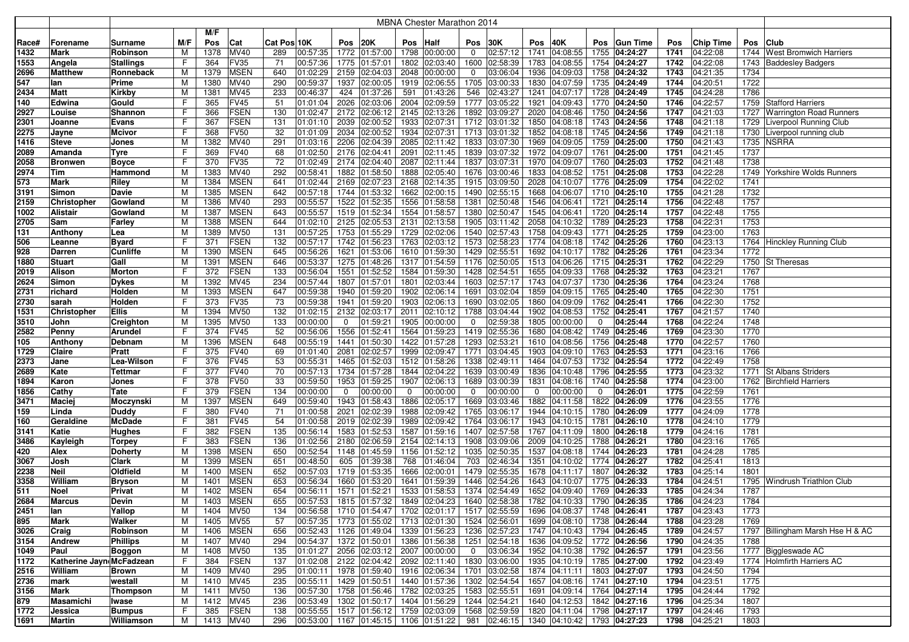|            |                          |                               |        |            |                            |             |                      |                     |                      |     | MBNA Chester Marathon 2014                                    |              |                           |           |                             |             |                             |              |                      |      |                                  |
|------------|--------------------------|-------------------------------|--------|------------|----------------------------|-------------|----------------------|---------------------|----------------------|-----|---------------------------------------------------------------|--------------|---------------------------|-----------|-----------------------------|-------------|-----------------------------|--------------|----------------------|------|----------------------------------|
|            |                          |                               |        | M/F        |                            |             |                      |                     |                      |     |                                                               |              |                           |           |                             |             |                             |              |                      |      |                                  |
| Race#      | Forename                 | Surname                       | M/F    | Pos        | Cat                        | Cat Pos 10K |                      | Pos                 | 20K                  | Pos | Half                                                          | Pos          | 30K                       | Pos       | 40K                         | <b>Pos</b>  | <b>Gun Time</b>             | Pos          | Chip Time            | Pos  | <b>Club</b>                      |
| 1432       | Mark                     | Robinson                      | M      | 1378       | <b>MV40</b>                | 289         | 00:57:35             |                     | 1772 01:57:00        |     | 1798 00:00:00                                                 | $\mathbf{0}$ | 02:57:12                  | 1741      | 04:08:55                    | 1755        | 04:24:27                    | 1741         | 04:22:08             |      | 1744 West Bromwich Harriers      |
| 1553       | Angela                   | <b>Stallings</b>              | F      | 364        | FV35                       | 71          | 00:57:36             | 1775                | 01:57:01             |     | 1802 02:03:40                                                 | 1600         | 02:58:39                  | 1783      | 04:08:55                    |             | 1754 04:24:27               | 1742         | 04:22:08             |      | 1743 Baddesley Badgers           |
| 2696       | <b>Matthew</b>           | Ronneback                     | M      | 1379       | <b>MSEN</b>                | 640         | 01:02:29             | 2159                | 02:04:03             |     | 2048 00:00:00                                                 | 0            | 03:06:04                  |           | 1936 04:09:03               |             | 1758 04:24:32               | 1743         | 04:21:35             | 1734 |                                  |
| 547        | lan                      | Prime                         | М      | 1380       | <b>MV40</b>                | 290         | 00:59:37             | 1937                | 02:00:05             |     | 1919 02:06:55                                                 |              | 1705 03:00:33             |           | 1830 04:07:59               |             | 1735 04:24:49               | 1744         | 04:20:51             | 1722 |                                  |
| 2434       | <b>Matt</b>              | <b>Kirkby</b>                 | M      | 1381       | <b>MV45</b>                | 233         | 00:46:37             | 424                 | 01:37:26             | 591 | 01:43:26                                                      | 546          | 02:43:27                  | 1241      | $\sqrt{04:07:17}$           |             | 1728 04:24:49               | 1745         | 04:24:28             | 1786 |                                  |
| 140        | Edwina                   | Gould                         | F      | 365        | FV45                       | 51          | 01:01:04             | 2026                | 02:03:06             |     | 2004 02:09:59                                                 |              | 1777 03:05:22             | 1921      | 04:09:43                    |             | 1770 04:24:50               | 1746         | 04:22:57             | 1759 | Stafford Harriers                |
| 2927       | Louise                   | Shannon                       | F      | 366        | <b>FSEN</b>                | 130         | 01:02:47             | 2172                | 02:06:12             |     | 2145 02:13:26                                                 | 1892         | 03:09:27                  |           | 2020 04:08:46               |             | 1750 04:24:56               | 1747         | 04:21:03             |      | 1727 Warrington Road Runners     |
| 2301       | Joanne                   | Evans                         | F      | 367        | <b>FSEN</b>                | 131         | 01:01:10             | 2039                | 02:00:52             |     | 1933 02:07:31                                                 |              | 1712 03:01:32             |           | 1850 04:08:18               |             | 1743 04:24:56               | 1748         | 04:21:18             | 1729 | Liverpool Running Club           |
| 2275       | Jayne                    | Mcivor                        | F      | 368        | <b>FV50</b>                | 32          | 01:01:09             | 2034                | 02:00:52             |     | 1934 02:07:31                                                 |              | 1713 03:01:32             |           | 1852 04:08:18               |             | 1745 04:24:56               | 1749         | 04:21:18             | 1730 | Liverpool running club           |
| 1416       | <b>Steve</b>             | Jones                         | М      | 1382       | MV40                       | 291         | 01:03:16             | 2206                | 02:04:39             |     | 2085 02:11:42                                                 | 1833         | 03:07:30                  | 1969      | 04:09:05                    | 1759        | 04:25:00                    | 1750         | 04:21:43             | 1735 | <b>NSRRA</b>                     |
| 2089       | Amanda                   | Tyre                          | F      | 369        | <b>FV40</b>                | 68          | 01:02:50             | 2176                | 02:04:41             |     | 2091 02:11:45                                                 | 1839         | 03:07:32                  |           | 1972 04:09:07               |             | 1761 04:25:00               | 1751         | 04:21:45             | 1737 |                                  |
| 2058       | <b>Bronwen</b>           | <b>Boyce</b>                  | F      | 370        | FV35                       | 72          | 01:02:49             | 2174                | 02:04:40             |     | 2087 02:11:44                                                 | 1837         | 03:07:31                  |           | 1970 04:09:07               | 1760        | 04:25:03                    | 1752         | 04:21:48             | 1738 |                                  |
| 2974       | Tim                      | Hammond                       | М      | 1383       | <b>MV40</b>                | 292         | 00:58:41             | 1882                | 01:58:50             |     | 1888 02:05:40                                                 |              | 1676 03:00:46             |           | 1833 04:08:52               |             | 1751 04:25:08               | 1753         | 04:22:28             |      | 1749 Yorkshire Wolds Runners     |
| 573        | Mark                     | Riley                         | м      | 1384       | <b>MSEN</b>                | 641         | 01:02:44             | 2169                | 02:07:23             |     | 2168 02:14:35                                                 |              | 1915 03:09:50             |           | 2028 04:10:07               |             | 1776 04:25:09               | 1754         | 04:22:02             | 1741 |                                  |
| 3191       | Simon                    | Davie                         | М      | 1385       | <b>MSEN</b>                | 642         | 00:57:18             | 1744                | 01:53:32             |     | 1662 02:00:15                                                 |              | 1490 02:55:15             |           | 1668 04:06:07               |             | 1710 04:25:10               | 1755         | 04:21:28             | 1732 |                                  |
| 2159       | <b>Christopher</b>       | Gowland                       | М      | 1386       | MV40                       | 293         | 00:55:57             | 1522                | 01:52:35             |     | 1556 01:58:58                                                 | 1381         | 02:50:48                  |           | 1546 04:06:41               |             | 1721 04:25:14               | 1756         | 04:22:48             | 1757 |                                  |
| 1002       | <b>Alistair</b>          | Gowland                       | М      | 1387       | <b>MSEN</b>                | 643         | 00:55:57             | 1519                | 01:52:34             |     | 1554 01:58:57                                                 | 1380         | 02:50:47                  |           | 1545 04:06:41               |             | 1720 04:25:14               | 1757         | 04:22:48             | 1755 |                                  |
| 2705       | Sam                      | Farley                        | M      | 1388       | <b>MSEN</b>                | 644         | 01:02:10             | 2125                | 02:05:53             |     | 2131 02:13:58                                                 | 1905         | 03:11:42                  |           | 2058 04:10:32               |             | 1789 04:25:23               | 1758         | 04:22:31             | 1753 |                                  |
| 131        | Anthony                  | Lea                           | м      | 1389       | <b>MV50</b>                | 131         | 00:57:25             | 1753                | 01:55:29             |     | 1729 02:02:06                                                 | 1540         | 02:57:43                  |           | 1758 04:09:43               |             | 1771 04:25:25               | 1759         | 04:23:00             | 1763 |                                  |
| 506        | Leanne                   | <b>Byard</b>                  | F      | 371        | <b>FSEN</b>                | 132         | 00:57:17             | 1742                | 01:56:23             |     | 1763 02:03:12                                                 |              | 1573 02:58:23             |           | 1774 04:08:18               |             | 1742 04:25:26               | 1760         | 04:23:13             |      | 1764 Hinckley Running Club       |
| 928        | <b>Darren</b>            | <b>Cunliffe</b>               | м      | 1390       | <b>MSEN</b>                | 645         | 00:56:26             | 1621                | 01:53:06             |     | 1610 01:59:30                                                 | 1429         | 02:55:51                  |           | 1692 04:10:17               |             | 1782 04:25:26               | 1761         | 04:23:34             | 1772 |                                  |
| 1880       | <b>Stuart</b>            | Gall                          | М      | 1391       | <b>MSEN</b>                | 646         | 00:53:37             | 1275                | 01:48:26             |     | 1317 01:54:59                                                 |              | 1176 02:50:05             |           | 1513 04:06:26               |             | 1715 04:25:31               | 1762         | 04:22:29             |      | 1750 St Theresas                 |
| 2019       | Alison                   | Morton                        | F      | 372        | <b>FSEN</b>                | 133         | 00:56:04             | 1551                | 01:52:52             |     | 1584 01:59:30                                                 | 1428         | 02:54:51                  |           | 1655 04:09:33               | 1768        | 04:25:32                    | 1763         | 04:23:21             | 1767 |                                  |
| 2624       | Simon                    | Dykes                         | M      | 1392       | <b>MV45</b>                | 234         | 00:57:44             | 1807                | 01:57:01             |     | 1801 02:03:44                                                 |              | 1603 02:57:17             |           | 1743 04:07:37               |             | 1730 04:25:36               | 1764         | 04:23:24             | 1768 |                                  |
| 2731       | richard                  | Holden                        | M      | 1393       | <b>MSEN</b>                | 647         | 00:59:38             | 1940                | 01:59:20             |     | 1902 02:06:14                                                 | 1691         | 03:02:04                  |           | 1859 04:09:15               |             | 1765 04:25:40               | 1765         | 04:22:30             | 1751 |                                  |
| 2730       | sarah                    | Holden                        |        | 373        | FV35                       | 73          | 00:59:38             | 1941                | 01:59:20             |     | 1903 02:06:13                                                 |              | 1690 03:02:05             |           | 1860 04:09:09               |             | 1762 04:25:41               | 1766         | 04:22:30             | 1752 |                                  |
| 1531       | <b>Christopher</b>       | Ellis                         | M      | 1394       | <b>MV50</b>                | 132         | 01:02:15             | 2132                | 02:03:17             |     | 2011 02:10:12                                                 |              | 1788 03:04:44             |           | 1902 04:08:53               |             | 1752 04:25:41               | 1767         | 04:21:57             | 1740 |                                  |
| 3510       | John                     | Creighton                     | M      | 1395       | <b>MV50</b>                | 133         | 00:00:00             | $\mathbf 0$         | 01:59:21             |     | 1905 00:00:00                                                 | 0            | 02:59:38                  |           | 1805 00:00:00               | $\mathbf 0$ | 04:25:44                    | 1768         | 04:22:24             | 1748 |                                  |
| 2582       | Penny                    | Arundel                       | F      | 374        | <b>FV45</b>                | 52          | 00:56:06             | 1556                | 01:52:41             |     | 1564 01:59:23                                                 |              | 1419 02:55:36             |           | 1680 04:08:42               |             | 1749 04:25:46               | 1769         | 04:23:30             | 1770 |                                  |
| 105        | Anthony                  | Debnam                        | M      | 1396       | <b>MSEN</b>                | 648         | 00:55:19             | 1441                | 01:50:30             |     | 1422 01:57:28                                                 | 1293         | 02:53:21                  |           | 1610 04:08:56               |             | 1756 04:25:48               | 1770         | 04:22:57             | 1760 |                                  |
| 1729       | <b>Claire</b>            | Pratt                         | F      | 375        | <b>FV40</b>                | 69          | 01:01:40             | 2081                | 02:02:57             |     | 1999 02:09:47                                                 | 1771         | 03:04:45                  |           | 1903 04:09:10               |             | 1763 04:25:53               | 1771         | 04:23:16             | 1766 |                                  |
| 2373       | Jane                     | Lea-Wilson                    | F      | 376        | <b>FV45</b>                | 53          | 00:55:31             | 1465                | 01:52:03             |     | 1512 01:58:26                                                 | 1338         | 02:49:11                  |           | 1464 04:07:53               |             | 1732 04:25:54               | 1772         | 04:22:49             | 1758 |                                  |
| 2689       | Kate                     | Tettmar                       | F      | 377        | <b>FV40</b>                | 70          | 00:57:13             | 1734                | 01:57:28             |     | 1844 02:04:22                                                 | 1639         | 03:00:49                  |           | 1836 04:10:48               |             | 1796 04:25:55               | 1773         | 04:23:32             |      | 1771   St Albans Striders        |
| 1894       | Karon                    | Jones<br>Tate                 | F<br>F | 378        | <b>FV50</b>                | 33<br>134   | 00:59:50             | 1953<br>$\mathbf 0$ | 01:59:25             | 0   | 1907 02:06:13                                                 | 1689<br>0    | 03:00:39                  | 1831<br>0 | 04:08:16                    | 0           | 1740 04:25:58               | 1774<br>1775 | 04:23:00             | 1761 | 1762 Birchfield Harriers         |
| 1856       | Cathy                    |                               |        | 379        | <b>FSEN</b><br><b>MSEN</b> | 649         | 00:00:00<br>00:59:40 | 1943                | 00:00:00<br>01:58:43 |     | 00:00:00<br>1886 02:05:17                                     |              | 00:00:00<br>1669 03:03:46 | 1882      | 00:00:00<br>04:11:58        |             | 04:26:01<br>1822 04:26:09   | 1776         | 04:22:59<br>04:23:55 | 1776 |                                  |
| 3471       | Maciej                   | Moczynski                     | M<br>F | 1397       | <b>FV40</b>                | 71          | 01:00:58             | 2021                | 02:02:39             |     | 1988 02:09:42                                                 |              | 1765 03:06:17             |           | 1944 04:10:15               |             | 1780 04:26:09               | 1777         | 04:24:09             | 1778 |                                  |
| 159<br>160 | Linda<br>Geraldine       | <b>Duddy</b><br><b>McDade</b> | F      | 380<br>381 | <b>FV45</b>                | 54          | 01:00:58             | 2019                | 02:02:39             |     | 1989 02:09:42                                                 |              | 1764 03:06:17             |           | 1943 04:10:15               |             | 1781 04:26:10               | 1778         | 04:24:10             | 1779 |                                  |
| 3141       | Katie                    | <b>Hughes</b>                 | F      | 382        | FSEN                       | 135         | 00:56:14             | 1583                | 01:52:53             |     | 1587 01:59:16                                                 |              | 1407 02:57:58             |           | 1767 04:11:09               |             | 1800 04:26:18               | 1779         | 04:24:16             | 1781 |                                  |
| 3486       | Kayleigh                 | <b>Torpey</b>                 | F      | 383        | FSEN                       | 136         | 01:02:56             | 2180                | 02:06:59             |     | 2154 02:14:13                                                 |              | 1908 03:09:06             |           | 2009 04:10:25               |             | 1788 04:26:21               | 1780         | 04:23:16             | 1765 |                                  |
| 420        | Alex                     | <b>Doherty</b>                | M      | 1398       | <b>MSEN</b>                | 650         | 00:52:54             | 1148                | 01:45:59             |     | 1156 01:52:12                                                 |              | 1035 02:50:35             |           | 1537 04:08:18               |             | 1744 04:26:23               | 1781         | 04:24:28             | 1785 |                                  |
| 3067       | Josh                     | Clark                         | M      | 1399       | <b>MSEN</b>                | 651         | 00:48:50             | 605                 | 01:39:38             | 768 | 01:46:04                                                      | 703          | 02:46:34                  | 1351      | 04:10:02                    |             | 1774 04:26:27               | 1782         | 04:25:41             | 1813 |                                  |
| 2238       | Neil                     | Oldfield                      | М      | 1400       | <b>MSEN</b>                | 652         | 00:57:03             | 1719                | 01:53:35             |     | 1666 02:00:01                                                 | 1479         | 02:55:35                  |           | 1678 04:11:17               |             | 1807 04:26:32               | 1783         | 04:25:14             | 1801 |                                  |
| 3358       | William                  | <b>Bryson</b>                 | м      | 1401       | <b>MSEN</b>                | 653         | 00:56:34             | 1660                | 01:53:20             |     | 1641 01:59:39                                                 | 1446         | 02:54:26                  |           | 1643 04:10:07               |             | 1775 04:26:33               | 1784         | 04:24:51             |      | 1795 Windrush Triathlon Club     |
| 511        | Noel                     | Privat                        | м      | 1402       | MSEN                       | 654         | 00:56:11             | 1571                | 01:52:21             |     | 1533 01:58:53                                                 |              | 1374 02:54:49             |           | 1652 04:09:40               |             | 1769 04:26:33               | 1785         | 04:24:34             | 1787 |                                  |
| 2684       | <b>Marcus</b>            | Devin                         | м      | 1403       | <b>MSEN</b>                | 655         | 00:57:53             |                     | 1815 01:57:32        |     | 1849 02:04:23   1640 02:58:38   1782 04:10:33   1790 04:26:35 |              |                           |           |                             |             |                             | 1786         | 04:24:23             | 1784 |                                  |
| 2451       | lan                      | Yallop                        | М      | 1404       | <b>MV50</b>                | 134         | 00:56:58             |                     |                      |     | 1710 01:54:47 1702 02:01:17 1517 02:55:59                     |              |                           |           |                             |             | 1696 04:08:37 1748 04:26:41 | 1787         | 04:23:43             | 1773 |                                  |
| 895        | Mark                     | Walker                        | M      | 1405       | <b>MV55</b>                | 57          | 00:57:35             |                     |                      |     | 1773 01:55:02 1713 02:01:30 1524 02:56:01                     |              |                           |           |                             |             | 1699 04:08:10 1738 04:26:44 | 1788         | 04:23:28             | 1769 |                                  |
| 3026       | Craig                    | Robinson                      | M      | 1406       | <b>MSEN</b>                | 656         | 00:52:43             |                     | 1126 01:49:04        |     | 1339 01:56:23 1236 02:57:23                                   |              |                           |           |                             |             | 1747 04:10:43 1794 04:26:45 | 1789         | 04:24:57             |      | 1797 Billingham Marsh Hse H & AC |
| 3154       | Andrew                   | <b>Phillips</b>               | М      | 1407       | <b>MV40</b>                | 294         | 00:54:37             |                     |                      |     | 1372 01:50:01 1386 01:56:38 1251 02:54:18                     |              |                           |           |                             |             | 1636 04:09:52 772 04:26:56  | 1790         | 04:24:35             | 1788 |                                  |
| 1049       | Paul                     | <b>Boggon</b>                 | м      | 1408       | <b>MV50</b>                | 135         | 01:01:27             |                     |                      |     | 2056 02:03:12 2007 00:00:00                                   | $\mathbf{0}$ | 03:06:34                  |           |                             |             | 1952 04:10:38 1792 04:26:57 | 1791         | 04:23:56             |      | 1777 Biggleswade AC              |
| 1172       | Katherine Jayn McFadzean |                               | F      | 384        | <b>FSEN</b>                | 137         | 01:02:08             |                     |                      |     | 2122 02:04:42 2092 02:11:40 1830 03:06:00                     |              |                           |           |                             |             | 1935 04:10:19 1785 04:27:00 | 1792         | 04:23:49             |      | 1774 Holmfirth Harriers AC       |
| 2516       | William                  | Brown                         | М      | 1409       | <b>MV40</b>                | 295         | 01:00:11             |                     | 1978 01:59:40        |     | 1916 02:06:34 1701 03:02:58                                   |              |                           |           | 1874 04:11:11 1803 04:27:07 |             |                             | 1793         | 04:24:50             | 1794 |                                  |
| 2736       | mark                     | westall                       | M      | 1410       | <b>MV45</b>                | 235         | 00:55:11             |                     | 1429 01:50:51        |     | 1440 01:57:36 1302 02:54:54                                   |              |                           |           |                             |             | 1657 04:08:16 1741 04:27:10 | 1794         | 04:23:51             | 1775 |                                  |
| 3156       | Mark                     | Thompson                      | M      | 1411       | <b>MV50</b>                | 136         | 00:57:30             |                     | 1758 01:56:46        |     | 1782 02:03:25 1583 02:55:51                                   |              |                           |           |                             |             | 1691 04:09:14 1764 04:27:14 | 1795         | 04:24:44             | 1792 |                                  |
| 879        | Masamichi                | lwase                         | M      | 1412       | <b>MV45</b>                | 236         | 00:53:49             |                     | 1302 01:50:17        |     | 1404 01:56:29                                                 |              | 1244 02:54:21             |           | 1640 04:12:53               |             | 1842 04:27:16               | 1796         | 04:25:34             | 1807 |                                  |
| 1772       | Jessica                  | <b>Bumpus</b>                 | F      | 385        | <b>FSEN</b>                | 138         | 00:55:55             |                     |                      |     | 1517 01:56:12 1759 02:03:09                                   |              | 1568 02:59:59             |           |                             |             | 1820 04:11:04 1798 04:27:17 | 1797         | 04:24:46             | 1793 |                                  |
| 1691       | <b>Martin</b>            | Williamson                    | M      | 1413       | <b>MV40</b>                | 296         | 00:53:00             |                     |                      |     | 1167 01:45:15 1106 01:51:22                                   |              | 981 02:46:15              |           |                             |             | 1340 04:10:42 1793 04:27:23 | 1798         | 04:25:21             | 1803 |                                  |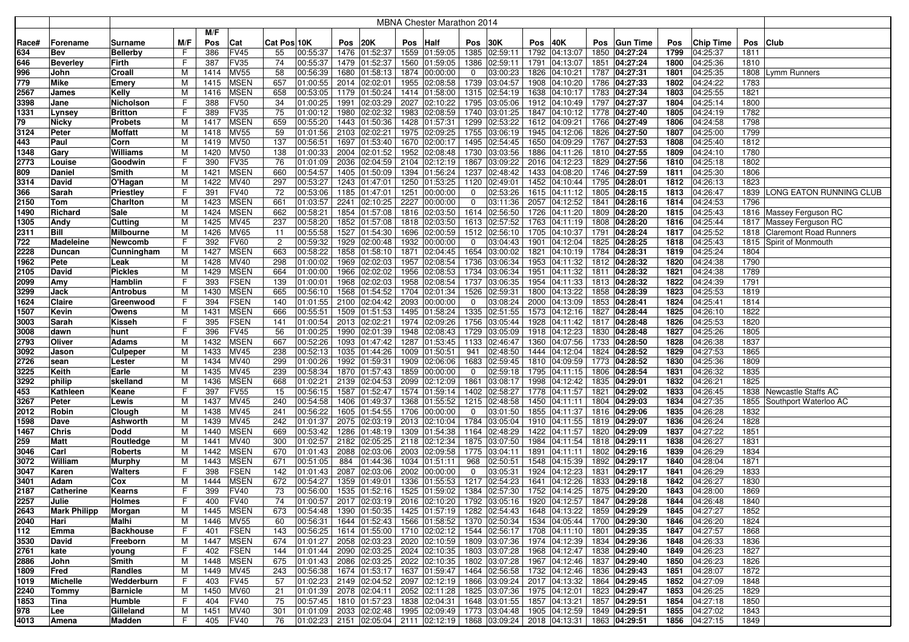|              |                     |                               |        |              |                            |                |                            |              |                      |     | MBNA Chester Marathon 2014                                                                            |             |                           |      |                                                            |      |                                |              |                      |              |                               |
|--------------|---------------------|-------------------------------|--------|--------------|----------------------------|----------------|----------------------------|--------------|----------------------|-----|-------------------------------------------------------------------------------------------------------|-------------|---------------------------|------|------------------------------------------------------------|------|--------------------------------|--------------|----------------------|--------------|-------------------------------|
|              |                     |                               |        | M/F          |                            |                |                            |              |                      |     |                                                                                                       |             |                           |      |                                                            |      |                                |              |                      |              |                               |
| Race#        | Forename            | Surname                       | M/F    | Pos          | Cat                        | Cat Pos 10K    |                            | Pos          | 20K                  | Pos | Half                                                                                                  | Pos         | 30K                       | Pos  | 40K                                                        | Pos  | <b>Gun Time</b>                | Pos          | <b>Chip Time</b>     | Pos          | <b>Club</b>                   |
| 634          | Bev                 | <b>Bellerby</b>               | F      | 386          | <b>FV45</b>                | 55             | 00:55:37                   | 1476         | 01:52:37             |     | 1559 01:59:05                                                                                         | 1385        | 02:59:11                  | 1792 | 04:13:07                                                   | 1850 | 04:27:24                       | 1799         | 04:25:37             | 1811         |                               |
| 646          | <b>Beverley</b>     | Firth                         | F      | 387          | <b>FV35</b>                | 74             | 00:55:37                   | 1479         | 01:52:37             |     | 1560 01:59:05                                                                                         | 1386        | 02:59:11                  | 1791 | 04:13:07                                                   |      | 1851 04:27:24                  | 1800         | 04:25:36             | 1810         |                               |
| 996          | John                | Croall                        | M      | 1414         | <b>MV55</b>                | 58             | 00:56:39                   | 1680         | 01:58:13             |     | 1874 00:00:00                                                                                         | 0           | 03:00:23                  |      | 1826 04:10:21                                              |      | 1787 04:27:31                  | 1801         | 04:25:35             | 1808         | Lymm Runners                  |
| 779          | <b>Mike</b>         | Emery                         | М      | 1415         | <b>MSEN</b>                | 657            | 01:00:55                   | 2014         | 02:02:01             |     | 1955 02:08:58                                                                                         | 1739        | 03:04:57                  | 1908 | 04:10:20                                                   |      | 1786 04:27:33                  | 1802         | 04:24:22             | 1783         |                               |
| 2567         | <b>James</b>        | Kelly                         | м      | 1416         | <b>MSEN</b>                | 658            | 00:53:05                   | 1179         | 01:50:24             |     | 1414 01:58:00                                                                                         | 1315        | 02:54:19                  |      | 1638 04:10:17                                              |      | 1783 04:27:34                  | 1803         | 04:25:55             | 1821         |                               |
| 3398         | Jane                | Nicholson                     | F      | 388          | <b>FV50</b>                | 34             | 01:00:25                   | 1991         | 02:03:29             |     | 2027 02:10:22                                                                                         | 1795        | 03:05:06                  |      | 1912 04:10:49                                              |      | 1797 04:27:37                  | 1804         | 04:25:14             | 1800         |                               |
| 1331         | Lynsey              | Britton                       | F      | 389          | FV35                       | 75             | 01:00:12                   | 1980         | 02:02:32             |     | 1983 02:08:59                                                                                         |             | 1740 03:01:25             |      | 1847 04:10:12                                              |      | 1778 04:27:40                  | 1805         | 04:24:19             | 1782         |                               |
| 79           | Nicky               | Probets                       | м      | 1417         | <b>MSEN</b>                | 659            | 00:55:20                   | 1443         | 01:50:36             |     | 1428 01:57:31                                                                                         | 1299        | 02:53:22                  |      | 1612 04:09:21                                              |      | 1766 04:27:49                  | 1806         | 04:24:58             | 1798         |                               |
| 3124         | Peter               | Moffatt                       | М      | 1418         | <b>MV55</b>                | 59             | 01:01:56                   | 2103         | 02:02:21             |     | 1975 02:09:25                                                                                         |             | 1755 03:06:19             |      | 1945 04:12:06                                              |      | 1826 04:27:50                  | 1807         | 04:25:00             | 1799         |                               |
| 443          | Paul                | Corn                          | м      | 1419         | <b>MV50</b>                | 137            | 00:56:51                   | 1697         | 01:53:40             |     | 1670 02:00:17                                                                                         |             | 1495 02:54:45             |      | 1650 04:09:29                                              |      | 1767 04:27:53                  | 1808         | 04:25:40             | 1812         |                               |
| 1348         | Gary                | Williams                      | М      | 1420         | <b>MV50</b>                | 138            | 01:00:33                   | 2004         | 02:01:52             |     | 1952 02:08:48                                                                                         |             | 1730 03:03:56             |      | 1886 04:11:26                                              |      | 1810 04:27:55                  | 1809         | 04:24:10             | 1780         |                               |
| 2773         | Louise              | Goodwin                       | F      | 390          | FV35                       | 76             | 01:01:09                   | 2036         | 02:04:59             |     | 2104 02:12:19                                                                                         |             | 1867 03:09:22             |      | 2016 04:12:23                                              |      | 1829 04:27:56                  | 1810         | 04:25:18             | 1802         |                               |
| 809          | Daniel              | Smith                         | М      | 1421         | <b>MSEN</b>                | 660            | 00:54:57                   | 1405         | 01:50:09             |     | 1394 01:56:24                                                                                         |             | 1237 02:48:42             |      | 1433 04:08:20                                              |      | 1746 04:27:59                  | 1811         | 04:25:30             | 1806         |                               |
| 3314         | David               | O'Hagan                       | M      | 1422         | <b>MV40</b>                | 297            | 00:53:27                   | 1243         | 01:47:01             |     | 1250 01:53:25                                                                                         | 1120        | 02:49:01                  |      | 1452 04:10:44                                              |      | 1795 04:28:01                  | 1812         | 04:26:13             | 1823         |                               |
| 366          | Sarah               | Priestley                     |        | 391          | <b>FV40</b>                | 72             | 00:53:06                   | 1185         | 01:47:01             |     | 1251 00:00:00                                                                                         | 0           | 02:53:26                  |      | 1615 04:11:12                                              |      | 1805 04:28:15                  | 1813         | 04:26:47             |              | 1839 LONG EATON RUNNING CLUB  |
| 2150         | Tom                 | Charlton                      | M      | 1423         | <b>MSEN</b><br><b>MSEN</b> | 661            | 01:03:57<br>00:58:21       | 2241         | 02:10:25             |     | 2227 00:00:00                                                                                         | 0           | 03:11:36<br>1614 02:56:50 |      | 2057 04:12:52<br>1726 04:11:20                             |      | 1841 04:28:16                  | 1814         | 04:24:53             | 1796         | 1816 Massey Ferguson RC       |
| 1490         | Richard             | Sale                          | м<br>М | 1424<br>1425 | <b>MV45</b>                | 662<br>237     | 00:58:20                   | 1854<br>1852 | 01:57:08<br>01:57:08 |     | 1816 02:03:50<br>1818 02:03:50                                                                        |             | 1613 02:57:52             |      | 1763 04:11:19                                              |      | 1809 04:28:20<br>1808 04:28:20 | 1815<br>1816 | 04:25:43<br>04:25:44 |              | 1817 Massey Ferguson RC       |
| 1305<br>2311 | Andy<br><b>Bill</b> | Cutting<br>Milbourne          | М      | 1426         | <b>MV65</b>                | 11             | 00:55:58                   | 1527         | 01:54:30             |     | 1696 02:00:59                                                                                         | 1512        | 02:56:10                  |      | 1705 04:10:37                                              | 1791 | 04:28:24                       | 1817         | 04:25:52             | 1818         | <b>Claremont Road Runners</b> |
| 722          | <b>Madeleine</b>    | Newcomb                       | F      | 392          | <b>FV60</b>                | $\overline{2}$ | 00:59:32                   | 1929         | 02:00:48             |     | 1932 00:00:00                                                                                         | $\mathbf 0$ | 03:04:43                  | 1901 | 04:12:04                                                   |      | 1825 04:28:25                  | 1818         | 04:25:43             |              | 1815 Spirit of Monmouth       |
| 2228         | <b>Duncan</b>       | Cunningham                    | M      | 1427         | <b>MSEN</b>                | 663            | 00:58:22                   | 1858         | 01:58:10             |     | 1871 02:04:45                                                                                         | 1654        | 03:00:02                  | 1821 | 04:10:19                                                   |      | 1784 04:28:31                  | 1819         | 04:25:24             | 1804         |                               |
| 1962         | Pete                | Leak                          | M      | 1428         | MV40                       | 298            | 01:00:02                   | 1969         | 02:02:03             |     | 1957 02:08:54                                                                                         | 1736        | 03:06:34                  | 1953 | 04:11:32                                                   |      | 1812 04:28:32                  | 1820         | 04:24:38             | 1790         |                               |
| 2105         | David               | Pickles                       | M      | 1429         | <b>MSEN</b>                | 664            | 01:00:00                   | 1966         | 02:02:02             |     | 1956 02:08:53                                                                                         | 1734        | 03:06:34                  | 1951 | 04:11:32                                                   |      | 1811 04:28:32                  | 1821         | 04:24:38             | 1789         |                               |
| 2099         | Amy                 | Hamblin                       | F      | 393          | <b>FSEN</b>                | 139            | 01:00:01                   | 1968         | 02:02:03             |     | 1958 02:08:54 1737 03:06:35                                                                           |             |                           |      | 1954 04:11:33                                              |      | 1813 04:28:32                  | 1822         | 04:24:39             | 1791         |                               |
| 3299         | Jack                | <b>Antrobus</b>               | M      | 1430         | <b>MSEN</b>                | 665            | 00:56:10                   | 1568         | 01:54:52             |     | 1704 02:01:34                                                                                         | 1526        | 02:59:31                  |      | 1800 04:13:22                                              |      | 1858 04:28:39                  | 1823         | 04:25:53             | 1819         |                               |
| 1624         | <b>Claire</b>       | Greenwood                     | F      | 394          | <b>FSEN</b>                | 140            | 01:01:55                   |              | 2100 02:04:42        |     | 2093 00:00:00                                                                                         | $\mathbf 0$ | 03:08:24                  |      | 2000 04:13:09                                              |      | 1853 04:28:41                  | 1824         | 04:25:41             | 1814         |                               |
| 1507         | Kevin               | Owens                         | M      | 1431         | <b>MSEN</b>                | 666            | 00:55:51                   | 1509         | 01:51:53             |     | 1495 01:58:24                                                                                         |             | 1335 02:51:55             |      | 1573 04:12:16                                              |      | 1827 04:28:44                  | 1825         | 04:26:10             | 1822         |                               |
| 3003         | Sarah               | Kisseh                        | F      | 395          | <b>FSEN</b>                | 141            | 01:00:54                   | 2013         | 02:02:21             |     | 1974 02:09:26                                                                                         | 1756        | 03:05:44                  |      | 1928 04:11:42                                              |      | 1817 04:28:48                  | 1826         | 04:25:53             | 1820         |                               |
| 3008         | dawn                | hunt                          | F      | 396          | <b>FV45</b>                | 56             | 01:00:25                   | 1990         | 02:01:39             |     | 1948 02:08:43                                                                                         |             | 1729 03:05:09             |      | 1918 04:12:23                                              |      | 1830 04:28:48                  | 1827         | 04:25:26             | 1805         |                               |
| 2793         | Oliver              | Adams                         | м      | 1432         | <b>MSEN</b>                | 667            | 00:52:26                   | 1093         | 01:47:42             |     | 1287 01:53:45                                                                                         | 1133        | 02:46:47                  |      | 1360 04:07:56                                              |      | 1733 04:28:50                  | 1828         | 04:26:38             | 1837         |                               |
| 3092         | Jason               | Culpeper                      | м      | 1433         | <b>MV45</b>                | 238            | 00:52:13                   | 1035         | 01:44:26             |     | 1009 01:50:51                                                                                         | 941         | 02:48:50                  |      | 1444 04:12:04                                              |      | 1824 04:28:52                  | 1829         | 04:27:53             | 1865         |                               |
| 2726         | sean                | Lester                        | м      | 1434         | <b>MV40</b>                | 299            | 01:00:26                   | 1992         | 01:59:31             |     | 1909 02:06:06                                                                                         | 1683        | 02:59:45                  |      | 1810 04:09:59                                              |      | 1773 04:28:52                  | 1830         | 04:25:36             | 1809         |                               |
| 3225         | Keith               | Earle                         | М      | 1435         | MV45                       | 239            | 00:58:34                   | 1870         | 01:57:43             |     | 1859 00:00:00                                                                                         | $\mathbf 0$ | 02:59:18                  |      | 1795 04:11:15                                              |      | 1806 04:28:54                  | 1831         | 04:26:32             | 1835         |                               |
| 3292         | philip              | skelland                      | M      | 1436         | <b>MSEN</b>                | 668            | 01:02:21                   | 2139         | 02:04:53             |     | 2099 02:12:09                                                                                         | 1861        | 03:08:17                  |      | 1998 04:12:42                                              | 1835 | 04:29:01                       | 1832         | 04:26:21             | 1825         |                               |
| 453          | Kathleen            | Keane                         | F      | 397          | <b>FV55</b>                | 15             | 00:56:15                   | 1587         | 01:52:47             |     | 1574 01:59:14                                                                                         |             | 1402 02:58:27             |      | 1778 04:11:57                                              |      | 1821 04:29:02                  | 1833         | 04:26:45             |              | 1838 Newcastle Staffs AC      |
| 3267         | Peter               | Lewis                         | м      | 1437         | <b>MV45</b>                | 240            | 00:54:58                   | 1406         | 01:49:37             |     | 1368 01:55:52                                                                                         |             | 1215 02:48:58             |      | 1450 04:11:11                                              |      | 1804 04:29:03                  | 1834         | 04:27:35             |              | 1855 Southport Waterloo AC    |
| 2012         | Robin               | Clough                        | M      | 1438         | <b>MV45</b>                | 241            | 00:56:22                   | 1605         | 01:54:55             |     | 1706 00:00:00                                                                                         | 0           | 03:01:50                  |      | 1855 04:11:37                                              |      | 1816 04:29:06                  | 1835         | 04:26:28             | 1832         |                               |
| 1598         | Dave                | Ashworth                      | M      | 1439         | <b>MV45</b>                | 242            | 01:01:37                   | 2075         | 02:03:19             |     | 2013 02:10:04                                                                                         |             | 1784 03:05:04             |      | 1910 04:11:55                                              |      | 1819 04:29:07                  | 1836         | 04:26:24             | 1828         |                               |
| 1467         | <b>Chris</b>        | Dodd                          | М      | 1440         | <b>MSEN</b>                | 669            | 00:53:42                   | 1286         | 01:48:19             |     | 1309 01:54:38                                                                                         |             | 1164 02:48:29             |      | 1422 04:11:57                                              |      | 1820 04:29:09                  | 1837         | 04:27:22             | 1851         |                               |
| 259          | <b>Matt</b>         | Routledge                     | M      | 1441         | MV40                       | 300            | 01:02:57                   | 2182         | 02:05:25             |     | 2118 02:12:34                                                                                         |             | 1875 03:07:50             |      | 1984 04:11:54                                              |      | 1818 04:29:11                  | 1838         | 04:26:27             | 1831         |                               |
| 3046         | Carl                | Roberts                       | М      | 1442         | <b>MSEN</b>                | 670            | 01:01:43                   | 2088         | 02:03:06             |     | 2003 02:09:58                                                                                         | 1775        | 03:04:11                  | 1891 | 04:11:11                                                   |      | 1802 04:29:16                  | 1839         | 04:26:29             | 1834         |                               |
| 3072         | William             | Murphy                        | M      | 1443         | MSEN                       | 671            | 00:51:05                   | 884          | 01:44:36             |     | 1034 01:51:11                                                                                         | 968         | 02:50:51                  |      | 1548 04:15:39                                              |      | 1892 04:29:17                  | 1840         | 04:28:04             | 1871         |                               |
| 3047         | Karen               | <b>Walters</b>                | F      | 398          | <b>FSEN</b>                | 142            | 01:01:43                   | 2087         | 02:03:06             |     | 2002 00:00:00                                                                                         | 0           | 03:05:31                  |      | 1924 04:12:23                                              | 1831 | 04:29:17                       | 1841         | 04:26:29             | 1833         |                               |
| 3401         | Adam                | Cox                           | M      | 1444         | <b>MSEN</b>                | 672            | 00:54:27                   | 1359         | 01:49:01             |     | 1336 01:55:53                                                                                         | 1217        | 02:54:23                  | 1641 | 04:12:26                                                   |      | 1833 04:29:18                  | 1842         | 04:26:27             | 1830         |                               |
| 2187         | <b>Catherine</b>    | Kearns                        | F      | 399          | <b>FV40</b>                | 73             | 00:56:00                   | 1535         | 01:52:16             |     | 1525 01:59:02                                                                                         |             | 1384 02:57:30             |      | 1752 04:14:25                                              |      | 1875 04:29:20                  | 1843         | 04:28:00             | 1869         |                               |
| 2257         | Julie               | Holmes                        | Е,     | 400          | <b>FV40</b>                | 74             | 01:00:57                   |              |                      |     | 2017 02:03:19 2016 02:10:20 1792 03:05:16 1920 04:12:57 1847 04:29:28                                 |             |                           |      |                                                            |      |                                | 1844         | 04:26:48             | 1840         |                               |
| 2643         | <b>Mark Philipp</b> | Morgan                        | М      | 1445         | <b>MSEN</b>                | 673            | 00:54:48                   |              |                      |     | 1390 01:50:35 1425 01:57:19 1282 02:54:43                                                             |             |                           |      | 1648 04:13:22 1859 04:29:29                                |      |                                | 1845         | 04:27:27             | 1852         |                               |
| 2040         | Hari                | Malhi                         | М      | 1446         | <b>MV55</b>                | 60             | 00:56:31                   |              |                      |     | 1644 01:52:43 1566 01:58:52 1370 02:50:34                                                             |             |                           |      | 1534 04:05:44 1700 04:29:30                                |      |                                | 1846         | 04:26:20             | 1824         |                               |
| 112          | Emma                | <b>Backhouse</b>              | F      | 401          | <b>FSEN</b>                | 143<br>674     | 00:56:25                   |              | 2058 02:03:23        |     | 1614 01:55:00 1710 02:02:12 1544 02:56:17                                                             |             |                           |      | 1708 04:11:10 1801 04:29:35                                |      |                                | 1847         | 04:27:57             | 1868         |                               |
| 3530         | David               | Freeborn                      | м      | 1447         | <b>MSEN</b><br><b>FSEN</b> |                | 01:01:27                   |              |                      |     | 2020 02:10:59<br>2090 02:03:25 2024 02:10:35 1803 03:07:28                                            |             | 1809 03:07:36             |      | 1974 04:12:39                                              |      | 1834 04:29:36                  | 1848         | 04:26:33             | 1836<br>1827 |                               |
| 2761<br>2886 | kate                | young                         | F.     | 402          | <b>MSEN</b>                | 144<br>675     | 01:01:44<br>01:01:43       |              |                      |     | 2086 02:03:25 2022 02:10:35 1802 03:07:28                                                             |             |                           |      | 1968 04:12:47 1838 04:29:40<br>1967 04:12:46 1837 04:29:40 |      |                                | 1849<br>1850 | 04:26:23<br>04:26:23 | 1826         |                               |
|              | John<br>Fred        | Smith                         | M<br>M | 1448         | MV45                       | 243            | 00:56:38                   |              | 1674 01:53:17        |     | 1637 01:59:47 1464 02:56:58                                                                           |             |                           |      | 1732 04:12:46 1836 04:29:43                                |      |                                | 1851         | 04:28:07             | 1872         |                               |
| 1809         | Michelle            | Randles                       | F.     | 1449         |                            | 57             | 01:02:23                   |              | 2149 02:04:52        |     | 2097 02:12:19 1866 03:09:24                                                                           |             |                           |      | 2017 04:13:32 1864 04:29:45                                |      |                                | 1852         | 04:27:09             |              |                               |
| 1019<br>2240 | Tommy               | Wedderburn<br><b>Barnicle</b> | M      | 403<br>1450  | <b>FV45</b><br>MV60        | 21             | 01:01:39                   |              | 2078 02:04:11        |     | 2052 02:11:28 1825 03:07:36                                                                           |             |                           |      | 1975 04:12:01 1823 04:29:47                                |      |                                | 1853         | 04:26:25             | 1848<br>1829 |                               |
| 1853         | <b>Tina</b>         | Humble                        | F      | 404          | <b>FV40</b>                | 75             | 00:57:45                   |              | 1810 01:57:23        |     | 1838 02:04:31 1648 03:01:55                                                                           |             |                           |      | 1857 04:13:21 1857 04:29:51                                |      |                                | 1854         | 04:27:18             | 1850         |                               |
| 978          | Lee                 | Gilleland                     | М      | 1451         | MV40                       | 301            | $ 01:01:09 $ 2033 02:02:48 |              |                      |     | 1995 02:09:49 1773 03:04:48                                                                           |             |                           |      | 1905 04:12:59 1849 04:29:51                                |      |                                | 1855         | 04:27:02             | 1843         |                               |
| 4013         | Amena               | Madden                        | F      | 405          | <b>FV40</b>                | 76             |                            |              |                      |     | $ 01:02:23 $ 2151 $ 02:05:04 $ 2111 $ 02:12:19 $ 1868 $ 03:09:24 $ 2018 $ 04:13:31 $ 1863 $ 04:29:51$ |             |                           |      |                                                            |      |                                |              | 1856 04:27:15        | 1849         |                               |
|              |                     |                               |        |              |                            |                |                            |              |                      |     |                                                                                                       |             |                           |      |                                                            |      |                                |              |                      |              |                               |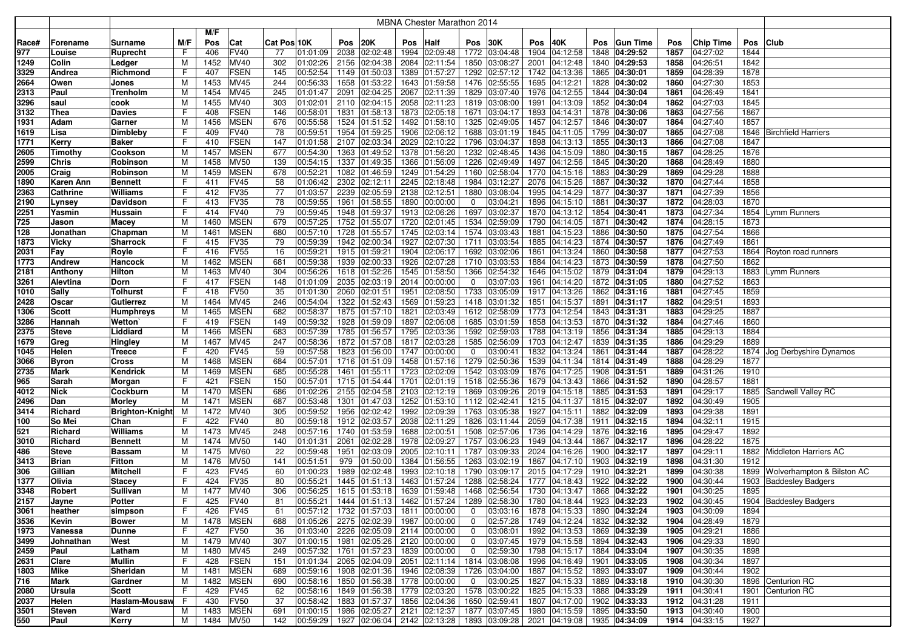|              |                |                         |         |             |                            |             |                                                 |      |                                                            |      | <b>MBNA Chester Marathon 2014</b>                                     |                                |                           |      |                                                                                        |      |                 |              |                      |              |                             |
|--------------|----------------|-------------------------|---------|-------------|----------------------------|-------------|-------------------------------------------------|------|------------------------------------------------------------|------|-----------------------------------------------------------------------|--------------------------------|---------------------------|------|----------------------------------------------------------------------------------------|------|-----------------|--------------|----------------------|--------------|-----------------------------|
|              |                |                         |         | M/F         |                            |             |                                                 |      |                                                            |      |                                                                       |                                |                           |      |                                                                                        |      |                 |              |                      |              |                             |
| Race#        | Forename       | Surname                 | M/F     | Pos         | Cat                        | Cat Pos 10K |                                                 | Pos  | 20K                                                        | Pos  | Half                                                                  | Pos                            | 30K                       | Pos  | 40K                                                                                    | Pos  | <b>Gun Time</b> | Pos          | <b>Chip Time</b>     | Pos          | <b>Club</b>                 |
| 977          | Louise         | Ruprecht                | F       | 406         | <b>FV40</b>                | 77          | 01:01:09                                        | 2038 | 02:02:48                                                   |      | 1994 02:09:48                                                         |                                | 1772 03:04:48             | 1904 | 04:12:58                                                                               | 1848 | 04:29:52        | 1857         | 04:27:02             | 1844         |                             |
| 1249         | Colin          | Ledger                  | M       | 1452        | MV40                       | 302         | 01:02:26                                        | 2156 | 02:04:38                                                   | 2084 | 02:11:54                                                              |                                | 1850 03:08:27             | 2001 | 04:12:48                                                                               |      | 1840 04:29:53   | 1858         | 04:26:51             | 1842         |                             |
| 3329         | Andrea         | Richmond                | F       | 407         | <b>FSEN</b>                | 145         | 00:52:54                                        | 1149 | 01:50:03                                                   |      | 1389 01:57:27                                                         |                                | 1292 02:57:12             | 1742 | 04:13:36                                                                               |      | 1865 04:30:01   | 1859         | 04:28:39             | 1878         |                             |
| 2664         | Owen           | Jones                   | M       | 1453        | MV45                       | 244         | 00:56:33                                        | 1658 | 01:53:22                                                   |      | 1643 01:59:58                                                         |                                | 1476 02:55:55             | 1695 | 04:12:21                                                                               |      | 1828 04:30:02   | 1860         | 04:27:30             | 1853         |                             |
| 2313         | Paul           | Trenholm                | M       | 1454        | MV45                       | 245         | 01:01:47                                        | 2091 | 02:04:25                                                   | 2067 | 02:11:39                                                              | 1829                           | 03:07:40                  | 1976 | 04:12:55                                                                               |      | 1844 04:30:04   | 1861         | 04:26:49             | 1841         |                             |
| 3296         | saul           | cook                    | M       | 1455        | MV40                       | 303         | 01:02:01                                        | 2110 | 02:04:15                                                   | 2058 | 02:11:23                                                              |                                | 1819 03:08:00             | 1991 | 04:13:09                                                                               | 1852 | 04:30:04        | 1862         | 04:27:03             | 1845         |                             |
| 3132         | Thea           | <b>Davies</b>           | F       | 408         | <b>FSEN</b>                | 146         | 00:58:01                                        | 1831 | 01:58:13                                                   |      | 1873 02:05:18                                                         |                                | 1671 03:04:17             | 1893 | 04:14:31                                                                               | 1878 | 04:30:06        | 1863         | 04:27:56             | 1867         |                             |
| 1931         | Adam           | Garner                  | м       | 1456        | <b>MSEN</b>                | 676         | 00:55:58                                        | 1524 | 01:51:52                                                   |      | 1492 01:58:10                                                         |                                | 1325 02:49:05             | 1457 | 04:12:57                                                                               | 1846 | 04:30:07        | 1864         | 04:27:40             | 1857         |                             |
| 1619         | Lisa           | Dimbleby                | F       | 409         | FV40                       | 78          | 00:59:51                                        | 1954 | 01:59:25                                                   | 1906 | 02:06:12                                                              | 1688                           | 03:01:19                  | 1845 | 04:11:05                                                                               | 1799 | 04:30:07        | 1865         | 04:27:08             | 1846         | <b>Birchfield Harriers</b>  |
| 1771         | Kerry          | Baker                   | F       | 410         | <b>FSEN</b>                | 147         | 01:01:58                                        | 2107 | 02:03:34                                                   |      | 2029 02:10:22                                                         | 1796                           | 03:04:37                  | 1898 | 04:13:13                                                                               | 1855 | 04:30:13        | 1866         | 04:27:08             | 1847         |                             |
| 2605         | Timothy        | Cookson                 | M       | 1457        | <b>MSEN</b>                | 677         | 00:54:30                                        | 1363 | 01:49:52                                                   |      | 1378 01:56:20                                                         |                                | 1232 02:48:45             | 1436 | 04:15:09                                                                               |      | 1880 04:30:15   | 1867         | 04:28:25             | 1876         |                             |
| 2599         | <b>Chris</b>   | Robinson                | M       | 1458        | <b>MV50</b>                | 139         | 00:54:15                                        | 1337 | 01:49:35                                                   |      | 1366 01:56:09                                                         | 1226                           | 02:49:49                  | 1497 | 04:12:56                                                                               | 1845 | 04:30:20        | 1868         | 04:28:49             | 1880         |                             |
| 2005         | Craig          | Robinson                | M       | 1459        | <b>MSEN</b>                | 678         | 00:52:21                                        | 1082 | 01:46:59                                                   |      | 1249 01:54:29                                                         |                                | 1160 02:58:04             | 1770 | 04:15:16                                                                               |      | 1883 04:30:29   | 1869         | 04:29:28             | 1888         |                             |
| 1890         | Karen Ann      | Bennett                 | F       | 411         | <b>FV45</b>                | 58          | 01:06:42                                        | 2302 | 02:12:11                                                   |      | 2245 02:18:48                                                         |                                | 1984 03:12:27             | 2076 | 04:15:26                                                                               | 1887 | 04:30:32        | 1870         | 04:27:44             | 1858         |                             |
| 2363         | Cathrine       | Williams                | F       | 412         | <b>FV35</b>                | 77          | 01:03:57                                        | 2239 | 02:05:59                                                   |      | 2138 02:12:51                                                         |                                | 1880 03:08:04             | 1995 | 04:14:29                                                                               |      | 1877 04:30:37   | 1871         | 04:27:39             | 1856         |                             |
| 2190         | Lynsey         | Davidson                | F       | 413         | FV35                       | 78          | 00:59:55                                        | 1961 | 01:58:55                                                   |      | 1890 00:00:00                                                         | 0                              | 03:04:21                  | 1896 | 04:15:10                                                                               | 1881 | 04:30:37        | 1872         | 04:28:03             | 1870         |                             |
| 2251         | Yasmin         | Hussain                 | F       | 414         | <b>FV40</b>                | 79          | 00:59:45                                        | 1948 | 01:59:37                                                   | 1913 | 02:06:26                                                              | 1697                           | 03:02:37                  | 1870 | 04:13:12                                                                               | 1854 | 04:30:41        | 1873         | 04:27:34             | 1854         | ymm Runners                 |
| 725          | Jason          | Масеу                   | M       | 1460        | <b>MSEN</b>                | 679         | 00:57:25                                        | 1752 | 01:55:07                                                   | 1720 | 02:01:45                                                              | 1534                           | 02:59:09                  | 1790 | 04:14:05                                                                               | 1871 | 04:30:42        | 1874         | 04:28:15             | 1873         |                             |
| 128          | Jonathan       | Chapman                 | M       | 1461        | <b>MSEN</b>                | 680         | 00:57:10                                        | 1728 | 01:55:57                                                   |      | 1745 02:03:14                                                         |                                | 1574 03:03:43             | 1881 | 04:15:23                                                                               | 1886 | 04:30:50        | 1875         | 04:27:54             | 1866         |                             |
| 1873         | <b>Vicky</b>   | Sharrock                | F       | 415         | FV35                       | 79          | 00:59:39                                        | 1942 | 02:00:34                                                   |      | 1927 02:07:30                                                         | 1711                           | 03:03:54                  | 1885 | 04:14:23                                                                               | 1874 | 04:30:57        | 1876         | 04:27:49             | 1861         |                             |
| 2031         | Fay            | Royle                   | F       | 416         | <b>FV55</b>                | 16          | 00:59:21                                        | 1915 | 01:59:21                                                   |      | 1904 02:06:17                                                         | 1692                           | 03:02:06                  | 1861 | 04:13:24                                                                               | 1860 | 04:30:58        | 1877         | 04:27:53             |              | 1864   Royton road runners  |
| 1773         | <b>Andrew</b>  | Hancock                 | M       | 1462        | <b>MSEN</b>                | 681         | 00:59:38                                        | 1939 | 02:00:33                                                   | 1926 | 02:07:28                                                              | 1710                           | 03:03:53                  | 1884 | 04:14:23                                                                               | 1873 | 04:30:59        | 1878         | 04:27:50             | 1862         |                             |
| 2181         | Anthony        | Hilton                  | M       | 1463        | MV40                       | 304         | 00:56:26                                        | 1618 | 01:52:26                                                   |      | 1545 01:58:50                                                         | 1366                           | 02:54:32                  | 1646 | 04:15:02                                                                               | 1879 | 04:31:04        | 1879         | 04:29:13             | 1883         | Lymm Runners                |
| 3261         | Alevtina       | Dorn                    | F       | 417         | <b>FSEN</b>                | 148         | 01:01:09                                        | 2035 | 02:03:19                                                   |      | 2014 00:00:00                                                         | $\mathbf{0}$                   | 03:07:03                  | 1961 | 04:14:20                                                                               |      | 1872 04:31:05   | 1880         | 04:27:52             | 1863         |                             |
| 1010         | Sally          | Tolhurst                | F       | 418         | <b>FV50</b>                | 35          | 01:01:30                                        | 2060 | 02:01:51                                                   | 1951 | 02:08:50                                                              |                                | 1733 03:05:09             | 1917 | 04:13:26                                                                               |      | 1862 04:31:16   | 1881         | 04:27:45             | 1859         |                             |
| 2428         | Oscar          | Gutierrez               | M       | 1464        | MV45                       | 246         | 00:54:04                                        | 1322 | 01:52:43                                                   |      | 1569 01:59:23                                                         |                                | 1418 03:01:32             | 1851 | 04:15:37                                                                               |      | 1891 04:31:17   | 1882         | 04:29:51             | 1893         |                             |
| 1306         | <b>Scott</b>   | Humphreys               | м       | 1465        | <b>MSEN</b>                | 682         | 00:58:37                                        | 1875 | 01:57:10                                                   | 1821 | 02:03:49                                                              |                                | 1612 02:58:09             | 1773 | 04:12:54                                                                               |      | 1843 04:31:31   | 1883         | 04:29:25             | 1887         |                             |
| 3286         | Hannah         | Wetton                  | F       | 419         | <b>FSEN</b>                | 149         | 00:59:32                                        | 1928 | 01:59:09                                                   |      | 1897 02:06:08                                                         |                                | 1685 03:01:59             | 1858 | 04:13:53                                                                               |      | 1870 04:31:32   | 1884         | 04:27:46             | 1860         |                             |
| 2375         | <b>Steve</b>   | Liddiard                | м       | 1466        | <b>MSEN</b>                | 683         | 00:57:39                                        | 1785 | 01:56:57                                                   |      | 1795 02:03:36                                                         |                                | 1592 02:59:03             | 1788 | 04:13:19                                                                               |      | 1856 04:31:34   | 1885         | 04:29:13             | 1884         |                             |
| 1679         | Greg           | Hingley                 | M       | 1467        | <b>MV45</b>                | 247         | 00:58:36                                        | 1872 | 01:57:08                                                   |      | 1817 02:03:28                                                         | 1585                           | 02:56:09                  | 1703 | 04:12:47                                                                               |      | 1839 04:31:35   | 1886         | 04:29:29             | 1889         |                             |
| 1045         | Helen          | Treece                  | F       | 420         | FV45                       | 59          | 00:57:58                                        | 1823 | 01:56:00                                                   |      | 1747 00:00:00                                                         | 0                              | 03:00:41                  | 1832 | 04:13:24                                                                               | 1861 | 04:31:44        | 1887         | 04:28:22             |              | 1874 Jog Derbyshire Dynamos |
| 3066         | <b>Byron</b>   | Cross                   | м       | 1468        | <b>MSEN</b>                | 684         | 00:57:01                                        | 1716 | 01:51:09                                                   |      | 1458 01:57:16                                                         |                                | 1279 02:50:36             | 1539 | 04:11:34                                                                               | 1814 | 04:31:49        | 1888         | 04:28:29             | 1877         |                             |
| 2735         | Mark           | Kendrick                | M       | 1469        | <b>MSEN</b>                | 685         | 00:55:28                                        | 1461 | 01:55:11                                                   |      | 1723 02:02:09                                                         |                                | 1542 03:03:09             | 1876 | 04:17:25                                                                               |      | 1908 04:31:51   | 1889         | 04:31:26             | 1910         |                             |
| 965          | Sarah          | Morgan                  | F       | 421         | <b>FSEN</b>                | 150         | 00:57:01                                        | 1715 | 01:54:44                                                   |      | 1701 02:01:19                                                         |                                | 1518 02:55:36             | 1679 | 04:13:43                                                                               | 1866 | 04:31:52        | 1890         | 04:28:57             | 1881         |                             |
| 4012         | <b>Nick</b>    | Cockburn                | M       | 1470        | <b>MSEN</b>                | 686         | 01:02:26                                        | 2155 | 02:04:58                                                   |      | 2103 02:12:19                                                         |                                | 1869 03:09:26             | 2019 | 04:15:18                                                                               |      | 1885 04:31:53   | 1891         | 04:29:17             | 1885         | Sandwell Valley RC          |
| 2496         | Dan            | Morley                  | M       | 1471        | <b>MSEN</b>                | 687         | 00:53:48                                        | 1301 | 01:47:03                                                   |      | 1252 01:53:10                                                         |                                | 1112 02:42:41             | 1215 | 04:11:37                                                                               | 1815 | 04:32:07        | 1892         | 04:30:49             | 1905         |                             |
| 3414         | Richard        | <b>Brighton-Knight</b>  | M       | 1472        | <b>MV40</b>                | 305         | 00:59:52                                        | 1956 | 02:02:42                                                   |      | 1992 02:09:39                                                         |                                | 1763 03:05:38             | 1927 | 04:15:11                                                                               |      | 1882 04:32:09   | 1893         | 04:29:38             | 1891         |                             |
| 100          | So Mei         | Chan                    | F       | 422         | <b>FV40</b>                | 80          | 00:59:18                                        |      | 1912 02:03:57                                              |      | 2038 02:11:29                                                         |                                | 1826 03:11:44             | 2059 | 04:17:38                                                                               | 1911 | 04:32:15        | 1894         | 04:32:11             | 1915         |                             |
| 521          | Richard        | Williams                | M       | 1473        | MV45                       | 248         | 00:57:16                                        | 1740 | 01:53:59                                                   | 1688 | 02:00:51                                                              |                                | 1508 02:57:06             | 1736 | 04:14:29                                                                               | 1876 | 04:32:16        | 1895         | 04:29:47             | 1892         |                             |
| 3010         | Richard        | Bennett                 | M       | 1474        | <b>MV50</b>                | 140         | 01:01:31                                        | 2061 | 02:02:28                                                   |      | 1978 02:09:27                                                         |                                | 1757 03:06:23             | 1949 | 04:13:44                                                                               |      | 1867 04:32:17   | 1896         | 04:28:22             | 1875         |                             |
| 486          | <b>Steve</b>   | Bassam                  | M       | 1475        | <b>MV60</b>                | 22          | 00:59:48                                        | 1951 | 02:03:09                                                   | 2005 | 02:10:11                                                              |                                | 1787 03:09:33             | 2024 | 04:16:26                                                                               |      | 1900 04:32:17   | 1897         | 04:29:11             | 1882         | Middleton Harriers AC       |
| 3413         | <b>Brian</b>   | Fitton                  | M       | 1476        | <b>MV50</b>                | 141         | 00:51:51                                        | 979  | 01:50:00                                                   |      | 1384 01:56:55                                                         | 1263                           | 03:02:19                  | 1867 | 04:17:10                                                                               | 1903 | 04:32:19        | 1898         | 04:31:30             | 1912         |                             |
| 306          | Gillian        | Mitchell                | F       | 423         | FV45                       | 60          | 01:00:23                                        | 1989 | 02:02:48                                                   | 1993 | 02:10:18                                                              | 1790                           | 03:09:17                  | 2015 | 04:17:29                                                                               | 1910 | 04:32:21        | 1899         | 04:30:38             | 1899         | Wolverhampton & Bilston AC  |
| 1377         | Olivia         | Stacey                  | F       | 424         | FV35                       | 80          | 00:55:21                                        | 1445 | 01:51:13                                                   |      | 1463 01:57:24                                                         | 1288                           | 02:58:24                  | 1777 | 04:18:43                                                                               | 1922 | 04:32:22        | 1900         | 04:30:44             | 1903         | <b>Baddesley Badgers</b>    |
| 3348         | Robert         | <b>Sullivan</b>         | м       | 1477        | MV40                       | 306         | 00:56:25                                        | 1615 | 01:53:18                                                   | 1639 | 01:59:48                                                              | 1468                           | 02:56:54                  | 1730 | 04:13:47                                                                               | 1868 | 04:32:22        | 1901         | 04:30:25             | 1895         |                             |
| 2157         | Jayne          | Potter                  | ь.      | 425         | FV40                       | 81          | 00:55:21                                        |      |                                                            |      | 1444 01:51:13 1462 01:57:24                                           |                                |                           |      | 1289 02:58:30 1780 04:18:44 1923 04:32:23                                              |      |                 |              | 1902 04:30:45        |              | 1904 Baddesley Badgers      |
| 3061         | heather        | simpson                 | F       | 426         | <b>FV45</b>                | 61          | $ 00:57:12 $ 1732 $ 01:57:03 $ 1811 $ 00:00:00$ |      |                                                            |      |                                                                       | $\overline{0}$                 |                           |      | $ 03:03:16 $ 1878 $ 04:15:33 $ 1890 04:32:24                                           |      |                 | 1903         | 04:30:09             | 1894         |                             |
| 3536         | Kevin          | <b>Bower</b>            | M       | 1478        | <b>MSEN</b><br><b>FV50</b> | 688         | 01:05:26<br>01:03:40                            |      | 2275 02:02:39 1987 00:00:00<br>2226 02:05:09 2114 00:00:00 |      |                                                                       | $\mathbf{0}$<br>$\overline{0}$ |                           |      | 02:57:28   1749 04:12:24   1832 04:32:32                                               |      |                 | 1904         | 04:28:49             | 1879<br>1886 |                             |
| 1973         | Vanessa        | Dunne                   | F.      | 427         |                            | 36          |                                                 |      |                                                            |      |                                                                       |                                |                           |      | $ 03:08:01 $ 1992 04:13:53 1869 04:32:39                                               |      |                 | 1905         | 04:29:21             |              |                             |
| 3499         | Johnathan      | West                    | M       | 1479        | <b>MV40</b>                | 307         | 01:00:15<br>00:57:32                            |      | 1981 02:05:26 2120 00:00:00                                |      |                                                                       | $\mathbf{0}$                   |                           |      | $\vert$ 03:07:45   1979   04:15:58   1894   04:32:43                                   |      |                 | 1906<br>1907 | 04:29:33             | 1890         |                             |
| 2459<br>2631 | Paul<br>Clare  | Latham<br><b>Mullin</b> | м<br>F. | 1480<br>428 | <b>MV45</b><br><b>FSEN</b> | 249<br>151  | 01:01:34                                        |      | 1761 01:57:23 1839 00:00:00                                |      | 2065 02:04:09 2051 02:11:14                                           | $\mathbf{0}$                   |                           |      | $\vert 02:59:30 \vert$ 1798 $\vert 04:15:17 \vert$ 1884 $\vert 04:33:04 \vert$         |      |                 | 1908         | 04:30:35<br>04:30:34 | 1898<br>1897 |                             |
|              |                |                         |         |             | <b>MSEN</b>                | 689         | 00:59:16                                        |      |                                                            |      | 1908 02:01:36 1946 02:08:39                                           |                                |                           |      | 1814 03:08:08 1996 04:16:49 1901 04:33:05<br>1726 03:04:00 1887 04:15:52 1893 04:33:07 |      |                 |              | 04:30:44             | 1902         |                             |
| 1803         | Mike           | Sheridan                | M       | 1481        |                            | 690         |                                                 |      |                                                            |      |                                                                       |                                |                           |      |                                                                                        |      |                 | 1909         |                      |              | 1896 Centurion RC           |
| 716<br>2080  | Mark<br>Ursula | Gardner<br>Scott        | м<br>F. | 1482<br>429 | <b>MSEN</b><br>FV45        | 62          | 00:58:16<br>00:58:16                            |      | 1850 01:56:38 1778 00:00:00                                |      | 1849 01:56:38 1779 02:03:20                                           | $\overline{0}$                 | 03:00:25<br>1578 03:00:22 |      | 1827 04:15:33 1889 04:33:18<br>1825 04:15:33 1888 04:33:29                             |      |                 | 1910<br>1911 | 04:30:30<br>04:30:41 |              | 1901 Centurion RC           |
| 2037         | Helen          | Haslam-Mousaw           | F.      | 430         | <b>FV50</b>                | 37          | 00:58:42                                        |      | 1883 01:57:37                                              |      | 1856 02:04:36                                                         |                                | 1650 02:59:41             |      | 1807 04:17:00                                                                          |      | 1902 04:33:33   | 1912         | 04:31:28             | 1911         |                             |
| 3501         | Steven         | Ward                    | M       | 1483        | <b>MSEN</b>                | 691         | 01:00:15                                        |      |                                                            |      | 1986 02:05:27 2121 02:12:37                                           |                                |                           |      | 1877 03:07:45 1980 04:15:59 1895 04:33:50                                              |      |                 | 1913         | 04:30:40             | 1900         |                             |
|              | Paul           |                         | M       |             | 1484 MV50                  | 142         | 00:59:29                                        |      |                                                            |      | 1927 02:06:04 2142 02:13:28 1893 03:09:28 2021 04:19:08 1935 04:34:09 |                                |                           |      |                                                                                        |      |                 |              | 1914 04:33:15        | 1927         |                             |
| 550          |                | Kerry                   |         |             |                            |             |                                                 |      |                                                            |      |                                                                       |                                |                           |      |                                                                                        |      |                 |              |                      |              |                             |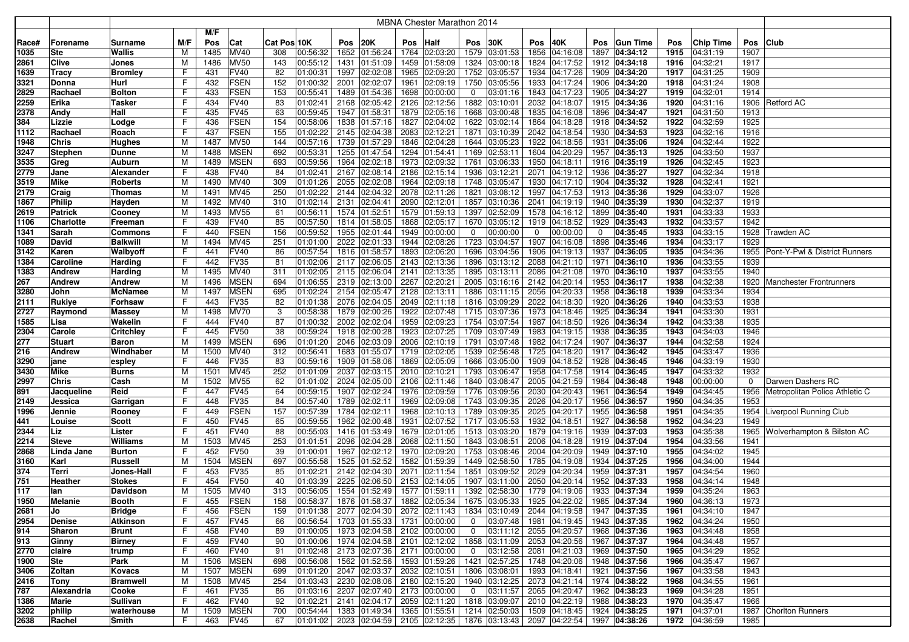|              |                  |                        |         |            |                     |             |                                              |      |                             |      | MBNA Chester Marathon 2014                                                                            |                |                           |              |                                                                                        |      |                 |              |                      |              |                                      |
|--------------|------------------|------------------------|---------|------------|---------------------|-------------|----------------------------------------------|------|-----------------------------|------|-------------------------------------------------------------------------------------------------------|----------------|---------------------------|--------------|----------------------------------------------------------------------------------------|------|-----------------|--------------|----------------------|--------------|--------------------------------------|
|              |                  |                        |         | M/F        |                     |             |                                              |      |                             |      |                                                                                                       |                |                           |              |                                                                                        |      |                 |              |                      |              |                                      |
| Race#        | Forename         | Surname                | M/F     | Pos        | Cat                 | Cat Pos 10K |                                              | Pos  | 20K                         | Pos  | Half                                                                                                  | <b>Pos 30K</b> |                           | Pos          | 40K                                                                                    | Pos  | <b>Gun Time</b> | Pos          | <b>Chip Time</b>     | Pos          | <b>Club</b>                          |
| 1035         | Ste              | Wallis                 | M       | 1485       | <b>MV40</b>         | 308         | 00:56:32                                     |      | 1652 01:56:24               |      | 1764 02:03:20                                                                                         |                | 1579 03:01:53             | 1856         | 04:16:08                                                                               |      | 1897 04:34:12   | 1915         | 04:31:19             | 1907         |                                      |
| 2861         | Clive            | Jones                  | M       | 1486       | <b>MV50</b>         | 143         | 00:55:12                                     | 1431 | 01:51:09                    | 1459 | 01:58:09                                                                                              |                | 1324 03:00:18             | 1824         | 04:17:52                                                                               |      | 1912 04:34:18   | 1916         | 04:32:21             | 1917         |                                      |
| 1639         | Tracy            | <b>Bromley</b>         | F       | 431        | <b>FV40</b>         | 82          | 01:00:31                                     | 1997 | 02:02:08                    | 1965 | 02:09:20                                                                                              |                | 1752 03:05:57             | 1934         | 04:17:26                                                                               |      | 1909 04:34:20   | 1917         | 04:31:25             | 1909         |                                      |
| 3321         | Donna            | Hurl                   | F       | 432        | <b>FSEN</b>         | 152         | 01:00:32                                     | 2001 | 02:02:07                    | 1961 | 02:09:19                                                                                              |                | 1750 03:05:56             | 1933         | 04:17:24                                                                               |      | 1906 04:34:20   | 1918         | 04:31:24             | 1908         |                                      |
| 2829         | Rachael          | Bolton                 | F       | 433        | <b>FSEN</b>         | 153         | 00:55:41                                     | 1489 | 01:54:36                    | 1698 | 00:00:00                                                                                              | 0              | 03:01:16                  | 1843         | 04:17:23                                                                               |      | 1905 04:34:27   | 1919         | 04:32:01             | 1914         |                                      |
| 2259         | Erika            | Tasker                 | F       | 434        | FV40                | 83          | 01:02:41                                     | 2168 | 02:05:42                    | 2126 | 02:12:56                                                                                              | 1882           | 03:10:01                  | 2032         | 04:18:07                                                                               |      | 1915 04:34:36   | 1920         | 04:31:16             | 1906         | <b>Retford AC</b>                    |
| 2378         | Andy             | Hall                   | F       | 435        | <b>FV45</b>         | 63          | 00:59:45                                     | 1947 | 01:58:31                    |      | 1879 02:05:16                                                                                         |                | 1668 03:00:48             | 1835         | 04:16:08                                                                               |      | 1896 04:34:47   | 1921         | 04:31:50             | 1913         |                                      |
| 384          | Lizzie           | Lodge                  | F       | 436        | <b>FSEN</b>         | 154         | 00:58:06                                     | 1838 | 01:57:16                    |      | 1827 02:04:02                                                                                         |                | 1622 03:02:14             | 1864         | 04:18:28                                                                               |      | 1918 04:34:52   | 1922         | 04:32:59             | 1925         |                                      |
| 1112         | Rachael          | Roach                  | F       | 437        | FSEN                | 155         | 01:02:22                                     | 2145 | 02:04:38                    |      | 2083 02:12:21                                                                                         | 1871           | 03:10:39                  |              | 2042 04:18:54                                                                          |      | 1930 04:34:53   | 1923         | 04:32:16             | 1916         |                                      |
| 1948         | <b>Chris</b>     | Hughes                 | M       | 1487       | <b>MV50</b>         | 144         | 00:57:16                                     | 1739 | 01:57:29                    |      | 1846 02:04:28                                                                                         |                | 1644 03:05:23             |              | 1922 04:18:56                                                                          | 1931 | 04:35:06        | 1924         | 04:32:44             | 1922         |                                      |
| 3247         | <b>Stephen</b>   | Dunne                  | M       | 1488       | <b>MSEN</b>         | 692         | 00:53:31                                     | 1255 | 01:47:54                    |      | 1294 01:54:41                                                                                         |                | 1169 02:53:11             | 1604         | 04:20:29                                                                               |      | 1957 04:35:13   | 1925         | 04:33:50             | 1937         |                                      |
| 3535         | Greg             | Auburn                 | M       | 1489       | <b>MSEN</b>         | 693         | 00:59:56                                     | 1964 | 02:02:18                    |      | 1973 02:09:32                                                                                         | 1761           | 03:06:33                  | 1950         | 04:18:11                                                                               |      | 1916 04:35:19   | 1926         | 04:32:45             | 1923         |                                      |
| 2779         | Jane             | Alexander              | F       | 438        | <b>FV40</b>         | 84          | 01:02:41                                     | 2167 | 02:08:14                    |      | 2186 02:15:14                                                                                         |                | 1936 03:12:21             | 2071         | 04:19:12                                                                               |      | 1936 04:35:27   | 1927         | 04:32:34             | 1918         |                                      |
| 3519         | Mike             | Roberts                | M       | 1490       | <b>MV40</b>         | 309         | 01:01:26                                     | 2055 | 02:02:08                    | 1964 | 02:09:18                                                                                              |                | 1748 03:05:47             | 1930         | 04:17:10                                                                               |      | 1904 04:35:32   | 1928         | 04:32:41             | 1921         |                                      |
| 2179         | Craig            | <b>Thomas</b>          | M       | 1491       | MV45                | 250         | 01:02:22                                     | 2144 | 02:04:32                    |      | 2078 02:11:26                                                                                         | 1821           | 03:08:12                  | 1997         | 04:17:53                                                                               |      | 1913 04:35:36   | 1929         | 04:33:07             | 1926         |                                      |
| 1867         | Philip           | Hayden                 | M       | 1492       | <b>MV40</b>         | 310         | 01:02:14                                     | 2131 | 02:04:41                    |      | 2090 02:12:01                                                                                         |                | 1857 03:10:36             | 2041         | 04:19:19                                                                               |      | 1940 04:35:39   | 1930         | 04:32:37             | 1919         |                                      |
| 2619         | <b>Patrick</b>   | Cooney                 | M       | 1493       | <b>MV55</b>         | 61          | 00:56:11                                     | 1574 | 01:52:51                    |      | 1579 01:59:13                                                                                         | 1397           | 02:52:09                  | 1578         | 04:16:12                                                                               | 1899 | 04:35:40        | 1931         | 04:33:33             | 1933         |                                      |
| 1106         | Charlotte        | Freeman                | F       | 439        | <b>FV40</b>         | 85          | 00:57:50                                     | 1814 | 01:58:05                    | 1868 | 02:05:17                                                                                              | 1670           | 03:05:12                  | 1919         | 04:18:52                                                                               |      | 1929 04:35:43   | 1932         | 04:33:57             | 1942         |                                      |
| 1341         | Sarah            | Commons                | F       | 440        | <b>FSEN</b>         | 156         | 00:59:52                                     | 1955 | 02:01:44                    |      | 1949 00:00:00                                                                                         | 0              | 00:00:00                  | $\mathbf 0$  | 00:00:00                                                                               | 0    | 04:35:45        | 1933         | 04:33:15             | 1928         | Trawden AC                           |
| 1089         | David            | <b>Balkwill</b>        | М       | 1494       | MV45                | 251         | 01:01:00                                     | 2022 | 02:01:33                    |      | 1944 02:08:26                                                                                         | 1723           | 03:04:57                  | 1907         | 04:16:08                                                                               | 1898 | 04:35:46        | 1934         | 04:33:17             | 1929         |                                      |
| 3142         | Karen            | Walbyoff               | F       | 441        | FV40                | 86          | 00:57:54                                     | 1816 | 01:58:57                    | 1893 | 02:06:20                                                                                              | 1696           | 03:04:56                  | 1906         | 04:19:13                                                                               | 1937 | 04:36:05        | 1935         | 04:34:36             |              | 1955   Pont-Y-Pwl & District Runners |
| 1384         | Caroline         | Harding                | F       | 442        | FV35                | 81          | 01:02:06                                     | 2117 | 02:06:05                    |      | 2143 02:13:36                                                                                         | 1896           | 03:13:12                  | 2088         | 04:21:10                                                                               | 1971 | 04:36:10        | 1936         | 04:33:55             | 1939         |                                      |
| 1383         | <b>Andrew</b>    | Harding                | M       | 1495       | MV40                | 311         | 01:02:05                                     | 2115 | 02:06:04                    | 2141 | 02:13:35                                                                                              |                | 1895 03:13:11             | 2086         | 04:21:08                                                                               |      | 1970 04:36:10   | 1937         | 04:33:55             | 1940         |                                      |
| 267          | Andrew           | Andrew                 | M       | 1496       | <b>MSEN</b>         | 694         | 01:06:55                                     | 2319 | 02:13:00                    |      | 2267 02:20:21                                                                                         |                | 2005 03:16:16             | 2142         | 04:20:14                                                                               |      | 1953 04:36:17   | 1938         | 04:32:38             | 1920         | Manchester Frontrunners              |
| 3280         | John             | McNamee                | M       | 1497       | <b>MSEN</b>         | 695         | 01:02:24                                     | 2154 | 02:05:47                    |      | 2128 02:13:11                                                                                         |                | 1886 03:11:15             |              | 2056 04:20:33                                                                          |      | 1958 04:36:18   | 1939         | 04:33:34             | 1934         |                                      |
| 2111         | Rukiye           | Forhsaw                | F       | 443        | <b>FV35</b>         | 82          | 01:01:38                                     |      | 2076 02:04:05               |      | 2049 02:11:18                                                                                         |                | 1816 03:09:29             |              | 2022 04:18:30                                                                          |      | 1920 04:36:26   | 1940         | 04:33:53             | 1938         |                                      |
| 2727         | Raymond          | Massey                 | M       | 1498       | <b>MV70</b>         | 3           | 00:58:38                                     | 1879 | 02:00:26                    |      | 1922 02:07:48                                                                                         |                | 1715 03:07:36             | 1973         | 04:18:46                                                                               |      | 1925 04:36:34   | 1941         | 04:33:30             | 1931         |                                      |
| 1585         | Lisa             | Wakelin                | F       | 444        | FV40                | 87          | 01:00:32                                     | 2002 | 02:02:04                    |      | 1959 02:09:23                                                                                         |                | 1754 03:07:54             | 1987         | 04:18:50                                                                               |      | 1926 04:36:34   | 1942         | 04:33:38             | 1935         |                                      |
| 2304         | Carole           | Critchley              | F       | 445        | <b>FV50</b>         | 38          | 00:59:24                                     | 1918 | 02:00:28                    |      | 1923 02:07:25                                                                                         |                | 1709 03:07:49             | 1983         | 04:19:15                                                                               |      | 1938 04:36:35   | 1943         | 04:34:03             | 1946         |                                      |
| 277          | Stuart           | Baron                  | M       | 1499       | <b>MSEN</b>         | 696         | 01:01:20                                     | 2046 | 02:03:09                    | 2006 | 02:10:19                                                                                              |                | 1791 03:07:48             | 1982         | 04:17:24                                                                               |      | 1907 04:36:37   | 1944         | 04:32:58             | 1924         |                                      |
| 216          | Andrew           | Windhaber              | м       | 1500       | MV40                | 312         | 00:56:41                                     | 1683 | 01:55:07                    |      | 1719 02:02:05                                                                                         |                | 1539 02:56:48             | 1725         | 04:18:20                                                                               |      | 1917 04:36:42   | 1945         | 04:33:47             | 1936         |                                      |
| 3290         | jane             | espley                 | F       | 446        | FV35                | 83          | 00:59:16                                     | 1909 | 01:58:06                    |      | 1869 02:05:09                                                                                         |                | 1666 03:05:00             | 1909         | 04:18:52                                                                               | 1928 | 04:36:45        | 1946         | 04:33:19             | 1930         |                                      |
| 3430         | Mike             | <b>Burns</b>           | м       | 1501       | MV45                | 252         | 01:01:09                                     | 2037 | 02:03:15                    |      | 2010 02:10:21                                                                                         |                | 1793 03:06:47             | 1958         | 04:17:58                                                                               |      | 1914 04:36:45   | 1947         | 04:33:32             | 1932         |                                      |
| 2997         | <b>Chris</b>     | Cash                   | M       | 1502       | <b>MV55</b>         | 62          | 01:01:02                                     | 2024 | 02:05:00                    |      | 2106 02:11:46                                                                                         |                | 1840 03:08:47             | 2005         | 04:21:59                                                                               | 1984 | 04:36:48        | 1948         | 00:00:00             | $\mathbf 0$  | Darwen Dashers RC                    |
| 891          | Jacqueline       | Reid                   | F       | 447        | FV45                | 64          | 00:59:15                                     | 1907 | 02:02:24                    |      | 1976 02:09:59                                                                                         | 1776           | 03:09:56                  | 2030         | 04:20:43                                                                               | 1961 | 04:36:54        | 1949         | 04:34:45             | 1956         | Metropolitan Police Athletic C       |
| 2149         | Jessica          | Garrigan               | F       | 448        | FV35                | 84          | 00:57:40                                     | 1789 | 02:02:11                    | 1969 | 02:09:08                                                                                              |                | 1743 03:09:35             | 2026         | 04:20:17                                                                               | 1956 | 04:36:57        | 1950         | 04:34:35             | 1953         |                                      |
| 1996         | Jennie           | Rooney                 | F       | 449        | <b>FSEN</b>         | 157         | 00:57:39                                     | 1784 | 02:02:11                    |      | 1968 02:10:13                                                                                         |                | 1789 03:09:35             | 2025         | 04:20:17                                                                               |      | 1955 04:36:58   | 1951         | 04:34:35             |              | 1954 Liverpool Running Club          |
| 441          | Louise           | Scott                  | F       | 450        | <b>FV45</b>         | 65          | 00:59:55                                     | 1962 | 02:00:48                    | 1931 | 02:07:52                                                                                              |                | 1717 03:05:53             |              | 1932 04:18:51                                                                          |      | 1927 04:36:58   | 1952         | 04:34:23             | 1949         |                                      |
| 2344         | Liz              | Lister                 | F       | 451        | <b>FV40</b>         | 88          | 00:55:03                                     | 1416 | 01:53:49                    | 1679 | 02:01:05                                                                                              |                | 1513 03:03:20             | 1879         | 04:19:16                                                                               |      | 1939 04:37:03   | 1953         | 04:35:38             |              | 1965 Wolverhampton & Bilston AC      |
| 2214         | <b>Steve</b>     | Williams               | м       | 1503       | MV45                | 253         | 01:01:51                                     | 2096 | 02:04:28                    |      | 2068 02:11:50                                                                                         |                | 1843 03:08:51             | 2006         | 04:18:28                                                                               |      | 1919 04:37:04   | 1954         | 04:33:56             | 1941         |                                      |
| 2868         | Linda Jane       | <b>Burton</b>          | F       | 452        | <b>FV50</b>         | 39          | 01:00:01                                     | 1967 | 02:02:12                    |      | 1970 02:09:20                                                                                         |                | 1753 03:08:46             | 2004         | 04:20:09                                                                               |      | 1949 04:37:10   | 1955         | 04:34:02             | 1945         |                                      |
| 3160         | Karl             | Russell                | M       | 1504       | <b>MSEN</b>         | 697         | 00:55:58                                     | 1525 | 01:52:52                    | 1582 | 01:59:39                                                                                              |                | 1449 02:58:50<br>03:09:52 | 1785<br>2029 | 04:19:08                                                                               |      | 1934 04:37:25   | 1956         | 04:34:00             | 1944<br>1960 |                                      |
| 374          | Terri            | Jones-Hall             | F       | 453        | FV35                | 85          | 01:02:21                                     | 2142 | 02:04:30                    | 2071 | 02:11:54                                                                                              | 1851           |                           |              | 04:20:34                                                                               |      | 1959 04:37:31   | 1957         | 04:34:54             |              |                                      |
| 751          | Heather          | Stokes                 | F       | 454        | <b>FV50</b>         | 40          | 01:03:39                                     | 2225 | 02:06:50                    |      | 2153 02:14:05                                                                                         |                | 1907 03:11:00             | 2050         | 04:20:14                                                                               |      | 1952 04:37:33   | 1958         | 04:34:14             | 1948         |                                      |
| 117          | lan              | <b>Davidson</b>        | м       | 1505       | <b>MV40</b>         | 313         | 00:56:05                                     | 1554 | 01:52:49                    |      | 1577 01:59:11                                                                                         |                | 1392 02:58:30             | 1779         | 04:19:06                                                                               |      | 1933 04:37:34   | 1959         | 04:35:24             | 1963         |                                      |
| 1950         | Melanie          | Booth                  | ь.<br>F | 455        | <b>FSEN</b>         | 158         |                                              |      |                             |      | 00:58:37   1876   01:58:37   1882   02:05:34                                                          |                |                           |              | 1675 03:05:33 1925 04:22:02 1985 04:37:34<br>1834 03:10:49 2044 04:19:58 1947 04:37:35 |      |                 | 1960         | 04:36:13             | 1973         |                                      |
| 2681<br>2954 | Jo               | <b>Bridge</b>          | F       | 456<br>457 | <b>FSEN</b><br>FV45 | 159<br>66   | 00:56:54                                     |      | 1703 01:55:33 1731 00:00:00 |      | $ 01:01:38 2077 02:04:30 2072 02:11:43 $                                                              |                |                           |              | $0$ 03:07:48 1981 04:19:45 1943 04:37:35                                               |      |                 | 1961<br>1962 | 04:34:10<br>04:34:24 | 1947<br>1950 |                                      |
| 914          | Denise<br>Sharon | Atkinson<br>Brunt      | F       | 458        | <b>FV40</b>         | 89          | 01:00:05                                     |      | 1973 02:04:58 2102 00:00:00 |      |                                                                                                       |                |                           |              | $0$   03:11:12   2055   04:20:57   1968   04:37:36                                     |      |                 | 1963         | 04:34:48             | 1958         |                                      |
|              |                  |                        | F       |            | <b>FV40</b>         | 90          | 01:00:06                                     |      |                             |      | 1974 02:04:58 2101 02:12:02                                                                           |                |                           |              | 1858 03:11:09 2053 04:20:56 1967 04:37:37                                              |      |                 | 1964         | 04:34:48             | 1957         |                                      |
| 913<br>2770  | Ginny<br>claire  | <b>Birney</b><br>trump | F       | 459<br>460 | <b>FV40</b>         | 91          | $ 01:02:48 $ 2173 02:07:36 2171 00:00:00     |      |                             |      |                                                                                                       | $\overline{0}$ |                           |              | $\vert$ 03:12:58   2081   04:21:03   1969   04:37:50                                   |      |                 | 1965         | 04:34:29             | 1952         |                                      |
| 1900         | Ste              | Park                   | M       | 1506       | <b>MSEN</b>         | 698         | 00:56:08                                     |      | 1562 01:52:56 1593 01:59:26 |      |                                                                                                       |                |                           |              | 1421 02:57:25 1748 04:20:06 1948 04:37:56                                              |      |                 | 1966         | 04:35:47             | 1967         |                                      |
| 3406         | Zoltan           | Kovacs                 | м       | 1507       | <b>MSEN</b>         | 699         | $ 01:01:20 $ 2047 $ 02:03:37 $ 2032 02:10:51 |      |                             |      |                                                                                                       |                | 1806 03:08:01             |              | 1993 04:18:41 1921 04:37:56                                                            |      |                 | 1967         | 04:33:58             | 1943         |                                      |
| 2416         | Tony             | <b>Bramwell</b>        | M       | 1508       | <b>MV45</b>         | 254         | 01:03:43                                     |      | 2230 02:08:06 2180 02:15:20 |      |                                                                                                       |                |                           |              | 1940 03:12:25 2073 04:21:14                                                            |      | 1974 04:38:22   | 1968         | 04:34:55             | 1961         |                                      |
| 787          | Alexandria       | Cooke                  | F.      | 461        | <b>FV35</b>         | 86          | 01:03:16                                     |      | 2207 02:07:40               |      | 2173 00:00:00                                                                                         | $\overline{0}$ |                           |              | 03:11:57 2065 04:20:47                                                                 |      | 1962 04:38:23   | 1969         | 04:34:28             | 1951         |                                      |
| 1386         | Marie            | Sullivan               | F       | 462        | <b>FV40</b>         | 92          | 01:02:21                                     | 2141 | 02:04:17                    |      | 2059 02:11:20                                                                                         |                |                           |              | 1818 03:09:07   2010 04:22:19                                                          |      | 1988 04:38:23   | 1970         | 04:35:47             | 1966         |                                      |
| 3202         | philip           | waterhouse             | M       | 1509       | <b>MSEN</b>         | 700         | 00:54:44                                     |      | 1383 01:49:34               |      | 1365 01:55:51                                                                                         |                |                           |              | 1214 02:50:03 1509 04:18:45 1924 04:38:25                                              |      |                 | 1971         | 04:37:01             |              | 1987 Chorlton Runners                |
| 2638         | Rachel           | Smith                  | F.      | 463        | <b>FV45</b>         | 67          |                                              |      |                             |      | $ 01:01:02 $ 2023 $ 02:04:59 $ 2105 $ 02:12:35 $ 1876 $ 03:13:43 $ 2097 $ 04:22:54 $ 1997 $ 04:38:26$ |                |                           |              |                                                                                        |      |                 |              | 1972 04:36:59        | 1985         |                                      |
|              |                  |                        |         |            |                     |             |                                              |      |                             |      |                                                                                                       |                |                           |              |                                                                                        |      |                 |              |                      |              |                                      |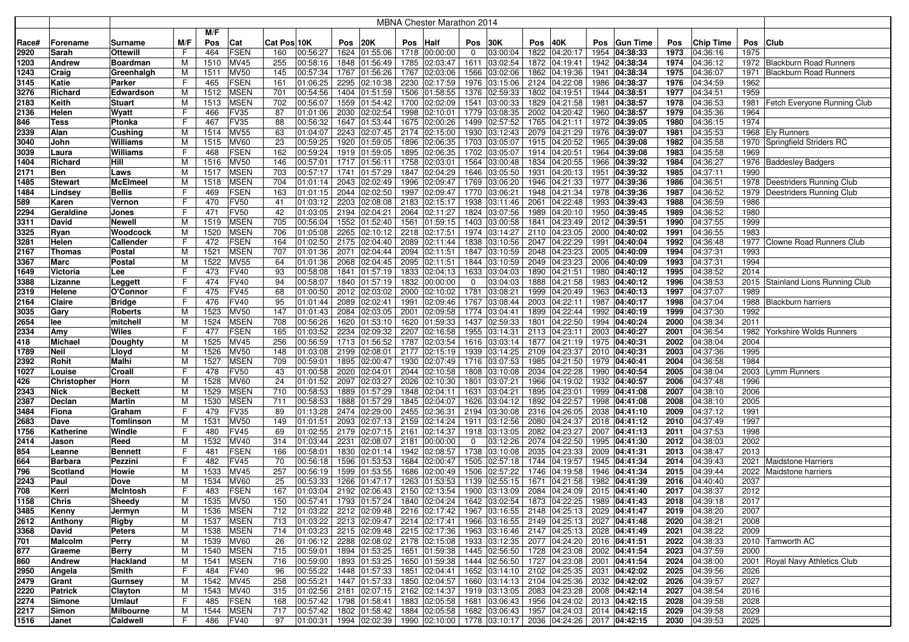|              |                    |                  |        |             |                            |             |                                                 |              |                      |              | <b>MBNA Chester Marathon 2014</b>                                     |              |                      |              |                                               |      |                                |              |                      |              |                                   |
|--------------|--------------------|------------------|--------|-------------|----------------------------|-------------|-------------------------------------------------|--------------|----------------------|--------------|-----------------------------------------------------------------------|--------------|----------------------|--------------|-----------------------------------------------|------|--------------------------------|--------------|----------------------|--------------|-----------------------------------|
|              |                    |                  |        | M/F         |                            |             |                                                 |              |                      |              |                                                                       |              |                      |              |                                               |      |                                |              |                      |              |                                   |
| Race#        | Forename           | Surname          | M/F    | Pos         | Cat                        | Cat Pos 10K |                                                 | Pos          | 20K                  | Pos          | Half                                                                  | Pos          | 30K                  | Pos          | 40K                                           | Pos  | <b>Gun Time</b>                | Pos          | <b>Chip Time</b>     | Pos          | <b>Club</b>                       |
| 2920         | Sarah              | Ottewill         | F      | 464         | FSEN                       | 160         | 00:56:27                                        | 1624         | 01:55:06             | 1718         | 00:00:00                                                              | 0            | 03:00:04             | 1822         | 04:20:17                                      | 1954 | 04:38:33                       | 1973         | 04:36:16             | 1975         |                                   |
| 1203         | <b>Andrew</b>      | Boardman         | M      | 1510        | <b>MV45</b>                | 255         | 00:58:16                                        | 1848         | 01:56:49             | 1785         | 02:03:47                                                              | 1611         | 03:02:54             | 1872         | 04:19:41                                      |      | 1942 04:38:34                  | 1974         | 04:36:12             |              | 1972 Blackburn Road Runners       |
| 1243         | Craig              | Greenhalgh       | M      | 1511        | <b>MV50</b>                | 145         | 00:57:34                                        | 1767         | 01:56:26             | 1767         | 02:03:06                                                              | 1566         | 03:02:06             | 1862         | 04:19:36                                      |      | 1941 04:38:34                  | 1975         | 04:36:07             | 1971         | <b>Blackburn Road Runners</b>     |
| 3145         | Katie              | Parker           | F      | 465         | <b>FSEN</b>                | 161         | 01:06:25                                        | 2295         | 02:10:38             | 2230         | 02:17:59                                                              | 1976         | 03:15:06             |              | 2124 04:22:08                                 |      | 1986 04:38:37                  | 1976         | 04:34:59             | 1962         |                                   |
| 3276         | Richard            | Edwardson        | M      | 1512        | <b>MSEN</b>                | 701         | 00:54:56                                        | 1404         | 01:51:59             | 1506         | 01:58:55                                                              | 1376         | 02:59:33             |              | 1802 04:19:51                                 | 1944 | 04:38:51                       | 1977         | 04:34:51             | 1959         |                                   |
| 2183         | Keith              | <b>Stuart</b>    | м      | 1513        | <b>MSEN</b>                | 702         | 00:56:07                                        | 1559         | 01:54:42             | 1700         | 02:02:09                                                              | 1541         | 03:00:33             | 1829         | 04:21:58                                      |      | 1981 04:38:57                  | 1978         | 04:36:53             |              | 1981 Fetch Everyone Running Club  |
| 2136         | Helen              | Wyatt            | F      | 466         | FV35                       | 87          | 01:01:06                                        | 2030         | 02:02:54             | 1998         | 02:10:01                                                              | 1779         | 03:08:35             |              | 2002 04:20:42                                 |      | 1960 04:38:57                  | 1979         | 04:35:36             | 1964         |                                   |
| 846          | Tess               | Ptonka           | F      | 467         | <b>FV35</b>                | 88          | 00:56:32                                        |              | 1647 01:53:44        |              | 1675 02:00:26                                                         | 1499         | 02:57:52             |              | 1765 04:21:11                                 |      | 1972 04:39:05                  | 1980         | 04:36:15             | 1974         |                                   |
| 2339         | Alan               | Cushing          | M      | 1514        | <b>MV55</b>                | 63          | 01:04:07                                        | 2243         | 02:07:45             | 2174         | 02:15:00                                                              | 1930         | 03:12:43             |              | 2079 04:21:29                                 |      | 1976 04:39:07                  | 1981         | 04:35:53             |              | 1968   Ely Runners                |
| 3040         | John               | Williams         | M      | 1515        | <b>MV60</b>                | 23          | 00:59:25                                        | 1920         | 01:59:05             | 1896         | 02:06:35                                                              | 1703         | 03:05:07             |              | 1915 04:20:52                                 |      | 1965 04:39:08                  | 1982         | 04:35:58             |              | 1970 Springfield Striders RC      |
| 3039         | Laura              | Williams         | F      | 468         | <b>FSEN</b>                | 162         | 00:59:24                                        |              | 1919 01:59:05        | 1895         | 02:06:35                                                              | 1702         | 03:05:07             |              | 1914 04:20:51                                 | 1964 | 04:39:08                       | 1983         | 04:35:58             | 1969         |                                   |
| 1404         | Richard            | Hill             | M      | 1516        | <b>MV50</b>                | 146         | 00:57:01                                        | 1717         | 01:56:11             | 1758         | 02:03:01                                                              | 1564         | 03:00:48             | 1834         | 04:20:55                                      | 1966 | 04:39:32                       | 1984         | 04:36:27             |              | 1976 Baddesley Badgers            |
| 2171         | Ben                | Laws             | M      | 1517        | <b>MSEN</b>                | 703         | 00:57:17                                        | 1741         | 01:57:29             | 1847         | 02:04:29                                                              |              | 1646 03:05:50        | 1931         | 04:20:13                                      |      | 1951 04:39:32                  | 1985         | 04:37:11             | 1990         |                                   |
| 1485         | <b>Stewart</b>     | McElmeel         | M      | 1518        | <b>MSEN</b>                | 704         | 01:01:14                                        | 2043         | 02:02:49             | 1996         | 02:09:47                                                              |              | 1769 03:06:20        |              | 1946 04:21:33                                 | 1977 | 04:39:36                       | 1986         | 04:36:51             |              | 1978 Deestriders Running Club     |
| 1484         | Lindsey            | <b>Bellis</b>    | F      | 469         | <b>FSEN</b><br><b>FV50</b> | 163         | 01:01:15                                        | 2044         | 02:02:50             | 1997         | 02:09:47                                                              |              | 1770 03:06:21        |              | 1948 04:21:34                                 |      | 1978 04:39:36                  | 1987         | 04:36:52<br>04:36:59 |              | 1979 Deestriders Running Club     |
| 589<br>2294  | Karen              | Vernon           | F<br>F | 470<br>471  | <b>FV50</b>                | 41<br>42    | 01:03:12<br>01:03:05                            | 2203<br>2194 | 02:08:08<br>02:04:21 | 2183<br>2064 | 02:15:17<br>02:11:27                                                  | 1938<br>1824 | 03:11:46<br>03:07:56 | 2061<br>1989 | 04:22:48<br>04:20:10                          |      | 1993 04:39:43<br>1950 04:39:45 | 1988<br>1989 | 04:36:52             | 1986<br>1980 |                                   |
| 3311         | Geraldine<br>David | Jones<br>Newell  | M      | 1519        | <b>MSEN</b>                | 705         | 00:56:04                                        | 1552         | 01:52:40             | 1561         | 01:59:15                                                              | 1403         | 03:00:58             | 1841         | 04:23:49                                      |      | 2012 04:39:51                  | 1990         | 04:37:55             | 1999         |                                   |
| 3325         | Ryan               | Woodcock         | M      | 1520        | <b>MSEN</b>                | 706         | 01:05:08                                        | 2265         | 02:10:12             | 2218         | 02:17:51                                                              | 1974         | 03:14:27             |              | 2110 04:23:05                                 | 2000 | 04:40:02                       | 1991         | 04:36:55             | 1983         |                                   |
| 3281         | Helen              | Callender        | F      | 472         | <b>FSEN</b>                | 164         | 01:02:50                                        | 2175         | 02:04:40             | 2089         | 02:11:44                                                              | 1838         | 03:10:56             | 2047         | 04:22:29                                      | 1991 | 04:40:04                       | 1992         | 04:36:48             | 1977         | Clowne Road Runners Club          |
| 2167         | <b>Thomas</b>      | Postal           | м      | 1521        | <b>MSEN</b>                | 707         | 01:01:36                                        | 2071         | 02:04:44             | 2094         | 02:11:51                                                              | 1847         | 03:10:59             |              | 2048 04:23:23                                 | 2005 | 04:40:09                       | 1994         | 04:37:31             | 1993         |                                   |
| 3367         | Marc               | Postal           | M      | 1522        | <b>MV55</b>                | 64          | 01:01:36                                        | 2068         | 02:04:45             | 2095         | 02:11:51                                                              | 1844         | 03:10:59             | 2049         | 04:23:23                                      |      | 2006 04:40:09                  | 1993         | 04:37:31             | 1994         |                                   |
| 1649         | Victoria           | Lee              | F      | 473         | <b>FV40</b>                | 93          | 00:58:08                                        | 1841         | 01:57:19             | 1833         | 02:04:13                                                              | 1633         | 03:04:03             | 1890         | 04:21:51                                      | 1980 | 04:40:12                       | 1995         | 04:38:52             | 2014         |                                   |
| 3388         | Lizanne            | Leggett          | F      | 474         | <b>FV40</b>                | 94          | 00:58:07                                        |              | 1840 01:57:19        | 1832         | 00:00:00                                                              | $\mathbf{0}$ | 03:04:03             |              | 1888 04:21:58                                 |      | 1983 04:40:12                  | 1996         | 04:38:53             |              | 2015 Stainland Lions Running Club |
| 2319         | Helene             | O'Connor         | F      | 475         | <b>FV45</b>                | 68          | 01:00:50                                        |              | 2012 02:03:02        |              | 2000 02:10:02                                                         | 1781         | 03:08:21             |              | 1999 04:20:49                                 |      | 1963 04:40:13                  | 1997         | 04:37:07             | 1989         |                                   |
| 2164         | Claire             | Bridge           | F      | 476         | <b>FV40</b>                | 95          | 01:01:44                                        |              | 2089 02:02:41        | 1991         | 02:09:46                                                              |              | 1767 03:08:44        |              | 2003 04:22:11                                 |      | 1987 04:40:17                  | 1998         | 04:37:04             |              | 1988   Blackburn harriers         |
| 3035         | Gary               | Roberts          | м      | 1523        | <b>MV50</b>                | 147         | 01:01:43                                        | 2084         | 02:03:05             | 2001         | 02:09:58                                                              | 1774         | 03:04:41             |              | 1899 04:22:44                                 |      | 1992 04:40:19                  | 1999         | 04:37:30             | 1992         |                                   |
| 2654         | lee                | mitchel          | M      | 1524        | <b>MSEN</b>                | 708         | 00:56:26                                        |              | 1620 01:53:10        |              | 1620 01:59:33                                                         | 1437         | 02:59:33             | 1801         | 04:22:50                                      |      | 1994 04:40:24                  | 2000         | 04:38:34             | 2011         |                                   |
| 2334         | Amy                | Wiles            | F      | 477         | <b>FSEN</b>                | 165         | 01:03:52                                        | 2234         | 02:09:32             | 2207         | 02:16:58                                                              | 1955         | 03:14:31             |              | 2113 04:23:11                                 |      | 2003 04:40:27                  | 2001         | 04:36:54             | 1982         | Yorkshire Wolds Runners           |
| 418          | Michael            | Doughty          | M      | 1525        | <b>MV45</b>                | 256         | 00:56:59                                        | 1713         | 01:56:52             | 1787         | 02:03:54                                                              | 1616         | 03:03:14             | 1877         | 04:21:19                                      |      | 1975 04:40:31                  | 2002         | 04:38:04             | 2004         |                                   |
| 1789         | Neil               | Lloyd            | M      | 1526        | MV50                       | 148         | 01:03:08                                        |              | 2199 02:08:01        |              | 2177 02:15:19                                                         | 1939         | 03:14:25             |              | 2109 04:23:37                                 |      | 2010 04:40:31                  | 2003         | 04:37:36             | 1995         |                                   |
| 2392         | Rohit              | Malhi            | M      | 1527        | <b>MSEN</b>                | 709         | 00:59:01                                        | 1895         | 02:00:47             | 1930         | 02:07:49                                                              | 1716         | 03:07:53             | 1985         | 04:21:50                                      |      | 1979 04:40:41                  | 2004         | 04:36:58             | 1984         |                                   |
| 1027         | Louise             | Croall           | F      | 478         | <b>FV50</b>                | 43          | 01:00:58                                        | 2020         | 02:04:01             |              | 2044 02:10:58                                                         | 1808         | 03:10:08             |              | 2034 04:22:28                                 |      | 1990 04:40:54                  | 2005         | 04:38:04             | 2003         | Lymm Runners                      |
| 426          | Christopher        | Horn             | M      | 1528        | <b>MV60</b>                | 24          | 01:01:52                                        | 2097         | 02:03:27             | 2026         | 02:10:30                                                              | 1801         | 03:07:21             | 1966         | 04:19:02                                      | 1932 | 04:40:57                       | 2006         | 04:37:48             | 1996         |                                   |
| 2343         | <b>Nick</b>        | Beckett          | M      | 1529        | <b>MSEN</b>                | 710         | 00:58:53                                        | 1889         | 01:57:29             | 1848         | 02:04:11                                                              | 1631         | 03:04:21             | 1895         | 04:23:01                                      |      | 1999 04:41:08                  | 2007         | 04:38:10             | 2006         |                                   |
| 2387         | Declan             | Martin           | M      | 1530        | <b>MSEN</b>                | 711         | 00:58:53                                        | 1888         | 01:57:29             | 1845         | 02:04:07                                                              | 1626         | 03:04:12             | 1892         | 04:22:57                                      | 1998 | 04:41:08                       | 2008         | 04:38:10             | 2005         |                                   |
| 3484         | Fiona              | Graham           | F      | 479         | FV35                       | 89          | 01:13:28                                        | 2474         | 02:29:00             |              | 2455 02:36:31                                                         | 2194         | 03:30:08             |              | 2316 04:26:05                                 |      | 2038 04:41:10                  | 2009         | 04:37:12             | 1991         |                                   |
| 2683         | Dave               | Tomlinson        | M      | 1531        | <b>MV50</b>                | 149         | 01:01:51                                        | 2093         | 02:07:13             |              | 2159 02:14:24                                                         | 1911         | 03:12:56             |              | 2080 04:24:37                                 |      | 2018 04:41:12                  | 2010         | 04:37:49             | 1997         |                                   |
| 1756<br>2414 | Katherine<br>Jason | Windle<br>Reed   | м      | 480<br>1532 | <b>FV45</b><br>MV40        | 69<br>314   | 01:02:55<br>01:03:44                            | 2179<br>2231 | 02:07:15<br>02:08:07 | 2161<br>2181 | 02:14:37<br>00:00:00                                                  | 1918<br>0    | 03:13:05<br>03:12:26 | 2082<br>2074 | 04:23:27<br>04:22:50                          | 2007 | 04:41:13<br>1995 04:41:30      | 2011<br>2012 | 04:37:53<br>04:38:03 | 1998<br>2002 |                                   |
| 854          | Leanne             | Bennett          | F      | 481         | <b>FSEN</b>                | 166         | 00:58:01                                        | 1830         | 02:01:14             | 1942         | 02:08:57                                                              | 1738         | 03:10:08             |              | 2035 04:23:33                                 |      | 2009 04:41:31                  | 2013         | 04:38:47             | 2013         |                                   |
| 664          | <b>Barbara</b>     | Pezzini          | F      | 482         | <b>FV45</b>                | 70          | 00:56:18                                        | 1596         | 01:53:53             | 1684         | 02:00:47                                                              | 1505         | 02:57:18             | 1744         | 04:19:57                                      |      | 1945 04:41:34                  | 2014         | 04:39:43             | 2021         | Maidstone Harriers                |
| 796          | Scotland           | Howie            | M      | 1533        | MV45                       | 257         | 00:56:19                                        | 1599         | 01:53:55             | 1686         | 02:00:49                                                              | 1506         | 02:57:22             | 1746         | 04:19:58                                      |      | 1946 04:41:34                  | 2015         | 04:39:44             | 2022         | Maidstone harriers                |
| 2243         | Paul               | Dove             | M      | 1534        | MV60                       | 25          | 00:53:33                                        | 1266         | 01:47:17             | 1263         | 01:53:53                                                              | 1139         | 02:55:15             | 1671         | 04:21:58                                      | 1982 | 04:41:39                       | 2016         | 04:40:40             | 2037         |                                   |
| 708          | Kerri              | McIntosh         | F      | 483         | <b>FSEN</b>                | 167         | 01:03:04                                        | 2192         | 02:06:43             | 2150         | 02:13:54                                                              | 1900         | 03:13:09             |              | 2084 04:24:09                                 |      | 2015 04:41:40                  | 2017         | 04:38:37             | 2012         |                                   |
| 1158         | Chris              | Sheedy           | м      |             | 1535 MV50                  | 150         | 00:57:41                                        |              |                      |              | 1793 01:57:24 1840 02:04:24                                           |              |                      |              | 1642 03:02:54   1873 04:22:25   1989 04:41:43 |      |                                | 2018         | 04:39:18             | 2017         |                                   |
| 3485         | Kenny              | Jermyn           | M      | 1536        | <b>MSEN</b>                | 712         | 01:03:22 2212 02:09:48 2216 02:17:42            |              |                      |              |                                                                       |              |                      |              | 1967 03:16:55 2148 04:25:13 2029 04:41:47     |      |                                | 2019         | 04:38:20             | 2007         |                                   |
| 2612         | Anthony            | Rigby            | M      | 1537        | <b>MSEN</b>                | 713         | 01:03:22                                        |              |                      |              | 2213 02:09:47 2214 02:17:41                                           |              |                      |              | 1966 03:16:55 2149 04:25:13 2027 04:41:48     |      |                                | 2020         | 04:38:21             | 2008         |                                   |
| 3368         | David              | Peters           | М      | 1538        | <b>MSEN</b>                | 714         | 01:03:23 2215 02:09:48 2215 02:17:36            |              |                      |              |                                                                       |              |                      |              | 1963 03:16:46 2147 04:25:13 2028 04:41:49     |      |                                | 2021         | 04:38:22             | 2009         |                                   |
| 701          | Malcolm            | Perry            | M      | 1539        | <b>MV60</b>                | 26          | $ 01:06:12 $ 2288 $ 02:08:02 $ 2178 $ 02:15:08$ |              |                      |              |                                                                       |              |                      |              | 1933 03:12:35 2077 04:24:20 2016 04:41:51     |      |                                | 2022         | 04:38:33             |              | 2010 Tamworth AC                  |
| 877          | Graeme             | Berry            | M      | 1540        | <b>MSEN</b>                | 715         | 00:59:01                                        |              |                      |              | 1894 01:53:25 1651 01:59:38                                           |              |                      |              | 1445 02:56:50 1728 04:23:08 2002 04:41:54     |      |                                | 2023         | 04:37:59             | 2000         |                                   |
| 860          | Andrew             | Hackland         | М      | 1541        | <b>MSEN</b>                | 716         | 00:59:00                                        |              |                      |              | 1893 01:53:25 1650 01:59:38                                           |              |                      |              | 1444 02:56:50 1727 04:23:08 2001 04:41:54     |      |                                | 2024         | 04:38:00             |              | 2001 Royal Navy Athletics Club    |
| 2950         | Angela             | Smith            | F.     | 484         | <b>FV40</b>                | 96          | 00:55:22                                        |              |                      |              | 1448 01:57:33 1851 02:04:41                                           |              |                      |              | 1652 03:14:10 2102 04:25:35 2031 04:42:02     |      |                                | 2025         | 04:39:56             | 2026         |                                   |
| 2479         | Grant              | Gurnsey          | М      | 1542        | <b>MV45</b>                | 258         | 00:55:21                                        |              | 1447 01:57:33        |              | 1850 02:04:57                                                         |              |                      |              | 1660 03:14:13 2104 04:25:36 2032 04:42:02     |      |                                | 2026         | 04:39:57             | 2027         |                                   |
| 2220         | <b>Patrick</b>     | Clayton          | M      | 1543        | MV40                       | 315         | 01:02:56                                        |              |                      |              | 2181 02:07:15 2162 02:14:37                                           |              |                      |              | 1919 03:13:05 2083 04:23:28 2008 04:42:14     |      |                                | 2027         | 04:38:54             | 2016         |                                   |
| 2274         | Simone             | <b>Umlauf</b>    | F.     | 485         | <b>FSEN</b>                | 168         | 00:57:42                                        |              | 1798 01:58:41        |              | 1883 02:05:58                                                         |              |                      |              | 1681 03:06:43 1956 04:24:02 2013 04:42:15     |      |                                | 2028         | 04:39:58             | 2028         |                                   |
| 2217         | Simon              | <b>Milbourne</b> | M      | 1544        | <b>MSEN</b>                | 717         | 00:57:42                                        |              | 1802 01:58:42        |              | 1884 02:05:58                                                         |              | 1682 03:06:43        |              | 1957 04:24:03 2014 04:42:15                   |      |                                | 2029         | 04:39:58             | 2029         |                                   |
| 1516         | Janet              | Caldwell         | F.     | 486         | <b>FV40</b>                | 97          | 01:00:31                                        |              |                      |              | 1994 02:02:39 1990 02:10:00 1778 03:10:17 2036 04:24:26 2017 04:42:15 |              |                      |              |                                               |      |                                |              | 2030 04:39:53        | 2025         |                                   |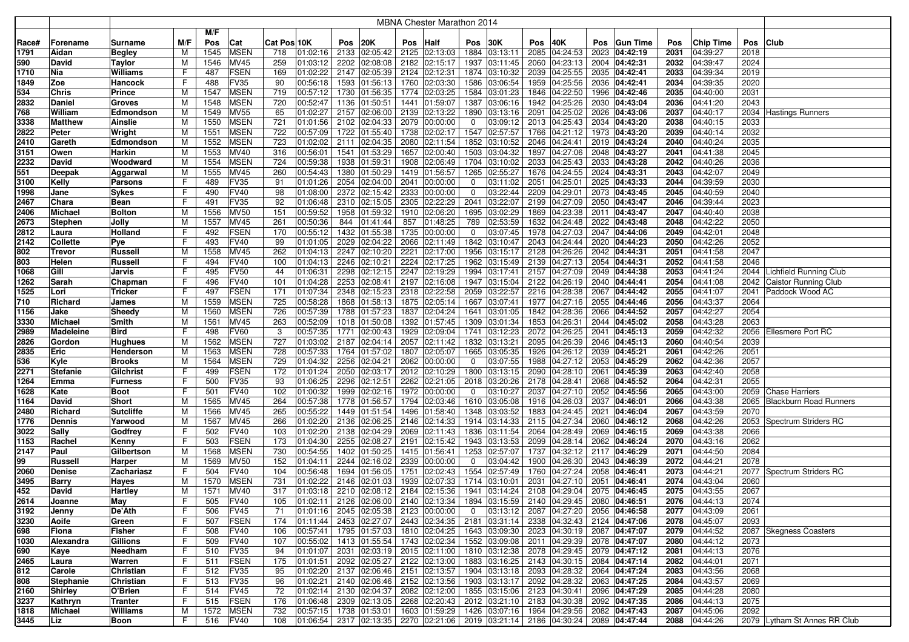|             |                      |                                  |        |            |                            |             |                      |              |               |     | <b>MBNA Chester Marathon 2014</b>                                                                          |             |                                           |      |                                                            |     |                             |              |                      |              |                              |
|-------------|----------------------|----------------------------------|--------|------------|----------------------------|-------------|----------------------|--------------|---------------|-----|------------------------------------------------------------------------------------------------------------|-------------|-------------------------------------------|------|------------------------------------------------------------|-----|-----------------------------|--------------|----------------------|--------------|------------------------------|
|             |                      |                                  |        | M/F        |                            |             |                      |              |               |     |                                                                                                            |             |                                           |      |                                                            |     |                             |              |                      |              |                              |
| Race#       | Forename             | Surname                          | M/F    | Pos        | Cat                        | Cat Pos 10K |                      | Pos          | 20K           | Pos | <b>Half</b>                                                                                                | Pos         | 30K                                       | Pos  | 40K                                                        | Pos | <b>Gun Time</b>             | Pos          | Chip Time            |              | Pos Club                     |
| 1791        | Aidan                | Begley                           | M      | 1545       | <b>MSEN</b>                | 718         | 01:02:16             | 2133         | 02:05:42      |     | 2125 02:13:03                                                                                              |             | 1884 03:13:11                             |      | 2085 04:24:53                                              |     | 2023 04:42:19               | 2031         | 04:39:27             | 2018         |                              |
| 590         | David                | <b>Taylor</b>                    | М      | 1546       | <b>MV45</b>                | 259         | 01:03:12             | 2202         | 02:08:08      |     | 2182 02:15:17                                                                                              | 1937        | 03:11:45                                  | 2060 | 04:23:13                                                   |     | 2004 04:42:31               | 2032         | 04:39:47             | 2024         |                              |
| 1710        | Nia                  | Williams                         | F      | 487        | <b>FSEN</b>                | 169         | 01:02:22             | 2147         | 02:05:39      |     | 2124 02:12:31                                                                                              |             | 1874 03:10:32                             |      | 2039 04:25:55                                              |     | 2035 04:42:41               | 2033         | 04:39:34             | 2019         |                              |
| 1849        | Zoe                  | Hancock                          | F      | 488        | FV35                       | 90          | 00:56:18             | 1593         | 01:56:13      |     | 1760 02:03:30                                                                                              | 1586        | 03:06:54                                  |      | 1959 04:25:56                                              |     | 2036 04:42:41               | 2034         | 04:39:35             | 2020         |                              |
| 534         | <b>Chris</b>         | <b>Prince</b>                    | M      | 1547       | <b>MSEN</b>                | 719         | 00:57:12             | 1730         | 01:56:35      |     | 1774 02:03:25                                                                                              |             | 1584 03:01:23                             |      | 1846 04:22:50                                              |     | 1996 04:42:46               | 2035         | 04:40:00             | 2031         |                              |
| 2832        | <b>Daniel</b>        | <b>Groves</b>                    | м      | 1548       | <b>MSEN</b>                | 720         | 00:52:47             | 1136         | 01:50:51      |     | 1441 01:59:07                                                                                              | 1387        | 03:06:16                                  |      | 1942 04:25:26                                              |     | 2030 04:43:04               | 2036         | 04:41:20             | 2043         |                              |
| 768         | William              | Edmondson                        | м      | 1549       | <b>MV55</b>                | 65          | 01:02:27             | 2157         | 02:06:00      |     | 2139 02:13:22                                                                                              | 1890        | 03:13:16                                  | 2091 | 04:25:02                                                   |     | 2026 04:43:06               | 2037         | 04:40:17             |              | 2034 Hastings Runners        |
| 3338        | <b>Matthew</b>       | <b>Ainslie</b>                   | м      | 1550       | <b>MSEN</b>                | 721         | 01:01:56             | 2102         | 02:04:33      |     | 2079 00:00:00                                                                                              | $\mathbf 0$ | 03:09:12                                  |      | 2013 04:25:43                                              |     | 2034 04:43:20               | 2038         | 04:40:15             | 2033         |                              |
| 2822        | Peter                | Wright                           | М      | 1551       | <b>MSEN</b>                | 722         | 00:57:09             | 1722         | 01:55:40      |     | 1738 02:02:17                                                                                              | 1547        | 02:57:57                                  | 1766 | 04:21:12                                                   |     | 1973 04:43:20               | 2039         | 04:40:14             | 2032         |                              |
| 2410        | Gareth               | Edmondson                        | M      | 1552       | <b>MSEN</b>                | 723         | 01:02:02             | 2111         | 02:04:35      |     | 2080 02:11:54                                                                                              | 1852        | 03:10:52                                  | 2046 | 04:24:41                                                   |     | 2019 04:43:24               | 2040         | 04:40:24             | 2035         |                              |
| 3151        | Owen                 | Harkin                           | M      | 1553       | <b>MV40</b>                | 316         | 00:56:01             | 1541         | 01:53:29      |     | 1657 02:00:40                                                                                              | 1503        | 03:04:32                                  | 1897 | 04:27:06                                                   |     | 2048 04:43:27               | 2041         | 04:41:38             | 2045         |                              |
| 2232        | David                | Woodward                         | M      | 1554       | <b>MSEN</b>                | 724         | 00:59:38             | 1938         | 01:59:31      |     | 1908 02:06:49                                                                                              |             | 1704 03:10:02                             | 2033 | 04:25:43                                                   |     | 2033 04:43:28               | 2042         | 04:40:26             | 2036         |                              |
| 551         | <b>Deepak</b>        | Aggarwal                         | M      | 1555       | <b>MV45</b>                | 260         | 00:54:43             | 1380         | 01:50:29      |     | 1419 01:56:57                                                                                              |             | 1265 02:55:27                             |      | 1676 04:24:55 2024 04:43:31                                |     |                             | 2043         | 04:42:07             | 2049         |                              |
| 3100        | Kelly                | Parsons                          | F      | 489        | FV35                       | 91          | 01:01:26             | 2054         | 02:04:00      |     | 2041 00:00:00                                                                                              | 0           | 03:11:02                                  | 2051 | 04:25:01                                                   |     | 2025 04:43:33               | 2044         | 04:39:59             | 2030         |                              |
| 1998        | Jane                 | <b>Sykes</b>                     | F      | 490        | <b>FV40</b>                | 98          | 01:08:00             | 2372         | 02:15:42      |     | 2333 00:00:00                                                                                              | 0           | 03:22:44                                  |      | 2209 04:29:01                                              |     | 2073 04:43:45               | 2045         | 04:40:59             | 2040         |                              |
| 2467        | Chara                | Bean                             | F      | 491        | FV35                       | 92          | 01:06:48             |              | 2310 02:15:05 |     | 2305 02:22:29                                                                                              | 2041        | 03:22:07                                  |      | 2199 04:27:09                                              |     | 2050 04:43:47               | 2046         | 04:39:44             | 2023         |                              |
| 2406        | <b>Michael</b>       | <b>Bolton</b>                    | М      | 1556       | <b>MV50</b>                | 151         | 00:59:52             | 1958         | 01:59:32      |     | 1910 02:06:20                                                                                              | 1695        | 03:02:29                                  |      | 1869 04:23:38                                              |     | 2011 04:43:47               | 2047         | 04:40:40             | 2038         |                              |
| 2673        | <b>Stephen</b>       | Jolly                            | M      | 1557       | <b>MV45</b>                | 261         | 00:50:36             | 844          | 01:41:44      | 857 | 01:48:25                                                                                                   | 789         | 02:53:59                                  |      | 1632 04:24:48                                              |     | 2022 04:43:48               | 2048         | 04:42:22             | 2050         |                              |
| 2812        | Laura                | Holland                          | F      | 492        | <b>FSEN</b>                | 170         | 00:55:12             | 1432         | 01:55:38      |     | 1735 00:00:00                                                                                              | $\mathbf 0$ | 03:07:45                                  |      | 1978 04:27:03                                              |     | 2047 04:44:06               | 2049         | 04:42:01             | 2048         |                              |
| 2142        | Collette             | Pye                              | F      | 493        | <b>FV40</b>                | 99          | 01:01:05             | 2029         | 02:04:22      |     | 2066 02:11:49                                                                                              |             | 1842 03:10:47                             |      | 2043 04:24:44                                              |     | 2020 04:44:23               | 2050         | 04:42:26             | 2052         |                              |
| 802         | <b>Trevor</b>        | <b>Russell</b>                   | м      | 1558       | <b>MV45</b>                | 262         | 01:04:13             | 2247         | 02:10:20      |     | 2221 02:17:00                                                                                              | 1956        | 03:15:17                                  |      | 2128 04:26:26                                              |     | 2042 04:44:31               | 2051         | 04:41:58             | 2047         |                              |
| 803         | Helen                | Russell                          | F      | 494        | FV40                       | 100         | 01:04:13             | 2246         | 02:10:21      |     | 2224 02:17:25                                                                                              | 1962        | 03:15:49                                  |      | 2139 04:27:13                                              |     | 2054 04:44:31               | 2052         | 04:41:58             | 2046         |                              |
| 1068        | Gill                 | Jarvis                           | F      | 495        | <b>FV50</b>                | 44          | 01:06:31             | 2298         | 02:12:15      |     | 2247 02:19:29                                                                                              | 1994        | 03:17:41                                  |      | 2157 04:27:09                                              |     | 2049 04:44:38               | 2053         | 04:41:24             |              | 2044 Lichfield Running Club  |
| 1262        | Sarah                | Chapman                          | F      | 496        | <b>FV40</b>                | 101         | 01:04:28             | 2253         | 02:08:41      |     | 2197 02:16:08                                                                                              |             | 1947 03:15:04                             |      | 2122 04:26:19                                              |     | 2040 04:44:41               | 2054         | 04:41:08             | 2042         | Caistor Running Club         |
| 1525        | Lori                 | <b>Tricker</b>                   | F      | 497        | <b>FSEN</b>                | 171         | 01:07:34             | 2348         | 02:15:23      |     | 2318 02:22:58                                                                                              |             | 2059 03:22:57                             |      | 2216 04:28:38                                              |     | 2067 04:44:42               | 2055         | 04:41:07             | 2041         | Paddock Wood AC              |
| 710         | Richard              | James                            | M      | 1559       | <b>MSEN</b>                | 725         | 00:58:28             | 1868         | 01:58:13      |     | 1875 02:05:14                                                                                              |             | 1667 03:07:41                             |      | 1977 04:27:16                                              |     | 2055 04:44:46               | 2056         | 04:43:37             | 2064         |                              |
| 1156        | Jake                 | Sheedy                           | M      | 1560       | <b>MSEN</b>                | 726         | 00:57:39             | 1788         | 01:57:23      |     | 1837 02:04:24                                                                                              |             | 1641 03:01:05                             |      | 1842 04:28:36                                              |     | 2066 04:44:52               | 2057         | 04:42:27             | 2054         |                              |
| 3330        | <b>Michael</b>       | Smith                            | М      | 1561       | <b>MV45</b>                | 263         | 00:52:09             | 1018         | 01:50:08      |     | 1392 01:57:45                                                                                              |             | 1309 03:01:34                             |      | 1853 04:26:31                                              |     | 2044 04:45:02               | 2058         | 04:43:28             | 2063         |                              |
| 2989        | <b>Madeleine</b>     | <b>Bird</b>                      | F      | 498        | <b>FV60</b>                | 3           | 00:57:35             | 1771         | 02:00:43      |     | 1929 02:09:04                                                                                              |             | 1741 03:12:23                             |      | 2072 04:26:25                                              |     | 2041 04:45:13               | 2059         | 04:42:32             |              | 2056 Ellesmere Port RC       |
| 2826        | Gordon               | <b>Hughues</b>                   | M      | 1562       | <b>MSEN</b>                | 727         | 01:03:02             | 2187         | 02:04:14      |     | 2057 02:11:42                                                                                              | 1832        | 03:13:21                                  |      | 2095 04:26:39                                              |     | 2046 04:45:13               | 2060         | 04:40:54             | 2039         |                              |
| 2835        | Eric                 | Henderson                        | М      | 1563       | <b>MSEN</b>                | 728         | 00:57:33             | 1764         | 01:57:02      |     | 1807 02:05:07                                                                                              | 1665        | 03:05:35                                  |      | 1926 04:26:12                                              |     | 2039 04:45:21               | 2061         | 04:42:26             | 2051         |                              |
| 536         | Kyle                 | <b>Brooks</b>                    | м      | 1564       | <b>MSEN</b>                | 729         | 01:04:32             | 2256         | 02:04:21      |     | 2062 00:00:00                                                                                              | $\mathbf 0$ | 03:07:55                                  |      | 1988 04:27:12                                              |     | 2053 04:45:29               | 2062         | 04:42:36             | 2057         |                              |
| 2271        | <b>Stefanie</b>      | Gilchrist                        | F      | 499        | <b>FSEN</b>                | 172         | 01:01:24             | 2050         | 02:03:17      |     | 2012 02:10:29                                                                                              |             | 1800 03:13:15                             |      | 2090 04:28:10                                              |     | 2061 04:45:39               | 2063         | 04:42:40             | 2058         |                              |
| 1264        | Emma                 | Furness                          | F      | 500        | FV35                       | 93          | 01:06:25             | 2296         | 02:12:51      |     | 2262 02:21:05                                                                                              |             | 2018 03:20:26                             |      | 2178 04:28:41                                              |     | 2068 04:45:52               | 2064         | 04:42:31             | 2055         |                              |
| 1628        | Kate                 | Boot                             | F      | 501        | <b>FV40</b>                | 102         | 01:00:32             | 1999         | 02:02:16      |     | 1972 00:00:00                                                                                              | $\mathbf 0$ | 03:10:27                                  |      | 2037 04:27:10                                              |     | 2052 04:45:56               | 2065         | 04:43:00             |              | 2059 Chase Harriers          |
| 1164        | David                | Short                            | M      | 1565       | <b>MV45</b>                | 264         | 00:57:38             | 1778         | 01:56:57      |     | 1794 02:03:46                                                                                              |             | 1610 03:05:08                             |      | 1916 04:26:03                                              |     | 2037 04:46:01               | 2066         | 04:43:38             |              | 2065 Blackburn Road Runners  |
| 2480        | Richard              | <b>Sutcliffe</b>                 | M      | 1566       | <b>MV45</b>                | 265         | 00:55:22             | 1449         | 01:51:54      |     | 1496 01:58:40                                                                                              |             | 1348 03:03:52                             |      | 1883 04:24:45                                              |     | 2021 04:46:04               | 2067         | 04:43:59             | 2070         |                              |
| 1776        | <b>Dennis</b>        | Yarwood                          | M      | 1567       | <b>MV45</b>                | 266         | 01:02:20             | 2136         | 02:06:25      |     | 2146 02:14:33                                                                                              |             | 1914 03:14:33                             |      | 2115 04:27:34                                              |     | 2060 04:46:12               | 2068         | 04:42:26             |              | 2053 Spectrum Striders RC    |
| 3022        | Sally                | Godfrey                          |        | 502        | <b>FV40</b>                | 103         | 01:02:20             | 2138         | 02:04:29      |     | 2069 02:11:43                                                                                              | 1836        | 03:11:54                                  |      | 2064 04:28:49                                              |     | 2069 04:46:15               | 2069         | 04:43:38             | 2066         |                              |
| 1153        | Rachel               | Kenny                            | F      | 503        | FSEN                       | 173         | 01:04:30             | 2255         | 02:08:27      |     | 2191 02:15:42                                                                                              |             | 1943 03:13:53                             |      | 2099 04:28:14                                              |     | 2062 04:46:24               | 2070         | 04:43:16             | 2062         |                              |
| 2147        | Paul                 | Gilbertson                       | M      | 1568       | <b>MSEN</b>                | 730         | 00:54:55             | 1402         | 01:50:25      |     | 1415 01:56:41                                                                                              | 1253        | 02:57:07                                  |      | 1737 04:32:12                                              |     | 2117 04:46:29               | 2071         | 04:44:50             | 2084         |                              |
| 99          | <b>Russell</b>       | Harper                           | M<br>F | 1569       | <b>MV50</b><br><b>FV40</b> | 152         | 01:04:11<br>00:56:48 | 2244<br>1694 | 02:16:02      |     | 2339 00:00:00                                                                                              | 0<br>1554   | 03:04:42<br>02:57:49                      | 1900 | 04:26:30                                                   |     | 2043 04:46:39               | 2072         | 04:44:21             | 2078         |                              |
| 2060        | <b>Denise</b>        | Zachariasz                       |        | 504        |                            | 104         |                      |              | 01:56:05      |     | 1751 02:02:43                                                                                              |             |                                           | 1760 | 04:27:24                                                   |     | 2058 04:46:41               | 2073         | 04:44:21             |              | 2077   Spectrum Striders RC  |
| 3495        | <b>Barry</b>         | Hayes                            | м      | 1570       | <b>MSEN</b>                | 731         | 01:02:22             | 2146         | 02:01:03      |     | 1939 02:07:33                                                                                              | 1714        | 03:10:01                                  | 2031 | 04:27:10                                                   |     | 2051 04:46:41               | 2074         | 04:43:04             | 2060         |                              |
| 452         | David                | Hartley                          | м      | 1571       | MV40                       | 317         | 01:03:18             | 2210         | 02:08:12      |     | 2184 02:15:36                                                                                              | 1941        | 03:14:24                                  |      | 2108 04:29:04                                              |     | 2075 04:46:45               | 2075         | 04:43:55             | 2067         |                              |
| 2614        | Joanne               | <b>May</b>                       | ь.     | 505        | FV40                       | 105         | 01:02:11             |              |               |     | 2126 02:06:00 2140 02:13:34 1894 03:15:59 2140 04:29:45 2080 04:46:51                                      |             |                                           |      |                                                            |     |                             | 2076         | 04:44:13             | 2074         |                              |
| 3192        | Jenny                | De'Ath                           | F<br>F | 506        | <b>FV45</b><br><b>FSEN</b> | 71<br>174   | 01:11:44             |              |               |     | $ 01:01:16 $ 2045 $ 02:05:38 $ 2123 $ 00:00:00 $<br>2453 02:27:07 2443 02:34:35 2181 03:31:14              |             | 0 $ 03:13:12 2087 04:27:20 2056 04:46:58$ |      | 2338 04:32:43 2124 04:47:06                                |     |                             | 2077         | 04:43:09             | 2061<br>2093 |                              |
| 3230        | Aoife                | Green                            |        | 507        | <b>FV40</b>                | 106         | 00:57:41             |              |               |     |                                                                                                            |             |                                           |      |                                                            |     |                             | 2078         | 04:45:07             |              |                              |
| 698         | Fiona                | <b>Fisher</b><br><b>Gillions</b> | F<br>F | 508        | <b>FV40</b>                | 107         | 00:55:02             |              | 1795 01:57:03 |     | 1810 02:04:25 1643 03:09:30<br>1413 01:55:54 1743 02:02:34 1552 03:09:08                                   |             |                                           |      | 2023 04:30:19 2087 04:47:07<br>2011 04:29:39 2078 04:47:07 |     |                             | 2079<br>2080 | 04:44:52<br>04:44:12 |              | 2087 Skegness Coasters       |
| 1030<br>690 | Alexandra            | Needham                          | F      | 509<br>510 | <b>FV35</b>                | 94          | 01:01:07             |              |               |     | 2031 02:03:19 2015 02:11:00 1810 03:12:38                                                                  |             |                                           |      |                                                            |     | 2078 04:29:45 2079 04:47:12 | 2081         | 04:44:13             | 2073<br>2076 |                              |
| 2465        | Kaye<br>Laura        | Warren                           | F      | 511        | <b>FSEN</b>                | 175         | 01:01:51             |              |               |     | 2092 02:05:27 2122 02:13:00 1883 03:16:25                                                                  |             |                                           |      | 2143 04:30:15 2084 04:47:14                                |     |                             | 2082         | 04:44:01             | 2071         |                              |
| 812         | Carole               | Christian                        | F      | 512        | <b>FV35</b>                | 95          |                      |              |               |     | $ 01:02:20 $ 2137 02:06:46 2151 02:13:57 1904 03:13:18                                                     |             |                                           |      | 2093 04:28:32 2064 04:47:24                                |     |                             | 2083         | 04:43:56             | 2068         |                              |
| 808         |                      |                                  | F      | 513        | FV35                       | 96          | 01:02:21             |              |               |     | 2140 02:06:46 2152 02:13:56 1903 03:13:17                                                                  |             |                                           |      | 2092 04:28:32 2063 04:47:25                                |     |                             | 2084         | 04:43:57             | 2069         |                              |
| 2160        | Stephanie<br>Shirley | Christian<br>O'Brien             | F      | 514        | <b>FV45</b>                | 72          | 01:02:14             |              | 2130 02:04:37 |     | 2082 02:12:00 1855 03:15:06                                                                                |             |                                           |      | 2123 04:30:41 2096 04:47:29                                |     |                             | 2085         | 04:44:28             | 2080         |                              |
| 3237        | Kathryn              | <b>Tranter</b>                   | F      | 515        | <b>FSEN</b>                | 176         | 01:06:48             |              | 2309 02:13:05 |     | 2268 02:20:43 2012 03:21:10                                                                                |             |                                           |      | 2183 04:30:38 2092 04:47:35                                |     |                             | 2086         | 04:44:13             | 2075         |                              |
| 1818        | Michael              | Williams                         | M      | 1572       | <b>MSEN</b>                | 732         | 00:57:15             |              | 1738 01:53:01 |     | 1603 01:59:29 1426 03:07:16                                                                                |             |                                           |      | 1964 04:29:56 2082 04:47:43                                |     |                             | 2087         | 04:45:06             | 2092         |                              |
| 3445        | Liz                  |                                  | F.     |            | <b>FV40</b>                | 108         |                      |              |               |     | $\vert$ 01:06:54   2317   02:13:35   2270   02:21:06   2019   03:21:14   2186   04:30:24   2089   04:47:44 |             |                                           |      |                                                            |     |                             | 2088         | 04:44:26             |              | 2079 Lytham St Annes RR Club |
|             |                      | Boon                             |        | 516        |                            |             |                      |              |               |     |                                                                                                            |             |                                           |      |                                                            |     |                             |              |                      |              |                              |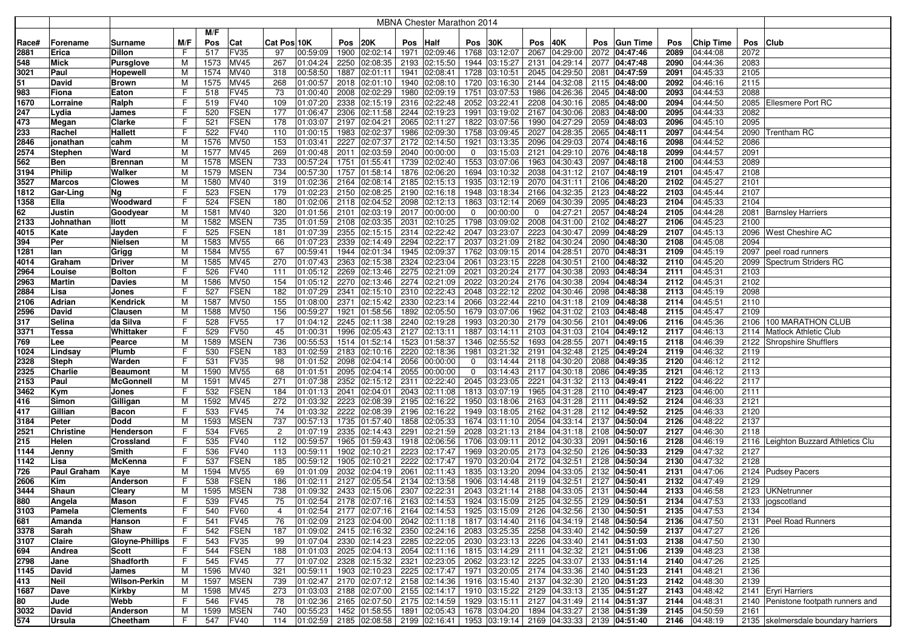|       |                  | <b>MBNA Chester Marathon 2014</b> |     |      |             |                            |      |                        |      |                                                                                                        |             |               |      |                             |      |                 |      |                  |          |                                     |
|-------|------------------|-----------------------------------|-----|------|-------------|----------------------------|------|------------------------|------|--------------------------------------------------------------------------------------------------------|-------------|---------------|------|-----------------------------|------|-----------------|------|------------------|----------|-------------------------------------|
|       |                  |                                   |     | M/F  |             |                            |      |                        |      |                                                                                                        |             |               |      |                             |      |                 |      |                  |          |                                     |
|       |                  |                                   |     |      |             |                            |      |                        |      |                                                                                                        |             |               |      |                             |      |                 |      |                  |          |                                     |
| Race# | Forename         | Surname                           | M/F | Pos  | Cat         | Cat Pos 10K                |      | <b>Pos</b> 20K         | Pos  | Half                                                                                                   | Pos         | 30K           | Pos  | 40K                         | Pos  | <b>Gun Time</b> | Pos  | <b>Chip Time</b> | Pos Club |                                     |
| 2881  | Erica            | Dillon                            | F   | 517  | <b>FV35</b> | 97<br>00:59:09             |      | 1900 02:02:14          | 1971 | 02:09:46                                                                                               | 1768        | 03:12:07      |      | 2067 04:29:00               |      | 2072 04:47:46   | 2089 | 04:44:08         | 2072     |                                     |
| 548   | <b>Mick</b>      | <b>Pursglove</b>                  | M   | 1573 | <b>MV45</b> | 267<br>01:04:24            | 2250 | 02:08:35               |      | 2193 02:15:50                                                                                          | 1944        | 03:15:27      | 2131 | 04:29:14                    | 2077 | 04:47:48        | 2090 | 04:44:36         | 2083     |                                     |
| 3021  | Paul             | Hopewell                          | M   | 1574 | MV40        | 00:58:50<br>318            |      | 1887 02:01:11          | 1941 | 02:08:41                                                                                               | 1728        | 03:10:51      |      | 2045 04:29:50               | 2081 | 04:47:59        | 2091 | 04:45:33         | 2105     |                                     |
| 51    | David            | <b>Brown</b>                      | M   | 1575 | MV45        | 268<br>01:00:57            |      | 2018 02:01:10          |      | 1940 02:08:10                                                                                          | 1720        | 03:16:30      |      | 2144 04:32:08               |      | 2115 04:48:00   | 2092 | 04:46:16         | 2115     |                                     |
| 983   | Fiona            | Eaton                             | F   | 518  | <b>FV45</b> | 73<br>01:00:40             | 2008 | 02:02:29               | 1980 | 02:09:19                                                                                               | 1751        | 03:07:53      |      | 1986 04:26:36               |      | 2045 04:48:00   | 2093 | 04:44:53         | 2088     |                                     |
| 1670  | Lorraine         | Ralph                             | F   | 519  | <b>FV40</b> | 109<br>01:07:20            |      | 2338 02:15:19          |      | 2316 02:22:48                                                                                          | 2052        | 03:22:41      |      | 2208 04:30:16               | 2085 | 04:48:00        | 2094 | 04:44:50         |          | 2085 Ellesmere Port RC              |
| 247   | Lydia            | James                             | F   | 520  | <b>FSEN</b> | 177<br>01:06:47            |      | 2306 02:11:58          |      | 2244 02:19:23                                                                                          | 1991        | 03:19:02      |      | 2167 04:30:06               | 2083 | 04:48:00        | 2095 | 04:44:33         | 2082     |                                     |
| 473   | Megan            | Clarke                            | F   | 521  | <b>FSEN</b> | 178<br>01:03:07            |      | 2197 02:04:21          |      | 2065 02:11:27                                                                                          | 1822        | 03:07:56      |      | 1990 04:27:29               |      | 2059 04:48:03   | 2096 | 04:45:10         | 2095     |                                     |
| 233   | Rachel           | Hallett                           | F   | 522  | <b>FV40</b> | 110<br>01:00:15            | 1983 | 02:02:37               | 1986 | 02:09:30                                                                                               | 1758        | 03:09:45      |      | 2027 04:28:35               |      | 2065 04:48:11   | 2097 | 04:44:54         |          | 2090 Trentham RC                    |
| 2846  | jonathan         | cahm                              | M   | 1576 | <b>MV50</b> | 153<br>01:03:41            | 2227 | 02:07:37               |      | 2172 02:14:50                                                                                          | 1921        | 03:13:35      |      | 2096 04:29:03               | 2074 | 04:48:16        | 2098 | 04:44:52         | 2086     |                                     |
| 2574  | <b>Stephen</b>   | Ward                              | M   | 1577 | <b>MV45</b> | 269<br>01:00:48            | 2011 | 02:03:59               |      | 2040 00:00:00                                                                                          | 0           | 03:15:03      |      | 2121 04:29:10               |      | 2076 04:48:18   | 2099 | 04:44:57         | 2091     |                                     |
| 562   | <b>Ben</b>       | <b>Brennan</b>                    | M   | 1578 | <b>MSEN</b> | 733<br>00:57:24            | 1751 | 01:55:41               |      | 1739 02:02:40                                                                                          | 1553        | 03:07:06      |      | 1963 04:30:43               | 2097 | 04:48:18        | 2100 | 04:44:53         | 2089     |                                     |
| 3194  | <b>Philip</b>    | Walker                            | M   | 1579 | <b>MSEN</b> | 734<br>00:57:30            |      | 1757 01:58:14          |      | 1876 02:06:20                                                                                          | 1694        | 03:10:32      |      | 2038 04:31:12               | 2107 | 04:48:19        | 2101 | 04:45:47         | 2108     |                                     |
| 3527  | <b>Marcos</b>    | <b>Clowes</b>                     | M   | 1580 | <b>MV40</b> | 319<br>01:02:36            |      | 2164 02:08:14          |      | 2185 02:15:13                                                                                          | 1935        | 03:12:19      |      | 2070 04:31:11               | 2106 | 04:48:20        | 2102 | 04:45:27         | 2101     |                                     |
| 1812  | Gar-Ling         | Na                                | F   | 523  | <b>FSEN</b> | 01:02:23<br>179            |      | 2150 02:08:25          |      | 2190 02:16:18                                                                                          | 1948        | 03:18:34      |      | 2166 04:32:35               |      | 2123 04:48:22   | 2103 | 04:45:44         | 2107     |                                     |
| 1358  | Ella             | Woodward                          | F   | 524  | <b>FSEN</b> | 180<br>01:02:06            |      | 2118 02:04:52          |      | 2098 02:12:13                                                                                          | 1863        | 03:12:14      |      | 2069 04:30:39               |      | 2095 04:48:23   | 2104 | 04:45:33         | 2104     |                                     |
| 62    | <b>Justin</b>    | Goodyear                          | M   | 1581 | <b>MV40</b> | 320<br>01:01:56            | 2101 | 02:03:19               | 2017 | 00:00:00                                                                                               | 0           | 00:00:00      | 0    | 04:27:21                    | 2057 | 04:48:24        | 2105 | 04:44:28         |          | 2081 Barnsley Harriers              |
| 2133  | Johnathan        | llott                             | M   | 1582 | <b>MSEN</b> | 735<br>01:01:59            |      | 2108 02:03:35          | 2031 | 02:10:25                                                                                               | 1798        | 03:09:02      |      | 2008 04:31:00               | 2102 | 04:48:27        | 2106 | 04:45:23         | 2100     |                                     |
| 4015  | Kate             | Jayden                            | F   | 525  | <b>FSEN</b> | 01:07:39<br>181            | 2355 | $\sqrt{02:15:15}$      |      | 2314 02:22:42                                                                                          | 2047        | 03:23:07      |      | 2223 04:30:47               | 2099 | 04:48:29        | 2107 | 04:45:13         |          | 2096 West Cheshire AC               |
| 394   | Per              | Nielsen                           | м   | 1583 | <b>MV55</b> | 66<br>01:07:23             | 2339 | 02:14:49               |      | 2294 02:22:17                                                                                          | 2037        | 03:21:09      |      | 2182 04:30:24               | 2090 | 04:48:30        | 2108 | 04:45:08         | 2094     |                                     |
| 1281  | lan              | Grigg                             | M   | 1584 | <b>MV55</b> | 67<br>00:59:41             | 1944 | 02:01:34               |      | 1945 02:09:37                                                                                          | 1762        | 03:09:15      |      | 2014 04:28:51               |      | 2070 04:48:31   | 2109 | 04:45:19         |          | 2097   peel road runners            |
| 4014  | Graham           | <b>Driver</b>                     | M   | 1585 | MV45        | 270<br>01:07:43            | 2363 | 02:15:38               |      | 2324 02:23:04                                                                                          | 2061        | 03:23:15      |      | 2228 04:30:51               | 2100 | 04:48:32        | 2110 | 04:45:20         |          | 2099 Spectrum Striders RC           |
| 2964  | Louise           | <b>Bolton</b>                     | F   | 526  | <b>FV40</b> | 111<br>01:05:12            | 2269 | 02:13:46               |      | 2275 02:21:09                                                                                          | 2021        | 03:20:24      |      | 2177 04:30:38               | 2093 | 04:48:34        | 2111 | 04:45:31         | 2103     |                                     |
| 2963  | Martin           | Davies                            | M   | 1586 | <b>MV50</b> | 154<br>01:05:12            |      | 2270 02:13:46          |      | 2274 02:21:09                                                                                          | 2022        | 03:20:24      |      | 2176 04:30:38               |      | 2094 04:48:34   | 2112 | 04:45:31         | 2102     |                                     |
| 2884  | Lisa             | Jones                             | F   | 527  | <b>FSEN</b> | 182<br>01:07:29            |      | 2341 02:15:10          |      | 2310 02:22:43                                                                                          | 2048        | 03:22:12      |      | 2202 04:30:46               |      | 2098 04:48:38   | 2113 | 04:45:19         | 2098     |                                     |
| 2106  | Adrian           | Kendrick                          | M   | 1587 | <b>MV50</b> | 155<br>01:08:00            |      | 2371 02:15:42          |      | 2330 02:23:14                                                                                          |             | 2066 03:22:44 |      | 2210 04:31:18               |      | 2109 04:48:38   | 2114 | 04:45:51         | 2110     |                                     |
| 2596  | David            | Clausen                           | M   | 1588 | <b>MV50</b> | 00:59:27<br>156            |      | 1921 01:58:56          |      | 1892 02:05:50                                                                                          | 1679        | 03:07:06      |      | 1962 04:31:02               |      | 2103 04:48:48   | 2115 | 04:45:47         | 2109     |                                     |
| 317   | Selina           | da Silva                          | F   | 528  | <b>FV55</b> | 17<br>01:04:12             |      | 2245 02:11:38          |      | 2240 02:19:28                                                                                          | 1993        | 03:20:30      |      | 2179 04:30:56               | 2101 | 04:49:06        | 2116 | 04:45:36         |          | 2106 100 MARATHON CLUB              |
| 3371  | <b>Tessa</b>     | Whittaker                         | F   | 529  | <b>FV50</b> | 45<br>01:00:31             |      | 1996 02:05:43          |      | 2127 02:13:11                                                                                          | 1887        | 03:14:11      |      | 2103 04:31:03               | 2104 | 04:49:12        | 2117 | 04:46:13         |          | 2114   Matlock Athletic Club        |
| 769   | Lee              | Pearce                            | M   | 1589 | <b>MSEN</b> | 736<br>00:55:53            |      | 1514 01:52:14          |      | 1523 01:58:37                                                                                          | 1346        | 02:55:52      |      | 1693 04:28:55               | 2071 | 04:49:15        | 2118 | 04:46:39         |          | 2122 Shropshire Shufflers           |
| 1024  | Lindsay          | Plumb                             | F   | 530  | <b>FSEN</b> | 183<br>01:02:59            |      | 2183 02:10:16          |      | 2220 02:18:36                                                                                          | 1981        | 03:21:32      |      | 2191 04:32:48               | 2125 | 04:49:24        | 2119 | 04:46:32         | 2119     |                                     |
| 2328  | Steph            | Warden                            | F   | 531  | <b>FV35</b> | 98<br>01:01:52             |      | 2098 02:04:14          |      | 2056 00:00:00                                                                                          | 0           | 03:14:44      |      | 2118 04:30:20               | 2088 | 04:49:35        | 2120 | 04:46:12         | 2112     |                                     |
| 2325  | <b>Charlie</b>   | <b>Beaumont</b>                   | M   | 1590 | <b>MV55</b> | 68<br>01:01:51             |      | 2095 02:04:14          |      | 2055 00:00:00                                                                                          | $\mathbf 0$ | 03:14:43      |      | 2117 04:30:18               | 2086 | 04:49:35        | 2121 | 04:46:12         | 2113     |                                     |
| 2153  | Paul             | <b>McGonnell</b>                  | M   | 1591 | <b>MV45</b> | 271<br>01:07:38            |      | 2352 02:15:12          |      | 2311 02:22:40                                                                                          | 2045        | 03:23:05      |      | 2221 04:31:32               | 2113 | 04:49:41        | 2122 | 04:46:22         | 2117     |                                     |
| 3462  | Kym              | Jones                             | F   | 532  | <b>FSEN</b> | 184<br>01:01:13            | 2041 | 02:04:01               |      | 2043 02:11:08                                                                                          | 1813        | 03:07:19      |      | 1965 04:31:28               |      | 2110 04:49:47   | 2123 | 04:46:00         | 2111     |                                     |
| 416   | Simon            | Gilligan                          | M   | 1592 | <b>MV45</b> | 272<br>01:03:32            | 2223 | 02:08:39               |      | 2195 02:16:22                                                                                          | 1950        | 03:18:06      |      | 2163 04:31:28               | 2111 | 04:49:52        | 2124 | 04:46:33         | 2121     |                                     |
| 417   | Gillian          | <b>Bacon</b>                      | F   | 533  | <b>FV45</b> | 74<br>01:03:32             |      | 2222 02:08:39          |      | 2196 02:16:22                                                                                          | 1949        | 03:18:05      |      | 2162 04:31:28               |      | 2112 04:49:52   | 2125 | 04:46:33         | 2120     |                                     |
| 3184  | Peter            | Dodd                              | M   | 1593 | <b>MSEN</b> | 737<br>00:57:13            |      | 1735 01:57:40          |      | 1858 02:05:33                                                                                          | 1674        | 03:11:10      |      | 2054 04:33:14               | 2137 | 04:50:04        | 2126 | 04:48:22         | 2137     |                                     |
| 2521  | <b>Christine</b> | Henderson                         | F   | 534  | <b>FV65</b> | $\overline{2}$<br>01:07:19 |      | 2335 02:14:43          |      | 2291 02:21:59                                                                                          | 2028        | 03:21:13      |      | 2184 04:31:18               | 2108 | 04:50:07        | 2127 | 04:46:30         | 2118     |                                     |
| 215   | Helen            | Crossland                         | F   | 535  | <b>FV40</b> | 00:59:57<br>112            |      | 1965 01:59:43          |      | 1918 02:06:56                                                                                          | 1706        | 03:09:11      |      | 2012 04:30:33               | 2091 | 04:50:16        | 2128 | 04:46:19         |          | 2116 Leighton Buzzard Athletics Clu |
| 1144  | Jenny            | <b>Smith</b>                      | F   | 536  | <b>FV40</b> | 00:59:11<br>113            |      | 1902 02:10:21          |      | 2223 02:17:47                                                                                          | 1969        | 03:20:05      |      | 2173 04:32:50               |      | 2126 04:50:33   | 2129 | 04:47:32         | 2127     |                                     |
| 1142  | Lisa             | McKenna                           | F   | 537  | <b>FSEN</b> | 185<br>00:59:12            | 1905 | 02:10:21               | 2222 | 02:17:47                                                                                               | 1970        | 03:20:04      |      | 2172 04:32:51               | 2128 | 04:50:34        | 2130 | 04:47:32         | 2128     |                                     |
| 726   | Paul Graham      | Kaye                              | M   | 1594 | <b>MV55</b> | 69<br>01:01:09             | 2032 | 02:04:19               | 2061 | 02:11:43                                                                                               | 1835        | 03:13:20      |      | 2094 04:33:05               | 2132 | 04:50:41        | 2131 | 04:47:06         |          | 2124 Pudsey Pacers                  |
| 2606  | Kim              | Anderson                          | F   | 538  | <b>FSEN</b> | 186<br>01:02:11            | 2127 | 02:05:54               |      | 2134 02:13:58                                                                                          | 1906        | 03:14:48      |      | 2119 04:32:51               | 2127 | 04:50:41        | 2132 | 04:47:49         | 2129     |                                     |
| 3444  | Shaun            | Cleary                            | M   | 1595 | <b>MSEN</b> | 738<br>01:09:32            |      | 2433 02:15:06          |      | 2307 02:22:31                                                                                          | 2043        | 03:21:14      |      | 2188 04:33:05               | 2131 | 04:50:44        | 2133 | 04:46:58         |          | 2123   UKNetrunner                  |
| 880   | Angela           | Mason                             | F   | 539  | FV45        | 75                         |      |                        |      | $ 01:02:54 $ 2178 $ 02:07:16 $ 2163 $ 02:14:53 $ 1924 $ 03:15:09 $ 2125 $ 04:32:55 $ 2129 $ 04:50:51 $ |             |               |      |                             |      |                 |      | 2134 04:47:53    |          | 2133 jogscotland                    |
| 3103  | Pamela           | <b>Clements</b>                   | F   | 540  | <b>FV60</b> | $\overline{4}$             |      |                        |      | $ 01:02:54 $ 2177 $ 02:07:16 $ 2164 $ 02:14:53 $ 1925 $ 03:15:09 $ 2126 $ 04:32:56 $ 2130 $ 04:50:51 $ |             |               |      |                             |      |                 | 2135 | 04:47:53         | 2134     |                                     |
| 681   | Amanda           | Hanson                            | F   | 541  | <b>FV45</b> | 76                         |      |                        |      | $ 01:02:09 $ 2123 $ 02:04:00 $ 2042 $ 02:11:18 $ 1817 $ 03:14:40 $ 2116 $ 04:34:19 $ 2148 $ 04:50:54$  |             |               |      |                             |      |                 | 2136 | 04:47:50         |          | 2131 Peel Road Runners              |
| 3378  | Sarah            | Shaw                              | F   | 542  | <b>FSEN</b> | 187                        |      |                        |      | $ 01:09:02 $ 2415 $ 02:16:32 $ 2350 $ 02:24:16 $ 2083 $ 03:25:35 $ 2258 $ 04:33:40 $ 2142 $ 04:50:59$  |             |               |      |                             |      |                 | 2137 | 04:47:27         | 2126     |                                     |
| 3107  | <b>Claire</b>    | Gloyne-Phillips                   | -F  | 543  | <b>FV35</b> | 99                         |      |                        |      | 01:07:04 2330 02:14:23 2285 02:22:05 2030 03:23:13 2226 04:33:40 2141 04:51:03                         |             |               |      |                             |      |                 | 2138 | 04:47:50         | 2130     |                                     |
| 694   | Andrea           | Scott                             | F   | 544  | <b>FSEN</b> | 188                        |      |                        |      | $ 01:01:03 $ 2025 02:04:13 2054 02:11:16 1815 03:14:29 2111 04:32:32 2121 04:51:06                     |             |               |      |                             |      |                 | 2139 | 04:48:23         | 2138     |                                     |
| 2798  | Jane             | Shadforth                         | F   | 545  | <b>FV45</b> | 77                         |      |                        |      | $[01:07:02]$ 2328 $[02:15:32]$ 2321 02:23:05 2062 03:23:12 2225 04:33:07 2133 04:51:14                 |             |               |      |                             |      |                 | 2140 | 04:47:26         | 2125     |                                     |
| 1145  | David            | James                             | M   | 1596 | <b>MV40</b> | 321                        |      |                        |      | $ 00:59:11 $ 1903 $ 02:10:23 $ 2225 $ 02:17:47 $ 1971 $ 03:20:05 $ 2174 $ 04:33:36 $ 2140 $ 04:51:23$  |             |               |      |                             |      |                 | 2141 | 04:48:21         | 2136     |                                     |
| 413   | Neil             | <b>Wilson-Perkin</b>              | M   | 1597 | <b>MSEN</b> | 739                        |      |                        |      | $\vert$ 01:02:47 2170 02:07:12 2158 02:14:36 1916 03:15:40 2137 04:32:30 2120 04:51:23                 |             |               |      |                             |      |                 | 2142 | 04:48:30         | 2139     |                                     |
| 1687  | Dave             | Kirkby                            | M   | 1598 | <b>MV45</b> | 273                        |      |                        |      | $\vert$ 01:03:03 2188 02:07:00 2155 02:14:17 1910 03:15:22 2129 04:33:13 2135 04:51:27                 |             |               |      |                             |      |                 | 2143 | 04:48:42         |          | 2141 Eryri Harriers                 |
| 80    | Jude             | Webb                              | F   | 546  | <b>FV45</b> | 78                         |      | 01:02:36 2165 02:07:50 |      | 2175 02:14:59 1929 03:15:11 2127 04:31:49 2114 04:51:37                                                |             |               |      |                             |      |                 | 2144 | 04:48:31         |          | 2140 Penistone footpath runners and |
| 3032  | David            | Anderson                          | M   | 1599 | <b>MSEN</b> | 740                        |      | 00:55:23 1452 01:58:55 |      | 1891 02:05:43 1678 03:04:20                                                                            |             |               |      | 1894 04:33:27 2138 04:51:39 |      |                 | 2145 | 04:50:59         | 2161     |                                     |
| 574   | Ursula           | Cheetham                          | F   | 547  | <b>FV40</b> | 114                        |      |                        |      | $ 01:02:59 $ 2185 $ 02:08:58 $ 2199 $ 02:16:41 $ 1953 $ 03:19:14 $ 2169 $ 04:33:33 $ 2139 $ 04:51:40$  |             |               |      |                             |      |                 |      | 2146 04:48:19    |          | 2135 skelmersdale boundary harriers |
|       |                  |                                   |     |      |             |                            |      |                        |      |                                                                                                        |             |               |      |                             |      |                 |      |                  |          |                                     |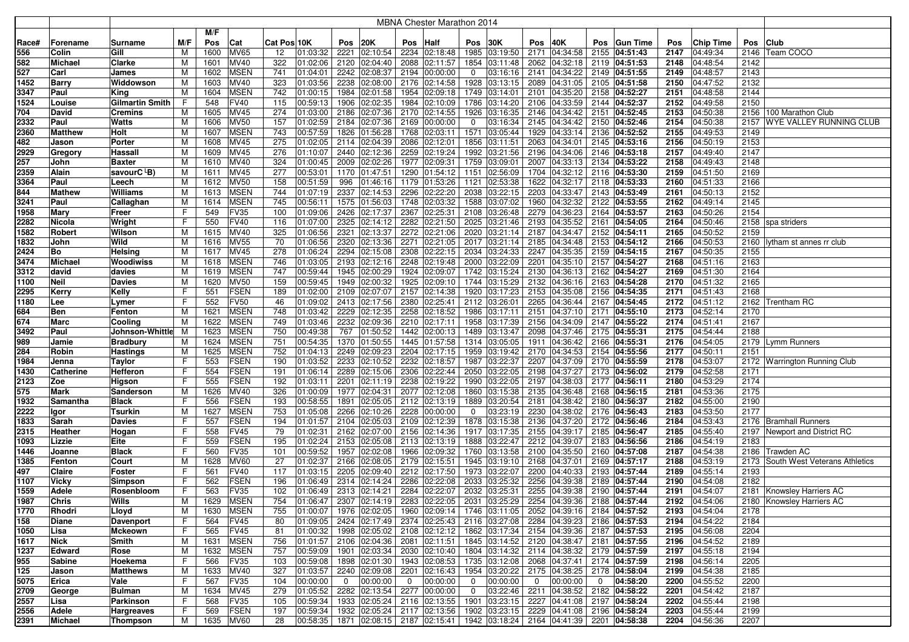|       |                  |                         |     |      |             |             |          |             |                             |             | MBNA Chester Marathon 2014                                            |                |               |                |                             |                |               |      |           |      |                                    |
|-------|------------------|-------------------------|-----|------|-------------|-------------|----------|-------------|-----------------------------|-------------|-----------------------------------------------------------------------|----------------|---------------|----------------|-----------------------------|----------------|---------------|------|-----------|------|------------------------------------|
|       |                  |                         |     | M/F  |             |             |          |             |                             |             |                                                                       |                |               |                |                             |                |               |      |           |      |                                    |
| Race# | Forename         | Surname                 | M/F | Pos  | Cat         | Cat Pos 10K |          | Pos         | 20K                         | Pos         | <b>Half</b>                                                           | Pos            | 30K           | Pos            | 40K                         | Pos            | Gun Time      | Pos  | Chip Time |      | Pos Club                           |
| 556   | Colin            | Gill                    | M   | 1600 | MV65        | 12          | 01:03:32 | 2221        | 02:10:54                    |             | 2234 02:18:48                                                         |                | 1985 03:19:50 | 2171           | $ 04:34:58 $ 2155 04:51:43  |                |               | 2147 | 04:49:34  |      | 2146   Team COCO                   |
| 582   | <b>Michael</b>   | Clarke                  | M   | 1601 | <b>MV40</b> | 322         | 01:02:06 | 2120        | 02:04:40                    |             | 2088 02:11:57                                                         |                | 1854 03:11:48 |                | 2062 04:32:18               |                | 2119 04:51:53 | 2148 | 04:48:54  | 2142 |                                    |
| 527   | Carl             | James                   | M   | 1602 | <b>MSEN</b> | 741         | 01:04:01 | 2242        | 02:08:37                    |             | 2194 00:00:00                                                         | $\mathbf 0$    | 03:16:16      |                | 2141 04:34:22 2149 04:51:55 |                |               | 2149 | 04:48:57  | 2143 |                                    |
| 1452  | <b>Barry</b>     | Widdowson               | M   | 1603 | <b>MV40</b> | 323         | 01:03:56 | 2238        | 02:08:00                    |             | 2176 02:14:58                                                         |                | 1928 03:13:15 |                | 2089 04:31:05               |                | 2105 04:51:58 | 2150 | 04:47:52  | 2132 |                                    |
| 3347  | Paul             | King                    | M   | 1604 | <b>MSEN</b> | 742         | 01:00:15 | 1984        | 02:01:58                    |             | 1954 02:09:18                                                         |                | 1749 03:14:01 |                | 2101 04:35:20               |                | 2158 04:52:27 | 2151 | 04:48:58  | 2144 |                                    |
| 1524  | Louise           | <b>Gilmartin Smith</b>  | F   | 548  | <b>FV40</b> | 115         | 00:59:13 | 1906        | 02:02:35                    |             | 1984 02:10:09                                                         | 1786           | 03:14:20      |                | 2106 04:33:59               |                | 2144 04:52:37 | 2152 | 04:49:58  | 2150 |                                    |
| 704   | David            | Cremins                 | M   | 1605 | <b>MV45</b> | 274         | 01:03:00 | 2186        | 02:07:36                    |             | 2170 02:14:55                                                         | 1926           | 03:16:35      |                | 2146 04:34:42               |                | 2151 04:52:45 | 2153 | 04:50:38  |      | 2156 100 Marathon Club             |
| 2332  | Paul             | Watts                   | м   | 1606 | <b>MV50</b> | 157         | 01:02:59 | 2184        | 02:07:36                    |             | 2169 00:00:00                                                         | $\mathbf 0$    | 03:16:34      |                | 2145 04:34:42               |                | 2150 04:52:46 | 2154 | 04:50:38  | 2157 | <b>WYE VALLEY RUNNING CLUB</b>     |
| 2360  | <b>Matthew</b>   | Holt                    | М   | 1607 | <b>MSEN</b> | 743         | 00:57:59 | 1826        | 01:56:28                    |             | 1768 02:03:11                                                         | 1571           | 03:05:44      | 1929           | 04:33:14                    |                | 2136 04:52:52 | 2155 | 04:49:53  | 2149 |                                    |
| 482   | Jason            | Porter                  | м   | 1608 | <b>MV45</b> | 275         | 01:02:05 | 2114        | 02:04:39                    |             | 2086 02:12:01                                                         | 1856           | 03:11:51      |                | 2063 04:34:01               |                | 2145 04:53:16 | 2156 | 04:50:19  | 2153 |                                    |
| 2929  | Gregory          | Hassall                 | M   | 1609 | <b>MV45</b> | 276         | 01:10:07 | 2440        | 02:12:36                    |             | 2259 02:19:24                                                         | 1992           | 03:21:56      | 2196           | 04:34:06                    |                | 2146 04:53:18 | 2157 | 04:49:40  | 2147 |                                    |
| 257   | John             | Baxter                  | M   | 1610 | <b>MV40</b> | 324         | 01:00:45 | 2009        | 02:02:26                    |             | 1977 02:09:31                                                         |                | 1759 03:09:01 | 2007           | $ 04:33:13 $ 2134 04:53:22  |                |               | 2158 | 04:49:43  | 2148 |                                    |
| 2359  | Alain            | savourC <sup>L</sup> B) | М   | 1611 | <b>MV45</b> | 277         | 00:53:01 | 1170        | 01:47:51                    |             | 1290 01:54:12 1151 02:56:09                                           |                |               |                | 1704 04:32:12 2116 04:53:30 |                |               | 2159 | 04:51:50  | 2169 |                                    |
| 3364  | Paul             | Leech                   | M   | 1612 | <b>MV50</b> | 158         | 00:51:59 | 996         | 01:46:16                    |             | 1179 01:53:26                                                         | 1121           | 02:53:38      |                | 1622 04:32:17               |                | 2118 04:53:33 | 2160 | 04:51:33  | 2166 |                                    |
| 844   | <b>Mathew</b>    | Williams                | M   | 1613 | <b>MSEN</b> | 744         | 01:07:19 | 2337        | 02:14:53                    |             | 2296 02:22:20                                                         |                | 2038 03:22:15 |                | 2203 04:33:47 2143 04:53:49 |                |               | 2161 | 04:50:13  | 2152 |                                    |
| 3241  | Paul             | Callaghan               | М   | 1614 | <b>MSEN</b> | 745         | 00:56:11 | 1575        | 01:56:03                    |             | 1748 02:03:32                                                         | 1588           | 03:07:02      |                | 1960 04:32:32               |                | 2122 04:53:55 | 2162 | 04:49:14  | 2145 |                                    |
| 1958  | Mary             | Freer                   | F   | 549  | FV35        | 100         | 01:09:06 | 2426        | 02:17:37                    |             | 2367 02:25:31                                                         |                | 2108 03:26:48 |                | 2279 04:36:23               |                | 2164 04:53:57 | 2163 | 04:50:26  | 2154 |                                    |
| 2282  | Nicola           | Wright                  | F   | 550  | <b>FV40</b> | 116         | 01:07:00 | 2325        | 02:14:12                    |             | 2282 02:21:50 2025 03:21:46                                           |                |               |                | 2193 04:35:52               |                | 2161 04:54:05 | 2164 | 04:50:46  |      | 2158 spa striders                  |
| 1582  | Robert           | Wilson                  | м   | 1615 | <b>MV40</b> | 325         | 01:06:56 | 2321        | 02:13:37                    |             | 2272 02:21:06 2020 03:21:14                                           |                |               |                | 2187 04:34:47               |                | 2152 04:54:11 | 2165 | 04:50:52  | 2159 |                                    |
| 1832  | John             | Wild                    | М   | 1616 | <b>MV55</b> | 70          | 01:06:56 | 2320        | 02:13:36                    |             | 2271 02:21:05 2017 03:21:14                                           |                |               |                | 2185 04:34:48 2153 04:54:12 |                |               | 2166 | 04:50:53  |      | 2160 lytham st annes rr club       |
| 2424  | Bo               | Helsing                 | м   | 1617 | <b>MV45</b> | 278         | 01:06:24 | 2294        | 02:15:08                    |             | 2308 02:22:15 2034 03:24:33                                           |                |               |                | 2247 04:35:35 2159 04:54:15 |                |               | 2167 | 04:50:35  | 2155 |                                    |
| 3474  | <b>Michael</b>   | Woodiwiss               | м   | 1618 | <b>MSEN</b> | 746         | 01:03:05 | 2193        | 02:12:16                    |             | 2248 02:19:48                                                         |                | 2000 03:22:09 | 2201           | 04:35:10                    |                | 2157 04:54:27 | 2168 | 04:51:16  | 2163 |                                    |
| 3312  | david            | davies                  | M   | 1619 | <b>MSEN</b> | 747         | 00:59:44 | 1945        | 02:00:29                    |             | 1924 02:09:07                                                         |                | 1742 03:15:24 | 2130           | 04:36:13                    |                | 2162 04:54:27 | 2169 | 04:51:30  | 2164 |                                    |
| 1100  | <b>Neil</b>      | Davies                  | M   | 1620 | <b>MV50</b> | 159         | 00:59:45 | 1949        | 02:00:32                    |             | 1925 02:09:10 1744 03:15:29                                           |                |               |                | 2132 04:36:16               |                | 2163 04:54:28 | 2170 | 04:51:32  | 2165 |                                    |
| 2295  | Kerry            | <b>Kelly</b>            | F   | 551  | FSEN        | 189         | 01:02:00 | 2109        | 02:07:07                    |             | 2157 02:14:38                                                         |                | 1920 03:17:23 |                | 2153 04:35:08 2156 04:54:35 |                |               | 2171 | 04:51:43  | 2168 |                                    |
| 1180  | Lee              | Lymer                   |     | 552  | <b>FV50</b> | 46          | 01:09:02 |             | 2413 02:17:56               |             | 2380 02:25:41                                                         |                | 2112 03:26:01 |                | 2265 04:36:44               |                | 2167 04:54:45 | 2172 | 04:51:12  |      | 2162 Trentham RC                   |
| 684   | <b>Ben</b>       | Fenton                  | M   | 1621 | <b>MSEN</b> | 748         | 01:03:42 | 2229        | 02:12:35                    |             | 2258 02:18:52                                                         |                | 1986 03:17:11 |                | 2151 04:37:10 2171 04:55:10 |                |               | 2173 | 04:52:14  | 2170 |                                    |
| 674   | Marc             | Cooling                 | M   | 1622 | <b>MSEN</b> | 749         | 01:03:46 | 2232        | 02:09:36                    |             | 2210 02:17:11                                                         | 1958           | 03:17:39      |                | 2156 04:34:09               |                | 2147 04:55:22 | 2174 | 04:51:41  | 2167 |                                    |
| 3492  | Paul             | Johnson-Whittle         | M   | 1623 | <b>MSEN</b> | 750         | 00:49:38 | 767         | 01:50:52                    |             | 1442 02:00:13                                                         |                | 1489 03:13:47 |                | 2098 04:37:46               |                | 2175 04:55:31 | 2175 | 04:54:44  | 2188 |                                    |
| 989   | Jamie            | <b>Bradbury</b>         | M   | 1624 | <b>MSEN</b> | 751         | 00:54:35 | 1370        | 01:50:55                    |             | 1445 01:57:58                                                         |                | 1314 03:05:05 | 1911           | 04:36:42                    |                | 2166 04:55:31 | 2176 | 04:54:05  |      | 2179 Lymm Runners                  |
| 284   | Robin            | Hastings                | M   | 1625 | <b>MSEN</b> | 752         | 01:04:13 | 2249        | 02:09:23                    |             | 2204 02:17:15                                                         | 1959           | 03:19:42      |                | 2170 04:34:53 2154 04:55:56 |                |               | 2177 | 04:50:11  | 2151 |                                    |
| 1984  | Jenna            | Taylor                  | F   | 553  | <b>FSEN</b> | 190         | 01:03:52 | 2233        | 02:10:52                    |             | 2232 02:18:57                                                         |                | 1987 03:22:37 |                | 2207 04:37:09 2170 04:55:59 |                |               | 2178 | 04:53:07  |      | 2172 Warrington Running Club       |
| 1430  | <b>Catherine</b> | Hefferon                | F   | 554  | <b>FSEN</b> | 191         | 01:06:14 | 2289        | 02:15:06                    |             | 2306 02:22:44                                                         |                | 2050 03:22:05 |                | 2198 04:37:27 2173 04:56:02 |                |               | 2179 | 04:52:58  | 2171 |                                    |
| 2123  | Zoe              | Higson                  | F   | 555  | <b>FSEN</b> | 192         | 01:03:11 | 2201        | 02:11:19                    |             | 2238 02:19:22                                                         |                | 1990 03:22:05 |                | 2197 04:38:03               |                | 2177 04:56:11 | 2180 | 04:53:29  | 2174 |                                    |
| 575   | Mark             | Sanderson               | М   | 1626 | <b>MV40</b> | 326         | 01:00:09 | 1977        | 02:04:31                    |             | 2077 02:12:08                                                         |                | 1860 03:15:38 |                | 2135 04:36:48               |                | 2168 04:56:15 | 2181 | 04:53:36  | 2175 |                                    |
| 1932  | Samantha         | <b>Black</b>            | F   | 556  | <b>FSEN</b> | 193         | 00:58:55 | 1891        | 02:05:05                    |             | $\overline{2112}$ 02:13:19                                            |                | 1889 03:20:54 |                | 2181 04:38:42               |                | 2180 04:56:37 | 2182 | 04:55:00  | 2190 |                                    |
| 2222  | Igor             | Tsurkin                 | M   | 1627 | <b>MSEN</b> | 753         | 01:05:08 | 2266        | 02:10:26                    |             | 2228 00:00:00                                                         | $\mathbf 0$    | 03:23:19      |                | 2230 04:38:02 2176 04:56:43 |                |               | 2183 | 04:53:50  | 2177 |                                    |
| 1833  | Sarah            | Davies                  | F   | 557  | FSEN        | 194         | 01:01:57 | 2104        | 02:05:03                    |             | 2109 02:12:39                                                         |                | 1878 03:15:38 |                | 2136 04:37:20 2172 04:56:46 |                |               | 2184 | 04:53:43  |      | 2176 Bramhall Runners              |
| 2315  | Heather          | Hogan                   | F   | 558  | <b>FV45</b> | 79          | 01:02:31 | 2162        | 02:07:00                    |             | 2156 02:14:36                                                         |                | 1917 03:17:35 |                | 2155 04:39:17               |                | 2185 04:56:47 | 2185 | 04:55:40  |      | 2197 Newport and District RC       |
| 1093  | Lizzie           | Eite                    | F   | 559  | FSEN        | 195         | 01:02:24 | 2153        | 02:05:08                    |             | 2113 02:13:19                                                         |                | 1888 03:22:47 |                | 2212 04:39:07               |                | 2183 04:56:56 | 2186 | 04:54:19  | 2183 |                                    |
| 1446  | Joanne           | <b>Black</b>            | F   | 560  | FV35        | 101         | 00:59:52 | 1957        | 02:02:08                    |             | 1966 02:09:32                                                         |                | 1760 03:13:58 |                | 2100 04:35:50               |                | 2160 04:57:08 | 2187 | 04:54:38  |      | 2186 Trawden AC                    |
| 1385  | Fenton           | Court                   | M   | 1628 | <b>MV60</b> | 27          | 01:02:37 | 2166        | 02:08:05                    |             | 2179 02:15:51                                                         | 1945           | 03:19:10      |                | 2168 04:37:01               |                | 2169 04:57:17 | 2188 | 04:53:19  |      | 2173 South West Veterans Athletics |
| 497   | Claire           | Foster                  | F   | 561  | FV40        | 117         | 01:03:15 | 2205        | 02:09:40                    |             | 2212 02:17:50                                                         |                | 1973 03:22:07 | 2200           | 04:40:33                    |                | 2193 04:57:44 | 2189 | 04:55:14  | 2193 |                                    |
| 1107  | Vicky            | Simpson                 | F   | 562  | <b>FSEN</b> | 196         | 01:06:49 | 2314        | 02:14:24                    |             | 2286 02:22:08                                                         |                | 2033 03:25:32 |                | 2256 04:39:38               |                | 2189 04:57:44 | 2190 | 04:54:08  | 2182 |                                    |
| 1559  | Adele            | Rosenbloom              | F   | 563  | <b>FV35</b> | 102         | 01:06:49 | 2313        | 02:14:21                    |             | 2284 02:22:07 2032 03:25:31                                           |                |               |                | 2255 04:39:38               |                | 2190 04:57:44 | 2191 | 04:54:07  |      | 2181 Knowsley Harriers AC          |
| 1987  | Chris            | Wills                   | M   | 1629 | <b>MSEN</b> | 754         | 01:06:47 |             | 2307 02:14:19               |             | 2283 02:22:05 2031 03:25:29 2254 04:39:36 2188 04:57:44               |                |               |                |                             |                |               | 2192 | 04:54:06  |      | 2180   Knowsley Harriers AC        |
| 1770  | Rhodri           | Lloyd                   | м   | 1630 | <b>MSEN</b> | 755         | 01:00:07 |             |                             |             | 1976 02:02:05 1960 02:09:14 1746 03:11:05 2052 04:39:16 2184 04:57:52 |                |               |                |                             |                |               | 2193 | 04:54:04  | 2178 |                                    |
| 158   | Diane            | <b>Davenport</b>        | F   | 564  | <b>FV45</b> | 80          | 01:09:05 |             |                             |             | 2424 02:17:49 2374 02:25:43 2116 03:27:08                             |                |               |                | 2284 04:39:23 2186 04:57:53 |                |               | 2194 | 04:54:22  | 2184 |                                    |
| 1050  | Lisa             | Mckeown                 | F   | 565  | <b>FV45</b> | 81          | 01:00:32 |             |                             |             | 1998 02:05:02 2108 02:12:12 1862 03:17:34                             |                |               |                | 2154 04:39:36 2187 04:57:53 |                |               | 2195 | 04:56:08  | 2204 |                                    |
| 1617  | Nick             | Smith                   | M   | 1631 | <b>MSEN</b> | 756         | 01:01:57 |             |                             |             | 2106 02:04:36 2081 02:11:51 1845 03:14:52 2120 04:38:47 2181 04:57:55 |                |               |                |                             |                |               | 2196 | 04:54:52  | 2189 |                                    |
| 1237  | Edward           | Rose                    | м   | 1632 | <b>MSEN</b> | 757         | 00:59:09 |             |                             |             | 1901 02:03:34 2030 02:10:40 1804 03:14:32 2114 04:38:32 2179 04:57:59 |                |               |                |                             |                |               | 2197 | 04:55:18  | 2194 |                                    |
| 955   | <b>Sabine</b>    | Hoekema                 | F   | 566  | <b>FV35</b> | 103         | 00:59:08 |             |                             |             | 1898 02:01:30 1943 02:08:53 1735 03:12:08 2068 04:37:41 2174 04:57:59 |                |               |                |                             |                |               | 2198 | 04:56:14  | 2205 |                                    |
| 125   | Jason            | <b>Matthews</b>         | м   | 1633 | MV40        | 327         | 01:03:57 |             |                             |             | 2240 02:09:08 2201 02:16:43 1954 03:20:22 2175 04:38:25 2178 04:58:04 |                |               |                |                             |                |               | 2199 | 04:54:38  | 2185 |                                    |
| 5075  | Erica            | Vale                    | F   | 567  | FV35        | 104         | 00:00:00 | $\mathbf 0$ | 00:00:00                    | $\mathbf 0$ | 00:00:00                                                              | $\mathbf 0$    | 00:00:00      | $\overline{0}$ | 00:00:00                    | $\overline{0}$ | 04:58:20      | 2200 | 04:55:52  | 2200 |                                    |
| 2709  | George           | Bulman                  | M   | 1634 | MV45        | 279         | 01:05:52 |             | 2282 02:13:54 2277 00:00:00 |             |                                                                       | $\overline{0}$ | 03:22:46      |                | 2211 04:38:52 2182 04:58:22 |                |               | 2201 | 04:54:42  | 2187 |                                    |
| 2557  | Lisa             | Parkinson               | F.  | 568  | <b>FV35</b> | 105         | 00:59:34 |             |                             |             | 1933 02:05:24 2116 02:13:55                                           |                | 1901 03:23:15 |                | 2227 04:41:08 2197 04:58:24 |                |               | 2202 | 04:55:44  | 2198 |                                    |
| 2556  | Adele            | <b>Hargreaves</b>       | F.  | 569  | <b>FSEN</b> | 197         | 00:59:34 |             |                             |             | 1932 02:05:24 2117 02:13:56 1902 03:23:15                             |                |               |                | 2229 04:41:08 2196 04:58:24 |                |               | 2203 | 04:55:44  | 2199 |                                    |
| 2391  | Michael          | Thompson                | M   | 1635 | MV60        | 28          | 00:58:35 |             |                             |             | 1871 02:08:15 2187 02:15:41 1942 03:18:24 2164 04:41:39 2201 04:58:38 |                |               |                |                             |                |               | 2204 | 04:56:36  | 2207 |                                    |
|       |                  |                         |     |      |             |             |          |             |                             |             |                                                                       |                |               |                |                             |                |               |      |           |      |                                    |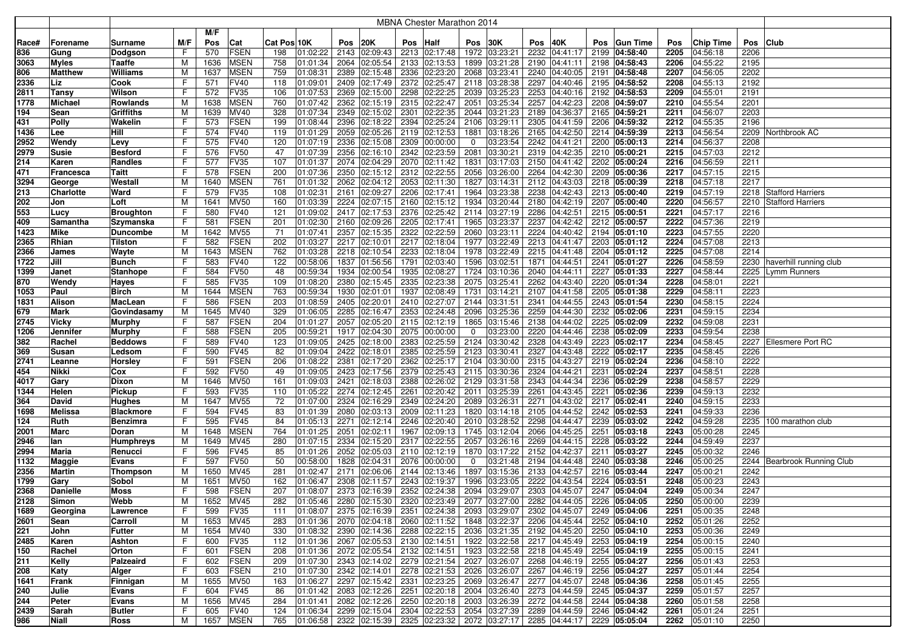|              |                   |                   |        |             |                     |                                                 |      |                           |      | MBNA Chester Marathon 2014                                                                             |                     |                      |              |                                           |      |                           |              |                      |              |                          |
|--------------|-------------------|-------------------|--------|-------------|---------------------|-------------------------------------------------|------|---------------------------|------|--------------------------------------------------------------------------------------------------------|---------------------|----------------------|--------------|-------------------------------------------|------|---------------------------|--------------|----------------------|--------------|--------------------------|
|              |                   |                   |        | M/F         |                     |                                                 |      |                           |      |                                                                                                        |                     |                      |              |                                           |      |                           |              |                      |              |                          |
| Race#        | Forename          | Surname           | M/F    | Pos         | Cat                 | Cat Pos 10K                                     | Pos  | 20K                       | Pos  | Half                                                                                                   | Pos                 | 30K                  | Pos          | 40K                                       | Pos  | <b>Gun Time</b>           | Pos          | <b>Chip Time</b>     | Pos          | <b>Club</b>              |
| 836          | Gung              | Dodgson           | F      | 570         | <b>FSEN</b>         | 198<br>01:02:22                                 |      | 2143 02:09:43             |      | 2213 02:17:48                                                                                          |                     | 1972 03:23:21        | 2232         | 04:41:17                                  |      | 2199 04:58:40             | 2205         | 04:56:18             | 2206         |                          |
| 3063         | <b>Myles</b>      | Taaffe            | М      | 1636        | <b>MSEN</b>         | 758<br>01:01:34                                 |      | 2064 02:05:54             |      | 2133 02:13:53                                                                                          |                     | 1899 03:21:28        | 2190         | 04:41:11                                  |      | 2198 04:58:43             | 2206         | 04:55:22             | 2195         |                          |
| 806          | <b>Matthew</b>    | Williams          | M      | 1637        | <b>MSEN</b>         | 759<br>01:08:31                                 |      | 2389 02:15:48             | 2336 | 02:23:20                                                                                               |                     | 2068 03:23:41        | 2240         | 04:40:05                                  |      | 2191 04:58:48             | 2207         | 04:56:05             | 2202         |                          |
| 2336         | Liz               | Cook              | F      | 571         | <b>FV40</b>         | 118<br>01:09:01                                 | 2409 | 02:17:49                  | 2372 | 02:25:47                                                                                               | 2118                | 03:28:38             | 2297         | 04:40:46                                  |      | 2195 04:58:52             | 2208         | 04:55:13             | 2192         |                          |
| 2811         | <b>Tansy</b>      | Wilson            | F      | 572         | <b>FV35</b>         | 106<br>01:07:53                                 |      | 2369 02:15:00             | 2298 | 02:22:25                                                                                               |                     | 2039 03:25:23        |              | 2253 04:40:16                             |      | 2192 04:58:53             | 2209         | 04:55:01             | 2191         |                          |
| 1778         | <b>Michael</b>    | Rowlands          | M      | 1638        | <b>MSEN</b>         | 760<br>01:07:42                                 |      | 2362 02:15:19             | 2315 | 02:22:47                                                                                               | 2051                | 03:25:34             | 2257         | 04:42:23                                  | 2208 | 04:59:07                  | 2210         | 04:55:54             | 2201         |                          |
| 194          | Sean              | Griffiths         | M      | 1639        | MV40                | 328<br>01:07:34                                 |      | 2349 02:15:02             | 2301 | 02:22:35                                                                                               | 2044                | 03:21:23             |              | 2189 04:36:37                             |      | 2165 04:59:21             | 2211         | 04:56:07             | 2203         |                          |
| 431          | <b>Polly</b>      | Wakelin           | F      | 573         | <b>FSEN</b>         | 199<br>01:08:44                                 | 2396 | 02:18:22                  | 2394 | 02:25:24                                                                                               | 2106                | 03:29:11             | 2305         | 04:41:59                                  | 2206 | 04:59:32                  | 2212         | 04:55:35             | 2196         |                          |
| 1436         | Lee               | Hill              | F      | 574         | <b>FV40</b>         | 119<br>01:01:29                                 | 2059 | 02:05:26                  |      | 2119 02:12:53                                                                                          | 1881                | 03:18:26             | 2165         | 04:42:50                                  |      | 2214 04:59:39             | 2213         | 04:56:54             | 2209         | Northbrook AC            |
| 2952         | Wendy             | Levy              | F      | 575         | <b>FV40</b>         | 120<br>01:07:19                                 | 2336 | 02:15:08                  | 2309 | 00:00:00                                                                                               | 0                   | 03:23:54             | 2242         | 04:41:21                                  |      | 2200 05:00:13             | 2214         | 04:56:37             | 2208         |                          |
| 2979         | <b>Susie</b>      | <b>Besford</b>    | F      | 576         | <b>FV50</b>         | 47<br>01:07:39                                  | 2356 | 02:16:10                  |      | 2342 02:23:59                                                                                          | 2081                | 03:30:21             |              | 2319 04:42:35                             |      | 2210 05:00:21             | 2215         | 04:57:03             | 2212         |                          |
| 214          | Karen             | Randles           | F      | 577         | FV35                | 01:01:37<br>107                                 |      | 2074 02:04:29             |      | 2070 02:11:42                                                                                          | 1831                | 03:17:03             |              | 2150 04:41:42                             |      | 2202 05:00:24             | 2216         | 04:56:59             | 2211         |                          |
| 471          | <b>Francesca</b>  | Taitt             | F      | 578         | <b>FSEN</b>         | 01:07:36<br>200                                 |      | 2350 02:15:12             |      | 2312 02:22:55                                                                                          |                     | 2056 03:26:00        | 2264         | 04:42:30                                  |      | 2209 05:00:36             | 2217         | 04:57:15             | 2215         |                          |
| 3294         | George            | Westall           | M      | 1640        | <b>MSEN</b>         | 761<br>01:01:32                                 |      | 2062 02:04:12             |      | 2053 02:11:30                                                                                          |                     | 1827 03:14:31        |              | 2112 04:43:03                             |      | 2218 05:00:39             | 2218         | 04:57:18             | 2217         |                          |
| 213          | <b>Charlotte</b>  | Ward              | F      | 579         | FV35                | 108<br>01:02:31                                 | 2161 | 02:09:27                  |      | 2206 02:17:41                                                                                          |                     | 1964 03:23:38        | 2238         | 04:42:43                                  |      | 2213 05:00:40             | 2219         | 04:57:19             | 2218         | <b>Stafford Harriers</b> |
| 202          | Jon               | Loft              | M      | 1641        | <b>MV50</b>         | 160<br>01:03:39                                 |      | 2224 02:07:15             |      | 2160 02:15:12                                                                                          | 1934                | 03:20:44             | 2180         | 04:42:19                                  |      | 2207 05:00:40             | 2220         | 04:56:57             |              | 2210 Stafford Harriers   |
| 553          | Lucy              | <b>Broughton</b>  | F      | 580         | <b>FV40</b>         | 121<br>01:09:02                                 |      | 2417 02:17:53             |      | 2376 02:25:42                                                                                          |                     | 2114 03:27:19        | 2286         | 04:42:51                                  |      | 2215 05:00:51             | 2221         | 04:57:17             | 2216         |                          |
| 409          | Samantha          | Szymanska         | F      | 581         | <b>FSEN</b>         | 201<br>01:02:30                                 |      | 2160 02:09:26             |      | 2205 02:17:41                                                                                          |                     | 1965 03:23:37        | 2237         | 04:42:42                                  |      | 2212 05:00:57             | 2222         | 04:57:36             | 2219         |                          |
| 1423         | <b>Mike</b>       | <b>Duncombe</b>   | м      | 1642        | <b>MV55</b>         | 71<br>01:07:41                                  |      | 2357 02:15:35             |      | 2322 02:22:59                                                                                          |                     | 2060 03:23:11        |              | 2224 04:40:42                             |      | 2194 05:01:10             | 2223         | 04:57:55             | 2220         |                          |
| 2365         | Rhian             | Tilston           | F      | 582         | <b>FSEN</b>         | 202<br>01:03:27                                 |      | 2217 02:10:01             |      | 2217 02:18:04                                                                                          |                     | 1977 03:22:49        |              | 2213 04:41:47                             |      | 2203 05:01:12             | 2224         | 04:57:08             | 2213         |                          |
| 2366         | James             | Wayte             | М      | 1643        | <b>MSEN</b>         | 762<br>01:03:28                                 |      | 2218 02:10:54             |      | 2233 02:18:04                                                                                          |                     | 1978 03:22:49        |              | 2215 04:41:48                             |      | 2204 05:01:12             | 2225         | 04:57:08             | 2214         |                          |
| 1722         | Jill              | Bunch             | F      | 583         | <b>FV40</b>         | 122<br>00:58:06                                 |      | 1837 01:56:56             | 1791 | 02:03:40                                                                                               |                     | 1596 03:02:51        | 1871         | 04:44:51                                  |      | 2241 05:01:27             | 2226         | 04:58:59             | 2230         | haverhill running club   |
| 1399         | Janet             | Stanhope          | F      | 584         | <b>FV50</b>         | 00:59:34<br>48                                  |      | 1934 02:00:54             |      | 1935 02:08:27                                                                                          |                     | 1724 03:10:36        |              | 2040 04:44:11                             | 2227 | 05:01:33                  | 2227         | 04:58:44             | 2225         | Lymm Runners             |
| 870          | Wendy             | Hayes             | F      | 585         | FV35                | 109<br>01:08:20                                 |      | 2380 02:15:45             |      | 2335 02:23:38                                                                                          |                     | 2075 03:25:41        |              | 2262 04:43:40                             |      | 2220 05:01:34             | 2228         | 04:58:01             | 2221         |                          |
| 1053         | Paul              | <b>Birch</b>      | M      | 1644        | <b>MSEN</b>         | 763<br>00:59:34                                 |      | 1930 02:01:01             |      | 1937 02:08:49                                                                                          |                     | 1731 03:14:21        | 2107         | 04:41:58                                  |      | 2205 05:01:38             | 2229         | 04:58:11             | 2223         |                          |
| 1831         | Alison            | MacLean           | F      | 586         | <b>FSEN</b>         | 203<br>01:08:59                                 |      | 2405 02:20:01             |      | 2410 02:27:07                                                                                          |                     | 2144 03:31:51        | 2341         | 04:44:55                                  |      | 2243 05:01:54             | 2230         | 04:58:15             | 2224         |                          |
| 679          | <b>Mark</b>       | Govindasamy       | M      | 1645        | <b>MV40</b>         | 329<br>01:06:05                                 |      | 2285 02:16:47             |      | 2353 02:24:48                                                                                          |                     | 2096 03:25:36        | 2259         | 04:44:30                                  |      | 2232 05:02:06             | 2231         | 04:59:15             | 2234         |                          |
| 2745         | <b>Vicky</b>      | <b>Murphy</b>     | F      | 587         | <b>FSEN</b>         | 204<br>01:01:27                                 |      | 2057 02:05:20             | 2115 | 02:12:19                                                                                               |                     | 1865 03:15:46        | 2138         | 04:44:02                                  | 2225 | 05:02:09                  | 2232         | 04:59:08             | 2231         |                          |
| 1206         | Jennifer          | Murphy            | F      | 588         | <b>FSEN</b>         | 205<br>00:59:21                                 |      | 1917 02:04:30             |      | 2075 00:00:00                                                                                          | 0                   | 03:23:00             | 2220         | 04:44:46                                  | 2238 | 05:02:09                  | 2233         | 04:59:54             | 2238         |                          |
| 382          | Rachel            | <b>Beddows</b>    | F      | 589         | <b>FV40</b>         | 01:09:05<br>123                                 |      | 2425 02:18:00             | 2383 | 02:25:59                                                                                               |                     | 2124 03:30:42        | 2328         | 04:43:49                                  | 2223 | 05:02:17                  | 2234         | 04:58:45             | 2227         | <b>Ellesmere Port RC</b> |
| 369          | Susan             | Ledsom            | F      | 590         | <b>FV45</b>         | 82<br>01:09:04                                  | 2422 | 02:18:01                  | 2385 | 02:25:59                                                                                               | 2123                | 03:30:41             | 2327         | 04:43:48                                  | 2222 | 05:02:17                  | 2235         | 04:58:45             | 2226         |                          |
| 2741         | Leanne            | Horsley           | F      | 591         | <b>FSEN</b>         | 206<br>01:08:22                                 | 2381 | 02:17:20                  | 2362 | 02:25:17                                                                                               | 2104                | 03:30:00             |              | 2315 04:43:27                             | 2219 | 05:02:24                  | 2236         | 04:58:10             | 2222         |                          |
| 454          | <b>Nikki</b>      | Cox               | F      | 592         | <b>FV50</b>         | 49<br>01:09:05                                  | 2423 | 02:17:56                  | 2379 | 02:25:43                                                                                               |                     | 2115 03:30:36        | 2324         | 04:44:21                                  | 2231 | 05:02:24                  | 2237         | 04:58:51             | 2228         |                          |
| 4017         | Gary              | Dixon             | M      | 1646        | <b>MV50</b>         | 01:09:03<br>161                                 | 2421 | 02:18:03                  | 2388 | 02:26:02                                                                                               |                     | 2129 03:31:58        | 2343         | 04:44:34                                  | 2236 | 05:02:29                  | 2238         | 04:58:57             | 2229         |                          |
| 1344         | Helen             | Pickup            | F      | 593         | FV35                | 110<br>01:05:22                                 |      | 2274 02:12:45             | 2261 | 02:20:42                                                                                               |                     | 2011 03:25:39        | 2261         | 04:43:45                                  |      | 2221 05:02:36             | 2239         | 04:59:13             | 2232         |                          |
| 364          | <b>David</b>      | <b>Hughes</b>     | M      | 1647        | <b>MV55</b>         | 72<br>01:07:00                                  |      | 2324 02:16:29             |      | 2349 02:24:20                                                                                          |                     | 2089 03:26:31        | 2271         | 04:43:02                                  |      | 2217 05:02:41             | 2240         | 04:59:15             | 2233         |                          |
| 1698         | Melissa           | <b>Blackmore</b>  | F      | 594         | <b>FV45</b>         | 83<br>01:01:39                                  |      | 2080 02:03:13             |      | 2009 02:11:23                                                                                          |                     | 1820 03:14:18        |              | 2105 04:44:52                             |      | 2242 05:02:53             | 2241         | 04:59:33             | 2236         |                          |
| 124          | Ruth              | <b>Benzimra</b>   | F      | 595         | <b>FV45</b>         | 84<br>01:05:13                                  | 2271 | 02:12:14                  |      | 2246 02:20:40                                                                                          |                     | 2010 03:28:52        |              | 2298 04:44:47                             |      | 2239 05:03:02             | 2242         | 04:59:28             | 2235         | 100 marathon club        |
| 2001         | Marc              | Doran             | М      | 1648        | <b>MSEN</b>         | 764<br>01:01:25                                 | 2051 | 02:02:11                  | 1967 | 02:09:13                                                                                               |                     | 1745 03:12:04        | 2066         | $\sqrt{04:45:25}$                         |      | 2251 05:03:18             | 2243         | 05:00:28             | 2245         |                          |
| 2946         | lan               | <b>Humphreys</b>  | M<br>F | 1649        | MV45                | 280<br>01:07:15                                 |      | 2334 02:15:20             |      | 2317 02:22:55<br>2110 02:12:19                                                                         |                     | 2057 03:26:16        |              | 2269 04:44:15                             | 2228 | 05:03:22                  | 2244         | 04:59:49             | 2237         |                          |
| 2994         | <b>Maria</b>      | Renucci           |        | 596         | <b>FV45</b>         | 85<br>01:01:26<br>50                            |      | 2052 02:05:03             |      |                                                                                                        |                     | 1870 03:17:22        | 2152         | 04:42:37                                  | 2211 | 05:03:27                  | 2245         | 05:00:32             | 2246         |                          |
| 1132<br>2356 | Maggie<br>Martin  | Evans             | F<br>М | 597<br>1650 | <b>FV50</b><br>MV45 | 00:58:00<br>281<br>01:02:47                     | 2171 | 1828 02:04:31<br>02:06:06 | 2144 | 2076 00:00:00<br>02:13:46                                                                              | $\mathbf 0$<br>1897 | 03:21:48<br>03:15:36 | 2194<br>2133 | 04:44:48<br>04:42:57                      | 2216 | 2240 05:03:38<br>05:03:44 | 2246<br>2247 | 05:00:25<br>05:00:21 | 2244<br>2242 | Bearbrook Running Club   |
|              | Gary              | Thompson<br>Sobol | M      | 1651        | <b>MV50</b>         | 162<br>01:06:47                                 | 2308 | 02:11:57                  | 2243 | 02:19:37                                                                                               | 1996                | 03:23:05             | 2222         | 04:43:54                                  | 2224 | 05:03:51                  | 2248         | 05:00:23             | 2243         |                          |
| 1799<br>2368 | <b>Danielle</b>   | Moss              | F      | 598         | <b>FSEN</b>         | 207<br>01:08:07                                 |      | 2373 02:16:39             | 2352 | 02:24:38                                                                                               |                     | 2094 03:29:07        | 2303         | 04:45:07                                  | 2247 | 05:04:04                  | 2249         | 05:00:34             | 2247         |                          |
| 2128         |                   | Webb              | M      |             | 1652 MV45           | 282                                             |      |                           |      | $ 01:05:46 $ 2280 $ 02:15:30 $ 2320 $ 02:23:49 $                                                       |                     |                      |              | 2077 03:27:00 2282 04:44:05 2226 05:04:05 |      |                           | 2250         | 05:00:00             | 2239         |                          |
| 1689         | Simon<br>Georgina | Lawrence          | F      | 599         | FV35                | 111                                             |      |                           |      | $ 01:08:07 2375 02:16:39 2351 02:24:38 $                                                               |                     |                      |              | 2093 03:29:07 2302 04:45:07               |      | 2249 05:04:06             | 2251         | 05:00:35             | 2248         |                          |
| 2601         | Sean              | Carroll           | M      | 1653        | <b>MV45</b>         | 283                                             |      |                           |      | $ 01:01:36 $ 2070 02:04:18 2060 02:11:52                                                               |                     |                      |              | 1848 03:22:37 2206 04:45:44               |      | 2252 05:04:10             | 2252         | 05:01:26             | 2252         |                          |
| 221          | John              | Futter            | М      | 1654        | <b>MV40</b>         | 330                                             |      |                           |      | $ 01:08:32 2390 02:14:36 2288 02:22:15 $                                                               |                     |                      |              | 2036 03:21:35 2192 04:45:20 2250 05:04:10 |      |                           | 2253         | 05:00:36             | 2249         |                          |
| 2485         | Karen             | Ashton            | F      | 600         | FV35                | 112                                             |      |                           |      | 01:01:36   2067   02:05:53   2130   02:14:51                                                           |                     |                      |              | 1922 03:22:58 2217 04:45:49 2253 05:04:19 |      |                           | 2254         | 05:00:15             | 2240         |                          |
| 150          | Rachel            | Orton             | F      | 601         | <b>FSEN</b>         | $ 01:01:36 $ 2072 02:05:54 2132 02:14:51<br>208 |      |                           |      |                                                                                                        |                     |                      |              | 1923 03:22:58 2218 04:45:49 2254 05:04:19 |      |                           | 2255         | 05:00:15             | 2241         |                          |
| 211          | Kelly             | <b>Palzeaird</b>  | F.     | 602         | <b>FSEN</b>         | 209                                             |      |                           |      | 01:07:30   2343   02:14:02   2279   02:21:54                                                           |                     |                      |              | 2027 03:26:07 2268 04:46:19 2255 05:04:27 |      |                           | 2256         | 05:01:43             | 2253         |                          |
| 208          | Katy              | Alger             | F      | 603         | <b>FSEN</b>         | 01:07:30 2342 02:14:01<br>210                   |      |                           |      | 2278 02:21:53                                                                                          |                     |                      |              | 2026 03:26:07 2267 04:46:19 2256 05:04:27 |      |                           | 2257         | 05:01:44             | 2254         |                          |
| 1641         | Frank             | Finnigan          | M      | 1655        | <b>MV50</b>         | $ 01:06:27 $ 2297 02:15:42<br>163               |      |                           |      | 2331 02:23:25                                                                                          |                     |                      |              | 2069 03:26:47 2277 04:45:07               |      | 2248 05:04:36             | 2258         | 05:01:45             | 2255         |                          |
| 240          | Julie             | Evans             | F.     | 604         | <b>FV45</b>         | 86                                              |      |                           |      | 01:01:42 2083 02:12:26 2251 02:20:18                                                                   |                     |                      |              | 2004 03:26:40 2273 04:44:59 2245 05:04:37 |      |                           | 2259         | 05:01:57             | 2257         |                          |
| 244          | Peter             | Evans             | M      | 1656        | <b>MV45</b>         | $ 01:01:41 $ 2082 02:12:26<br>284               |      |                           |      | 2250 02:20:18                                                                                          |                     |                      |              | 2003 03:26:39 2272 04:44:58               |      | 2244 05:04:38             | 2260         | 05:01:58             | 2258         |                          |
| 2439         | Sarah             | <b>Butler</b>     | F      | 605         | <b>FV40</b>         | 124                                             |      |                           |      | 01:06:34   2299   02:15:04   2304   02:22:53                                                           |                     |                      |              | 2054 03:27:39 2289 04:44:59 2246 05:04:42 |      |                           | 2261         | 05:01:24             | 2251         |                          |
| 986          | Niall             | Ross              | М      |             | 1657   MSEN         | 765                                             |      |                           |      | $ 01:06:58 $ 2322 $ 02:15:39 $ 2325 $ 02:23:32 $ 2072 $ 03:27:17 $ 2285 $ 04:44:17 $ 2229 $ 05:05:04 $ |                     |                      |              |                                           |      |                           |              | $2262$ 05:01:10      | 2250         |                          |
|              |                   |                   |        |             |                     |                                                 |      |                           |      |                                                                                                        |                     |                      |              |                                           |      |                           |              |                      |              |                          |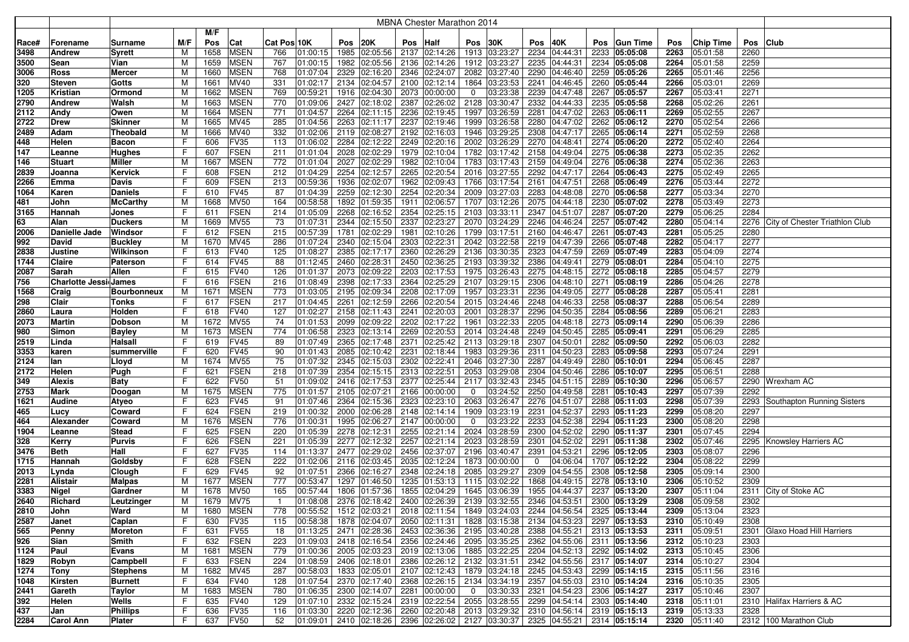|       |                              |                    |     |      |                  |              |          |              |               |      | MBNA Chester Marathon 2014                                                           |                |                                |             |                                |     |                                |      |                  |              |                                     |
|-------|------------------------------|--------------------|-----|------|------------------|--------------|----------|--------------|---------------|------|--------------------------------------------------------------------------------------|----------------|--------------------------------|-------------|--------------------------------|-----|--------------------------------|------|------------------|--------------|-------------------------------------|
|       |                              |                    |     | M/F  |                  |              |          |              |               |      |                                                                                      |                |                                |             |                                |     |                                |      |                  |              |                                     |
| Race# | Forename                     | Surname            | M/F | Pos  | Cat              | Cat Pos 10K  |          | Pos          | 20K           | Pos  | Half                                                                                 | Pos            | 30K                            | Pos         | 40K                            | Pos | Gun Time                       | Pos  | <b>Chip Time</b> |              | Pos Club                            |
| 3498  | <b>Andrew</b>                | Syrett             | M   | 1658 | <b>MSEN</b>      | 766          | 01:00:15 |              | 1985 02:05:56 |      | 2137 02:14:26 1913 03:23:27                                                          |                |                                |             | 2234 04:44:31                  |     | 2233 05:05:08                  | 2263 | 05:01:58         | 2260         |                                     |
| 3500  | Sean                         | Vian               | М   | 1659 | <b>MSEN</b>      | 767          | 01:00:15 | 1982         | 02:05:56      |      | 2136 02:14:26                                                                        |                | 1912 03:23:27                  |             | 2235 04:44:31                  |     | 2234 05:05:08                  | 2264 | 05:01:58         | 2259         |                                     |
| 3006  |                              | Mercer             | M   | 1660 | <b>MSEN</b>      | 768          | 01:07:04 | 2329         | 02:16:20      |      | 2346 02:24:07 2082 03:27:40                                                          |                |                                |             | 2290 04:46:40                  |     | 2259 05:05:26                  | 2265 | 05:01:46         | 2256         |                                     |
| 320   | Ross<br>Steven               | Gotts              | М   | 1661 | <b>MV40</b>      | 331          | 01:02:17 | 2134         | 02:04:57      |      | 2100 02:12:14                                                                        |                | 1864 03:23:53                  |             | 2241 04:46:45                  |     | 2260 05:05:44                  | 2266 | 05:03:01         | 2269         |                                     |
|       |                              |                    |     | 1662 | <b>MSEN</b>      | 769          | 00:59:21 | 1916         | 02:04:30      |      | 2073 00:00:00                                                                        | $\mathbf 0$    | 03:23:38                       |             | 2239 04:47:48                  |     | 2267 05:05:57                  | 2267 |                  | 2271         |                                     |
| 1205  | Kristian                     | Ormond             | м   |      |                  |              |          |              |               |      |                                                                                      |                |                                |             |                                |     |                                |      | 05:03:41         |              |                                     |
| 2790  | <b>Andrew</b>                | Walsh              | М   | 1663 | <b>MSEN</b>      | 770<br>771   | 01:09:06 | 2427<br>2264 | 02:18:02      |      | 2387 02:26:02<br>2236 02:19:45                                                       |                | 2128 03:30:47<br>1997 03:26:59 |             | 2332 04:44:33<br>2281 04:47:02 |     | 2235 05:05:58<br>2263 05:06:11 | 2268 | 05:02:26         | 2261<br>2267 |                                     |
| 2112  | Andy                         | Owen               | м   | 1664 | <b>MSEN</b>      |              | 01:04:57 |              | 02:11:15      |      |                                                                                      |                |                                |             |                                |     | 2262 05:06:12                  | 2269 | 05:02:55         |              |                                     |
| 2722  | <b>Drew</b>                  | <b>Skinner</b>     | м   | 1665 | <b>MV45</b>      | 285<br>332   | 01:04:56 | 2263         | 02:11:17      | 2192 | 2237 02:19:46                                                                        |                | 1999 03:26:58                  |             | 2280 04:47:02                  |     |                                | 2270 | 05:02:54         | 2266<br>2268 |                                     |
| 2489  | Adam                         | Theobald           | М   | 1666 | MV40             |              | 01:02:06 | 2119         | 02:08:27      |      | 02:16:03<br>2249 02:20:16                                                            |                | 1946 03:29:25                  | 2308        | 04:47:17                       |     | 2265 05:06:14                  | 2271 | 05:02:59         |              |                                     |
| 448   | Helen                        | Bacon              | F   | 606  | <b>FV35</b>      | 113          | 01:06:02 | 2284         | 02:12:22      |      |                                                                                      |                | 2002 03:26:29                  |             | 2270 04:48:41                  |     | 2274 05:06:20                  | 2272 | 05:02:40         | 2264         |                                     |
| 147   | Leanne                       | Hughes             | F   | 607  | <b>FSEN</b>      | 211          | 01:01:04 | 2028         | 02:02:29      |      | 1979 02:10:04                                                                        |                | 1782 03:17:42                  |             | 2158 04:49:04                  |     | 2275 05:06:38                  | 2273 | 05:02:35         | 2262         |                                     |
| 146   | <b>Stuart</b>                | Miller             | M   | 1667 | <b>MSEN</b>      | 772          | 01:01:04 | 2027         | 02:02:29      |      | 1982 02:10:04 1783 03:17:43                                                          |                |                                |             | 2159 04:49:04                  |     | 2276 05:06:38                  | 2274 | 05:02:36         | 2263         |                                     |
| 2839  | Joanna                       | Kervick            | F   | 608  | <b>FSEN</b>      | 212          | 01:04:29 | 2254         | 02:12:57      |      | 2265 02:20:54                                                                        |                | 2016 03:27:55                  |             | 2292 04:47:17                  |     | 2264 05:06:43                  | 2275 | 05:02:49         | 2265         |                                     |
| 2266  | Emma                         | Davis              | F   | 609  | <b>FSEN</b>      | 213          | 00:59:36 | 1936         | 02:02:07      |      | 1962 02:09:43 1766 03:17:54                                                          |                |                                |             | 2161 04:47:51                  |     | 2268 05:06:49                  | 2276 | 05:03:44         | 2272         |                                     |
| 1064  | Karen                        | <b>Daniels</b>     | F   | 610  | <b>FV45</b>      | 87           | 01:04:39 |              | 2259 02:12:30 |      | 2254 02:20:34                                                                        |                | 2009 03:27:03                  |             | 2283 04:48:08                  |     | 2270 05:06:58                  | 2277 | 05:03:34         | 2270         |                                     |
| 481   | John                         | <b>McCarthy</b>    | M   | 1668 | <b>MV50</b>      | 164          | 00:58:58 | 1892         | 01:59:35      |      | 1911 02:06:57                                                                        |                | 1707 03:12:26                  |             | 2075 04:44:18                  |     | 2230 05:07:02                  | 2278 | 05:03:49         | 2273         |                                     |
| 3165  | Hannah                       | Jones              | F   | 611  | <b>FSEN</b>      | 214          | 01:05:09 | 2268         | 02:16:52      |      | 2354 02:25:15                                                                        |                | 2103 03:33:11                  |             | 2347 04:51:07                  |     | 2287 05:07:20                  | 2279 | 05:06:25         | 2284         |                                     |
| 63    | Alan                         | <b>Duckers</b>     | м   | 1669 | <b>MV55</b>      | 73           | 01:07:31 | 2344         | 02:15:50      |      | 2337 02:23:27                                                                        |                | 2070 03:24:29                  |             | 2246 04:46:24                  |     | 2257 05:07:42                  | 2280 | 05:04:14         |              | 2276 City of Chester Triathlon Club |
| 2006  | Danielle Jade                | Windsor            | F   | 612  | <b>FSEN</b>      | 215          | 00:57:39 | 1781         | 02:02:29      | 1981 | 02:10:26   1799 03:17:51                                                             |                |                                |             | 2160 04:46:47                  |     | 2261 05:07:43                  | 2281 | 05:05:25         | 2280         |                                     |
| 992   | David                        | <b>Buckley</b>     | м   | 1670 | MV45             | 286          | 01:07:24 | 2340         | 02:15:04      |      | 2303 02:22:31                                                                        |                | 2042 03:22:58                  |             | 2219 04:47:39                  |     | 2266 05:07:48                  | 2282 | 05:04:17         | 2277         |                                     |
| 2838  | Justine                      | Wilkinson          | F   | 613  | <b>FV40</b>      | 125          | 01:08:27 | 2385         | 02:17:17      |      | 2360 02:26:29                                                                        |                | 2136 03:30:35                  |             | 2323 04:47:59                  |     | 2269 05:07:49                  | 2283 | 05:04:09         | 2274         |                                     |
| 1744  | Claire                       | Paterson           | F   | 614  | <b>FV45</b>      | 88           | 01:12:45 | 2460         | 02:28:31      |      | 2450 02:36:25                                                                        |                | 2193 03:39:32                  |             | 2386 04:49:41                  |     | 2279 05:08:01                  | 2284 | 05:04:10         | 2275         |                                     |
| 2087  | Sarah                        | Allen              | F   | 615  | <b>FV40</b>      | 126          | 01:01:37 | 2073         | 02:09:22      |      | 2203 02:17:53 1975 03:26:43                                                          |                |                                |             | 2275 04:48:15                  |     | 2272 05:08:18                  | 2285 | 05:04:57         | 2279         |                                     |
| 756   | <b>Charlotte Jessi James</b> |                    | F   | 616  | <b>FSEN</b>      | 216          | 01:08:49 | 2398         | 02:17:33      |      | 2364 02:25:29 2107 03:29:15                                                          |                |                                |             | 2306 04:48:10                  |     | 2271 05:08:19                  | 2286 | 05:04:26         | 2278         |                                     |
| 1568  | Craig                        | <b>Bourbonneux</b> | M   | 1671 | <b>MSEN</b>      | 773          | 01:03:05 | 2195         | 02:09:34      |      | 2208 02:17:09 1957 03:23:31                                                          |                |                                |             | 2236 04:49:05                  |     | 2277 05:08:28                  | 2287 | 05:05:41         | 2281         |                                     |
| 298   | Clair                        | Tonks              | F   | 617  | <b>FSEN</b>      | 217          | 01:04:45 | 2261         | 02:12:59      |      | 2266 02:20:54                                                                        |                | 2015 03:24:46                  |             | 2248 04:46:33                  |     | 2258 05:08:37                  | 2288 | 05:06:54         | 2289         |                                     |
| 2860  | Laura                        | Holden             | F   | 618  | <b>FV40</b>      | 127          | 01:02:27 |              | 2158 02:11:43 |      | 2241 02:20:03                                                                        |                | 2001 03:28:37                  |             | 2296 04:50:35                  |     | 2284 05:08:56                  | 2289 | 05:06:21         | 2283         |                                     |
| 2073  | <b>Martin</b>                | Dobson             | M   | 1672 | <b>MV55</b>      | 74           | 01:01:53 | 2099         | 02:09:22      |      | 2202 02:17:22                                                                        | 1961           | 03:22:33                       |             | 2205 04:48:18                  |     | 2273 05:09:14                  | 2290 | 05:06:39         | 2286         |                                     |
| 980   | Simon                        | <b>Bayley</b>      | M   | 1673 | <b>MSEN</b>      | 774          | 01:06:58 | 2323         | 02:13:14      |      | 2269 02:20:53                                                                        |                | 2014 03:24:48                  |             | 2249 04:50:45                  |     | 2285 05:09:41                  | 2291 | 05:06:29         | 2285         |                                     |
| 2519  | Linda                        | Halsall            | F   | 619  | <b>FV45</b>      | 89           | 01:07:49 | 2365         | 02:17:48      | 2371 | 02:25:42                                                                             |                | 2113 03:29:18                  |             | 2307 04:50:01                  |     | 2282 05:09:50                  | 2292 | 05:06:03         | 2282         |                                     |
| 3353  | karen                        | summerville        | F   | 620  | <b>FV45</b>      | 90           | 01:01:43 | 2085         | 02:10:42      | 2231 | 02:18:44                                                                             |                | 1983 03:29:36                  |             | 2311 04:50:23                  |     | 2283 05:09:58                  | 2293 | 05:07:24         | 2291         |                                     |
| 2124  | lan                          | Lloyd              | м   | 1674 | <b>MV55</b>      | 75           | 01:07:32 | 2345         | 02:15:03      | 2302 | 02:22:41                                                                             |                | 2046 03:27:30                  |             | 2287 04:49:49                  |     | 2280 05:10:01                  | 2294 | 05:06:45         | 2287         |                                     |
| 2172  | Helen                        | Pugh               | F   | 621  | <b>FSEN</b>      | 218          | 01:07:39 | 2354         | 02:15:15      |      | 2313 02:22:51                                                                        |                | 2053 03:29:08                  |             | 2304 04:50:46                  |     | 2286 05:10:07                  | 2295 | 05:06:51         | 2288         |                                     |
| 349   | <b>Alexis</b>                | Baty               | F   | 622  | <b>FV50</b>      | 51           | 01:09:02 | 2416         | 02:17:53      |      | 2377 02:25:44                                                                        |                | 2117 03:32:43                  |             | 2345 04:51:15                  |     | 2289 05:10:30                  | 2296 | 05:06:57         |              | 2290 Wrexham AC                     |
| 2753  | Mark                         | Doogan             | M   | 1675 | <b>MSEN</b>      | 775          | 01:01:57 | 2105         | 02:07:21      |      | 2166 00:00:00                                                                        | $\mathbf 0$    | 03:24:52                       |             | 2250 04:49:58                  |     | 2281 05:10:43                  | 2297 | 05:07:39         | 2292         |                                     |
| 1621  | <b>Audine</b>                | Atyeo              | F   | 623  | <b>FV45</b>      | 91           | 01:07:46 | 2364         | 02:15:36      |      | 2323 02:23:10 2063 03:26:47                                                          |                |                                |             | 2276 04:51:07                  |     | 2288 05:11:03                  | 2298 | 05:07:39         |              | 2293 Southapton Running Sisters     |
| 465   | Lucy                         | Coward             | F   | 624  | <b>FSEN</b>      | 219          | 01:00:32 | 2000         | 02:06:28      |      | 2148 02:14:14                                                                        |                | 1909 03:23:19                  |             | 2231 04:52:37                  |     | 2293 05:11:23                  | 2299 | 05:08:20         | 2297         |                                     |
| 464   | Alexander                    | Coward             | M   | 1676 | <b>MSEN</b>      | 776          | 01:00:31 | 1995         | 02:06:27      |      | 2147 00:00:00                                                                        | 0              | 03:23:22                       |             | 2233 04:52:38                  |     | 2294 05:11:23                  | 2300 | 05:08:20         | 2298         |                                     |
| 1904  | Leanne                       | Stead              | F   | 625  | <b>FSEN</b>      | 220          | 01:05:39 | 2278         | 02:12:31      |      | 2255 02:21:14                                                                        |                | 2024 03:28:59                  |             | 2300 04:52:02                  |     | 2290 05:11:37                  | 2301 | 05:07:45         | 2294         |                                     |
| 328   | Kerry                        | Purvis             | F   | 626  | <b>FSEN</b>      | 221          | 01:05:39 | 2277         | 02:12:32      |      | 2257 02:21:14                                                                        |                | 2023 03:28:59                  |             | 2301 04:52:02                  |     | 2291 05:11:38                  | 2302 | 05:07:46         |              | 2295 Knowsley Harriers AC           |
| 3476  | <b>Beth</b>                  | Hall               | F.  | 627  | <b>FV35</b>      | 114          | 01:13:37 | 2477         | 02:29:02      |      | 2456 02:37:07                                                                        |                | 2196 03:40:47                  | 2391        | 04:53:21                       |     | 2296 05:12:05                  | 2303 | 05:08:07         | 2296         |                                     |
| 1715  | Hannah                       | Goldsby            | F   | 628  | <b>FSEN</b>      | 222          | 01:02:06 | 2116         | 02:03:45      |      | 2035 02:12:24                                                                        |                | 1873 00:00:00                  | $\mathbf 0$ | 04:06:04                       |     | 1707 05:12:22                  | 2304 | 05:08:22         | 2299         |                                     |
| 2013  | Lynda                        | Clough             | F   | 629  | <b>FV45</b>      | 92           | 01:07:51 | 2366         | 02:16:27      |      | 2348 02:24:18                                                                        |                | 2085 03:29:27                  |             | 2309 04:54:55                  |     | 2308 05:12:58                  | 2305 | 05:09:14         | 2300         |                                     |
| 2281  | <b>Alistair</b>              | Malpas             | М   | 1677 | <b>MSEN</b>      | 777          | 00:53:47 | 1297         | 01:46:50      |      | 1235 01:53:13 1115 03:02:22                                                          |                |                                |             | 1868 04:49:15                  |     | $\overline{2278}$ 05:13:10     | 2306 | 05:10:52         | 2309         |                                     |
| 3383  | Nigel                        | Gardner            | М   | 1678 | <b>MV50</b>      | 165          | 00:57:44 | 1806         | 01:57:36      |      | 1855 02:04:29                                                                        |                | 1645 03:06:39                  |             | 1955 04:44:37                  |     | 2237 05:13:20                  | 2307 | 05:11:04         |              | 2311 City of Stoke AC               |
| 2640  | Richard                      | Leutzinger         | м   |      | 1679 MV75        | $\mathbf{1}$ |          |              |               |      | $ 01:08:08 $ 2376 $ 02:18:42 $ 2400 $ 02:26:39 $ 2139 $ 03:32:55 $ 2346 $ 04:53:51 $ |                |                                |             |                                |     | $\mid$ 2300 05:13:29           | 2308 | 05:09:58         | 2302         |                                     |
| 2810  | John                         | Ward               | М   | 1680 | <b>MSEN</b>      | 778          | 00:55:52 |              |               |      | 1512  02:03:21   2018  02:11:54   1849  03:24:03   2244  04:56:54   2325  05:13:44   |                |                                |             |                                |     |                                | 2309 | 05:13:04         | 2323         |                                     |
| 2587  | Janet                        | Caplan             | F   | 630  | FV35             | 115          | 00:58:38 |              |               |      | 1878 02:04:07 2050 02:11:31 1828 03:15:38                                            |                |                                |             | 2134 04:53:23 2297 05:13:53    |     |                                | 2310 | 05:10:49         | 2308         |                                     |
| 565   | Penny                        | Moreton            | F.  | 631  | FV <sub>55</sub> | 18           |          |              |               |      | 01:13:25 2471 02:28:36 2453 02:36:36 2195 03:40:28                                   |                |                                |             | 2388 04:55:21 2313 05:13:53    |     |                                | 2311 | 05:09:51         |              | 2301 Glaxo Hoad Hill Harriers       |
| 926   | Sian                         | Smith              | F   | 632  | FSEN             | 223          |          |              |               |      | $ 01:09:03 $ 2418 $ 02:16:54 $ 2356 $ 02:24:46 $ 2095 $ 03:35:25 $                   |                |                                |             | 2362 04:55:06 2311 05:13:56    |     |                                | 2312 | 05:10:23         | 2303         |                                     |
| 1124  | Paul                         | Evans              | М   | 1681 | <b>MSEN</b>      | 779          | 01:00:36 |              |               |      | 2005 02:03:23 2019 02:13:06 1885 03:22:25                                            |                |                                |             | 2204 04:52:13 2292 05:14:02    |     |                                | 2313 | 05:10:45         | 2306         |                                     |
| 1829  | Robyn                        | Campbell           | F   | 633  | <b>FSEN</b>      | 224          |          |              |               |      | $\vert$ 01:08:59 2406 02:18:01 2386 02:26:12 2132 03:31:51                           |                |                                |             | 2342 04:55:56 2317 05:14:07    |     |                                | 2314 | 05:10:27         | 2304         |                                     |
| 1274  | Tony                         | Stephens           | М   | 1682 | <b>MV45</b>      | 287          | 00:58:03 |              |               |      | 1833 02:05:01 2107 02:12:43 1879 03:24:18                                            |                |                                |             | 2245 04:53:43 2299 05:14:15    |     |                                | 2315 | 05:11:56         | 2316         |                                     |
| 1048  | Kirsten                      | <b>Burnett</b>     | F.  | 634  | <b>FV40</b>      | 128          | 01:07:54 |              | 2370 02:17:40 |      | 2368 02:26:15 2134 03:34:19                                                          |                |                                |             | 2357 04:55:03 2310 05:14:24    |     |                                | 2316 | 05:10:35         | 2305         |                                     |
| 2441  | Gareth                       | Taylor             | M   | 1683 | <b>MSEN</b>      | 780          | 01:06:35 |              | 2300 02:14:07 |      | 2281 00:00:00                                                                        | $\overline{0}$ | 03:30:33                       |             | 2321 04:54:23 2306 05:14:27    |     |                                | 2317 | 05:10:46         | 2307         |                                     |
| 392   | Helen                        | Wells              | F   | 635  | <b>FV40</b>      | 129          | 01:07:10 |              | 2332 02:15:24 |      | 2319 02:22:54 2055 03:28:55                                                          |                |                                |             | 2299 04:54:14                  |     | 2303 05:14:40                  | 2318 | 05:11:01         |              | 2310 Halifax Harriers & AC          |
| 437   | Jan                          | Phillips           | F.  | 636  | FV35             | 116          | 01:03:30 |              |               |      | 2220 02:12:36 2260 02:20:48 2013 03:29:32                                            |                |                                |             | 2310 04:56:14 2319 05:15:13    |     |                                | 2319 | 05:13:33         | 2328         |                                     |
| 2284  | <b>Carol Ann</b>             | Plater             | F.  | 637  | <b>FV50</b>      | 52           |          |              |               |      | $ 01:09:01 $ 2410 $ 02:18:26 $ 2396 $ 02:26:02 $ 2127 $ 03:30:37 $                   |                |                                |             | 2325 04:55:21 2314 05:15:14    |     |                                |      | 2320 05:11:40    |              | 2312 100 Marathon Club              |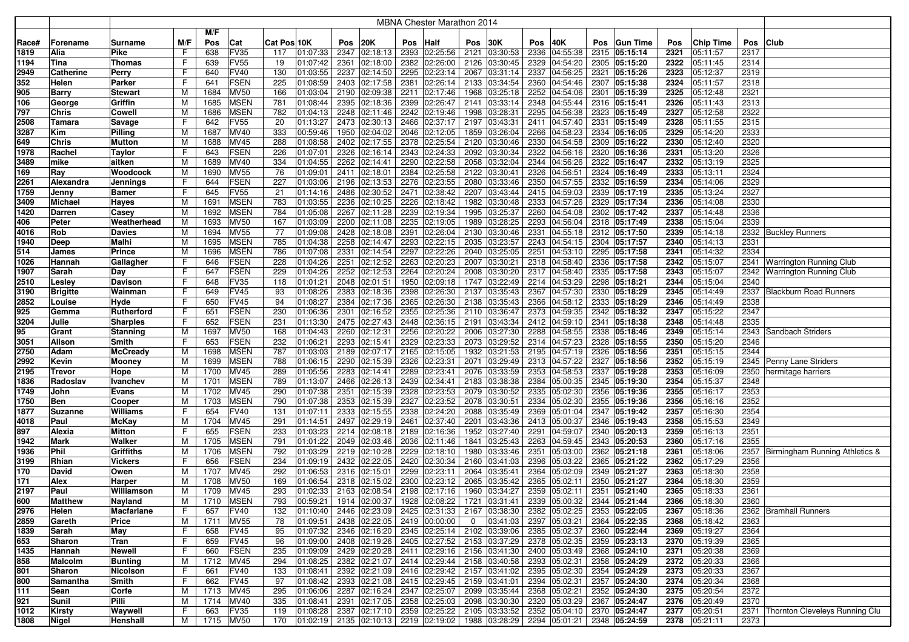|              |                       |                           |        |              |                            |                                    |      |                                |      | <b>MBNA Chester Marathon 2014</b>                                                                                                                                             |                |                      |      |                                |              |                      |              |                      |          |                                     |
|--------------|-----------------------|---------------------------|--------|--------------|----------------------------|------------------------------------|------|--------------------------------|------|-------------------------------------------------------------------------------------------------------------------------------------------------------------------------------|----------------|----------------------|------|--------------------------------|--------------|----------------------|--------------|----------------------|----------|-------------------------------------|
|              |                       |                           |        | M/F          |                            |                                    |      |                                |      |                                                                                                                                                                               |                |                      |      |                                |              |                      |              |                      |          |                                     |
| Race#        | Forename              | Surname                   | M/F    | Pos          | Cat                        | Cat Pos 10K                        | Pos  | 20K                            | Pos  | Half                                                                                                                                                                          | Pos            | 30K                  | Pos  | 40K                            | Pos          | <b>Gun Time</b>      | Pos          | <b>Chip Time</b>     | Pos Club |                                     |
| 1819         | Alia                  | Pike                      | F      | 638          | <b>FV35</b>                | 01:07:33<br>117                    |      | 2347 02:18:13                  |      | 2393 02:25:56                                                                                                                                                                 | 2121           | 03:30:53             |      | 2336 04:55:38                  |              | 2315 05:15:14        | 2321         | 05:11:57             | 2317     |                                     |
| 1194         | Tina                  | Thomas                    | F      | 639          | <b>FV55</b>                | 01:07:42<br>19                     | 2361 | 02:18:00                       | 2382 | 02:26:00                                                                                                                                                                      | 2126           | 03:30:45             |      | 2329 04:54:20                  |              | 2305 05:15:20        | 2322         | 05:11:45             | 2314     |                                     |
| 2949         | <b>Catherine</b>      | Perry                     | F      | 640          | <b>FV40</b>                | 01:03:55<br>130                    |      | 2237 02:14:50                  |      | 2295 02:23:14                                                                                                                                                                 | 2067           | 03:31:14             |      | 2337 04:56:25                  | 2321         | 05:15:26             | 2323         | 05:12:37             | 2319     |                                     |
| 352          | Helen                 | Parker                    | F      | 641          | <b>FSEN</b>                | 225<br>01:08:59                    |      | 2403 02:17:58                  |      | 2381 02:26:14                                                                                                                                                                 | 2133           | 03:34:54             |      | 2360 04:54:46                  | 2307         | 05:15:38             | 2324         | 05:11:57             | 2318     |                                     |
| 905          | <b>Barry</b>          | Stewart                   | M      | 1684         | <b>MV50</b>                | 166<br>01:03:04                    |      | 2190 02:09:38                  |      | 2211 02:17:46                                                                                                                                                                 | 1968           | 03:25:18             |      | 2252 04:54:06                  | 2301         | 05:15:39             | 2325         | 05:12:48             | 2321     |                                     |
| 106          | George                | Griffin                   | M      | 1685         | <b>MSEN</b>                | 781<br>01:08:44                    |      | 2395 02:18:36                  |      | 2399 02:26:47                                                                                                                                                                 | 2141           | 03:33:14             |      | 2348 04:55:44                  |              | 2316 05:15:41        | 2326         | 05:11:43             | 2313     |                                     |
| 797          | <b>Chris</b>          | Cowell                    | M      | 1686         | <b>MSEN</b>                | 782<br>01:04:13                    |      | 2248 02:11:46                  |      | 2242 02:19:46                                                                                                                                                                 | 1998           | 03:28:31             |      | 2295 04:56:38                  | 2323         | 05:15:49             | 2327         | 05:12:58             | 2322     |                                     |
| 2508         | Tamara                | Savage                    | F      | 642          | <b>FV55</b>                | 20<br>01:13:27                     |      | 2473 02:30:13                  |      | 2466 02:37:17                                                                                                                                                                 | 2197           | 03:43:31             |      | 2411 04:57:40                  | 2331         | 05:15:49             | 2328         | 05:11:55             | 2315     |                                     |
| 3287         | Kim                   | Pilling                   | M      | 1687         | MV40                       | 333<br>00:59:46                    |      | 1950 02:04:02                  |      | 2046 02:12:05                                                                                                                                                                 | 1859           | 03:26:04             |      | 2266 04:58:23                  | 2334         | 05:16:05             | 2329         | 05:14:20             | 2333     |                                     |
| 649          | <b>Chris</b>          | <b>Mutton</b>             | M      | 1688         | <b>MV45</b>                | 288<br>01:08:58                    |      | 2402 02:17:55                  |      | 2378 02:25:54                                                                                                                                                                 | 2120           | 03:30:46             |      | 2330 04:54:58                  |              | 2309 05:16:22        | 2330         | 05:12:40             | 2320     |                                     |
| 1978         | Rachel                | Taylor                    | F      | 643          | <b>FSEN</b>                | 226<br>01:07:01                    |      | 2326 02:16:14                  |      | 2343 02:24:33                                                                                                                                                                 | 2092           | 03:30:34             |      | 2322 04:56:16                  |              | 2320 05:16:36        | 2331         | 05:13:20             | 2326     |                                     |
| 3489         | mike                  | aitken                    | M      | 1689         | <b>MV40</b>                | 334<br>01:04:55                    |      | 2262 02:14:41                  |      | 2290 02:22:58                                                                                                                                                                 | 2058           | 03:32:04             |      | 2344 04:56:26                  | 2322         | 05:16:47             | 2332         | 05:13:19             | 2325     |                                     |
| 169          | Ray                   | Woodcock                  | M      | 1690         | <b>MV55</b>                | 76<br>01:09:01                     |      | 2411 02:18:01                  |      | 2384 02:25:58                                                                                                                                                                 | 2122           | 03:30:41             |      | 2326 04:56:51                  |              | 2324 05:16:49        | 2333         | 05:13:11             | 2324     |                                     |
| 2261         | Alexandra             | Jennings                  | F      | 644          | <b>FSEN</b>                | 01:03:06<br>227                    |      | 2196 02:13:53                  |      | 2276 02:23:55                                                                                                                                                                 | 2080           | 03:33:46             |      | 2350 04:57:55                  |              | 2332 05:16:59        | 2334         | 05:14:06             | 2329     |                                     |
| 1759         | Jenny                 | Bamer                     | F      | 645          | <b>FV55</b>                | 21<br>01:14:16                     |      | 2486 02:30:52                  |      | 2471 02:38:42                                                                                                                                                                 | 2207           | 03:43:44             |      | 2415 04:59:03                  |              | 2339 05:17:19        | 2335         | 05:13:24             | 2327     |                                     |
| 3409         | <b>Michael</b>        | Hayes                     | M      | 1691         | <b>MSEN</b>                | 783<br>01:03:55                    | 2236 | 02:10:25                       |      | 2226 02:18:42                                                                                                                                                                 | 1982           | 03:30:48             |      | 2333 04:57:26                  |              | 2329 05:17:34        | 2336         | 05:14:08             | 2330     |                                     |
| 1420         | <b>Darren</b>         | Casey                     | M      | 1692         | <b>MSEN</b>                | 784<br>01:05:08                    | 2267 | 02:11:28                       | 2239 | 02:19:34                                                                                                                                                                      | 1995           | 03:25:37             |      | 2260 04:54:08                  | 2302         | 05:17:42             | 2337         | 05:14:48             | 2336     |                                     |
| 406          | Peter                 | Weatherhead               | M      | 1693         | <b>MV50</b>                | 167<br>01:03:09                    |      | 2200 02:11:08                  | 2235 | 02:19:05                                                                                                                                                                      | 1989           | 03:28:25             |      | 2293 04:56:04                  |              | 2318 05:17:49        | 2338         | 05:15:04             | 2339     |                                     |
| 4016         | Rob                   | <b>Davies</b>             | M      | 1694         | <b>MV55</b>                | 77<br>01:09:08                     |      | 2428 02:18:08                  | 2391 | 02:26:04                                                                                                                                                                      | 2130           | 03:30:46             |      | 2331 04:55:18                  | 2312         | 05:17:50             | 2339         | 05:14:18             |          | 2332 Buckley Runners                |
| 1940         | Deep                  | Malhi                     | M      | 1695         | <b>MSEN</b>                | 785<br>01:04:38                    |      | 2258 02:14:47                  |      | 2293 02:22:15                                                                                                                                                                 | 2035           | 03:23:57             |      | 2243 04:54:15                  | 2304         | 05:17:57             | 2340         | 05:14:13             | 2331     |                                     |
| 514          | James                 | Prince                    | M      | 1696         | <b>MSEN</b>                | 786<br>01:07:08                    | 2331 | 02:14:54                       | 2297 | 02:22:26                                                                                                                                                                      | 2040           | 03:25:05             |      | 2251 04:53:10                  | 2295         | 05:17:58             | 2341         | 05:14:32             | 2334     |                                     |
| 1026         | Hannah                | Gallagher                 | F      | 646          | <b>FSEN</b>                | 228<br>01:04:26                    | 2251 | 02:12:52                       | 2263 | 02:20:23                                                                                                                                                                      | 2007           | 03:30:21             |      | 2318 04:58:40                  |              | 2336 05:17:58        | 2342         | 05:15:07             |          | 2341 Warrington Running Club        |
| 1907         | Sarah                 | Day                       | F      | 647          | <b>FSEN</b>                | 229<br>01:04:26                    | 2252 | 02:12:53                       |      | 2264 02:20:24                                                                                                                                                                 | 2008           | 03:30:20             |      | 2317 04:58:40                  | 2335         | 05:17:58             | 2343         | 05:15:07             |          | 2342 Warrington Running Club        |
| 2510         | Lesley                | <b>Davison</b>            | F      | 648          | <b>FV35</b>                | 118<br>01:01:21                    |      | 2048 02:01:51                  |      | 1950 02:09:18                                                                                                                                                                 | 1747           | 03:22:49             |      | 2214 04:53:29                  |              | 2298 05:18:21        | 2344         | 05:15:04             | 2340     |                                     |
| 3190         | <b>Brigitte</b>       | Wainman                   | F      | 649          | <b>FV45</b>                | 01:08:26<br>93                     |      | 2383 02:18:36                  |      | 2398 02:26:30 2137 03:35:43                                                                                                                                                   |                |                      |      | 2367 04:57:30                  |              | 2330 05:18:29        | 2345         | 05:14:49             |          | 2337 Blackburn Road Runners         |
| 2852         | Louise                | Hyde                      | F      | 650          | <b>FV45</b>                | 94<br>01:08:27                     |      | 2384 02:17:36                  |      | 2365 02:26:30 2138 03:35:43                                                                                                                                                   |                |                      |      | 2366 04:58:12                  |              | 2333 05:18:29        | 2346         | 05:14:49             | 2338     |                                     |
| 925          | Gemma                 | Rutherford                | F      | 651          | <b>FSEN</b>                | 230<br>01:06:36                    |      | 2301 02:16:52                  |      | 2355 02:25:36 2110 03:36:47                                                                                                                                                   |                |                      |      | 2373 04:59:35                  |              | 2342 05:18:32        | 2347         | 05:15:22             | 2347     |                                     |
| 3204         | Julie                 | Sharples                  | F      | 652          | <b>FSEN</b>                | 231<br>01:13:30                    |      | 2475 02:27:43                  |      | 2448 02:36:15 2191                                                                                                                                                            |                | 03:43:34             |      | 2412 04:59:10                  | 2341         | 05:18:38             | 2348         | 05:14:48             | 2335     |                                     |
| 95           | Grant                 | <b>Stanning</b><br>Smith  | M<br>F | 1697<br>653  | <b>MV50</b><br><b>FSEN</b> | 01:04:43<br>168<br>232<br>01:06:21 |      | 2260 02:12:31<br>2293 02:15:41 |      | 2256 02:20:22 2006<br>2329 02:23:33                                                                                                                                           | 2073           | 03:27:30<br>03:29:52 |      | 2288 04:58:55<br>2314 04:57:23 | 2338<br>2328 | 05:18:46<br>05:18:55 | 2349<br>2350 | 05:15:14<br>05:15:20 | 2346     | 2343 Sandbach Striders              |
| 3051         | <b>Alison</b><br>Adam |                           | M      |              | <b>MSEN</b>                | 787<br>01:03:03                    |      | 2189 02:07:17                  |      | 2165 02:15:05                                                                                                                                                                 | 1932           | 03:21:53             |      | 2195 04:57:19                  | 2326         | 05:18:56             | 2351         | 05:15:15             | 2344     |                                     |
| 2750<br>2992 | Kevin                 | <b>McCready</b><br>Mooney | M      | 1698<br>1699 | <b>MSEN</b>                | 788<br>01:06:15                    |      | 2290 02:15:39                  |      | 2326 02:23:31                                                                                                                                                                 | 2071           | 03:29:49             |      | 2313 04:57:22                  | 2327         | 05:18:56             | 2352         | 05:15:19             |          | 2345 Penny Lane Striders            |
| 2195         | <b>Trevor</b>         | Hope                      | M      | 1700         | MV45                       | 289<br>01:05:56                    |      | 2283 02:14:41                  |      | 2289 02:23:41                                                                                                                                                                 | 2076           | 03:33:59             |      | 2353 04:58:53                  |              | 2337 05:19:28        | 2353         | 05:16:09             |          | 2350 hermitage harriers             |
| 1836         | Radoslav              | Ivanchev                  | M      | 1701         | <b>MSEN</b>                | 789<br>01:13:07                    |      | 2466 02:26:13                  |      | 2439 02:34:41                                                                                                                                                                 | 2183           | 03:38:38             |      | 2384 05:00:35                  | 2345         | 05:19:30             | 2354         | 05:15:37             | 2348     |                                     |
| 1749         | John                  | Evans                     | M      | 1702         | MV45                       | 290<br>01:07:38                    | 2351 | 02:15:39                       |      | 2328 02:23:53                                                                                                                                                                 | 2079           | 03:30:52             |      | 2335 05:02:30                  |              | 2356 05:19:36        | 2355         | 05:16:17             | 2353     |                                     |
| 1750         | Ben                   | Cooper                    | M      | 1703         | <b>MSEN</b>                | 790<br>01:07:38                    | 2353 | 02:15:39                       | 2327 | 02:23:52                                                                                                                                                                      | 2078           | 03:30:51             |      | 2334 05:02:30                  | 2355         | 05:19:36             | 2356         | 05:16:16             | 2352     |                                     |
| 1877         | <b>Suzanne</b>        | Williams                  | F      | 654          | <b>FV40</b>                | 131<br>01:07:11                    |      | 2333 02:15:55                  |      | 2338 02:24:20                                                                                                                                                                 | 2088           | 03:35:49             |      | 2369 05:01:04                  | 2347         | 05:19:42             | 2357         | 05:16:30             | 2354     |                                     |
| 4018         | Paul                  | McKay                     | M      | 1704         | <b>MV45</b>                | 01:14:51<br>291                    |      | 2497 02:29:19                  |      | 2461 02:37:40                                                                                                                                                                 | 2201           | 03:43:36             |      | 2413 05:00:37                  |              | 2346 05:19:43        | 2358         | 05:15:53             | 2349     |                                     |
| 897          | Alexia                | <b>Mitton</b>             | F      | 655          | <b>FSEN</b>                | 233<br>01:03:23                    |      | 2214 02:08:18                  |      | 2189 02:16:36                                                                                                                                                                 | 1952           | 03:27:40             | 2291 | 04:59:07                       |              | 2340 05:20:13        | 2359         | 05:16:13             | 2351     |                                     |
| 1942         | <b>Mark</b>           | Walker                    | M      | 1705         | <b>MSEN</b>                | 791<br>01:01:22                    |      | 2049 02:03:46                  |      | 2036 02:11:46                                                                                                                                                                 | 1841           | 03:25:43             |      | 2263 04:59:45                  |              | 2343 05:20:53        | 2360         | 05:17:16             | 2355     |                                     |
| 1936         | Phil                  | <b>Griffiths</b>          | M      | 1706         | <b>MSEN</b>                | 792<br>01:03:29                    |      | 2219 02:10:28                  |      | 2229 02:18:10                                                                                                                                                                 | 1980           | 03:33:46             |      | 2351 05:03:00                  |              | 2362 05:21:18        | 2361         | 05:18:06             |          | 2357 Birmingham Running Athletics & |
| 3199         | Rhian                 | <b>Vickers</b>            | F      | 656          | <b>FSEN</b>                | 234<br>01:09:19                    | 2432 | 02:22:05                       |      | 2420 02:30:34                                                                                                                                                                 | 2160           | 03:41:03             |      | 2396 05:03:22                  | 2365         | 05:21:22             | 2362         | 05:17:29             | 2356     |                                     |
| 170          | David                 | Owen                      | M      | 1707         | MV45                       | 292<br>01:06:53                    | 2316 | 02:15:01                       | 2299 | 02:23:11                                                                                                                                                                      | 2064           | 03:35:41             |      | 2364 05:02:09                  |              | 2349 05:21:27        | 2363         | 05:18:30             | 2358     |                                     |
| 171          | Alex                  | Harper                    | M      | 1708         | <b>MV50</b>                | 169<br>01:06:54                    |      | 2318 02:15:02                  |      | 2300 02:23:12                                                                                                                                                                 | 2065           | 03:35:42             |      | 2365 05:02:11                  | 2350         | 05:21:27             | 2364         | 05:18:30             | 2359     |                                     |
| 2197         | Paul                  | Williamson                | M      | 1709         | MV45                       | 293<br>01:02:33                    |      | 2163 02:08:54                  |      | 2198 02:17:16                                                                                                                                                                 | 1960           | 03:34:27             |      | 2359 05:02:11                  | 2351         | 05:21:40             | 2365         | 05:18:33             | 2361     |                                     |
| 600          | <b>Matthew</b>        | Nayland                   | M      |              | 1710   MSEN                | 793                                |      | 00:59:21   1914   02:00:37     |      | 1928 02:08:22   1721 03:31:41   2339 05:00:32                                                                                                                                 |                |                      |      |                                |              | 2344 05:21:44        | 2366         | 05:18:30             | 2360     |                                     |
| 2976         | Helen                 | Macfarlane                | F      | 657          | FV40                       | 132                                |      |                                |      | $ 01:10:40 $ 2446 $ 02:23:09 $ 2425 $ 02:31:33 $ 2167 $ 03:38:30 $ 2382 $ 05:02:25 $ 2353 $ 05:22:05 $                                                                        |                |                      |      |                                |              |                      | 2367         | 05:18:36             |          | 2362   Bramhall Runners             |
| 2859         | Gareth                | Price                     | M      | 1711         | <b>MV55</b>                | 78                                 |      |                                |      | $ 01:09:51 $ 2438 $ 02:22:05 $ 2419 $ 00:00:00 $                                                                                                                              | $\overline{0}$ |                      |      | 03:41:03 2397 05:03:21         |              | 2364 05:22:35        | 2368         | 05:18:42             | 2363     |                                     |
| 1839         | Sarah                 | May                       | F      | 658          | <b>FV45</b>                | 95                                 |      |                                |      | 01:07:32 2346 02:16:20 2345 02:25:14 2102 03:39:06 2385 05:02:37 2360 05:22:44                                                                                                |                |                      |      |                                |              |                      | 2369         | 05:19:27             | 2364     |                                     |
| 653          | Sharon                | Tran                      | F      | 659          | <b>FV45</b>                | 96                                 |      |                                |      | $\vert$ 01:09:00 $\vert$ 2408 $\vert$ 02:19:26 $\vert$ 2405 $\vert$ 02:27:52 $\vert$ 2153 $\vert$ 03:37:29 $\vert$ 2378 $\vert$ 05:02:35 $\vert$ 2359 $\vert$ <b>05:23:13</b> |                |                      |      |                                |              |                      | 2370         | 05:19:39             | 2365     |                                     |
| 1435         | Hannah                | <b>Newell</b>             | F      | 660          | <b>FSEN</b>                | 235                                |      |                                |      | $\vert$ 01:09:09 2429 02:20:28 2411 02:29:16 2156 03:41:30 2400 05:03:49 2368 05:24:10                                                                                        |                |                      |      |                                |              |                      | 2371         | 05:20:38             | 2369     |                                     |
| 858          | Malcolm               | <b>Bunting</b>            | M      |              | 1712 MV45                  | 294                                |      |                                |      | 01:08:25 2382 02:21:07 2414 02:29:44 2158 03:40:58 2393 05:02:31 2358 05:24:29                                                                                                |                |                      |      |                                |              |                      | 2372         | 05:20:33             | 2366     |                                     |
| 801          | Sharon                | Nicolson                  | F      | 661          | <b>FV40</b>                | 133                                |      |                                |      | 01:08:41 2392 02:21:09 2416 02:29:42 2157 03:41:02 2395 05:02:30 2354 05:24:29                                                                                                |                |                      |      |                                |              |                      | 2373         | 05:20:33             | 2367     |                                     |
| 800          | Samantha              | Smith                     | F      | 662          | <b>FV45</b>                | 97                                 |      |                                |      | 01:08:42 2393 02:21:08 2415 02:29:45 2159 03:41:01 2394 05:02:31                                                                                                              |                |                      |      |                                |              | 2357 05:24:30        | 2374         | 05:20:34             | 2368     |                                     |
| 111          | Sean                  | Corfe                     | M      | 1713         | MV45                       | 295                                |      | 01:06:06   2287 02:16:24       |      | 2347 02:25:07 2099 03:35:44 2368 05:02:21                                                                                                                                     |                |                      |      |                                |              | 2352 05:24:30        | 2375         | 05:20:54             | 2372     |                                     |
| 921          | Sunil                 | Pilli                     | M      | 1714         | <b>MV40</b>                | 335<br>01:08:41                    |      | 2391 02:17:05                  |      | 2358 02:25:03 2098 03:30:30 2320 05:03:29                                                                                                                                     |                |                      |      |                                |              | 2367 05:24:47        | 2376         | 05:20:49             | 2370     |                                     |
| 1012         | <b>Kirsty</b>         | Waywell                   | F      | 663          | <b>FV35</b>                | 119                                |      |                                |      | $ 01:08:28 $ 2387 $ 02:17:10 $ 2359 $ 02:25:22 $ 2105 $ 03:33:52 $ 2352 $ 05:04:10 $ 2370 $ 05:24:47$                                                                         |                |                      |      |                                |              |                      | 2377         | 05:20:51             |          | 2371 Thornton Cleveleys Running Clu |
| 1808         | Nigel                 | Henshall                  | M      |              | 1715 MV50                  | 170                                |      |                                |      | $ 01:02:19 $ 2135 $ 02:10:13 $ 2219 $ 02:19:02 $ 1988 $ 03:28:29 $ 2294 $ 05:01:21 $ 2348 $ 05:24:59 $                                                                        |                |                      |      |                                |              |                      |              | 2378 05:21:11        | 2373     |                                     |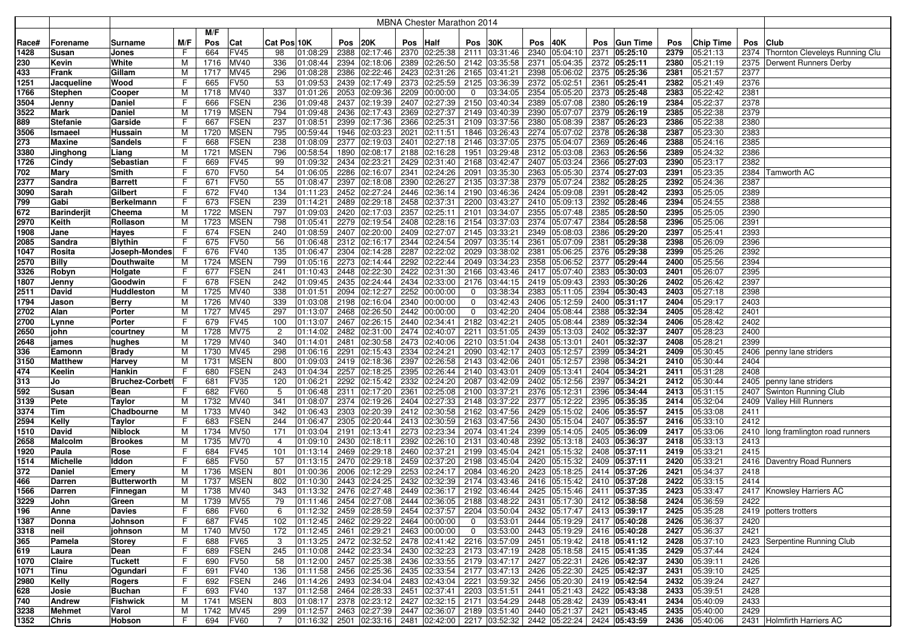|       | <b>MBNA Chester Marathon 2014</b> |                        |     |      |                            |                |                            |      |                             |              |                                                                                                                                            |                |               |              |                                           |      |                 |              |                      |              |                                     |
|-------|-----------------------------------|------------------------|-----|------|----------------------------|----------------|----------------------------|------|-----------------------------|--------------|--------------------------------------------------------------------------------------------------------------------------------------------|----------------|---------------|--------------|-------------------------------------------|------|-----------------|--------------|----------------------|--------------|-------------------------------------|
|       |                                   |                        |     | M/F  |                            |                |                            |      |                             |              |                                                                                                                                            |                |               |              |                                           |      |                 |              |                      |              |                                     |
| Race# | Forename                          | Surname                | M/F | Pos  | Cat                        | Cat Pos 10K    |                            | Pos  | 20K                         | Pos          | Half                                                                                                                                       | Pos            | 30K           | Pos          | 40K                                       | Pos  | <b>Gun Time</b> | Pos          | <b>Chip Time</b>     | Pos          | <b>Club</b>                         |
| 1428  | Susan                             | Jones                  | F   | 664  | <b>FV45</b>                | 98             | 01:08:29                   | 2388 | 02:17:46                    |              | 2370 02:25:38                                                                                                                              |                | 2111 03:31:46 | 2340         | 05:04:10                                  | 2371 | 05:25:10        | 2379         | 05:21:13             |              | 2374 Thornton Cleveleys Running Clu |
| 230   | Kevin                             | White                  | M   | 1716 | <b>MV40</b>                | 336            | 01:08:44                   | 2394 | 02:18:06                    | 2389         | 02:26:50                                                                                                                                   |                | 2142 03:35:58 | 2371         | 05:04:35                                  |      | 2372 05:25:11   | 2380         | 05:21:19             | 2375         | <b>Derwent Runners Derby</b>        |
| 433   | Frank                             | Gillam                 | M   | 1717 | <b>MV45</b>                | 296            | 01:08:28                   | 2386 | 02:22:46                    | 2423         | 02:31:26                                                                                                                                   |                | 2165 03:41:21 | 2398         | 05:06:02                                  | 2375 | 05:25:36        | 2381         | 05:21:57             | 2377         |                                     |
| 1251  | Jacqueline                        | Wood                   | F   | 665  | <b>FV50</b>                | 53             | 01:09:53                   | 2439 | 02:17:49                    |              | 2373 02:25:59                                                                                                                              |                | 2125 03:36:39 | 2372         | 05:02:51                                  | 2361 | 05:25:41        | 2382         | 05:21:49             | 2376         |                                     |
|       |                                   |                        |     | 1718 | <b>MV40</b>                | 337            | 01:01:26                   | 2053 | 02:09:36                    | 2209         |                                                                                                                                            | 0              | 03:34:05      | 2354         |                                           | 2373 | 05:25:48        | 2383         | 05:22:42             | 2381         |                                     |
| 1766  | <b>Stephen</b>                    | Cooper                 | M   |      |                            |                |                            |      |                             |              | 00:00:00                                                                                                                                   |                |               |              | 05:05:20                                  |      |                 |              |                      |              |                                     |
| 3504  | Jenny                             | Daniel                 | F   | 666  | <b>FSEN</b><br><b>MSEN</b> | 236<br>794     | 01:09:48                   | 2437 | 02:19:39                    | 2407<br>2369 | 02:27:39                                                                                                                                   | 2150           | 03:40:34      | 2389<br>2390 | 05:07:08                                  | 2380 | 05:26:19        | 2384<br>2385 | 05:22:37<br>05:22:38 | 2378<br>2379 |                                     |
| 3522  | Mark                              | Daniel                 | M   | 1719 |                            |                | 01:09:48                   | 2436 | 02:17:43                    |              | 02:27:37                                                                                                                                   |                | 2149 03:40:39 |              | 05:07:07                                  |      | 2379 05:26:19   |              |                      |              |                                     |
| 889   | <b>Stefanie</b>                   | Garside                | F   | 667  | <b>FSEN</b>                | 237            | 01:08:51                   | 2399 | 02:17:36                    |              | 2366 02:25:31                                                                                                                              |                | 2109 03:37:56 | 2380         | 05:08:39                                  | 2387 | 05:26:23        | 2386         | 05:22:38             | 2380         |                                     |
| 3506  | Ismaeel                           | Hussain                | м   | 1720 | <b>MSEN</b>                | 795            | 00:59:44                   | 1946 | 02:03:23                    | 2021         | 02:11:51                                                                                                                                   | 1846           | 03:26:43      | 2274         | 05:07:02                                  | 2378 | 05:26:38        | 2387         | 05:23:30             | 2383         |                                     |
| 273   | Maxine                            | Sandels                | F   | 668  | <b>FSEN</b>                | 238            | 01:08:09                   | 2377 | 02:19:03                    | 2401         | 02:27:18                                                                                                                                   | 2146           | 03:37:05      | 2375         | 05:04:07                                  | 2369 | 05:26:46        | 2388         | 05:24:16             | 2385         |                                     |
| 3380  | Jinghong                          | Liang                  | M   | 1721 | <b>MSEN</b>                | 796            | 00:58:54                   | 1890 | 02:08:17                    |              | 2188 02:16:28                                                                                                                              | 1951           | 03:29:48      | 2312         | 05:03:08                                  |      | 2363 05:26:56   | 2389         | 05:24:32             | 2386         |                                     |
| 1726  | Cindy                             | Sebastian              | F   | 669  | <b>FV45</b>                | 99             | 01:09:32                   | 2434 | 02:23:21                    |              | 2429 02:31:40                                                                                                                              |                | 2168 03:42:47 | 2407         | 05:03:24                                  | 2366 | 05:27:03        | 2390         | 05:23:17             | 2382         |                                     |
| 702   | Mary                              | Smith                  | F   | 670  | <b>FV50</b>                | 54             | 01:06:05                   | 2286 | 02:16:07                    | 2341         | 02:24:26                                                                                                                                   | 2091           | 03:35:30      | 2363         | 05:05:30                                  |      | 2374 05:27:03   | 2391         | 05:23:35             | 2384         | Tamworth AC                         |
| 2377  | Sandra                            | <b>Barrett</b>         | F   | 671  | <b>FV50</b>                | 55             | 01:08:47                   | 2397 | 02:18:08                    | 2390         | 02:26:27                                                                                                                                   |                | 2135 03:37:38 | 2379         | 05:07:24                                  | 2382 | 05:28:25        | 2392         | 05:24:36             | 2387         |                                     |
| 3090  | Sarah                             | Gilbert                | F   | 672  | <b>FV40</b>                | 134            | 01:11:23                   | 2452 | 02:27:24                    |              | 2446 02:36:14                                                                                                                              |                | 2190 03:46:36 | 2424         | 05:09:08                                  |      | 2391 05:28:42   | 2393         | 05:25:05             | 2389         |                                     |
| 799   | Gabi                              | Berkelmann             | F   | 673  | FSEN                       | 239            | 01:14:21                   | 2489 | 02:29:18                    |              | 2458 02:37:31                                                                                                                              |                | 2200 03:43:27 |              | 2410 05:09:13                             |      | 2392 05:28:46   | 2394         | 05:24:55             | 2388         |                                     |
| 672   | <b>Barinderjit</b>                | Cheema                 | M   | 1722 | <b>MSEN</b>                | 797            | 01:09:03                   | 2420 | 02:17:03                    | 2357         | 02:25:11                                                                                                                                   | 2101           | 03:34:07      | 2355         | 05:07:48                                  | 2385 | 05:28:50        | 2395         | 05:25:05             | 2390         |                                     |
| 2970  | Keith                             | Rollason               | M   | 1723 | <b>MSEN</b>                | 798            | 01:05:41                   | 2279 | 02:19:54                    | 2408         | 02:28:16                                                                                                                                   |                | 2154 03:37:03 | 2374         | 05:07:47                                  | 2384 | 05:28:58        | 2396         | 05:25:06             | 2391         |                                     |
| 1908  | Jane                              | <b>Hayes</b>           | F   | 674  | <b>FSEN</b>                | 240            | 01:08:59                   | 2407 | 02:20:00                    | 2409         | 02:27:07                                                                                                                                   |                | 2145 03:33:21 | 2349         | 05:08:03                                  | 2386 | 05:29:20        | 2397         | 05:25:41             | 2393         |                                     |
| 2085  | Sandra                            | <b>Blythin</b>         | F   | 675  | <b>FV50</b>                | 56             | 01:06:48                   | 2312 | 02:16:17                    |              | 2344 02:24:54                                                                                                                              | 2097           | 03:35:14      | 2361         | 05:07:09                                  | 2381 | 05:29:38        | 2398         | 05:26:09             | 2396         |                                     |
| 1047  | Rosita                            | Joseph-Mondesi         | F   | 676  | <b>FV40</b>                | 135            | 01:06:47                   | 2304 | 02:14:28                    | 2287         | 02:22:02                                                                                                                                   | 2029           | 03:38:02      | 2381         | 05:06:25                                  | 2376 | 05:29:38        | 2399         | 05:25:26             | 2392         |                                     |
| 2570  | <b>Billy</b>                      | Douthwaite             | M   | 1724 | <b>MSEN</b>                | 799            | 01:05:16                   | 2273 | 02:14:44                    | 2292         | 02:22:44                                                                                                                                   | 2049           | 03:34:23      | 2358         | 05:06:52                                  | 2377 | 05:29:44        | 2400         | 05:25:56             | 2394         |                                     |
| 3326  | Robyn                             | Holgate                | F   | 677  | <b>FSEN</b>                | 241            | 01:10:43                   | 2448 | 02:22:30                    | 2422         | 02:31:30                                                                                                                                   | 2166           | 03:43:46      | 2417         | 05:07:40                                  | 2383 | 05:30:03        | 2401         | 05:26:07             | 2395         |                                     |
| 1807  | Jenny                             | Goodwin                | F   | 678  | <b>FSEN</b>                | 242            | 01:09:45                   | 2435 | 02:24:44                    |              | 2434 02:33:00                                                                                                                              |                | 2176 03:44:15 | 2419         | 05:09:43                                  |      | 2393 05:30:26   | 2402         | 05:26:42             | 2397         |                                     |
| 2511  | David                             | Huddleston             | M   | 1725 | <b>MV40</b>                | 338            | 01:01:51                   | 2094 | 02:12:27                    |              | 2252 00:00:00                                                                                                                              | 0              | 03:38:34      | 2383         | 05:11:05                                  |      | 2394 05:30:43   | 2403         | 05:27:18             | 2398         |                                     |
| 1794  | Jason                             | <b>Berry</b>           | M   | 1726 | <b>MV40</b>                | 339            | 01:03:08                   | 2198 | 02:16:04                    |              | 2340 00:00:00                                                                                                                              | 0              | 03:42:43      | 2406         | 05:12:59                                  |      | 2400 05:31:17   | 2404         | 05:29:17             | 2403         |                                     |
| 2702  | Alan                              | Porter                 | M   | 1727 | <b>MV45</b>                | 297            | 01:13:07                   | 2468 | 02:26:50                    |              | 2442 00:00:00                                                                                                                              | 0              | 03:42:20      | 2404         | 05:08:44                                  |      | 2388 05:32:34   | 2405         | 05:28:42             | 2401         |                                     |
| 2700  | Lynne                             | Porter                 | F   | 679  | <b>FV45</b>                | 100            | 01:13:07                   | 2467 | 02:26:15                    |              | 2440 02:34:41                                                                                                                              |                | 2182 03:42:21 | 2405         | 05:08:44                                  |      | 2389 05:32:34   | 2406         | 05:28:42             | 2402         |                                     |
| 2650  | john                              | courtney               | M   | 1728 | <b>MV75</b>                | $\overline{c}$ | 01:14:02                   | 2482 | 02:31:00                    |              | 2474 02:40:07                                                                                                                              |                | 2211 03:51:05 | 2439         | 05:13:03                                  |      | 2402 05:32:37   | 2407         | 05:28:23             | 2400         |                                     |
| 2648  | james                             | hughes                 | M   | 1729 | <b>MV40</b>                | 340            | 01:14:01                   | 2481 | 02:30:58                    |              | 2473 02:40:06                                                                                                                              |                | 2210 03:51:04 | 2438         | 05:13:01                                  |      | 2401 05:32:37   | 2408         | 05:28:21             | 2399         |                                     |
| 336   | Eamonn                            | Brady                  | м   | 1730 | MV45                       | 298            | 01:06:16                   | 2291 | 02:15:43                    |              | 2334 02:24:21                                                                                                                              | 2090           | 03:42:17      | 2403         | 05:12:57                                  | 2399 | 05:34:21        | 2409         | 05:30:45             | 2406         | penny lane striders                 |
| 3150  | <b>Matthew</b>                    | Harvey                 | M   | 1731 | <b>MSEN</b>                | 800            | 01:09:03                   | 2419 | 02:18:36                    | 2397         | 02:26:58                                                                                                                                   |                | 2143 03:42:06 | 2401         | 05:12:57                                  | 2398 | 05:34:21        | 2410         | 05:30:44             | 2404         |                                     |
| 474   | Keelin                            | Hankin                 | F   | 680  | <b>FSEN</b>                | 243            | 01:04:34                   | 2257 | 02:18:25                    |              | 2395 02:26:44                                                                                                                              |                | 2140 03:43:01 | 2409         | 05:13:41                                  |      | 2404 05:34:21   | 2411         | 05:31:28             | 2408         |                                     |
| 313   | Jo                                | <b>Bruchez-Corbett</b> |     | 681  | FV35                       | 120            | 01:06:21                   | 2292 | 02:15:42                    | 2332         | 02:24:20                                                                                                                                   | 2087           | 03:42:09      | 2402         | 05:12:56                                  | 2397 | 05:34:21        | 2412         | 05:30:44             | 2405         | penny lane striders                 |
| 592   | Susan                             | Bean                   | F   | 682  | <b>FV60</b>                | -5             | 01:06:48                   | 2311 | 02:17:20                    | 2361         | 02:25:08                                                                                                                                   | 2100           | 03:37:21      | 2376         | 05:12:31                                  | 2396 | 05:34:44        | 2413         | 05:31:15             | 2407         | Swinton Running Club                |
| 3139  | Pete                              | Taylor                 | M   | 1732 | <b>MV40</b>                | 341            | 01:08:07                   | 2374 | 02:19:26                    |              | 2404 02:27:33                                                                                                                              | 2148           | 03:37:22      | 2377         | 05:12:22                                  | 2395 | 05:35:35        | 2414         | 05:32:04             |              | 2409 Valley Hill Runners            |
| 3374  | Tim                               | Chadbourne             | M   | 1733 | <b>MV40</b>                | 342            | 01:06:43                   | 2303 | 02:20:39                    |              | 2412 02:30:58                                                                                                                              |                | 2162 03:47:56 | 2429         | 05:15:02                                  |      | 2406 05:35:57   | 2415         | 05:33:08             | 2411         |                                     |
| 2594  | Kelly                             | Taylor                 | F   | 683  | <b>FSEN</b>                | 244            | 01:06:47                   | 2305 | 02:20:44                    |              | 2413 02:30:59                                                                                                                              |                | 2163 03:47:56 |              | 2430 05:15:04                             |      | 2407 05:35:57   | 2416         | 05:33:10             | 2412         |                                     |
| 1510  | David                             | Niblock                | M   | 1734 | <b>MV50</b>                | 171            | 01:03:04                   | 2191 | 02:13:41                    | 2273         | 02:23:34                                                                                                                                   |                | 2074 03:41:24 | 2399         | 05:14:05                                  |      | 2405 05:36:09   | 2417         | 05:33:06             |              | 2410 long framlington road runners  |
| 2658  | Malcolm                           | <b>Brookes</b>         | M   | 1735 | <b>MV70</b>                | 4              | 01:09:10                   | 2430 | 02:18:11                    |              | 2392 02:26:10                                                                                                                              |                | 2131 03:40:48 | 2392         | 05:13:18                                  |      | 2403 05:36:37   | 2418         | 05:33:13             | 2413         |                                     |
| 1920  | Paula                             | Rose                   | F   | 684  | <b>FV45</b>                | 101            | 01:13:14                   | 2469 | 02:29:18                    |              | 2460 02:37:21                                                                                                                              |                | 2199 03:45:04 | 2421         | 05:15:32                                  |      | 2408 05:37:11   | 2419         | 05:33:21             | 2415         |                                     |
| 1514  | <b>Michelle</b>                   | Iddon                  | F   | 685  | <b>FV50</b>                | 57             | 01:13:15                   | 2470 | 02:29:18                    | 2459         | 02:37:20                                                                                                                                   | 2198           | 03:45:04      | 2420         | 05:15:32                                  | 2409 | 05:37:11        | 2420         | 05:33:21             |              | 2416 Daventry Road Runners          |
| 372   | <b>Daniel</b>                     | Emery                  | M   | 1736 | <b>MSEN</b>                | 801            | 01:00:36                   | 2006 | 02:12:29                    | 2253         | 02:24:17                                                                                                                                   | 2084           | 03:46:20      | 2423         | 05:18:25                                  | 2414 | 05:37:26        | 2421         | 05:34:37             | 2418         |                                     |
| 466   | Darren                            | <b>Butterworth</b>     | M   | 1737 | <b>MSEN</b>                | 802            | 01:10:30                   | 2443 | 02:24:25                    | 2432         | 02:32:39                                                                                                                                   |                | 2174 03:43:46 | 2416         | 05:15:42                                  |      | 2410 05:37:28   | 2422         | 05:33:15             | 2414         |                                     |
| 1566  | Darren                            | Finnegan               | М   | 1738 | MV40                       | 343            | 01:13:32                   | 2476 | 02:27:48                    | 2449         | 02:36:17                                                                                                                                   | 2192           | 03:46:44      | 2425         | 05:15:46                                  |      | 2411 05:37:35   | 2423         | 05:33:47             |              | 2417 Knowsley Harriers AC           |
| 3229  | John                              | Green                  | M   | 1739 | <b>MV55</b>                | 79             |                            |      |                             |              | $ 01:11:46 $ 2454 $ 02:27:08 $ 2444 $ 02:36:05 $ 2188 $ 03:48:22 $ 2431 $ 05:17:30 $                                                       |                |               |              |                                           |      | 2412 05:38:58   | 2424         | 05:36:59             | 2422         |                                     |
| 196   | Anne                              | Davies                 | F   | 686  | <b>FV60</b>                | 6              |                            |      |                             |              | $ 01:12:32 $ 2459 $ 02:28:59 $ 2454 $ 02:37:57 $ 2204 $ 03:50:04 $ 2432 $ 05:17:47 $ 2413 $ 05:39:17$                                      |                |               |              |                                           |      |                 | 2425         | 05:35:28             |              | 2419 potters trotters               |
| 1387  | Donna                             | Johnson                | F   | 687  | <b>FV45</b>                | 102            | 01:12:45                   |      | 2462 02:29:22 2464 00:00:00 |              |                                                                                                                                            | $\mathbf{0}$   | 03:53:01      |              | 2444 05:19:29 2417 05:40:28               |      |                 | 2426         | 05:36:37             | 2420         |                                     |
| 3318  | neil                              | johnson                | M   | 1740 | <b>MV50</b>                | 172            | 01:12:45                   |      | 2461 02:29:21 2463 00:00:00 |              |                                                                                                                                            | $\overline{0}$ |               |              | 03:53:00 2443 05:19:29 2416 05:40:28      |      |                 | 2427         | 05:36:37             | 2421         |                                     |
| 365   | Pamela                            | Storey                 | F   | 688  | <b>FV65</b>                | 3              |                            |      |                             |              | $\boxed{01:13:25 \mid 2472 \mid 02:32:52 \mid 2478 \mid 02:41:42 \mid 2216 \mid 03:57:09 \mid 2451 \mid 05:19:42 \mid 2418 \mid 05:41:12}$ |                |               |              |                                           |      |                 | 2428         | 05:37:10             |              | 2423 Serpentine Running Club        |
| 619   | Laura                             | Dean                   | F   | 689  | <b>FSEN</b>                | 245            | $ 01:10:08 $ 2442 02:23:34 |      |                             |              | 2430 02:32:23 2173 03:47:19 2428 05:18:58 2415 05:41:35                                                                                    |                |               |              |                                           |      |                 | 2429         | 05:37:44             | 2424         |                                     |
| 1070  | Claire                            | Tuckett                | F   | 690  | <b>FV50</b>                | 58             |                            |      |                             |              | $ 01:12:00 $ 2457 $ 02:25:38 $ 2436 $ 02:33:55 $ 2179 $ 03:47:17 $ 2427 $ 05:22:31 $                                                       |                |               |              |                                           |      | 2426 05:42:37   | 2430         | 05:39:11             | 2426         |                                     |
| 1071  | Tinu                              | Ogundari               | F   | 691  | <b>FV40</b>                | 136            |                            |      |                             |              | $ 01:11:58 $ 2456 02:25:36 2435 02:33:54                                                                                                   |                |               |              | 2177 03:47:13 2426 05:22:30 2425 05:42:37 |      |                 | 2431         | 05:39:10             | 2425         |                                     |
| 2980  | Kelly                             | Rogers                 | F   | 692  | <b>FSEN</b>                | 246            | 01:14:26                   |      | 2493 02:34:04               |              | 2483 02:43:04                                                                                                                              |                | 2221 03:59:32 |              | 2456 05:20:30                             |      | 2419 05:42:54   | 2432         | 05:39:24             | 2427         |                                     |
| 628   | Josie                             | Buchan                 | F   | 693  | <b>FV40</b>                | 137            | 01:12:58 2464              |      | 02:28:33                    |              | 2451 02:37:41                                                                                                                              |                | 2203 03:51:51 | 2441         | 05:21:43                                  |      | 2422 05:43:38   | 2433         | 05:39:51             | 2428         |                                     |
| 740   | Andrew                            | <b>Fishwick</b>        | M   | 1741 | <b>MSEN</b>                | 803            | 01:08:17                   |      | 2378 02:23:12               |              | 2427 02:32:15                                                                                                                              |                |               |              | 2171 03:54:29 2448 05:28:42               |      | 2439 05:43:41   | 2434         | 05:40:09             | 2433         |                                     |
| 3238  | Mehmet                            | Varol                  | M   | 1742 | <b>MV45</b>                | 299            | 01:12:57                   |      | 2463 02:27:39               |              | 2447 02:36:07 2189 03:51:40 2440 05:21:37                                                                                                  |                |               |              |                                           |      | 2421 05:43:45   | 2435         | 05:40:00             | 2429         |                                     |
| 1352  | Chris                             | Hobson                 | F.  | 694  | <b>FV60</b>                | 7              |                            |      |                             |              | $ 01:16:32 $ 2501 $ 02:33:16 $ 2481 $ 02:42:00 $ 2217 $ 03:52:32 $ 2442 $ 05:22:24 $                                                       |                |               |              |                                           |      | 2424 05:43:59   |              | 2436 05:40:06        |              | 2431 Holmfirth Harriers AC          |